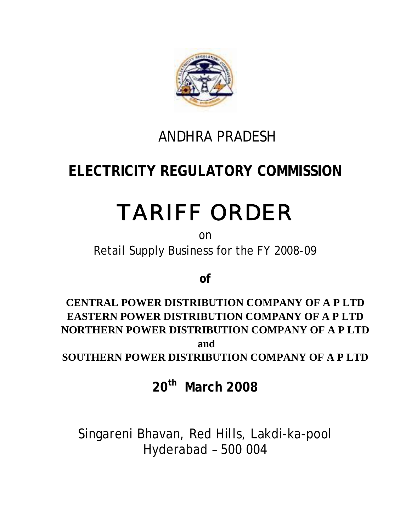

# ANDHRA PRADESH

# **ELECTRICITY REGULATORY COMMISSION**

# TARIFF ORDER

on Retail Supply Business for the FY 2008-09

**of** 

**CENTRAL POWER DISTRIBUTION COMPANY OF A P LTD EASTERN POWER DISTRIBUTION COMPANY OF A P LTD NORTHERN POWER DISTRIBUTION COMPANY OF A P LTD and** 

**SOUTHERN POWER DISTRIBUTION COMPANY OF A P LTD** 

**20th March 2008** 

Singareni Bhavan, Red Hills, Lakdi-ka-pool Hyderabad – 500 004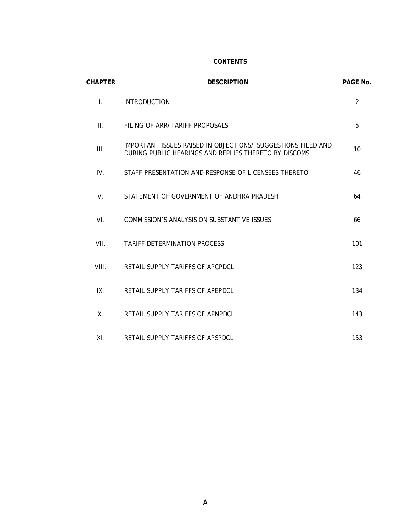#### **CONTENTS**

| <b>CHAPTER</b>  | <b>DESCRIPTION</b>                                                                                                    | PAGE No.       |
|-----------------|-----------------------------------------------------------------------------------------------------------------------|----------------|
| $\mathbf{L}$    | <b>INTRODUCTION</b>                                                                                                   | $\overline{2}$ |
| $\mathbf{II}$ . | FILING OF ARR/TARIFF PROPOSALS                                                                                        | 5              |
| III.            | IMPORTANT ISSUES RAISED IN OBJECTIONS/ SUGGESTIONS FILED AND<br>DURING PUBLIC HEARINGS AND REPLIES THERETO BY DISCOMS | 10             |
| IV.             | STAFF PRESENTATION AND RESPONSE OF LICENSEES THERETO                                                                  | 46             |
| V.              | STATEMENT OF GOVERNMENT OF ANDHRA PRADESH                                                                             | 64             |
| VI.             | COMMISSION'S ANALYSIS ON SUBSTANTIVE ISSUES                                                                           | 66             |
| VII.            | <b>TARIFF DETERMINATION PROCESS</b>                                                                                   | 101            |
| VIII.           | RETAIL SUPPLY TARIFFS OF APCPDCL                                                                                      | 123            |
| IX.             | RETAIL SUPPLY TARIFFS OF APEPDCL                                                                                      | 134            |
| $X_{-}$         | RETAIL SUPPLY TARIFFS OF APNPDCL                                                                                      | 143            |
| XI.             | RETAIL SUPPLY TARIFFS OF APSPDCL                                                                                      | 153            |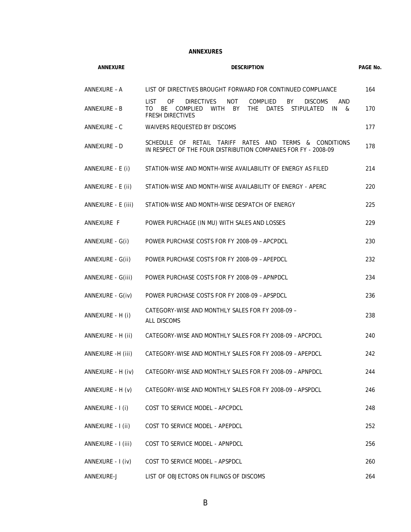#### **ANNEXURES**

| <b>ANNEXURE</b>    | <b>DESCRIPTION</b>                                                                                                                                                                                            |     |  |  |  |
|--------------------|---------------------------------------------------------------------------------------------------------------------------------------------------------------------------------------------------------------|-----|--|--|--|
| ANNEXURE - A       | LIST OF DIRECTIVES BROUGHT FORWARD FOR CONTINUED COMPLIANCE                                                                                                                                                   | 164 |  |  |  |
| ANNEXURE - B       | LIST.<br>0F<br><b>DIRECTIVES</b><br>NOT<br><b>COMPLIED</b><br>BY<br><b>DISCOMS</b><br>AND<br>BE<br>THE.<br><b>STIPULATED</b><br>TO T<br>COMPLIED<br>WITH<br>BY<br>DATES<br>IN<br>&<br><b>FRESH DIRECTIVES</b> | 170 |  |  |  |
| ANNEXURE - C       | <b>WAIVERS REQUESTED BY DISCOMS</b>                                                                                                                                                                           | 177 |  |  |  |
| ANNEXURE - D       | SCHEDULE OF RETAIL TARIFF RATES AND TERMS & CONDITIONS<br>IN RESPECT OF THE FOUR DISTRIBUTION COMPANIES FOR FY - 2008-09                                                                                      | 178 |  |  |  |
| ANNEXURE - E (i)   | STATION-WISE AND MONTH-WISE AVAILABILITY OF ENERGY AS FILED                                                                                                                                                   | 214 |  |  |  |
| ANNEXURE - E (ii)  | STATION-WISE AND MONTH-WISE AVAILABILITY OF ENERGY - APERC                                                                                                                                                    | 220 |  |  |  |
| ANNEXURE - E (iii) | STATION-WISE AND MONTH-WISE DESPATCH OF ENERGY                                                                                                                                                                | 225 |  |  |  |
| ANNEXURE F         | POWER PURCHAGE (IN MU) WITH SALES AND LOSSES                                                                                                                                                                  | 229 |  |  |  |
| ANNEXURE - G(i)    | POWER PURCHASE COSTS FOR FY 2008-09 - APCPDCL                                                                                                                                                                 | 230 |  |  |  |
| ANNEXURE - G(ii)   | POWER PURCHASE COSTS FOR FY 2008-09 - APEPDCL                                                                                                                                                                 | 232 |  |  |  |
| ANNEXURE - G(iii)  | POWER PURCHASE COSTS FOR FY 2008-09 - APNPDCL                                                                                                                                                                 | 234 |  |  |  |
| ANNEXURE - G(iv)   | POWER PURCHASE COSTS FOR FY 2008-09 - APSPDCL                                                                                                                                                                 | 236 |  |  |  |
| ANNEXURE - H (i)   | CATEGORY-WISE AND MONTHLY SALES FOR FY 2008-09 -<br><b>ALL DISCOMS</b>                                                                                                                                        | 238 |  |  |  |
| ANNEXURE - H (ii)  | CATEGORY-WISE AND MONTHLY SALES FOR FY 2008-09 - APCPDCL                                                                                                                                                      | 240 |  |  |  |
| ANNEXURE -H (iii)  | CATEGORY-WISE AND MONTHLY SALES FOR FY 2008-09 - APEPDCL                                                                                                                                                      | 242 |  |  |  |
| ANNEXURE - H (iv)  | CATEGORY-WISE AND MONTHLY SALES FOR FY 2008-09 - APNPDCL                                                                                                                                                      | 244 |  |  |  |
| ANNEXURE - H (v)   | CATEGORY-WISE AND MONTHLY SALES FOR FY 2008-09 - APSPDCL                                                                                                                                                      | 246 |  |  |  |
| ANNEXURE - I (i)   | COST TO SERVICE MODEL - APCPDCL                                                                                                                                                                               | 248 |  |  |  |
| ANNEXURE - I (ii)  | COST TO SERVICE MODEL - APEPDCL                                                                                                                                                                               | 252 |  |  |  |
| ANNEXURE - I (iii) | COST TO SERVICE MODEL - APNPDCL                                                                                                                                                                               | 256 |  |  |  |
| ANNEXURE - I (iv)  | COST TO SERVICE MODEL - APSPDCL                                                                                                                                                                               | 260 |  |  |  |
| ANNEXURE-J         | LIST OF OBJECTORS ON FILINGS OF DISCOMS                                                                                                                                                                       | 264 |  |  |  |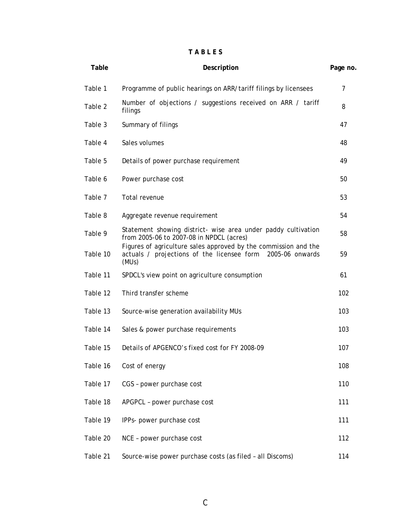#### **T A B L E S**

| Table    | Description                                                                                                                               |     |  |  |
|----------|-------------------------------------------------------------------------------------------------------------------------------------------|-----|--|--|
| Table 1  | Programme of public hearings on ARR/tariff filings by licensees                                                                           | 7   |  |  |
| Table 2  | Number of objections / suggestions received on ARR / tariff<br>filings                                                                    | 8   |  |  |
| Table 3  | Summary of filings                                                                                                                        | 47  |  |  |
| Table 4  | Sales volumes                                                                                                                             | 48  |  |  |
| Table 5  | Details of power purchase requirement                                                                                                     | 49  |  |  |
| Table 6  | Power purchase cost                                                                                                                       | 50  |  |  |
| Table 7  | Total revenue                                                                                                                             | 53  |  |  |
| Table 8  | Aggregate revenue requirement                                                                                                             | 54  |  |  |
| Table 9  | Statement showing district- wise area under paddy cultivation<br>from 2005-06 to 2007-08 in NPDCL (acres)                                 | 58  |  |  |
| Table 10 | Figures of agriculture sales approved by the commission and the<br>actuals / projections of the licensee form<br>2005-06 onwards<br>(MUs) | 59  |  |  |
| Table 11 | SPDCL's view point on agriculture consumption                                                                                             | 61  |  |  |
| Table 12 | Third transfer scheme                                                                                                                     | 102 |  |  |
| Table 13 | Source-wise generation availability MUs                                                                                                   | 103 |  |  |
| Table 14 | Sales & power purchase requirements                                                                                                       | 103 |  |  |
| Table 15 | Details of APGENCO's fixed cost for FY 2008-09                                                                                            | 107 |  |  |
| Table 16 | Cost of energy                                                                                                                            | 108 |  |  |
| Table 17 | CGS - power purchase cost                                                                                                                 | 110 |  |  |
| Table 18 | APGPCL - power purchase cost                                                                                                              | 111 |  |  |
| Table 19 | IPPs- power purchase cost                                                                                                                 | 111 |  |  |
| Table 20 | NCE - power purchase cost                                                                                                                 | 112 |  |  |
| Table 21 | Source-wise power purchase costs (as filed - all Discoms)                                                                                 | 114 |  |  |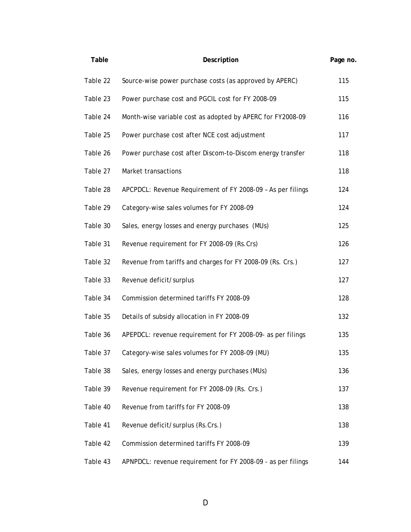| Table    | Description                                                  | Page no. |
|----------|--------------------------------------------------------------|----------|
| Table 22 | Source-wise power purchase costs (as approved by APERC)      | 115      |
| Table 23 | Power purchase cost and PGCIL cost for FY 2008-09            | 115      |
| Table 24 | Month-wise variable cost as adopted by APERC for FY2008-09   | 116      |
| Table 25 | Power purchase cost after NCE cost adjustment                | 117      |
| Table 26 | Power purchase cost after Discom-to-Discom energy transfer   | 118      |
| Table 27 | Market transactions                                          | 118      |
| Table 28 | APCPDCL: Revenue Requirement of FY 2008-09 - As per filings  | 124      |
| Table 29 | Category-wise sales volumes for FY 2008-09                   | 124      |
| Table 30 | Sales, energy losses and energy purchases (MUs)              | 125      |
| Table 31 | Revenue requirement for FY 2008-09 (Rs.Crs)                  | 126      |
| Table 32 | Revenue from tariffs and charges for FY 2008-09 (Rs. Crs.)   | 127      |
| Table 33 | Revenue deficit/surplus                                      | 127      |
| Table 34 | Commission determined tariffs FY 2008-09                     | 128      |
| Table 35 | Details of subsidy allocation in FY 2008-09                  | 132      |
| Table 36 | APEPDCL: revenue requirement for FY 2008-09- as per filings  | 135      |
| Table 37 | Category-wise sales volumes for FY 2008-09 (MU)              | 135      |
| Table 38 | Sales, energy losses and energy purchases (MUs)              | 136      |
| Table 39 | Revenue requirement for FY 2008-09 (Rs. Crs.)                | 137      |
| Table 40 | Revenue from tariffs for FY 2008-09                          | 138      |
| Table 41 | Revenue deficit/surplus (Rs.Crs.)                            | 138      |
| Table 42 | Commission determined tariffs FY 2008-09                     | 139      |
| Table 43 | APNPDCL: revenue requirement for FY 2008-09 - as per filings | 144      |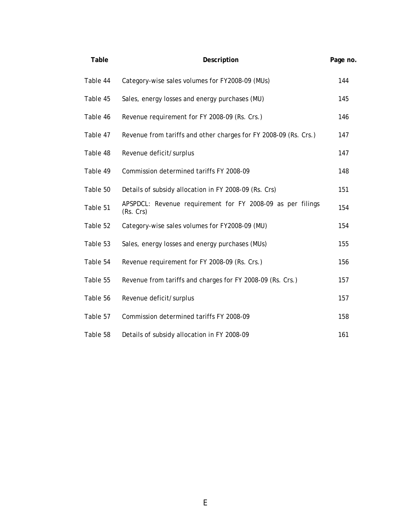| Table    | Description                                                             |     |  |  |
|----------|-------------------------------------------------------------------------|-----|--|--|
| Table 44 | Category-wise sales volumes for FY2008-09 (MUs)                         | 144 |  |  |
| Table 45 | Sales, energy losses and energy purchases (MU)                          | 145 |  |  |
| Table 46 | Revenue requirement for FY 2008-09 (Rs. Crs.)                           | 146 |  |  |
| Table 47 | Revenue from tariffs and other charges for FY 2008-09 (Rs. Crs.)        | 147 |  |  |
| Table 48 | Revenue deficit/surplus                                                 | 147 |  |  |
| Table 49 | Commission determined tariffs FY 2008-09                                | 148 |  |  |
| Table 50 | Details of subsidy allocation in FY 2008-09 (Rs. Crs)                   | 151 |  |  |
| Table 51 | APSPDCL: Revenue requirement for FY 2008-09 as per filings<br>(Rs. Crs) | 154 |  |  |
| Table 52 | Category-wise sales volumes for FY2008-09 (MU)                          | 154 |  |  |
| Table 53 | Sales, energy losses and energy purchases (MUs)                         | 155 |  |  |
| Table 54 | Revenue requirement for FY 2008-09 (Rs. Crs.)                           | 156 |  |  |
| Table 55 | Revenue from tariffs and charges for FY 2008-09 (Rs. Crs.)              | 157 |  |  |
| Table 56 | Revenue deficit/surplus                                                 | 157 |  |  |
| Table 57 | Commission determined tariffs FY 2008-09                                | 158 |  |  |
| Table 58 | Details of subsidy allocation in FY 2008-09                             | 161 |  |  |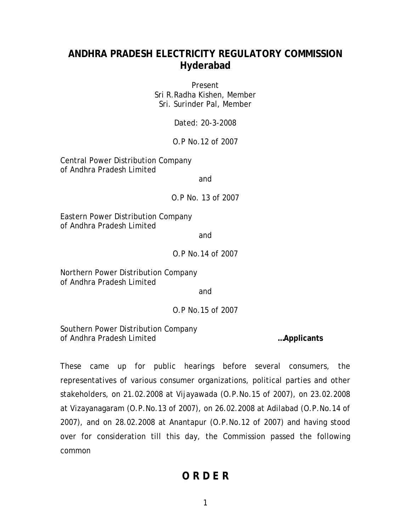# **ANDHRA PRADESH ELECTRICITY REGULATORY COMMISSION Hyderabad**

Present Sri R.Radha Kishen, Member Sri. Surinder Pal, Member

Dated: 20-3-2008

O.P No.12 of 2007

Central Power Distribution Company of Andhra Pradesh Limited

and

O.P No. 13 of 2007

Eastern Power Distribution Company of Andhra Pradesh Limited

and

#### O.P No.14 of 2007

Northern Power Distribution Company of Andhra Pradesh Limited

and

O.P No.15 of 2007

Southern Power Distribution Company of Andhra Pradesh Limited **…Applicants** 

These came up for public hearings before several consumers, the representatives of various consumer organizations, political parties and other stakeholders, on 21.02.2008 at Vijayawada (O.P.No.15 of 2007), on 23.02.2008 at Vizayanagaram (O.P.No.13 of 2007), on 26.02.2008 at Adilabad (O.P.No.14 of 2007), and on 28.02.2008 at Anantapur (O.P.No.12 of 2007) and having stood over for consideration till this day, the Commission passed the following common

# **O R D E R**

1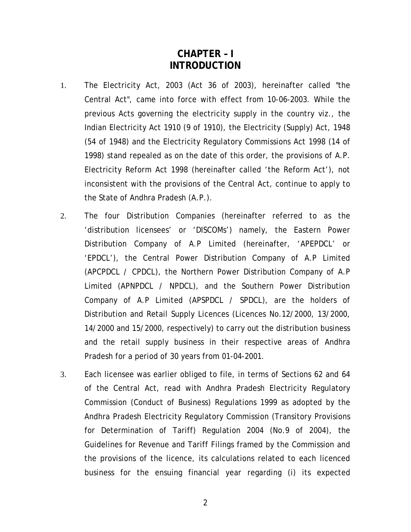# **CHAPTER – I INTRODUCTION**

- 1. The Electricity Act, 2003 (Act 36 of 2003), hereinafter called "the Central Act", came into force with effect from 10-06-2003. While the previous Acts governing the electricity supply in the country viz., the Indian Electricity Act 1910 (9 of 1910), the Electricity (Supply) Act, 1948 (54 of 1948) and the Electricity Regulatory Commissions Act 1998 (14 of 1998) stand repealed as on the date of this order, the provisions of A.P. Electricity Reform Act 1998 (hereinafter called 'the Reform Act'), not inconsistent with the provisions of the Central Act, continue to apply to the State of Andhra Pradesh (A.P.).
- 2. The four Distribution Companies (hereinafter referred to as the 'distribution licensees' or 'DISCOMs') namely, the Eastern Power Distribution Company of A.P Limited (hereinafter, 'APEPDCL' or 'EPDCL'), the Central Power Distribution Company of A.P Limited (APCPDCL / CPDCL), the Northern Power Distribution Company of A.P Limited (APNPDCL / NPDCL), and the Southern Power Distribution Company of A.P Limited (APSPDCL / SPDCL), are the holders of Distribution and Retail Supply Licences (Licences No.12/2000, 13/2000, 14/2000 and 15/2000, respectively) to carry out the distribution business and the retail supply business in their respective areas of Andhra Pradesh for a period of 30 years from 01-04-2001.
- 3. Each licensee was earlier obliged to file, in terms of Sections 62 and 64 of the Central Act, read with Andhra Pradesh Electricity Regulatory Commission (Conduct of Business) Regulations 1999 as adopted by the Andhra Pradesh Electricity Regulatory Commission (Transitory Provisions for Determination of Tariff) Regulation 2004 (No.9 of 2004), the Guidelines for Revenue and Tariff Filings framed by the Commission and the provisions of the licence, its calculations related to each licenced business for the ensuing financial year regarding (i) its expected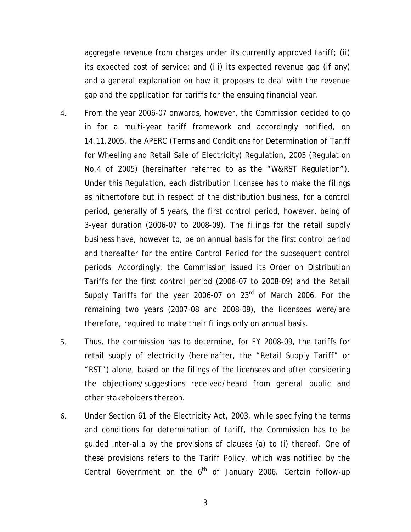aggregate revenue from charges under its currently approved tariff; (ii) its expected cost of service; and (iii) its expected revenue gap (if any) and a general explanation on how it proposes to deal with the revenue gap and the application for tariffs for the ensuing financial year.

- 4. From the year 2006-07 onwards, however, the Commission decided to go in for a multi-year tariff framework and accordingly notified, on 14.11.2005, the APERC (Terms and Conditions for Determination of Tariff for Wheeling and Retail Sale of Electricity) Regulation, 2005 (Regulation No.4 of 2005) (hereinafter referred to as the "W&RST Regulation"). Under this Regulation, each distribution licensee has to make the filings as hithertofore but in respect of the distribution business, for a control period, generally of 5 years, the first control period, however, being of 3-year duration (2006-07 to 2008-09). The filings for the retail supply business have, however to, be on annual basis for the first control period and thereafter for the entire Control Period for the subsequent control periods. Accordingly, the Commission issued its Order on Distribution Tariffs for the first control period (2006-07 to 2008-09) and the Retail Supply Tariffs for the year 2006-07 on  $23<sup>rd</sup>$  of March 2006. For the remaining two years (2007-08 and 2008-09), the licensees were/are therefore, required to make their filings only on annual basis.
- 5. Thus, the commission has to determine, for FY 2008-09, the tariffs for retail supply of electricity (hereinafter, the "Retail Supply Tariff" or "RST") alone, based on the filings of the licensees and after considering the objections/suggestions received/heard from general public and other stakeholders thereon.
- 6. Under Section 61 of the Electricity Act, 2003, while specifying the terms and conditions for determination of tariff, the Commission has to be guided inter-alia by the provisions of clauses (a) to (i) thereof. One of these provisions refers to the Tariff Policy, which was notified by the Central Government on the  $6<sup>th</sup>$  of January 2006. Certain follow-up

3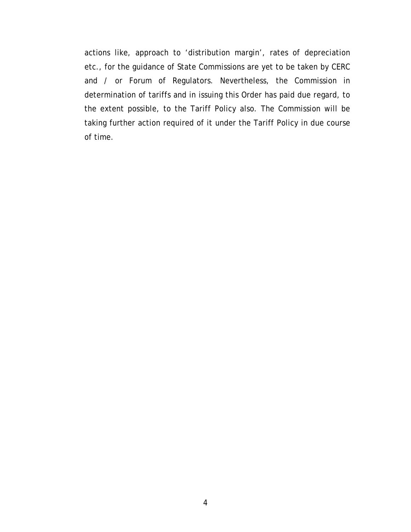actions like, approach to 'distribution margin', rates of depreciation etc., for the guidance of State Commissions are yet to be taken by CERC and / or Forum of Regulators. Nevertheless, the Commission in determination of tariffs and in issuing this Order has paid due regard, to the extent possible, to the Tariff Policy also. The Commission will be taking further action required of it under the Tariff Policy in due course of time.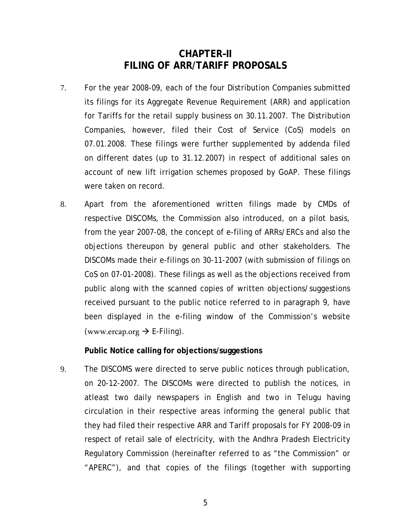# **CHAPTER–II FILING OF ARR/TARIFF PROPOSALS**

- 7. For the year 2008-09, each of the four Distribution Companies submitted its filings for its Aggregate Revenue Requirement (ARR) and application for Tariffs for the retail supply business on 30.11.2007. The Distribution Companies, however, filed their Cost of Service (CoS) models on 07.01.2008. These filings were further supplemented by addenda filed on different dates (up to 31.12.2007) in respect of additional sales on account of new lift irrigation schemes proposed by GoAP. These filings were taken on record.
- 8. Apart from the aforementioned written filings made by CMDs of respective DISCOMs, the Commission also introduced, on a pilot basis, from the year 2007-08, the concept of e-filing of ARRs/ERCs and also the objections thereupon by general public and other stakeholders. The DISCOMs made their e-filings on 30-11-2007 (with submission of filings on CoS on 07-01-2008). These filings as well as the objections received from public along with the scanned copies of written objections/suggestions received pursuant to the public notice referred to in paragraph 9, have been displayed in the e-filing window of the Commission's website ([www.ercap.org](http://www.ercap.org/)  $\rightarrow$  E-Filing).

**Public Notice calling for objections/suggestions** 

9. The DISCOMS were directed to serve public notices through publication, on 20-12-2007. The DISCOMs were directed to publish the notices, in atleast two daily newspapers in English and two in Telugu having circulation in their respective areas informing the general public that they had filed their respective ARR and Tariff proposals for FY 2008-09 in respect of retail sale of electricity, with the Andhra Pradesh Electricity Regulatory Commission (hereinafter referred to as "the Commission" or "APERC"), and that copies of the filings (together with supporting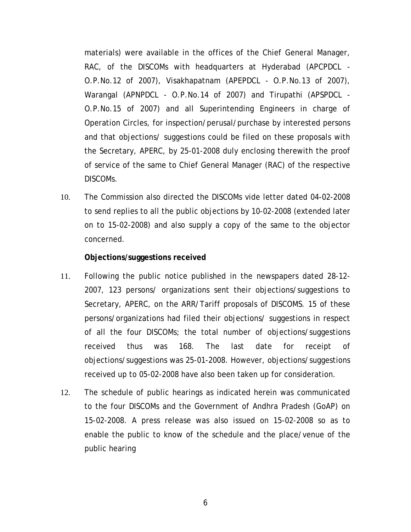materials) were available in the offices of the Chief General Manager, RAC, of the DISCOMs with headquarters at Hyderabad (APCPDCL - O.P.No.12 of 2007), Visakhapatnam (APEPDCL - O.P.No.13 of 2007), Warangal (APNPDCL - O.P.No.14 of 2007) and Tirupathi (APSPDCL - O.P.No.15 of 2007) and all Superintending Engineers in charge of Operation Circles, for inspection/perusal/purchase by interested persons and that objections/ suggestions could be filed on these proposals with the Secretary, APERC, by 25-01-2008 duly enclosing therewith the proof of service of the same to Chief General Manager (RAC) of the respective DISCOMs.

10. The Commission also directed the DISCOMs vide letter dated 04-02-2008 to send replies to all the public objections by 10-02-2008 (extended later on to 15-02-2008) and also supply a copy of the same to the objector concerned.

#### **Objections/suggestions received**

- 11. Following the public notice published in the newspapers dated 28-12- 2007, 123 persons/ organizations sent their objections/suggestions to Secretary, APERC, on the ARR/Tariff proposals of DISCOMS. 15 of these persons/organizations had filed their objections/ suggestions in respect of all the four DISCOMs; the total number of objections/suggestions received thus was 168. The last date for receipt of objections/suggestions was 25-01-2008. However, objections/suggestions received up to 05-02-2008 have also been taken up for consideration.
- 12. The schedule of public hearings as indicated herein was communicated to the four DISCOMs and the Government of Andhra Pradesh (GoAP) on 15-02-2008. A press release was also issued on 15-02-2008 so as to enable the public to know of the schedule and the place/venue of the public hearing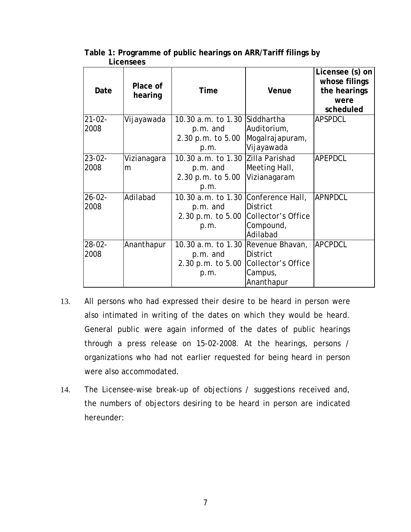| Date                | Place of<br>hearing | Time                                                                         | Venue                                                                             | Licensee (s) on<br>whose filings<br>the hearings<br>were<br>scheduled |
|---------------------|---------------------|------------------------------------------------------------------------------|-----------------------------------------------------------------------------------|-----------------------------------------------------------------------|
| $21 - 02 -$<br>2008 | Vijayawada          | 10.30 a.m. to 1.30 Siddhartha<br>p.m. and<br>2.30 p.m. to 5.00<br>p.m.       | Auditorium,<br>Mogalrajapuram,<br>Vijayawada                                      | <b>APSPDCL</b>                                                        |
| $23 - 02 -$<br>2008 | Vizianagara<br>m    | 10.30 a.m. to 1.30<br>p.m. and<br>2.30 p.m. to 5.00<br>p.m.                  | Zilla Parishad<br>Meeting Hall,<br>Vizianagaram                                   | <b>APEPDCL</b>                                                        |
| $26 - 02 -$<br>2008 | Adilabad            | 10.30 a.m. to 1.30 Conference Hall,<br>p.m. and<br>2.30 p.m. to 5.00<br>p.m. | <b>District</b><br>Collector's Office<br>Compound,<br>Adilabad                    | <b>APNPDCL</b>                                                        |
| $28 - 02 -$<br>2008 | Ananthapur          | 10.30 a.m. to 1.30<br>p.m. and<br>2.30 p.m. to 5.00<br>p.m.                  | Revenue Bhavan,<br><b>District</b><br>Collector's Office<br>Campus,<br>Ananthapur | <b>APCPDCL</b>                                                        |

#### **Table 1: Programme of public hearings on ARR/Tariff filings by Licensees**

- 13. All persons who had expressed their desire to be heard in person were also intimated in writing of the dates on which they would be heard. General public were again informed of the dates of public hearings through a press release on 15-02-2008. At the hearings, persons / organizations who had not earlier requested for being heard in person were also accommodated.
- 14. The Licensee-wise break-up of objections / suggestions received and, the numbers of objectors desiring to be heard in person are indicated hereunder: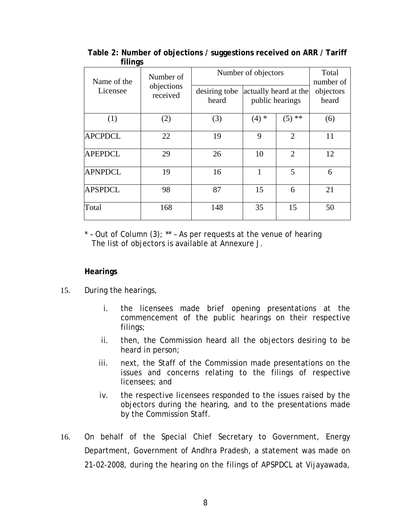| Name of the<br>Licensee | Number of<br>objections<br>received | desiring tobe<br>heard | Number of objectors | actually heard at the<br>public hearings | Total<br>number of<br>objectors<br>heard |
|-------------------------|-------------------------------------|------------------------|---------------------|------------------------------------------|------------------------------------------|
|                         |                                     |                        |                     |                                          |                                          |
| (1)                     | (2)                                 | (3)                    | $(4)$ *             | $(5)$ **                                 | (6)                                      |
| <b>APCPDCL</b>          | 22                                  | 19                     | 9                   | $\overline{2}$                           | 11                                       |
| <b>APEPDCL</b>          | 29                                  | 26                     | 10                  | $\overline{2}$                           | 12                                       |
| <b>APNPDCL</b>          | 19                                  | 16                     | 1                   | 5                                        | 6                                        |
| <b>APSPDCL</b>          | 98                                  | 87                     | 15                  | 6                                        | 21                                       |
| Total                   | 168                                 | 148                    | 35                  | 15                                       | 50                                       |

**Table 2: Number of objections / suggestions received on ARR / Tariff filings** 

 $*$  - Out of Column (3);  $**$  - As per requests at the venue of hearing The list of objectors is available at Annexure J.

#### **Hearings**

- 15. During the hearings,
	- i. the licensees made brief opening presentations at the commencement of the public hearings on their respective filings;
	- ii. then, the Commission heard all the objectors desiring to be heard in person;
	- iii. next, the Staff of the Commission made presentations on the issues and concerns relating to the filings of respective licensees; and
	- iv. the respective licensees responded to the issues raised by the objectors during the hearing, and to the presentations made by the Commission Staff.
- 16. On behalf of the Special Chief Secretary to Government, Energy Department, Government of Andhra Pradesh, a statement was made on 21-02-2008, during the hearing on the filings of APSPDCL at Vijayawada,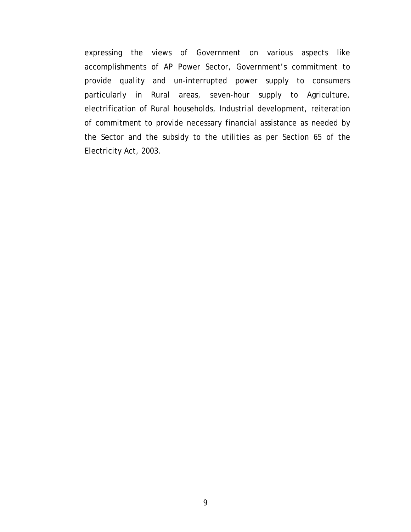expressing the views of Government on various aspects like accomplishments of AP Power Sector, Government's commitment to provide quality and un-interrupted power supply to consumers particularly in Rural areas, seven-hour supply to Agriculture, electrification of Rural households, Industrial development, reiteration of commitment to provide necessary financial assistance as needed by the Sector and the subsidy to the utilities as per Section 65 of the Electricity Act, 2003.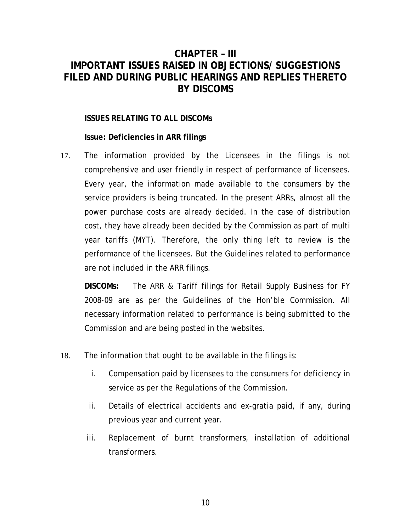# **CHAPTER – III IMPORTANT ISSUES RAISED IN OBJECTIONS/ SUGGESTIONS FILED AND DURING PUBLIC HEARINGS AND REPLIES THERETO BY DISCOMS**

#### **ISSUES RELATING TO ALL DISCOMs**

**Issue: Deficiencies in ARR filings** 

17. The information provided by the Licensees in the filings is not comprehensive and user friendly in respect of performance of licensees. Every year, the information made available to the consumers by the service providers is being truncated. In the present ARRs, almost all the power purchase costs are already decided. In the case of distribution cost, they have already been decided by the Commission as part of multi year tariffs (MYT). Therefore, the only thing left to review is the performance of the licensees. But the Guidelines related to performance are not included in the ARR filings.

**DISCOMs:** The ARR & Tariff filings for Retail Supply Business for FY 2008-09 are as per the Guidelines of the Hon'ble Commission. All necessary information related to performance is being submitted to the Commission and are being posted in the websites.

- 18. The information that ought to be available in the filings is:
	- i. Compensation paid by licensees to the consumers for deficiency in service as per the Regulations of the Commission.
	- ii. Details of electrical accidents and ex-gratia paid, if any, during previous year and current year.
	- iii. Replacement of burnt transformers, installation of additional transformers.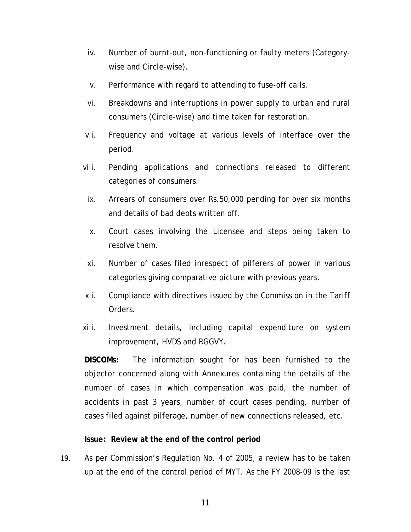- iv. Number of burnt-out, non-functioning or faulty meters (Categorywise and Circle-wise).
- v. Performance with regard to attending to fuse-off calls.
- vi. Breakdowns and interruptions in power supply to urban and rural consumers (Circle-wise) and time taken for restoration.
- vii. Frequency and voltage at various levels of interface over the period.
- viii. Pending applications and connections released to different categories of consumers.
	- ix. Arrears of consumers over Rs.50,000 pending for over six months and details of bad debts written off.
	- x. Court cases involving the Licensee and steps being taken to resolve them.
- xi. Number of cases filed inrespect of pilferers of power in various categories giving comparative picture with previous years.
- xii. Compliance with directives issued by the Commission in the Tariff Orders.
- xiii. Investment details, including capital expenditure on system improvement, HVDS and RGGVY.

**DISCOMs:** The information sought for has been furnished to the objector concerned along with Annexures containing the details of the number of cases in which compensation was paid, the number of accidents in past 3 years, number of court cases pending, number of cases filed against pilferage, number of new connections released, etc.

#### **Issue: Review at the end of the control period**

19. As per Commission's Regulation No. 4 of 2005, a review has to be taken up at the end of the control period of MYT. As the FY 2008-09 is the last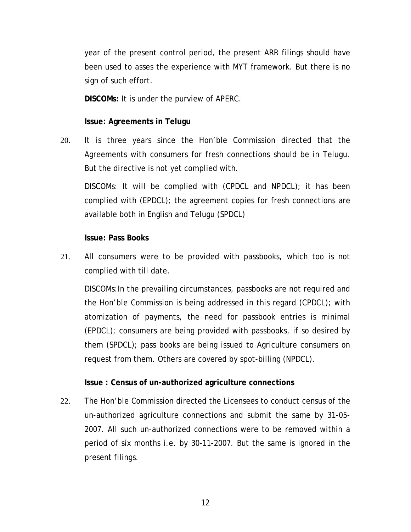year of the present control period, the present ARR filings should have been used to asses the experience with MYT framework. But there is no sign of such effort.

**DISCOMs:** It is under the purview of APERC.

# **Issue: Agreements in Telugu**

20. It is three years since the Hon'ble Commission directed that the Agreements with consumers for fresh connections should be in Telugu. But the directive is not yet complied with.

DISCOMs: It will be complied with (CPDCL and NPDCL); it has been complied with (EPDCL); the agreement copies for fresh connections are available both in English and Telugu (SPDCL)

#### **Issue: Pass Books**

21. All consumers were to be provided with passbooks, which too is not complied with till date.

DISCOMs:In the prevailing circumstances, passbooks are not required and the Hon'ble Commission is being addressed in this regard (CPDCL); with atomization of payments, the need for passbook entries is minimal (EPDCL); consumers are being provided with passbooks, if so desired by them (SPDCL); pass books are being issued to Agriculture consumers on request from them. Others are covered by spot-billing (NPDCL).

# **Issue : Census of un-authorized agriculture connections**

22. The Hon'ble Commission directed the Licensees to conduct census of the un-authorized agriculture connections and submit the same by 31-05- 2007. All such un-authorized connections were to be removed within a period of six months i.e. by 30-11-2007. But the same is ignored in the present filings.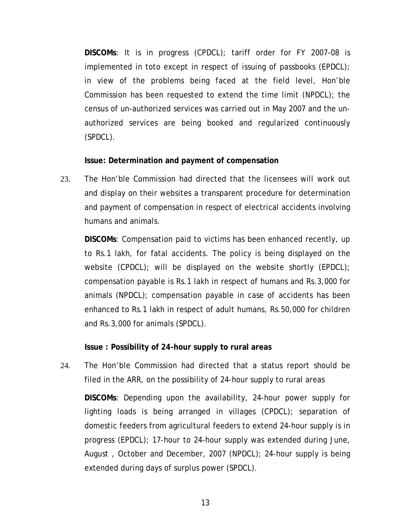**DISCOMs**: It is in progress (CPDCL); tariff order for FY 2007-08 is implemented in toto except in respect of issuing of passbooks (EPDCL); in view of the problems being faced at the field level, Hon'ble Commission has been requested to extend the time limit (NPDCL); the census of un-authorized services was carried out in May 2007 and the unauthorized services are being booked and regularized continuously (SPDCL).

**Issue: Determination and payment of compensation** 

23. The Hon'ble Commission had directed that the licensees will work out and display on their websites a transparent procedure for determination and payment of compensation in respect of electrical accidents involving humans and animals.

**DISCOMs**: Compensation paid to victims has been enhanced recently, up to Rs.1 lakh, for fatal accidents. The policy is being displayed on the website (CPDCL); will be displayed on the website shortly (EPDCL); compensation payable is Rs.1 lakh in respect of humans and Rs.3,000 for animals (NPDCL); compensation payable in case of accidents has been enhanced to Rs.1 lakh in respect of adult humans, Rs.50,000 for children and Rs.3,000 for animals (SPDCL).

# **Issue : Possibility of 24-hour supply to rural areas**

24. The Hon'ble Commission had directed that a status report should be filed in the ARR, on the possibility of 24-hour supply to rural areas **DISCOMs**: Depending upon the availability, 24-hour power supply for lighting loads is being arranged in villages (CPDCL); separation of domestic feeders from agricultural feeders to extend 24-hour supply is in progress (EPDCL); 17-hour to 24-hour supply was extended during June, August , October and December, 2007 (NPDCL); 24-hour supply is being extended during days of surplus power (SPDCL).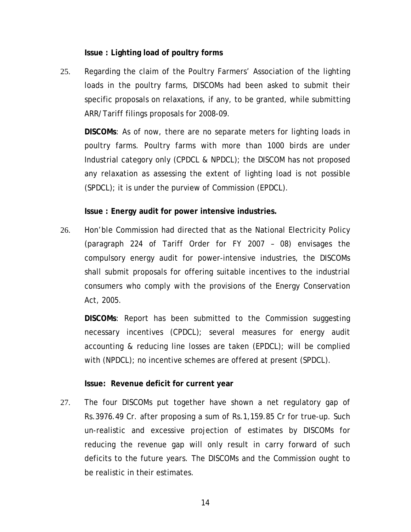**Issue : Lighting load of poultry forms** 

25. Regarding the claim of the Poultry Farmers' Association of the lighting loads in the poultry farms, DISCOMs had been asked to submit their specific proposals on relaxations, if any, to be granted, while submitting ARR/Tariff filings proposals for 2008-09.

**DISCOMs**: As of now, there are no separate meters for lighting loads in poultry farms. Poultry farms with more than 1000 birds are under Industrial category only (CPDCL & NPDCL); the DISCOM has not proposed any relaxation as assessing the extent of lighting load is not possible (SPDCL); it is under the purview of Commission (EPDCL).

**Issue : Energy audit for power intensive industries.** 

26. Hon'ble Commission had directed that as the National Electricity Policy (paragraph 224 of Tariff Order for FY 2007 – 08) envisages the compulsory energy audit for power-intensive industries, the DISCOMs shall submit proposals for offering suitable incentives to the industrial consumers who comply with the provisions of the Energy Conservation Act, 2005.

**DISCOMs**: Report has been submitted to the Commission suggesting necessary incentives (CPDCL); several measures for energy audit accounting & reducing line losses are taken (EPDCL); will be complied with (NPDCL); no incentive schemes are offered at present (SPDCL).

**Issue: Revenue deficit for current year** 

27. The four DISCOMs put together have shown a net regulatory gap of Rs.3976.49 Cr. after proposing a sum of Rs.1,159.85 Cr for true-up. Such un-realistic and excessive projection of estimates by DISCOMs for reducing the revenue gap will only result in carry forward of such deficits to the future years. The DISCOMs and the Commission ought to be realistic in their estimates.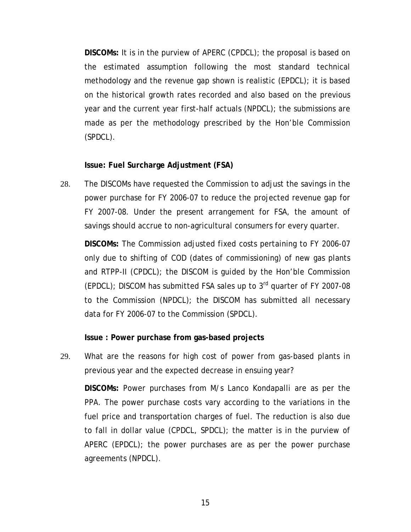**DISCOMs:** It is in the purview of APERC (CPDCL); the proposal is based on the estimated assumption following the most standard technical methodology and the revenue gap shown is realistic (EPDCL); it is based on the historical growth rates recorded and also based on the previous year and the current year first-half actuals (NPDCL); the submissions are made as per the methodology prescribed by the Hon'ble Commission (SPDCL).

#### **Issue: Fuel Surcharge Adjustment (FSA)**

28. The DISCOMs have requested the Commission to adjust the savings in the power purchase for FY 2006-07 to reduce the projected revenue gap for FY 2007-08. Under the present arrangement for FSA, the amount of savings should accrue to non-agricultural consumers for every quarter.

**DISCOMs:** The Commission adjusted fixed costs pertaining to FY 2006-07 only due to shifting of COD (dates of commissioning) of new gas plants and RTPP-II (CPDCL); the DISCOM is guided by the Hon'ble Commission (EPDCL); DISCOM has submitted FSA sales up to  $3<sup>rd</sup>$  quarter of FY 2007-08 to the Commission (NPDCL); the DISCOM has submitted all necessary data for FY 2006-07 to the Commission (SPDCL).

#### **Issue : Power purchase from gas-based projects**

29. What are the reasons for high cost of power from gas-based plants in previous year and the expected decrease in ensuing year? **DISCOMs:** Power purchases from M/s Lanco Kondapalli are as per the PPA. The power purchase costs vary according to the variations in the fuel price and transportation charges of fuel. The reduction is also due to fall in dollar value (CPDCL, SPDCL); the matter is in the purview of APERC (EPDCL); the power purchases are as per the power purchase agreements (NPDCL).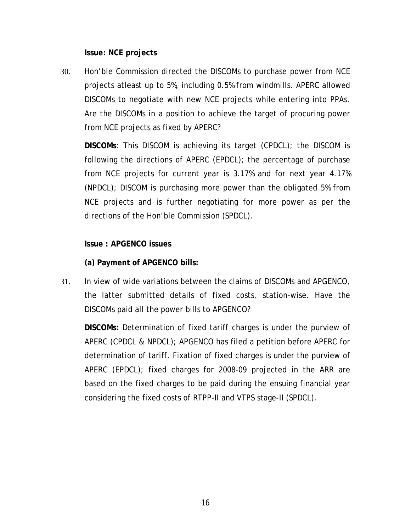**Issue: NCE projects** 

30. Hon'ble Commission directed the DISCOMs to purchase power from NCE projects atleast up to 5%, including 0.5% from windmills. APERC allowed DISCOMs to negotiate with new NCE projects while entering into PPAs. Are the DISCOMs in a position to achieve the target of procuring power from NCE projects as fixed by APERC?

**DISCOMs**: This DISCOM is achieving its target (CPDCL); the DISCOM is following the directions of APERC (EPDCL); the percentage of purchase from NCE projects for current year is 3.17% and for next year 4.17% (NPDCL); DISCOM is purchasing more power than the obligated 5% from NCE projects and is further negotiating for more power as per the directions of the Hon'ble Commission (SPDCL).

# **Issue : APGENCO issues**

**(a) Payment of APGENCO bills:** 

31. In view of wide variations between the claims of DISCOMs and APGENCO, the latter submitted details of fixed costs, station-wise. Have the DISCOMs paid all the power bills to APGENCO?

**DISCOMs:** Determination of fixed tariff charges is under the purview of APERC (CPDCL & NPDCL); APGENCO has filed a petition before APERC for determination of tariff. Fixation of fixed charges is under the purview of APERC (EPDCL); fixed charges for 2008-09 projected in the ARR are based on the fixed charges to be paid during the ensuing financial year considering the fixed costs of RTPP-II and VTPS stage-II (SPDCL).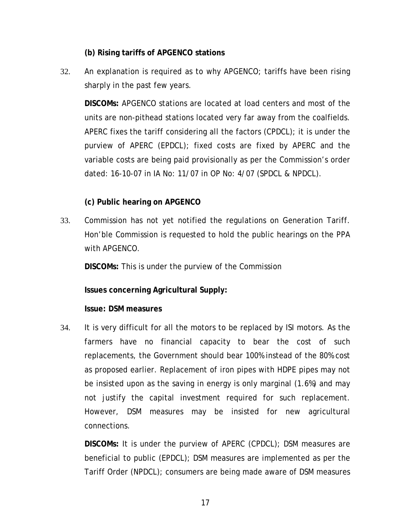#### **(b) Rising tariffs of APGENCO stations**

32. An explanation is required as to why APGENCO; tariffs have been rising sharply in the past few years.

**DISCOMs:** APGENCO stations are located at load centers and most of the units are non-pithead stations located very far away from the coalfields. APERC fixes the tariff considering all the factors (CPDCL); it is under the purview of APERC (EPDCL); fixed costs are fixed by APERC and the variable costs are being paid provisionally as per the Commission's order dated: 16-10-07 in IA No: 11/07 in OP No: 4/07 (SPDCL & NPDCL).

#### **(c) Public hearing on APGENCO**

33. Commission has not yet notified the regulations on Generation Tariff. Hon'ble Commission is requested to hold the public hearings on the PPA with APGENCO.

**DISCOMs:** This is under the purview of the Commission

**Issues concerning Agricultural Supply:** 

#### **Issue: DSM measures**

34. It is very difficult for all the motors to be replaced by ISI motors. As the farmers have no financial capacity to bear the cost of such replacements, the Government should bear 100% instead of the 80% cost as proposed earlier. Replacement of iron pipes with HDPE pipes may not be insisted upon as the saving in energy is only marginal (1.6%) and may not justify the capital investment required for such replacement. However, DSM measures may be insisted for new agricultural connections.

**DISCOMs:** It is under the purview of APERC (CPDCL); DSM measures are beneficial to public (EPDCL); DSM measures are implemented as per the Tariff Order (NPDCL); consumers are being made aware of DSM measures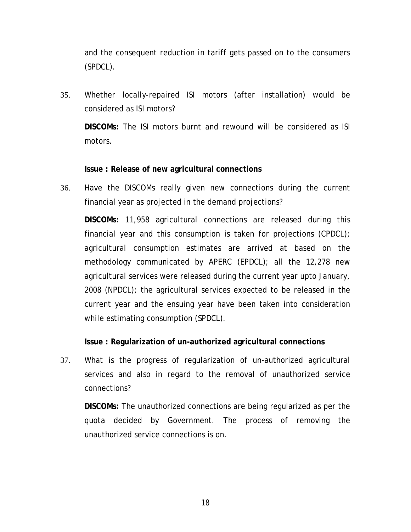and the consequent reduction in tariff gets passed on to the consumers (SPDCL).

35. Whether locally-repaired ISI motors (after installation) would be considered as ISI motors? **DISCOMs:** The ISI motors burnt and rewound will be considered as ISI motors.

#### **Issue : Release of new agricultural connections**

36. Have the DISCOMs really given new connections during the current financial year as projected in the demand projections?

**DISCOMs:** 11,958 agricultural connections are released during this financial year and this consumption is taken for projections (CPDCL); agricultural consumption estimates are arrived at based on the methodology communicated by APERC (EPDCL); all the 12,278 new agricultural services were released during the current year upto January, 2008 (NPDCL); the agricultural services expected to be released in the current year and the ensuing year have been taken into consideration while estimating consumption (SPDCL).

#### **Issue : Regularization of un-authorized agricultural connections**

37. What is the progress of regularization of un-authorized agricultural services and also in regard to the removal of unauthorized service connections?

**DISCOMs:** The unauthorized connections are being regularized as per the quota decided by Government. The process of removing the unauthorized service connections is on.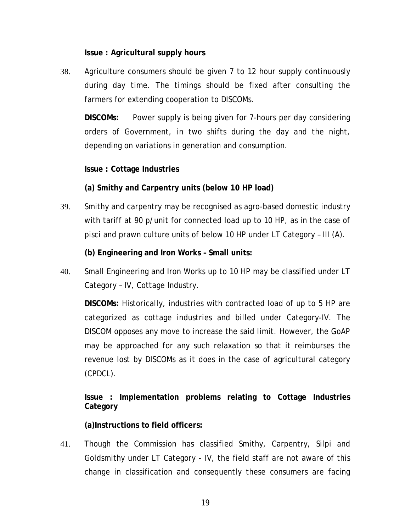**Issue : Agricultural supply hours** 

38. Agriculture consumers should be given 7 to 12 hour supply continuously during day time. The timings should be fixed after consulting the farmers for extending cooperation to DISCOMs.

**DISCOMs:** Power supply is being given for 7-hours per day considering orders of Government, in two shifts during the day and the night, depending on variations in generation and consumption.

**Issue : Cottage Industries** 

**(a) Smithy and Carpentry units (below 10 HP load)** 

39. Smithy and carpentry may be recognised as agro-based domestic industry with tariff at 90 p/unit for connected load up to 10 HP, as in the case of pisci and prawn culture units of below 10 HP under LT Category – III (A).

**(b) Engineering and Iron Works – Small units:** 

40. Small Engineering and Iron Works up to 10 HP may be classified under LT Category – IV, Cottage Industry.

**DISCOMs:** Historically, industries with contracted load of up to 5 HP are categorized as cottage industries and billed under Category-IV. The DISCOM opposes any move to increase the said limit. However, the GoAP may be approached for any such relaxation so that it reimburses the revenue lost by DISCOMs as it does in the case of agricultural category (CPDCL).

**Issue : Implementation problems relating to Cottage Industries Category** 

**(a)Instructions to field officers:** 

41. Though the Commission has classified Smithy, Carpentry, Silpi and Goldsmithy under LT Category - IV, the field staff are not aware of this change in classification and consequently these consumers are facing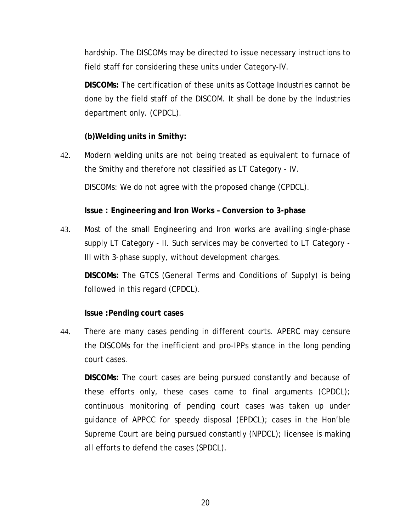hardship. The DISCOMs may be directed to issue necessary instructions to field staff for considering these units under Category-IV.

**DISCOMs:** The certification of these units as Cottage Industries cannot be done by the field staff of the DISCOM. It shall be done by the Industries department only. (CPDCL).

# **(b)Welding units in Smithy:**

42. Modern welding units are not being treated as equivalent to furnace of the Smithy and therefore not classified as LT Category - IV. DISCOMs: We do not agree with the proposed change (CPDCL).

**Issue : Engineering and Iron Works – Conversion to 3-phase** 

43. Most of the small Engineering and Iron works are availing single-phase supply LT Category - II. Such services may be converted to LT Category - III with 3-phase supply, without development charges.

**DISCOMs:** The GTCS (General Terms and Conditions of Supply) is being followed in this regard (CPDCL).

# **Issue :Pending court cases**

44. There are many cases pending in different courts. APERC may censure the DISCOMs for the inefficient and pro-IPPs stance in the long pending court cases.

**DISCOMs:** The court cases are being pursued constantly and because of these efforts only, these cases came to final arguments (CPDCL); continuous monitoring of pending court cases was taken up under guidance of APPCC for speedy disposal (EPDCL); cases in the Hon'ble Supreme Court are being pursued constantly (NPDCL); licensee is making all efforts to defend the cases (SPDCL).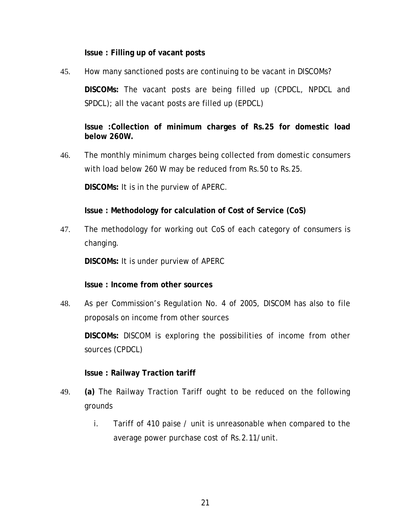**Issue : Filling up of vacant posts** 

45. How many sanctioned posts are continuing to be vacant in DISCOMs? **DISCOMs:** The vacant posts are being filled up (CPDCL, NPDCL and SPDCL); all the vacant posts are filled up (EPDCL)

**Issue :Collection of minimum charges of Rs.25 for domestic load below 260W.** 

46. The monthly minimum charges being collected from domestic consumers with load below 260 W may be reduced from Rs.50 to Rs.25.

**DISCOMs:** It is in the purview of APERC.

**Issue : Methodology for calculation of Cost of Service (CoS)** 

47. The methodology for working out CoS of each category of consumers is changing.

**DISCOMs:** It is under purview of APERC

**Issue : Income from other sources** 

48. As per Commission's Regulation No. 4 of 2005, DISCOM has also to file proposals on income from other sources

**DISCOMs:** DISCOM is exploring the possibilities of income from other sources (CPDCL)

# **Issue : Railway Traction tariff**

- 49. **(a)** The Railway Traction Tariff ought to be reduced on the following grounds
	- i. Tariff of 410 paise / unit is unreasonable when compared to the average power purchase cost of Rs.2.11/unit.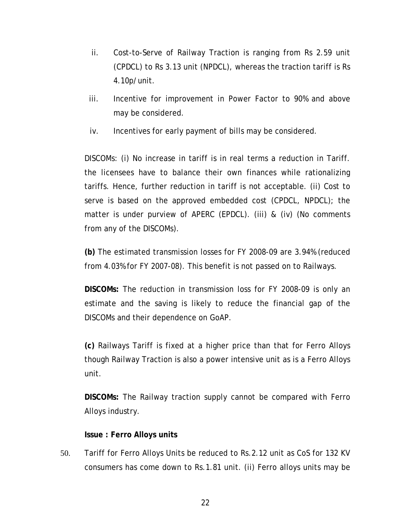- ii. Cost-to-Serve of Railway Traction is ranging from Rs 2.59 unit (CPDCL) to Rs 3.13 unit (NPDCL), whereas the traction tariff is Rs 4.10p/unit.
- iii. Incentive for improvement in Power Factor to 90% and above may be considered.
- iv. Incentives for early payment of bills may be considered.

DISCOMs: (i) No increase in tariff is in real terms a reduction in Tariff. the licensees have to balance their own finances while rationalizing tariffs. Hence, further reduction in tariff is not acceptable. (ii) Cost to serve is based on the approved embedded cost (CPDCL, NPDCL); the matter is under purview of APERC (EPDCL). (iii) & (iv) (No comments from any of the DISCOMs).

**(b)** The estimated transmission losses for FY 2008-09 are 3.94% (reduced from 4.03% for FY 2007-08). This benefit is not passed on to Railways.

**DISCOMs:** The reduction in transmission loss for FY 2008-09 is only an estimate and the saving is likely to reduce the financial gap of the DISCOMs and their dependence on GoAP.

**(c)** Railways Tariff is fixed at a higher price than that for Ferro Alloys though Railway Traction is also a power intensive unit as is a Ferro Alloys unit.

**DISCOMs:** The Railway traction supply cannot be compared with Ferro Alloys industry.

#### **Issue : Ferro Alloys units**

50. Tariff for Ferro Alloys Units be reduced to Rs.2.12 unit as CoS for 132 KV consumers has come down to Rs.1.81 unit. (ii) Ferro alloys units may be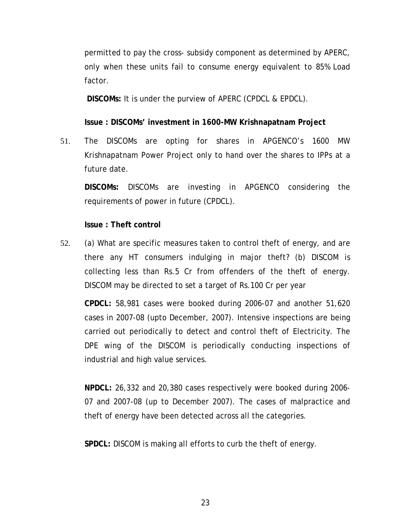permitted to pay the cross- subsidy component as determined by APERC, only when these units fail to consume energy equivalent to 85% Load factor.

**DISCOMs:** It is under the purview of APERC (CPDCL & EPDCL).

**Issue : DISCOMs' investment in 1600-MW Krishnapatnam Project** 

51. The DISCOMs are opting for shares in APGENCO's 1600 MW Krishnapatnam Power Project only to hand over the shares to IPPs at a future date.

**DISCOMs:** DISCOMs are investing in APGENCO considering the requirements of power in future (CPDCL).

#### **Issue : Theft control**

52. (a) What are specific measures taken to control theft of energy, and are there any HT consumers indulging in major theft? (b) DISCOM is collecting less than Rs.5 Cr from offenders of the theft of energy. DISCOM may be directed to set a target of Rs.100 Cr per year

**CPDCL:** 58,981 cases were booked during 2006-07 and another 51,620 cases in 2007-08 (upto December, 2007). Intensive inspections are being carried out periodically to detect and control theft of Electricity. The DPE wing of the DISCOM is periodically conducting inspections of industrial and high value services.

**NPDCL:** 26,332 and 20,380 cases respectively were booked during 2006- 07 and 2007-08 (up to December 2007). The cases of malpractice and theft of energy have been detected across all the categories.

**SPDCL:** DISCOM is making all efforts to curb the theft of energy.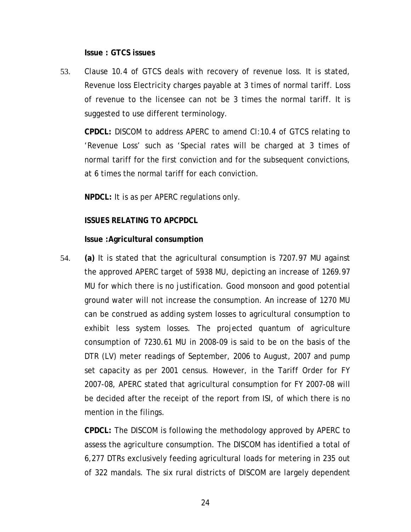**Issue : GTCS issues** 

53. Clause 10.4 of GTCS deals with recovery of revenue loss. It is stated, Revenue loss Electricity charges payable at 3 times of normal tariff. Loss of revenue to the licensee can not be 3 times the normal tariff. It is suggested to use different terminology.

**CPDCL:** DISCOM to address APERC to amend Cl:10.4 of GTCS relating to 'Revenue Loss' such as 'Special rates will be charged at 3 times of normal tariff for the first conviction and for the subsequent convictions, at 6 times the normal tariff for each conviction.

**NPDCL:** It is as per APERC regulations only.

#### **ISSUES RELATING TO APCPDCL**

#### **Issue :Agricultural consumption**

54. **(a)** It is stated that the agricultural consumption is 7207.97 MU against the approved APERC target of 5938 MU, depicting an increase of 1269.97 MU for which there is no justification. Good monsoon and good potential ground water will not increase the consumption. An increase of 1270 MU can be construed as adding system losses to agricultural consumption to exhibit less system losses. The projected quantum of agriculture consumption of 7230.61 MU in 2008-09 is said to be on the basis of the DTR (LV) meter readings of September, 2006 to August, 2007 and pump set capacity as per 2001 census. However, in the Tariff Order for FY 2007-08, APERC stated that agricultural consumption for FY 2007-08 will be decided after the receipt of the report from ISI, of which there is no mention in the filings.

**CPDCL:** The DISCOM is following the methodology approved by APERC to assess the agriculture consumption. The DISCOM has identified a total of 6,277 DTRs exclusively feeding agricultural loads for metering in 235 out of 322 mandals. The six rural districts of DISCOM are largely dependent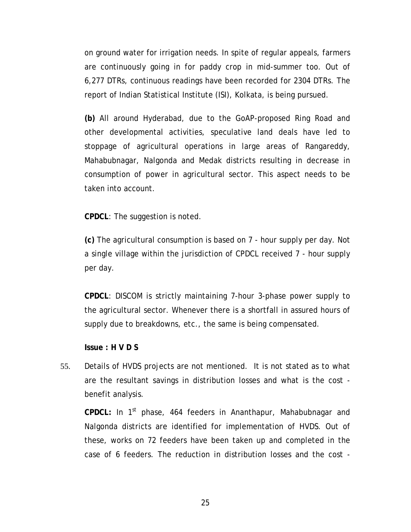on ground water for irrigation needs. In spite of regular appeals, farmers are continuously going in for paddy crop in mid-summer too. Out of 6,277 DTRs, continuous readings have been recorded for 2304 DTRs. The report of Indian Statistical Institute (ISI), Kolkata, is being pursued.

**(b)** All around Hyderabad, due to the GoAP-proposed Ring Road and other developmental activities, speculative land deals have led to stoppage of agricultural operations in large areas of Rangareddy, Mahabubnagar, Nalgonda and Medak districts resulting in decrease in consumption of power in agricultural sector. This aspect needs to be taken into account.

**CPDCL**: The suggestion is noted.

**(c)** The agricultural consumption is based on 7 - hour supply per day. Not a single village within the jurisdiction of CPDCL received 7 - hour supply per day.

**CPDCL**: DISCOM is strictly maintaining 7-hour 3-phase power supply to the agricultural sector. Whenever there is a shortfall in assured hours of supply due to breakdowns, etc., the same is being compensated.

**Issue : H V D S** 

55. Details of HVDS projects are not mentioned. It is not stated as to what are the resultant savings in distribution losses and what is the cost benefit analysis.

**CPDCL:** In 1st phase, 464 feeders in Ananthapur, Mahabubnagar and Nalgonda districts are identified for implementation of HVDS. Out of these, works on 72 feeders have been taken up and completed in the case of 6 feeders. The reduction in distribution losses and the cost -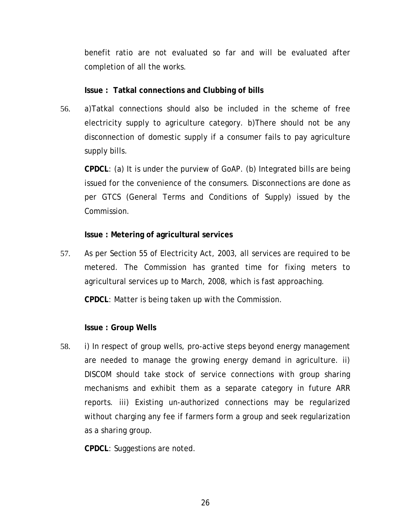benefit ratio are not evaluated so far and will be evaluated after completion of all the works.

#### **Issue : Tatkal connections and Clubbing of bills**

56. a)Tatkal connections should also be included in the scheme of free electricity supply to agriculture category. b)There should not be any disconnection of domestic supply if a consumer fails to pay agriculture supply bills.

**CPDCL**: (a) It is under the purview of GoAP. (b) Integrated bills are being issued for the convenience of the consumers. Disconnections are done as per GTCS (General Terms and Conditions of Supply) issued by the Commission.

# **Issue : Metering of agricultural services**

57. As per Section 55 of Electricity Act, 2003, all services are required to be metered. The Commission has granted time for fixing meters to agricultural services up to March, 2008, which is fast approaching.

**CPDCL**: Matter is being taken up with the Commission.

# **Issue : Group Wells**

58. i) In respect of group wells, pro-active steps beyond energy management are needed to manage the growing energy demand in agriculture. ii) DISCOM should take stock of service connections with group sharing mechanisms and exhibit them as a separate category in future ARR reports. iii) Existing un-authorized connections may be regularized without charging any fee if farmers form a group and seek regularization as a sharing group.

**CPDCL**: Suggestions are noted.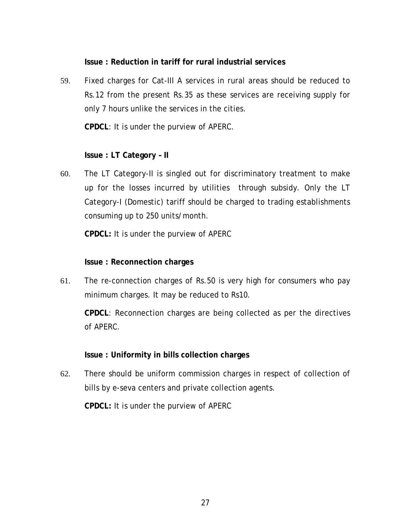#### **Issue : Reduction in tariff for rural industrial services**

59. Fixed charges for Cat-III A services in rural areas should be reduced to Rs.12 from the present Rs.35 as these services are receiving supply for only 7 hours unlike the services in the cities.

**CPDCL**: It is under the purview of APERC.

# **Issue : LT Category – II**

60. The LT Category-II is singled out for discriminatory treatment to make up for the losses incurred by utilities through subsidy. Only the LT Category-I (Domestic) tariff should be charged to trading establishments consuming up to 250 units/month.

**CPDCL:** It is under the purview of APERC

#### **Issue : Reconnection charges**

61. The re-connection charges of Rs.50 is very high for consumers who pay minimum charges. It may be reduced to Rs10.

**CPDCL**: Reconnection charges are being collected as per the directives of APERC.

#### **Issue : Uniformity in bills collection charges**

62. There should be uniform commission charges in respect of collection of bills by e-seva centers and private collection agents.

**CPDCL:** It is under the purview of APERC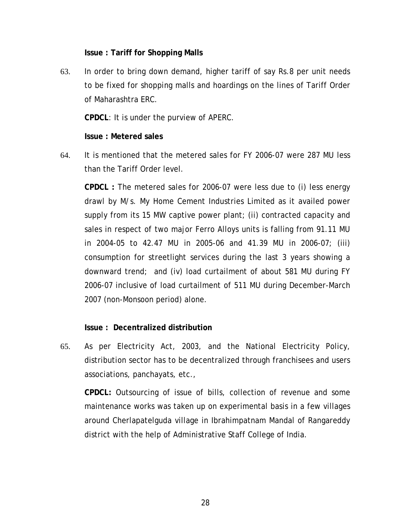**Issue : Tariff for Shopping Malls** 

63. In order to bring down demand, higher tariff of say Rs.8 per unit needs to be fixed for shopping malls and hoardings on the lines of Tariff Order of Maharashtra ERC.

**CPDCL**: It is under the purview of APERC.

#### **Issue : Metered sales**

64. It is mentioned that the metered sales for FY 2006-07 were 287 MU less than the Tariff Order level.

**CPDCL :** The metered sales for 2006-07 were less due to (i) less energy drawl by M/s. My Home Cement Industries Limited as it availed power supply from its 15 MW captive power plant; (ii) contracted capacity and sales in respect of two major Ferro Alloys units is falling from 91.11 MU in 2004-05 to 42.47 MU in 2005-06 and 41.39 MU in 2006-07; (iii) consumption for streetlight services during the last 3 years showing a downward trend; and (iv) load curtailment of about 581 MU during FY 2006-07 inclusive of load curtailment of 511 MU during December-March 2007 (non-Monsoon period) alone.

# **Issue : Decentralized distribution**

65. As per Electricity Act, 2003, and the National Electricity Policy, distribution sector has to be decentralized through franchisees and users associations, panchayats, etc.,

**CPDCL:** Outsourcing of issue of bills, collection of revenue and some maintenance works was taken up on experimental basis in a few villages around Cherlapatelguda village in Ibrahimpatnam Mandal of Rangareddy district with the help of Administrative Staff College of India.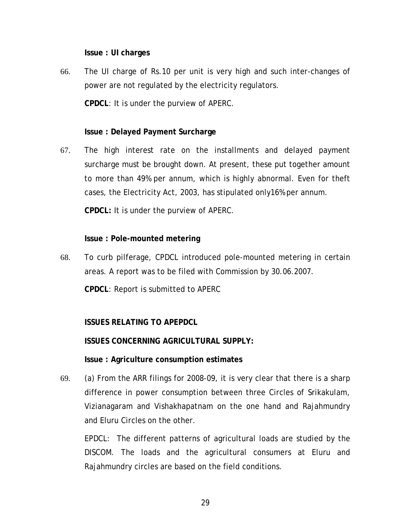**Issue : UI charges** 

66. The UI charge of Rs.10 per unit is very high and such inter-changes of power are not regulated by the electricity regulators.

**CPDCL**: It is under the purview of APERC.

#### **Issue : Delayed Payment Surcharge**

67. The high interest rate on the installments and delayed payment surcharge must be brought down. At present, these put together amount to more than 49% per annum, which is highly abnormal. Even for theft cases, the Electricity Act, 2003, has stipulated only16% per annum.

**CPDCL:** It is under the purview of APERC.

#### **Issue : Pole-mounted metering**

68. To curb pilferage, CPDCL introduced pole-mounted metering in certain areas. A report was to be filed with Commission by 30.06.2007.

**CPDCL**: Report is submitted to APERC

# **ISSUES RELATING TO APEPDCL**

**ISSUES CONCERNING AGRICULTURAL SUPPLY:** 

#### **Issue : Agriculture consumption estimates**

69. (a) From the ARR filings for 2008-09, it is very clear that there is a sharp difference in power consumption between three Circles of Srikakulam, Vizianagaram and Vishakhapatnam on the one hand and Rajahmundry and Eluru Circles on the other.

EPDCL: The different patterns of agricultural loads are studied by the DISCOM. The loads and the agricultural consumers at Eluru and Rajahmundry circles are based on the field conditions.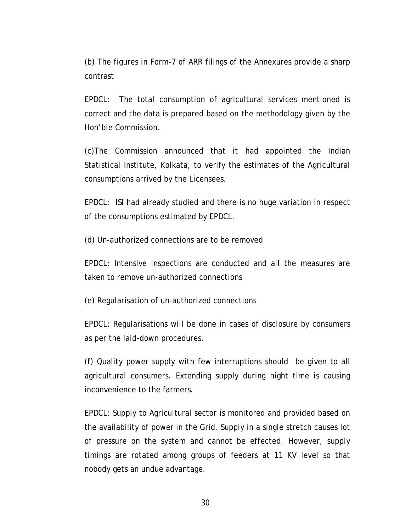(b) The figures in Form-7 of ARR filings of the Annexures provide a sharp contrast

EPDCL: The total consumption of agricultural services mentioned is correct and the data is prepared based on the methodology given by the Hon'ble Commission.

(c)The Commission announced that it had appointed the Indian Statistical Institute, Kolkata, to verify the estimates of the Agricultural consumptions arrived by the Licensees.

EPDCL: ISI had already studied and there is no huge variation in respect of the consumptions estimated by EPDCL.

(d) Un-authorized connections are to be removed

EPDCL: Intensive inspections are conducted and all the measures are taken to remove un-authorized connections

(e) Regularisation of un-authorized connections

EPDCL: Regularisations will be done in cases of disclosure by consumers as per the laid-down procedures.

(f) Quality power supply with few interruptions should be given to all agricultural consumers. Extending supply during night time is causing inconvenience to the farmers.

EPDCL: Supply to Agricultural sector is monitored and provided based on the availability of power in the Grid. Supply in a single stretch causes lot of pressure on the system and cannot be effected. However, supply timings are rotated among groups of feeders at 11 KV level so that nobody gets an undue advantage.

30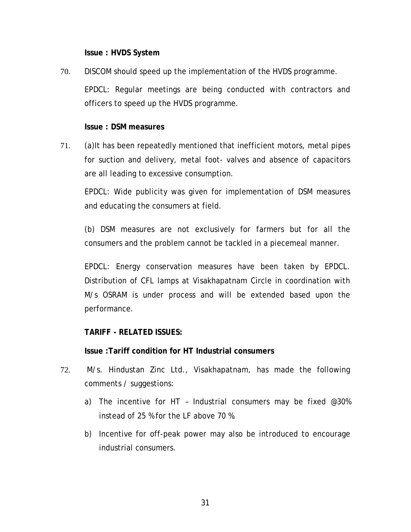**Issue : HVDS System** 

70. DISCOM should speed up the implementation of the HVDS programme. EPDCL: Regular meetings are being conducted with contractors and officers to speed up the HVDS programme.

## **Issue : DSM measures**

71. (a)It has been repeatedly mentioned that inefficient motors, metal pipes for suction and delivery, metal foot- valves and absence of capacitors are all leading to excessive consumption.

EPDCL: Wide publicity was given for implementation of DSM measures and educating the consumers at field.

(b) DSM measures are not exclusively for farmers but for all the consumers and the problem cannot be tackled in a piecemeal manner.

EPDCL: Energy conservation measures have been taken by EPDCL. Distribution of CFL lamps at Visakhapatnam Circle in coordination with M/s OSRAM is under process and will be extended based upon the performance.

## **TARIFF - RELATED ISSUES:**

**Issue :Tariff condition for HT Industrial consumers** 

- 72. M/s. Hindustan Zinc Ltd., Visakhapatnam, has made the following comments / suggestions:
	- a) The incentive for HT Industrial consumers may be fixed @30% instead of 25 % for the LF above 70 %.
	- b) Incentive for off-peak power may also be introduced to encourage industrial consumers.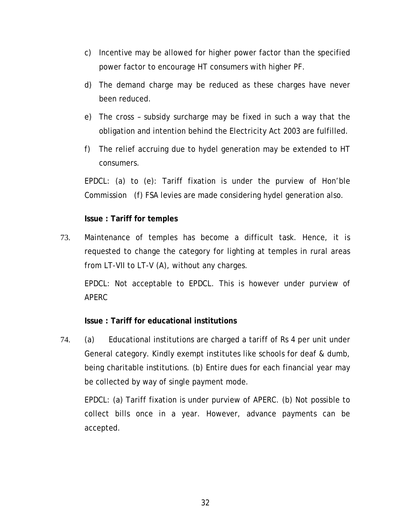- c) Incentive may be allowed for higher power factor than the specified power factor to encourage HT consumers with higher PF.
- d) The demand charge may be reduced as these charges have never been reduced.
- e) The cross subsidy surcharge may be fixed in such a way that the obligation and intention behind the Electricity Act 2003 are fulfilled.
- f) The relief accruing due to hydel generation may be extended to HT consumers.

EPDCL: (a) to (e): Tariff fixation is under the purview of Hon'ble Commission (f) FSA levies are made considering hydel generation also.

## **Issue : Tariff for temples**

73. Maintenance of temples has become a difficult task. Hence, it is requested to change the category for lighting at temples in rural areas from LT-VII to LT-V (A), without any charges.

EPDCL: Not acceptable to EPDCL. This is however under purview of APERC

## **Issue : Tariff for educational institutions**

74. (a) Educational institutions are charged a tariff of Rs 4 per unit under General category. Kindly exempt institutes like schools for deaf & dumb, being charitable institutions. (b) Entire dues for each financial year may be collected by way of single payment mode.

EPDCL: (a) Tariff fixation is under purview of APERC. (b) Not possible to collect bills once in a year. However, advance payments can be accepted.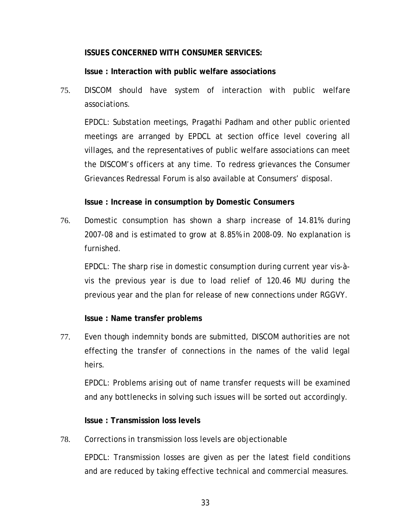#### **ISSUES CONCERNED WITH CONSUMER SERVICES:**

#### **Issue : Interaction with public welfare associations**

75. DISCOM should have system of interaction with public welfare associations.

EPDCL: Substation meetings, Pragathi Padham and other public oriented meetings are arranged by EPDCL at section office level covering all villages, and the representatives of public welfare associations can meet the DISCOM's officers at any time. To redress grievances the Consumer Grievances Redressal Forum is also available at Consumers' disposal.

#### **Issue : Increase in consumption by Domestic Consumers**

76. Domestic consumption has shown a sharp increase of 14.81% during 2007-08 and is estimated to grow at 8.85% in 2008-09. No explanation is furnished.

EPDCL: The sharp rise in domestic consumption during current year vis-àvis the previous year is due to load relief of 120.46 MU during the previous year and the plan for release of new connections under RGGVY.

## **Issue : Name transfer problems**

77. Even though indemnity bonds are submitted, DISCOM authorities are not effecting the transfer of connections in the names of the valid legal heirs.

EPDCL: Problems arising out of name transfer requests will be examined and any bottlenecks in solving such issues will be sorted out accordingly.

#### **Issue : Transmission loss levels**

#### 78. Corrections in transmission loss levels are objectionable

EPDCL: Transmission losses are given as per the latest field conditions and are reduced by taking effective technical and commercial measures.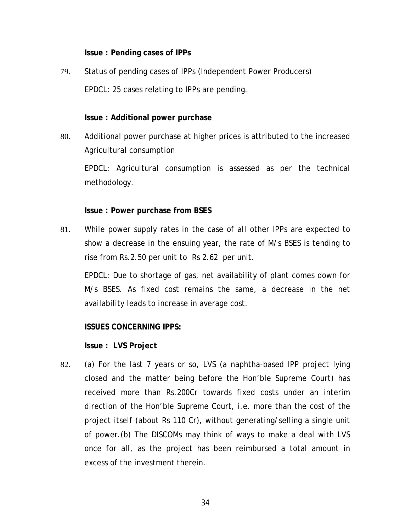**Issue : Pending cases of IPPs** 

79. Status of pending cases of IPPs (Independent Power Producers) EPDCL: 25 cases relating to IPPs are pending.

## **Issue : Additional power purchase**

80. Additional power purchase at higher prices is attributed to the increased Agricultural consumption

EPDCL: Agricultural consumption is assessed as per the technical methodology.

## **Issue : Power purchase from BSES**

81. While power supply rates in the case of all other IPPs are expected to show a decrease in the ensuing year, the rate of M/s BSES is tending to rise from Rs.2.50 per unit to Rs 2.62 per unit.

EPDCL: Due to shortage of gas, net availability of plant comes down for M/s BSES. As fixed cost remains the same, a decrease in the net availability leads to increase in average cost.

**ISSUES CONCERNING IPPS:** 

**Issue : LVS Project** 

82. (a) For the last 7 years or so, LVS (a naphtha-based IPP project lying closed and the matter being before the Hon'ble Supreme Court) has received more than Rs.200Cr towards fixed costs under an interim direction of the Hon'ble Supreme Court, i.e. more than the cost of the project itself (about Rs 110 Cr), without generating/selling a single unit of power.(b) The DISCOMs may think of ways to make a deal with LVS once for all, as the project has been reimbursed a total amount in excess of the investment therein.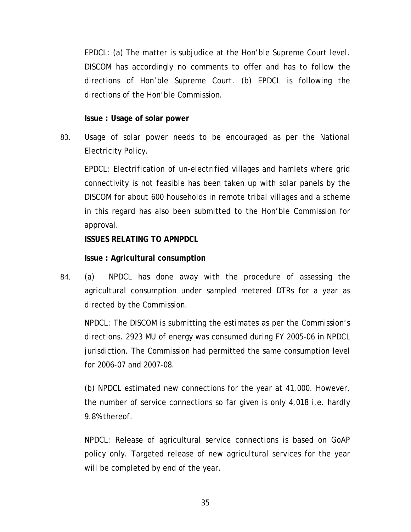EPDCL: (a) The matter is subjudice at the Hon'ble Supreme Court level. DISCOM has accordingly no comments to offer and has to follow the directions of Hon'ble Supreme Court. (b) EPDCL is following the directions of the Hon'ble Commission.

**Issue : Usage of solar power** 

83. Usage of solar power needs to be encouraged as per the National Electricity Policy.

EPDCL: Electrification of un-electrified villages and hamlets where grid connectivity is not feasible has been taken up with solar panels by the DISCOM for about 600 households in remote tribal villages and a scheme in this regard has also been submitted to the Hon'ble Commission for approval.

**ISSUES RELATING TO APNPDCL** 

**Issue : Agricultural consumption** 

84. (a) NPDCL has done away with the procedure of assessing the agricultural consumption under sampled metered DTRs for a year as directed by the Commission.

NPDCL: The DISCOM is submitting the estimates as per the Commission's directions. 2923 MU of energy was consumed during FY 2005-06 in NPDCL jurisdiction. The Commission had permitted the same consumption level for 2006-07 and 2007-08.

(b) NPDCL estimated new connections for the year at 41,000. However, the number of service connections so far given is only 4,018 i.e. hardly 9.8% thereof.

NPDCL: Release of agricultural service connections is based on GoAP policy only. Targeted release of new agricultural services for the year will be completed by end of the year.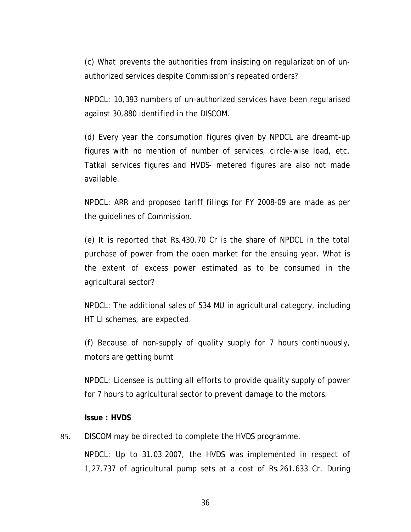(c) What prevents the authorities from insisting on regularization of unauthorized services despite Commission's repeated orders?

NPDCL: 10,393 numbers of un-authorized services have been regularised against 30,880 identified in the DISCOM.

(d) Every year the consumption figures given by NPDCL are dreamt-up figures with no mention of number of services, circle-wise load, etc. Tatkal services figures and HVDS- metered figures are also not made available.

NPDCL: ARR and proposed tariff filings for FY 2008-09 are made as per the guidelines of Commission.

(e) It is reported that Rs.430.70 Cr is the share of NPDCL in the total purchase of power from the open market for the ensuing year. What is the extent of excess power estimated as to be consumed in the agricultural sector?

NPDCL: The additional sales of 534 MU in agricultural category, including HT LI schemes, are expected.

(f) Because of non-supply of quality supply for 7 hours continuously, motors are getting burnt

NPDCL: Licensee is putting all efforts to provide quality supply of power for 7 hours to agricultural sector to prevent damage to the motors.

**Issue : HVDS** 

85. DISCOM may be directed to complete the HVDS programme.

NPDCL: Up to 31.03.2007, the HVDS was implemented in respect of 1,27,737 of agricultural pump sets at a cost of Rs.261.633 Cr. During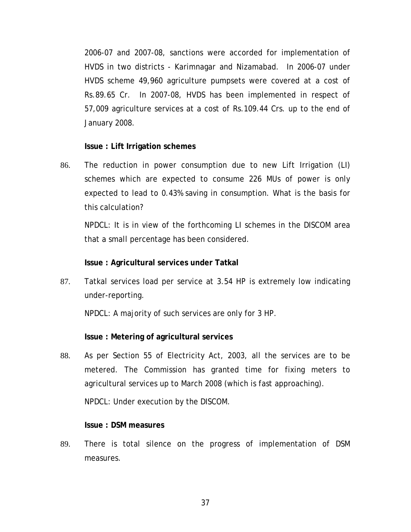2006-07 and 2007-08, sanctions were accorded for implementation of HVDS in two districts - Karimnagar and Nizamabad. In 2006-07 under HVDS scheme 49,960 agriculture pumpsets were covered at a cost of Rs.89.65 Cr. In 2007-08, HVDS has been implemented in respect of 57,009 agriculture services at a cost of Rs.109.44 Crs. up to the end of January 2008.

#### **Issue : Lift Irrigation schemes**

86. The reduction in power consumption due to new Lift Irrigation (LI) schemes which are expected to consume 226 MUs of power is only expected to lead to 0.43% saving in consumption. What is the basis for this calculation?

NPDCL: It is in view of the forthcoming LI schemes in the DISCOM area that a small percentage has been considered.

#### **Issue : Agricultural services under Tatkal**

87. Tatkal services load per service at 3.54 HP is extremely low indicating under-reporting.

NPDCL: A majority of such services are only for 3 HP.

## **Issue : Metering of agricultural services**

88. As per Section 55 of Electricity Act, 2003, all the services are to be metered. The Commission has granted time for fixing meters to agricultural services up to March 2008 (which is fast approaching).

NPDCL: Under execution by the DISCOM.

#### **Issue : DSM measures**

89. There is total silence on the progress of implementation of DSM measures.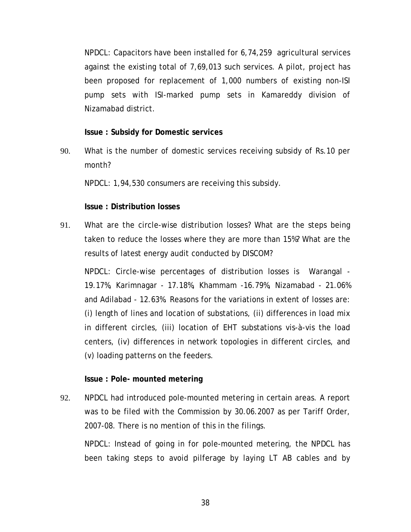NPDCL: Capacitors have been installed for 6,74,259 agricultural services against the existing total of 7,69,013 such services. A pilot, project has been proposed for replacement of 1,000 numbers of existing non-ISI pump sets with ISI-marked pump sets in Kamareddy division of Nizamabad district.

#### **Issue : Subsidy for Domestic services**

90. What is the number of domestic services receiving subsidy of Rs.10 per month?

NPDCL: 1,94,530 consumers are receiving this subsidy.

## **Issue : Distribution losses**

91. What are the circle-wise distribution losses? What are the steps being taken to reduce the losses where they are more than 15%? What are the results of latest energy audit conducted by DISCOM?

NPDCL: Circle-wise percentages of distribution losses is Warangal - 19.17%, Karimnagar - 17.18%, Khammam -16.79%, Nizamabad - 21.06% and Adilabad - 12.63%. Reasons for the variations in extent of losses are: (i) length of lines and location of substations, (ii) differences in load mix in different circles, (iii) location of EHT substations vis-à-vis the load centers, (iv) differences in network topologies in different circles, and (v) loading patterns on the feeders.

## **Issue : Pole- mounted metering**

92. NPDCL had introduced pole-mounted metering in certain areas. A report was to be filed with the Commission by 30.06.2007 as per Tariff Order, 2007-08. There is no mention of this in the filings.

NPDCL: Instead of going in for pole-mounted metering, the NPDCL has been taking steps to avoid pilferage by laying LT AB cables and by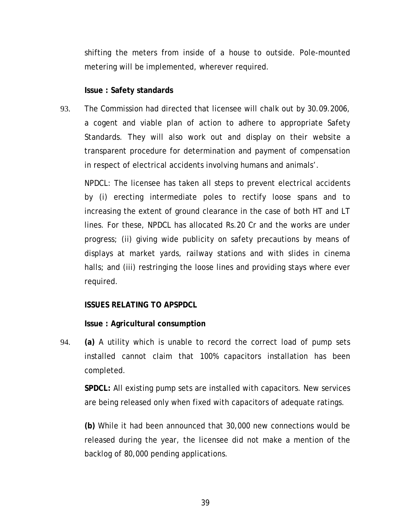shifting the meters from inside of a house to outside. Pole-mounted metering will be implemented, wherever required.

#### **Issue : Safety standards**

93. The Commission had directed that licensee will chalk out by 30.09.2006, a cogent and viable plan of action to adhere to appropriate Safety Standards. They will also work out and display on their website a transparent procedure for determination and payment of compensation in respect of electrical accidents involving humans and animals'.

NPDCL: The licensee has taken all steps to prevent electrical accidents by (i) erecting intermediate poles to rectify loose spans and to increasing the extent of ground clearance in the case of both HT and LT lines. For these, NPDCL has allocated Rs.20 Cr and the works are under progress; (ii) giving wide publicity on safety precautions by means of displays at market yards, railway stations and with slides in cinema halls; and (iii) restringing the loose lines and providing stays where ever required.

## **ISSUES RELATING TO APSPDCL**

**Issue : Agricultural consumption** 

94. **(a)** A utility which is unable to record the correct load of pump sets installed cannot claim that 100% capacitors installation has been completed.

**SPDCL:** All existing pump sets are installed with capacitors. New services are being released only when fixed with capacitors of adequate ratings.

**(b)** While it had been announced that 30,000 new connections would be released during the year, the licensee did not make a mention of the backlog of 80,000 pending applications.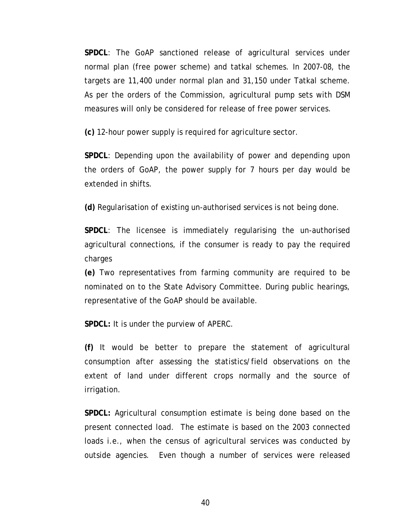**SPDCL**: The GoAP sanctioned release of agricultural services under normal plan (free power scheme) and tatkal schemes. In 2007-08, the targets are 11,400 under normal plan and 31,150 under Tatkal scheme. As per the orders of the Commission, agricultural pump sets with DSM measures will only be considered for release of free power services.

**(c)** 12-hour power supply is required for agriculture sector.

**SPDCL**: Depending upon the availability of power and depending upon the orders of GoAP, the power supply for 7 hours per day would be extended in shifts.

**(d)** Regularisation of existing un-authorised services is not being done.

**SPDCL**: The licensee is immediately regularising the un-authorised agricultural connections, if the consumer is ready to pay the required charges

**(e)** Two representatives from farming community are required to be nominated on to the State Advisory Committee. During public hearings, representative of the GoAP should be available.

**SPDCL:** It is under the purview of APERC.

**(f)** It would be better to prepare the statement of agricultural consumption after assessing the statistics/field observations on the extent of land under different crops normally and the source of irrigation.

**SPDCL:** Agricultural consumption estimate is being done based on the present connected load. The estimate is based on the 2003 connected loads i.e., when the census of agricultural services was conducted by outside agencies. Even though a number of services were released

40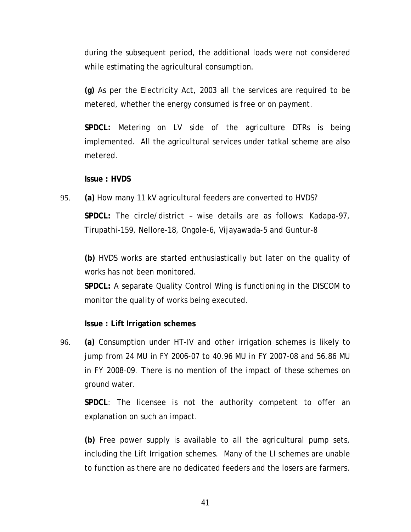during the subsequent period, the additional loads were not considered while estimating the agricultural consumption.

**(g)** As per the Electricity Act, 2003 all the services are required to be metered, whether the energy consumed is free or on payment.

**SPDCL:** Metering on LV side of the agriculture DTRs is being implemented. All the agricultural services under tatkal scheme are also metered.

**Issue : HVDS** 

95. **(a)** How many 11 kV agricultural feeders are converted to HVDS? **SPDCL:** The circle/district – wise details are as follows: Kadapa-97, Tirupathi-159, Nellore-18, Ongole-6, Vijayawada-5 and Guntur-8

**(b)** HVDS works are started enthusiastically but later on the quality of works has not been monitored.

**SPDCL:** A separate Quality Control Wing is functioning in the DISCOM to monitor the quality of works being executed.

**Issue : Lift Irrigation schemes** 

96. **(a)** Consumption under HT-IV and other irrigation schemes is likely to jump from 24 MU in FY 2006-07 to 40.96 MU in FY 2007-08 and 56.86 MU in FY 2008-09. There is no mention of the impact of these schemes on ground water.

**SPDCL**: The licensee is not the authority competent to offer an explanation on such an impact.

**(b)** Free power supply is available to all the agricultural pump sets, including the Lift Irrigation schemes. Many of the LI schemes are unable to function as there are no dedicated feeders and the losers are farmers.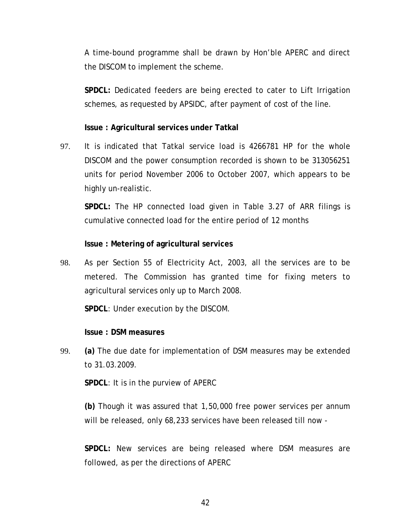A time-bound programme shall be drawn by Hon'ble APERC and direct the DISCOM to implement the scheme.

**SPDCL***:* Dedicated feeders are being erected to cater to Lift Irrigation schemes, as requested by APSIDC, after payment of cost of the line.

## **Issue : Agricultural services under Tatkal**

97. It is indicated that Tatkal service load is 4266781 HP for the whole DISCOM and the power consumption recorded is shown to be 313056251 units for period November 2006 to October 2007, which appears to be highly un-realistic.

**SPDCL:** The HP connected load given in Table 3.27 of ARR filings is cumulative connected load for the entire period of 12 months

## **Issue : Metering of agricultural services**

98. As per Section 55 of Electricity Act, 2003, all the services are to be metered. The Commission has granted time for fixing meters to agricultural services only up to March 2008.

**SPDCL**: Under execution by the DISCOM.

## **Issue : DSM measures**

99. **(a)** The due date for implementation of DSM measures may be extended to 31.03.2009.

**SPDCL**: It is in the purview of APERC

**(b)** Though it was assured that 1,50,000 free power services per annum will be released, only 68,233 services have been released till now -

**SPDCL:** New services are being released where DSM measures are followed, as per the directions of APERC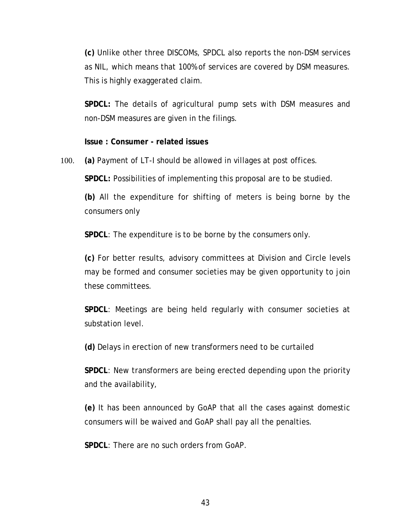**(c)** Unlike other three DISCOMs, SPDCL also reports the non-DSM services as NIL, which means that 100% of services are covered by DSM measures. This is highly exaggerated claim.

**SPDCL:** The details of agricultural pump sets with DSM measures and non-DSM measures are given in the filings.

**Issue : Consumer - related issues** 

100. **(a)** Payment of LT-I should be allowed in villages at post offices.

**SPDCL:** Possibilities of implementing this proposal are to be studied.

**(b)** All the expenditure for shifting of meters is being borne by the consumers only

**SPDCL**: The expenditure is to be borne by the consumers only.

**(c)** For better results, advisory committees at Division and Circle levels may be formed and consumer societies may be given opportunity to join these committees.

**SPDCL**: Meetings are being held regularly with consumer societies at substation level.

**(d)** Delays in erection of new transformers need to be curtailed

**SPDCL**: New transformers are being erected depending upon the priority and the availability,

**(e)** It has been announced by GoAP that all the cases against domestic consumers will be waived and GoAP shall pay all the penalties.

**SPDCL**: There are no such orders from GoAP.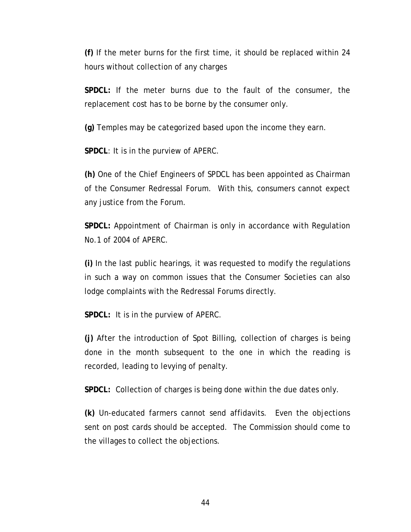**(f)** If the meter burns for the first time, it should be replaced within 24 hours without collection of any charges

**SPDCL:** If the meter burns due to the fault of the consumer, the replacement cost has to be borne by the consumer only.

**(g)** Temples may be categorized based upon the income they earn.

**SPDCL**: It is in the purview of APERC.

**(h)** One of the Chief Engineers of SPDCL has been appointed as Chairman of the Consumer Redressal Forum. With this, consumers cannot expect any justice from the Forum.

**SPDCL:** Appointment of Chairman is only in accordance with Regulation No.1 of 2004 of APERC.

**(i)** In the last public hearings, it was requested to modify the regulations in such a way on common issues that the Consumer Societies can also lodge complaints with the Redressal Forums directly.

**SPDCL:** It is in the purview of APERC.

**(j)** After the introduction of Spot Billing, collection of charges is being done in the month subsequent to the one in which the reading is recorded, leading to levying of penalty.

**SPDCL:** Collection of charges is being done within the due dates only.

**(k)** Un-educated farmers cannot send affidavits. Even the objections sent on post cards should be accepted. The Commission should come to the villages to collect the objections.

44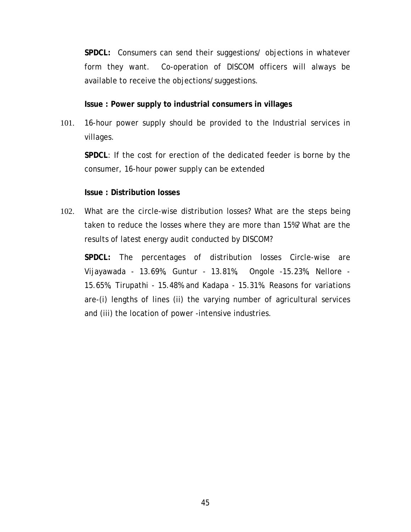**SPDCL:** Consumers can send their suggestions/ objections in whatever form they want. Co-operation of DISCOM officers will always be available to receive the objections/suggestions.

**Issue : Power supply to industrial consumers in villages** 

101. 16-hour power supply should be provided to the Industrial services in villages.

**SPDCL**: If the cost for erection of the dedicated feeder is borne by the consumer, 16-hour power supply can be extended

## **Issue : Distribution losses**

102. What are the circle-wise distribution losses? What are the steps being taken to reduce the losses where they are more than 15%? What are the results of latest energy audit conducted by DISCOM?

**SPDCL:** The percentages of distribution losses Circle-wise are Vijayawada - 13.69%, Guntur - 13.81%, Ongole -15.23%, Nellore - 15.65%, Tirupathi - 15.48% and Kadapa - 15.31%. Reasons for variations are-(i) lengths of lines (ii) the varying number of agricultural services and (iii) the location of power -intensive industries.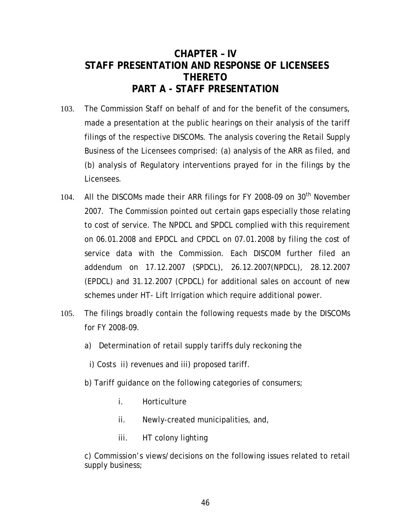# **CHAPTER – IV STAFF PRESENTATION AND RESPONSE OF LICENSEES THERETO PART A - STAFF PRESENTATION**

- 103. The Commission Staff on behalf of and for the benefit of the consumers, made a presentation at the public hearings on their analysis of the tariff filings of the respective DISCOMs. The analysis covering the Retail Supply Business of the Licensees comprised: (a) analysis of the ARR as filed, and (b) analysis of Regulatory interventions prayed for in the filings by the Licensees.
- 104. All the DISCOMs made their ARR filings for FY 2008-09 on 30<sup>th</sup> November 2007. The Commission pointed out certain gaps especially those relating to cost of service. The NPDCL and SPDCL complied with this requirement on 06.01.2008 and EPDCL and CPDCL on 07.01.2008 by filing the cost of service data with the Commission. Each DISCOM further filed an addendum on 17.12.2007 (SPDCL), 26.12.2007(NPDCL), 28.12.2007 (EPDCL) and 31.12.2007 (CPDCL) for additional sales on account of new schemes under HT- Lift Irrigation which require additional power.
- 105. The filings broadly contain the following requests made by the DISCOMs for FY 2008-09.
	- a) Determination of retail supply tariffs duly reckoning the
		- i) Costs ii) revenues and iii) proposed tariff.
	- b) Tariff guidance on the following categories of consumers;
		- i. Horticulture
		- ii. Newly-created municipalities, and,
		- iii. HT colony lighting

c) Commission's views/decisions on the following issues related to retail supply business;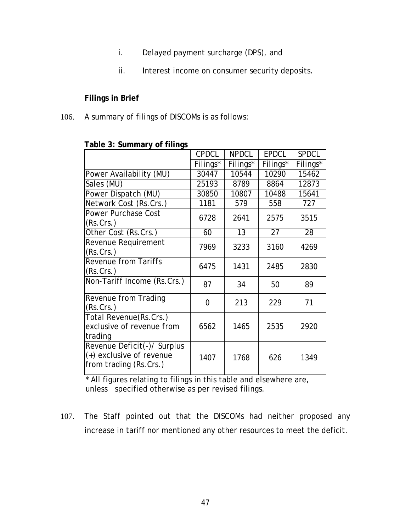- i. Delayed payment surcharge (DPS), and
- ii. Interest income on consumer security deposits.

## **Filings in Brief**

106. A summary of filings of DISCOMs is as follows:

| . apro o: gammar y or mings                                                       |              |              |              |              |
|-----------------------------------------------------------------------------------|--------------|--------------|--------------|--------------|
|                                                                                   | <b>CPDCL</b> | <b>NPDCL</b> | <b>EPDCL</b> | <b>SPDCL</b> |
|                                                                                   | Filings*     | Filings*     | Filings*     | Filings*     |
| Power Availability (MU)                                                           | 30447        | 10544        | 10290        | 15462        |
| Sales (MU)                                                                        | 25193        | 8789         | 8864         | 12873        |
| Power Dispatch (MU)                                                               | 30850        | 10807        | 10488        | 15641        |
| Network Cost (Rs.Crs.)                                                            | 1181         | 579          | 558          | 727          |
| Power Purchase Cost<br>(Rs.Crs.)                                                  | 6728         | 2641         | 2575         | 3515         |
| Other Cost (Rs.Crs.)                                                              | 60           | 13           | 27           | 28           |
| Revenue Requirement<br>(Rs.Crs.)                                                  | 7969         | 3233         | 3160         | 4269         |
| <b>Revenue from Tariffs</b><br>(Rs.Crs.)                                          | 6475         | 1431         | 2485         | 2830         |
| Non-Tariff Income (Rs.Crs.)                                                       | 87           | 34           | 50           | 89           |
| Revenue from Trading<br>(Rs.Crs.)                                                 | 0            | 213          | 229          | 71           |
| Total Revenue(Rs.Crs.)<br>exclusive of revenue from<br>trading                    | 6562         | 1465         | 2535         | 2920         |
| Revenue Deficit(-)/ Surplus<br>(+) exclusive of revenue<br>from trading (Rs.Crs.) | 1407         | 1768         | 626          | 1349         |

#### **Table 3: Summary of filings**

\* All figures relating to filings in this table and elsewhere are, unless specified otherwise as per revised filings.

107. The Staff pointed out that the DISCOMs had neither proposed any increase in tariff nor mentioned any other resources to meet the deficit.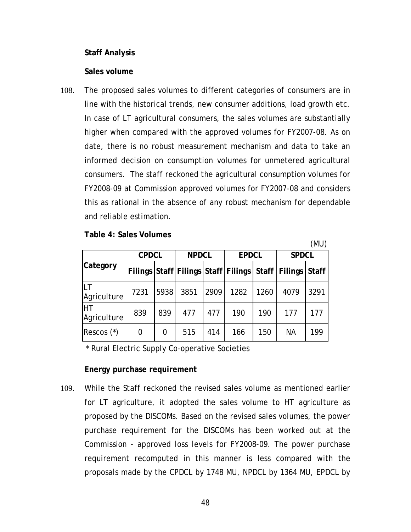## **Staff Analysis**

#### **Sales volume**

108. The proposed sales volumes to different categories of consumers are in line with the historical trends, new consumer additions, load growth etc. In case of LT agricultural consumers, the sales volumes are substantially higher when compared with the approved volumes for FY2007-08. As on date, there is no robust measurement mechanism and data to take an informed decision on consumption volumes for unmetered agricultural consumers. The staff reckoned the agricultural consumption volumes for FY2008-09 at Commission approved volumes for FY2007-08 and considers this as rational in the absence of any robust mechanism for dependable and reliable estimation.

**Table 4: Sales Volumes** 

|                          | \'''U        |      |              |      |              |      |                                                         |      |
|--------------------------|--------------|------|--------------|------|--------------|------|---------------------------------------------------------|------|
|                          | <b>CPDCL</b> |      | <b>NPDCL</b> |      | <b>EPDCL</b> |      | <b>SPDCL</b>                                            |      |
| Category                 |              |      |              |      |              |      | Filings Staff Filings Staff Filings Staff Filings Staff |      |
| Agriculture              | 7231         | 5938 | 3851         | 2909 | 1282         | 1260 | 4079                                                    | 3291 |
| <b>HT</b><br>Agriculture | 839          | 839  | 477          | 477  | 190          | 190  | 177                                                     | 177  |
| Rescos $(*)$             | 0            | 0    | 515          | 414  | 166          | 150  | <b>NA</b>                                               | 199  |

 $(MII)$ 

\* Rural Electric Supply Co-operative Societies

## **Energy purchase requirement**

109. While the Staff reckoned the revised sales volume as mentioned earlier for LT agriculture, it adopted the sales volume to HT agriculture as proposed by the DISCOMs. Based on the revised sales volumes, the power purchase requirement for the DISCOMs has been worked out at the Commission - approved loss levels for FY2008-09. The power purchase requirement recomputed in this manner is less compared with the proposals made by the CPDCL by 1748 MU, NPDCL by 1364 MU, EPDCL by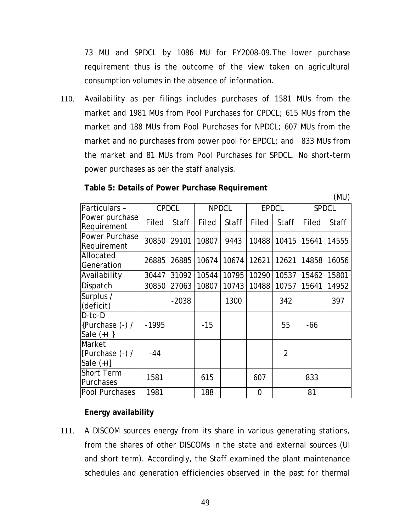73 MU and SPDCL by 1086 MU for FY2008-09.The lower purchase requirement thus is the outcome of the view taken on agricultural consumption volumes in the absence of information.

110. Availability as per filings includes purchases of 1581 MUs from the market and 1981 MUs from Pool Purchases for CPDCL; 615 MUs from the market and 188 MUs from Pool Purchases for NPDCL; 607 MUs from the market and no purchases from power pool for EPDCL; and 833 MUs from the market and 81 MUs from Pool Purchases for SPDCL. No short-term power purchases as per the staff analysis.

| Particulars -     | <b>CPDCL</b> |              | <b>NPDCL</b> |              | <b>EPDCL</b>   |                | <b>SPDCL</b> |              |
|-------------------|--------------|--------------|--------------|--------------|----------------|----------------|--------------|--------------|
| Power purchase    | Filed        | <b>Staff</b> | <b>Filed</b> | <b>Staff</b> | Filed          | <b>Staff</b>   | Filed        | <b>Staff</b> |
| Requirement       |              |              |              |              |                |                |              |              |
| Power Purchase    | 30850        | 29101        | 10807        | 9443         | 10488          | 10415          | 15641        | 14555        |
| Requirement       |              |              |              |              |                |                |              |              |
| Allocated         |              |              | 10674        | 10674        | 12621          | 12621          |              |              |
| Generation        | 26885        | 26885        |              |              |                |                | 14858        | 16056        |
| Availability      | 30447        | 31092        | 10544        | 10795        | 10290          | 10537          | 15462        | 15801        |
| Dispatch          | 30850        | 27063        | 10807        | 10743        | 10488          | 10757          | 15641        | 14952        |
| Surplus /         |              | $-2038$      |              | 1300         |                | 342            |              | 397          |
| (deficit)         |              |              |              |              |                |                |              |              |
| D-to-D            |              |              |              |              |                |                |              |              |
| {Purchase (-) /   | $-1995$      |              | $-15$        |              |                | 55             | -66          |              |
| Sale $(+)$ }      |              |              |              |              |                |                |              |              |
| Market            |              |              |              |              |                |                |              |              |
| [Purchase (-) /   | $-44$        |              |              |              |                | $\overline{2}$ |              |              |
| Sale $(+)$ ]      |              |              |              |              |                |                |              |              |
| <b>Short Term</b> |              |              |              |              |                |                |              |              |
| Purchases         | 1581         |              | 615          |              | 607            |                | 833          |              |
| Pool Purchases    | 1981         |              | 188          |              | $\overline{0}$ |                | 81           |              |

## **Table 5: Details of Power Purchase Requirement**

(MU)

## **Energy availability**

111. A DISCOM sources energy from its share in various generating stations, from the shares of other DISCOMs in the state and external sources (UI and short term). Accordingly, the Staff examined the plant maintenance schedules and generation efficiencies observed in the past for thermal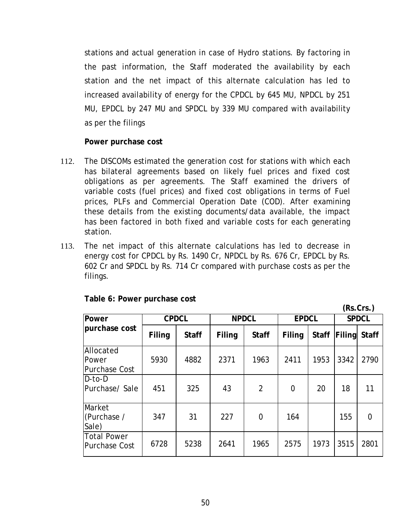stations and actual generation in case of Hydro stations. By factoring in the past information, the Staff moderated the availability by each station and the net impact of this alternate calculation has led to increased availability of energy for the CPDCL by 645 MU, NPDCL by 251 MU, EPDCL by 247 MU and SPDCL by 339 MU compared with availability as per the filings

## **Power purchase cost**

- 112. The DISCOMs estimated the generation cost for stations with which each has bilateral agreements based on likely fuel prices and fixed cost obligations as per agreements. The Staff examined the drivers of variable costs (fuel prices) and fixed cost obligations in terms of Fuel prices, PLFs and Commercial Operation Date (COD). After examining these details from the existing documents/data available, the impact has been factored in both fixed and variable costs for each generating station.
- 113. The net impact of this alternate calculations has led to decrease in energy cost for CPDCL by Rs. 1490 Cr, NPDCL by Rs. 676 Cr, EPDCL by Rs. 602 Cr and SPDCL by Rs. 714 Cr compared with purchase costs as per the filings.

|                                     |        |              |        |                |                |              |              | (Rs.Crs.)    |
|-------------------------------------|--------|--------------|--------|----------------|----------------|--------------|--------------|--------------|
| <b>Power</b>                        |        | <b>CPDCL</b> |        | <b>NPDCL</b>   |                | <b>EPDCL</b> | <b>SPDCL</b> |              |
| purchase cost                       | Filing | <b>Staff</b> | Filing | <b>Staff</b>   | Filing         | <b>Staff</b> | Filing       | <b>Staff</b> |
| Allocated<br>Power<br>Purchase Cost | 5930   | 4882         | 2371   | 1963           | 2411           | 1953         | 3342         | 2790         |
| D-to-D<br>Purchase/Sale             | 451    | 325          | 43     | $\overline{2}$ | $\overline{0}$ | 20           | 18           | 11           |
| Market<br>(Purchase /<br>Sale)      | 347    | 31           | 227    | $\overline{0}$ | 164            |              | 155          | 0            |
| Total Power<br>Purchase Cost        | 6728   | 5238         | 2641   | 1965           | 2575           | 1973         | 3515         | 2801         |

## **Table 6: Power purchase cost**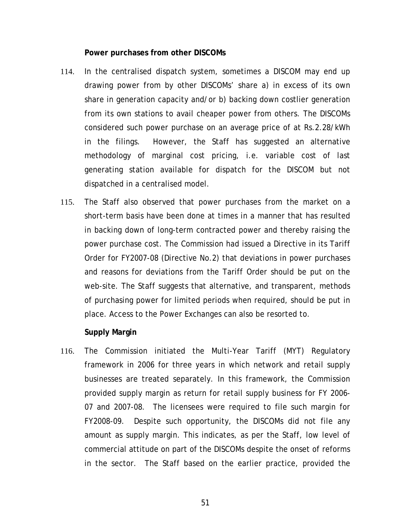#### **Power purchases from other DISCOMs**

- 114. In the centralised dispatch system, sometimes a DISCOM may end up drawing power from by other DISCOMs' share a) in excess of its own share in generation capacity and/or b) backing down costlier generation from its own stations to avail cheaper power from others. The DISCOMs considered such power purchase on an average price of at Rs.2.28/kWh in the filings. However, the Staff has suggested an alternative methodology of marginal cost pricing, i.e. variable cost of last generating station available for dispatch for the DISCOM but not dispatched in a centralised model.
- 115. The Staff also observed that power purchases from the market on a short-term basis have been done at times in a manner that has resulted in backing down of long-term contracted power and thereby raising the power purchase cost. The Commission had issued a Directive in its Tariff Order for FY2007-08 (Directive No.2) that deviations in power purchases and reasons for deviations from the Tariff Order should be put on the web-site. The Staff suggests that alternative, and transparent, methods of purchasing power for limited periods when required, should be put in place. Access to the Power Exchanges can also be resorted to.

#### **Supply Margin**

116. The Commission initiated the Multi-Year Tariff (MYT) Regulatory framework in 2006 for three years in which network and retail supply businesses are treated separately. In this framework, the Commission provided supply margin as return for retail supply business for FY 2006- 07 and 2007-08. The licensees were required to file such margin for FY2008-09. Despite such opportunity, the DISCOMs did not file any amount as supply margin. This indicates, as per the Staff, low level of commercial attitude on part of the DISCOMs despite the onset of reforms in the sector. The Staff based on the earlier practice, provided the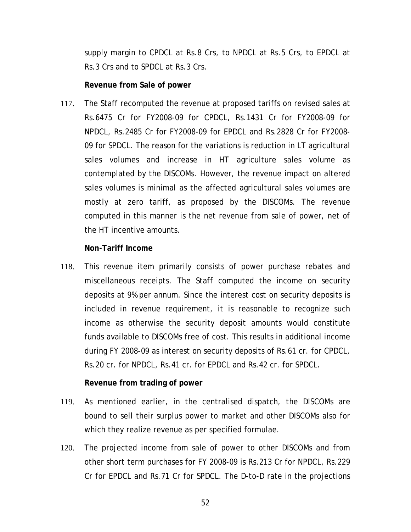<span id="page-57-0"></span>supply margin to CPDCL at Rs.8 Crs, to NPDCL at Rs.5 Crs, to EPDCL at Rs.3 Crs and to SPDCL at Rs.3 Crs.

#### **Revenue from Sale of power**

117. The Staff recomputed the revenue at proposed tariffs on revised sales at Rs.6475 Cr for FY2008-09 for CPDCL, Rs.1431 Cr for FY2008-09 for NPDCL, Rs.2485 Cr for FY2008-09 for EPDCL and Rs.2828 Cr for FY2008- 09 for SPDCL. The reason for the variations is reduction in LT agricultural sales volumes and increase in HT agriculture sales volume as contemplated by the DISCOMs. However, the revenue impact on altered sales volumes is minimal as the affected agricultural sales volumes are mostly at zero tariff, as proposed by the DISCOMs. The revenue computed in this manner is the net revenue from sale of power, net of the HT incentive amounts.

#### **Non-Tariff Income**

118. This revenue item primarily consists of power purchase rebates and miscellaneous receipts. The Staff computed the income on security deposits at 9% per annum. Since the interest cost on security deposits is included in revenue requirement, it is reasonable to recognize such income as otherwise the security deposit amounts would constitute funds available to DISCOMs free of cost. This results in additional income during FY 2008-09 as interest on security deposits of Rs.61 cr. for CPDCL, Rs.20 cr. for NPDCL, Rs.41 cr. for EPDCL and Rs.42 cr. for SPDCL.

## **Revenue from trading of power**

- 119. As mentioned earlier, in the centralised dispatch, the DISCOMs are bound to sell their surplus power to market and other DISCOMs also for which they realize revenue as per specified formulae.
- 120. The projected income from sale of power to other DISCOMs and from other short term purchases for FY 2008-09 is Rs.213 Cr for NPDCL, Rs.229 Cr for EPDCL and Rs.71 Cr for SPDCL. The D-to-D rate in the projections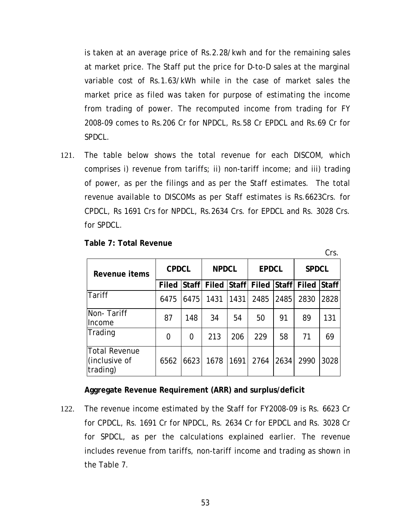is taken at an average price of Rs.2.28/kwh and for the remaining sales at market price. The Staff put the price for D-to-D sales at the marginal variable cost of Rs.1.63/kWh while in the case of market sales the market price as filed was taken for purpose of estimating the income from trading of power. The recomputed income from trading for FY 2008-09 comes to Rs.206 Cr for NPDCL, Rs.58 Cr EPDCL and Rs.69 Cr for SPDCL.

121. The table below shows the total revenue for each DISCOM, which comprises i) revenue from tariffs; ii) non-tariff income; and iii) trading of power, as per the filings and as per the Staff estimates. The total revenue available to DISCOMs as per Staff estimates is Rs.6623Crs. for CPDCL, Rs 1691 Crs for NPDCL, Rs.2634 Crs. for EPDCL and Rs. 3028 Crs. for SPDCL.

| Revenue items                              | <b>CPDCL</b>   |                | <b>NPDCL</b> |      | <b>EPDCL</b>                  |      | <b>SPDCL</b> |              |
|--------------------------------------------|----------------|----------------|--------------|------|-------------------------------|------|--------------|--------------|
|                                            | Filed          | <b>Staff</b>   |              |      | Filed Staff Filed Staff Filed |      |              | <b>Staff</b> |
| Tariff                                     | 6475           | 6475           | 1431         | 1431 | 2485                          | 2485 | 2830         | 2828         |
| Non-Tariff<br>Income                       | 87             | 148            | 34           | 54   | 50                            | 91   | 89           | 131          |
| Trading                                    | $\overline{0}$ | $\overline{0}$ | 213          | 206  | 229                           | 58   | 71           | 69           |
| Total Revenue<br>(inclusive of<br>trading) | 6562           | 6623           | 1678         | 1691 | 2764                          | 2634 | 2990         | 3028         |

Crs.

**Table 7: Total Revenue** 

## **Aggregate Revenue Requirement (ARR) and surplus/deficit**

122. The revenue income estimated by the Staff for FY2008-09 is Rs. 6623 Cr for CPDCL, Rs. 1691 Cr for NPDCL, Rs. 2634 Cr for EPDCL and Rs. 3028 Cr for SPDCL, as per the calculations explained earlier. The revenue includes revenue from tariffs, non-tariff income and trading as shown in the Table 7.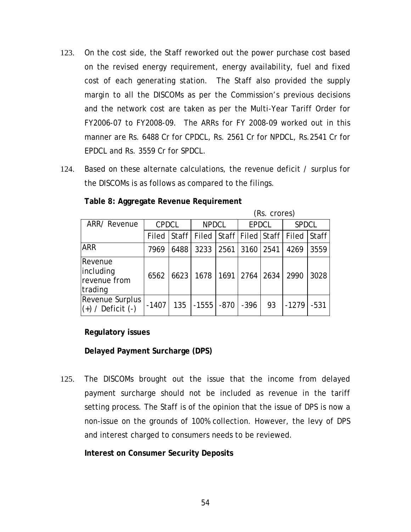- 123. On the cost side, the Staff reworked out the power purchase cost based on the revised energy requirement, energy availability, fuel and fixed cost of each generating station. The Staff also provided the supply margin to all the DISCOMs as per the Commission's previous decisions and the network cost are taken as per the Multi-Year Tariff Order for FY2006-07 to FY2008-09. The ARRs for FY 2008-09 worked out in this manner are Rs. 6488 Cr for CPDCL, Rs. 2561 Cr for NPDCL, Rs.2541 Cr for EPDCL and Rs. 3559 Cr for SPDCL.
- 124. Based on these alternate calculations, the revenue deficit / surplus for the DISCOMs is as follows as compared to the filings.

|                                                 |              |       |                         |      |              | (Rs. crores) |              |              |
|-------------------------------------------------|--------------|-------|-------------------------|------|--------------|--------------|--------------|--------------|
| ARR/ Revenue                                    | <b>CPDCL</b> |       | <b>NPDCL</b>            |      | <b>EPDCL</b> |              | <b>SPDCL</b> |              |
|                                                 | Filed        | Staff | Filed Staff Filed Staff |      |              |              | Filed        | <b>Staff</b> |
| <b>ARR</b>                                      | 7969         | 6488  | 3233                    | 2561 | 3160         | 2541         | 4269         | 3559         |
| Revenue<br>including<br>revenue from<br>trading | 6562         | 6623  | 1678                    |      | $1691$ 2764  | 2634         | 2990         | 3028         |
| <b>Revenue Surplus</b><br>$(+)$ / Deficit $(-)$ | $-1407$      | 135   | $-1555$                 | -870 | -396         | 93           | $-1279$      | $-531$       |

**Table 8: Aggregate Revenue Requirement** 

## **Regulatory issues**

**Delayed Payment Surcharge (DPS)** 

125. The DISCOMs brought out the issue that the income from delayed payment surcharge should not be included as revenue in the tariff setting process. The Staff is of the opinion that the issue of DPS is now a non-issue on the grounds of 100% collection. However, the levy of DPS and interest charged to consumers needs to be reviewed.

**Interest on Consumer Security Deposits**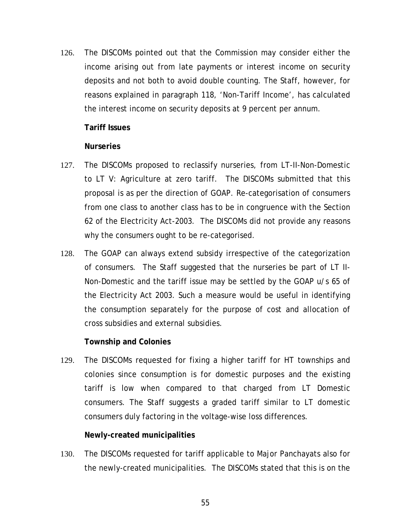126. The DISCOMs pointed out that the Commission may consider either the income arising out from late payments or interest income on security deposits and not both to avoid double counting. The Staff, however, for reasons explained in paragraph [118,](#page-57-0) 'Non-Tariff Income', has calculated the interest income on security deposits at 9 percent per annum.

## **Tariff Issues**

## **Nurseries**

- 127. The DISCOMs proposed to reclassify nurseries, from LT-II-Non-Domestic to LT V: Agriculture at zero tariff. The DISCOMs submitted that this proposal is as per the direction of GOAP. Re-categorisation of consumers from one class to another class has to be in congruence with the Section 62 of the Electricity Act-2003. The DISCOMs did not provide any reasons why the consumers ought to be re-categorised.
- 128. The GOAP can always extend subsidy irrespective of the categorization of consumers. The Staff suggested that the nurseries be part of LT II-Non-Domestic and the tariff issue may be settled by the GOAP u/s 65 of the Electricity Act 2003. Such a measure would be useful in identifying the consumption separately for the purpose of cost and allocation of cross subsidies and external subsidies.

## **Township and Colonies**

129. The DISCOMs requested for fixing a higher tariff for HT townships and colonies since consumption is for domestic purposes and the existing tariff is low when compared to that charged from LT Domestic consumers. The Staff suggests a graded tariff similar to LT domestic consumers duly factoring in the voltage-wise loss differences.

## **Newly-created municipalities**

130. The DISCOMs requested for tariff applicable to Major Panchayats also for the newly-created municipalities. The DISCOMs stated that this is on the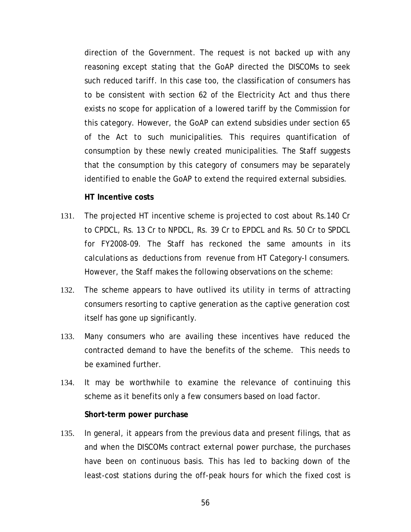direction of the Government. The request is not backed up with any reasoning except stating that the GoAP directed the DISCOMs to seek such reduced tariff. In this case too, the classification of consumers has to be consistent with section 62 of the Electricity Act and thus there exists no scope for application of a lowered tariff by the Commission for this category. However, the GoAP can extend subsidies under section 65 of the Act to such municipalities. This requires quantification of consumption by these newly created municipalities. The Staff suggests that the consumption by this category of consumers may be separately identified to enable the GoAP to extend the required external subsidies.

#### **HT Incentive costs**

- 131. The projected HT incentive scheme is projected to cost about Rs.140 Cr to CPDCL, Rs. 13 Cr to NPDCL, Rs. 39 Cr to EPDCL and Rs. 50 Cr to SPDCL for FY2008-09. The Staff has reckoned the same amounts in its calculations as deductions from revenue from HT Category-I consumers. However, the Staff makes the following observations on the scheme:
- 132. The scheme appears to have outlived its utility in terms of attracting consumers resorting to captive generation as the captive generation cost itself has gone up significantly.
- 133. Many consumers who are availing these incentives have reduced the contracted demand to have the benefits of the scheme. This needs to be examined further.
- 134. It may be worthwhile to examine the relevance of continuing this scheme as it benefits only a few consumers based on load factor.

#### **Short-term power purchase**

135. In general, it appears from the previous data and present filings, that as and when the DISCOMs contract external power purchase, the purchases have been on continuous basis. This has led to backing down of the least-cost stations during the off-peak hours for which the fixed cost is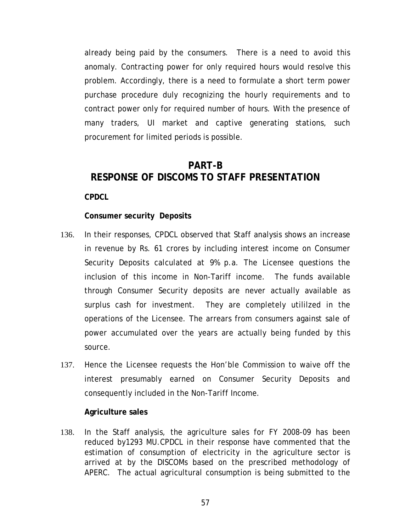already being paid by the consumers. There is a need to avoid this anomaly. Contracting power for only required hours would resolve this problem. Accordingly, there is a need to formulate a short term power purchase procedure duly recognizing the hourly requirements and to contract power only for required number of hours. With the presence of many traders, UI market and captive generating stations, such procurement for limited periods is possible.

# **PART-B RESPONSE OF DISCOMS TO STAFF PRESENTATION**

**CPDCL** 

## **Consumer security Deposits**

- 136. In their responses, CPDCL observed that Staff analysis shows an increase in revenue by Rs. 61 crores by including interest income on Consumer Security Deposits calculated at 9% p.a. The Licensee questions the inclusion of this income in Non-Tariff income. The funds available through Consumer Security deposits are never actually available as surplus cash for investment. They are completely utililzed in the operations of the Licensee. The arrears from consumers against sale of power accumulated over the years are actually being funded by this source.
- 137. Hence the Licensee requests the Hon'ble Commission to waive off the interest presumably earned on Consumer Security Deposits and consequently included in the Non-Tariff Income.

#### **Agriculture sales**

138. In the Staff analysis, the agriculture sales for FY 2008-09 has been reduced by1293 MU.CPDCL in their response have commented that the estimation of consumption of electricity in the agriculture sector is arrived at by the DISCOMs based on the prescribed methodology of APERC. The actual agricultural consumption is being submitted to the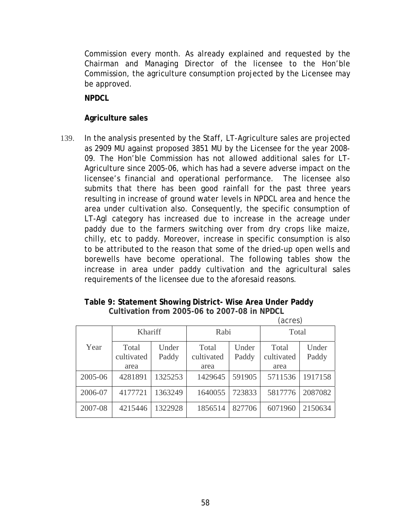Commission every month. As already explained and requested by the Chairman and Managing Director of the licensee to the Hon'ble Commission, the agriculture consumption projected by the Licensee may be approved.

**NPDCL** 

# **Agriculture sales**

139. In the analysis presented by the Staff, LT-Agriculture sales are projected as 2909 MU against proposed 3851 MU by the Licensee for the year 2008- 09. The Hon'ble Commission has not allowed additional sales for LT-Agriculture since 2005-06, which has had a severe adverse impact on the licensee's financial and operational performance. The licensee also submits that there has been good rainfall for the past three years resulting in increase of ground water levels in NPDCL area and hence the area under cultivation also. Consequently, the specific consumption of LT-Agl category has increased due to increase in the acreage under paddy due to the farmers switching over from dry crops like maize, chilly, etc to paddy. Moreover, increase in specific consumption is also to be attributed to the reason that some of the dried-up open wells and borewells have become operational. The following tables show the increase in area under paddy cultivation and the agricultural sales requirements of the licensee due to the aforesaid reasons.

## **Table 9: Statement Showing District- Wise Area Under Paddy Cultivation from 2005-06 to 2007-08 in NPDCL**

|         |                             |                |                             |                | (acres)                     |                |  |
|---------|-----------------------------|----------------|-----------------------------|----------------|-----------------------------|----------------|--|
|         | Khariff                     |                | Rabi                        |                | Total                       |                |  |
| Year    | Total<br>cultivated<br>area | Under<br>Paddy | Total<br>cultivated<br>area | Under<br>Paddy | Total<br>cultivated<br>area | Under<br>Paddy |  |
| 2005-06 | 4281891                     | 1325253        | 1429645                     | 591905         | 5711536                     | 1917158        |  |
| 2006-07 | 4177721                     | 1363249        | 1640055                     | 723833         | 5817776                     | 2087082        |  |
| 2007-08 | 4215446                     | 1322928        | 1856514                     | 827706         | 6071960                     | 2150634        |  |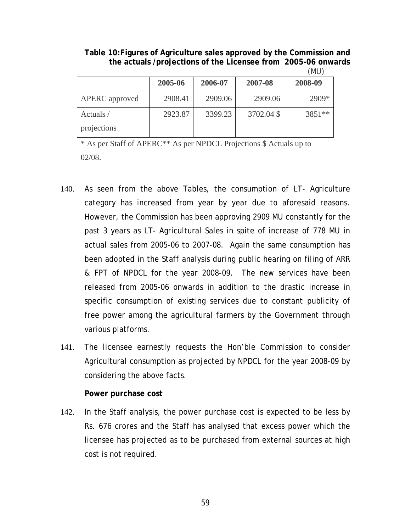**Table 10:Figures of Agriculture sales approved by the Commission and the actuals /projections of the Licensee from 2005-06 onwards** (MU)

|                |         |         |            | . <u>.</u> |
|----------------|---------|---------|------------|------------|
|                | 2005-06 | 2006-07 | 2007-08    | 2008-09    |
| APERC approved | 2908.41 | 2909.06 | 2909.06    | 2909*      |
| Actuals /      | 2923.87 | 3399.23 | 3702.04 \$ | 3851 **    |
| projections    |         |         |            |            |

\* As per Staff of APERC\*\* As per NPDCL Projections \$ Actuals up to 02/08.

- 140. As seen from the above Tables, the consumption of LT- Agriculture category has increased from year by year due to aforesaid reasons. However, the Commission has been approving 2909 MU constantly for the past 3 years as LT- Agricultural Sales in spite of increase of 778 MU in actual sales from 2005-06 to 2007-08. Again the same consumption has been adopted in the Staff analysis during public hearing on filing of ARR & FPT of NPDCL for the year 2008-09. The new services have been released from 2005-06 onwards in addition to the drastic increase in specific consumption of existing services due to constant publicity of free power among the agricultural farmers by the Government through various platforms.
- 141. The licensee earnestly requests the Hon'ble Commission to consider Agricultural consumption as projected by NPDCL for the year 2008-09 by considering the above facts.

#### **Power purchase cost**

142. In the Staff analysis, the power purchase cost is expected to be less by Rs. 676 crores and the Staff has analysed that excess power which the licensee has projected as to be purchased from external sources at high cost is not required.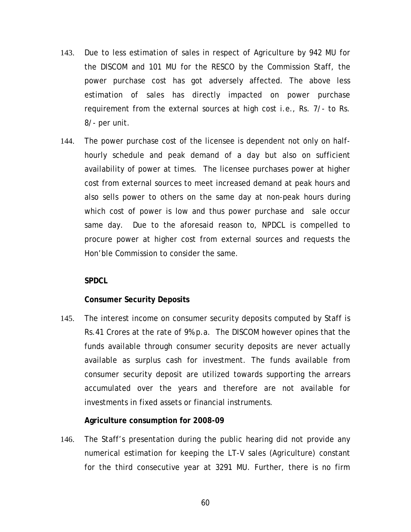- 143. Due to less estimation of sales in respect of Agriculture by 942 MU for the DISCOM and 101 MU for the RESCO by the Commission Staff, the power purchase cost has got adversely affected. The above less estimation of sales has directly impacted on power purchase requirement from the external sources at high cost i.e., Rs. 7/- to Rs. 8/- per unit.
- 144. The power purchase cost of the licensee is dependent not only on halfhourly schedule and peak demand of a day but also on sufficient availability of power at times. The licensee purchases power at higher cost from external sources to meet increased demand at peak hours and also sells power to others on the same day at non-peak hours during which cost of power is low and thus power purchase and sale occur same day. Due to the aforesaid reason to, NPDCL is compelled to procure power at higher cost from external sources and requests the Hon'ble Commission to consider the same.

## **SPDCL**

## **Consumer Security Deposits**

145. The interest income on consumer security deposits computed by Staff is Rs.41 Crores at the rate of 9% p.a. The DISCOM however opines that the funds available through consumer security deposits are never actually available as surplus cash for investment. The funds available from consumer security deposit are utilized towards supporting the arrears accumulated over the years and therefore are not available for investments in fixed assets or financial instruments.

## **Agriculture consumption for 2008-09**

146. The Staff's presentation during the public hearing did not provide any numerical estimation for keeping the LT-V sales (Agriculture) constant for the third consecutive year at 3291 MU. Further, there is no firm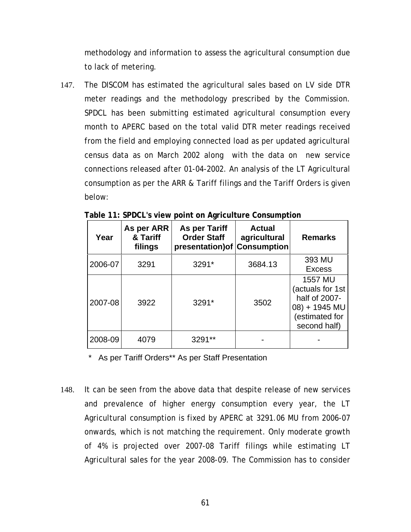methodology and information to assess the agricultural consumption due to lack of metering.

147. The DISCOM has estimated the agricultural sales based on LV side DTR meter readings and the methodology prescribed by the Commission. SPDCL has been submitting estimated agricultural consumption every month to APERC based on the total valid DTR meter readings received from the field and employing connected load as per updated agricultural census data as on March 2002 along with the data on new service connections released after 01-04-2002. An analysis of the LT Agricultural consumption as per the ARR & Tariff filings and the Tariff Orders is given below:

| Year    | As per ARR<br>& Tariff<br>filings | As per Tariff<br><b>Order Staff</b><br>presentation) of | <b>Actual</b><br>agricultural<br><b>Consumption</b> | <b>Remarks</b>                                                                                         |
|---------|-----------------------------------|---------------------------------------------------------|-----------------------------------------------------|--------------------------------------------------------------------------------------------------------|
| 2006-07 | 3291                              | 3291*                                                   | 3684.13                                             | 393 MU<br><b>Excess</b>                                                                                |
| 2007-08 | 3922                              | 3291*                                                   | 3502                                                | <b>1557 MU</b><br>(actuals for 1st<br>half of 2007-<br>08) + 1945 MU<br>(estimated for<br>second half) |
| 2008-09 | 4079                              | 3291                                                    |                                                     |                                                                                                        |

\* As per Tariff Orders\*\* As per Staff Presentation

148. It can be seen from the above data that despite release of new services and prevalence of higher energy consumption every year, the LT Agricultural consumption is fixed by APERC at 3291.06 MU from 2006-07 onwards, which is not matching the requirement. Only moderate growth of 4% is projected over 2007-08 Tariff filings while estimating LT Agricultural sales for the year 2008-09. The Commission has to consider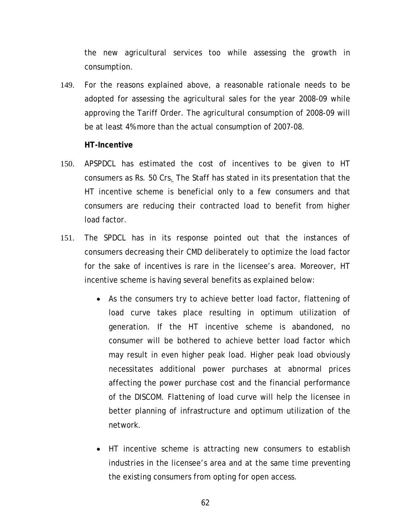the new agricultural services too while assessing the growth in consumption.

149. For the reasons explained above, a reasonable rationale needs to be adopted for assessing the agricultural sales for the year 2008-09 while approving the Tariff Order. The agricultural consumption of 2008-09 will be at least 4% more than the actual consumption of 2007-08.

#### **HT-Incentive**

- 150. APSPDCL has estimated the cost of incentives to be given to HT consumers as Rs. 50 Crs. The Staff has stated in its presentation that the HT incentive scheme is beneficial only to a few consumers and that consumers are reducing their contracted load to benefit from higher load factor.
- 151. The SPDCL has in its response pointed out that the instances of consumers decreasing their CMD deliberately to optimize the load factor for the sake of incentives is rare in the licensee's area. Moreover, HT incentive scheme is having several benefits as explained below:
	- As the consumers try to achieve better load factor, flattening of load curve takes place resulting in optimum utilization of generation. If the HT incentive scheme is abandoned, no consumer will be bothered to achieve better load factor which may result in even higher peak load. Higher peak load obviously necessitates additional power purchases at abnormal prices affecting the power purchase cost and the financial performance of the DISCOM. Flattening of load curve will help the licensee in better planning of infrastructure and optimum utilization of the network.
	- HT incentive scheme is attracting new consumers to establish industries in the licensee's area and at the same time preventing the existing consumers from opting for open access.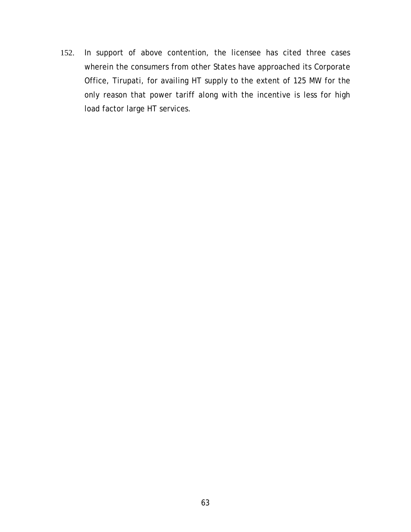152. In support of above contention, the licensee has cited three cases wherein the consumers from other States have approached its Corporate Office, Tirupati, for availing HT supply to the extent of 125 MW for the only reason that power tariff along with the incentive is less for high load factor large HT services.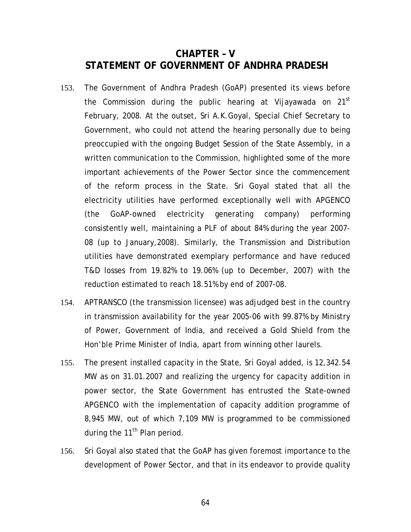# **CHAPTER – V STATEMENT OF GOVERNMENT OF ANDHRA PRADESH**

- 153. The Government of Andhra Pradesh (GoAP) presented its views before the Commission during the public hearing at Vijayawada on  $21^{st}$ February, 2008. At the outset, Sri A.K.Goyal, Special Chief Secretary to Government, who could not attend the hearing personally due to being preoccupied with the ongoing Budget Session of the State Assembly, in a written communication to the Commission, highlighted some of the more important achievements of the Power Sector since the commencement of the reform process in the State. Sri Goyal stated that all the electricity utilities have performed exceptionally well with APGENCO (the GoAP-owned electricity generating company) performing consistently well, maintaining a PLF of about 84% during the year 2007- 08 (up to January,2008). Similarly, the Transmission and Distribution utilities have demonstrated exemplary performance and have reduced T&D losses from 19.82% to 19.06% (up to December, 2007) with the reduction estimated to reach 18.51% by end of 2007-08.
- 154. APTRANSCO (the transmission licensee) was adjudged best in the country in transmission availability for the year 2005-06 with 99.87% by Ministry of Power, Government of India, and received a Gold Shield from the Hon'ble Prime Minister of India, apart from winning other laurels.
- 155. The present installed capacity in the State, Sri Goyal added, is 12,342.54 MW as on 31.01.2007 and realizing the urgency for capacity addition in power sector, the State Government has entrusted the State-owned APGENCO with the implementation of capacity addition programme of 8,945 MW, out of which 7,109 MW is programmed to be commissioned during the 11<sup>th</sup> Plan period.
- 156. Sri Goyal also stated that the GoAP has given foremost importance to the development of Power Sector, and that in its endeavor to provide quality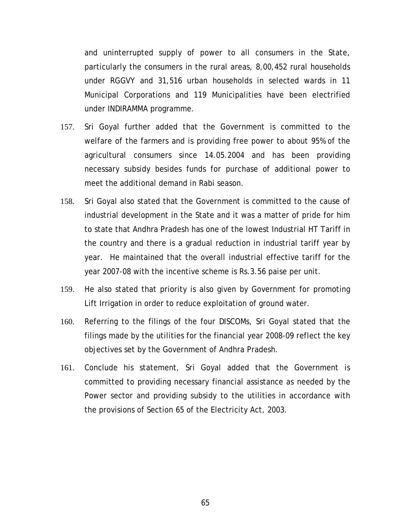and uninterrupted supply of power to all consumers in the State, particularly the consumers in the rural areas, 8,00,452 rural households under RGGVY and 31,516 urban households in selected wards in 11 Municipal Corporations and 119 Municipalities have been electrified under INDIRAMMA programme.

- 157. Sri Goyal further added that the Government is committed to the welfare of the farmers and is providing free power to about 95% of the agricultural consumers since 14.05.2004 and has been providing necessary subsidy besides funds for purchase of additional power to meet the additional demand in Rabi season.
- 158. Sri Goyal also stated that the Government is committed to the cause of industrial development in the State and it was a matter of pride for him to state that Andhra Pradesh has one of the lowest Industrial HT Tariff in the country and there is a gradual reduction in industrial tariff year by year. He maintained that the overall industrial effective tariff for the year 2007-08 with the incentive scheme is Rs.3.56 paise per unit.
- 159. He also stated that priority is also given by Government for promoting Lift Irrigation in order to reduce exploitation of ground water.
- 160. Referring to the filings of the four DISCOMs, Sri Goyal stated that the filings made by the utilities for the financial year 2008-09 reflect the key objectives set by the Government of Andhra Pradesh.
- 161. Conclude his statement, Sri Goyal added that the Government is committed to providing necessary financial assistance as needed by the Power sector and providing subsidy to the utilities in accordance with the provisions of Section 65 of the Electricity Act, 2003.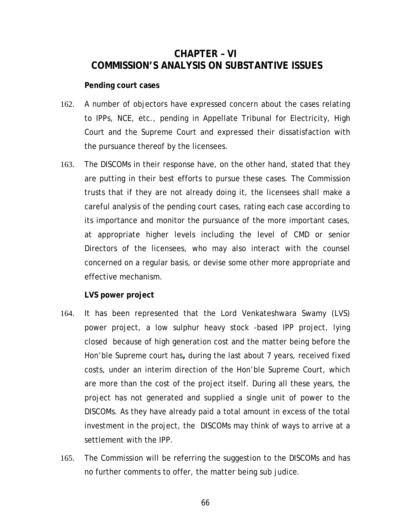# **CHAPTER – VI COMMISSION'S ANALYSIS ON SUBSTANTIVE ISSUES**

## **Pending court cases**

- 162. A number of objectors have expressed concern about the cases relating to IPPs, NCE, etc., pending in Appellate Tribunal for Electricity, High Court and the Supreme Court and expressed their dissatisfaction with the pursuance thereof by the licensees.
- 163. The DISCOMs in their response have, on the other hand, stated that they are putting in their best efforts to pursue these cases. The Commission trusts that if they are not already doing it, the licensees shall make a careful analysis of the pending court cases, rating each case according to its importance and monitor the pursuance of the more important cases, at appropriate higher levels including the level of CMD or senior Directors of the licensees, who may also interact with the counsel concerned on a regular basis, or devise some other more appropriate and effective mechanism.

**LVS power project** 

- 164. It has been represented that the Lord Venkateshwara Swamy (LVS) power project, a low sulphur heavy stock -based IPP project, lying closed because of high generation cost and the matter being before the Hon'ble Supreme court has**,** during the last about 7 years, received fixed costs, under an interim direction of the Hon'ble Supreme Court, which are more than the cost of the project itself. During all these years, the project has not generated and supplied a single unit of power to the DISCOMs. As they have already paid a total amount in excess of the total investment in the project, the DISCOMs may think of ways to arrive at a settlement with the IPP.
- 165. The Commission will be referring the suggestion to the DISCOMs and has no further comments to offer, the matter being *sub judice*.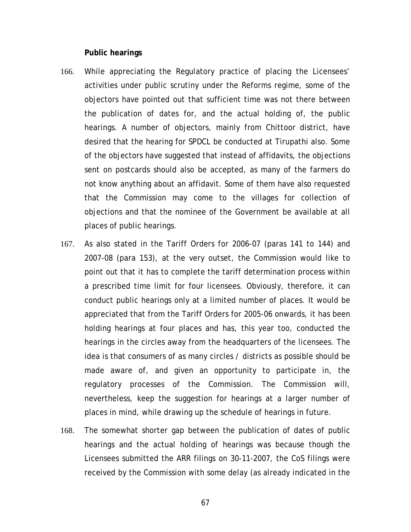#### **Public hearings**

- 166. While appreciating the Regulatory practice of placing the Licensees' activities under public scrutiny under the Reforms regime, some of the objectors have pointed out that sufficient time was not there between the publication of dates for, and the actual holding of, the public hearings. A number of objectors, mainly from Chittoor district, have desired that the hearing for SPDCL be conducted at Tirupathi also. Some of the objectors have suggested that instead of affidavits, the objections sent on postcards should also be accepted, as many of the farmers do not know anything about an affidavit. Some of them have also requested that the Commission may come to the villages for collection of objections and that the nominee of the Government be available at all places of public hearings.
- 167. As also stated in the Tariff Orders for 2006-07 (paras 141 to 144) and 2007-08 (para 153), at the very outset, the Commission would like to point out that it has to complete the tariff determination process within a prescribed time limit for four licensees. Obviously, therefore, it can conduct public hearings only at a limited number of places. It would be appreciated that from the Tariff Orders for 2005-06 onwards, it has been holding hearings at four places and has, this year too, conducted the hearings in the circles away from the headquarters of the licensees. The idea is that consumers of as many circles / districts as possible should be made aware of, and given an opportunity to participate in, the regulatory processes of the Commission. The Commission will, nevertheless, keep the suggestion for hearings at a larger number of places in mind, while drawing up the schedule of hearings in future.
- 168. The somewhat shorter gap between the publication of dates of public hearings and the actual holding of hearings was because though the Licensees submitted the ARR filings on 30-11-2007, the CoS filings were received by the Commission with some delay (as already indicated in the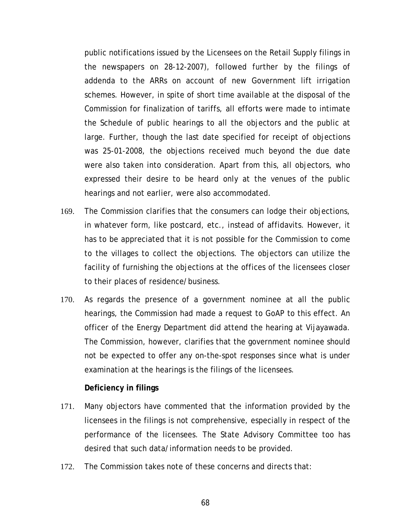public notifications issued by the Licensees on the Retail Supply filings in the newspapers on 28-12-2007), followed further by the filings of addenda to the ARRs on account of new Government lift irrigation schemes. However, in spite of short time available at the disposal of the Commission for finalization of tariffs, all efforts were made to intimate the Schedule of public hearings to all the objectors and the public at large. Further, though the last date specified for receipt of objections was 25-01-2008, the objections received much beyond the due date were also taken into consideration. Apart from this, all objectors, who expressed their desire to be heard only at the venues of the public hearings and not earlier, were also accommodated.

- 169. The Commission clarifies that the consumers can lodge their objections, in whatever form, like postcard, etc., instead of affidavits. However, it has to be appreciated that it is not possible for the Commission to come to the villages to collect the objections. The objectors can utilize the facility of furnishing the objections at the offices of the licensees closer to their places of residence/business.
- 170. As regards the presence of a government nominee at all the public hearings, the Commission had made a request to GoAP to this effect. An officer of the Energy Department did attend the hearing at Vijayawada. The Commission, however, clarifies that the government nominee should not be expected to offer any on-the-spot responses since what is under examination at the hearings is the filings of the licensees.

### **Deficiency in filings**

- 171. Many objectors have commented that the information provided by the licensees in the filings is not comprehensive, especially in respect of the performance of the licensees. The State Advisory Committee too has desired that such data/information needs to be provided.
- 172. The Commission takes note of these concerns and directs that: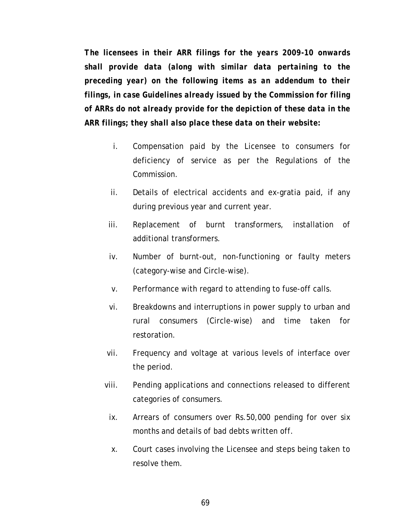*The licensees in their ARR filings for the years 2009-10 onwards shall provide data (along with similar data pertaining to the preceding year) on the following items as an addendum to their filings, in case Guidelines already issued by the Commission for filing of ARRs do not already provide for the depiction of these data in the ARR filings; they shall also place these data on their website:* 

- i. Compensation paid by the Licensee to consumers for deficiency of service as per the Regulations of the Commission.
- ii. Details of electrical accidents and ex-gratia paid, if any during previous year and current year.
- iii. Replacement of burnt transformers, installation of additional transformers.
- iv. Number of burnt-out, non-functioning or faulty meters (category-wise and Circle-wise).
- v. Performance with regard to attending to fuse-off calls.
- vi. Breakdowns and interruptions in power supply to urban and rural consumers (Circle-wise) and time taken for restoration.
- vii. Frequency and voltage at various levels of interface over the period.
- viii. Pending applications and connections released to different categories of consumers.
- ix. Arrears of consumers over Rs.50,000 pending for over six months and details of bad debts written off.
- x. Court cases involving the Licensee and steps being taken to resolve them.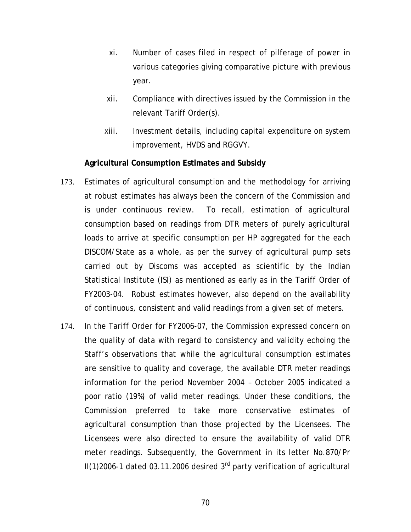- xi. Number of cases filed in respect of pilferage of power in various categories giving comparative picture with previous year.
- xii. Compliance with directives issued by the Commission in the relevant Tariff Order(s).
- xiii. Investment details, including capital expenditure on system improvement, HVDS and RGGVY.

## **Agricultural Consumption Estimates and Subsidy**

- 173. Estimates of agricultural consumption and the methodology for arriving at robust estimates has always been the concern of the Commission and is under continuous review. To recall, estimation of agricultural consumption based on readings from DTR meters of purely agricultural loads to arrive at specific consumption per HP aggregated for the each DISCOM/State as a whole, as per the survey of agricultural pump sets carried out by Discoms was accepted as scientific by the Indian Statistical Institute (ISI) as mentioned as early as in the Tariff Order of FY2003-04. Robust estimates however, also depend on the availability of continuous, consistent and valid readings from a given set of meters.
- 174. In the Tariff Order for FY2006-07, the Commission expressed concern on the quality of data with regard to consistency and validity echoing the Staff's observations that while the agricultural consumption estimates are sensitive to quality and coverage, the available DTR meter readings information for the period November 2004 – October 2005 indicated a poor ratio (19%) of valid meter readings. Under these conditions, the Commission preferred to take more conservative estimates of agricultural consumption than those projected by the Licensees. The Licensees were also directed to ensure the availability of valid DTR meter readings. Subsequently, the Government in its letter No.870/Pr  $II(1)2006-1$  dated 03.11.2006 desired 3<sup>rd</sup> party verification of agricultural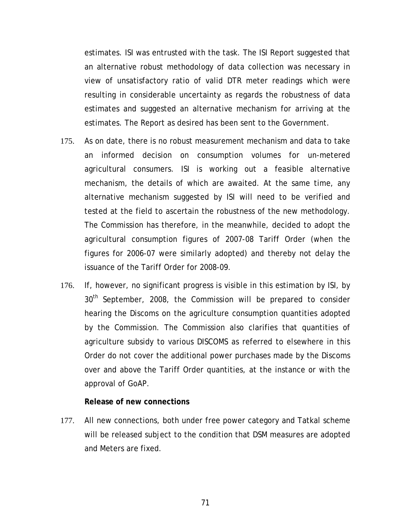estimates. ISI was entrusted with the task. The ISI Report suggested that an alternative robust methodology of data collection was necessary in view of unsatisfactory ratio of valid DTR meter readings which were resulting in considerable uncertainty as regards the robustness of data estimates and suggested an alternative mechanism for arriving at the estimates. The Report as desired has been sent to the Government.

- 175. As on date, there is no robust measurement mechanism and data to take an informed decision on consumption volumes for un-metered agricultural consumers. ISI is working out a feasible alternative mechanism, the details of which are awaited. At the same time, any alternative mechanism suggested by ISI will need to be verified and tested at the field to ascertain the robustness of the new methodology. The Commission has therefore, in the meanwhile, decided to adopt the agricultural consumption figures of 2007-08 Tariff Order (when the figures for 2006-07 were similarly adopted) and thereby not delay the issuance of the Tariff Order for 2008-09.
- 176. If, however, no significant progress is visible in this estimation by ISI, by 30<sup>th</sup> September, 2008, the Commission will be prepared to consider hearing the Discoms on the agriculture consumption quantities adopted by the Commission. The Commission also clarifies that quantities of agriculture subsidy to various DISCOMS as referred to elsewhere in this Order do not cover the additional power purchases made by the Discoms over and above the Tariff Order quantities, at the instance or with the approval of GoAP.

### **Release of new connections**

177. All new connections, both under free power category and Tatkal scheme will be released subject to the condition that DSM measures are adopted and Meters are fixed.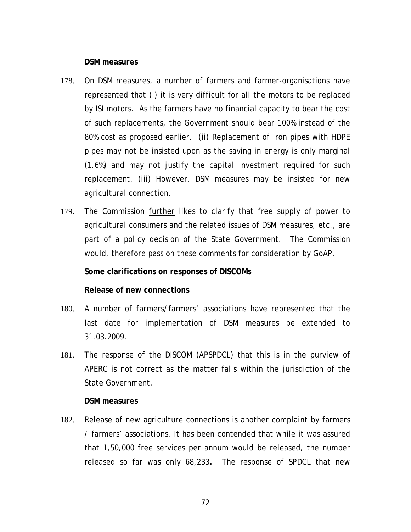#### **DSM measures**

- 178. On DSM measures, a number of farmers and farmer-organisations have represented that (i) it is very difficult for all the motors to be replaced by ISI motors. As the farmers have no financial capacity to bear the cost of such replacements, the Government should bear 100% instead of the 80% cost as proposed earlier. (ii) Replacement of iron pipes with HDPE pipes may not be insisted upon as the saving in energy is only marginal (1.6%) and may not justify the capital investment required for such replacement. (iii) However, DSM measures may be insisted for new agricultural connection.
- 179. The Commission further likes to clarify that free supply of power to agricultural consumers and the related issues of DSM measures, etc., are part of a policy decision of the State Government. The Commission would, therefore pass on these comments for consideration by GoAP.

### **Some clarifications on responses of DISCOMs**

### **Release of new connections**

- 180. A number of farmers/farmers' associations have represented that the last date for implementation of DSM measures be extended to 31.03.2009.
- 181. The response of the DISCOM (APSPDCL) that this is in the purview of APERC is not correct as the matter falls within the jurisdiction of the State Government.

#### **DSM measures**

182. Release of new agriculture connections is another complaint by farmers / farmers' associations. It has been contended that while it was assured that 1,50,000 free services per annum would be released, the number released so far was only 68,233**.** The response of SPDCL that new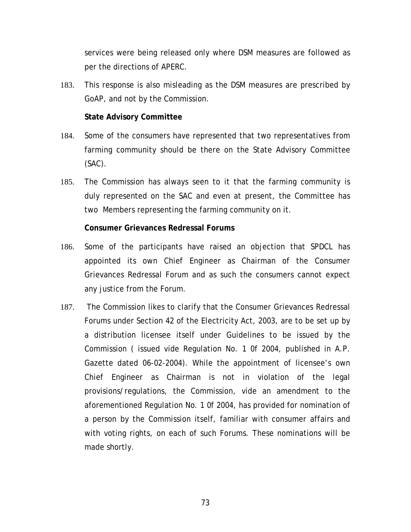services were being released only where DSM measures are followed as per the directions of APERC.

183. This response is also misleading as the DSM measures are prescribed by GoAP, and not by the Commission.

# **State Advisory Committee**

- 184. Some of the consumers have represented that two representatives from farming community should be there on the State Advisory Committee (SAC).
- 185. The Commission has always seen to it that the farming community is duly represented on the SAC and even at present, the Committee has two Members representing the farming community on it.

# **Consumer Grievances Redressal Forums**

- 186. Some of the participants have raised an objection that SPDCL has appointed its own Chief Engineer as Chairman of the Consumer Grievances Redressal Forum and as such the consumers cannot expect any justice from the Forum.
- 187. The Commission likes to clarify that the Consumer Grievances Redressal Forums under Section 42 of the Electricity Act, 2003, are to be set up by a distribution licensee itself under Guidelines to be issued by the Commission ( issued vide Regulation No. 1 0f 2004, published in A.P. Gazette dated 06-02-2004). While the appointment of licensee's own Chief Engineer as Chairman is not in violation of the legal provisions/regulations, the Commission, vide an amendment to the aforementioned Regulation No. 1 0f 2004, has provided for nomination of a person by the Commission itself, familiar with consumer affairs and with voting rights, on each of such Forums. These nominations will be made shortly.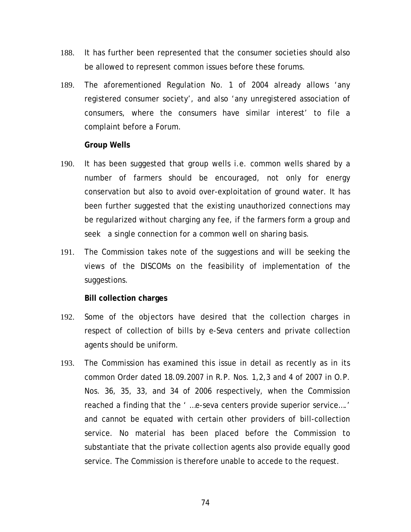- 188. It has further been represented that the consumer societies should also be allowed to represent common issues before these forums.
- 189. The aforementioned Regulation No. 1 of 2004 already allows 'any registered consumer society', and also 'any unregistered association of consumers, where the consumers have similar interest' to file a complaint before a Forum.

## **Group Wells**

- 190. It has been suggested that group wells i.e. common wells shared by a number of farmers should be encouraged, not only for energy conservation but also to avoid over-exploitation of ground water. It has been further suggested that the existing unauthorized connections may be regularized without charging any fee, if the farmers form a group and seek a single connection for a common well on sharing basis.
- 191. The Commission takes note of the suggestions and will be seeking the views of the DISCOMs on the feasibility of implementation of the suggestions.

## **Bill collection charges**

- 192. Some of the objectors have desired that the collection charges in respect of collection of bills by e-Seva centers and private collection agents should be uniform.
- 193. The Commission has examined this issue in detail as recently as in its common Order dated 18.09.2007 in R.P. Nos. 1,2,3 and 4 of 2007 in O.P. Nos. 36, 35, 33, and 34 of 2006 respectively, when the Commission reached a finding that the ' …e-seva centers provide superior service….' and cannot be equated with certain other providers of bill-collection service. No material has been placed before the Commission to substantiate that the private collection agents also provide equally good service. The Commission is therefore unable to accede to the request.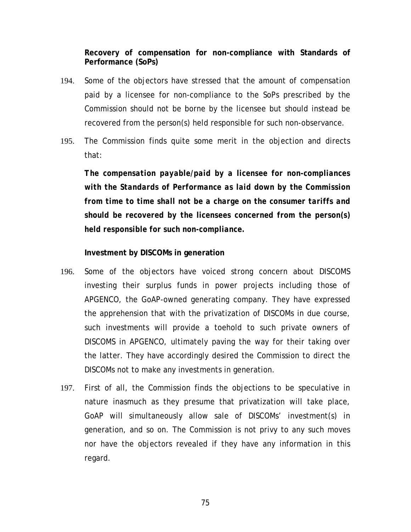**Recovery of compensation for non-compliance with Standards of Performance (SoPs)** 

- 194. Some of the objectors have stressed that the amount of compensation paid by a licensee for non-compliance to the SoPs prescribed by the Commission should not be borne by the licensee but should instead be recovered from the person(s) held responsible for such non-observance.
- 195. The Commission finds quite some merit in the objection and directs that:

*The compensation payable/paid by a licensee for non-compliances with the Standards of Performance as laid down by the Commission from time to time shall not be a charge on the consumer tariffs and should be recovered by the licensees concerned from the person(s) held responsible for such non-compliance.* 

**Investment by DISCOMs in generation** 

- 196. Some of the objectors have voiced strong concern about DISCOMS investing their surplus funds in power projects including those of APGENCO, the GoAP-owned generating company. They have expressed the apprehension that with the privatization of DISCOMs in due course, such investments will provide a toehold to such private owners of DISCOMS in APGENCO, ultimately paving the way for their taking over the latter. They have accordingly desired the Commission to direct the DISCOMs not to make any investments in generation.
- 197. First of all, the Commission finds the objections to be speculative in nature inasmuch as they presume that privatization will take place, GoAP will simultaneously allow sale of DISCOMs' investment(s) in generation, and so on. The Commission is not privy to any such moves nor have the objectors revealed if they have any information in this regard.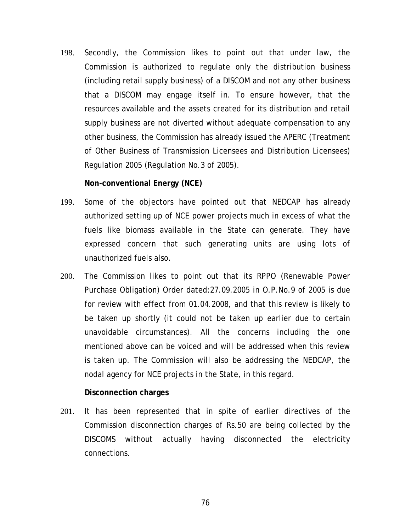198. Secondly, the Commission likes to point out that under law, the Commission is authorized to regulate only the distribution business (including retail supply business) of a DISCOM and not any other business that a DISCOM may engage itself in. To ensure however, that the resources available and the assets created for its distribution and retail supply business are not diverted without adequate compensation to any other business, the Commission has already issued the APERC (Treatment of Other Business of Transmission Licensees and Distribution Licensees) Regulation 2005 (Regulation No.3 of 2005).

**Non-conventional Energy (NCE)** 

- 199. Some of the objectors have pointed out that NEDCAP has already authorized setting up of NCE power projects much in excess of what the fuels like biomass available in the State can generate. They have expressed concern that such generating units are using lots of unauthorized fuels also.
- 200. The Commission likes to point out that its RPPO (Renewable Power Purchase Obligation) Order dated:27.09.2005 in O.P.No.9 of 2005 is due for review with effect from 01.04.2008, and that this review is likely to be taken up shortly (it could not be taken up earlier due to certain unavoidable circumstances). All the concerns including the one mentioned above can be voiced and will be addressed when this review is taken up. The Commission will also be addressing the NEDCAP, the nodal agency for NCE projects in the State, in this regard.

## **Disconnection charges**

201. It has been represented that in spite of earlier directives of the Commission disconnection charges of Rs.50 are being collected by the DISCOMS without actually having disconnected the electricity connections.

76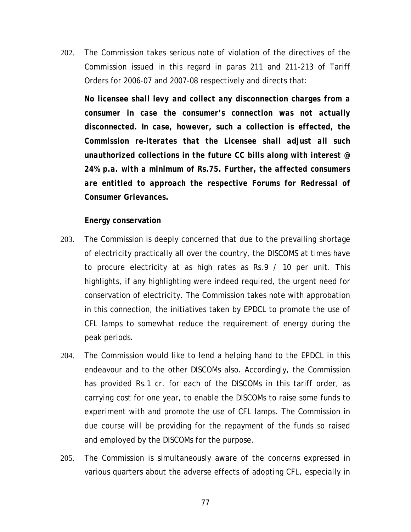202. The Commission takes serious note of violation of the directives of the Commission issued in this regard in paras 211 and 211-213 of Tariff Orders for 2006-07 and 2007-08 respectively and directs that:

*No licensee shall levy and collect any disconnection charges from a consumer in case the consumer's connection was not actually disconnected. In case, however, such a collection is effected, the Commission re-iterates that the Licensee shall adjust all such unauthorized collections in the future CC bills along with interest @ 24% p.a. with a minimum of Rs.75. Further, the affected consumers are entitled to approach the respective Forums for Redressal of Consumer Grievances.* 

# **Energy conservation**

- 203. The Commission is deeply concerned that due to the prevailing shortage of electricity practically all over the country, the DISCOMS at times have to procure electricity at as high rates as Rs.9 / 10 per unit. This highlights, if any highlighting were indeed required, the urgent need for conservation of electricity. The Commission takes note with approbation in this connection, the initiatives taken by EPDCL to promote the use of CFL lamps to somewhat reduce the requirement of energy during the peak periods.
- 204. The Commission would like to lend a helping hand to the EPDCL in this endeavour and to the other DISCOMs also. Accordingly, the Commission has provided Rs.1 cr. for each of the DISCOMs in this tariff order, as carrying cost for one year, to enable the DISCOMs to raise some funds to experiment with and promote the use of CFL lamps. The Commission in due course will be providing for the repayment of the funds so raised and employed by the DISCOMs for the purpose.
- 205. The Commission is simultaneously aware of the concerns expressed in various quarters about the adverse effects of adopting CFL, especially in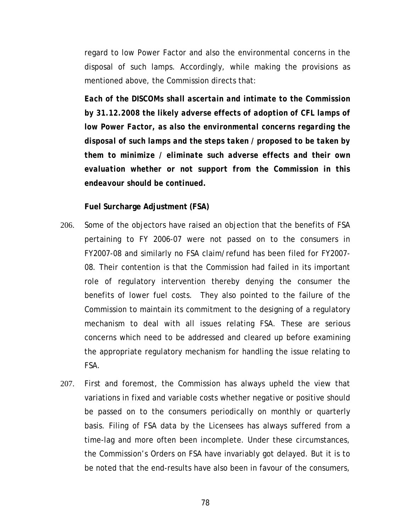regard to low Power Factor and also the environmental concerns in the disposal of such lamps. Accordingly, while making the provisions as mentioned above, the Commission directs that:

*Each of the DISCOMs shall ascertain and intimate to the Commission by 31.12.2008 the likely adverse effects of adoption of CFL lamps of low Power Factor, as also the environmental concerns regarding the disposal of such lamps and the steps taken / proposed to be taken by them to minimize / eliminate such adverse effects and their own evaluation whether or not support from the Commission in this endeavour should be continued.* 

**Fuel Surcharge Adjustment (FSA)** 

- 206. Some of the objectors have raised an objection that the benefits of FSA pertaining to FY 2006-07 were not passed on to the consumers in FY2007-08 and similarly no FSA claim/refund has been filed for FY2007- 08. Their contention is that the Commission had failed in its important role of regulatory intervention thereby denying the consumer the benefits of lower fuel costs. They also pointed to the failure of the Commission to maintain its commitment to the designing of a regulatory mechanism to deal with all issues relating FSA. These are serious concerns which need to be addressed and cleared up before examining the appropriate regulatory mechanism for handling the issue relating to FSA.
- 207. First and foremost, the Commission has always upheld the view that variations in fixed and variable costs whether negative or positive should be passed on to the consumers periodically on monthly or quarterly basis. Filing of FSA data by the Licensees has always suffered from a time-lag and more often been incomplete. Under these circumstances, the Commission's Orders on FSA have invariably got delayed. But it is to be noted that the end-results have also been in favour of the consumers,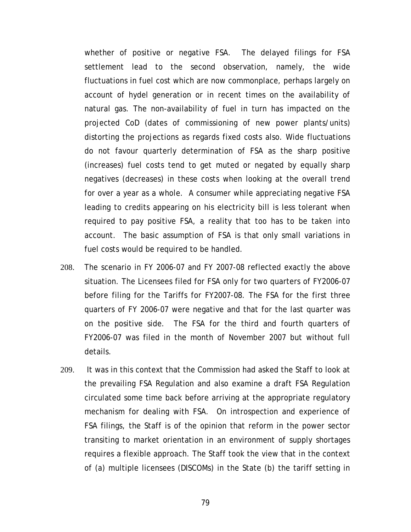whether of positive or negative FSA. The delayed filings for FSA settlement lead to the second observation, namely, the wide fluctuations in fuel cost which are now commonplace, perhaps largely on account of hydel generation or in recent times on the availability of natural gas. The non-availability of fuel in turn has impacted on the projected CoD (dates of commissioning of new power plants/units) distorting the projections as regards fixed costs also. Wide fluctuations do not favour quarterly determination of FSA as the sharp positive (increases) fuel costs tend to get muted or negated by equally sharp negatives (decreases) in these costs when looking at the overall trend for over a year as a whole. A consumer while appreciating negative FSA leading to credits appearing on his electricity bill is less tolerant when required to pay positive FSA, a reality that too has to be taken into account. The basic assumption of FSA is that only small variations in fuel costs would be required to be handled.

- 208. The scenario in FY 2006-07 and FY 2007-08 reflected exactly the above situation. The Licensees filed for FSA only for two quarters of FY2006-07 before filing for the Tariffs for FY2007-08. The FSA for the first three quarters of FY 2006-07 were negative and that for the last quarter was on the positive side. The FSA for the third and fourth quarters of FY2006-07 was filed in the month of November 2007 but without full details.
- 209. It was in this context that the Commission had asked the Staff to look at the prevailing FSA Regulation and also examine a draft FSA Regulation circulated some time back before arriving at the appropriate regulatory mechanism for dealing with FSA. On introspection and experience of FSA filings, the Staff is of the opinion that reform in the power sector transiting to market orientation in an environment of supply shortages requires a flexible approach. The Staff took the view that in the context of (a) multiple licensees (DISCOMs) in the State (b) the tariff setting in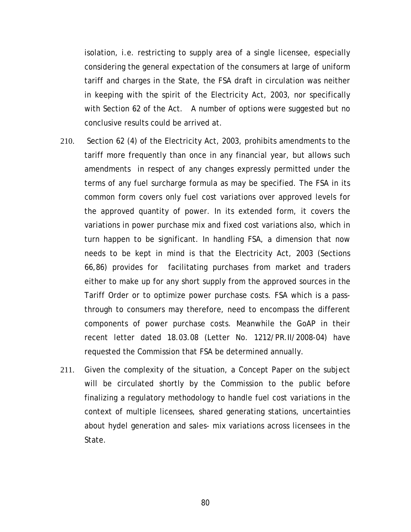isolation, i.e. restricting to supply area of a single licensee, especially considering the general expectation of the consumers at large of uniform tariff and charges in the State, the FSA draft in circulation was neither in keeping with the spirit of the Electricity Act, 2003, nor specifically with Section 62 of the Act. A number of options were suggested but no conclusive results could be arrived at.

- 210. Section 62 (4) of the Electricity Act, 2003, prohibits amendments to the tariff more frequently than once in any financial year, but allows such amendments in respect of any changes expressly permitted under the terms of any fuel surcharge formula as may be specified. The FSA in its common form covers only fuel cost variations over approved levels for the approved quantity of power. In its extended form, it covers the variations in power purchase mix and fixed cost variations also, which in turn happen to be significant. In handling FSA, a dimension that now needs to be kept in mind is that the Electricity Act, 2003 (Sections 66,86) provides for facilitating purchases from market and traders either to make up for any short supply from the approved sources in the Tariff Order or to optimize power purchase costs. FSA which is a passthrough to consumers may therefore, need to encompass the different components of power purchase costs. Meanwhile the GoAP in their recent letter dated 18.03.08 (Letter No. 1212/PR.II/2008-04) have requested the Commission that FSA be determined annually.
- 211. Given the complexity of the situation, a Concept Paper on the subject will be circulated shortly by the Commission to the public before finalizing a regulatory methodology to handle fuel cost variations in the context of multiple licensees, shared generating stations, uncertainties about hydel generation and sales- mix variations across licensees in the State.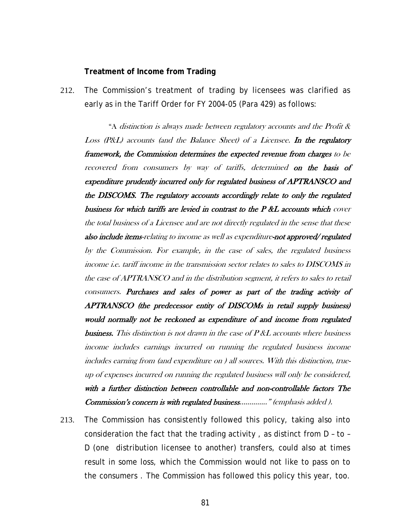#### **Treatment of Income from Trading**

212. The Commission's treatment of trading by licensees was clarified as early as in the Tariff Order for FY 2004-05 (Para 429) as follows:

 "A distinction is always made between regulatory accounts and the Profit & Loss (P&L) accounts (and the Balance Sheet) of a Licensee. In the regulatory framework, the Commission determines the expected revenue from charges to be recovered from consumers by way of tariffs, determined on the basis of expenditure prudently incurred only for regulated business of APTRANSCO and the DISCOMS. The regulatory accounts accordingly relate to only the regulated business for which tariffs are levied in contrast to the  $P \&L$  accounts which cover the total business of a Licensee and are not directly regulated in the sense that these also include items-relating to income as well as expenditure-not approved/ regulated by the Commission. For example, in the case of sales, the regulated business income i.e. tariff income in the transmission sector relates to sales to DISCOMS in the case of APTRANSCO and in the distribution segment, it refers to sales to retail consumers. Purchases and sales of power as part of the trading activity of APTRANSCO (the predecessor entity of DISCOMs in retail supply business) would normally not be reckoned as expenditure of and income from regulated **business.** This distinction is not drawn in the case of  $P \&L$  accounts where business income includes earnings incurred on running the regulated business income includes earning from (and expenditure on ) all sources. With this distinction, trueup of expenses incurred on running the regulated business will only be considered, with a further distinction between controllable and non-controllable factors The Commission's concern is with regulated business………….." (emphasis added ).

213. The Commission has consistently followed this policy, taking also into consideration the fact that the trading activity , as distinct from D – to – D (one distribution licensee to another) transfers, could also at times result in some loss, which the Commission would not like to pass on to the consumers . The Commission has followed this policy this year, too.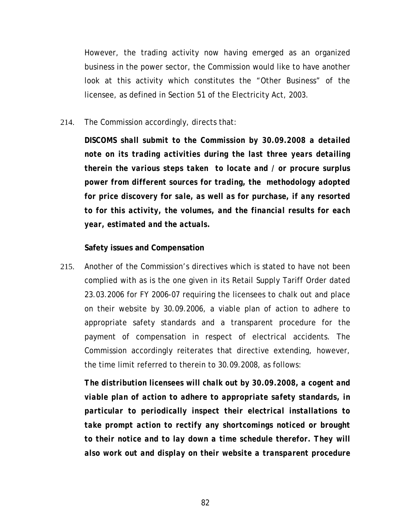However, the trading activity now having emerged as an organized business in the power sector, the Commission would like to have another look at this activity which constitutes the "Other Business" of the licensee, as defined in Section 51 of the Electricity Act, 2003.

214. The Commission accordingly, directs that:

*DISCOMS shall submit to the Commission by 30.09.2008 a detailed note on its trading activities during the last three years detailing therein the various steps taken to locate and / or procure surplus power from different sources for trading, the methodology adopted for price discovery for sale, as well as for purchase, if any resorted to for this activity, the volumes, and the financial results for each year, estimated and the actuals.* 

## **Safety issues and Compensation**

215. Another of the Commission's directives which is stated to have not been complied with as is the one given in its Retail Supply Tariff Order dated 23.03.2006 for FY 2006-07 requiring the licensees to chalk out and place on their website by 30.09.2006, a viable plan of action to adhere to appropriate safety standards and a transparent procedure for the payment of compensation in respect of electrical accidents. The Commission accordingly reiterates that directive extending, however, the time limit referred to therein to 30.09.2008, as follows:

*The distribution licensees will chalk out by 30.09.2008, a cogent and viable plan of action to adhere to appropriate safety standards, in particular to periodically inspect their electrical installations to take prompt action to rectify any shortcomings noticed or brought to their notice and to lay down a time schedule therefor. They will also work out and display on their website a transparent procedure*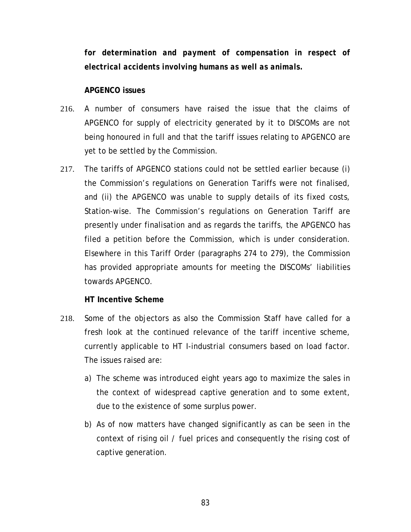*for determination and payment of compensation in respect of electrical accidents involving humans as well as animals.* 

## **APGENCO issues**

- 216. A number of consumers have raised the issue that the claims of APGENCO for supply of electricity generated by it to DISCOMs are not being honoured in full and that the tariff issues relating to APGENCO are yet to be settled by the Commission.
- 217. The tariffs of APGENCO stations could not be settled earlier because (i) the Commission's regulations on Generation Tariffs were not finalised, and (ii) the APGENCO was unable to supply details of its fixed costs, Station-wise. The Commission's regulations on Generation Tariff are presently under finalisation and as regards the tariffs, the APGENCO has filed a petition before the Commission, which is under consideration. Elsewhere in this Tariff Order (paragraphs [274](#page-111-0) to [279](#page-114-0)), the Commission has provided appropriate amounts for meeting the DISCOMs' liabilities towards APGENCO.

## **HT Incentive Scheme**

- 218. Some of the objectors as also the Commission Staff have called for a fresh look at the continued relevance of the tariff incentive scheme, currently applicable to HT I-industrial consumers based on load factor. The issues raised are:
	- a) The scheme was introduced eight years ago to maximize the sales in the context of widespread captive generation and to some extent, due to the existence of some surplus power.
	- b) As of now matters have changed significantly as can be seen in the context of rising oil / fuel prices and consequently the rising cost of captive generation.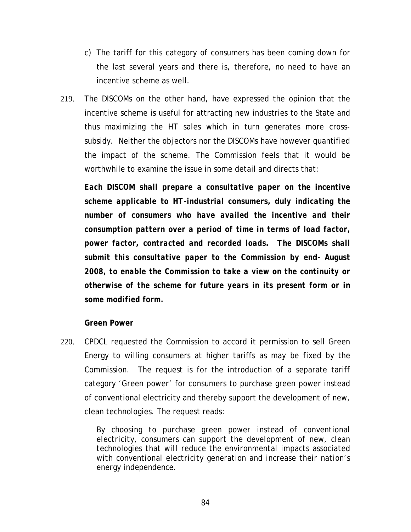- c) The tariff for this category of consumers has been coming down for the last several years and there is, therefore, no need to have an incentive scheme as well.
- 219. The DISCOMs on the other hand, have expressed the opinion that the incentive scheme is useful for attracting new industries to the State and thus maximizing the HT sales which in turn generates more crosssubsidy. Neither the objectors nor the DISCOMs have however quantified the impact of the scheme. The Commission feels that it would be worthwhile to examine the issue in some detail and directs that:

*Each DISCOM shall prepare a consultative paper on the incentive scheme applicable to HT-industrial consumers, duly indicating the number of consumers who have availed the incentive and their consumption pattern over a period of time in terms of load factor, power factor, contracted and recorded loads. The DISCOMs shall submit this consultative paper to the Commission by end- August 2008, to enable the Commission to take a view on the continuity or otherwise of the scheme for future years in its present form or in some modified form.* 

## **Green Power**

220. CPDCL requested the Commission to accord it permission to sell Green Energy to willing consumers at higher tariffs as may be fixed by the Commission. The request is for the introduction of a separate tariff category *'Green power*' for consumers to purchase green power instead of conventional electricity and thereby support the development of new, clean technologies. The request reads:

> *By choosing to purchase green power instead of conventional electricity, consumers can support the development of new, clean technologies that will reduce the environmental impacts associated with conventional electricity generation and increase their nation's energy independence.*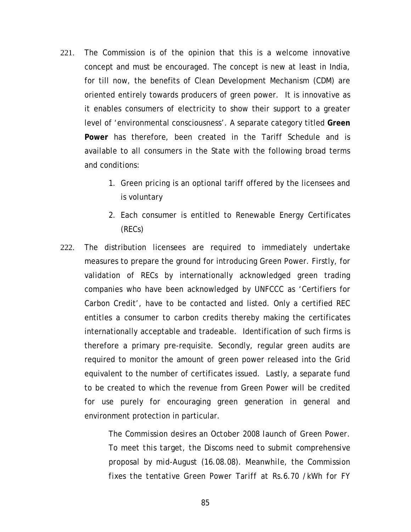- 221. The Commission is of the opinion that this is a welcome innovative concept and must be encouraged. The concept is new at least in India, for till now, the benefits of Clean Development Mechanism (CDM) are oriented entirely towards producers of green power. It is innovative as it enables consumers of electricity to show their support to a greater level of 'environmental consciousness'. A separate category titled **Green Power** has therefore, been created in the Tariff Schedule and is available to all consumers in the State with the following broad terms and conditions:
	- 1. Green pricing is an optional tariff offered by the licensees and is voluntary
	- 2. Each consumer is entitled to Renewable Energy Certificates (RECs)
- 222. The distribution licensees are required to immediately undertake measures to prepare the ground for introducing Green Power. Firstly, for validation of RECs by internationally acknowledged green trading companies who have been acknowledged by UNFCCC as 'Certifiers for Carbon Credit', have to be contacted and listed. Only a certified REC entitles a consumer to carbon credits thereby making the certificates internationally acceptable and tradeable. Identification of such firms is therefore a primary pre-requisite. Secondly, regular green audits are required to monitor the amount of green power released into the Grid equivalent to the number of certificates issued. Lastly, a separate fund to be created to which the revenue from Green Power will be credited for use purely for encouraging green generation in general and environment protection in particular.

*The Commission desires an October 2008 launch of Green Power. To meet this target, the Discoms need to submit comprehensive proposal by mid-August (16.08.08). Meanwhile, the Commission fixes the tentative Green Power Tariff at Rs.6.70 /kWh for FY*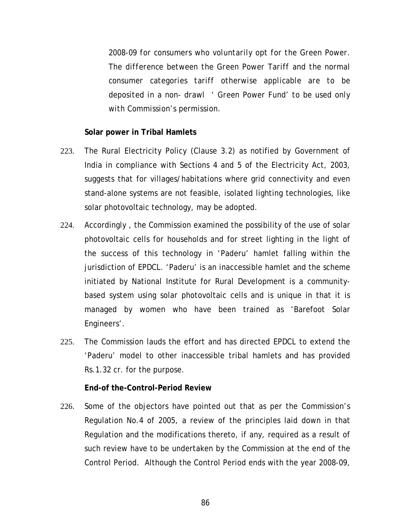*2008-09 for consumers who voluntarily opt for the Green Power. The difference between the Green Power Tariff and the normal consumer categories tariff otherwise applicable are to be deposited in a non- drawl ' Green Power Fund' to be used only with Commission's permission.* 

## **Solar power in Tribal Hamlets**

- 223. The Rural Electricity Policy (Clause 3.2) as notified by Government of India in compliance with Sections 4 and 5 of the Electricity Act, 2003, suggests that for villages/habitations where grid connectivity and even stand-alone systems are not feasible, isolated lighting technologies, like solar photovoltaic technology, may be adopted.
- 224. Accordingly , the Commission examined the possibility of the use of solar photovoltaic cells for households and for street lighting in the light of the success of this technology in 'Paderu' hamlet falling within the jurisdiction of EPDCL. 'Paderu' is an inaccessible hamlet and the scheme initiated by National Institute for Rural Development is a communitybased system using solar photovoltaic cells and is unique in that it is managed by women who have been trained as 'Barefoot Solar Engineers'.
- 225. The Commission lauds the effort and has directed EPDCL to extend the 'Paderu' model to other inaccessible tribal hamlets and has provided Rs.1.32 cr. for the purpose.

## **End-of the-Control-Period Review**

226. Some of the objectors have pointed out that as per the Commission's Regulation No.4 of 2005, a review of the principles laid down in that Regulation and the modifications thereto, if any, required as a result of such review have to be undertaken by the Commission at the end of the Control Period. Although the Control Period ends with the year 2008-09,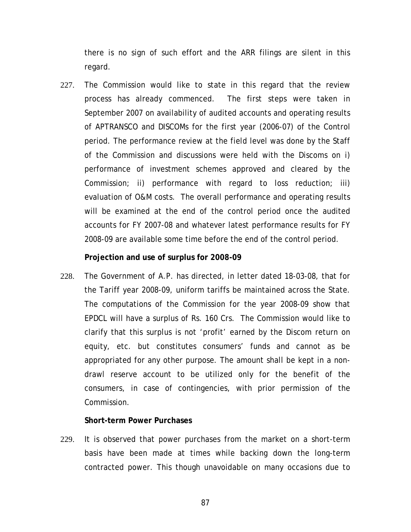there is no sign of such effort and the ARR filings are silent in this regard.

227. The Commission would like to state in this regard that the review process has already commenced. The first steps were taken in September 2007 on availability of audited accounts and operating results of APTRANSCO and DISCOMs for the first year (2006-07) of the Control period. The performance review at the field level was done by the Staff of the Commission and discussions were held with the Discoms on i) performance of investment schemes approved and cleared by the Commission; ii) performance with regard to loss reduction; iii) evaluation of O&M costs. The overall performance and operating results will be examined at the end of the control period once the audited accounts for FY 2007-08 and whatever latest performance results for FY 2008-09 are available some time before the end of the control period.

## **Projection and use of surplus for 2008-09**

228. The Government of A.P. has directed, in letter dated 18-03-08, that for the Tariff year 2008-09, uniform tariffs be maintained across the State. The computations of the Commission for the year 2008-09 show that EPDCL will have a surplus of Rs. 160 Crs. The Commission would like to clarify that this surplus is not 'profit' earned by the Discom return on equity, etc. but constitutes consumers' funds and cannot as be appropriated for any other purpose. The amount shall be kept in a nondrawl reserve account to be utilized only for the benefit of the consumers, in case of contingencies, with prior permission of the Commission.

## **Short-term Power Purchases**

229. It is observed that power purchases from the market on a short-term basis have been made at times while backing down the long-term contracted power. This though unavoidable on many occasions due to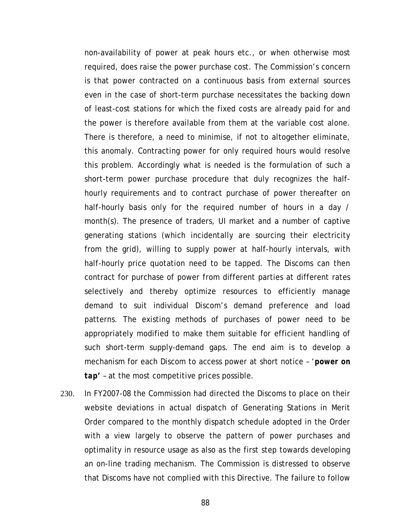non-availability of power at peak hours etc., or when otherwise most required, does raise the power purchase cost. The Commission's concern is that power contracted on a continuous basis from external sources even in the case of short-term purchase necessitates the backing down of least-cost stations for which the fixed costs are already paid for and the power is therefore available from them at the variable cost alone. There is therefore, a need to minimise, if not to altogether eliminate, this anomaly. Contracting power for only required hours would resolve this problem. Accordingly what is needed is the formulation of such a short-term power purchase procedure that duly recognizes the halfhourly requirements and to contract purchase of power thereafter on half-hourly basis only for the required number of hours in a day / month(s). The presence of traders, UI market and a number of captive generating stations (which incidentally are sourcing their electricity from the grid), willing to supply power at half-hourly intervals, with half-hourly price quotation need to be tapped. The Discoms can then contract for purchase of power from different parties at different rates selectively and thereby optimize resources to efficiently manage demand to suit individual Discom's demand preference and load patterns. The existing methods of purchases of power need to be appropriately modified to make them suitable for efficient handling of such short-term supply-demand gaps. The end aim is to develop a mechanism for each Discom to access power at short notice – '*power on tap'* – at the most competitive prices possible.

230. In FY2007-08 the Commission had directed the Discoms to place on their website deviations in actual dispatch of Generating Stations in Merit Order compared to the monthly dispatch schedule adopted in the Order with a view largely to observe the pattern of power purchases and optimality in resource usage as also as the first step towards developing an on-line trading mechanism. The Commission is distressed to observe that Discoms have not complied with this Directive. The failure to follow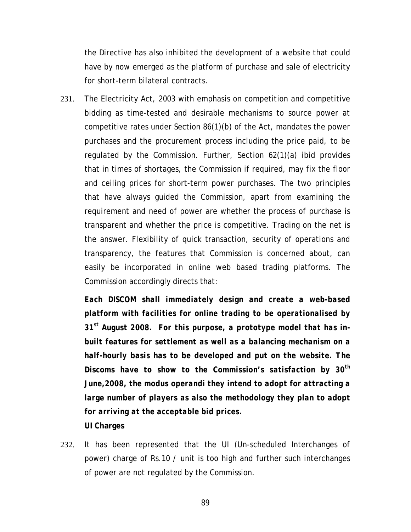the Directive has also inhibited the development of a website that could have by now emerged as the platform of purchase and sale of electricity for short-term bilateral contracts.

231. The Electricity Act, 2003 with emphasis on competition and competitive bidding as time-tested and desirable mechanisms to source power at competitive rates under Section 86(1)(b) of the Act, mandates the power purchases and the procurement process including the price paid, to be regulated by the Commission. Further, Section 62(1)(a) ibid provides that in times of shortages, the Commission if required, may fix the floor and ceiling prices for short-term power purchases. The two principles that have always guided the Commission, apart from examining the requirement and need of power are whether the process of purchase is transparent and whether the price is competitive. Trading on the net is the answer. Flexibility of quick transaction, security of operations and transparency, the features that Commission is concerned about, can easily be incorporated in online web based trading platforms. The Commission accordingly directs that:

*Each DISCOM shall immediately design and create a web-based platform with facilities for online trading to be operationalised by 31st August 2008. For this purpose, a prototype model that has inbuilt features for settlement as well as a balancing mechanism on a half-hourly basis has to be developed and put on the website. The Discoms have to show to the Commission's satisfaction by 30th June,2008, the modus operandi they intend to adopt for attracting a large number of players as also the methodology they plan to adopt for arriving at the acceptable bid prices.*  **UI Charges** 

232. It has been represented that the UI (Un-scheduled Interchanges of power) charge of Rs.10 / unit is too high and further such interchanges of power are not regulated by the Commission.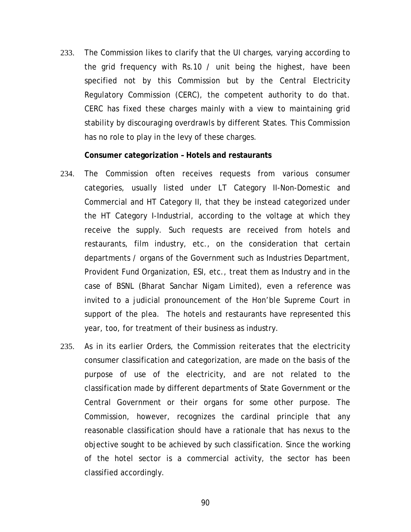233. The Commission likes to clarify that the UI charges, varying according to the grid frequency with Rs.10 / unit being the highest, have been specified not by this Commission but by the Central Electricity Regulatory Commission (CERC), the competent authority to do that. CERC has fixed these charges mainly with a view to maintaining grid stability by discouraging overdrawls by different States. This Commission has no role to play in the levy of these charges.

### **Consumer categorization – Hotels and restaurants**

- 234. The Commission often receives requests from various consumer categories, usually listed under LT Category II-Non-Domestic and Commercial and HT Category II, that they be instead categorized under the HT Category I-Industrial, according to the voltage at which they receive the supply. Such requests are received from hotels and restaurants, film industry, etc., on the consideration that certain departments / organs of the Government such as Industries Department, Provident Fund Organization, ESI, etc., treat them as Industry and in the case of BSNL (Bharat Sanchar Nigam Limited), even a reference was invited to a judicial pronouncement of the Hon'ble Supreme Court in support of the plea. The hotels and restaurants have represented this year, too, for treatment of their business as industry.
- 235. As in its earlier Orders, the Commission reiterates that the electricity consumer classification and categorization, are made on the basis of the purpose of use of the electricity, and are not related to the classification made by different departments of State Government or the Central Government or their organs for some other purpose. The Commission, however, recognizes the cardinal principle that any reasonable classification should have a rationale that has nexus to the objective sought to be achieved by such classification. Since the working of the hotel sector is a commercial activity, the sector has been classified accordingly.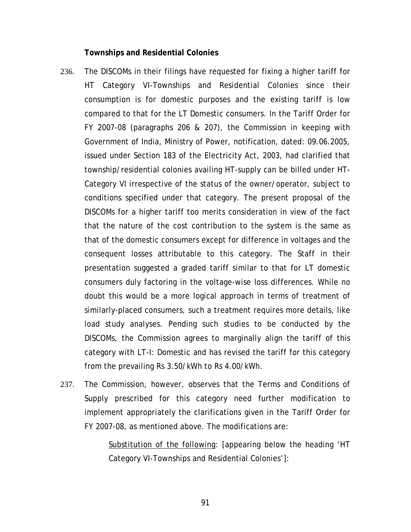#### **Townships and Residential Colonies**

- 236. The DISCOMs in their filings have requested for fixing a higher tariff for HT Category VI-Townships and Residential Colonies since their consumption is for domestic purposes and the existing tariff is low compared to that for the LT Domestic consumers. In the Tariff Order for FY 2007-08 (paragraphs 206 & 207), the Commission in keeping with Government of India, Ministry of Power, notification, dated: 09.06.2005, issued under Section 183 of the Electricity Act, 2003, had clarified that township/residential colonies availing HT-supply can be billed under HT-Category VI irrespective of the status of the owner/operator, subject to conditions specified under that category. The present proposal of the DISCOMs for a higher tariff too merits consideration in view of the fact that the nature of the cost contribution to the system is the same as that of the domestic consumers except for difference in voltages and the consequent losses attributable to this category. The Staff in their presentation suggested a graded tariff similar to that for LT domestic consumers duly factoring in the voltage-wise loss differences. While no doubt this would be a more logical approach in terms of treatment of similarly-placed consumers, such a treatment requires more details, like load study analyses. Pending such studies to be conducted by the DISCOMs, the Commission agrees to marginally align the tariff of this category with LT-I: Domestic and has revised the tariff for this category from the prevailing Rs 3.50/kWh to Rs 4.00/kWh.
- 237. The Commission, however, observes that the Terms and Conditions of Supply prescribed for this category need further modification to implement appropriately the clarifications given in the Tariff Order for FY 2007-08, as mentioned above. The modifications are:

Substitution of the following: [appearing below the heading 'HT Category VI-Townships and Residential Colonies']: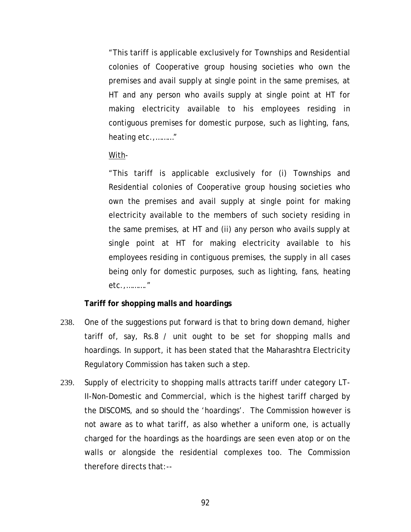"This tariff is applicable exclusively for Townships and Residential colonies of Cooperative group housing societies who own the premises and avail supply at single point in the same premises, at HT and any person who avails supply at single point at HT for making electricity available to his employees residing in contiguous premises for domestic purpose, such as lighting, fans, heating etc.,………"

## With-

"This tariff is applicable exclusively for (i) Townships and Residential colonies of Cooperative group housing societies who own the premises and avail supply at single point for making electricity available to the members of such society residing in the same premises, at HT and (ii) any person who avails supply at single point at HT for making electricity available to his employees residing in contiguous premises, the supply in all cases being only for domestic purposes, such as lighting, fans, heating etc.,………."

# **Tariff for shopping malls and hoardings**

- 238. One of the suggestions put forward is that to bring down demand, higher tariff of, say, Rs.8 / unit ought to be set for shopping malls and hoardings. In support, it has been stated that the Maharashtra Electricity Regulatory Commission has taken such a step.
- 239. Supply of electricity to shopping malls attracts tariff under category LT-II-Non-Domestic and Commercial, which is the highest tariff charged by the DISCOMS, and so should the 'hoardings'. The Commission however is not aware as to what tariff, as also whether a uniform one, is actually charged for the hoardings as the hoardings are seen even atop or on the walls or alongside the residential complexes too. The Commission therefore directs that:--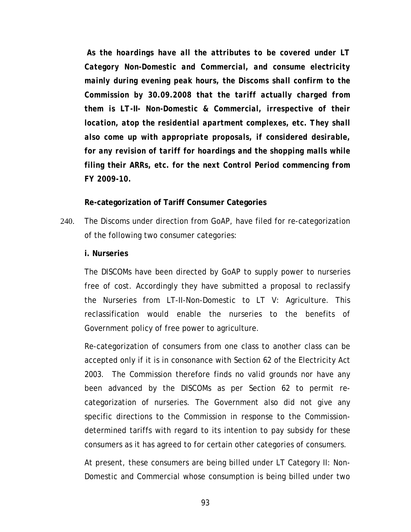*As the hoardings have all the attributes to be covered under LT Category Non-Domestic and Commercial, and consume electricity mainly during evening peak hours, the Discoms shall confirm to the Commission by 30.09.2008 that the tariff actually charged from them is LT-II- Non-Domestic & Commercial, irrespective of their location, atop the residential apartment complexes, etc. They shall also come up with appropriate proposals, if considered desirable, for any revision of tariff for hoardings and the shopping malls while filing their ARRs, etc. for the next Control Period commencing from FY 2009-10.* 

## **Re-categorization of Tariff Consumer Categories**

240. The Discoms under direction from GoAP, have filed for re-categorization of the following two consumer categories:

### **i. Nurseries**

The DISCOMs have been directed by GoAP to supply power to nurseries free of cost. Accordingly they have submitted a proposal to reclassify the Nurseries from LT-II-Non-Domestic to LT V: Agriculture. This reclassification would enable the nurseries to the benefits of Government policy of free power to agriculture.

Re-categorization of consumers from one class to another class can be accepted only if it is in consonance with Section 62 of the Electricity Act 2003. The Commission therefore finds no valid grounds nor have any been advanced by the DISCOMs as per Section 62 to permit recategorization of nurseries. The Government also did not give any specific directions to the Commission in response to the Commissiondetermined tariffs with regard to its intention to pay subsidy for these consumers as it has agreed to for certain other categories of consumers.

At present, these consumers are being billed under LT Category II: Non-Domestic and Commercial whose consumption is being billed under two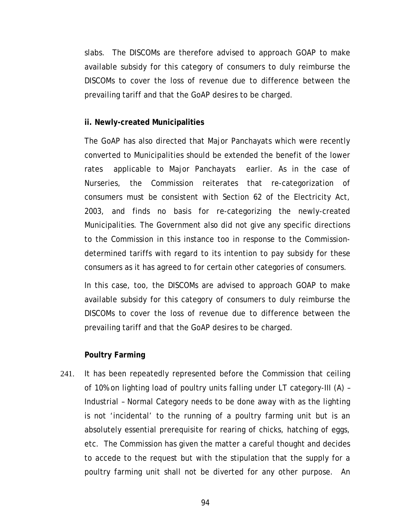slabs. The DISCOMs are therefore advised to approach GOAP to make available subsidy for this category of consumers to duly reimburse the DISCOMs to cover the loss of revenue due to difference between the prevailing tariff and that the GoAP desires to be charged.

## **ii. Newly-created Municipalities**

The GoAP has also directed that Major Panchayats which were recently converted to Municipalities should be extended the benefit of the lower rates applicable to Major Panchayats earlier. As in the case of Nurseries, the Commission reiterates that re-categorization of consumers must be consistent with Section 62 of the Electricity Act, 2003, and finds no basis for re-categorizing the newly-created Municipalities. The Government also did not give any specific directions to the Commission in this instance too in response to the Commissiondetermined tariffs with regard to its intention to pay subsidy for these consumers as it has agreed to for certain other categories of consumers.

In this case, too, the DISCOMs are advised to approach GOAP to make available subsidy for this category of consumers to duly reimburse the DISCOMs to cover the loss of revenue due to difference between the prevailing tariff and that the GoAP desires to be charged.

### **Poultry Farming**

241. It has been repeatedly represented before the Commission that ceiling of 10% on lighting load of poultry units falling under LT category-III (A) – Industrial – Normal Category needs to be done away with as the lighting is not 'incidental' to the running of a poultry farming unit but is an absolutely essential prerequisite for rearing of chicks, hatching of eggs, etc. The Commission has given the matter a careful thought and decides to accede to the request but with the stipulation that the supply for a poultry farming unit shall not be diverted for any other purpose. An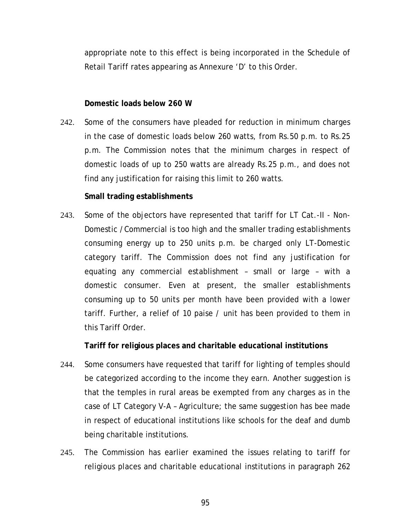appropriate note to this effect is being incorporated in the Schedule of Retail Tariff rates appearing as Annexure 'D' to this Order.

## **Domestic loads below 260 W**

242. Some of the consumers have pleaded for reduction in minimum charges in the case of domestic loads below 260 watts, from Rs.50 p.m. to Rs.25 p.m. The Commission notes that the minimum charges in respect of domestic loads of up to 250 watts are already Rs.25 p.m., and does not find any justification for raising this limit to 260 watts.

## **Small trading establishments**

243. Some of the objectors have represented that tariff for LT Cat.-II - Non-Domestic /Commercial is too high and the smaller trading establishments consuming energy up to 250 units p.m. be charged only LT-Domestic category tariff. The Commission does not find any justification for equating any commercial establishment – small or large – with a domestic consumer. Even at present, the smaller establishments consuming up to 50 units per month have been provided with a lower tariff. Further, a relief of 10 paise / unit has been provided to them in this Tariff Order.

**Tariff for religious places and charitable educational institutions** 

- 244. Some consumers have requested that tariff for lighting of temples should be categorized according to the income they earn. Another suggestion is that the temples in rural areas be exempted from any charges as in the case of LT Category V-A – Agriculture; the same suggestion has bee made in respect of educational institutions like schools for the deaf and dumb being charitable institutions.
- 245. The Commission has earlier examined the issues relating to tariff for religious places and charitable educational institutions in paragraph 262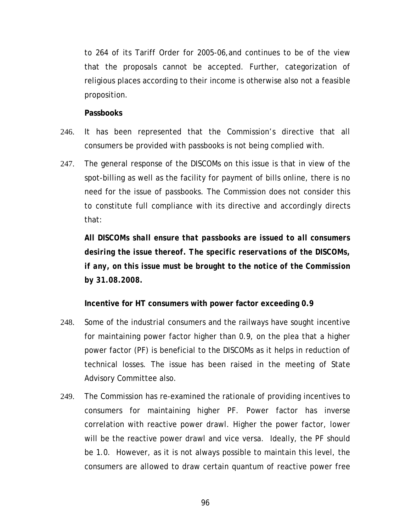to 264 of its Tariff Order for 2005-06,and continues to be of the view that the proposals cannot be accepted. Further, categorization of religious places according to their income is otherwise also not a feasible proposition.

**Passbooks** 

- 246. It has been represented that the Commission's directive that all consumers be provided with passbooks is not being complied with.
- 247. The general response of the DISCOMs on this issue is that in view of the spot-billing as well as the facility for payment of bills online, there is no need for the issue of passbooks. The Commission does not consider this to constitute full compliance with its directive and accordingly directs that:

*All DISCOMs shall ensure that passbooks are issued to all consumers desiring the issue thereof. The specific reservations of the DISCOMs, if any, on this issue must be brought to the notice of the Commission by 31.08.2008.* 

**Incentive for HT consumers with power factor exceeding 0.9** 

- 248. Some of the industrial consumers and the railways have sought incentive for maintaining power factor higher than 0.9, on the plea that a higher power factor (PF) is beneficial to the DISCOMs as it helps in reduction of technical losses. The issue has been raised in the meeting of State Advisory Committee also.
- 249. The Commission has re-examined the rationale of providing incentives to consumers for maintaining higher PF. Power factor has inverse correlation with reactive power drawl. Higher the power factor, lower will be the reactive power drawl and vice versa. Ideally, the PF should be 1.0. However, as it is not always possible to maintain this level, the consumers are allowed to draw certain quantum of reactive power free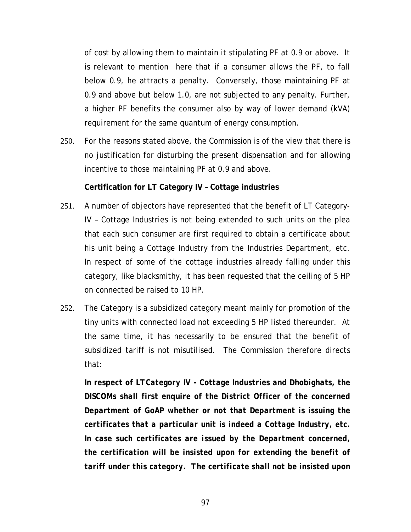of cost by allowing them to maintain it stipulating PF at 0.9 or above. It is relevant to mention here that if a consumer allows the PF, to fall below 0.9, he attracts a penalty. Conversely, those maintaining PF at 0.9 and above but below 1.0, are not subjected to any penalty. Further, a higher PF benefits the consumer also by way of lower demand (kVA) requirement for the same quantum of energy consumption.

250. For the reasons stated above, the Commission is of the view that there is no justification for disturbing the present dispensation and for allowing incentive to those maintaining PF at 0.9 and above.

## **Certification for LT Category IV – Cottage industries**

- 251. A number of objectors have represented that the benefit of LT Category-IV – Cottage Industries is not being extended to such units on the plea that each such consumer are first required to obtain a certificate about his unit being a Cottage Industry from the Industries Department, etc. In respect of some of the cottage industries already falling under this category, like blacksmithy, it has been requested that the ceiling of 5 HP on connected be raised to 10 HP.
- 252. The Category is a subsidized category meant mainly for promotion of the tiny units with connected load not exceeding 5 HP listed thereunder. At the same time, it has necessarily to be ensured that the benefit of subsidized tariff is not misutilised. The Commission therefore directs that:

*In respect of LTCategory IV - Cottage Industries and Dhobighats, the DISCOMs shall first enquire of the District Officer of the concerned Department of GoAP whether or not that Department is issuing the certificates that a particular unit is indeed a Cottage Industry, etc. In case such certificates are issued by the Department concerned, the certification will be insisted upon for extending the benefit of tariff under this category. The certificate shall not be insisted upon*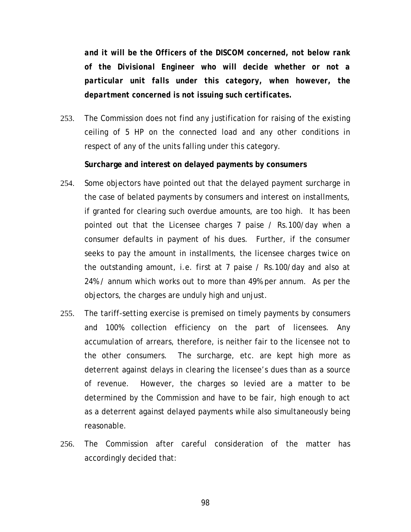*and it will be the Officers of the DISCOM concerned, not below rank of the Divisional Engineer who will decide whether or not a particular unit falls under this category, when however, the department concerned is not issuing such certificates.* 

253. The Commission does not find any justification for raising of the existing ceiling of 5 HP on the connected load and any other conditions in respect of any of the units falling under this category.

## **Surcharge and interest on delayed payments by consumers**

- 254. Some objectors have pointed out that the delayed payment surcharge in the case of belated payments by consumers and interest on installments, if granted for clearing such overdue amounts, are too high. It has been pointed out that the Licensee charges 7 paise / Rs.100/day when a consumer defaults in payment of his dues. Further, if the consumer seeks to pay the amount in installments, the licensee charges twice on the outstanding amount, i.e. first at 7 paise / Rs.100/day and also at 24% / annum which works out to more than 49% per annum. As per the objectors, the charges are unduly high and unjust.
- 255. The tariff-setting exercise is premised on timely payments by consumers and 100% collection efficiency on the part of licensees. Any accumulation of arrears, therefore, is neither fair to the licensee not to the other consumers. The surcharge, etc. are kept high more as deterrent against delays in clearing the licensee's dues than as a source of revenue. However, the charges so levied are a matter to be determined by the Commission and have to be fair, high enough to act as a deterrent against delayed payments while also simultaneously being reasonable.
- 256. The Commission after careful consideration of the matter has accordingly decided that: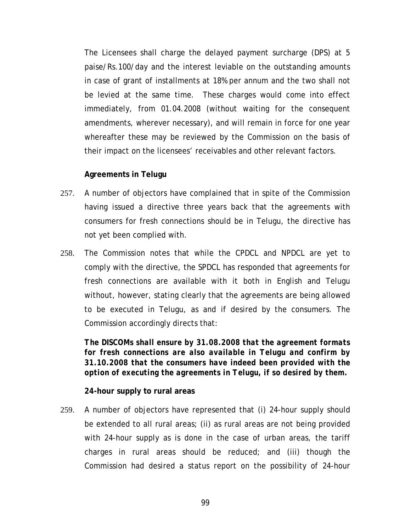The Licensees shall charge the delayed payment surcharge (DPS) at 5 paise/Rs.100/day and the interest leviable on the outstanding amounts in case of grant of installments at 18% per annum and the two shall not be levied at the same time. These charges would come into effect immediately, from 01.04.2008 (without waiting for the consequent amendments, wherever necessary), and will remain in force for one year whereafter these may be reviewed by the Commission on the basis of their impact on the licensees' receivables and other relevant factors.

# **Agreements in Telugu**

- 257. A number of objectors have complained that in spite of the Commission having issued a directive three years back that the agreements with consumers for fresh connections should be in Telugu, the directive has not yet been complied with.
- 258. The Commission notes that while the CPDCL and NPDCL are yet to comply with the directive, the SPDCL has responded that agreements for fresh connections are available with it both in English and Telugu without, however, stating clearly that the agreements are being allowed to be executed in Telugu, as and if desired by the consumers. The Commission accordingly directs that:

*The DISCOMs shall ensure by 31.08.2008 that the agreement formats for fresh connections are also available in Telugu and confirm by 31.10.2008 that the consumers have indeed been provided with the option of executing the agreements in Telugu, if so desired by them.* 

## **24-hour supply to rural areas**

259. A number of objectors have represented that (i) 24-hour supply should be extended to all rural areas; (ii) as rural areas are not being provided with 24-hour supply as is done in the case of urban areas, the tariff charges in rural areas should be reduced; and (iii) though the Commission had desired a status report on the possibility of 24-hour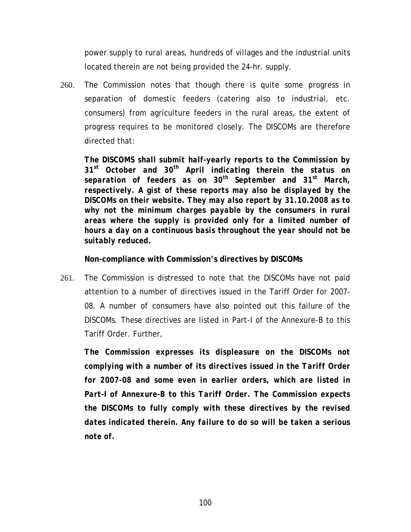power supply to rural areas, hundreds of villages and the industrial units located therein are not being provided the 24-hr. supply.

260. The Commission notes that though there is quite some progress in separation of domestic feeders (catering also to industrial, etc. consumers) from agriculture feeders in the rural areas, the extent of progress requires to be monitored closely. The DISCOMs are therefore directed that:

*The DISCOMS shall submit half-yearly reports to the Commission by 31st October and 30th April indicating therein the status on separation of feeders as on 30th September and 31st March, respectively. A gist of these reports may also be displayed by the DISCOMs on their website. They may also report by 31.10.2008 as to why not the minimum charges payable by the consumers in rural areas where the supply is provided only for a limited number of hours a day on a continuous basis throughout the year should not be suitably reduced.* 

**Non-compliance with Commission's directives by DISCOMs** 

261. The Commission is distressed to note that the DISCOMs have not paid attention to a number of directives issued in the Tariff Order for 2007- 08. A number of consumers have also pointed out this failure of the DISCOMs. These directives are listed in Part-I of the Annexure-B to this Tariff Order. Further,

*The Commission expresses its displeasure on the DISCOMs not complying with a number of its directives issued in the Tariff Order for 2007-08 and some even in earlier orders, which are listed in Part-I of Annexure-B to this Tariff Order. The Commission expects the DISCOMs to fully comply with these directives by the revised dates indicated therein. Any failure to do so will be taken a serious note of.*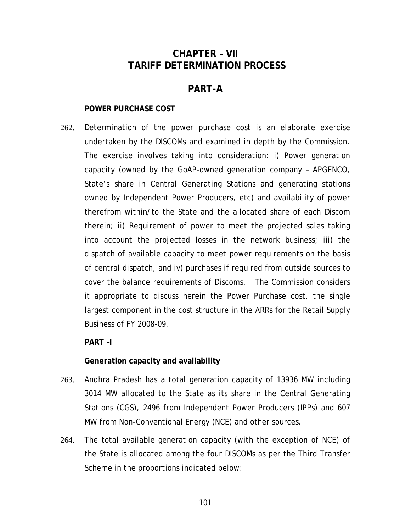# **CHAPTER – VII TARIFF DETERMINATION PROCESS**

# **PART-A**

## **POWER PURCHASE COST**

262. Determination of the power purchase cost is an elaborate exercise undertaken by the DISCOMs and examined in depth by the Commission. The exercise involves taking into consideration: i) Power generation capacity (owned by the GoAP-owned generation company – APGENCO, State's share in Central Generating Stations and generating stations owned by Independent Power Producers, etc) and availability of power therefrom within/to the State and the allocated share of each Discom therein; ii) Requirement of power to meet the projected sales taking into account the projected losses in the network business; iii) the dispatch of available capacity to meet power requirements on the basis of central dispatch, and iv) purchases if required from outside sources to cover the balance requirements of Discoms. The Commission considers it appropriate to discuss herein the Power Purchase cost, the single largest component in the cost structure in the ARRs for the Retail Supply Business of FY 2008-09.

## **PART –I**

## **Generation capacity and availability**

- 263. Andhra Pradesh has a total generation capacity of 13936 MW including 3014 MW allocated to the State as its share in the Central Generating Stations (CGS), 2496 from Independent Power Producers (IPPs) and 607 MW from Non-Conventional Energy (NCE) and other sources.
- 264. The total available generation capacity (with the exception of NCE) of the State is allocated among the four DISCOMs as per the Third Transfer Scheme in the proportions indicated below: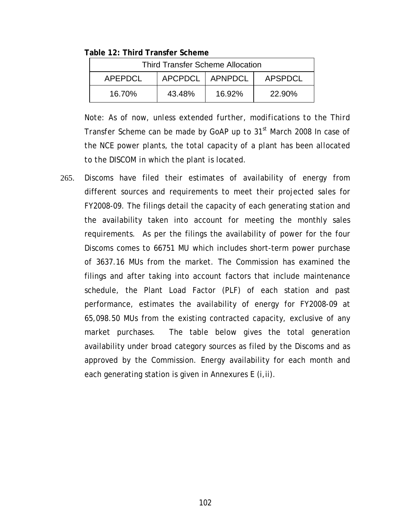#### **Table 12: Third Transfer Scheme**

| <b>Third Transfer Scheme Allocation</b> |                   |        |               |
|-----------------------------------------|-------------------|--------|---------------|
| APEPDCL                                 | APCPDCL   APNPDCL |        | APSPDCL       |
| 16.70%                                  | 43.48%            | 16.92% | <b>22.90%</b> |

*Note: As of now, unless extended further, modifications to the Third Transfer Scheme can be made by GoAP up to 31st March 2008 In case of the NCE power plants, the total capacity of a plant has been allocated to the DISCOM in which the plant is located.* 

265. Discoms have filed their estimates of availability of energy from different sources and requirements to meet their projected sales for FY2008-09. The filings detail the capacity of each generating station and the availability taken into account for meeting the monthly sales requirements. As per the filings the availability of power for the four Discoms comes to 66751 MU which includes short-term power purchase of 3637.16 MUs from the market. The Commission has examined the filings and after taking into account factors that include maintenance schedule, the Plant Load Factor (PLF) of each station and past performance, estimates the availability of energy for FY2008-09 at 65,098.50 MUs from the existing contracted capacity, exclusive of any market purchases. The table below gives the total generation availability under broad category sources as filed by the Discoms and as approved by the Commission. Energy availability for each month and each generating station is given in Annexures E (i,ii).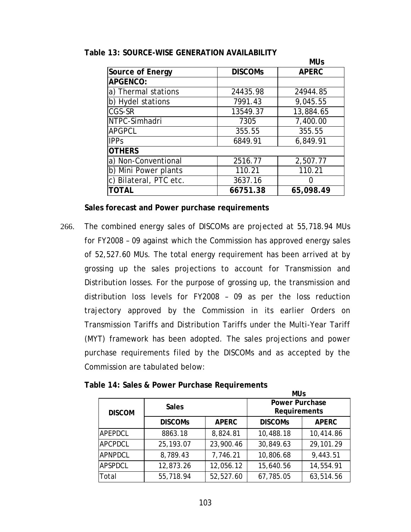|                        |                | <b>MUs</b>   |
|------------------------|----------------|--------------|
| Source of Energy       | <b>DISCOMS</b> | <b>APERC</b> |
| <b>APGENCO:</b>        |                |              |
| a) Thermal stations    | 24435.98       | 24944.85     |
| b) Hydel stations      | 7991.43        | 9,045.55     |
| CGS-SR                 | 13549.37       | 13,884.65    |
| NTPC-Simhadri          | 7305           | 7,400.00     |
| <b>APGPCL</b>          | 355.55         | 355.55       |
| <b>IPPs</b>            | 6849.91        | 6,849.91     |
| <b>OTHERS</b>          |                |              |
| a) Non-Conventional    | 2516.77        | 2,507.77     |
| b) Mini Power plants   | 110.21         | 110.21       |
| c) Bilateral, PTC etc. | 3637.16        |              |
| TOTAL                  | 66751.38       | 65,098.49    |

### <span id="page-108-0"></span>**Table 13: SOURCE-WISE GENERATION AVAILABILITY**

**Sales forecast and Power purchase requirements** 

266. The combined energy sales of DISCOMs are projected at 55,718.94 MUs for FY2008 – 09 against which the Commission has approved energy sales of 52,527.60 MUs. The total energy requirement has been arrived at by grossing up the sales projections to account for Transmission and Distribution losses. For the purpose of grossing up, the transmission and distribution loss levels for FY2008 – 09 as per the loss reduction trajectory approved by the Commission in its earlier Orders on Transmission Tariffs and Distribution Tariffs under the Multi-Year Tariff (MYT) framework has been adopted. The sales projections and power purchase requirements filed by the DISCOMs and as accepted by the Commission are tabulated below:

| <b>Sales</b>   |              |                |                                                     |
|----------------|--------------|----------------|-----------------------------------------------------|
| <b>DISCOMS</b> | <b>APERC</b> | <b>DISCOMS</b> | <b>APERC</b>                                        |
| 8863.18        | 8,824.81     | 10,488.18      | 10,414.86                                           |
| 25, 193.07     | 23,900.46    | 30,849.63      | 29,101.29                                           |
| 8,789.43       | 7,746.21     | 10,806.68      | 9,443.51                                            |
| 12,873.26      | 12,056.12    | 15,640.56      | 14,554.91                                           |
| 55,718.94      | 52,527.60    | 67,785.05      | 63,514.56                                           |
|                |              |                | <b>MUs</b><br><b>Power Purchase</b><br>Requirements |

**Table 14: Sales & Power Purchase Requirements**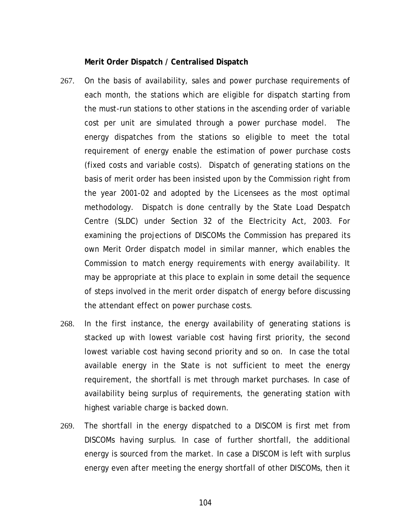#### **Merit Order Dispatch / Centralised Dispatch**

- 267. On the basis of availability, sales and power purchase requirements of each month, the stations which are eligible for dispatch starting from the must-run stations to other stations in the ascending order of variable cost per unit are simulated through a power purchase model. The energy dispatches from the stations so eligible to meet the total requirement of energy enable the estimation of power purchase costs (fixed costs and variable costs). Dispatch of generating stations on the basis of merit order has been insisted upon by the Commission right from the year 2001-02 and adopted by the Licensees as the most optimal methodology. Dispatch is done centrally by the State Load Despatch Centre (SLDC) under Section 32 of the Electricity Act, 2003. For examining the projections of DISCOMs the Commission has prepared its own Merit Order dispatch model in similar manner, which enables the Commission to match energy requirements with energy availability. It may be appropriate at this place to explain in some detail the sequence of steps involved in the merit order dispatch of energy before discussing the attendant effect on power purchase costs.
- 268. In the first instance, the energy availability of generating stations is stacked up with lowest variable cost having first priority, the second lowest variable cost having second priority and so on. In case the total available energy in the State is not sufficient to meet the energy requirement, the shortfall is met through market purchases. In case of availability being surplus of requirements, the generating station with highest variable charge is backed down.
- 269. The shortfall in the energy dispatched to a DISCOM is first met from DISCOMs having surplus. In case of further shortfall, the additional energy is sourced from the market. In case a DISCOM is left with surplus energy even after meeting the energy shortfall of other DISCOMs, then it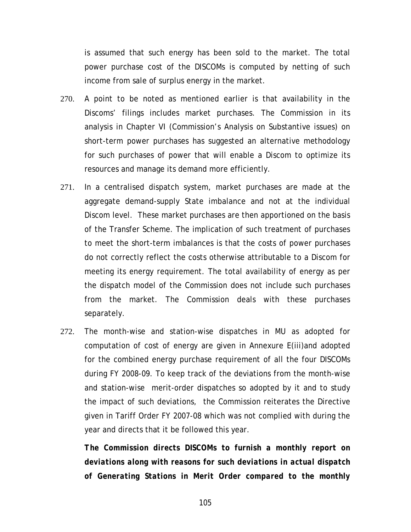is assumed that such energy has been sold to the market. The total power purchase cost of the DISCOMs is computed by netting of such income from sale of surplus energy in the market.

- 270. A point to be noted as mentioned earlier is that availability in the Discoms' filings includes market purchases. The Commission in its analysis in Chapter VI (Commission's Analysis on Substantive issues) on short-term power purchases has suggested an alternative methodology for such purchases of power that will enable a Discom to optimize its resources and manage its demand more efficiently.
- 271. In a centralised dispatch system, market purchases are made at the aggregate demand-supply State imbalance and not at the individual Discom level. These market purchases are then apportioned on the basis of the Transfer Scheme. The implication of such treatment of purchases to meet the short-term imbalances is that the costs of power purchases do not correctly reflect the costs otherwise attributable to a Discom for meeting its energy requirement. The total availability of energy as per the dispatch model of the Commission does not include such purchases from the market. The Commission deals with these purchases separately.
- 272. The month-wise and station-wise dispatches in MU as adopted for computation of cost of energy are given in Annexure E(iii)and adopted for the combined energy purchase requirement of all the four DISCOMs during FY 2008-09. To keep track of the deviations from the month-wise and station-wise merit-order dispatches so adopted by it and to study the impact of such deviations, the Commission reiterates the Directive given in Tariff Order FY 2007-08 which was not complied with during the year and directs that it be followed this year.

*The Commission directs DISCOMs to furnish a monthly report on deviations along with reasons for such deviations in actual dispatch of Generating Stations in Merit Order compared to the monthly*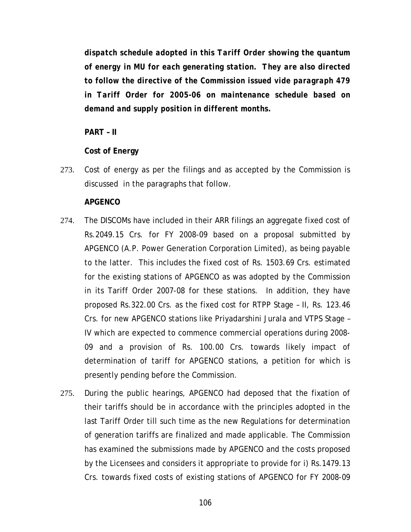*dispatch schedule adopted in this Tariff Order showing the quantum of energy in MU for each generating station. They are also directed to follow the directive of the Commission issued vide paragraph 479 in Tariff Order for 2005-06 on maintenance schedule based on demand and supply position in different months.* 

**PART – II** 

# **Cost of Energy**

273. Cost of energy as per the filings and as accepted by the Commission is discussed in the paragraphs that follow.

## **APGENCO**

- 274. The DISCOMs have included in their ARR filings an aggregate fixed cost of Rs.2049.15 Crs. for FY 2008-09 based on a proposal submitted by APGENCO (A.P. Power Generation Corporation Limited), as being payable to the latter. This includes the fixed cost of Rs. 1503.69 Crs. estimated for the existing stations of APGENCO as was adopted by the Commission in its Tariff Order 2007-08 for these stations. In addition, they have proposed Rs.322.00 Crs. as the fixed cost for RTPP Stage – II, Rs. 123.46 Crs. for new APGENCO stations like Priyadarshini Jurala and VTPS Stage – IV which are expected to commence commercial operations during 2008- 09 and a provision of Rs. 100.00 Crs. towards likely impact of determination of tariff for APGENCO stations, a petition for which is presently pending before the Commission.
- 275. During the public hearings, APGENCO had deposed that the fixation of their tariffs should be in accordance with the principles adopted in the last Tariff Order till such time as the new Regulations for determination of generation tariffs are finalized and made applicable. The Commission has examined the submissions made by APGENCO and the costs proposed by the Licensees and considers it appropriate to provide for i) Rs.1479.13 Crs. towards fixed costs of existing stations of APGENCO for FY 2008-09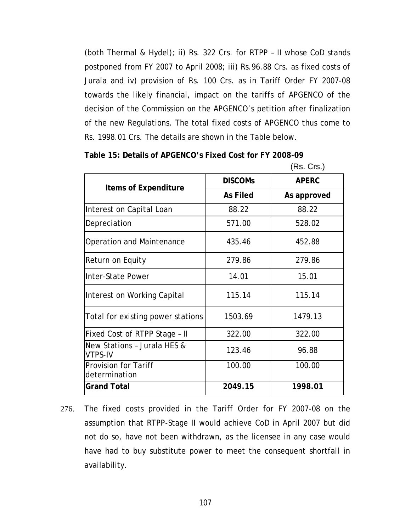(both Thermal & Hydel); ii) Rs. 322 Crs. for RTPP – II whose CoD stands postponed from FY 2007 to April 2008; iii) Rs.96.88 Crs. as fixed costs of Jurala and iv) provision of Rs. 100 Crs. as in Tariff Order FY 2007-08 towards the likely financial, impact on the tariffs of APGENCO of the decision of the Commission on the APGENCO's petition after finalization of the new Regulations. The total fixed costs of APGENCO thus come to Rs. 1998.01 Crs. The details are shown in the Table below.

**Table 15: Details of APGENCO's Fixed Cost for FY 2008-09** 

(Rs. Crs.)

|                                               | <b>DISCOMS</b>  | <b>APERC</b> |
|-----------------------------------------------|-----------------|--------------|
| Items of Expenditure                          | <b>As Filed</b> | As approved  |
| Interest on Capital Loan                      | 88.22           | 88.22        |
| Depreciation                                  | 571.00          | 528.02       |
| Operation and Maintenance                     | 435.46          | 452.88       |
| Return on Equity                              | 279.86          | 279.86       |
| Inter-State Power                             | 14.01           | 15.01        |
| Interest on Working Capital                   | 115.14          | 115.14       |
| Total for existing power stations             | 1503.69         | 1479.13      |
| Fixed Cost of RTPP Stage - II                 | 322.00          | 322.00       |
| New Stations - Jurala HES &<br><b>VTPS-IV</b> | 123.46          | 96.88        |
| <b>Provision for Tariff</b><br>determination  | 100.00          | 100.00       |
| <b>Grand Total</b>                            | 2049.15         | 1998.01      |

276. The fixed costs provided in the Tariff Order for FY 2007-08 on the assumption that RTPP-Stage II would achieve CoD in April 2007 but did not do so, have not been withdrawn, as the licensee in any case would have had to buy substitute power to meet the consequent shortfall in availability.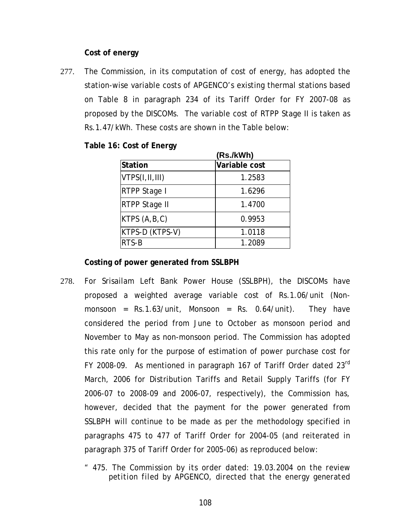### **Cost of energy**

277. The Commission, in its computation of cost of energy, has adopted the station-wise variable costs of APGENCO's existing thermal stations based on Table 8 in paragraph 234 of its Tariff Order for FY 2007-08 as proposed by the DISCOMs. The variable cost of RTPP Stage II is taken as Rs.1.47/kWh. These costs are shown in the Table below:

|  |  |  |  | Table 16: Cost of Energy |
|--|--|--|--|--------------------------|
|--|--|--|--|--------------------------|

|                  | (Rs./kWh)     |
|------------------|---------------|
| Station          | Variable cost |
| VTPS(I, II, III) | 1.2583        |
| RTPP Stage I     | 1.6296        |
| RTPP Stage II    | 1.4700        |
| KTPS $(A, B, C)$ | 0.9953        |
| KTPS-D (KTPS-V)  | 1.0118        |
| RTS-B            | 1.2089        |

**Costing of power generated from SSLBPH** 

- 278. For Srisailam Left Bank Power House (SSLBPH), the DISCOMs have proposed a weighted average variable cost of Rs.1.06/unit (Nonmonsoon =  $Rs.1.63/unit$ , Monsoon =  $Rs. 0.64/unit$ ). They have considered the period from June to October as monsoon period and November to May as non-monsoon period. The Commission has adopted this rate only for the purpose of estimation of power purchase cost for FY 2008-09. As mentioned in paragraph 167 of Tariff Order dated  $23<sup>rd</sup>$ March, 2006 for Distribution Tariffs and Retail Supply Tariffs (for FY 2006-07 to 2008-09 and 2006-07, respectively), the Commission has, however, decided that the payment for the power generated from SSLBPH will continue to be made as per the methodology specified in paragraphs 475 to 477 of Tariff Order for 2004-05 (and reiterated in paragraph 375 of Tariff Order for 2005-06) as reproduced below:
	- *" 475. The Commission by its order dated: 19.03.2004 on the review petition filed by APGENCO, directed that the energy generated*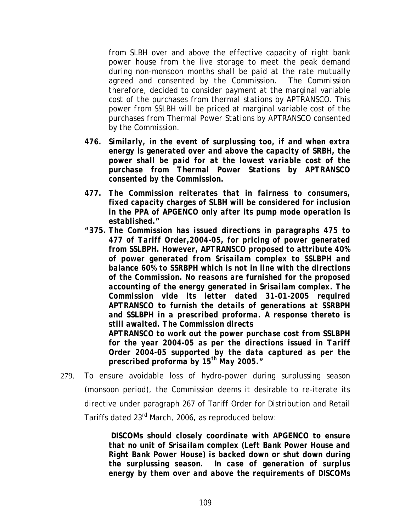*from SLBH over and above the effective capacity of right bank power house from the live storage to meet the peak demand during non-monsoon months shall be paid at the rate mutually agreed and consented by the Commission. The Commission therefore, decided to consider payment at the marginal variable cost of the purchases from thermal stations by APTRANSCO. This power from SSLBH will be priced at marginal variable cost of the purchases from Thermal Power Stations by APTRANSCO consented by the Commission.* 

- *476. Similarly, in the event of surplussing too, if and when extra energy is generated over and above the capacity of SRBH, the power shall be paid for at the lowest variable cost of the purchase from Thermal Power Stations by APTRANSCO consented by the Commission.*
- *477. The Commission reiterates that in fairness to consumers, fixed capacity charges of SLBH will be considered for inclusion in the PPA of APGENCO only after its pump mode operation is established."*
- *"375. The Commission has issued directions in paragraphs 475 to 477 of Tariff Order,2004-05, for pricing of power generated from SSLBPH. However, APTRANSCO proposed to attribute 40% of power generated from Srisailam complex to SSLBPH and balance 60% to SSRBPH which is not in line with the directions of the Commission. No reasons are furnished for the proposed accounting of the energy generated in Srisailam complex. The Commission vide its letter dated 31-01-2005 required APTRANSCO to furnish the details of generations at SSRBPH and SSLBPH in a prescribed proforma. A response thereto is still awaited. The Commission directs*

 *APTRANSCO to work out the power purchase cost from SSLBPH for the year 2004-05 as per the directions issued in Tariff Order 2004-05 supported by the data captured as per the prescribed proforma by 15th May 2005."* 

279. To ensure avoidable loss of hydro-power during surplussing season (monsoon period), the Commission deems it desirable to re-iterate its directive under paragraph 267 of Tariff Order for Distribution and Retail Tariffs dated 23rd March, 2006, as reproduced below:

> *DISCOMs should closely coordinate with APGENCO to ensure that no unit of Srisailam complex (Left Bank Power House and Right Bank Power House) is backed down or shut down during the surplussing season. In case of generation of surplus energy by them over and above the requirements of DISCOMs*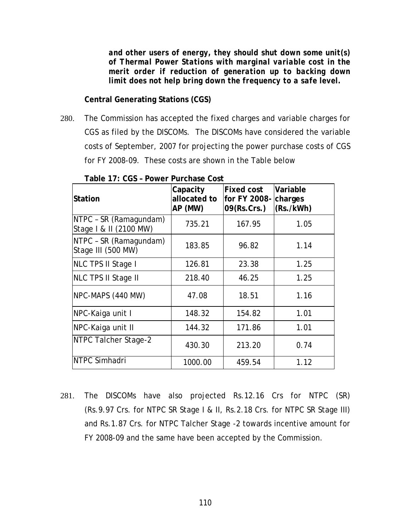*and other users of energy, they should shut down some unit(s) of Thermal Power Stations with marginal variable cost in the merit order if reduction of generation up to backing down limit does not help bring down the frequency to a safe level.*

**Central Generating Stations (CGS)** 

280. The Commission has accepted the fixed charges and variable charges for CGS as filed by the DISCOMs. The DISCOMs have considered the variable costs of September, 2007 for projecting the power purchase costs of CGS for FY 2008-09. These costs are shown in the Table below

| <b>Station</b>                                   | Capacity<br>allocated to<br>AP (MW) | <b>Fixed cost</b><br>for FY 2008-<br>09(Rs.Crs.) | Variable<br>charges<br>(Rs./kWh) |
|--------------------------------------------------|-------------------------------------|--------------------------------------------------|----------------------------------|
| NTPC - SR (Ramagundam)<br>Stage   & II (2100 MW) | 735.21                              | 167.95                                           | 1.05                             |
| NTPC - SR (Ramagundam)<br>Stage III (500 MW)     | 183.85                              | 96.82                                            | 1.14                             |
| NLC TPS II Stage I                               | 126.81                              | 23.38                                            | 1.25                             |
| <b>NLC TPS II Stage II</b>                       | 218.40                              | 46.25                                            | 1.25                             |
| NPC-MAPS (440 MW)                                | 47.08                               | 18.51                                            | 1.16                             |
| NPC-Kaiga unit I                                 | 148.32                              | 154.82                                           | 1.01                             |
| NPC-Kaiga unit II                                | 144.32                              | 171.86                                           | 1.01                             |
| NTPC Talcher Stage-2                             | 430.30                              | 213.20                                           | 0.74                             |
| NTPC Simhadri                                    | 1000.00                             | 459.54                                           | 1.12                             |

**Table 17: CGS – Power Purchase Cost** 

281. The DISCOMs have also projected Rs.12.16 Crs for NTPC (SR) (Rs.9.97 Crs. for NTPC SR Stage I & II, Rs.2.18 Crs. for NTPC SR Stage III) and Rs.1.87 Crs. for NTPC Talcher Stage -2 towards incentive amount for FY 2008-09 and the same have been accepted by the Commission.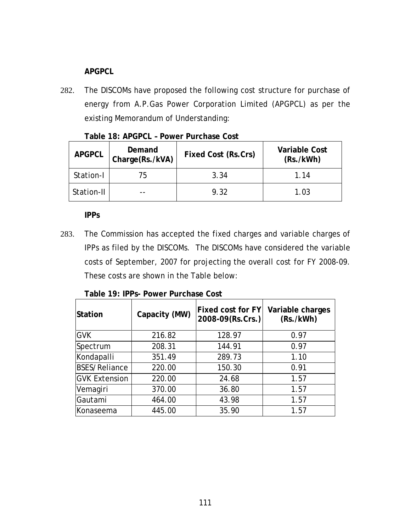# **APGPCL**

282. The DISCOMs have proposed the following cost structure for purchase of energy from A.P.Gas Power Corporation Limited (APGPCL) as per the existing Memorandum of Understanding:

| Table 18: APGPCL - Power Purchase Cost |        |                            |  |  |
|----------------------------------------|--------|----------------------------|--|--|
| ADCDCL                                 | Demand | $Eivod$ Cost $(Dc$ Crs $)$ |  |  |

| <b>APGPCL</b> | Demand<br>Charge(Rs./kVA) | Fixed Cost (Rs.Crs) | <b>Variable Cost</b><br>(Rs./kWh) |
|---------------|---------------------------|---------------------|-----------------------------------|
| Station-I     | 75                        | 3.34                | 1 14                              |
| Station-II    |                           | 9.32                | 1.03                              |

**IPPs** 

283. The Commission has accepted the fixed charges and variable charges of IPPs as filed by the DISCOMs. The DISCOMs have considered the variable costs of September, 2007 for projecting the overall cost for FY 2008-09. These costs are shown in the Table below:

| Capacity (MW)<br><b>Station</b> |        | <b>Fixed cost for FY</b><br>2008-09(Rs.Crs.) | Variable charges<br>(Rs./kWh) |
|---------------------------------|--------|----------------------------------------------|-------------------------------|
| <b>GVK</b>                      | 216.82 | 128.97                                       | 0.97                          |
| Spectrum                        | 208.31 | 144.91                                       | 0.97                          |
| Kondapalli                      | 351.49 | 289.73                                       | 1.10                          |
| <b>BSES/Reliance</b>            | 220.00 | 150.30                                       | 0.91                          |
| <b>GVK Extension</b>            | 220.00 | 24.68                                        | 1.57                          |
| Vemagiri                        | 370.00 | 36.80                                        | 1.57                          |
| Gautami                         | 464.00 | 43.98                                        | 1.57                          |
| Konaseema                       | 445.00 | 35.90                                        | 1.57                          |

### **Table 19: IPPs- Power Purchase Cost**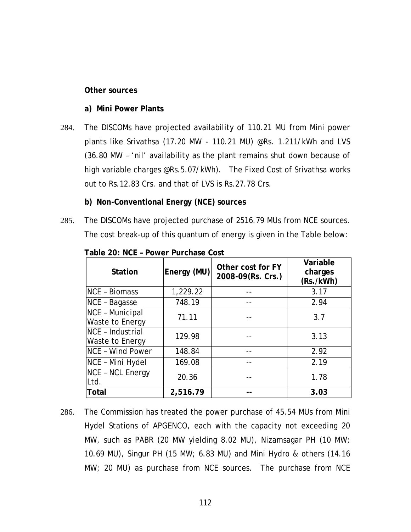#### **Other sources**

#### **a) Mini Power Plants**

- 284. The DISCOMs have projected availability of 110.21 MU from Mini power plants like Srivathsa (17.20 MW - 110.21 MU) @Rs. 1.211/kWh and LVS (36.80 MW – 'nil' availability as the plant remains shut down because of high variable charges @Rs.5.07/kWh). The Fixed Cost of Srivathsa works out to Rs.12.83 Crs. and that of LVS is Rs.27.78 Crs.
	- **b) Non-Conventional Energy (NCE) sources**
- 285. The DISCOMs have projected purchase of 2516.79 MUs from NCE sources. The cost break-up of this quantum of energy is given in the Table below:

| <b>Station</b>                        | Energy (MU) | Other cost for FY<br>2008-09(Rs. Crs.) | Variable<br>charges<br>(Rs./kWh) |
|---------------------------------------|-------------|----------------------------------------|----------------------------------|
| <b>NCE - Biomass</b>                  | 1,229.22    |                                        | 3.17                             |
| NCE - Bagasse                         | 748.19      |                                        | 2.94                             |
| NCE - Municipal<br>Waste to Energy    | 71.11       |                                        | 3.7                              |
| $NCE - Industrial$<br>Waste to Energy | 129.98      |                                        | 3.13                             |
| <b>NCE - Wind Power</b>               | 148.84      |                                        | 2.92                             |
| NCE - Mini Hydel                      | 169.08      |                                        | 2.19                             |
| <b>NCE - NCL Energy</b><br>Ltd.       | 20.36       |                                        | 1.78                             |
| <b>Total</b>                          | 2,516.79    |                                        | 3.03                             |

**Table 20: NCE – Power Purchase Cost** 

286. The Commission has treated the power purchase of 45.54 MUs from Mini Hydel Stations of APGENCO, each with the capacity not exceeding 20 MW, such as PABR (20 MW yielding 8.02 MU), Nizamsagar PH (10 MW; 10.69 MU), Singur PH (15 MW; 6.83 MU) and Mini Hydro & others (14.16 MW; 20 MU) as purchase from NCE sources. The purchase from NCE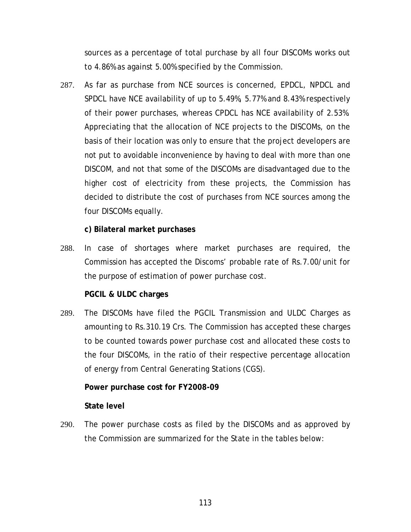<span id="page-118-0"></span>sources as a percentage of total purchase by all four DISCOMs works out to 4.86% as against 5.00% specified by the Commission.

287. As far as purchase from NCE sources is concerned, EPDCL, NPDCL and SPDCL have NCE availability of up to 5.49%, 5.77% and 8.43% respectively of their power purchases, whereas CPDCL has NCE availability of 2.53%. Appreciating that the allocation of NCE projects to the DISCOMs, on the basis of their location was only to ensure that the project developers are not put to avoidable inconvenience by having to deal with more than one DISCOM, and not that some of the DISCOMs are disadvantaged due to the higher cost of electricity from these projects, the Commission has decided to distribute the cost of purchases from NCE sources among the four DISCOMs equally.

**c) Bilateral market purchases** 

288. In case of shortages where market purchases are required, the Commission has accepted the Discoms' probable rate of Rs.7.00/unit for the purpose of estimation of power purchase cost.

**PGCIL & ULDC charges** 

289. The DISCOMs have filed the PGCIL Transmission and ULDC Charges as amounting to Rs.310.19 Crs. The Commission has accepted these charges to be counted towards power purchase cost and allocated these costs to the four DISCOMs, in the ratio of their respective percentage allocation of energy from Central Generating Stations (CGS).

# **Power purchase cost for FY2008-09**

### **State level**

290. The power purchase costs as filed by the DISCOMs and as approved by the Commission are summarized for the State in the tables below: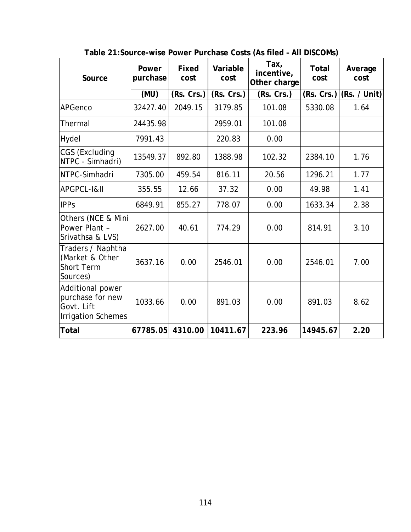| Source                                                                          | Power<br>purchase | Fixed<br>cost | Variable<br>cost | Tax,<br>incentive,<br>Other charge | <b>Total</b><br>cost | Average<br>cost |
|---------------------------------------------------------------------------------|-------------------|---------------|------------------|------------------------------------|----------------------|-----------------|
|                                                                                 | (MU)              | (Rs. Crs.)    | (Rs. Crs.)       | (Rs. Crs.)                         | (Rs. Crs.)           | (Rs. / Unit)    |
| <b>APGenco</b>                                                                  | 32427.40          | 2049.15       | 3179.85          | 101.08                             | 5330.08              | 1.64            |
| Thermal                                                                         | 24435.98          |               | 2959.01          | 101.08                             |                      |                 |
| Hydel                                                                           | 7991.43           |               | 220.83           | 0.00                               |                      |                 |
| CGS (Excluding<br>NTPC - Simhadri)                                              | 13549.37          | 892.80        | 1388.98          | 102.32                             | 2384.10              | 1.76            |
| NTPC-Simhadri                                                                   | 7305.00           | 459.54        | 816.11           | 20.56                              | 1296.21              | 1.77            |
| APGPCL-I&II                                                                     | 355.55            | 12.66         | 37.32            | 0.00                               | 49.98                | 1.41            |
| <b>IPPs</b>                                                                     | 6849.91           | 855.27        | 778.07           | 0.00                               | 1633.34              | 2.38            |
| Others (NCE & Mini<br>Power Plant -<br>Srivathsa & LVS)                         | 2627.00           | 40.61         | 774.29           | 0.00                               | 814.91               | 3.10            |
| Traders / Naphtha<br>(Market & Other<br><b>Short Term</b><br>Sources)           | 3637.16           | 0.00          | 2546.01          | 0.00                               | 2546.01              | 7.00            |
| Additional power<br>purchase for new<br>Govt. Lift<br><b>Irrigation Schemes</b> | 1033.66           | 0.00          | 891.03           | 0.00                               | 891.03               | 8.62            |
| <b>Total</b>                                                                    | 67785.05          | 4310.00       | 10411.67         | 223.96                             | 14945.67             | 2.20            |

**Table 21:Source-wise Power Purchase Costs (As filed – All DISCOMs)**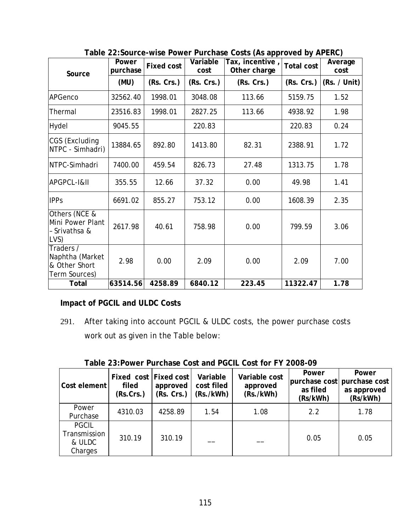| Source                                                         | Power<br>purchase | <b>Fixed cost</b> | Variable<br>cost | Tax, incentive,<br>Other charge | <b>Total cost</b> | Average<br>cost |
|----------------------------------------------------------------|-------------------|-------------------|------------------|---------------------------------|-------------------|-----------------|
|                                                                | (MU)              | (Rs. Crs.)        | (Rs. Crs.)       | (Rs. Crs.)                      | (Rs. Crs.)        | (Rs. / Unit)    |
| APGenco                                                        | 32562.40          | 1998.01           | 3048.08          | 113.66                          | 5159.75           | 1.52            |
| Thermal                                                        | 23516.83          | 1998.01           | 2827.25          | 113.66                          | 4938.92           | 1.98            |
| Hydel                                                          | 9045.55           |                   | 220.83           |                                 | 220.83            | 0.24            |
| CGS (Excluding<br>NTPC - Simhadri)                             | 13884.65          | 892.80            | 1413.80          | 82.31                           | 2388.91           | 1.72            |
| NTPC-Simhadri                                                  | 7400.00           | 459.54            | 826.73           | 27.48                           | 1313.75           | 1.78            |
| APGPCL-I&II                                                    | 355.55            | 12.66             | 37.32            | 0.00                            | 49.98             | 1.41            |
| <b>IPPs</b>                                                    | 6691.02           | 855.27            | 753.12           | 0.00                            | 1608.39           | 2.35            |
| Others (NCE &<br>Mini Power Plant<br>Srivathsa &<br>LVS)       | 2617.98           | 40.61             | 758.98           | 0.00                            | 799.59            | 3.06            |
| Traders /<br>Naphtha (Market<br>& Other Short<br>Term Sources) | 2.98              | 0.00              | 2.09             | 0.00                            | 2.09              | 7.00            |
| Total                                                          | 63514.56          | 4258.89           | 6840.12          | 223.45                          | 11322.47          | 1.78            |

**Table 22:Source-wise Power Purchase Costs (As approved by APERC)** 

**Impact of PGCIL and ULDC Costs** 

291. After taking into account PGCIL & ULDC costs, the power purchase costs work out as given in the Table below:

| Cost element                                      | Fixed cost Fixed cost<br>filed<br>(Rs.Crs.) | approved<br>(Rs. Crs.) | Variable<br>cost filed<br>(Rs./kWh) | Variable cost<br>approved<br>(Rs./kWh) | Power<br>as filed<br>(Rs/kWh) | Power<br>purchase cost purchase cost<br>as approved<br>(Rs/kWh) |
|---------------------------------------------------|---------------------------------------------|------------------------|-------------------------------------|----------------------------------------|-------------------------------|-----------------------------------------------------------------|
| Power<br>Purchase                                 | 4310.03                                     | 4258.89                | 1.54                                | 1.08                                   | 2.2                           | 1.78                                                            |
| <b>PGCIL</b><br>Transmission<br>& ULDC<br>Charges | 310.19                                      | 310.19                 |                                     |                                        | 0.05                          | 0.05                                                            |

**Table 23:Power Purchase Cost and PGCIL Cost for FY 2008-09**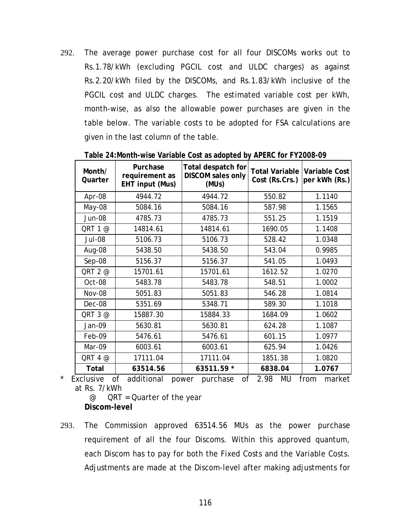292. The average power purchase cost for all four DISCOMs works out to Rs.1.78/kWh (excluding PGCIL cost and ULDC charges) as against Rs.2.20/kWh filed by the DISCOMs, and Rs.1.83/kWh inclusive of the PGCIL cost and ULDC charges. The estimated variable cost per kWh, month-wise, as also the allowable power purchases are given in the table below. The variable costs to be adopted for FSA calculations are given in the last column of the table.

| Month/<br>Quarter | Purchase<br>requirement as<br>EHT input (Mus) | Total despatch for<br><b>DISCOM</b> sales only<br>(MUs) | <b>Total Variable</b><br>Cost (Rs.Crs.) | <b>Variable Cost</b><br>per kWh (Rs.) |
|-------------------|-----------------------------------------------|---------------------------------------------------------|-----------------------------------------|---------------------------------------|
| Apr-08            | 4944.72                                       | 4944.72                                                 | 550.82                                  | 1.1140                                |
| May-08            | 5084.16                                       | 5084.16                                                 | 587.98                                  | 1.1565                                |
| <b>Jun-08</b>     | 4785.73                                       | 4785.73                                                 | 551.25                                  | 1.1519                                |
| QRT 1 @           | 14814.61                                      | 14814.61                                                | 1690.05                                 | 1.1408                                |
| Jul-08            | 5106.73                                       | 5106.73                                                 | 528.42                                  | 1.0348                                |
| Aug-08            | 5438.50                                       | 5438.50                                                 | 543.04                                  | 0.9985                                |
| $Sep-08$          | 5156.37                                       | 5156.37                                                 | 541.05                                  | 1.0493                                |
| QRT 2 @           | 15701.61                                      | 15701.61                                                | 1612.52                                 | 1.0270                                |
| Oct-08            | 5483.78                                       | 5483.78                                                 | 548.51                                  | 1.0002                                |
| <b>Nov-08</b>     | 5051.83                                       | 5051.83                                                 | 546.28                                  | 1.0814                                |
| Dec-08            | 5351.69                                       | 5348.71                                                 | 589.30                                  | 1.1018                                |
| QRT 3 @           | 15887.30                                      | 15884.33                                                | 1684.09                                 | 1.0602                                |
| Jan-09            | 5630.81                                       | 5630.81                                                 | 624.28                                  | 1.1087                                |
| Feb-09            | 5476.61                                       | 5476.61                                                 | 601.15                                  | 1.0977                                |
| Mar-09            | 6003.61                                       | 6003.61                                                 | 625.94                                  | 1.0426                                |
| QRT 4 @           | 17111.04                                      | 17111.04                                                | 1851.38                                 | 1.0820                                |
| Total             | 63514.56                                      | 63511.59 *                                              | 6838.04                                 | 1.0767                                |

**Table 24:Month-wise Variable Cost as adopted by APERC for FY2008-09** 

\* Exclusive of additional power purchase of 2.98 MU from market at Rs. 7/kWh

 @ QRT = Quarter of the year **Discom-level** 

293. The Commission approved 63514.56 MUs as the power purchase requirement of all the four Discoms. Within this approved quantum, each Discom has to pay for both the Fixed Costs and the Variable Costs. Adjustments are made at the Discom-level after making adjustments for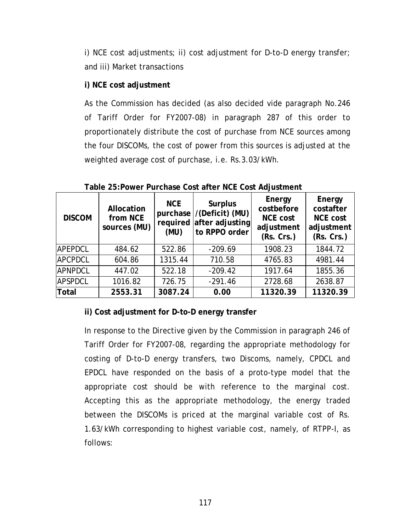i) NCE cost adjustments; ii) cost adjustment for D-to-D energy transfer; and iii) Market transactions

# **i) NCE cost adjustment**

As the Commission has decided (as also decided vide paragraph No.246 of Tariff Order for FY2007-08) in paragraph [287](#page-118-0) of this order to proportionately distribute the cost of purchase from NCE sources among the four DISCOMs, the cost of power from this sources is adjusted at the weighted average cost of purchase, i.e. Rs.3.03/kWh.

| <b>DISCOM</b>  | Allocation<br>from NCE<br>sources (MU) | <b>NCE</b><br>(MU) | <b>Surplus</b><br>purchase /(Deficit) (MU)<br>required after adjusting<br>to RPPO order | Energy<br>costbefore<br><b>NCE cost</b><br>adjustment<br>(Rs. Crs.) | Energy<br>costafter<br><b>NCE cost</b><br>adjustment<br>(Rs. Crs.) |
|----------------|----------------------------------------|--------------------|-----------------------------------------------------------------------------------------|---------------------------------------------------------------------|--------------------------------------------------------------------|
| <b>APEPDCL</b> | 484.62                                 | 522.86             | $-209.69$                                                                               | 1908.23                                                             | 1844.72                                                            |
| <b>APCPDCL</b> | 604.86                                 | 1315.44            | 710.58                                                                                  | 4765.83                                                             | 4981.44                                                            |
| <b>APNPDCL</b> | 447.02                                 | 522.18             | $-209.42$                                                                               | 1917.64                                                             | 1855.36                                                            |
| <b>APSPDCL</b> | 1016.82                                | 726.75             | $-291.46$                                                                               | 2728.68                                                             | 2638.87                                                            |
| Total          | 2553.31                                | 3087.24            | 0.00                                                                                    | 11320.39                                                            | 11320.39                                                           |

**Table 25:Power Purchase Cost after NCE Cost Adjustment** 

# **ii) Cost adjustment for D-to-D energy transfer**

In response to the Directive given by the Commission in paragraph 246 of Tariff Order for FY2007-08, regarding the appropriate methodology for costing of D-to-D energy transfers, two Discoms, namely, CPDCL and EPDCL have responded on the basis of a proto-type model that the appropriate cost should be with reference to the marginal cost. Accepting this as the appropriate methodology, the energy traded between the DISCOMs is priced at the marginal variable cost of Rs. 1.63/kWh corresponding to highest variable cost, namely, of RTPP-I, as follows: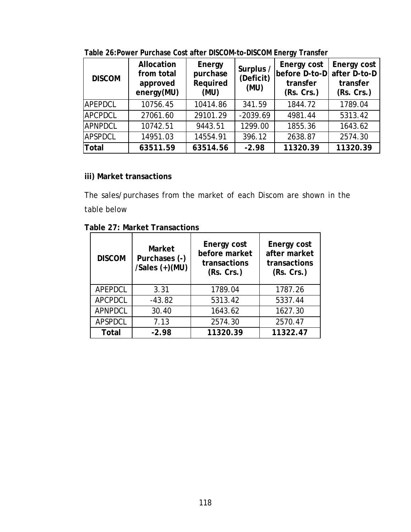| <b>DISCOM</b>  | Allocation<br>from total<br>approved<br>energy(MU) | Energy<br>purchase<br>Required<br>(MU) | Surplus /<br>(Deficit)<br>(MU) | Energy cost<br>before D-to-D<br>transfer<br>(Rs. Crs.) | Energy cost<br>after D-to-D<br>transfer<br>(Rs. Crs.) |
|----------------|----------------------------------------------------|----------------------------------------|--------------------------------|--------------------------------------------------------|-------------------------------------------------------|
| <b>APEPDCL</b> | 10756.45                                           | 10414.86                               | 341.59                         | 1844.72                                                | 1789.04                                               |
| <b>APCPDCL</b> | 27061.60                                           | 29101.29                               | $-2039.69$                     | 4981.44                                                | 5313.42                                               |
| <b>APNPDCL</b> | 10742.51                                           | 9443.51                                | 1299.00                        | 1855.36                                                | 1643.62                                               |
| <b>APSPDCL</b> | 14951.03                                           | 14554.91                               | 396.12                         | 2638.87                                                | 2574.30                                               |
| Total          | 63511.59                                           | 63514.56                               | $-2.98$                        | 11320.39                                               | 11320.39                                              |

**Table 26:Power Purchase Cost after DISCOM-to-DISCOM Energy Transfer** 

# **iii) Market transactions**

The sales/purchases from the market of each Discom are shown in the table below

|  | Table 27: Market Transactions |
|--|-------------------------------|
|--|-------------------------------|

| <b>DISCOM</b>  | Market<br>Purchases (-)<br>/Sales (+)(MU) | Energy cost<br>before market<br>transactions<br>(Rs. Crs.) | Energy cost<br>after market<br>transactions<br>(Rs. Crs.) |
|----------------|-------------------------------------------|------------------------------------------------------------|-----------------------------------------------------------|
| APEPDCL        | 3.31                                      | 1789.04                                                    | 1787.26                                                   |
| <b>APCPDCL</b> | $-43.82$                                  | 5313.42                                                    | 5337.44                                                   |
| <b>APNPDCL</b> | 30.40                                     | 1643.62                                                    | 1627.30                                                   |
| APSPDCL        | 7.13                                      | 2574.30                                                    | 2570.47                                                   |
| <b>Total</b>   | $-2.98$                                   | 11320.39                                                   | 11322.47                                                  |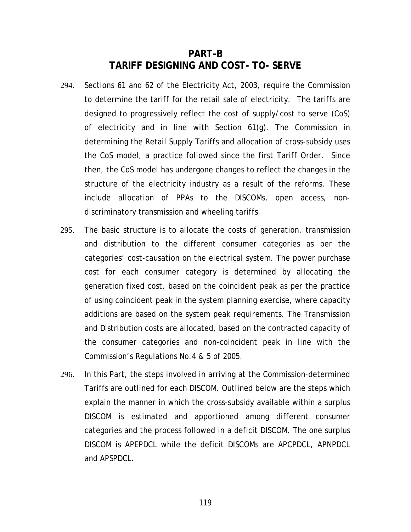# **PART-B TARIFF DESIGNING AND COST- TO- SERVE**

- 294. Sections 61 and 62 of the Electricity Act, 2003, require the Commission to determine the tariff for the retail sale of electricity. The tariffs are designed to progressively reflect the cost of supply/cost to serve (CoS) of electricity and in line with Section 61(g). The Commission in determining the Retail Supply Tariffs and allocation of cross-subsidy uses the CoS model, a practice followed since the first Tariff Order. Since then, the CoS model has undergone changes to reflect the changes in the structure of the electricity industry as a result of the reforms. These include allocation of PPAs to the DISCOMs, open access, nondiscriminatory transmission and wheeling tariffs.
- 295. The basic structure is to allocate the costs of generation, transmission and distribution to the different consumer categories as per the categories' cost-causation on the electrical system. The power purchase cost for each consumer category is determined by allocating the generation fixed cost, based on the coincident peak as per the practice of using coincident peak in the system planning exercise, where capacity additions are based on the system peak requirements. The Transmission and Distribution costs are allocated, based on the contracted capacity of the consumer categories and non-coincident peak in line with the Commission's Regulations No.4 & 5 of 2005.
- 296. In this Part, the steps involved in arriving at the Commission-determined Tariffs are outlined for each DISCOM. Outlined below are the steps which explain the manner in which the cross-subsidy available within a surplus DISCOM is estimated and apportioned among different consumer categories and the process followed in a deficit DISCOM. The one surplus DISCOM is APEPDCL while the deficit DISCOMs are APCPDCL, APNPDCL and APSPDCL.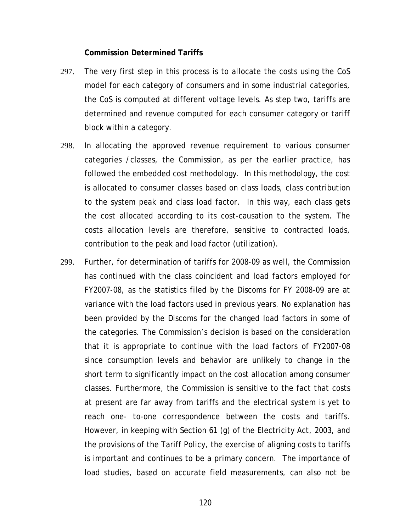#### **Commission Determined Tariffs**

- 297. The very first step in this process is to allocate the costs using the CoS model for each category of consumers and in some industrial categories, the CoS is computed at different voltage levels. As step two, tariffs are determined and revenue computed for each consumer category or tariff block within a category.
- 298. In allocating the approved revenue requirement to various consumer categories /classes, the Commission, as per the earlier practice, has followed the embedded cost methodology. In this methodology, the cost is allocated to consumer classes based on class loads, class contribution to the system peak and class load factor. In this way, each class gets the cost allocated according to its cost-causation to the system. The costs allocation levels are therefore, sensitive to contracted loads, contribution to the peak and load factor (utilization).
- 299. Further, for determination of tariffs for 2008-09 as well, the Commission has continued with the class coincident and load factors employed for FY2007-08, as the statistics filed by the Discoms for FY 2008-09 are at variance with the load factors used in previous years. No explanation has been provided by the Discoms for the changed load factors in some of the categories. The Commission's decision is based on the consideration that it is appropriate to continue with the load factors of FY2007-08 since consumption levels and behavior are unlikely to change in the short term to significantly impact on the cost allocation among consumer classes. Furthermore, the Commission is sensitive to the fact that costs at present are far away from tariffs and the electrical system is yet to reach one- to-one correspondence between the costs and tariffs. However, in keeping with Section 61 (g) of the Electricity Act, 2003, and the provisions of the Tariff Policy, the exercise of aligning costs to tariffs is important and continues to be a primary concern. The importance of load studies, based on accurate field measurements, can also not be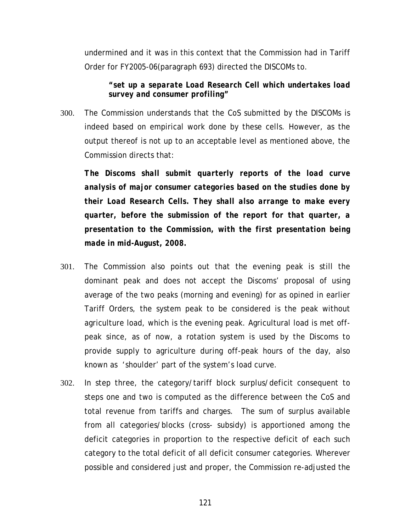undermined and it was in this context that the Commission had in Tariff Order for FY2005-06(paragraph 693) directed the DISCOMs to.

*"set up a separate Load Research Cell which undertakes load survey and consumer profiling"* 

300. The Commission understands that the CoS submitted by the DISCOMs is indeed based on empirical work done by these cells. However, as the output thereof is not up to an acceptable level as mentioned above, the Commission directs that:

*The Discoms shall submit quarterly reports of the load curve analysis of major consumer categories based on the studies done by their Load Research Cells. They shall also arrange to make every quarter, before the submission of the report for that quarter, a presentation to the Commission, with the first presentation being made in mid-August, 2008.* 

- 301. The Commission also points out that the evening peak is still the dominant peak and does not accept the Discoms' proposal of using average of the two peaks (morning and evening) for as opined in earlier Tariff Orders, the system peak to be considered is the peak without agriculture load, which is the evening peak. Agricultural load is met offpeak since, as of now, a rotation system is used by the Discoms to provide supply to agriculture during off-peak hours of the day, also known as 'shoulder' part of the system's load curve.
- 302. In step three, the category/tariff block surplus/deficit consequent to steps one and two is computed as the difference between the CoS and total revenue from tariffs and charges. The sum of surplus available from all categories/blocks (cross- subsidy) is apportioned among the deficit categories in proportion to the respective deficit of each such category to the total deficit of all deficit consumer categories. Wherever possible and considered just and proper, the Commission re-adjusted the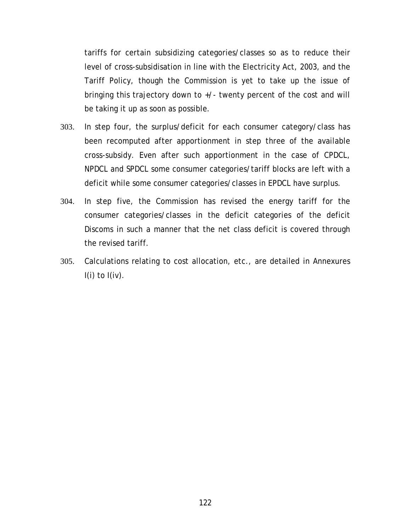tariffs for certain subsidizing categories/classes so as to reduce their level of cross-subsidisation in line with the Electricity Act, 2003, and the Tariff Policy, though the Commission is yet to take up the issue of bringing this trajectory down to +/- twenty percent of the cost and will be taking it up as soon as possible.

- 303. In step four, the surplus/deficit for each consumer category/class has been recomputed after apportionment in step three of the available cross-subsidy. Even after such apportionment in the case of CPDCL, NPDCL and SPDCL some consumer categories/tariff blocks are left with a deficit while some consumer categories/classes in EPDCL have surplus.
- 304. In step five, the Commission has revised the energy tariff for the consumer categories/classes in the deficit categories of the deficit Discoms in such a manner that the net class deficit is covered through the revised tariff.
- 305. Calculations relating to cost allocation, etc., are detailed in Annexures  $I(i)$  to  $I(iv)$ .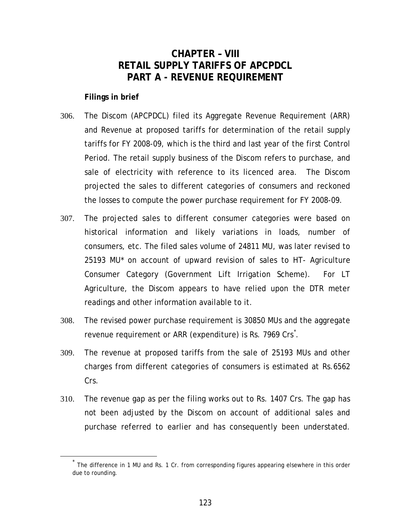# **CHAPTER – VIII RETAIL SUPPLY TARIFFS OF APCPDCL PART A - REVENUE REQUIREMENT**

### <span id="page-128-0"></span>**Filings in brief**

- 306. The Discom (APCPDCL) filed its Aggregate Revenue Requirement (ARR) and Revenue at proposed tariffs for determination of the retail supply tariffs for FY 2008-09, which is the third and last year of the first Control Period. The retail supply business of the Discom refers to purchase, and sale of electricity with reference to its licenced area. The Discom projected the sales to different categories of consumers and reckoned the losses to compute the power purchase requirement for FY 2008-09.
- 307. The projected sales to different consumer categories were based on historical information and likely variations in loads, number of consumers, etc. The filed sales volume of 24811 MU, was later revised to 25193 MU\* on account of upward revision of sales to HT- Agriculture Consumer Category (Government Lift Irrigation Scheme). For LT Agriculture, the Discom appears to have relied upon the DTR meter readings and other information available to it.
- 308. The revised power purchase requirement is 30850 MUs and the aggregate revenue requirement or ARR (expenditure) is Rs. 7969 Crs[\\*](#page-128-0) .
- 309. The revenue at proposed tariffs from the sale of 25193 MUs and other charges from different categories of consumers is estimated at Rs.6562 Crs.
- 310. The revenue gap as per the filing works out to Rs. 1407 Crs. The gap has not been adjusted by the Discom on account of additional sales and purchase referred to earlier and has consequently been understated.

The difference in 1 MU and Rs. 1 Cr. from corresponding figures appearing elsewhere in this order due to rounding.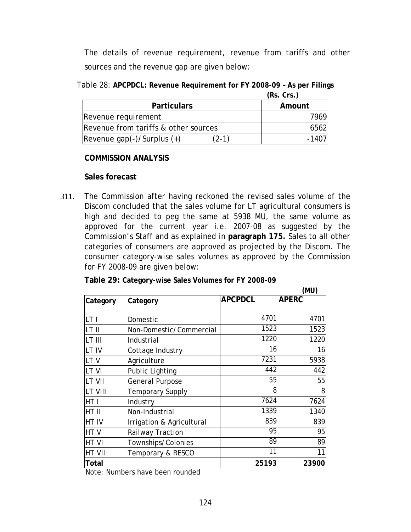The details of revenue requirement, revenue from tariffs and other sources and the revenue gap are given below:

| Table 28: APCPDCL: Revenue Requirement for FY 2008-09 - As per Filings |                       |
|------------------------------------------------------------------------|-----------------------|
|                                                                        | $\sqrt{R}$ $\sqrt{R}$ |

| <b>Particulars</b>                    | Amount |
|---------------------------------------|--------|
| Revenue requirement                   | 7969   |
| Revenue from tariffs & other sources  | 6562   |
| $(2-1)$<br>Revenue gap(-)/Surplus (+) | -1407  |

#### **COMMISSION ANALYSIS**

#### **Sales forecast**

311. The Commission after having reckoned the revised sales volume of the Discom concluded that the sales volume for LT agricultural consumers is high and decided to peg the same at 5938 MU, the same volume as approved for the current year i.e. 2007-08 as suggested by the Commission's Staff and as explained in **paragraph [175.](#page-76-0)** Sales to all other categories of consumers are approved as projected by the Discom. The consumer category-wise sales volumes as approved by the Commission for FY 2008-09 are given below:

|          |                           |                | (MU)         |
|----------|---------------------------|----------------|--------------|
| Category | Category                  | <b>APCPDCL</b> | <b>APERC</b> |
|          |                           |                |              |
| LT I     | Domestic                  | 4701           | 4701         |
| LT II    | Non-Domestic/Commercial   | 1523           | 1523         |
| LT III   | Industrial                | 1220           | 1220         |
| LT IV    | Cottage Industry          | 16             | 16           |
| LTV      | Agriculture               | 7231           | 5938         |
| LT VI    | <b>Public Lighting</b>    | 442            | 442          |
| LT VII   | <b>General Purpose</b>    | 55             | 55           |
| LT VIII  | Temporary Supply          | 8              | 8            |
| HT I     | Industry                  | 7624           | 7624         |
| HT II    | Non-Industrial            | 1339           | 1340         |
| HT IV    | Irrigation & Agricultural | 839            | 839          |
| HTV      | Railway Traction          | 95             | 95           |
| HT VI    | Townships/Colonies        | 89             | 89           |
| HT VII   | Temporary & RESCO         | 11             | 11           |
| Total    | $\sim$ $\sim$             | 25193          | 23900        |

Note: Numbers have been rounded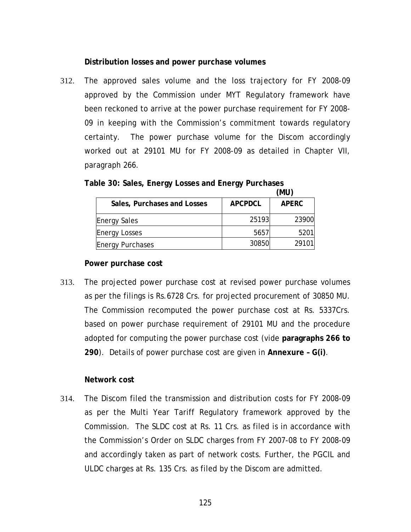## **Distribution losses and power purchase volumes**

312. The approved sales volume and the loss trajectory for FY 2008-09 approved by the Commission under MYT Regulatory framework have been reckoned to arrive at the power purchase requirement for FY 2008- 09 in keeping with the Commission's commitment towards regulatory certainty. The power purchase volume for the Discom accordingly worked out at 29101 MU for FY 2008-09 as detailed in Chapter VII, paragraph [266.](#page-108-0)

|                             |                | (MU)         |
|-----------------------------|----------------|--------------|
| Sales, Purchases and Losses | <b>APCPDCL</b> | <b>APERC</b> |
| <b>Energy Sales</b>         | 25193          | 23900        |
| <b>Energy Losses</b>        | 5657           | 5201         |
| <b>Energy Purchases</b>     | 30850          | 29101        |

**Table 30: Sales, Energy Losses and Energy Purchases** 

#### **Power purchase cost**

313. The projected power purchase cost at revised power purchase volumes as per the filings is Rs.6728 Crs. for projected procurement of 30850 MU. The Commission recomputed the power purchase cost at Rs. 5337Crs. based on power purchase requirement of 29101 MU and the procedure adopted for computing the power purchase cost (vide **paragraphs [266](#page-108-0) to [290](#page-118-0)**). Details of power purchase cost are given in **Annexure – G(i)**.

#### **Network cost**

314. The Discom filed the transmission and distribution costs for FY 2008-09 as per the Multi Year Tariff Regulatory framework approved by the Commission. The SLDC cost at Rs. 11 Crs. as filed is in accordance with the Commission's Order on SLDC charges from FY 2007-08 to FY 2008-09 and accordingly taken as part of network costs. Further, the PGCIL and ULDC charges at Rs. 135 Crs. as filed by the Discom are admitted.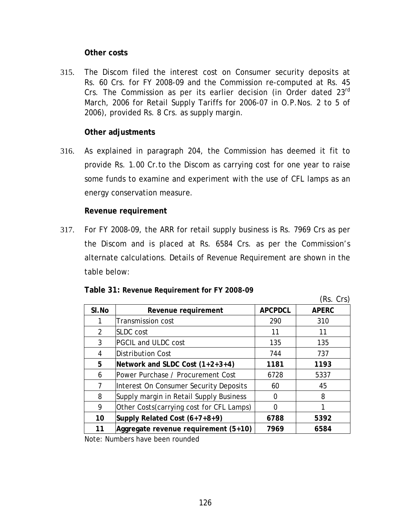### **Other costs**

315. The Discom filed the interest cost on Consumer security deposits at Rs. 60 Crs. for FY 2008-09 and the Commission re-computed at Rs. 45 Crs. The Commission as per its earlier decision (in Order dated 23<sup>rd</sup>) March, 2006 for Retail Supply Tariffs for 2006-07 in O.P.Nos. 2 to 5 of 2006), provided Rs. 8 Crs. as supply margin.

# **Other adjustments**

316. As explained in paragraph [204,](#page-82-0) the Commission has deemed it fit to provide Rs. 1.00 Cr.to the Discom as carrying cost for one year to raise some funds to examine and experiment with the use of CFL lamps as an energy conservation measure.

## **Revenue requirement**

317. For FY 2008-09, the ARR for retail supply business is Rs. 7969 Crs as per the Discom and is placed at Rs. 6584 Crs. as per the Commission's alternate calculations. Details of Revenue Requirement are shown in the table below:

|       |                                           |                | (Rs. Crs)    |
|-------|-------------------------------------------|----------------|--------------|
| SI.No | Revenue requirement                       | <b>APCPDCL</b> | <b>APERC</b> |
|       | <b>Transmission cost</b>                  | 290            | 310          |
| 2     | ISLDC cost                                | 11             | 11           |
| 3     | <b>PGCIL and ULDC cost</b>                | 135            | 135          |
| 4     | Distribution Cost                         | 744            | 737          |
| 5     | Network and SLDC Cost $(1+2+3+4)$         | 1181           | 1193         |
| 6     | Power Purchase / Procurement Cost         | 6728           | 5337         |
| 7     | Interest On Consumer Security Deposits    | 60             | 45           |
| 8     | Supply margin in Retail Supply Business   | 0              | 8            |
| 9     | Other Costs (carrying cost for CFL Lamps) | 0              |              |
| 10    | Supply Related Cost $(6+7+8+9)$           | 6788           | 5392         |
| 11    | Aggregate revenue requirement (5+10)      | 7969           | 6584         |
|       |                                           |                |              |

**Table 31: Revenue Requirement for FY 2008-09** 

Note: Numbers have been rounded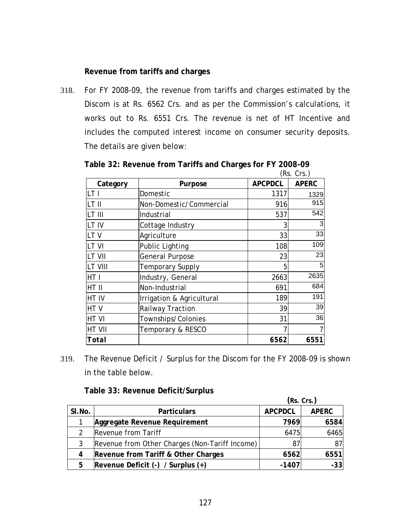### **Revenue from tariffs and charges**

318. For FY 2008-09, the revenue from tariffs and charges estimated by the Discom is at Rs. 6562 Crs. and as per the Commission's calculations, it works out to Rs. 6551 Crs. The revenue is net of HT Incentive and includes the computed interest income on consumer security deposits. The details are given below:

| (Rs. Crs.)     |                           |                |              |  |  |
|----------------|---------------------------|----------------|--------------|--|--|
| Category       | Purpose                   | <b>APCPDCL</b> | <b>APERC</b> |  |  |
| LT1            | Domestic                  | 1317           | 1329         |  |  |
| LT II          | Non-Domestic/Commercial   | 916            | 915          |  |  |
| LT III         | Industrial                | 537            | 542          |  |  |
| LT IV          | Cottage Industry          | 3              | 3            |  |  |
| LTV            | Agriculture               | 33             | 33           |  |  |
| LT VI          | <b>Public Lighting</b>    | 108            | 109          |  |  |
| <b>LT VII</b>  | General Purpose           | 23             | 23           |  |  |
| <b>LT VIII</b> | <b>Temporary Supply</b>   | 5              | 5            |  |  |
| HT I           | Industry, General         | 2663           | 2635         |  |  |
| HT II          | Non-Industrial            | 691            | 684          |  |  |
| HT IV          | Irrigation & Agricultural | 189            | 191          |  |  |
| HTV            | Railway Traction          | 39             | 39           |  |  |
| HT VI          | Townships/Colonies        | 31             | 36           |  |  |
| <b>HT VII</b>  | Temporary & RESCO         |                |              |  |  |
| Total          |                           | 6562           | 6551         |  |  |

**Table 32: Revenue from Tariffs and Charges for FY 2008-09** 

319. The Revenue Deficit / Surplus for the Discom for the FY 2008-09 is shown in the table below.

**Table 33: Revenue Deficit/Surplus** 

|        |                                                | (Rs. Crs.)     |              |  |
|--------|------------------------------------------------|----------------|--------------|--|
| SI.No. | <b>Particulars</b>                             | <b>APCPDCL</b> | <b>APERC</b> |  |
|        | Aggregate Revenue Requirement                  | 7969           | 6584         |  |
|        | Revenue from Tariff                            | 6475           | 6465         |  |
| 3      | Revenue from Other Charges (Non-Tariff Income) | 87             | 87           |  |
| 4      | Revenue from Tariff & Other Charges            | 6562           | 6551         |  |
| 5      | Revenue Deficit $(-)$ / Surplus $(+)$          | $-1407$        | $-33$        |  |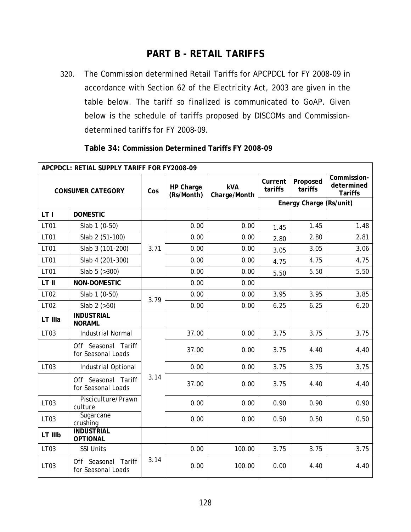# **PART B - RETAIL TARIFFS**

320. The Commission determined Retail Tariffs for APCPDCL for FY 2008-09 in accordance with Section 62 of the Electricity Act, 2003 are given in the table below. The tariff so finalized is communicated to GoAP. Given below is the schedule of tariffs proposed by DISCOMs and Commissiondetermined tariffs for FY 2008-09.

| APCPDCL: RETIAL SUPPLY TARIFF FOR FY2008-09 |                                           |      |                         |                            |                    |                         |                                             |
|---------------------------------------------|-------------------------------------------|------|-------------------------|----------------------------|--------------------|-------------------------|---------------------------------------------|
| <b>CONSUMER CATEGORY</b>                    |                                           | Cos  | HP Charge<br>(Rs/Month) | <b>kVA</b><br>Charge/Month | Current<br>tariffs | Proposed<br>tariffs     | Commission-<br>determined<br><b>Tariffs</b> |
|                                             |                                           |      |                         |                            |                    | Energy Charge (Rs/unit) |                                             |
| LT I                                        | <b>DOMESTIC</b>                           |      |                         |                            |                    |                         |                                             |
| <b>LT01</b>                                 | Slab 1 (0-50)                             |      | 0.00                    | 0.00                       | 1.45               | 1.45                    | 1.48                                        |
| <b>LT01</b>                                 | Slab 2 (51-100)                           |      | 0.00                    | 0.00                       | 2.80               | 2.80                    | 2.81                                        |
| <b>LT01</b>                                 | Slab 3 (101-200)                          | 3.71 | 0.00                    | 0.00                       | 3.05               | 3.05                    | 3.06                                        |
| <b>LT01</b>                                 | Slab 4 (201-300)                          |      | 0.00                    | 0.00                       | 4.75               | 4.75                    | 4.75                                        |
| <b>LT01</b>                                 | Slab $5$ ( $>300$ )                       |      | 0.00                    | 0.00                       | 5.50               | 5.50                    | 5.50                                        |
| LT II                                       | <b>NON-DOMESTIC</b>                       |      | 0.00                    | 0.00                       |                    |                         |                                             |
| <b>LT02</b>                                 | Slab 1 (0-50)                             | 3.79 | 0.00                    | 0.00                       | 3.95               | 3.95                    | 3.85                                        |
| LT02                                        | Slab $2$ ( $>50$ )                        |      | 0.00                    | 0.00                       | 6.25               | 6.25                    | 6.20                                        |
| LT IIIa                                     | <b>INDUSTRIAL</b><br><b>NORAML</b>        |      |                         |                            |                    |                         |                                             |
| LT03                                        | <b>Industrial Normal</b>                  |      | 37.00                   | 0.00                       | 3.75               | 3.75                    | 3.75                                        |
|                                             | Off Seasonal Tariff<br>for Seasonal Loads |      | 37.00                   | 0.00                       | 3.75               | 4.40                    | 4.40                                        |
| LT03                                        | Industrial Optional                       |      | 0.00                    | 0.00                       | 3.75               | 3.75                    | 3.75                                        |
|                                             | Off Seasonal Tariff<br>for Seasonal Loads | 3.14 | 37.00                   | 0.00                       | 3.75               | 4.40                    | 4.40                                        |
| LT03                                        | Pisciculture/Prawn<br>culture             |      | 0.00                    | 0.00                       | 0.90               | 0.90                    | 0.90                                        |
| LT03                                        | Sugarcane<br>crushing                     |      | 0.00                    | 0.00                       | 0.50               | 0.50                    | 0.50                                        |
| LT IIIb                                     | <b>INDUSTRIAL</b><br><b>OPTIONAL</b>      |      |                         |                            |                    |                         |                                             |
| LT03                                        | SSI Units                                 |      | 0.00                    | 100.00                     | 3.75               | 3.75                    | 3.75                                        |
| LT03                                        | Off Seasonal Tariff<br>for Seasonal Loads | 3.14 | 0.00                    | 100.00                     | 0.00               | 4.40                    | 4.40                                        |

**Table 34: Commission Determined Tariffs FY 2008-09**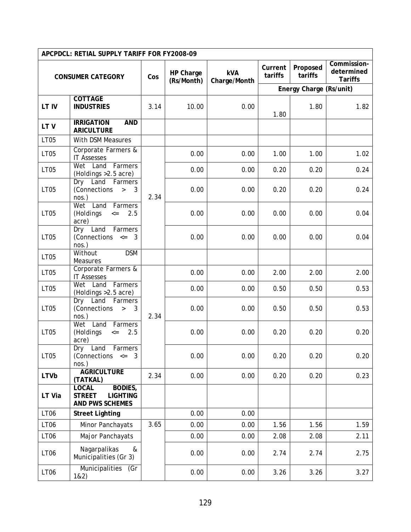|                  | APCPDCL: RETIAL SUPPLY TARIFF FOR FY2008-09                                    |      |                         |                            |                    |                         |                                             |
|------------------|--------------------------------------------------------------------------------|------|-------------------------|----------------------------|--------------------|-------------------------|---------------------------------------------|
|                  | <b>CONSUMER CATEGORY</b>                                                       | Cos  | HP Charge<br>(Rs/Month) | <b>kVA</b><br>Charge/Month | Current<br>tariffs | Proposed<br>tariffs     | Commission-<br>determined<br><b>Tariffs</b> |
|                  |                                                                                |      |                         |                            |                    | Energy Charge (Rs/unit) |                                             |
| LT IV            | <b>COTTAGE</b><br><b>INDUSTRIES</b>                                            | 3.14 | 10.00                   | 0.00                       | 1.80               | 1.80                    | 1.82                                        |
| LTV              | <b>IRRIGATION</b><br><b>AND</b><br><b>ARICULTURE</b>                           |      |                         |                            |                    |                         |                                             |
| <b>LT05</b>      | With DSM Measures                                                              |      |                         |                            |                    |                         |                                             |
| LT05             | Corporate Farmers &<br><b>IT Assesses</b>                                      |      | 0.00                    | 0.00                       | 1.00               | 1.00                    | 1.02                                        |
| LT05             | Wet Land<br>Farmers<br>(Holdings > 2.5 acre)                                   |      | 0.00                    | 0.00                       | 0.20               | 0.20                    | 0.24                                        |
| <b>LT05</b>      | Dry Land Farmers<br>(Connections<br>$\rightarrow$<br>3<br>$nos.$ )             | 2.34 | 0.00                    | 0.00                       | 0.20               | 0.20                    | 0.24                                        |
| <b>LT05</b>      | Land Farmers<br>Wet<br>(Holdings<br>2.5<br>$\leq$<br>acre)                     |      | 0.00                    | 0.00                       | 0.00               | 0.00                    | 0.04                                        |
| <b>LT05</b>      | Dry Land<br>Farmers<br>(Connections $\leq$ 3<br>$nos.$ )                       |      | 0.00                    | 0.00                       | 0.00               | 0.00                    | 0.04                                        |
| LT05             | <b>DSM</b><br>Without<br>Measures                                              |      |                         |                            |                    |                         |                                             |
| LT05             | Corporate Farmers &<br><b>IT Assesses</b>                                      |      | 0.00                    | 0.00                       | 2.00               | 2.00                    | 2.00                                        |
| LT05             | Wet Land<br>Farmers<br>(Holdings > 2.5 acre)                                   |      | 0.00                    | 0.00                       | 0.50               | 0.50                    | 0.53                                        |
| <b>LT05</b>      | Dry Land<br>Farmers<br>(Connections<br>3<br>$\, >$<br>$nos.$ )                 | 2.34 | 0.00                    | 0.00                       | 0.50               | 0.50                    | 0.53                                        |
| <b>LT05</b>      | Land<br>Wet<br>Farmers<br>(Holdings<br>2.5<br>$\leq$ $=$<br>acre)              |      | 0.00                    | 0.00                       | 0.20               | 0.20                    | 0.20                                        |
| LT05             | Dry<br>Land<br>Farmers<br>(Connections <=<br>3<br>$nos.$ )                     |      | 0.00                    | 0.00                       | 0.20               | 0.20                    | 0.20                                        |
| <b>LTVb</b>      | <b>AGRICULTURE</b><br>(TATKAL)                                                 | 2.34 | 0.00                    | 0.00                       | 0.20               | 0.20                    | 0.23                                        |
| LT Via           | <b>LOCAL</b><br>BODIES,<br><b>STREET</b><br><b>LIGHTING</b><br>AND PWS SCHEMES |      |                         |                            |                    |                         |                                             |
| LT <sub>06</sub> | <b>Street Lighting</b>                                                         |      | 0.00                    | 0.00                       |                    |                         |                                             |
| LT <sub>06</sub> | Minor Panchayats                                                               | 3.65 | 0.00                    | 0.00                       | 1.56               | 1.56                    | 1.59                                        |
| LT <sub>06</sub> | Major Panchayats                                                               |      | 0.00                    | 0.00                       | 2.08               | 2.08                    | 2.11                                        |
| LT <sub>06</sub> | Nagarpalikas<br>&<br>Municipalities (Gr 3)                                     |      | 0.00                    | 0.00                       | 2.74               | 2.74                    | 2.75                                        |
| LT <sub>06</sub> | Municipalities<br>(Gr<br>182)                                                  |      | 0.00                    | 0.00                       | 3.26               | 3.26                    | 3.27                                        |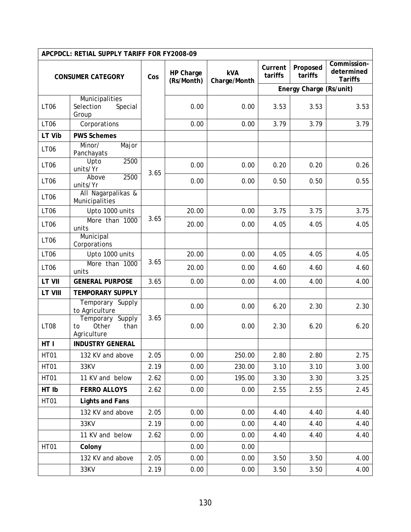|                          | APCPDCL: RETIAL SUPPLY TARIFF FOR FY2008-09            |      |                         |                     |                    |                         |                                             |
|--------------------------|--------------------------------------------------------|------|-------------------------|---------------------|--------------------|-------------------------|---------------------------------------------|
| <b>CONSUMER CATEGORY</b> |                                                        | Cos  | HP Charge<br>(Rs/Month) | kVA<br>Charge/Month | Current<br>tariffs | Proposed<br>tariffs     | Commission-<br>determined<br><b>Tariffs</b> |
|                          |                                                        |      |                         |                     |                    | Energy Charge (Rs/unit) |                                             |
| <b>LT06</b>              | Municipalities<br>Selection<br>Special<br>Group        |      | 0.00                    | 0.00                | 3.53               | 3.53                    | 3.53                                        |
| <b>LT06</b>              | Corporations                                           |      | 0.00                    | 0.00                | 3.79               | 3.79                    | 3.79                                        |
| LT Vib                   | <b>PWS Schemes</b>                                     |      |                         |                     |                    |                         |                                             |
| LT <sub>06</sub>         | Major<br>Minor/<br>Panchayats                          |      |                         |                     |                    |                         |                                             |
| LT <sub>06</sub>         | 2500<br>Upto<br>units/Yr                               | 3.65 | 0.00                    | 0.00                | 0.20               | 0.20                    | 0.26                                        |
| LT <sub>06</sub>         | 2500<br>Above<br>units/Yr                              |      | 0.00                    | 0.00                | 0.50               | 0.50                    | 0.55                                        |
| <b>LT06</b>              | All Nagarpalikas &<br>Municipalities                   |      |                         |                     |                    |                         |                                             |
| <b>LT06</b>              | Upto 1000 units                                        |      | 20.00                   | 0.00                | 3.75               | 3.75                    | 3.75                                        |
| LT <sub>06</sub>         | More than 1000<br>units                                | 3.65 | 20.00                   | 0.00                | 4.05               | 4.05                    | 4.05                                        |
| LT <sub>06</sub>         | Municipal<br>Corporations                              |      |                         |                     |                    |                         |                                             |
| LT <sub>06</sub>         | Upto 1000 units                                        |      | 20.00                   | 0.00                | 4.05               | 4.05                    | 4.05                                        |
| LT <sub>06</sub>         | More than 1000<br>units                                | 3.65 | 20.00                   | 0.00                | 4.60               | 4.60                    | 4.60                                        |
| <b>LT VII</b>            | <b>GENERAL PURPOSE</b>                                 | 3.65 | 0.00                    | 0.00                | 4.00               | 4.00                    | 4.00                                        |
| <b>LT VIII</b>           | <b>TEMPORARY SUPPLY</b>                                |      |                         |                     |                    |                         |                                             |
|                          | Temporary Supply<br>to Agriculture                     |      | 0.00                    | 0.00                | 6.20               | 2.30                    | 2.30                                        |
| <b>LT08</b>              | Temporary Supply<br>Other<br>than<br>to<br>Agriculture | 3.65 | 0.00                    | 0.00                | 2.30               | 6.20                    | 6.20                                        |
| HT I                     | <b>INDUSTRY GENERAL</b>                                |      |                         |                     |                    |                         |                                             |
| <b>HT01</b>              | 132 KV and above                                       | 2.05 | 0.00                    | 250.00              | 2.80               | 2.80                    | 2.75                                        |
| <b>HT01</b>              | 33KV                                                   | 2.19 | 0.00                    | 230.00              | 3.10               | 3.10                    | 3.00                                        |
| <b>HT01</b>              | 11 KV and below                                        | 2.62 | 0.00                    | 195.00              | 3.30               | 3.30                    | 3.25                                        |
| HT Ib                    | <b>FERRO ALLOYS</b>                                    | 2.62 | 0.00                    | 0.00                | 2.55               | 2.55                    | 2.45                                        |
| <b>HT01</b>              | <b>Lights and Fans</b>                                 |      |                         |                     |                    |                         |                                             |
|                          | 132 KV and above                                       | 2.05 | 0.00                    | 0.00                | 4.40               | 4.40                    | 4.40                                        |
|                          | 33KV                                                   | 2.19 | 0.00                    | 0.00                | 4.40               | 4.40                    | 4.40                                        |
|                          | 11 KV and below                                        | 2.62 | 0.00                    | 0.00                | 4.40               | 4.40                    | 4.40                                        |
| <b>HT01</b>              | Colony                                                 |      | 0.00                    | 0.00                |                    |                         |                                             |
|                          | 132 KV and above                                       | 2.05 | 0.00                    | 0.00                | 3.50               | 3.50                    | 4.00                                        |
|                          | 33KV                                                   | 2.19 | 0.00                    | 0.00                | 3.50               | 3.50                    | 4.00                                        |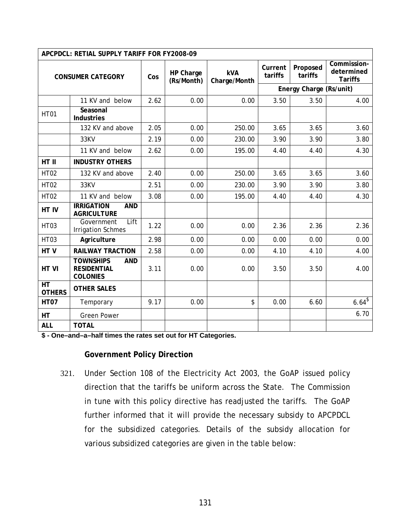|                                  | APCPDCL: RETIAL SUPPLY TARIFF FOR FY2008-09                             |                                |                            |                    |                     |                                             |                   |
|----------------------------------|-------------------------------------------------------------------------|--------------------------------|----------------------------|--------------------|---------------------|---------------------------------------------|-------------------|
| <b>CONSUMER CATEGORY</b>         |                                                                         | HP Charge<br>Cos<br>(Rs/Month) | <b>kVA</b><br>Charge/Month | Current<br>tariffs | Proposed<br>tariffs | Commission-<br>determined<br><b>Tariffs</b> |                   |
|                                  |                                                                         |                                |                            |                    |                     | Energy Charge (Rs/unit)                     |                   |
|                                  | 11 KV and below                                                         | 2.62                           | 0.00                       | 0.00               | 3.50                | 3.50                                        | 4.00              |
| <b>HT01</b>                      | Seasonal<br><b>Industries</b>                                           |                                |                            |                    |                     |                                             |                   |
|                                  | 132 KV and above                                                        | 2.05                           | 0.00                       | 250.00             | 3.65                | 3.65                                        | 3.60              |
|                                  | 33KV                                                                    | 2.19                           | 0.00                       | 230.00             | 3.90                | 3.90                                        | 3.80              |
|                                  | 11 KV and below                                                         | 2.62                           | 0.00                       | 195.00             | 4.40                | 4.40                                        | 4.30              |
| HT II                            | <b>INDUSTRY OTHERS</b>                                                  |                                |                            |                    |                     |                                             |                   |
| <b>HT02</b>                      | 132 KV and above                                                        | 2.40                           | 0.00                       | 250.00             | 3.65                | 3.65                                        | 3.60              |
| <b>HT02</b>                      | 33KV                                                                    | 2.51                           | 0.00                       | 230.00             | 3.90                | 3.90                                        | 3.80              |
| <b>HT02</b>                      | 11 KV and below                                                         | 3.08                           | 0.00                       | 195.00             | 4.40                | 4.40                                        | 4.30              |
| HT IV                            | <b>IRRIGATION</b><br><b>AND</b><br><b>AGRICULTURE</b>                   |                                |                            |                    |                     |                                             |                   |
| HT <sub>03</sub>                 | Lift<br>Government<br><b>Irrigation Schmes</b>                          | 1.22                           | 0.00                       | 0.00               | 2.36                | 2.36                                        | 2.36              |
| <b>HT03</b>                      | Agriculture                                                             | 2.98                           | 0.00                       | 0.00               | 0.00                | 0.00                                        | 0.00              |
| HTV                              | <b>RAILWAY TRACTION</b>                                                 | 2.58                           | 0.00                       | 0.00               | 4.10                | 4.10                                        | 4.00              |
| HT VI                            | <b>TOWNSHIPS</b><br><b>AND</b><br><b>RESIDENTIAL</b><br><b>COLONIES</b> | 3.11                           | 0.00                       | 0.00               | 3.50                | 3.50                                        | 4.00              |
| $\overline{HT}$<br><b>OTHERS</b> | <b>OTHER SALES</b>                                                      |                                |                            |                    |                     |                                             |                   |
| <b>HT07</b>                      | Temporary                                                               | 9.17                           | 0.00                       | \$                 | 0.00                | 6.60                                        | $6.64^{\sqrt{3}}$ |
| HT                               | <b>Green Power</b>                                                      |                                |                            |                    |                     |                                             | 6.70              |
| <b>ALL</b>                       | <b>TOTAL</b>                                                            |                                |                            |                    |                     |                                             |                   |

**\$ - One–and–a–half times the rates set out for HT Categories.** 

# **Government Policy Direction**

321. Under Section 108 of the Electricity Act 2003, the GoAP issued policy direction that the tariffs be uniform across the State. The Commission in tune with this policy directive has readjusted the tariffs. The GoAP further informed that it will provide the necessary subsidy to APCPDCL for the subsidized categories. Details of the subsidy allocation for various subsidized categories are given in the table below: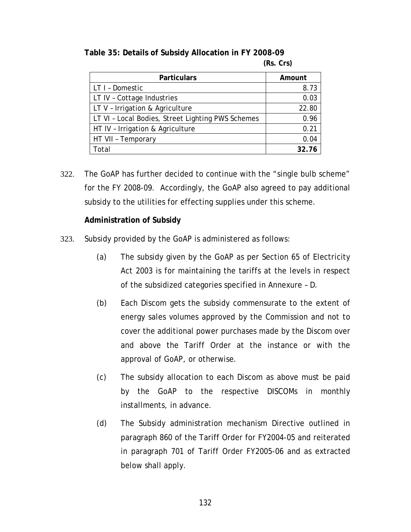| <b>Particulars</b>                                | Amount |
|---------------------------------------------------|--------|
| LT I - Domestic                                   | 8.73   |
| LT IV - Cottage Industries                        | 0.03   |
| LT V - Irrigation & Agriculture                   | 22.80  |
| LT VI - Local Bodies, Street Lighting PWS Schemes | 0.96   |
| HT IV - Irrigation & Agriculture                  | 0.21   |
| HT VII - Temporary                                | 0.04   |
| Total                                             | 32.76  |

**Table 35: Details of Subsidy Allocation in FY 2008-09 (Rs. Crs)** 

322. The GoAP has further decided to continue with the "single bulb scheme" for the FY 2008-09. Accordingly, the GoAP also agreed to pay additional subsidy to the utilities for effecting supplies under this scheme.

## **Administration of Subsidy**

- 323. Subsidy provided by the GoAP is administered as follows:
	- (a) The subsidy given by the GoAP as per Section 65 of Electricity Act 2003 is for maintaining the tariffs at the levels in respect of the subsidized categories specified in Annexure – D.
	- (b) Each Discom gets the subsidy commensurate to the extent of energy sales volumes approved by the Commission and not to cover the additional power purchases made by the Discom over and above the Tariff Order at the instance or with the approval of GoAP, or otherwise.
	- (c) The subsidy allocation to each Discom as above must be paid by the GoAP to the respective DISCOMs in monthly installments, in advance.
	- *(d)* The Subsidy administration mechanism Directive outlined in paragraph 860 of the Tariff Order for FY2004-05 and reiterated in paragraph 701 of Tariff Order FY2005-06 and as extracted below shall apply.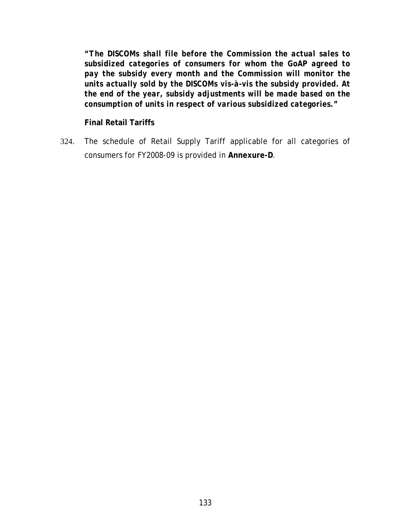*"The DISCOMs shall file before the Commission the actual sales to subsidized categories of consumers for whom the GoAP agreed to pay the subsidy every month and the Commission will monitor the units actually sold by the DISCOMs vis-à-vis the subsidy provided. At the end of the year, subsidy adjustments will be made based on the consumption of units in respect of various subsidized categories."* 

**Final Retail Tariffs** 

324. The schedule of Retail Supply Tariff applicable for all categories of consumers for FY2008-09 is provided in **Annexure-D**.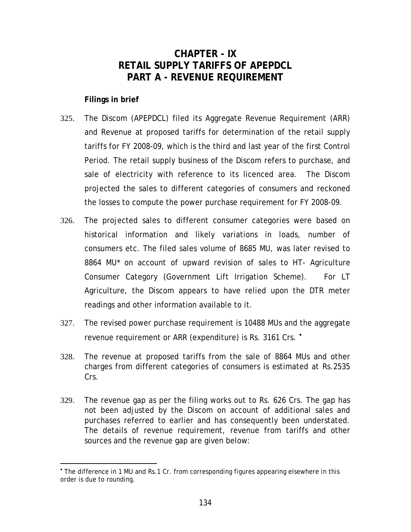# **CHAPTER - IX RETAIL SUPPLY TARIFFS OF APEPDCL PART A - REVENUE REQUIREMENT**

<span id="page-139-0"></span>**Filings in brief** 

l

- 325. The Discom (APEPDCL) filed its Aggregate Revenue Requirement (ARR) and Revenue at proposed tariffs for determination of the retail supply tariffs for FY 2008-09, which is the third and last year of the first Control Period. The retail supply business of the Discom refers to purchase, and sale of electricity with reference to its licenced area. The Discom projected the sales to different categories of consumers and reckoned the losses to compute the power purchase requirement for FY 2008-09.
- 326. The projected sales to different consumer categories were based on historical information and likely variations in loads, number of consumers etc. The filed sales volume of 8685 MU, was later revised to 8864 MU\* on account of upward revision of sales to HT- Agriculture Consumer Category (Government Lift Irrigation Scheme). For LT Agriculture, the Discom appears to have relied upon the DTR meter readings and other information available to it.
- 327. The revised power purchase requirement is 10488 MUs and the aggregate revenue requirement or ARR (expenditure) is Rs. 3161 Crs.  $\cdot$
- 328. The revenue at proposed tariffs from the sale of 8864 MUs and other charges from different categories of consumers is estimated at Rs.2535 Crs.
- 329. The revenue gap as per the filing works out to Rs. 626 Crs. The gap has not been adjusted by the Discom on account of additional sales and purchases referred to earlier and has consequently been understated. The details of revenue requirement, revenue from tariffs and other sources and the revenue gap are given below:

<sup>•</sup> The difference in 1 MU and Rs.1 Cr. from corresponding figures appearing elsewhere in this order is due to rounding.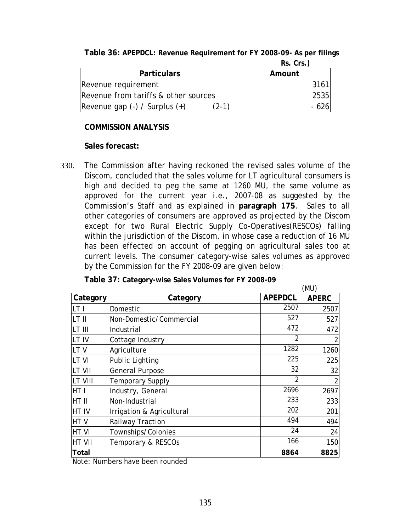|                                         | $R_3. U_3.1$ |
|-----------------------------------------|--------------|
| <b>Particulars</b>                      | Amount       |
| Revenue requirement                     | 3161         |
| Revenue from tariffs & other sources    | 2535         |
| (2-1)<br> Revenue gap (-) / Surplus (+) |              |

**Table 36: APEPDCL: Revenue Requirement for FY 2008-09- As per filings Rs. Crs.**)

## **COMMISSION ANALYSIS**

### **Sales forecast:**

330. The Commission after having reckoned the revised sales volume of the Discom, concluded that the sales volume for LT agricultural consumers is high and decided to peg the same at 1260 MU, the same volume as approved for the current year i.e., 2007-08 as suggested by the Commission's Staff and as explained in **paragraph [175](#page-76-0)**. Sales to all other categories of consumers are approved as projected by the Discom except for two Rural Electric Supply Co-Operatives(RESCOs) falling within the jurisdiction of the Discom, in whose case a reduction of 16 MU has been effected on account of pegging on agricultural sales too at current levels. The consumer category-wise sales volumes as approved by the Commission for the FY 2008-09 are given below:

| Category        | Category                  | <b>APEPDCL</b> | <b>APERC</b>   |  |  |  |
|-----------------|---------------------------|----------------|----------------|--|--|--|
| LT I            | Domestic                  | 2507           | 2507           |  |  |  |
| LT II           | Non-Domestic/Commercial   | 527            | 527            |  |  |  |
| LT III          | Industrial                | 472            | 472            |  |  |  |
| LT IV           | Cottage Industry          | 2              | 2              |  |  |  |
| LT <sub>V</sub> | Agriculture               | 1282           | 1260           |  |  |  |
| LT VI           | <b>Public Lighting</b>    | 225            | 225            |  |  |  |
| <b>LT VII</b>   | <b>General Purpose</b>    | 32             | 32             |  |  |  |
| LT VIII         | <b>Temporary Supply</b>   | $\overline{2}$ | $\overline{2}$ |  |  |  |
| HT I            | Industry, General         | 2696           | 2697           |  |  |  |
| HT II           | Non-Industrial            | 233            | 233            |  |  |  |
| <b>HT IV</b>    | Irrigation & Agricultural | 202            | 201            |  |  |  |
| HT <sub>V</sub> | Railway Traction          | 494            | 494            |  |  |  |
| HT VI           | Townships/Colonies        | 24             | 24             |  |  |  |
| <b>HT VII</b>   | Temporary & RESCOs        | 166            | 150            |  |  |  |
| Total           |                           | 8864           | 8825           |  |  |  |

**Table 37: Category-wise Sales Volumes for FY 2008-09** 

Note: Numbers have been rounded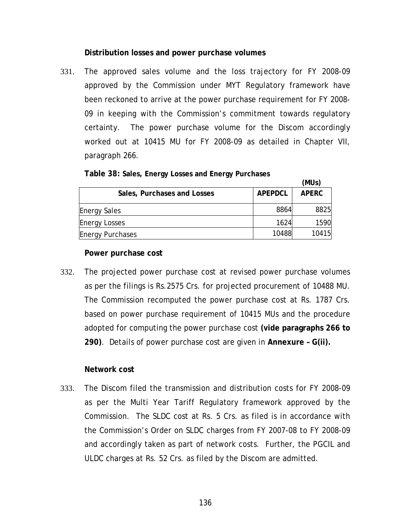### **Distribution losses and power purchase volumes**

331. The approved sales volume and the loss trajectory for FY 2008-09 approved by the Commission under MYT Regulatory framework have been reckoned to arrive at the power purchase requirement for FY 2008- 09 in keeping with the Commission's commitment towards regulatory certainty. The power purchase volume for the Discom accordingly worked out at 10415 MU for FY 2008-09 as detailed in Chapter VII, paragraph [266.](#page-108-0)

|                             |                | (MUs)        |
|-----------------------------|----------------|--------------|
| Sales, Purchases and Losses | <b>APEPDCL</b> | <b>APERC</b> |
| <b>Energy Sales</b>         | 8864           | 8825         |
| <b>Energy Losses</b>        | 1624           | 1590         |
| <b>Energy Purchases</b>     | 10488          | 10415        |

**Table 38: Sales, Energy Losses and Energy Purchases** 

#### **Power purchase cost**

332. The projected power purchase cost at revised power purchase volumes as per the filings is Rs.2575 Crs. for projected procurement of 10488 MU. The Commission recomputed the power purchase cost at Rs. 1787 Crs. based on power purchase requirement of 10415 MUs and the procedure adopted for computing the power purchase cost **(vide paragraphs [266](#page-108-0) to [290](#page-118-0))**. Details of power purchase cost are given in **Annexure – G(ii).**

#### **Network cost**

333. The Discom filed the transmission and distribution costs for FY 2008-09 as per the Multi Year Tariff Regulatory framework approved by the Commission. The SLDC cost at Rs. 5 Crs. as filed is in accordance with the Commission's Order on SLDC charges from FY 2007-08 to FY 2008-09 and accordingly taken as part of network costs. Further, the PGCIL and ULDC charges at Rs. 52 Crs. as filed by the Discom are admitted.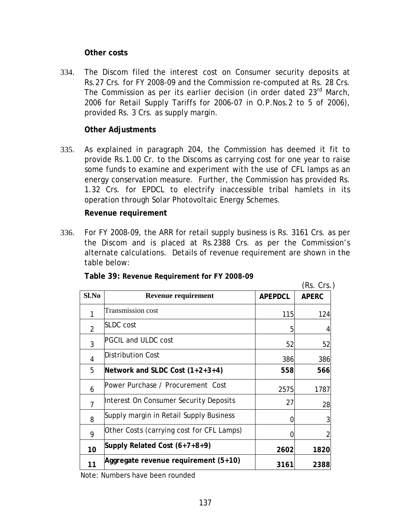### **Other costs**

334. The Discom filed the interest cost on Consumer security deposits at Rs.27 Crs. for FY 2008-09 and the Commission re-computed at Rs. 28 Crs. The Commission as per its earlier decision (in order dated 23<sup>rd</sup> March, 2006 for Retail Supply Tariffs for 2006-07 in O.P.Nos.2 to 5 of 2006), provided Rs. 3 Crs. as supply margin.

# **Other Adjustments**

335. As explained in paragraph [204,](#page-82-0) the Commission has deemed it fit to provide Rs.1.00 Cr. to the Discoms as carrying cost for one year to raise some funds to examine and experiment with the use of CFL lamps as an energy conservation measure. Further, the Commission has provided Rs. 1.32 Crs. for EPDCL to electrify inaccessible tribal hamlets in its operation through Solar Photovoltaic Energy Schemes.

### **Revenue requirement**

336. For FY 2008-09, the ARR for retail supply business is Rs. 3161 Crs. as per the Discom and is placed at Rs.2388 Crs. as per the Commission's alternate calculations. Details of revenue requirement are shown in the table below:

|       |                                           |                | (Rs. Crs.)   |
|-------|-------------------------------------------|----------------|--------------|
| Sl.No | <b>Revenue requirement</b>                | <b>APEPDCL</b> | <b>APERC</b> |
|       | Transmission cost                         | 115            | 124          |
| 2     | <b>SLDC</b> cost                          | 5              |              |
| 3     | <b>PGCIL and ULDC cost</b>                | 52             | 52           |
| 4     | <b>Distribution Cost</b>                  | 386            | 386          |
| 5     | Network and SLDC Cost $(1+2+3+4)$         | 558            | 566          |
| 6     | Power Purchase / Procurement Cost         | 2575           | 1787         |
| 7     | Interest On Consumer Security Deposits    | 27             | 28           |
| 8     | Supply margin in Retail Supply Business   | 0              |              |
| 9     | Other Costs (carrying cost for CFL Lamps) |                |              |
| 10    | Supply Related Cost (6+7+8+9)             | 2602           | 1820         |
| 11    | Aggregate revenue requirement (5+10)      | 3161           | 2388         |

**Table 39: Revenue Requirement for FY 2008-09** 

Note: Numbers have been rounded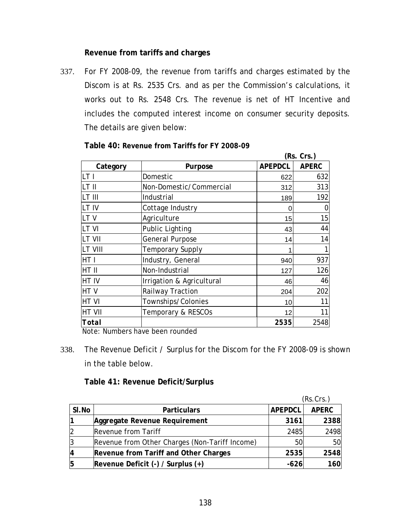# **Revenue from tariffs and charges**

337. For FY 2008-09, the revenue from tariffs and charges estimated by the Discom is at Rs. 2535 Crs. and as per the Commission's calculations, it works out to Rs. 2548 Crs. The revenue is net of HT Incentive and includes the computed interest income on consumer security deposits. The details are given below:

|             |                           |                | (Rs. Crs.)   |
|-------------|---------------------------|----------------|--------------|
| Category    | Purpose                   | <b>APEPDCL</b> | <b>APERC</b> |
| LT I        | Domestic                  | 622            | 632          |
| lt II       | Non-Domestic/Commercial   | 312            | 313          |
| LT III      | Industrial                | 189            | 192          |
| LT IV       | Cottage Industry          |                |              |
| LTV         | Agriculture               | 15             | 15           |
| LT VI       | <b>Public Lighting</b>    | 43             | 44           |
| lt VII      | <b>General Purpose</b>    | 14             | 14           |
| LT VIII     | <b>Temporary Supply</b>   |                |              |
| HT I        | Industry, General         | 940            | 937          |
| HT II       | Non-Industrial            | 127            | 126          |
| HT IV       | Irrigation & Agricultural | 46             | 46           |
| HTV         | Railway Traction          | 204            | 202          |
| <b>HTVI</b> | Townships/Colonies        | 10             | 11           |
| HT VII      | Temporary & RESCOs        | 12             | 11           |
| Total       |                           | 2535           | 2548         |

**Table 40: Revenue from Tariffs for FY 2008-09** 

Note: Numbers have been rounded

338. The Revenue Deficit / Surplus for the Discom for the FY 2008-09 is shown in the table below.

### **Table 41: Revenue Deficit/Surplus**

|       |                                                |                | (Rs.Crs.)    |
|-------|------------------------------------------------|----------------|--------------|
| SI.No | <b>Particulars</b>                             | <b>APEPDCL</b> | <b>APERC</b> |
|       | Aggregate Revenue Requirement                  | 3161           | 2388         |
|       | Revenue from Tariff                            | 2485           | 2498         |
|       | Revenue from Other Charges (Non-Tariff Income) | 50             | 50           |
|       | Revenue from Tariff and Other Charges          | 2535           | 2548         |
|       | Revenue Deficit $(-)$ / Surplus $(+)$          | $-626$         | 160          |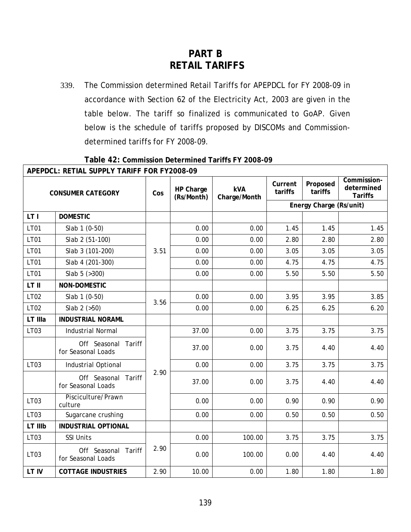# **PART B RETAIL TARIFFS**

339. The Commission determined Retail Tariffs for APEPDCL for FY 2008-09 in accordance with Section 62 of the Electricity Act, 2003 are given in the table below. The tariff so finalized is communicated to GoAP. Given below is the schedule of tariffs proposed by DISCOMs and Commissiondetermined tariffs for FY 2008-09.

٦

|                          | APEPDCL: RETIAL SUPPLY TARIFF FOR FY2008-09  |      |                         |                            |                    |                         |                                             |
|--------------------------|----------------------------------------------|------|-------------------------|----------------------------|--------------------|-------------------------|---------------------------------------------|
| <b>CONSUMER CATEGORY</b> |                                              | Cos  | HP Charge<br>(Rs/Month) | <b>kVA</b><br>Charge/Month | Current<br>tariffs | Proposed<br>tariffs     | Commission-<br>determined<br><b>Tariffs</b> |
|                          |                                              |      |                         |                            |                    | Energy Charge (Rs/unit) |                                             |
| LT I                     | <b>DOMESTIC</b>                              |      |                         |                            |                    |                         |                                             |
| LT01                     | Slab 1 (0-50)                                |      | 0.00                    | 0.00                       | 1.45               | 1.45                    | 1.45                                        |
| <b>LT01</b>              | Slab 2 (51-100)                              |      | 0.00                    | 0.00                       | 2.80               | 2.80                    | 2.80                                        |
| <b>LT01</b>              | Slab 3 (101-200)                             | 3.51 | 0.00                    | 0.00                       | 3.05               | 3.05                    | 3.05                                        |
| <b>LT01</b>              | Slab 4 (201-300)                             |      | 0.00                    | 0.00                       | 4.75               | 4.75                    | 4.75                                        |
| <b>LT01</b>              | Slab $5$ ( $>300$ )                          |      | 0.00                    | 0.00                       | 5.50               | 5.50                    | 5.50                                        |
| LT II                    | NON-DOMESTIC                                 |      |                         |                            |                    |                         |                                             |
| <b>LT02</b>              | Slab 1 (0-50)                                | 3.56 | 0.00                    | 0.00                       | 3.95               | 3.95                    | 3.85                                        |
| LT02                     | Slab $2$ ( $>50$ )                           |      | 0.00                    | 0.00                       | 6.25               | 6.25                    | 6.20                                        |
| LT IIIa                  | <b>INDUSTRIAL NORAML</b>                     |      |                         |                            |                    |                         |                                             |
| LT03                     | <b>Industrial Normal</b>                     |      | 37.00                   | 0.00                       | 3.75               | 3.75                    | 3.75                                        |
|                          | Off Seasonal<br>Tariff<br>for Seasonal Loads |      | 37.00                   | 0.00                       | 3.75               | 4.40                    | 4.40                                        |
| LT03                     | Industrial Optional                          |      | 0.00                    | 0.00                       | 3.75               | 3.75                    | 3.75                                        |
|                          | Off Seasonal Tariff<br>for Seasonal Loads    | 2.90 | 37.00                   | 0.00                       | 3.75               | 4.40                    | 4.40                                        |
| LT03                     | Pisciculture/Prawn<br>culture                |      | 0.00                    | 0.00                       | 0.90               | 0.90                    | 0.90                                        |
| LT03                     | Sugarcane crushing                           |      | 0.00                    | 0.00                       | 0.50               | 0.50                    | 0.50                                        |
| LT IIIb                  | <b>INDUSTRIAL OPTIONAL</b>                   |      |                         |                            |                    |                         |                                             |
| LT03                     | <b>SSI Units</b>                             |      | 0.00                    | 100.00                     | 3.75               | 3.75                    | 3.75                                        |
| LT03                     | Off Seasonal Tariff<br>for Seasonal Loads    | 2.90 | 0.00                    | 100.00                     | 0.00               | 4.40                    | 4.40                                        |
| LT IV                    | <b>COTTAGE INDUSTRIES</b>                    | 2.90 | 10.00                   | 0.00                       | 1.80               | 1.80                    | 1.80                                        |

**Table 42: Commission Determined Tariffs FY 2008-09**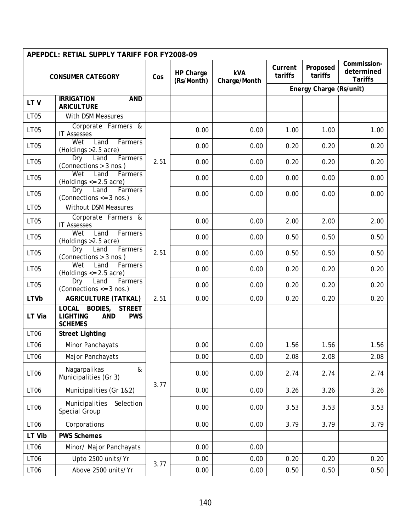|             | APEPDCL: RETIAL SUPPLY TARIFF FOR FY2008-09                                                     |      |                         |                            |                    |                         |                                             |
|-------------|-------------------------------------------------------------------------------------------------|------|-------------------------|----------------------------|--------------------|-------------------------|---------------------------------------------|
|             | <b>CONSUMER CATEGORY</b>                                                                        | Cos  | HP Charge<br>(Rs/Month) | <b>kVA</b><br>Charge/Month | Current<br>tariffs | Proposed<br>tariffs     | Commission-<br>determined<br><b>Tariffs</b> |
|             |                                                                                                 |      |                         |                            |                    | Energy Charge (Rs/unit) |                                             |
| LTV         | <b>IRRIGATION</b><br><b>AND</b><br><b>ARICULTURE</b>                                            |      |                         |                            |                    |                         |                                             |
| <b>LT05</b> | With DSM Measures                                                                               |      |                         |                            |                    |                         |                                             |
| <b>LT05</b> | Corporate Farmers &<br><b>IT Assesses</b>                                                       |      | 0.00                    | 0.00                       | 1.00               | 1.00                    | 1.00                                        |
| <b>LT05</b> | Wet<br>Land<br>Farmers<br>(Holdings > 2.5 acre)                                                 |      | 0.00                    | 0.00                       | 0.20               | 0.20                    | 0.20                                        |
| <b>LT05</b> | Land<br>Farmers<br>Dry<br>(Connections > 3 nos.)                                                | 2.51 | 0.00                    | 0.00                       | 0.20               | 0.20                    | 0.20                                        |
| <b>LT05</b> | Wet<br>Land<br>Farmers<br>(Holdings $\leq$ 2.5 acre)                                            |      | 0.00                    | 0.00                       | 0.00               | 0.00                    | 0.00                                        |
| <b>LT05</b> | Farmers<br>Dry<br>Land<br>(Connections $\leq$ = 3 nos.)                                         |      | 0.00                    | 0.00                       | 0.00               | 0.00                    | 0.00                                        |
| <b>LT05</b> | <b>Without DSM Measures</b>                                                                     |      |                         |                            |                    |                         |                                             |
| <b>LT05</b> | Corporate Farmers &<br><b>IT Assesses</b>                                                       |      | 0.00                    | 0.00                       | 2.00               | 2.00                    | 2.00                                        |
| <b>LT05</b> | Wet<br>Land<br>Farmers<br>(Holdings > 2.5 acre)                                                 |      | 0.00                    | 0.00                       | 0.50               | 0.50                    | 0.50                                        |
| <b>LT05</b> | Land<br>Farmers<br>Dry<br>(Connections > 3 nos.)                                                | 2.51 | 0.00                    | 0.00                       | 0.50               | 0.50                    | 0.50                                        |
| <b>LT05</b> | Wet<br>Land<br>Farmers<br>(Holdings $\leq$ 2.5 acre)                                            |      | 0.00                    | 0.00                       | 0.20               | 0.20                    | 0.20                                        |
| <b>LT05</b> | Dry<br>Land<br>Farmers<br>(Connections $\leq$ 3 nos.)                                           |      | 0.00                    | 0.00                       | 0.20               | 0.20                    | 0.20                                        |
| <b>LTVb</b> | <b>AGRICULTURE (TATKAL)</b>                                                                     | 2.51 | 0.00                    | 0.00                       | 0.20               | 0.20                    | 0.20                                        |
| LT Via      | LOCAL BODIES,<br><b>STREET</b><br><b>LIGHTING</b><br><b>AND</b><br><b>PWS</b><br><b>SCHEMES</b> |      |                         |                            |                    |                         |                                             |
| <b>LT06</b> | <b>Street Lighting</b>                                                                          |      |                         |                            |                    |                         |                                             |
| <b>LT06</b> | Minor Panchayats                                                                                |      | 0.00                    | 0.00                       | 1.56               | 1.56                    | 1.56                                        |
| <b>LT06</b> | Major Panchayats                                                                                |      | 0.00                    | 0.00                       | 2.08               | 2.08                    | 2.08                                        |
| LT06        | Nagarpalikas<br>&<br>Municipalities (Gr 3)                                                      | 3.77 | 0.00                    | 0.00                       | 2.74               | 2.74                    | 2.74                                        |
| LT06        | Municipalities (Gr 1&2)                                                                         |      | 0.00                    | 0.00                       | 3.26               | 3.26                    | 3.26                                        |
| <b>LT06</b> | Municipalities<br>Selection<br>Special Group                                                    |      | 0.00                    | 0.00                       | 3.53               | 3.53                    | 3.53                                        |
| LT06        | Corporations                                                                                    |      | 0.00                    | 0.00                       | 3.79               | 3.79                    | 3.79                                        |
| LT Vib      | <b>PWS Schemes</b>                                                                              |      |                         |                            |                    |                         |                                             |
| LT06        | Minor/ Major Panchayats                                                                         |      | 0.00                    | 0.00                       |                    |                         |                                             |
| LT06        | Upto 2500 units/Yr                                                                              | 3.77 | 0.00                    | 0.00                       | 0.20               | 0.20                    | 0.20                                        |
| LT06        | Above 2500 units/Yr                                                                             |      | 0.00                    | 0.00                       | 0.50               | 0.50                    | 0.50                                        |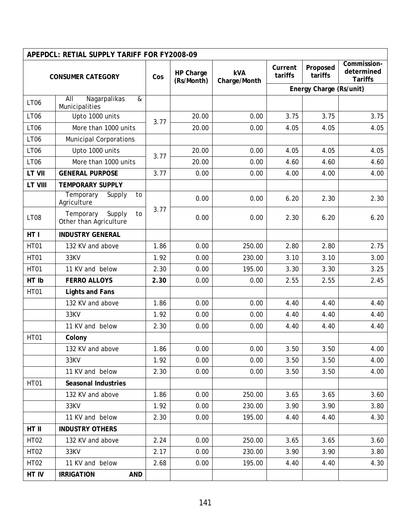|               | APEPDCL: RETIAL SUPPLY TARIFF FOR FY2008-09         |      |                         |                            |                    |                         |                                             |
|---------------|-----------------------------------------------------|------|-------------------------|----------------------------|--------------------|-------------------------|---------------------------------------------|
|               | <b>CONSUMER CATEGORY</b>                            | Cos  | HP Charge<br>(Rs/Month) | <b>kVA</b><br>Charge/Month | Current<br>tariffs | Proposed<br>tariffs     | Commission-<br>determined<br><b>Tariffs</b> |
|               |                                                     |      |                         |                            |                    | Energy Charge (Rs/unit) |                                             |
| <b>LT06</b>   | Nagarpalikas<br>AII<br>&<br>Municipalities          |      |                         |                            |                    |                         |                                             |
| <b>LT06</b>   | Upto 1000 units                                     | 3.77 | 20.00                   | 0.00                       | 3.75               | 3.75                    | 3.75                                        |
| <b>LT06</b>   | More than 1000 units                                |      | 20.00                   | 0.00                       | 4.05               | 4.05                    | 4.05                                        |
| <b>LT06</b>   | <b>Municipal Corporations</b>                       |      |                         |                            |                    |                         |                                             |
| <b>LT06</b>   | Upto 1000 units                                     | 3.77 | 20.00                   | 0.00                       | 4.05               | 4.05                    | 4.05                                        |
| <b>LT06</b>   | More than 1000 units                                |      | 20.00                   | 0.00                       | 4.60               | 4.60                    | 4.60                                        |
| <b>LT VII</b> | <b>GENERAL PURPOSE</b>                              | 3.77 | 0.00                    | 0.00                       | 4.00               | 4.00                    | 4.00                                        |
| LT VIII       | <b>TEMPORARY SUPPLY</b>                             |      |                         |                            |                    |                         |                                             |
|               | Temporary<br>Supply<br>to<br>Agriculture            |      | 0.00                    | 0.00                       | 6.20               | 2.30                    | 2.30                                        |
| LT08          | Supply<br>Temporary<br>to<br>Other than Agriculture | 3.77 | 0.00                    | 0.00                       | 2.30               | 6.20                    | 6.20                                        |
| HT I          | <b>INDUSTRY GENERAL</b>                             |      |                         |                            |                    |                         |                                             |
| <b>HT01</b>   | 132 KV and above                                    | 1.86 | 0.00                    | 250.00                     | 2.80               | 2.80                    | 2.75                                        |
| <b>HT01</b>   | 33KV                                                | 1.92 | 0.00                    | 230.00                     | 3.10               | 3.10                    | 3.00                                        |
| <b>HT01</b>   | 11 KV and below                                     | 2.30 | 0.00                    | 195.00                     | 3.30               | 3.30                    | 3.25                                        |
| HT Ib         | <b>FERRO ALLOYS</b>                                 | 2.30 | 0.00                    | 0.00                       | 2.55               | 2.55                    | 2.45                                        |
| <b>HT01</b>   | <b>Lights and Fans</b>                              |      |                         |                            |                    |                         |                                             |
|               | 132 KV and above                                    | 1.86 | 0.00                    | 0.00                       | 4.40               | 4.40                    | 4.40                                        |
|               | 33KV                                                | 1.92 | 0.00                    | 0.00                       | 4.40               | 4.40                    | 4.40                                        |
|               | 11 KV and below                                     | 2.30 | 0.00                    | 0.00                       | 4.40               | 4.40                    | 4.40                                        |
| <b>HT01</b>   | Colony                                              |      |                         |                            |                    |                         |                                             |
|               | 132 KV and above                                    | 1.86 | 0.00                    | 0.00                       | 3.50               | 3.50                    | 4.00                                        |
|               | 33KV                                                | 1.92 | 0.00                    | 0.00                       | 3.50               | 3.50                    | 4.00                                        |
|               | 11 KV and below                                     | 2.30 | 0.00                    | 0.00                       | 3.50               | 3.50                    | 4.00                                        |
| <b>HT01</b>   | <b>Seasonal Industries</b>                          |      |                         |                            |                    |                         |                                             |
|               | 132 KV and above                                    | 1.86 | 0.00                    | 250.00                     | 3.65               | 3.65                    | 3.60                                        |
|               | 33KV                                                | 1.92 | 0.00                    | 230.00                     | 3.90               | 3.90                    | 3.80                                        |
|               | 11 KV and below                                     | 2.30 | 0.00                    | 195.00                     | 4.40               | 4.40                    | 4.30                                        |
| HT II         | <b>INDUSTRY OTHERS</b>                              |      |                         |                            |                    |                         |                                             |
| <b>HT02</b>   | 132 KV and above                                    | 2.24 | 0.00                    | 250.00                     | 3.65               | 3.65                    | 3.60                                        |
| <b>HT02</b>   | 33KV                                                | 2.17 | 0.00                    | 230.00                     | 3.90               | 3.90                    | 3.80                                        |
| HT02          | 11 KV and below                                     | 2.68 | 0.00                    | 195.00                     | 4.40               | 4.40                    | 4.30                                        |
| HT IV         | <b>IRRIGATION</b><br><b>AND</b>                     |      |                         |                            |                    |                         |                                             |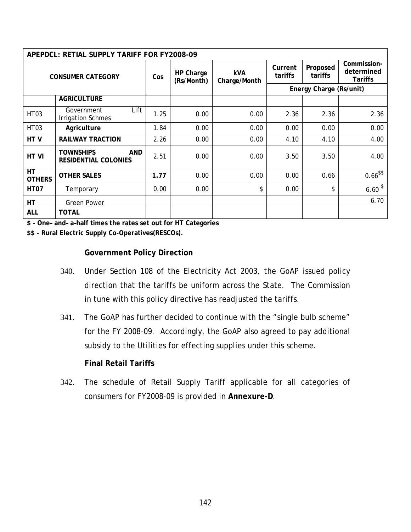|                          | APEPDCL: RETIAL SUPPLY TARIFF FOR FY2008-09            |      |                         |                            |                    |                         |                                             |
|--------------------------|--------------------------------------------------------|------|-------------------------|----------------------------|--------------------|-------------------------|---------------------------------------------|
| <b>CONSUMER CATEGORY</b> |                                                        | Cos  | HP Charge<br>(Rs/Month) | <b>kVA</b><br>Charge/Month | Current<br>tariffs | Proposed<br>tariffs     | Commission-<br>determined<br><b>Tariffs</b> |
|                          |                                                        |      |                         |                            |                    | Energy Charge (Rs/unit) |                                             |
|                          | <b>AGRICULTURE</b>                                     |      |                         |                            |                    |                         |                                             |
| HT <sub>03</sub>         | Lift<br>Government<br><b>Irrigation Schmes</b>         | 1.25 | 0.00                    | 0.00                       | 2.36               | 2.36                    | 2.36                                        |
| HT <sub>03</sub>         | Agriculture                                            | 1.84 | 0.00                    | 0.00                       | 0.00               | 0.00                    | 0.00                                        |
| HT V                     | <b>RAILWAY TRACTION</b>                                | 2.26 | 0.00                    | 0.00                       | 4.10               | 4.10                    | 4.00                                        |
| HT VI                    | <b>TOWNSHIPS</b><br>AND<br><b>RESIDENTIAL COLONIES</b> | 2.51 | 0.00                    | 0.00                       | 3.50               | 3.50                    | 4.00                                        |
| HT<br><b>OTHERS</b>      | <b>OTHER SALES</b>                                     | 1.77 | 0.00                    | 0.00                       | 0.00               | 0.66                    | $0.66$ \$\$                                 |
| HT <sub>07</sub>         | Temporary                                              | 0.00 | 0.00                    | \$                         | 0.00               | \$                      | $6.60^{3}$                                  |
| <b>HT</b>                | <b>Green Power</b>                                     |      |                         |                            |                    |                         | 6.70                                        |
| <b>ALL</b>               | <b>TOTAL</b>                                           |      |                         |                            |                    |                         |                                             |

**\$ - One– and– a–half times the rates set out for HT Categories** 

**\$\$ - Rural Electric Supply Co-Operatives(RESCOs).** 

#### **Government Policy Direction**

- 340. Under Section 108 of the Electricity Act 2003, the GoAP issued policy direction that the tariffs be uniform across the State. The Commission in tune with this policy directive has readjusted the tariffs.
- 341. The GoAP has further decided to continue with the "single bulb scheme" for the FY 2008-09. Accordingly, the GoAP also agreed to pay additional subsidy to the Utilities for effecting supplies under this scheme.

## **Final Retail Tariffs**

342. The schedule of Retail Supply Tariff applicable for all categories of consumers for FY2008-09 is provided in **Annexure-D**.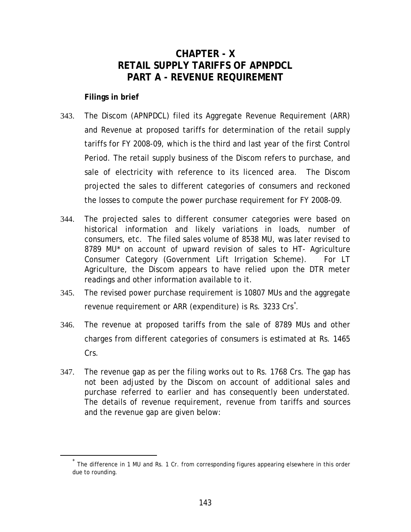## **CHAPTER - X RETAIL SUPPLY TARIFFS OF APNPDCL PART A - REVENUE REQUIREMENT**

## <span id="page-148-0"></span>**Filings in brief**

- 343. The Discom (APNPDCL) filed its Aggregate Revenue Requirement (ARR) and Revenue at proposed tariffs for determination of the retail supply tariffs for FY 2008-09, which is the third and last year of the first Control Period. The retail supply business of the Discom refers to purchase, and sale of electricity with reference to its licenced area. The Discom projected the sales to different categories of consumers and reckoned the losses to compute the power purchase requirement for FY 2008-09.
- 344. The projected sales to different consumer categories were based on historical information and likely variations in loads, number of consumers, etc. The filed sales volume of 8538 MU, was later revised to 8789 MU\* on account of upward revision of sales to HT- Agriculture Consumer Category (Government Lift Irrigation Scheme). For LT Agriculture, the Discom appears to have relied upon the DTR meter readings and other information available to it.
- 345. The revised power purchase requirement is 10807 MUs and the aggregate revenue requirement or ARR (expenditure) is Rs. 3233 Crs[\\*](#page-148-0) .
- 346. The revenue at proposed tariffs from the sale of 8789 MUs and other charges from different categories of consumers is estimated at Rs. 1465 Crs.
- 347. The revenue gap as per the filing works out to Rs. 1768 Crs. The gap has not been adjusted by the Discom on account of additional sales and purchase referred to earlier and has consequently been understated. The details of revenue requirement, revenue from tariffs and sources and the revenue gap are given below:

The difference in 1 MU and Rs. 1 Cr. from corresponding figures appearing elsewhere in this order due to rounding.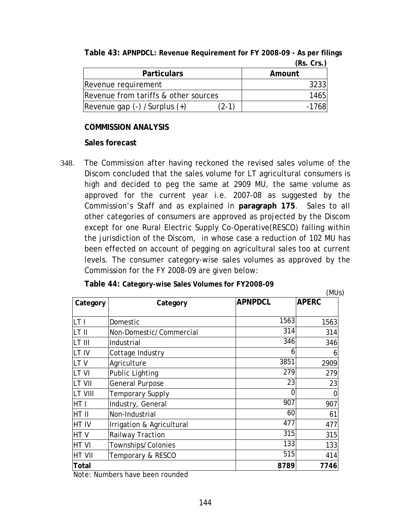|                                      |         | 113. VIJ.J |
|--------------------------------------|---------|------------|
| <b>Particulars</b>                   |         | Amount     |
| Revenue requirement                  |         | 32331      |
| Revenue from tariffs & other sources |         | 1465       |
| Revenue gap $(-)$ /Surplus $(+)$     | $(2-1)$ | $-1768$    |

**Table 43: APNPDCL: Revenue Requirement for FY 2008-09 - As per filings (Rs. Crs.)**

#### **COMMISSION ANALYSIS**

#### **Sales forecast**

348. The Commission after having reckoned the revised sales volume of the Discom concluded that the sales volume for LT agricultural consumers is high and decided to peg the same at 2909 MU, the same volume as approved for the current year i.e. 2007-08 as suggested by the Commission's Staff and as explained in **paragraph [175](#page-76-0)**. Sales to all other categories of consumers are approved as projected by the Discom except for one Rural Electric Supply Co-Operative(RESCO) falling within the jurisdiction of the Discom, in whose case a reduction of 102 MU has been effected on account of pegging on agricultural sales too at current levels. The consumer category-wise sales volumes as approved by the Commission for the FY 2008-09 are given below:

| Table 44: Category-wise Sales Volumes for FY2008-09 |
|-----------------------------------------------------|
|-----------------------------------------------------|

|               |                           |                | (MUs)        |
|---------------|---------------------------|----------------|--------------|
| Category      | Category                  | <b>APNPDCL</b> | <b>APERC</b> |
| LT I          | Domestic                  | 1563           | 1563         |
| LT II         | Non-Domestic/Commercial   | 314            | 314          |
| LT III        | Industrial                | 346            | 346          |
| LT IV         | Cottage Industry          | 6              | 6            |
| LT V          | Agriculture               | 3851           | 2909         |
| LT VI         | <b>Public Lighting</b>    | 279            | 279          |
| <b>LT VII</b> | General Purpose           | 23             | 23           |
| LT VIII       | <b>Temporary Supply</b>   | 0              | 0            |
| HT I          | Industry, General         | 907            | 907          |
| HT II         | Non-Industrial            | 60             | 61           |
| HT IV         | Irrigation & Agricultural | 477            | 477          |
| HTV           | Railway Traction          | 315            | 315          |
| HT VI         | Townships/Colonies        | 133            | 133          |
| <b>HT VII</b> | Temporary & RESCO         | 515            | 414          |
| Total         |                           | 8789           | 7746         |

Note: Numbers have been rounded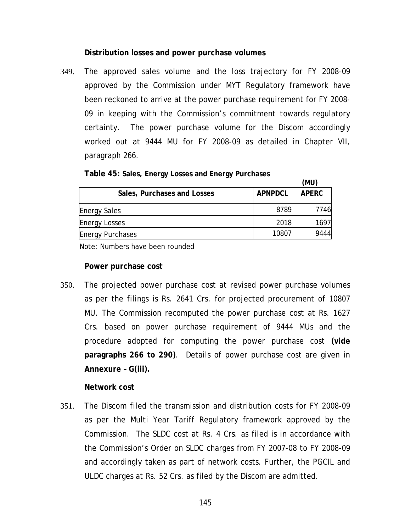#### **Distribution losses and power purchase volumes**

349. The approved sales volume and the loss trajectory for FY 2008-09 approved by the Commission under MYT Regulatory framework have been reckoned to arrive at the power purchase requirement for FY 2008- 09 in keeping with the Commission's commitment towards regulatory certainty. The power purchase volume for the Discom accordingly worked out at 9444 MU for FY 2008-09 as detailed in Chapter VII, paragraph [266.](#page-108-0)

| Table 45: Sales, Energy Losses and Energy Purchases |  |  |  |  |
|-----------------------------------------------------|--|--|--|--|
|-----------------------------------------------------|--|--|--|--|

|                             |                | (MU)         |
|-----------------------------|----------------|--------------|
| Sales, Purchases and Losses | <b>APNPDCL</b> | <b>APERC</b> |
| <b>Energy Sales</b>         | 8789           | 7746         |
| <b>Energy Losses</b>        | 2018           | 1697         |
| <b>Energy Purchases</b>     | 10807          | 9444         |

Note: Numbers have been rounded

#### **Power purchase cost**

350. The projected power purchase cost at revised power purchase volumes as per the filings is Rs. 2641 Crs. for projected procurement of 10807 MU. The Commission recomputed the power purchase cost at Rs. 1627 Crs. based on power purchase requirement of 9444 MUs and the procedure adopted for computing the power purchase cost **(vide paragraphs [266](#page-108-0) to [290\)](#page-118-0)**. Details of power purchase cost are given in **Annexure – G(iii).**

#### **Network cost**

351. The Discom filed the transmission and distribution costs for FY 2008-09 as per the Multi Year Tariff Regulatory framework approved by the Commission. The SLDC cost at Rs. 4 Crs. as filed is in accordance with the Commission's Order on SLDC charges from FY 2007-08 to FY 2008-09 and accordingly taken as part of network costs. Further, the PGCIL and ULDC charges at Rs. 52 Crs. as filed by the Discom are admitted.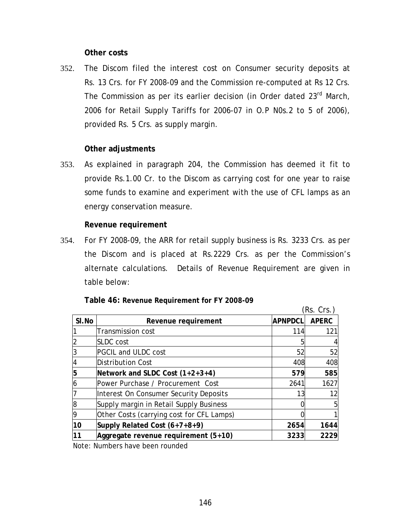#### **Other costs**

352. The Discom filed the interest cost on Consumer security deposits at Rs. 13 Crs. for FY 2008-09 and the Commission re-computed at Rs 12 Crs. The Commission as per its earlier decision (in Order dated 23<sup>rd</sup> March, 2006 for Retail Supply Tariffs for 2006-07 in O.P N0s.2 to 5 of 2006), provided Rs. 5 Crs. as supply margin.

#### **Other adjustments**

353. As explained in paragraph [204,](#page-82-0) the Commission has deemed it fit to provide Rs.1.00 Cr. to the Discom as carrying cost for one year to raise some funds to examine and experiment with the use of CFL lamps as an energy conservation measure.

#### **Revenue requirement**

354. For FY 2008-09, the ARR for retail supply business is Rs. 3233 Crs. as per the Discom and is placed at Rs.2229 Crs. as per the Commission's alternate calculations. Details of Revenue Requirement are given in table below:

|       |                                           |                | (Rs. Crs.)   |
|-------|-------------------------------------------|----------------|--------------|
| SI.No | Revenue requirement                       | <b>APNPDCL</b> | <b>APERC</b> |
|       | <b>Transmission cost</b>                  | 114            | 121          |
|       | <b>SLDC</b> cost                          | 5              |              |
|       | <b>PGCIL and ULDC cost</b>                | 52             | 52           |
|       | Distribution Cost                         | 408            | 408          |
|       | Network and SLDC Cost (1+2+3+4)           | 579            | 585          |
|       | Power Purchase / Procurement Cost         | 2641           | 1627         |
|       | Interest On Consumer Security Deposits    | 13             | 12           |
| l8    | Supply margin in Retail Supply Business   |                |              |
| 9     | Other Costs (carrying cost for CFL Lamps) |                |              |
| 10    | Supply Related Cost (6+7+8+9)             | 2654           | 1644         |
| 11    | Aggregate revenue requirement (5+10)      | 3233           | 2229         |
|       | Nota: Numbers have been rounded           |                |              |

**Table 46: Revenue Requirement for FY 2008-09** 

Note: Numbers have been rounded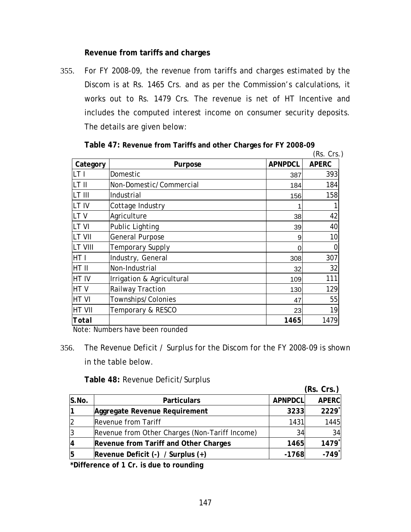#### **Revenue from tariffs and charges**

355. For FY 2008-09, the revenue from tariffs and charges estimated by the Discom is at Rs. 1465 Crs. and as per the Commission's calculations, it works out to Rs. 1479 Crs. The revenue is net of HT Incentive and includes the computed interest income on consumer security deposits. The details are given below:

|                |                           |                | (Rs. Crs.)   |
|----------------|---------------------------|----------------|--------------|
| Category       | Purpose                   | <b>APNPDCL</b> | <b>APERC</b> |
| LT I           | Domestic                  | 387            | 393          |
| LT II          | Non-Domestic/Commercial   | 184            | 184          |
| ILT III        | Industrial                | 156            | 158          |
| LT IV          | Cottage Industry          |                |              |
| LTV            | Agriculture               | 38             | 42           |
| <b>ILT VI</b>  | Public Lighting           | 39             | 40           |
| <b>LT VII</b>  | <b>General Purpose</b>    | 9              | 10           |
| <b>LT VIII</b> | Temporary Supply          | 0              | 0            |
| HT I           | Industry, General         | 308            | 307          |
| HT II          | Non-Industrial            | 32             | 32           |
| HT IV          | Irrigation & Agricultural | 109            | 111          |
| HTV            | Railway Traction          | 130            | 129          |
| <b>HT VI</b>   | Townships/Colonies        | 47             | 55           |
| <b>HT VII</b>  | Temporary & RESCO         | 23             | 19           |
| Total          |                           | 1465           | 1479         |

**Table 47: Revenue from Tariffs and other Charges for FY 2008-09** 

Note: Numbers have been rounded

356. The Revenue Deficit / Surplus for the Discom for the FY 2008-09 is shown in the table below.

**Table 48:** Revenue Deficit/Surplus

|       |                                                |                | (Rs. Crs.)   |
|-------|------------------------------------------------|----------------|--------------|
| S.No. | <b>Particulars</b>                             | <b>APNPDCL</b> | <b>APERC</b> |
|       | Aggregate Revenue Requirement                  | 3233           | 2229         |
|       | <b>Revenue from Tariff</b>                     | 1431           | 1445         |
|       | Revenue from Other Charges (Non-Tariff Income) | 34             | 34           |
|       | Revenue from Tariff and Other Charges          | 1465           | 1479         |
|       | Revenue Deficit $(-)$ / Surplus $(+)$          | $-1768$        | $-749$       |

**\*Difference of 1 Cr. is due to rounding**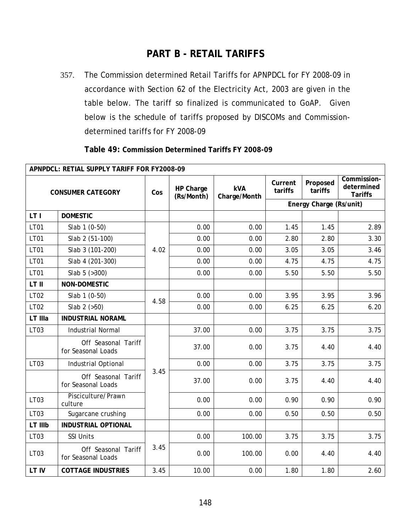## **PART B - RETAIL TARIFFS**

357. The Commission determined Retail Tariffs for APNPDCL for FY 2008-09 in accordance with Section 62 of the Electricity Act, 2003 are given in the table below. The tariff so finalized is communicated to GoAP. Given below is the schedule of tariffs proposed by DISCOMs and Commissiondetermined tariffs for FY 2008-09

| APNPDCL: RETIAL SUPPLY TARIFF FOR FY2008-09 |                                           |      |                         |                            |                    |                         |                                             |
|---------------------------------------------|-------------------------------------------|------|-------------------------|----------------------------|--------------------|-------------------------|---------------------------------------------|
| <b>CONSUMER CATEGORY</b>                    |                                           | Cos  | HP Charge<br>(Rs/Month) | <b>kVA</b><br>Charge/Month | Current<br>tariffs | Proposed<br>tariffs     | Commission-<br>determined<br><b>Tariffs</b> |
|                                             |                                           |      |                         |                            |                    | Energy Charge (Rs/unit) |                                             |
| LT I                                        | <b>DOMESTIC</b>                           |      |                         |                            |                    |                         |                                             |
| LT01                                        | Slab 1 (0-50)                             |      | 0.00                    | 0.00                       | 1.45               | 1.45                    | 2.89                                        |
| <b>LT01</b>                                 | Slab 2 (51-100)                           |      | 0.00                    | 0.00                       | 2.80               | 2.80                    | 3.30                                        |
| <b>LT01</b>                                 | Slab 3 (101-200)                          | 4.02 | 0.00                    | 0.00                       | 3.05               | 3.05                    | 3.46                                        |
| <b>LT01</b>                                 | Slab 4 (201-300)                          |      | 0.00                    | 0.00                       | 4.75               | 4.75                    | 4.75                                        |
| LT01                                        | Slab $5$ ( $>300$ )                       |      | 0.00                    | 0.00                       | 5.50               | 5.50                    | 5.50                                        |
| LT II                                       | NON-DOMESTIC                              |      |                         |                            |                    |                         |                                             |
| LT02                                        | Slab 1 (0-50)                             | 4.58 | 0.00                    | 0.00                       | 3.95               | 3.95                    | 3.96                                        |
| LT02                                        | Slab $2$ ( $>50$ )                        |      | 0.00                    | 0.00                       | 6.25               | 6.25                    | 6.20                                        |
| LT IIIa                                     | <b>INDUSTRIAL NORAML</b>                  |      |                         |                            |                    |                         |                                             |
| LT03                                        | <b>Industrial Normal</b>                  |      | 37.00                   | 0.00                       | 3.75               | 3.75                    | 3.75                                        |
|                                             | Off Seasonal Tariff<br>for Seasonal Loads |      | 37.00                   | 0.00                       | 3.75               | 4.40                    | 4.40                                        |
| LT03                                        | Industrial Optional                       |      | 0.00                    | 0.00                       | 3.75               | 3.75                    | 3.75                                        |
|                                             | Off Seasonal Tariff<br>for Seasonal Loads | 3.45 | 37.00                   | 0.00                       | 3.75               | 4.40                    | 4.40                                        |
| LT03                                        | Pisciculture/Prawn<br>culture             |      | 0.00                    | 0.00                       | 0.90               | 0.90                    | 0.90                                        |
| LT03                                        | Sugarcane crushing                        |      | 0.00                    | 0.00                       | 0.50               | 0.50                    | 0.50                                        |
| LT IIIb                                     | <b>INDUSTRIAL OPTIONAL</b>                |      |                         |                            |                    |                         |                                             |
| LT03                                        | <b>SSI Units</b>                          |      | 0.00                    | 100.00                     | 3.75               | 3.75                    | 3.75                                        |
| LT <sub>03</sub>                            | Off Seasonal Tariff<br>for Seasonal Loads | 3.45 | 0.00                    | 100.00                     | 0.00               | 4.40                    | 4.40                                        |
| LT IV                                       | <b>COTTAGE INDUSTRIES</b>                 | 3.45 | 10.00                   | 0.00                       | 1.80               | 1.80                    | 2.60                                        |

**Table 49: Commission Determined Tariffs FY 2008-09**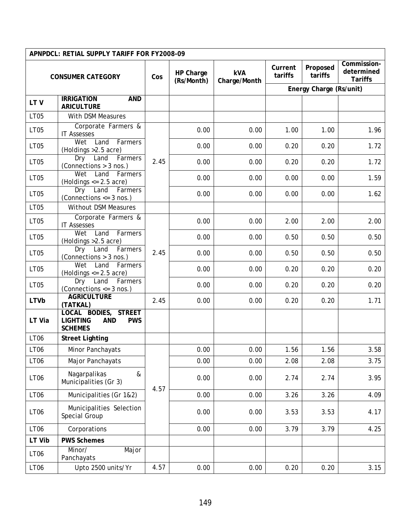| APNPDCL: RETIAL SUPPLY TARIFF FOR FY2008-09 |                                                                                       |      |                         |                            |                    |                         |                                             |
|---------------------------------------------|---------------------------------------------------------------------------------------|------|-------------------------|----------------------------|--------------------|-------------------------|---------------------------------------------|
| <b>CONSUMER CATEGORY</b>                    |                                                                                       | Cos  | HP Charge<br>(Rs/Month) | <b>kVA</b><br>Charge/Month | Current<br>tariffs | Proposed<br>tariffs     | Commission-<br>determined<br><b>Tariffs</b> |
|                                             |                                                                                       |      |                         |                            |                    | Energy Charge (Rs/unit) |                                             |
| LTV                                         | <b>IRRIGATION</b><br><b>AND</b><br><b>ARICULTURE</b>                                  |      |                         |                            |                    |                         |                                             |
| <b>LT05</b>                                 | With DSM Measures                                                                     |      |                         |                            |                    |                         |                                             |
| LT05                                        | Corporate Farmers &<br><b>IT Assesses</b>                                             |      | 0.00                    | 0.00                       | 1.00               | 1.00                    | 1.96                                        |
| LT05                                        | Wet<br>Land<br>Farmers<br>(Holdings > 2.5 acre)                                       |      | 0.00                    | 0.00                       | 0.20               | 0.20                    | 1.72                                        |
| <b>LT05</b>                                 | Dry<br>Land<br>Farmers<br>(Connections > 3 nos.)                                      | 2.45 | 0.00                    | 0.00                       | 0.20               | 0.20                    | 1.72                                        |
| <b>LT05</b>                                 | Land<br>Wet<br>Farmers<br>(Holdings $\leq$ 2.5 acre)                                  |      | 0.00                    | 0.00                       | 0.00               | 0.00                    | 1.59                                        |
| <b>LT05</b>                                 | Land<br>Farmers<br>Dry<br>(Connections $\leq$ 3 nos.)                                 |      | 0.00                    | 0.00                       | 0.00               | 0.00                    | 1.62                                        |
| <b>LT05</b>                                 | <b>Without DSM Measures</b>                                                           |      |                         |                            |                    |                         |                                             |
| LT05                                        | Corporate Farmers &<br><b>IT Assesses</b>                                             |      | 0.00                    | 0.00                       | 2.00               | 2.00                    | 2.00                                        |
| <b>LT05</b>                                 | Wet<br>Farmers<br>Land<br>(Holdings > 2.5 acre)                                       |      | 0.00                    | 0.00                       | 0.50               | 0.50                    | 0.50                                        |
| LT05                                        | Dry Land<br>Farmers<br>(Connections > 3 nos.)                                         | 2.45 | 0.00                    | 0.00                       | 0.50               | 0.50                    | 0.50                                        |
| LT05                                        | Wet<br>Land<br>Farmers<br>(Holdings $<= 2.5$ acre)                                    |      | 0.00                    | 0.00                       | 0.20               | 0.20                    | 0.20                                        |
| LT05                                        | $L$ and<br>Dry<br>Farmers<br>(Connections $<=$ 3 nos.)                                |      | 0.00                    | 0.00                       | 0.20               | 0.20                    | 0.20                                        |
| <b>LTVb</b>                                 | <b>AGRICULTURE</b><br>(TATKAL)                                                        | 2.45 | 0.00                    | 0.00                       | 0.20               | 0.20                    | 1.71                                        |
| LT Via                                      | LOCAL BODIES, STREET<br><b>LIGHTING</b><br><b>AND</b><br><b>PWS</b><br><b>SCHEMES</b> |      |                         |                            |                    |                         |                                             |
| <b>LT06</b>                                 | <b>Street Lighting</b>                                                                |      |                         |                            |                    |                         |                                             |
| LT06                                        | Minor Panchayats                                                                      |      | 0.00                    | 0.00                       | 1.56               | 1.56                    | 3.58                                        |
| LT <sub>06</sub>                            | Major Panchayats                                                                      |      | 0.00                    | 0.00                       | 2.08               | 2.08                    | 3.75                                        |
| LT <sub>06</sub>                            | Nagarpalikas<br>$\&$<br>Municipalities (Gr 3)                                         | 4.57 | 0.00                    | 0.00                       | 2.74               | 2.74                    | 3.95                                        |
| LT06                                        | Municipalities (Gr 1&2)                                                               |      | 0.00                    | 0.00                       | 3.26               | 3.26                    | 4.09                                        |
| LT06                                        | Municipalities Selection<br>Special Group                                             |      | 0.00                    | 0.00                       | 3.53               | 3.53                    | 4.17                                        |
| <b>LT06</b>                                 | Corporations                                                                          |      | 0.00                    | 0.00                       | 3.79               | 3.79                    | 4.25                                        |
| LT Vib                                      | <b>PWS Schemes</b>                                                                    |      |                         |                            |                    |                         |                                             |
| LT <sub>06</sub>                            | Minor/<br>Major<br>Panchayats                                                         |      |                         |                            |                    |                         |                                             |
| LT06                                        | Upto 2500 units/Yr                                                                    | 4.57 | 0.00                    | 0.00                       | 0.20               | 0.20                    | 3.15                                        |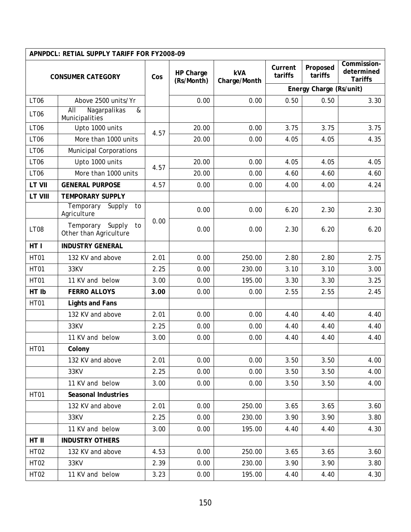|                          | APNPDCL: RETIAL SUPPLY TARIFF FOR FY2008-09      |      |                                       |              |                    |                         |                                             |
|--------------------------|--------------------------------------------------|------|---------------------------------------|--------------|--------------------|-------------------------|---------------------------------------------|
| <b>CONSUMER CATEGORY</b> |                                                  | Cos  | <b>kVA</b><br>HP Charge<br>(Rs/Month) | Charge/Month | Current<br>tariffs | Proposed<br>tariffs     | Commission-<br>determined<br><b>Tariffs</b> |
|                          |                                                  |      |                                       |              |                    | Energy Charge (Rs/unit) |                                             |
| <b>LT06</b>              | Above 2500 units/Yr                              |      | 0.00                                  | 0.00         | 0.50               | 0.50                    | 3.30                                        |
| <b>LT06</b>              | AII<br>Nagarpalikas<br>&<br>Municipalities       |      |                                       |              |                    |                         |                                             |
| <b>LT06</b>              | Upto 1000 units                                  | 4.57 | 20.00                                 | 0.00         | 3.75               | 3.75                    | 3.75                                        |
| <b>LT06</b>              | More than 1000 units                             |      | 20.00                                 | 0.00         | 4.05               | 4.05                    | 4.35                                        |
| <b>LT06</b>              | <b>Municipal Corporations</b>                    |      |                                       |              |                    |                         |                                             |
| <b>LT06</b>              | Upto 1000 units                                  | 4.57 | 20.00                                 | 0.00         | 4.05               | 4.05                    | 4.05                                        |
| <b>LT06</b>              | More than 1000 units                             |      | 20.00                                 | 0.00         | 4.60               | 4.60                    | 4.60                                        |
| LT VII                   | <b>GENERAL PURPOSE</b>                           | 4.57 | 0.00                                  | 0.00         | 4.00               | 4.00                    | 4.24                                        |
| LT VIII                  | <b>TEMPORARY SUPPLY</b>                          |      |                                       |              |                    |                         |                                             |
|                          | Temporary<br>Supply<br>to<br>Agriculture         |      | 0.00                                  | 0.00         | 6.20               | 2.30                    | 2.30                                        |
| <b>LT08</b>              | Temporary Supply<br>to<br>Other than Agriculture | 0.00 | 0.00                                  | 0.00         | 2.30               | 6.20                    | 6.20                                        |
| HT I                     | <b>INDUSTRY GENERAL</b>                          |      |                                       |              |                    |                         |                                             |
| <b>HT01</b>              | 132 KV and above                                 | 2.01 | 0.00                                  | 250.00       | 2.80               | 2.80                    | 2.75                                        |
| <b>HT01</b>              | 33KV                                             | 2.25 | 0.00                                  | 230.00       | 3.10               | 3.10                    | 3.00                                        |
| <b>HT01</b>              | 11 KV and below                                  | 3.00 | 0.00                                  | 195.00       | 3.30               | 3.30                    | 3.25                                        |
| HT Ib                    | <b>FERRO ALLOYS</b>                              | 3.00 | 0.00                                  | 0.00         | 2.55               | 2.55                    | 2.45                                        |
| <b>HT01</b>              | <b>Lights and Fans</b>                           |      |                                       |              |                    |                         |                                             |
|                          | 132 KV and above                                 | 2.01 | 0.00                                  | 0.00         | 4.40               | 4.40                    | 4.40                                        |
|                          | 33KV                                             | 2.25 | 0.00                                  | 0.00         | 4.40               | 4.40                    | 4.40                                        |
|                          | 11 KV and below                                  | 3.00 | 0.00                                  | 0.00         | 4.40               | 4.40                    | 4.40                                        |
| HT01                     | Colony                                           |      |                                       |              |                    |                         |                                             |
|                          | 132 KV and above                                 | 2.01 | 0.00                                  | 0.00         | 3.50               | 3.50                    | 4.00                                        |
|                          | 33KV                                             | 2.25 | 0.00                                  | 0.00         | 3.50               | 3.50                    | 4.00                                        |
|                          | 11 KV and below                                  | 3.00 | 0.00                                  | 0.00         | 3.50               | 3.50                    | 4.00                                        |
| <b>HT01</b>              | <b>Seasonal Industries</b>                       |      |                                       |              |                    |                         |                                             |
|                          | 132 KV and above                                 | 2.01 | 0.00                                  | 250.00       | 3.65               | 3.65                    | 3.60                                        |
|                          | 33KV                                             | 2.25 | 0.00                                  | 230.00       | 3.90               | 3.90                    | 3.80                                        |
|                          | 11 KV and below                                  | 3.00 | 0.00                                  | 195.00       | 4.40               | 4.40                    | 4.30                                        |
| HT II                    | <b>INDUSTRY OTHERS</b>                           |      |                                       |              |                    |                         |                                             |
| <b>HT02</b>              | 132 KV and above                                 | 4.53 | 0.00                                  | 250.00       | 3.65               | 3.65                    | 3.60                                        |
| <b>HT02</b>              | 33KV                                             | 2.39 | 0.00                                  | 230.00       | 3.90               | 3.90                    | 3.80                                        |
| <b>HT02</b>              | 11 KV and below                                  | 3.23 | 0.00                                  | 195.00       | 4.40               | 4.40                    | 4.30                                        |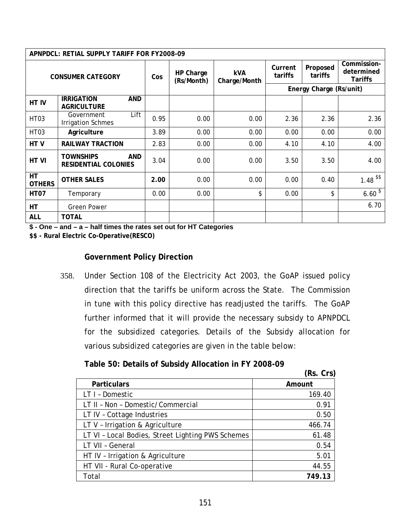|                                 | APNPDCL: RETIAL SUPPLY TARIFF FOR FY2008-09                   |      |                         |                            |                    |                         |                                             |
|---------------------------------|---------------------------------------------------------------|------|-------------------------|----------------------------|--------------------|-------------------------|---------------------------------------------|
|                                 | <b>CONSUMER CATEGORY</b>                                      | Cos  | HP Charge<br>(Rs/Month) | <b>kVA</b><br>Charge/Month | Current<br>tariffs | Proposed<br>tariffs     | Commission-<br>determined<br><b>Tariffs</b> |
|                                 |                                                               |      |                         |                            |                    | Energy Charge (Rs/unit) |                                             |
| HT IV                           | <b>IRRIGATION</b><br><b>AND</b><br><b>AGRICULTURE</b>         |      |                         |                            |                    |                         |                                             |
| HT <sub>03</sub>                | Lift<br>Government<br><b>Irrigation Schmes</b>                | 0.95 | 0.00                    | 0.00                       | 2.36               | 2.36                    | 2.36                                        |
| HT <sub>03</sub>                | Agriculture                                                   | 3.89 | 0.00                    | 0.00                       | 0.00               | 0.00                    | 0.00                                        |
| HTV                             | <b>RAILWAY TRACTION</b>                                       | 2.83 | 0.00                    | 0.00                       | 4.10               | 4.10                    | 4.00                                        |
| HT VI                           | <b>TOWNSHIPS</b><br><b>AND</b><br><b>RESIDENTIAL COLONIES</b> | 3.04 | 0.00                    | 0.00                       | 3.50               | 3.50                    | 4.00                                        |
| $\overline{H}$<br><b>OTHERS</b> | <b>OTHER SALES</b>                                            | 2.00 | 0.00                    | 0.00                       | 0.00               | 0.40                    | $1.48$ <sup>\$\$</sup>                      |
| <b>HT07</b>                     | Temporary                                                     | 0.00 | 0.00                    | \$                         | 0.00               | \$                      | $6.60^{3}$                                  |
| HT                              | <b>Green Power</b>                                            |      |                         |                            |                    |                         | 6.70                                        |
| <b>ALL</b>                      | <b>TOTAL</b>                                                  |      |                         |                            |                    |                         |                                             |

**\$ - One – and – a – half times the rates set out for HT Categories** 

**\$\$ - Rural Electric Co-Operative(RESCO)** 

#### **Government Policy Direction**

358. Under Section 108 of the Electricity Act 2003, the GoAP issued policy direction that the tariffs be uniform across the State. The Commission in tune with this policy directive has readjusted the tariffs. The GoAP further informed that it will provide the necessary subsidy to APNPDCL for the subsidized categories. Details of the Subsidy allocation for various subsidized categories are given in the table below:

## **Table 50: Details of Subsidy Allocation in FY 2008-09**

|                                                   | (Rs. Crs) |
|---------------------------------------------------|-----------|
| <b>Particulars</b>                                | Amount    |
| LT I - Domestic                                   | 169.40    |
| LT II - Non - Domestic/Commercial                 | 0.91      |
| LT IV - Cottage Industries                        | 0.50      |
| LT V - Irrigation & Agriculture                   | 466.74    |
| LT VI - Local Bodies, Street Lighting PWS Schemes | 61.48     |
| LT VII - General                                  | 0.54      |
| HT IV - Irrigation & Agriculture                  | 5.01      |
| HT VII - Rural Co-operative                       | 44.55     |
| Total                                             | 749.13    |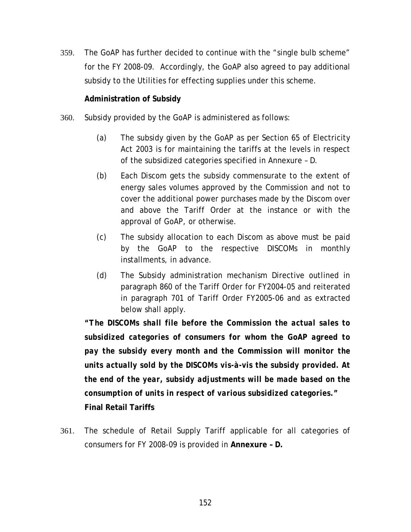359. The GoAP has further decided to continue with the "single bulb scheme" for the FY 2008-09. Accordingly, the GoAP also agreed to pay additional subsidy to the Utilities for effecting supplies under this scheme.

## **Administration of Subsidy**

- 360. Subsidy provided by the GoAP is administered as follows:
	- (a) The subsidy given by the GoAP as per Section 65 of Electricity Act 2003 is for maintaining the tariffs at the levels in respect of the subsidized categories specified in Annexure – D.
	- (b) Each Discom gets the subsidy commensurate to the extent of energy sales volumes approved by the Commission and not to cover the additional power purchases made by the Discom over and above the Tariff Order at the instance or with the approval of GoAP, or otherwise.
	- (c) The subsidy allocation to each Discom as above must be paid by the GoAP to the respective DISCOMs in monthly installments, in advance.
	- *(d)* The Subsidy administration mechanism Directive outlined in paragraph 860 of the Tariff Order for FY2004-05 and reiterated in paragraph 701 of Tariff Order FY2005-06 and as extracted below shall apply.

*"The DISCOMs shall file before the Commission the actual sales to subsidized categories of consumers for whom the GoAP agreed to pay the subsidy every month and the Commission will monitor the units actually sold by the DISCOMs vis-à-vis the subsidy provided. At the end of the year, subsidy adjustments will be made based on the consumption of units in respect of various subsidized categories."*  **Final Retail Tariffs** 

361. The schedule of Retail Supply Tariff applicable for all categories of consumers for FY 2008-09 is provided in **Annexure – D.**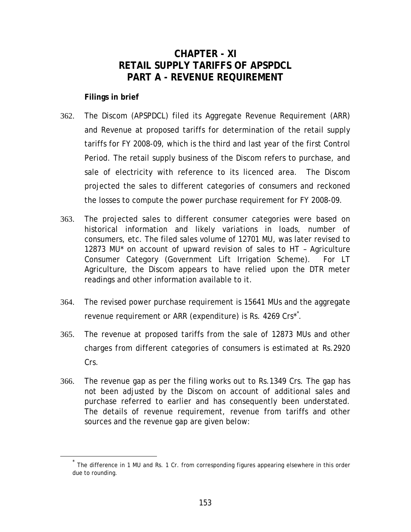## **CHAPTER - XI RETAIL SUPPLY TARIFFS OF APSPDCL PART A - REVENUE REQUIREMENT**

#### <span id="page-158-0"></span>**Filings in brief**

- 362. The Discom (APSPDCL) filed its Aggregate Revenue Requirement (ARR) and Revenue at proposed tariffs for determination of the retail supply tariffs for FY 2008-09, which is the third and last year of the first Control Period. The retail supply business of the Discom refers to purchase, and sale of electricity with reference to its licenced area. The Discom projected the sales to different categories of consumers and reckoned the losses to compute the power purchase requirement for FY 2008-09.
- 363. The projected sales to different consumer categories were based on historical information and likely variations in loads, number of consumers, etc. The filed sales volume of 12701 MU, was later revised to 12873 MU\* on account of upward revision of sales to HT – Agriculture Consumer Category (Government Lift Irrigation Scheme). For LT Agriculture, the Discom appears to have relied upon the DTR meter readings and other information available to it.
- 364. The revised power purchase requirement is 15641 MUs and the aggregate revenue requirement or ARR (expenditure) is Rs. 4269 Crs[\\*](#page-158-0)<sup>\*</sup>.
- 365. The revenue at proposed tariffs from the sale of 12873 MUs and other charges from different categories of consumers is estimated at Rs.2920 Crs.
- 366. The revenue gap as per the filing works out to Rs.1349 Crs. The gap has not been adjusted by the Discom on account of additional sales and purchase referred to earlier and has consequently been understated. The details of revenue requirement, revenue from tariffs and other sources and the revenue gap are given below:

The difference in 1 MU and Rs. 1 Cr. from corresponding figures appearing elsewhere in this order due to rounding.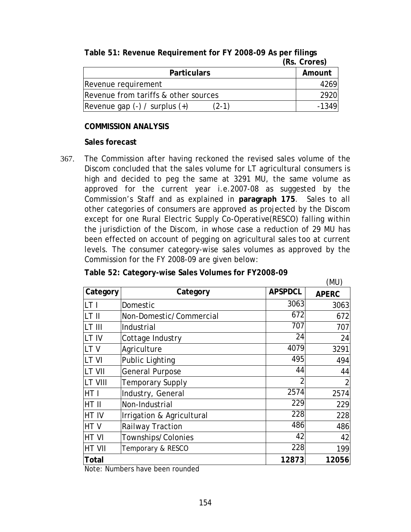|                                            | (RS. Crores) |
|--------------------------------------------|--------------|
| <b>Particulars</b>                         | Amount       |
| Revenue requirement                        | 4269         |
| Revenue from tariffs & other sources       | <b>2920</b>  |
| Revenue gap $(-)$ / surplus $(+)$<br>(2-1) | $-1349$      |

## **Table 51: Revenue Requirement for FY 2008-09 As per filings (Rs. Crores)**

#### **COMMISSION ANALYSIS**

#### **Sales forecast**

367. The Commission after having reckoned the revised sales volume of the Discom concluded that the sales volume for LT agricultural consumers is high and decided to peg the same at 3291 MU, the same volume as approved for the current year i.e.2007-08 as suggested by the Commission's Staff and as explained in **paragraph [175](#page-76-0)**. Sales to all other categories of consumers are approved as projected by the Discom except for one Rural Electric Supply Co-Operative(RESCO) falling within the jurisdiction of the Discom, in whose case a reduction of 29 MU has been effected on account of pegging on agricultural sales too at current levels. The consumer category-wise sales volumes as approved by the Commission for the FY 2008-09 are given below:

## **Table 52: Category-wise Sales Volumes for FY2008-09**

|                 |                           |                | (MU)         |
|-----------------|---------------------------|----------------|--------------|
| Category        | Category                  | <b>APSPDCL</b> | <b>APERC</b> |
| llt i           | Domestic                  | 3063           | 3063         |
| LT II           | Non-Domestic/Commercial   | 672            | 672          |
| ILT III         | Industrial                | 707            | 707          |
| LT IV           | Cottage Industry          | 24             | 24           |
| LTV             | Agriculture               | 4079           | 3291         |
| LT VI           | <b>Public Lighting</b>    | 495            | 494          |
| LT VII          | <b>General Purpose</b>    | 44             | 44           |
| <b>LT VIII</b>  | <b>Temporary Supply</b>   |                |              |
| HT <sub>1</sub> | Industry, General         | 2574           | 2574         |
| HT II           | Non-Industrial            | 229            | 229          |
| <b>HT IV</b>    | Irrigation & Agricultural | 228            | 228          |
| <b>HTV</b>      | <b>Railway Traction</b>   | 486            | 486          |
| <b>HTVI</b>     | Townships/Colonies        | 42             | 42           |
| <b>HT VII</b>   | Temporary & RESCO         | 228            | 199          |
| <b>Total</b>    |                           | 12873          | 12056        |

Note: Numbers have been rounded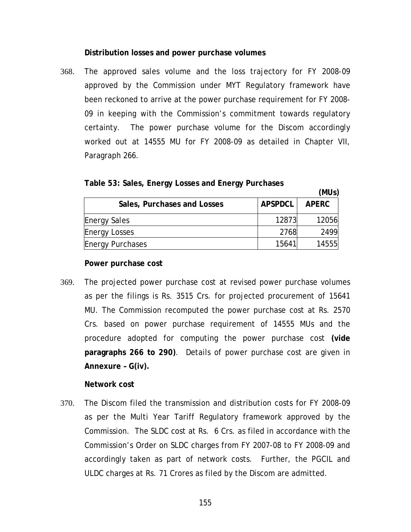#### **Distribution losses and power purchase volumes**

368. The approved sales volume and the loss trajectory for FY 2008-09 approved by the Commission under MYT Regulatory framework have been reckoned to arrive at the power purchase requirement for FY 2008- 09 in keeping with the Commission's commitment towards regulatory certainty. The power purchase volume for the Discom accordingly worked out at 14555 MU for FY 2008-09 as detailed in Chapter VII, Paragraph [266.](#page-108-0)

| Table 53: Sales, Energy Losses and Energy Purchases |  |  |  |  |
|-----------------------------------------------------|--|--|--|--|
|-----------------------------------------------------|--|--|--|--|

|                             |                | (MUs)        |
|-----------------------------|----------------|--------------|
| Sales, Purchases and Losses | <b>APSPDCL</b> | <b>APERC</b> |
| <b>Energy Sales</b>         | 12873          | 12056        |
| <b>Energy Losses</b>        | 2768           | 2499         |
| <b>Energy Purchases</b>     | 15641          | 14555        |

#### **Power purchase cost**

369. The projected power purchase cost at revised power purchase volumes as per the filings is Rs. 3515 Crs. for projected procurement of 15641 MU. The Commission recomputed the power purchase cost at Rs. 2570 Crs. based on power purchase requirement of 14555 MUs and the procedure adopted for computing the power purchase cost **(vide paragraphs [266](#page-108-0) to [290\)](#page-118-0)**. Details of power purchase cost are given in **Annexure – G(iv).**

#### **Network cost**

370. The Discom filed the transmission and distribution costs for FY 2008-09 as per the Multi Year Tariff Regulatory framework approved by the Commission. The SLDC cost at Rs. 6 Crs. as filed in accordance with the Commission's Order on SLDC charges from FY 2007-08 to FY 2008-09 and accordingly taken as part of network costs. Further, the PGCIL and ULDC charges at Rs. 71 Crores as filed by the Discom are admitted.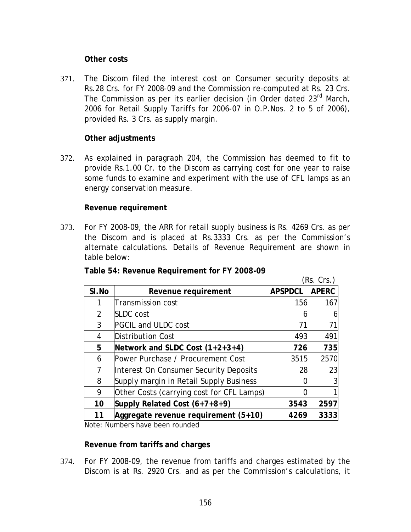#### **Other costs**

371. The Discom filed the interest cost on Consumer security deposits at Rs.28 Crs. for FY 2008-09 and the Commission re-computed at Rs. 23 Crs. The Commission as per its earlier decision (in Order dated 23<sup>rd</sup> March, 2006 for Retail Supply Tariffs for 2006-07 in O.P.Nos. 2 to 5 of 2006), provided Rs. 3 Crs. as supply margin.

#### **Other adjustments**

372. As explained in paragraph [204,](#page-82-0) the Commission has deemed to fit to provide Rs.1.00 Cr. to the Discom as carrying cost for one year to raise some funds to examine and experiment with the use of CFL lamps as an energy conservation measure.

#### **Revenue requirement**

373. For FY 2008-09, the ARR for retail supply business is Rs. 4269 Crs. as per the Discom and is placed at Rs.3333 Crs. as per the Commission's alternate calculations. Details of Revenue Requirement are shown in table below:

|                |                                           |                | (Rs. Crs.)   |
|----------------|-------------------------------------------|----------------|--------------|
| SI.No          | Revenue requirement                       | <b>APSPDCL</b> | <b>APERC</b> |
|                | <b>Transmission cost</b>                  | 156            | 167          |
| $\overline{2}$ | <b>SLDC</b> cost                          |                |              |
| 3              | <b>PGCIL and ULDC cost</b>                | 71             | 71           |
| 4              | Distribution Cost                         | 493            | 491          |
| 5              | Network and SLDC Cost $(1+2+3+4)$         | 726            | 735          |
| 6              | Power Purchase / Procurement Cost         | 3515           | 2570         |
| 7              | Interest On Consumer Security Deposits    | 28             | 23           |
| 8              | Supply margin in Retail Supply Business   |                |              |
| 9              | Other Costs (carrying cost for CFL Lamps) |                |              |
| 10             | Supply Related Cost (6+7+8+9)             | 3543           | 2597         |
| 11             | Aggregate revenue requirement (5+10)      | 4269           | 3333         |

| Table 54: Revenue Requirement for FY 2008-09 |  |  |  |
|----------------------------------------------|--|--|--|
|----------------------------------------------|--|--|--|

Note: Numbers have been rounded

#### **Revenue from tariffs and charges**

374. For FY 2008-09, the revenue from tariffs and charges estimated by the Discom is at Rs. 2920 Crs. and as per the Commission's calculations, it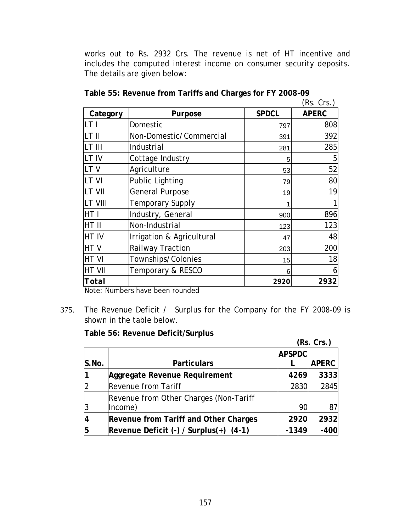works out to Rs. 2932 Crs. The revenue is net of HT incentive and includes the computed interest income on consumer security deposits. The details are given below:

|                |                           |              | (Rs. Crs.)   |
|----------------|---------------------------|--------------|--------------|
| Category       | Purpose                   | <b>SPDCL</b> | <b>APERC</b> |
| LT I           | Domestic                  | 797          | 808          |
| LT II          | Non-Domestic/Commercial   | 391          | 392          |
| LT III         | Industrial                | 281          | 285          |
| LT IV          | Cottage Industry          | 5            | 5            |
| LT V           | Agriculture               | 53           | 52           |
| LT VI          | <b>Public Lighting</b>    | 79           | 80           |
| LT VII         | <b>General Purpose</b>    | 19           | 19           |
| <b>LT VIII</b> | <b>Temporary Supply</b>   |              |              |
| HT I           | Industry, General         | 900          | 896          |
| HT II          | Non-Industrial            | 123          | 123          |
| HT IV          | Irrigation & Agricultural | 47           | 48           |
| HTV            | Railway Traction          | 203          | 200          |
| HT VI          | Townships/Colonies        | 15           | 18           |
| HT VII         | Temporary & RESCO         | 6            | 6            |
| <b>Total</b>   |                           | <i>2920</i>  | 2932         |

| Table 55: Revenue from Tariffs and Charges for FY 2008-09 |  |  |
|-----------------------------------------------------------|--|--|
|-----------------------------------------------------------|--|--|

Note: Numbers have been rounded

375. The Revenue Deficit / Surplus for the Company for the FY 2008-09 is shown in the table below.

**Table 56: Revenue Deficit/Surplus** 

|       |                                             |               | (Rs. Crs.)   |
|-------|---------------------------------------------|---------------|--------------|
|       |                                             | <b>APSPDC</b> |              |
| S.No. | <b>Particulars</b>                          |               | <b>APERC</b> |
|       | Aggregate Revenue Requirement               | 4269          | 3333         |
|       | <b>Revenue from Tariff</b>                  | 2830          | 2845         |
|       | Revenue from Other Charges (Non-Tariff      |               |              |
|       | Income)                                     | 90            | 87           |
|       | Revenue from Tariff and Other Charges       | 2920          | 2932         |
| 5     | Revenue Deficit $(-)$ / Surplus $(+)$ (4-1) | $-1349$       | $-400$       |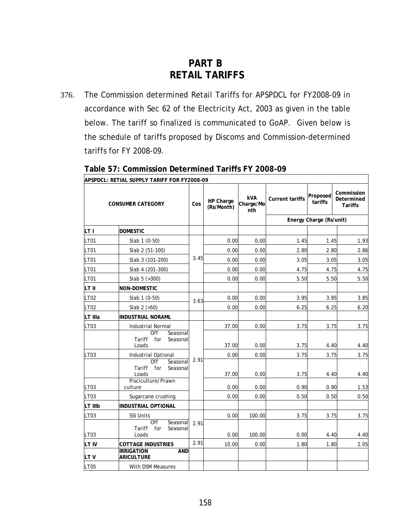# **PART B RETAIL TARIFFS**

376. The Commission determined Retail Tariffs for APSPDCL for FY2008-09 in accordance with Sec 62 of the Electricity Act, 2003 as given in the table below. The tariff so finalized is communicated to GoAP. Given below is the schedule of tariffs proposed by Discoms and Commission-determined tariffs for FY 2008-09.

|                  | APSPDCL: RETIAL SUPPLY TARIFF FOR FY2008-09                  |      |                         |                                |                        |                         |                                            |
|------------------|--------------------------------------------------------------|------|-------------------------|--------------------------------|------------------------|-------------------------|--------------------------------------------|
|                  | <b>CONSUMER CATEGORY</b>                                     | Cos  | HP Charge<br>(Rs/Month) | <b>kVA</b><br>Charge/Mo<br>nth | <b>Current tariffs</b> | Proposed<br>tariffs     | Commission<br>Determined<br><b>Tariffs</b> |
|                  |                                                              |      |                         |                                |                        | Energy Charge (Rs/unit) |                                            |
| LT I             | <b>DOMESTIC</b>                                              |      |                         |                                |                        |                         |                                            |
| <b>LT01</b>      | Slab 1 (0-50)                                                |      | 0.00                    | 0.00                           | 1.45                   | 1.45                    | 1.93                                       |
| <b>LT01</b>      | Slab 2 (51-100)                                              |      | 0.00                    | 0.00                           | 2.80                   | 2.80                    | 2.86                                       |
| <b>LT01</b>      | Slab 3 (101-200)                                             | 3.45 | 0.00                    | 0.00                           | 3.05                   | 3.05                    | 3.05                                       |
| <b>LT01</b>      | Slab 4 (201-300)                                             |      | 0.00                    | 0.00                           | 4.75                   | 4.75                    | 4.75                                       |
| LT01             | Slab 5 (>300)                                                |      | 0.00                    | 0.00                           | 5.50                   | 5.50                    | 5.50                                       |
| LT II            | <b>NON-DOMESTIC</b>                                          |      |                         |                                |                        |                         |                                            |
| LT02             | Slab 1 (0-50)                                                | 3.63 | 0.00                    | 0.00                           | 3.95                   | 3.95                    | 3.85                                       |
| <b>LT02</b>      | Slab $2$ ( $>50$ )                                           |      | 0.00                    | 0.00                           | 6.25                   | 6.25                    | 6.20                                       |
| LT IIIa          | <b>INDUSTRIAL NORAML</b>                                     |      |                         |                                |                        |                         |                                            |
| LT03             | <b>Industrial Normal</b><br>Off<br>Seasonal                  |      | 37.00                   | 0.00                           | 3.75                   | 3.75                    | 3.75                                       |
|                  | Tariff<br>for<br>Seasonal<br>Loads                           |      | 37.00                   | 0.00                           | 3.75                   | 4.40                    | 4.40                                       |
| LT <sub>03</sub> | Industrial Optional                                          | 2.91 | 0.00                    | 0.00                           | 3.75                   | 3.75                    | 3.75                                       |
|                  | Off<br>Seasonal<br>Tariff<br>for<br>Seasonal<br>Loads        |      | 37.00                   | 0.00                           | 3.75                   | 4.40                    | 4.40                                       |
| LT03             | Pisciculture/Prawn<br>culture                                |      | 0.00                    | 0.00                           | 0.90                   | 0.90                    | 1.53                                       |
| LT03             | Sugarcane crushing                                           |      | 0.00                    | 0.00                           | 0.50                   | 0.50                    | 0.50                                       |
| LT IIIb          | INDUSTRIAL OPTIONAL                                          |      |                         |                                |                        |                         |                                            |
| LT03             | <b>SSI Units</b>                                             |      | 0.00                    | 100.00                         | 3.75                   | 3.75                    | 3.75                                       |
| LT <sub>03</sub> | <b>Off</b><br>Seasonal<br>for<br>Seasonal<br>Tariff<br>Loads | 2.91 | 0.00                    | 100.00                         | 0.00                   | 4.40                    | 4.40                                       |
| LT IV            | <b>COTTAGE INDUSTRIES</b>                                    | 2.91 | 10.00                   | 0.00                           | 1.80                   | 1.80                    | 2.05                                       |
| LTV              | <b>IRRIGATION</b><br><b>AND</b><br><b>ARICULTURE</b>         |      |                         |                                |                        |                         |                                            |
| LT05             | With DSM Measures                                            |      |                         |                                |                        |                         |                                            |

### **Table 57: Commission Determined Tariffs FY 2008-09**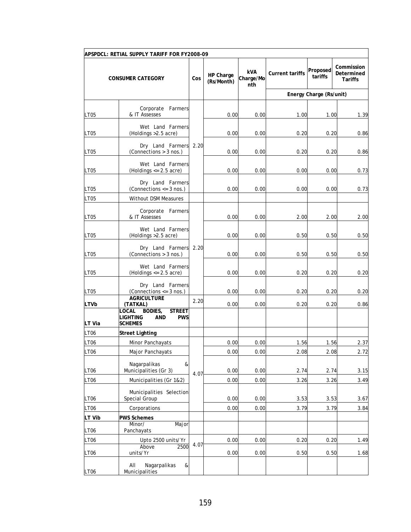|                       | APSPDCL: RETIAL SUPPLY TARIFF FOR FY2008-09                                                      |      |                         |                         |                        |                         |                                     |
|-----------------------|--------------------------------------------------------------------------------------------------|------|-------------------------|-------------------------|------------------------|-------------------------|-------------------------------------|
|                       | <b>CONSUMER CATEGORY</b>                                                                         | Cos  | HP Charge<br>(Rs/Month) | kVA<br>Charge/Mo<br>nth | <b>Current tariffs</b> | Proposed<br>tariffs     | Commission<br>Determined<br>Tariffs |
|                       |                                                                                                  |      |                         |                         |                        | Energy Charge (Rs/unit) |                                     |
| <b>LT05</b>           | Corporate Farmers<br>& IT Assesses                                                               |      | 0.00                    | 0.00                    | 1.00                   | 1.00                    | 1.39                                |
| <b>LT05</b>           | Wet Land Farmers<br>(Holdings > 2.5 acre)                                                        |      | 0.00                    | 0.00                    | 0.20                   | 0.20                    | 0.86                                |
| LT05                  | Dry Land Farmers<br>(Connections > 3 nos.)                                                       | 2.20 | 0.00                    | 0.00                    | 0.20                   | 0.20                    | 0.86                                |
| LT05                  | Wet Land Farmers<br>(Holdings $\le$ 2.5 acre)                                                    |      | 0.00                    | 0.00                    | 0.00                   | 0.00                    | 0.73                                |
| LT05                  | Dry Land Farmers<br>(Connections $<=$ 3 nos.)                                                    |      | 0.00                    | 0.00                    | 0.00                   | 0.00                    | 0.73                                |
| <b>LT05</b>           | <b>Without DSM Measures</b>                                                                      |      |                         |                         |                        |                         |                                     |
| LT05                  | Corporate Farmers<br>& IT Assesses                                                               |      | 0.00                    | 0.00                    | 2.00                   | 2.00                    | 2.00                                |
| <b>LT05</b>           | Wet Land Farmers<br>(Holdings > 2.5 acre)                                                        | 2.20 | 0.00                    | 0.00                    | 0.50                   | 0.50                    | 0.50                                |
| LT <sub>05</sub>      | Dry Land Farmers<br>(Connections > 3 nos.)                                                       |      | 0.00                    | 0.00                    | 0.50                   | 0.50                    | 0.50                                |
| LT05                  | Wet Land Farmers<br>(Holdings $<= 2.5$ acre)                                                     |      | 0.00                    | 0.00                    | 0.20                   | 0.20                    | 0.20                                |
| LT05                  | Dry Land Farmers<br>(Connections $<=$ 3 nos.)<br><b>AGRICULTURE</b>                              |      | 0.00                    | 0.00                    | 0.20                   | 0.20                    | 0.20                                |
| <b>LTVb</b><br>LT Via | (TATKAL)<br><b>STREET</b><br>_OCAL<br>BODIES,<br>LIGHTING<br>AND<br><b>PWS</b><br><b>SCHEMES</b> | 2.20 | 0.00                    | 0.00                    | 0.20                   | 0.20                    | 0.86                                |
| <b>LT06</b>           | <b>Street Lighting</b>                                                                           |      |                         |                         |                        |                         |                                     |
| LT06                  | <b>Minor Panchayats</b>                                                                          |      | 0.00                    | 0.00                    | 1.56                   | 1.56                    | 2.37                                |
| LT06                  | Major Panchayats                                                                                 |      | 0.00                    | 0.00                    | 2.08                   | 2.08                    | 2.72                                |
| <b>LT06</b>           | Nagarpalikas<br>&<br>Municipalities (Gr 3)                                                       | 4.07 | 0.00                    | 0.00                    | 2.74                   | 2.74                    | 3.15                                |
| <b>LT06</b>           | Municipalities (Gr 1&2)                                                                          |      | 0.00                    | 0.00                    | 3.26                   | 3.26                    | 3.49                                |
| LT <sub>06</sub>      | Municipalities Selection<br>Special Group                                                        |      | 0.00                    | 0.00                    | 3.53                   | 3.53                    | 3.67                                |
| <b>LT06</b>           | Corporations                                                                                     |      | 0.00                    | 0.00                    | 3.79                   | 3.79                    | 3.84                                |
| LT Vib                | <b>PWS Schemes</b><br>Minor/<br>Major                                                            |      |                         |                         |                        |                         |                                     |
| LT <sub>06</sub>      | Panchayats                                                                                       |      |                         |                         |                        |                         |                                     |
| LT06                  | Upto 2500 units/Yr<br>Above<br>2500                                                              | 4.07 | 0.00                    | 0.00                    | 0.20                   | 0.20                    | 1.49                                |
| <b>LT06</b>           | units/Yr                                                                                         |      | 0.00                    | 0.00                    | 0.50                   | 0.50                    | 1.68                                |
| LT <sub>06</sub>      | Nagarpalikas<br>AII<br>&<br>Municipalities                                                       |      |                         |                         |                        |                         |                                     |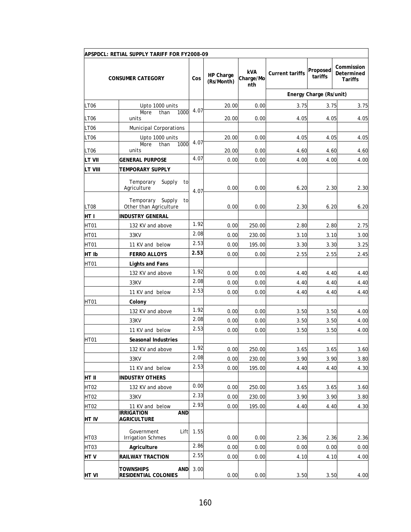|                  | APSPDCL: RETIAL SUPPLY TARIFF FOR FY2008-09         |      |                         |                                |                        |                         |                                            |
|------------------|-----------------------------------------------------|------|-------------------------|--------------------------------|------------------------|-------------------------|--------------------------------------------|
|                  | <b>CONSUMER CATEGORY</b>                            | Cos  | HP Charge<br>(Rs/Month) | <b>kVA</b><br>Charge/Mo<br>nth | <b>Current tariffs</b> | Proposed<br>tariffs     | Commission<br>Determined<br><b>Tariffs</b> |
|                  |                                                     |      |                         |                                |                        | Energy Charge (Rs/unit) |                                            |
| LT06             | Upto 1000 units                                     |      | 20.00                   | 0.00                           | 3.75                   | 3.75                    | 3.75                                       |
| <b>LT06</b>      | 1000<br>More<br>than<br>units                       | 4.07 | 20.00                   | 0.00                           | 4.05                   | 4.05                    | 4.05                                       |
| LT <sub>06</sub> | <b>Municipal Corporations</b>                       |      |                         |                                |                        |                         |                                            |
| LT06             | Upto 1000 units                                     |      | 20.00                   | 0.00                           | 4.05                   | 4.05                    | 4.05                                       |
|                  | More<br>1000<br>than                                | 4.07 |                         |                                |                        |                         |                                            |
| LT <sub>06</sub> | units                                               | 4.07 | 20.00                   | 0.00                           | 4.60                   | 4.60                    | 4.60                                       |
| LT VII           | GENERAL PURPOSE                                     |      | 0.00                    | 0.00                           | 4.00                   | 4.00                    | 4.00                                       |
| LT VIII          | TEMPORARY SUPPLY                                    |      |                         |                                |                        |                         |                                            |
|                  | Temporary<br>Supply<br>to<br>Agriculture            | 4.07 | 0.00                    | 0.00                           | 6.20                   | 2.30                    | 2.30                                       |
| LT08             | Supply<br>Temporary<br>to<br>Other than Agriculture |      | 0.00                    | 0.00                           | 2.30                   | 6.20                    | 6.20                                       |
| HT I             | <b>INDUSTRY GENERAL</b>                             |      |                         |                                |                        |                         |                                            |
| HT01             | 132 KV and above                                    | 1.92 | 0.00                    | 250.00                         | 2.80                   | 2.80                    | 2.75                                       |
| HT01             | 33KV                                                | 2.08 | 0.00                    | 230.00                         | 3.10                   | 3.10                    | 3.00                                       |
| HT01             | 11 KV and below                                     | 2.53 | 0.00                    | 195.00                         | 3.30                   | 3.30                    | 3.25                                       |
| HT Ib            | <b>FERRO ALLOYS</b>                                 | 2.53 | 0.00                    | 0.00                           | 2.55                   | 2.55                    | 2.45                                       |
| HT01             | Lights and Fans                                     |      |                         |                                |                        |                         |                                            |
|                  | 132 KV and above                                    | 1.92 | 0.00                    | 0.00                           | 4.40                   | 4.40                    | 4.40                                       |
|                  | 33KV                                                | 2.08 | 0.00                    | 0.00                           | 4.40                   | 4.40                    | 4.40                                       |
|                  | 11 KV and below                                     | 2.53 | 0.00                    | 0.00                           | 4.40                   | 4.40                    | 4.40                                       |
| HT01             | Colony                                              |      |                         |                                |                        |                         |                                            |
|                  | 132 KV and above                                    | 1.92 | 0.00                    | 0.00                           | 3.50                   | 3.50                    | 4.00                                       |
|                  | 33KV                                                | 2.08 | 0.00                    | 0.00                           | 3.50                   | 3.50                    | 4.00                                       |
|                  | 11 KV and below                                     | 2.53 | 0.00                    | 0.00                           | 3.50                   | 3.50                    | 4.00                                       |
| HT01             | Seasonal Industries                                 |      |                         |                                |                        |                         |                                            |
|                  | 132 KV and above                                    | 1.92 | 0.00                    | 250.00                         | 3.65                   | 3.65                    | 3.60                                       |
|                  | 33KV                                                | 2.08 | 0.00                    | 230.00                         | 3.90                   | 3.90                    | 3.80                                       |
|                  | 11 KV and below                                     | 2.53 | 0.00                    | 195.00                         | 4.40                   | 4.40                    | 4.30                                       |
| HT II            | <b>INDUSTRY OTHERS</b>                              |      |                         |                                |                        |                         |                                            |
| <b>HT02</b>      | 132 KV and above                                    | 0.00 | 0.00                    | 250.00                         | 3.65                   | 3.65                    | 3.60                                       |
| <b>HT02</b>      | 33KV                                                | 2.33 | 0.00                    | 230.00                         | 3.90                   | 3.90                    | 3.80                                       |
| HT02             | 11 KV and below                                     | 2.93 | 0.00                    | 195.00                         | 4.40                   | 4.40                    | 4.30                                       |
| <b>HT IV</b>     | <b>IRRIGATION</b><br>AND<br><b>AGRICULTURE</b>      |      |                         |                                |                        |                         |                                            |
| HT03             | Government<br>Lift<br><b>Irrigation Schmes</b>      | 1.55 | 0.00                    | 0.00                           | 2.36                   | 2.36                    | 2.36                                       |
| HT03             | Agriculture                                         | 2.86 | 0.00                    | 0.00                           | 0.00                   | 0.00                    | 0.00                                       |
| HTV              | <b>RAILWAY TRACTION</b>                             | 2.55 | 0.00                    | 0.00                           | 4.10                   | 4.10                    | 4.00                                       |
| <b>HTVI</b>      | <b>TOWNSHIPS</b><br>AND<br>RESIDENTIAL COLONIES     | 3.00 | 0.00                    | 0.00                           | 3.50                   | 3.50                    | 4.00                                       |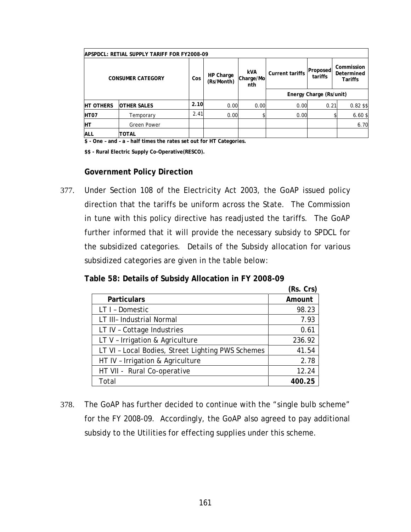| APSPDCL: RETIAL SUPPLY TARIFF FOR FY2008-09 |                          |      |                         |                                |                        |                         |                                            |  |
|---------------------------------------------|--------------------------|------|-------------------------|--------------------------------|------------------------|-------------------------|--------------------------------------------|--|
|                                             | <b>CONSUMER CATEGORY</b> | Cos  | HP Charge<br>(Rs/Month) | <b>kVA</b><br>Charge/Mo<br>nth | <b>Current tariffs</b> | Proposed<br>tariffs     | Commission<br>Determined<br><b>Tariffs</b> |  |
|                                             |                          |      |                         |                                |                        | Energy Charge (Rs/unit) |                                            |  |
| <b>HT OTHERS</b>                            | <b>OTHER SALES</b>       | 2.10 | 0.00                    | 0.00                           | 0.00                   | 0.21                    | 0.82 \$\$                                  |  |
| HT <sub>07</sub>                            | Temporary                | 2.41 | 0.00                    |                                | 0.00                   |                         | 6.60\$                                     |  |
| Iнт                                         | <b>Green Power</b>       |      |                         |                                |                        |                         | 6.70                                       |  |
| <b>ALL</b>                                  | <b>TOTAL</b>             |      |                         |                                |                        |                         |                                            |  |

**\$ - One – and – a – half times the rates set out for HT Categories.** 

**\$\$ - Rural Electric Supply Co-Operative(RESCO).** 

#### **Government Policy Direction**

377. Under Section 108 of the Electricity Act 2003, the GoAP issued policy direction that the tariffs be uniform across the State. The Commission in tune with this policy directive has readjusted the tariffs. The GoAP further informed that it will provide the necessary subsidy to SPDCL for the subsidized categories. Details of the Subsidy allocation for various subsidized categories are given in the table below:

**Table 58: Details of Subsidy Allocation in FY 2008-09** 

|                                                   | (Rs. Crs) |
|---------------------------------------------------|-----------|
| <b>Particulars</b>                                | Amount    |
| LT I - Domestic                                   | 98.23     |
| LT III- Industrial Normal                         | 7.93      |
| LT IV - Cottage Industries                        | 0.61      |
| LT V - Irrigation & Agriculture                   | 236.92    |
| LT VI - Local Bodies, Street Lighting PWS Schemes | 41.54     |
| HT IV - Irrigation & Agriculture                  | 2.78      |
| HT VII - Rural Co-operative                       | 12.24     |
| Total                                             | 400.25    |

378. The GoAP has further decided to continue with the "single bulb scheme" for the FY 2008-09. Accordingly, the GoAP also agreed to pay additional subsidy to the Utilities for effecting supplies under this scheme.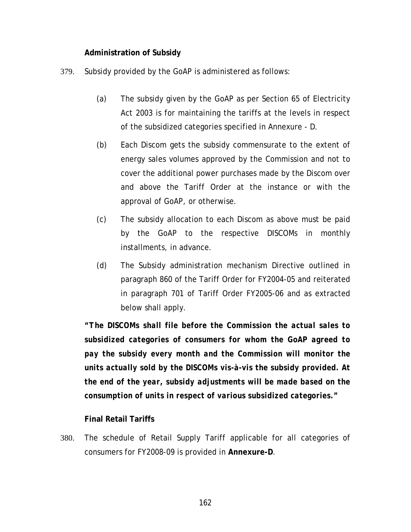#### **Administration of Subsidy**

- 379. Subsidy provided by the GoAP is administered as follows:
	- (a) The subsidy given by the GoAP as per Section 65 of Electricity Act 2003 is for maintaining the tariffs at the levels in respect of the subsidized categories specified in Annexure - D.
	- (b) Each Discom gets the subsidy commensurate to the extent of energy sales volumes approved by the Commission and not to cover the additional power purchases made by the Discom over and above the Tariff Order at the instance or with the approval of GoAP, or otherwise.
	- (c) The subsidy allocation to each Discom as above must be paid by the GoAP to the respective DISCOMs in monthly installments, in advance.
	- (d) The Subsidy administration mechanism Directive outlined in paragraph 860 of the Tariff Order for FY2004-05 and reiterated in paragraph 701 of Tariff Order FY2005-06 and as extracted below shall apply.

*"The DISCOMs shall file before the Commission the actual sales to subsidized categories of consumers for whom the GoAP agreed to pay the subsidy every month and the Commission will monitor the units actually sold by the DISCOMs vis-à-vis the subsidy provided. At the end of the year, subsidy adjustments will be made based on the consumption of units in respect of various subsidized categories."* 

## **Final Retail Tariffs**

380. The schedule of Retail Supply Tariff applicable for all categories of consumers for FY2008-09 is provided in **Annexure-D**.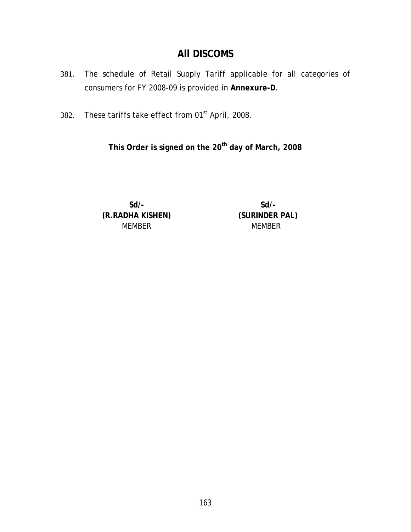## **All DISCOMS**

- 381. The schedule of Retail Supply Tariff applicable for all categories of consumers for FY 2008-09 is provided in **Annexure-D**.
- 382. These tariffs take effect from 01<sup>st</sup> April, 2008.

This Order is signed on the 20<sup>th</sup> day of March, 2008

**Sd/- Sd/- (R.RADHA KISHEN) (SURINDER PAL)**  MEMBER MEMBER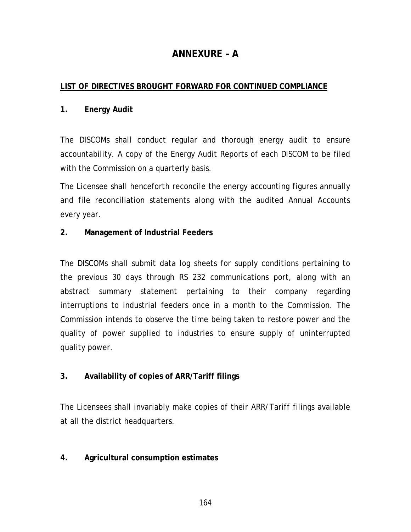# **ANNEXURE – A**

## **LIST OF DIRECTIVES BROUGHT FORWARD FOR CONTINUED COMPLIANCE**

## **1. Energy Audit**

The DISCOMs shall conduct regular and thorough energy audit to ensure accountability. A copy of the Energy Audit Reports of each DISCOM to be filed with the Commission on a quarterly basis.

The Licensee shall henceforth reconcile the energy accounting figures annually and file reconciliation statements along with the audited Annual Accounts every year.

## **2. Management of Industrial Feeders**

The DISCOMs shall submit data log sheets for supply conditions pertaining to the previous 30 days through RS 232 communications port, along with an abstract summary statement pertaining to their company regarding interruptions to industrial feeders once in a month to the Commission. The Commission intends to observe the time being taken to restore power and the quality of power supplied to industries to ensure supply of uninterrupted quality power.

## **3. Availability of copies of ARR/Tariff filings**

The Licensees shall invariably make copies of their ARR/Tariff filings available at all the district headquarters.

## **4. Agricultural consumption estimates**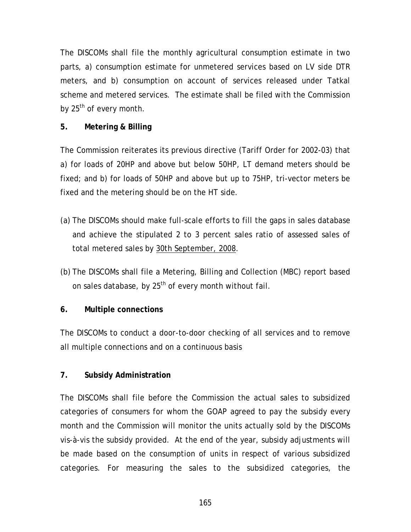The DISCOMs shall file the monthly agricultural consumption estimate in two parts, a) consumption estimate for unmetered services based on LV side DTR meters, and b) consumption on account of services released under Tatkal scheme and metered services. The estimate shall be filed with the Commission by 25<sup>th</sup> of every month.

## **5. Metering & Billing**

The Commission reiterates its previous directive (Tariff Order for 2002-03) that a) for loads of 20HP and above but below 50HP, LT demand meters should be fixed; and b) for loads of 50HP and above but up to 75HP, tri-vector meters be fixed and the metering should be on the HT side.

- (a) The DISCOMs should make full-scale efforts to fill the gaps in sales database and achieve the stipulated 2 to 3 percent sales ratio of assessed sales of total metered sales by 30th September, 2008.
- (b) The DISCOMs shall file a Metering, Billing and Collection (MBC) report based on sales database, by 25<sup>th</sup> of every month without fail.

## **6. Multiple connections**

The DISCOMs to conduct a door-to-door checking of all services and to remove all multiple connections and on a continuous basis

## **7. Subsidy Administration**

The DISCOMs shall file before the Commission the actual sales to subsidized categories of consumers for whom the GOAP agreed to pay the subsidy every month and the Commission will monitor the units actually sold by the DISCOMs vis-à-vis the subsidy provided. At the end of the year, subsidy adjustments will be made based on the consumption of units in respect of various subsidized categories. For measuring the sales to the subsidized categories, the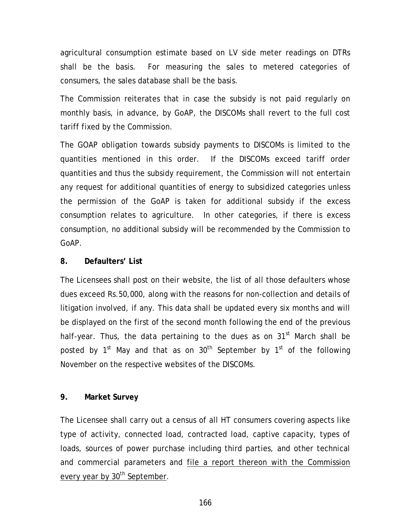agricultural consumption estimate based on LV side meter readings on DTRs shall be the basis. For measuring the sales to metered categories of consumers, the sales database shall be the basis.

The Commission reiterates that in case the subsidy is not paid regularly on monthly basis, in advance, by GoAP, the DISCOMs shall revert to the full cost tariff fixed by the Commission.

The GOAP obligation towards subsidy payments to DISCOMs is limited to the quantities mentioned in this order. If the DISCOMs exceed tariff order quantities and thus the subsidy requirement, the Commission will not entertain any request for additional quantities of energy to subsidized categories unless the permission of the GoAP is taken for additional subsidy if the excess consumption relates to agriculture. In other categories, if there is excess consumption, no additional subsidy will be recommended by the Commission to GoAP.

## **8. Defaulters' List**

The Licensees shall post on their website, the list of all those defaulters whose dues exceed Rs.50,000, along with the reasons for non-collection and details of litigation involved, if any. This data shall be updated every six months and will be displayed on the first of the second month following the end of the previous half-year. Thus, the data pertaining to the dues as on  $31<sup>st</sup>$  March shall be posted by  $1^{st}$  May and that as on  $30^{th}$  September by  $1^{st}$  of the following November on the respective websites of the DISCOMs.

## **9. Market Survey**

The Licensee shall carry out a census of all HT consumers covering aspects like type of activity, connected load, contracted load, captive capacity, types of loads, sources of power purchase including third parties, and other technical and commercial parameters and file a report thereon with the Commission every year by 30<sup>th</sup> September.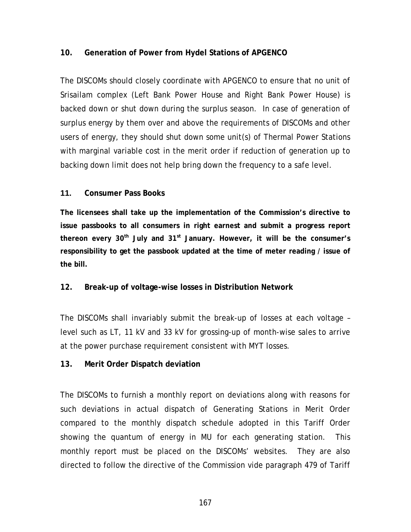## **10. Generation of Power from Hydel Stations of APGENCO**

The DISCOMs should closely coordinate with APGENCO to ensure that no unit of Srisailam complex (Left Bank Power House and Right Bank Power House) is backed down or shut down during the surplus season. In case of generation of surplus energy by them over and above the requirements of DISCOMs and other users of energy, they should shut down some unit(s) of Thermal Power Stations with marginal variable cost in the merit order if reduction of generation up to backing down limit does not help bring down the frequency to a safe level.

#### **11. Consumer Pass Books**

**The licensees shall take up the implementation of the Commission's directive to issue passbooks to all consumers in right earnest and submit a progress report**  thereon every 30<sup>th</sup> July and 31<sup>st</sup> January. However, it will be the consumer's **responsibility to get the passbook updated at the time of meter reading / issue of the bill.** 

#### **12. Break-up of voltage-wise losses in Distribution Network**

The DISCOMs shall invariably submit the break-up of losses at each voltage – level such as LT, 11 kV and 33 kV for grossing-up of month-wise sales to arrive at the power purchase requirement consistent with MYT losses.

#### **13. Merit Order Dispatch deviation**

The DISCOMs to furnish a monthly report on deviations along with reasons for such deviations in actual dispatch of Generating Stations in Merit Order compared to the monthly dispatch schedule adopted in this Tariff Order showing the quantum of energy in MU for each generating station. This monthly report must be placed on the DISCOMs' websites. They are also directed to follow the directive of the Commission vide paragraph 479 of Tariff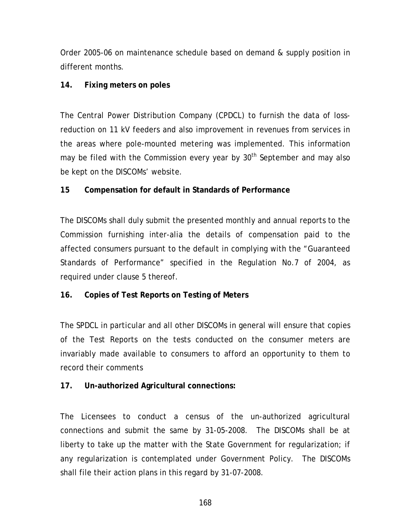Order 2005-06 on maintenance schedule based on demand & supply position in different months.

#### **14. Fixing meters on poles**

The Central Power Distribution Company (CPDCL) to furnish the data of lossreduction on 11 kV feeders and also improvement in revenues from services in the areas where pole-mounted metering was implemented. This information may be filed with the Commission every year by  $30<sup>th</sup>$  September and may also be kept on the DISCOMs' website.

#### **15 Compensation for default in Standards of Performance**

The DISCOMs shall duly submit the presented monthly and annual reports to the Commission furnishing inter-alia the details of compensation paid to the affected consumers pursuant to the default in complying with the "Guaranteed Standards of Performance" specified in the Regulation No.7 of 2004, as required under clause 5 thereof.

## **16. Copies of Test Reports on Testing of Meters**

The SPDCL in particular and all other DISCOMs in general will ensure that copies of the Test Reports on the tests conducted on the consumer meters are invariably made available to consumers to afford an opportunity to them to record their comments

## **17. Un-authorized Agricultural connections:**

The Licensees to conduct a census of the un-authorized agricultural connections and submit the same by 31-05-2008. The DISCOMs shall be at liberty to take up the matter with the State Government for regularization; if any regularization is contemplated under Government Policy. The DISCOMs shall file their action plans in this regard by 31-07-2008.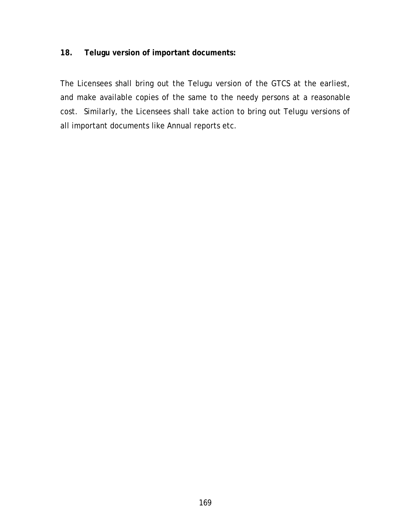#### **18. Telugu version of important documents:**

The Licensees shall bring out the Telugu version of the GTCS at the earliest, and make available copies of the same to the needy persons at a reasonable cost. Similarly, the Licensees shall take action to bring out Telugu versions of all important documents like Annual reports etc.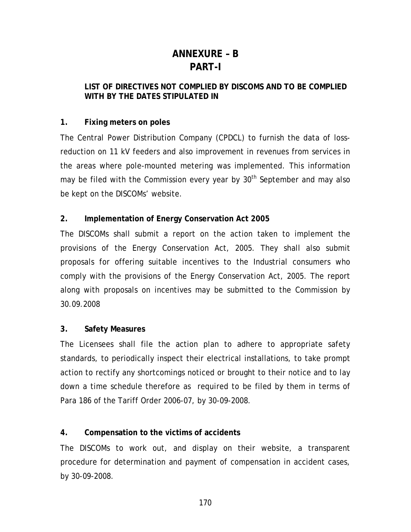# **ANNEXURE – B PART-I**

#### **LIST OF DIRECTIVES NOT COMPLIED BY DISCOMS AND TO BE COMPLIED**  WITH BY THE DATES STIPULATED IN

## **1. Fixing meters on poles**

The Central Power Distribution Company (CPDCL) to furnish the data of lossreduction on 11 kV feeders and also improvement in revenues from services in the areas where pole-mounted metering was implemented. This information may be filed with the Commission every year by  $30<sup>th</sup>$  September and may also be kept on the DISCOMs' website.

## **2. Implementation of Energy Conservation Act 2005**

The DISCOMs shall submit a report on the action taken to implement the provisions of the Energy Conservation Act, 2005. They shall also submit proposals for offering suitable incentives to the Industrial consumers who comply with the provisions of the Energy Conservation Act, 2005. The report along with proposals on incentives may be submitted to the Commission by 30.09.2008

## **3. Safety Measures**

The Licensees shall file the action plan to adhere to appropriate safety standards, to periodically inspect their electrical installations, to take prompt action to rectify any shortcomings noticed or brought to their notice and to lay down a time schedule therefore as required to be filed by them in terms of Para 186 of the Tariff Order 2006-07, by 30-09-2008.

## **4. Compensation to the victims of accidents**

The DISCOMs to work out, and display on their website, a transparent procedure for determination and payment of compensation in accident cases, by 30-09-2008.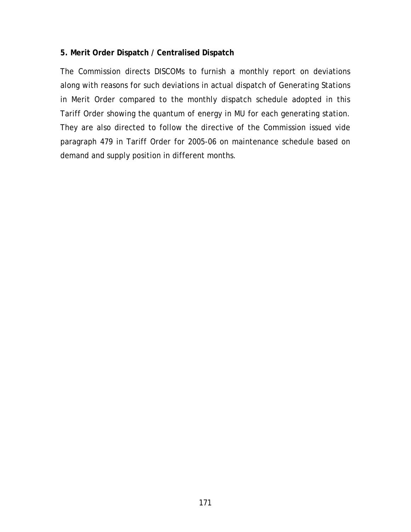## **5. Merit Order Dispatch / Centralised Dispatch**

The Commission directs DISCOMs to furnish a monthly report on deviations along with reasons for such deviations in actual dispatch of Generating Stations in Merit Order compared to the monthly dispatch schedule adopted in this Tariff Order showing the quantum of energy in MU for each generating station. They are also directed to follow the directive of the Commission issued vide paragraph 479 in Tariff Order for 2005-06 on maintenance schedule based on demand and supply position in different months.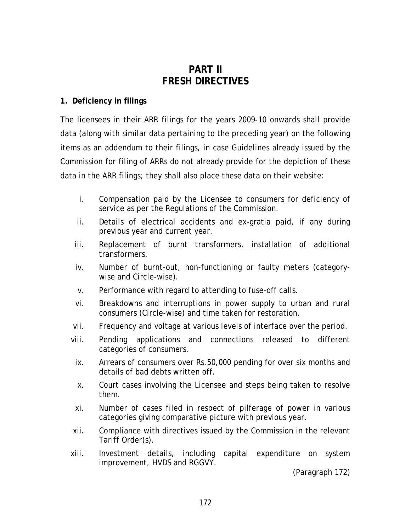# **PART II FRESH DIRECTIVES**

#### **1. Deficiency in filings**

The licensees in their ARR filings for the years 2009-10 onwards shall provide data (along with similar data pertaining to the preceding year) on the following items as an addendum to their filings, in case Guidelines already issued by the Commission for filing of ARRs do not already provide for the depiction of these data in the ARR filings; they shall also place these data on their website:

- i. Compensation paid by the Licensee to consumers for deficiency of service as per the Regulations of the Commission.
- ii. Details of electrical accidents and ex-gratia paid, if any during previous year and current year.
- iii. Replacement of burnt transformers, installation of additional transformers.
- iv. Number of burnt-out, non-functioning or faulty meters (categorywise and Circle-wise).
- v. Performance with regard to attending to fuse-off calls.
- vi. Breakdowns and interruptions in power supply to urban and rural consumers (Circle-wise) and time taken for restoration.
- vii. Frequency and voltage at various levels of interface over the period.
- viii. Pending applications and connections released to different categories of consumers.
	- ix. Arrears of consumers over Rs.50,000 pending for over six months and details of bad debts written off.
	- x. Court cases involving the Licensee and steps being taken to resolve them.
- xi. Number of cases filed in respect of pilferage of power in various categories giving comparative picture with previous year.
- xii. Compliance with directives issued by the Commission in the relevant Tariff Order(s).
- xiii. Investment details, including capital expenditure on system improvement, HVDS and RGGVY.

(Paragraph [172\)](#page-73-0)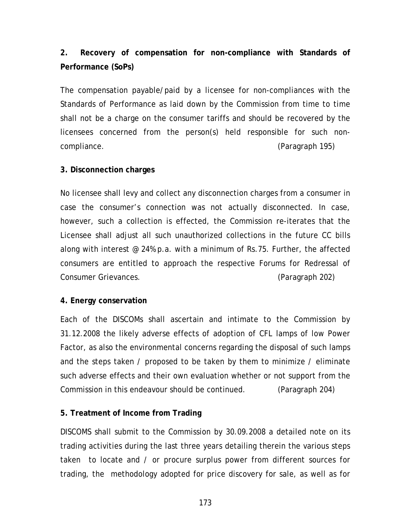# **2. Recovery of compensation for non-compliance with Standards of Performance (SoPs)**

The compensation payable/paid by a licensee for non-compliances with the Standards of Performance as laid down by the Commission from time to time shall not be a charge on the consumer tariffs and should be recovered by the licensees concerned from the person(s) held responsible for such noncompliance. (Paragraph [195](#page-80-0))

## **3. Disconnection charges**

No licensee shall levy and collect any disconnection charges from a consumer in case the consumer's connection was not actually disconnected. In case, however, such a collection is effected, the Commission re-iterates that the Licensee shall adjust all such unauthorized collections in the future CC bills along with interest  $\infty$  24% p.a. with a minimum of Rs.75. Further, the affected consumers are entitled to approach the respective Forums for Redressal of Consumer Grievances. (Paragraph [202](#page-82-0))

## **4. Energy conservation**

Each of the DISCOMs shall ascertain and intimate to the Commission by 31.12.2008 the likely adverse effects of adoption of CFL lamps of low Power Factor, as also the environmental concerns regarding the disposal of such lamps and the steps taken / proposed to be taken by them to minimize / eliminate such adverse effects and their own evaluation whether or not support from the Commission in this endeavour should be continued. (Paragraph [204](#page-82-0))

## **5. Treatment of Income from Trading**

DISCOMS shall submit to the Commission by 30.09.2008 a detailed note on its trading activities during the last three years detailing therein the various steps taken to locate and / or procure surplus power from different sources for trading, the methodology adopted for price discovery for sale, as well as for

173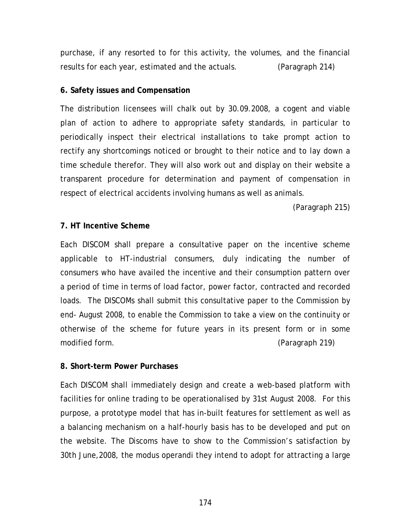purchase, if any resorted to for this activity, the volumes, and the financial results for each year, estimated and the actuals. (Paragraph [214](#page-87-0))

#### **6. Safety issues and Compensation**

The distribution licensees will chalk out by 30.09.2008, a cogent and viable plan of action to adhere to appropriate safety standards, in particular to periodically inspect their electrical installations to take prompt action to rectify any shortcomings noticed or brought to their notice and to lay down a time schedule therefor. They will also work out and display on their website a transparent procedure for determination and payment of compensation in respect of electrical accidents involving humans as well as animals.

(Paragraph [215\)](#page-87-0)

## **7. HT Incentive Scheme**

Each DISCOM shall prepare a consultative paper on the incentive scheme applicable to HT-industrial consumers, duly indicating the number of consumers who have availed the incentive and their consumption pattern over a period of time in terms of load factor, power factor, contracted and recorded loads. The DISCOMs shall submit this consultative paper to the Commission by end- August 2008, to enable the Commission to take a view on the continuity or otherwise of the scheme for future years in its present form or in some modified form. (Paragraph [219](#page-89-0))

## **8. Short-term Power Purchases**

Each DISCOM shall immediately design and create a web-based platform with facilities for online trading to be operationalised by 31st August 2008. For this purpose, a prototype model that has in-built features for settlement as well as a balancing mechanism on a half-hourly basis has to be developed and put on the website. The Discoms have to show to the Commission's satisfaction by 30th June,2008, the modus operandi they intend to adopt for attracting a large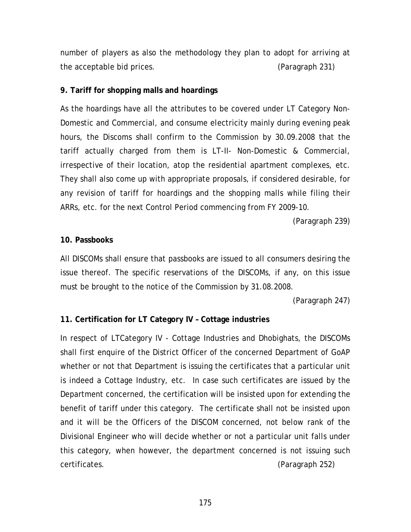number of players as also the methodology they plan to adopt for arriving at the acceptable bid prices. (Paragraph [231](#page-94-0))

#### **9. Tariff for shopping malls and hoardings**

As the hoardings have all the attributes to be covered under LT Category Non-Domestic and Commercial, and consume electricity mainly during evening peak hours, the Discoms shall confirm to the Commission by 30.09.2008 that the tariff actually charged from them is LT-II- Non-Domestic & Commercial, irrespective of their location, atop the residential apartment complexes, etc. They shall also come up with appropriate proposals, if considered desirable, for any revision of tariff for hoardings and the shopping malls while filing their ARRs, etc. for the next Control Period commencing from FY 2009-10.

(Paragraph [239\)](#page-97-0)

#### **10. Passbooks**

All DISCOMs shall ensure that passbooks are issued to all consumers desiring the issue thereof. The specific reservations of the DISCOMs, if any, on this issue must be brought to the notice of the Commission by 31.08.2008.

(Paragraph [247\)](#page-101-0)

## **11. Certification for LT Category IV – Cottage industries**

In respect of LTCategory IV - Cottage Industries and Dhobighats, the DISCOMs shall first enquire of the District Officer of the concerned Department of GoAP whether or not that Department is issuing the certificates that a particular unit is indeed a Cottage Industry, etc. In case such certificates are issued by the Department concerned, the certification will be insisted upon for extending the benefit of tariff under this category. The certificate shall not be insisted upon and it will be the Officers of the DISCOM concerned, not below rank of the Divisional Engineer who will decide whether or not a particular unit falls under this category, when however, the department concerned is not issuing such certificates. (Paragraph [252](#page-102-0))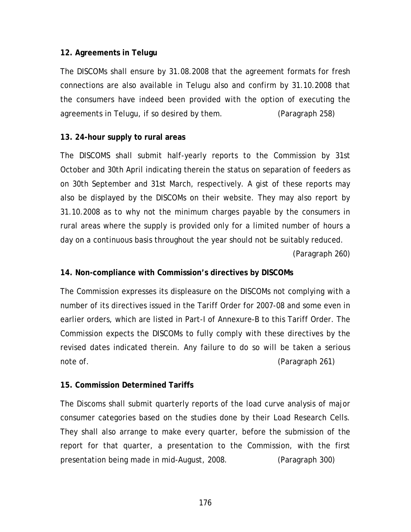#### **12. Agreements in Telugu**

The DISCOMs shall ensure by 31.08.2008 that the agreement formats for fresh connections are also available in Telugu also and confirm by 31.10.2008 that the consumers have indeed been provided with the option of executing the agreements in Telugu, if so desired by them. (Paragraph [258](#page-104-0))

#### **13. 24-hour supply to rural areas**

The DISCOMS shall submit half-yearly reports to the Commission by 31st October and 30th April indicating therein the status on separation of feeders as on 30th September and 31st March, respectively. A gist of these reports may also be displayed by the DISCOMs on their website. They may also report by 31.10.2008 as to why not the minimum charges payable by the consumers in rural areas where the supply is provided only for a limited number of hours a day on a continuous basis throughout the year should not be suitably reduced. (Paragraph [260\)](#page-105-0)

### **14. Non-compliance with Commission's directives by DISCOMs**

The Commission expresses its displeasure on the DISCOMs not complying with a number of its directives issued in the Tariff Order for 2007-08 and some even in earlier orders, which are listed in Part-I of Annexure-B to this Tariff Order. The Commission expects the DISCOMs to fully comply with these directives by the revised dates indicated therein. Any failure to do so will be taken a serious note of  $(Paraqraph 261)$  $(Paraqraph 261)$  $(Paraqraph 261)$ 

### **15. Commission Determined Tariffs**

The Discoms shall submit quarterly reports of the load curve analysis of major consumer categories based on the studies done by their Load Research Cells. They shall also arrange to make every quarter, before the submission of the report for that quarter, a presentation to the Commission, with the first presentation being made in mid-August, 2008. (Paragraph [300](#page-126-0))

176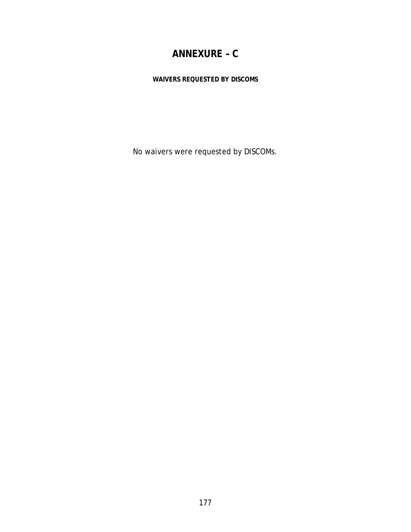# **ANNEXURE – C**

**WAIVERS REQUESTED BY DISCOMS** 

No waivers were requested by DISCOMs.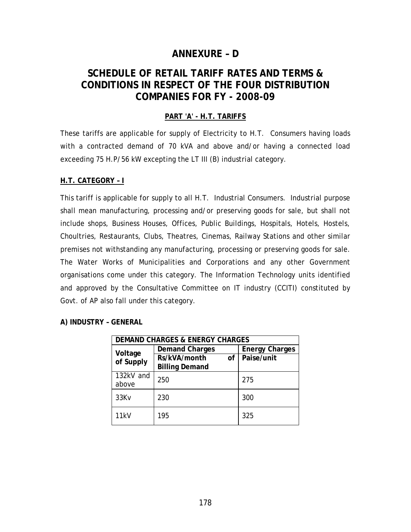# **ANNEXURE – D**

# **SCHEDULE OF RETAIL TARIFF RATES AND TERMS & CONDITIONS IN RESPECT OF THE FOUR DISTRIBUTION COMPANIES FOR FY - 2008-09**

#### **PART 'A' - H.T. TARIFFS**

These tariffs are applicable for supply of Electricity to H.T. Consumers having loads with a contracted demand of 70 kVA and above and/or having a connected load exceeding 75 H.P/56 kW excepting the LT III (B) industrial category.

#### **H.T. CATEGORY – I**

This tariff is applicable for supply to all H.T. Industrial Consumers. Industrial purpose shall mean manufacturing, processing and/or preserving goods for sale, but shall not include shops, Business Houses, Offices, Public Buildings, Hospitals, Hotels, Hostels, Choultries, Restaurants, Clubs, Theatres, Cinemas, Railway Stations and other similar premises not withstanding any manufacturing, processing or preserving goods for sale. The Water Works of Municipalities and Corporations and any other Government organisations come under this category. The Information Technology units identified and approved by the Consultative Committee on IT industry (CCITI) constituted by Govt. of AP also fall under this category.

#### **A) INDUSTRY – GENERAL**

| <b>DEMAND CHARGES &amp; ENERGY CHARGES</b> |                       |                       |  |
|--------------------------------------------|-----------------------|-----------------------|--|
| Voltage                                    | <b>Demand Charges</b> | <b>Energy Charges</b> |  |
| of Supply                                  | Rs/kVA/month<br>of    | Paise/unit            |  |
|                                            | <b>Billing Demand</b> |                       |  |
| 132kV and                                  | 250                   | 275                   |  |
| above                                      |                       |                       |  |
| 33Kv                                       | 230                   | 300                   |  |
|                                            |                       |                       |  |
| 11kV                                       | 195                   | 325                   |  |
|                                            |                       |                       |  |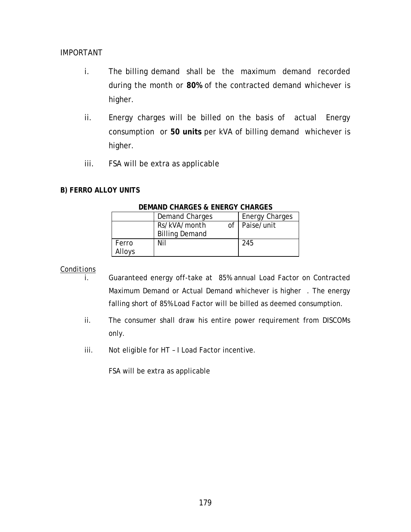#### *IMPORTANT*

- i. The billing demand shall be the maximum demand recorded during the month or **80%** of the contracted demand whichever is higher.
- ii. Energy charges will be billed on the basis of actual Energy consumption or **50 units** per kVA of billing demand whichever is higher.
- iii. FSA will be extra as applicable

#### **B) FERRO ALLOY UNITS**

|        | <b>Demand Charges</b> | <b>Energy Charges</b> |
|--------|-----------------------|-----------------------|
|        | Rs/kVA/month          | of   Paise/unit       |
|        | <b>Billing Demand</b> |                       |
| Ferro  | Nil                   | 245                   |
| Alloys |                       |                       |

#### **DEMAND CHARGES & ENERGY CHARGES**

#### *Conditions*

- i. Guaranteed energy off-take at 85% annual Load Factor on Contracted Maximum Demand or Actual Demand whichever is higher . The energy falling short of 85% Load Factor will be billed as deemed consumption.
- ii. The consumer shall draw his entire power requirement from DISCOMs only.
- iii. Not eligible for HT I Load Factor incentive.

FSA will be extra as applicable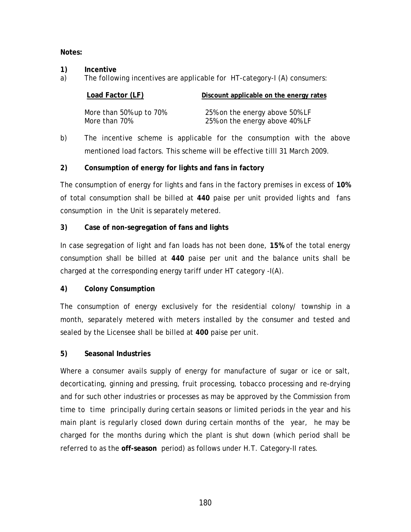**Notes:** 

- **1) Incentive**
- a) The following incentives are applicable for HT-category-I (A) consumers:

| Load Factor (LF)        | Discount applicable on the energy rates |
|-------------------------|-----------------------------------------|
|                         |                                         |
| More than 50% up to 70% | 25% on the energy above 50% LF          |
| More than 70%           | 25% on the energy above 40% LF          |

b) The incentive scheme is applicable for the consumption with the above mentioned load factors. This scheme will be effective tilll 31 March 2009.

#### **2) Consumption of energy for lights and fans in factory**

The consumption of energy for lights and fans in the factory premises in excess of **10%** of total consumption shall be billed at **440** paise per unit provided lights and fans consumption in the Unit is separately metered.

#### **3) Case of non-segregation of fans and lights**

In case segregation of light and fan loads has not been done, **15%** of the total energy consumption shall be billed at **440** paise per unit and the balance units shall be charged at the corresponding energy tariff under HT category -I(A).

#### **4) Colony Consumption**

The consumption of energy exclusively for the residential colony/ township in a month, separately metered with meters installed by the consumer and tested and sealed by the Licensee shall be billed at **400** paise per unit.

#### **5) Seasonal Industries**

Where a consumer avails supply of energy for manufacture of sugar or ice or salt, decorticating, ginning and pressing, fruit processing, tobacco processing and re-drying and for such other industries or processes as may be approved by the Commission from time to time principally during certain seasons or limited periods in the year and his main plant is regularly closed down during certain months of the year, he may be charged for the months during which the plant is shut down (which period shall be referred to as the **off-season** period) as follows under H.T. Category-II rates.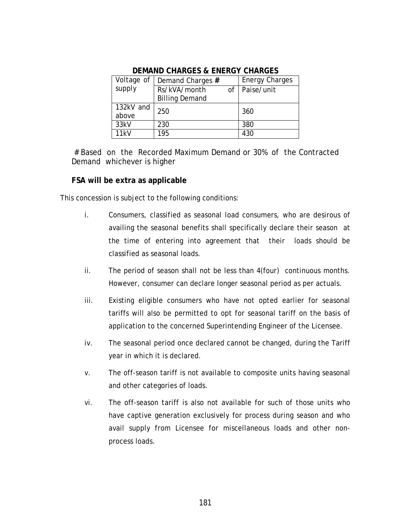| Voltage of | Demand Charges #      |    | <b>Energy Charges</b> |
|------------|-----------------------|----|-----------------------|
| supply     | Rs/kVA/month          | of | Paise/unit            |
|            | <b>Billing Demand</b> |    |                       |
| 132kV and  | 250                   |    | 360                   |
| above      |                       |    |                       |
| 33kV       | 230                   |    | 380                   |
| 11kV       | 195                   |    | 430                   |

#### **DEMAND CHARGES & ENERGY CHARGES**

 # Based on the Recorded Maximum Demand or 30% of the Contracted Demand whichever is higher

#### **FSA will be extra as applicable**

This concession is subject to the following conditions:

- i. Consumers, classified as seasonal load consumers, who are desirous of availing the seasonal benefits shall specifically declare their season at the time of entering into agreement that their loads should be classified as seasonal loads.
- ii. The period of season shall not be less than 4(four) continuous months. However, consumer can declare longer seasonal period as per actuals.
- iii. Existing eligible consumers who have not opted earlier for seasonal tariffs will also be permitted to opt for seasonal tariff on the basis of application to the concerned Superintending Engineer of the Licensee.
- iv. The seasonal period once declared cannot be changed, during the Tariff year in which it is declared.
- v. The off-season tariff is not available to composite units having seasonal and other categories of loads.
- vi. The off-season tariff is also not available for such of those units who have captive generation exclusively for process during season and who avail supply from Licensee for miscellaneous loads and other nonprocess loads.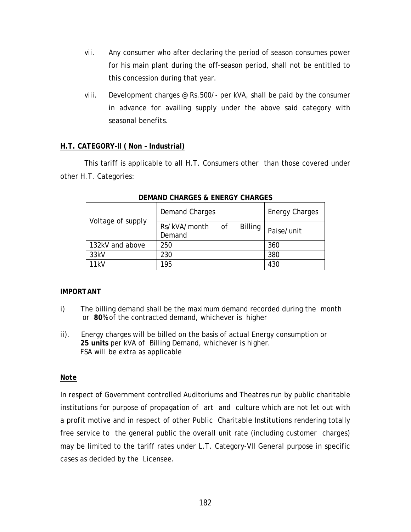- vii. Any consumer who after declaring the period of season consumes power for his main plant during the off-season period, shall not be entitled to this concession during that year.
- viii. Development charges @ Rs.500/- per kVA, shall be paid by the consumer in advance for availing supply under the above said category with seasonal benefits.

#### **H.T. CATEGORY-II ( Non – Industrial)**

 This tariff is applicable to all H.T. Consumers other than those covered under other H.T. Categories:

| Voltage of supply | <b>Demand Charges</b>                       | <b>Energy Charges</b> |            |
|-------------------|---------------------------------------------|-----------------------|------------|
|                   | Rs/kVA/month of<br><b>Billing</b><br>Demand |                       | Paise/unit |
| 132kV and above   | 250                                         | 360                   |            |
| 33kV              | 230                                         |                       | 380        |
| 11kV              | 195                                         |                       | 430        |

#### **DEMAND CHARGES & ENERGY CHARGES**

#### *IMPORTANT*

- i) The billing demand shall be the maximum demand recorded during the month or **80**% of the contracted demand, whichever is higher
- ii). Energy charges will be billed on the basis of actual Energy consumption or **25 units** per kVA of Billing Demand, whichever is higher. FSA will be extra as applicable

#### *Note*

In respect of Government controlled Auditoriums and Theatres run by public charitable institutions for purpose of propagation of art and culture which are not let out with a profit motive and in respect of other Public Charitable Institutions rendering totally free service to the general public the overall unit rate (including customer charges) may be limited to the tariff rates under L.T. Category-VII General purpose in specific cases as decided by the Licensee.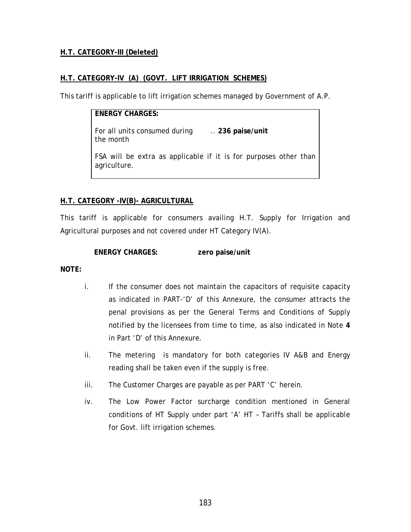#### **H.T. CATEGORY-III (Deleted)**

#### **H.T. CATEGORY-IV (A) (GOVT. LIFT IRRIGATION SCHEMES)**

This tariff is applicable to lift irrigation schemes managed by Government of A.P.

**ENERGY CHARGES:**  For all units consumed during .. **236 paise/unit**  the month FSA will be extra as applicable if it is for purposes other than agriculture.

#### **H.T. CATEGORY -IV(B)- AGRICULTURAL**

This tariff is applicable for consumers availing H.T. Supply for Irrigation and Agricultural purposes and not covered under HT Category IV(A).

#### **ENERGY CHARGES: zero paise/unit**

#### **NOTE:**

- i. If the consumer does not maintain the capacitors of requisite capacity as indicated in PART-'D' of this Annexure, the consumer attracts the penal provisions as per the General Terms and Conditions of Supply notified by the licensees from time to time, as also indicated in Note **4** in Part 'D' of this Annexure.
- ii. The metering is mandatory for both categories IV A&B and Energy reading shall be taken even if the supply is free.
- iii. The Customer Charges are payable as per PART 'C' herein.
- iv. The Low Power Factor surcharge condition mentioned in General conditions of HT Supply under part 'A' HT – Tariffs shall be applicable for Govt. lift irrigation schemes.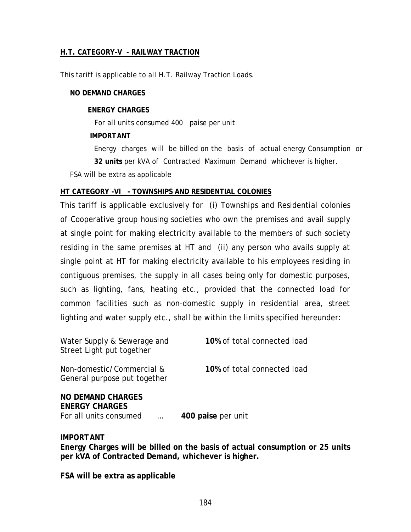#### **H.T. CATEGORY-V - RAILWAY TRACTION**

This tariff is applicable to all H.T. Railway Traction Loads.

#### **NO DEMAND CHARGES**

#### **ENERGY CHARGES**

For all units consumed 400 paise per unit

#### *IMPORTANT*

Energy charges will be billed on the basis of actual energy Consumption or **32 units** per kVA of Contracted Maximum Demand whichever is higher.

FSA will be extra as applicable

#### **HT CATEGORY -VI - TOWNSHIPS AND RESIDENTIAL COLONIES**

This tariff is applicable exclusively for (i) Townships and Residential colonies of Cooperative group housing societies who own the premises and avail supply at single point for making electricity available to the members of such society residing in the same premises at HT and (ii) any person who avails supply at single point at HT for making electricity available to his employees residing in contiguous premises, the supply in all cases being only for domestic purposes, such as lighting, fans, heating etc., provided that the connected load for common facilities such as non-domestic supply in residential area, street lighting and water supply etc., shall be within the limits specified hereunder:

| Water Supply & Sewerage and<br>Street Light put together                    | 10% of total connected load |
|-----------------------------------------------------------------------------|-----------------------------|
| Non-domestic/Commercial &<br>General purpose put together                   | 10% of total connected load |
| <b>NO DEMAND CHARGES</b><br><b>ENERGY CHARGES</b><br>For all units consumed | 400 paise per unit          |

#### *IMPORTANT*

**Energy Charges will be billed on the basis of actual consumption or 25 units per kVA of Contracted Demand, whichever is higher.** 

**FSA will be extra as applicable**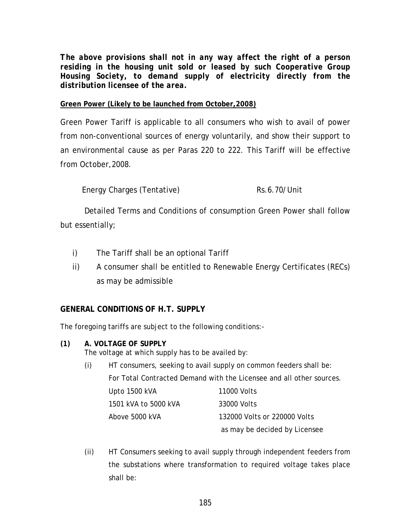*The above provisions shall not in any way affect the right of a person residing in the housing unit sold or leased by such Cooperative Group Housing Society, to demand supply of electricity directly from the distribution licensee of the area.* 

#### **Green Power (Likely to be launched from October,2008)**

Green Power Tariff is applicable to all consumers who wish to avail of power from non-conventional sources of energy voluntarily, and show their support to an environmental cause as per Paras 220 to 222. This Tariff will be effective from October,2008.

Energy Charges (Tentative) Rs.6.70/Unit

 Detailed Terms and Conditions of consumption Green Power shall follow but essentially;

- i) The Tariff shall be an optional Tariff
- ii) A consumer shall be entitled to Renewable Energy Certificates (RECs) as may be admissible

#### **GENERAL CONDITIONS OF H.T. SUPPLY**

The foregoing tariffs are subject to the following conditions:-

- **(1) A. VOLTAGE OF SUPPLY** The voltage at which supply has to be availed by:
	- (i) HT consumers, seeking to avail supply on common feeders shall be: For Total Contracted Demand with the Licensee and all other sources. Upto 1500 kVA 11000 Volts 1501 kVA to 5000 kVA 33000 Volts Above 5000 kVA 132000 Volts or 220000 Volts as may be decided by Licensee
	- (ii) HT Consumers seeking to avail supply through independent feeders from the substations where transformation to required voltage takes place shall be: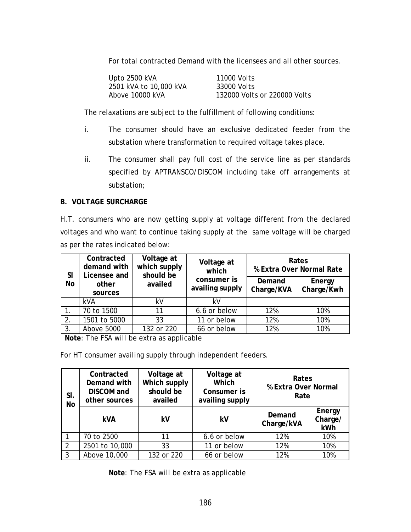For total contracted Demand with the licensees and all other sources.

| Upto 2500 kVA          | 11000 Volts                  |
|------------------------|------------------------------|
| 2501 kVA to 10,000 kVA | 33000 Volts                  |
| Above 10000 kVA        | 132000 Volts or 220000 Volts |

The relaxations are subject to the fulfillment of following conditions:

- i. The consumer should have an exclusive dedicated feeder from the substation where transformation to required voltage takes place.
- ii. The consumer shall pay full cost of the service line as per standards specified by APTRANSCO/DISCOM including take off arrangements at substation;

#### **B. VOLTAGE SURCHARGE**

H.T. consumers who are now getting supply at voltage different from the declared voltages and who want to continue taking supply at the same voltage will be charged as per the rates indicated below:

| <b>SI</b> | Contracted<br>demand with<br>Licensee and | Voltage at<br>which supply<br>should be | Voltage at<br>which            |                      | Rates<br>% Extra Over Normal Rate |
|-----------|-------------------------------------------|-----------------------------------------|--------------------------------|----------------------|-----------------------------------|
| No        | other<br>sources                          | availed                                 | consumer is<br>availing supply | Demand<br>Charge/KVA | Energy<br>Charge/Kwh              |
|           | <b>kVA</b>                                | kV                                      | kV                             |                      |                                   |
|           | 70 to 1500                                | 11                                      | 6.6 or below                   | 12%                  | 10%                               |
| 2.        | 1501 to 5000                              | 33                                      | 11 or below                    | 12%                  | 10%                               |
| 3.        | Above 5000                                | 132 or 220                              | 66 or below                    | 12%                  | 10%                               |

**Note**: The FSA will be extra as applicable

For HT consumer availing supply through independent feeders.

| SI.<br><b>No</b> | Contracted<br>Demand with<br><b>DISCOM</b> and<br>other sources | Voltage at<br>Which supply<br>should be<br>availed | Voltage at<br>Which<br>Consumer is<br>availing supply | Rates<br>% Extra Over Normal<br>Rate |                          |
|------------------|-----------------------------------------------------------------|----------------------------------------------------|-------------------------------------------------------|--------------------------------------|--------------------------|
|                  | <b>kVA</b>                                                      | kV                                                 | kV                                                    | Demand<br>Charge/kVA                 | Energy<br>Charge/<br>kWh |
|                  | 70 to 2500                                                      | 11                                                 | 6.6 or below                                          | 12%                                  | 10%                      |
| 2                | 2501 to 10,000                                                  | 33                                                 | 11 or below                                           | 12%                                  | 10%                      |
| 3                | Above 10,000                                                    | 132 or 220                                         | 66 or below                                           | 12%                                  | 10%                      |

**Note**: The FSA will be extra as applicable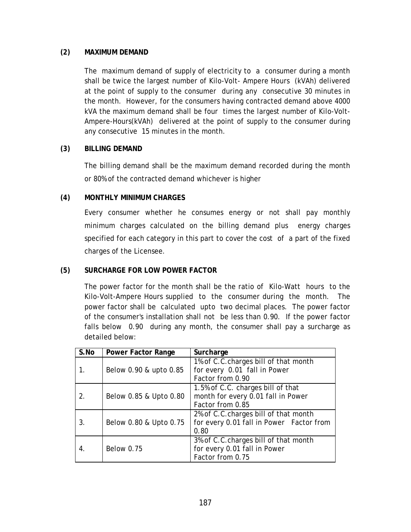#### **(2) MAXIMUM DEMAND**

The maximum demand of supply of electricity to a consumer during a month shall be twice the largest number of Kilo-Volt- Ampere Hours (kVAh) delivered at the point of supply to the consumer during any consecutive 30 minutes in the month. However, for the consumers having contracted demand above 4000 kVA the maximum demand shall be four times the largest number of Kilo-Volt-Ampere-Hours(kVAh) delivered at the point of supply to the consumer during any consecutive 15 minutes in the month.

#### **(3) BILLING DEMAND**

The billing demand shall be the maximum demand recorded during the month or 80% of the contracted demand whichever is higher

#### **(4) MONTHLY MINIMUM CHARGES**

Every consumer whether he consumes energy or not shall pay monthly minimum charges calculated on the billing demand plus energy charges specified for each category in this part to cover the cost of a part of the fixed charges of the Licensee.

#### **(5) SURCHARGE FOR LOW POWER FACTOR**

The power factor for the month shall be the ratio of Kilo-Watt hours to the Kilo-Volt-Ampere Hours supplied to the consumer during the month. The power factor shall be calculated upto two decimal places. The power factor of the consumer's installation shall not be less than 0.90. If the power factor falls below 0.90 during any month, the consumer shall pay a surcharge as detailed below:

| S.No | <b>Power Factor Range</b> | Surcharge                                |
|------|---------------------------|------------------------------------------|
|      |                           | 1% of C.C.charges bill of that month     |
| 1.   | Below 0.90 & upto 0.85    | for every 0.01 fall in Power             |
|      |                           | Factor from 0.90                         |
|      |                           | 1.5% of C.C. charges bill of that        |
| 2.   | Below 0.85 & Upto 0.80    | month for every 0.01 fall in Power       |
|      |                           | Factor from 0.85                         |
|      |                           | 2% of C.C.charges bill of that month     |
| 3.   | Below 0.80 & Upto 0.75    | for every 0.01 fall in Power Factor from |
|      |                           | 0.80                                     |
|      |                           | 3% of C.C.charges bill of that month     |
| 4.   | <b>Below 0.75</b>         | for every 0.01 fall in Power             |
|      |                           | Factor from 0.75                         |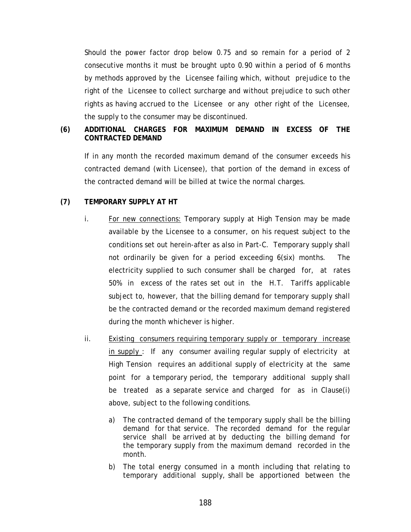Should the power factor drop below 0.75 and so remain for a period of 2 consecutive months it must be brought upto 0.90 within a period of 6 months by methods approved by the Licensee failing which, without prejudice to the right of the Licensee to collect surcharge and without prejudice to such other rights as having accrued to the Licensee or any other right of the Licensee, the supply to the consumer may be discontinued.

#### **(6) ADDITIONAL CHARGES FOR MAXIMUM DEMAND IN EXCESS OF THE CONTRACTED DEMAND**

If in any month the recorded maximum demand of the consumer exceeds his contracted demand (with Licensee), that portion of the demand in excess of the contracted demand will be billed at twice the normal charges.

#### **(7) TEMPORARY SUPPLY AT HT**

- i. *For new connections:* Temporary supply at High Tension may be made available by the Licensee to a consumer, on his request subject to the conditions set out herein-after as also in Part-C. Temporary supply shall not ordinarily be given for a period exceeding 6(six) months. The electricity supplied to such consumer shall be charged for, at rates 50% in excess of the rates set out in the H.T. Tariffs applicable subject to, however, that the billing demand for temporary supply shall be the contracted demand or the recorded maximum demand registered during the month whichever is higher.
- ii. Existing consumers requiring temporary supply or temporary increase in supply : If any consumer availing regular supply of electricity at High Tension requires an additional supply of electricity at the same point for a temporary period, the temporary additional supply shall be treated as a separate service and charged for as in Clause(i) above, subject to the following conditions.
	- a) The contracted demand of the temporary supply shall be the billing demand for that service. The recorded demand for the regular service shall be arrived at by deducting the billing demand for the temporary supply from the maximum demand recorded in the month.
	- b) The total energy consumed in a month including that relating to temporary additional supply, shall be apportioned between the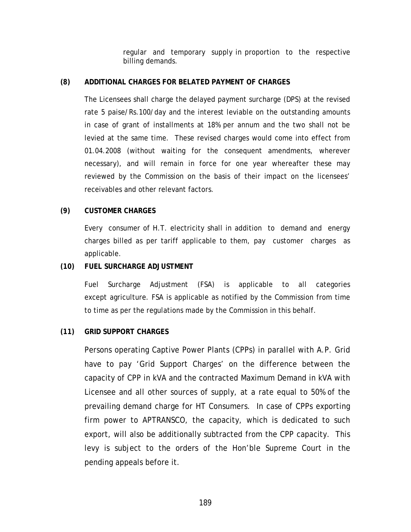regular and temporary supply in proportion to the respective billing demands.

#### **(8) ADDITIONAL CHARGES FOR BELATED PAYMENT OF CHARGES**

The Licensees shall charge the delayed payment surcharge (DPS) at the revised rate 5 paise/Rs.100/day and the interest leviable on the outstanding amounts in case of grant of installments at 18% per annum and the two shall not be levied at the same time. These revised charges would come into effect from 01.04.2008 (without waiting for the consequent amendments, wherever necessary), and will remain in force for one year whereafter these may reviewed by the Commission on the basis of their impact on the licensees' receivables and other relevant factors.

#### **(9) CUSTOMER CHARGES**

Every consumer of H.T. electricity shall in addition to demand and energy charges billed as per tariff applicable to them, pay customer charges as applicable.

#### **(10) FUEL SURCHARGE ADJUSTMENT**

Fuel Surcharge Adjustment (FSA) is applicable to all categories except agriculture. FSA is applicable as notified by the Commission from time to time as per the regulations made by the Commission in this behalf.

#### **(11) GRID SUPPORT CHARGES**

Persons operating Captive Power Plants (CPPs) in parallel with A.P. Grid have to pay 'Grid Support Charges' on the difference between the capacity of CPP in kVA and the contracted Maximum Demand in kVA with Licensee and all other sources of supply, at a rate equal to 50% of the prevailing demand charge for HT Consumers. In case of CPPs exporting firm power to APTRANSCO, the capacity, which is dedicated to such export, will also be additionally subtracted from the CPP capacity. This levy is subject to the orders of the Hon'ble Supreme Court in the pending appeals before it.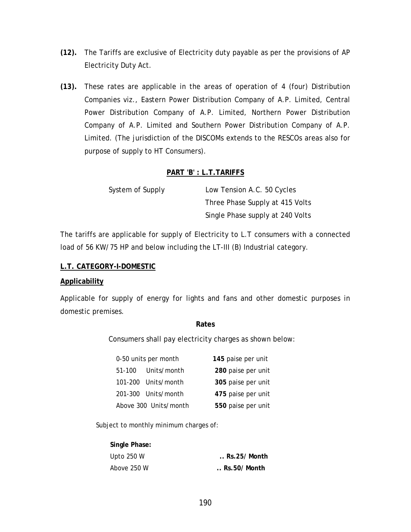- **(12).** The Tariffs are exclusive of Electricity duty payable as per the provisions of AP Electricity Duty Act.
- **(13).** These rates are applicable in the areas of operation of 4 (four) Distribution Companies viz., Eastern Power Distribution Company of A.P. Limited, Central Power Distribution Company of A.P. Limited, Northern Power Distribution Company of A.P. Limited and Southern Power Distribution Company of A.P. Limited. (The jurisdiction of the DISCOMs extends to the RESCOs areas also for purpose of supply to HT Consumers).

#### **PART 'B' : L.T.TARIFFS**

| System of Supply | Low Tension A.C. 50 Cycles       |
|------------------|----------------------------------|
|                  | Three Phase Supply at 415 Volts  |
|                  | Single Phase supply at 240 Volts |

The tariffs are applicable for supply of Electricity to L.T consumers with a connected load of 56 KW/75 HP and below including the LT-III (B) Industrial category.

#### **L.T. CATEGORY-I-DOMESTIC**

#### **Applicability**

Applicable for supply of energy for lights and fans and other domestic purposes in domestic premises.

#### **Rates**

Consumers shall pay electricity charges as shown below:

| 0-50 units per month      | 145 paise per unit |
|---------------------------|--------------------|
| Units/month<br>$51 - 100$ | 280 paise per unit |
| 101-200 Units/month       | 305 paise per unit |
| 201-300 Units/month       | 475 paise per unit |
| Above 300 Units/month     | 550 paise per unit |

Subject to monthly minimum charges of:

| Single Phase: |                       |
|---------------|-----------------------|
| Upto $250 W$  | $\ldots$ Rs.25/ Month |
| Above 250 W   | $\ldots$ Rs.50/ Month |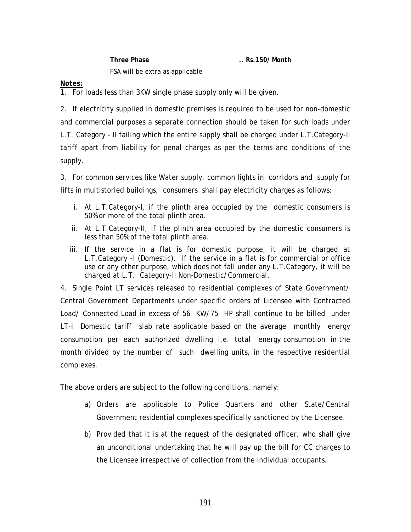**Three Phase .. Rs.150/ Month**  FSA will be extra as applicable

#### *Notes:*

1. For loads less than 3KW single phase supply only will be given.

2. If electricity supplied in domestic premises is required to be used for non-domestic and commercial purposes a separate connection should be taken for such loads under L.T. Category - II failing which the entire supply shall be charged under L.T.Category-II tariff apart from liability for penal charges as per the terms and conditions of the supply.

3. For common services like Water supply, common lights in corridors and supply for lifts in multistoried buildings, consumers shall pay electricity charges as follows:

- i. At L.T.Category-I, if the plinth area occupied by the domestic consumers is 50% or more of the total plinth area.
- ii. At L.T.Category-II, if the plinth area occupied by the domestic consumers is less than 50% of the total plinth area.
- iii. If the service in a flat is for domestic purpose, it will be charged at L.T.Category -I (Domestic). If the service in a flat is for commercial or office use or any other purpose, which does not fall under any L.T.Category, it will be charged at L.T. Category-II Non-Domestic/Commercial.

4. Single Point LT services released to residential complexes of State Government/ Central Government Departments under specific orders of Licensee with Contracted Load/ Connected Load in excess of 56 KW/75 HP shall continue to be billed under LT-I Domestic tariff slab rate applicable based on the average monthly energy consumption per each authorized dwelling i.e. total energy consumption in the month divided by the number of such dwelling units, in the respective residential complexes.

The above orders are subject to the following conditions, namely:

- a) Orders are applicable to Police Quarters and other State/Central Government residential complexes specifically sanctioned by the Licensee.
- b) Provided that it is at the request of the designated officer, who shall give an unconditional undertaking that he will pay up the bill for CC charges to the Licensee irrespective of collection from the individual occupants.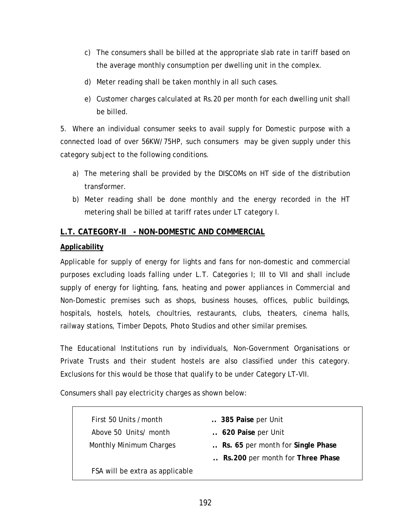- c) The consumers shall be billed at the appropriate slab rate in tariff based on the average monthly consumption per dwelling unit in the complex.
- d) Meter reading shall be taken monthly in all such cases.
- e) Customer charges calculated at Rs.20 per month for each dwelling unit shall be billed.

5. Where an individual consumer seeks to avail supply for Domestic purpose with a connected load of over 56KW/75HP, such consumers may be given supply under this category subject to the following conditions.

- a) The metering shall be provided by the DISCOMs on HT side of the distribution transformer.
- b) Meter reading shall be done monthly and the energy recorded in the HT metering shall be billed at tariff rates under LT category I.

#### **L.T. CATEGORY-II - NON-DOMESTIC AND COMMERCIAL**

#### **Applicability**

Applicable for supply of energy for lights and fans for non-domestic and commercial purposes excluding loads falling under L.T. Categories I; III to VII and shall include supply of energy for lighting, fans, heating and power appliances in Commercial and Non-Domestic premises such as shops, business houses, offices, public buildings, hospitals, hostels, hotels, choultries, restaurants, clubs, theaters, cinema halls, railway stations, Timber Depots, Photo Studios and other similar premises.

The Educational Institutions run by individuals, Non-Government Organisations or Private Trusts and their student hostels are also classified under this category. Exclusions for this would be those that qualify to be under Category LT-VII.

Consumers shall pay electricity charges as shown below:

| First 50 Units / month          | 385 Paise per Unit                |
|---------------------------------|-----------------------------------|
| Above 50 Units/ month           | 620 Paise per Unit                |
| <b>Monthly Minimum Charges</b>  | Rs. 65 per month for Single Phase |
|                                 | Rs. 200 per month for Three Phase |
| FSA will be extra as applicable |                                   |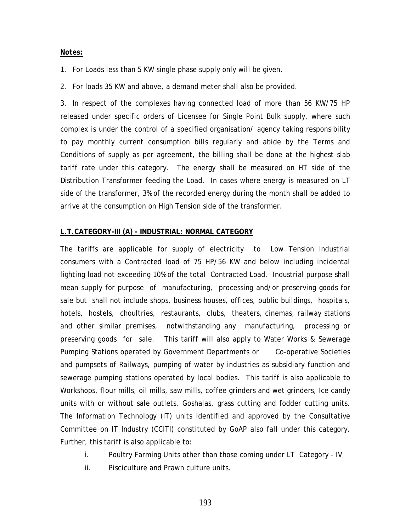#### *Notes:*

1. For Loads less than 5 KW single phase supply only will be given.

2. For loads 35 KW and above, a demand meter shall also be provided.

3. In respect of the complexes having connected load of more than 56 KW/75 HP released under specific orders of Licensee for Single Point Bulk supply, where such complex is under the control of a specified organisation/ agency taking responsibility to pay monthly current consumption bills regularly and abide by the Terms and Conditions of supply as per agreement, the billing shall be done at the highest slab tariff rate under this category. The energy shall be measured on HT side of the Distribution Transformer feeding the Load. In cases where energy is measured on LT side of the transformer, 3% of the recorded energy during the month shall be added to arrive at the consumption on High Tension side of the transformer.

#### **L.T.CATEGORY-III (A) - INDUSTRIAL: NORMAL CATEGORY**

The tariffs are applicable for supply of electricity to Low Tension Industrial consumers with a Contracted load of 75 HP/56 KW and below including incidental lighting load not exceeding 10% of the total Contracted Load. Industrial purpose shall mean supply for purpose of manufacturing, processing and/or preserving goods for sale but shall not include shops, business houses, offices, public buildings, hospitals, hotels, hostels, choultries, restaurants, clubs, theaters, cinemas, railway stations and other similar premises, notwithstanding any manufacturing, processing or preserving goods for sale. This tariff will also apply to Water Works & Sewerage Pumping Stations operated by Government Departments or Co-operative Societies and pumpsets of Railways, pumping of water by industries as subsidiary function and sewerage pumping stations operated by local bodies. This tariff is also applicable to Workshops, flour mills, oil mills, saw mills, coffee grinders and wet grinders, Ice candy units with or without sale outlets, Goshalas, grass cutting and fodder cutting units. The Information Technology (IT) units identified and approved by the Consultative Committee on IT Industry (CCITI) constituted by GoAP also fall under this category. Further, this tariff is also applicable to:

i. Poultry Farming Units other than those coming under LT Category - IV

ii. Pisciculture and Prawn culture units.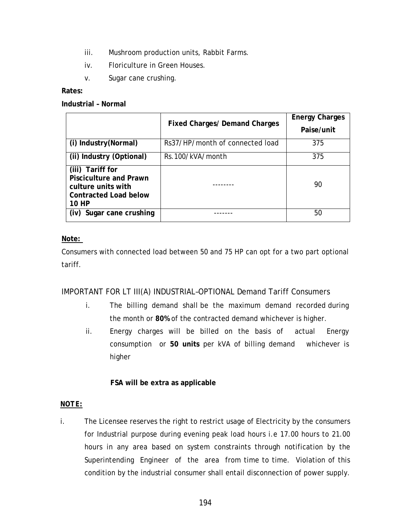- iii. Mushroom production units, Rabbit Farms.
- iv. Floriculture in Green Houses.
- v. Sugar cane crushing.

#### **Rates:**

**Industrial – Normal** 

|                                                                                                                  | <b>Fixed Charges/ Demand Charges</b> | <b>Energy Charges</b><br>Paise/unit |
|------------------------------------------------------------------------------------------------------------------|--------------------------------------|-------------------------------------|
| (i) Industry (Normal)                                                                                            | Rs37/HP/month of connected load      | 375                                 |
| (ii) Industry (Optional)                                                                                         | Rs.100/kVA/month                     | 375                                 |
| (iii) Tariff for<br><b>Pisciculture and Prawn</b><br>culture units with<br><b>Contracted Load below</b><br>10 HP |                                      | 90                                  |
| Sugar cane crushing<br>(iv)                                                                                      |                                      | 50                                  |

#### **Note:**

Consumers with connected load between 50 and 75 HP can opt for a two part optional tariff.

#### IMPORTANT FOR LT III(A) INDUSTRIAL–OPTIONAL Demand Tariff Consumers

- i. The billing demand shall be the maximum demand recorded during the month or **80%** of the contracted demand whichever is higher.
- ii. Energy charges will be billed on the basis of actual Energy consumption or **50 units** per kVA of billing demand whichever is higher

#### **FSA will be extra as applicable**

#### *NOTE:*

i. The Licensee reserves the right to restrict usage of Electricity by the consumers for Industrial purpose during evening peak load hours i.e 17.00 hours to 21.00 hours in any area based on system constraints through notification by the Superintending Engineer of the area from time to time. Violation of this condition by the industrial consumer shall entail disconnection of power supply.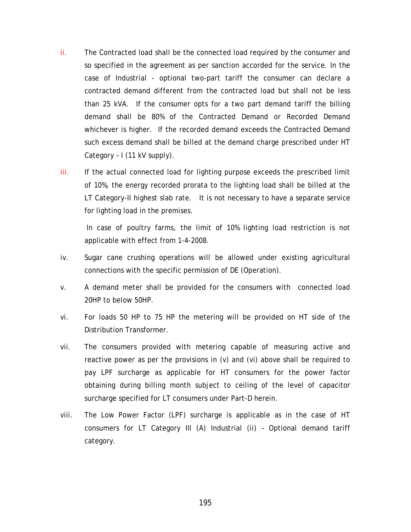- ii. The Contracted load shall be the connected load required by the consumer and so specified in the agreement as per sanction accorded for the service. In the case of Industrial - optional two-part tariff the consumer can declare a contracted demand different from the contracted load but shall not be less than 25 kVA. If the consumer opts for a two part demand tariff the billing demand shall be 80% of the Contracted Demand or Recorded Demand whichever is higher. If the recorded demand exceeds the Contracted Demand such excess demand shall be billed at the demand charge prescribed under HT Category – I (11 kV supply).
- iii. If the actual connected load for lighting purpose exceeds the prescribed limit of 10%, the energy recorded prorata to the lighting load shall be billed at the LT Category-II highest slab rate. It is not necessary to have a separate service for lighting load in the premises.

In case of poultry farms, the limit of 10% lighting load restriction is not applicable with effect from 1-4-2008.

- iv. Sugar cane crushing operations will be allowed under existing agricultural connections with the specific permission of DE (Operation).
- v. A demand meter shall be provided for the consumers with connected load 20HP to below 50HP.
- vi. For loads 50 HP to 75 HP the metering will be provided on HT side of the Distribution Transformer.
- vii. The consumers provided with metering capable of measuring active and reactive power as per the provisions in (v) and (vi) above shall be required to pay LPF surcharge as applicable for HT consumers for the power factor obtaining during billing month subject to ceiling of the level of capacitor surcharge specified for LT consumers under Part-D herein.
- viii. The Low Power Factor (LPF) surcharge is applicable as in the case of HT consumers for LT Category III (A) Industrial (ii) – Optional demand tariff category.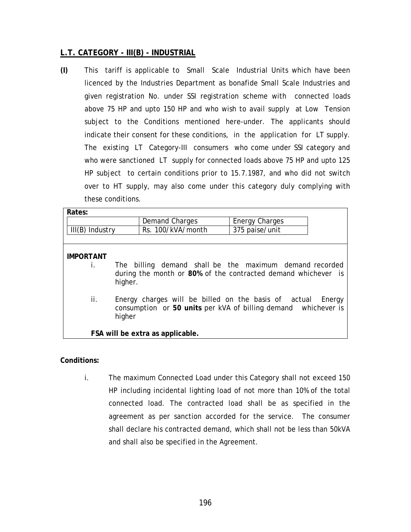#### **L.T. CATEGORY - III(B) - INDUSTRIAL**

**(I)** This tariff is applicable to Small Scale Industrial Units which have been licenced by the Industries Department as bonafide Small Scale Industries and given registration No. under SSI registration scheme with connected loads above 75 HP and upto 150 HP and who wish to avail supply at Low Tension subject to the Conditions mentioned here-under. The applicants should indicate their consent for these conditions, in the application for LT supply. The existing LT Category-III consumers who come under SSI category and who were sanctioned LT supply for connected loads above 75 HP and upto 125 HP subject to certain conditions prior to 15.7.1987, and who did not switch over to HT supply, may also come under this category duly complying with these conditions.

| Rates:                 |                                                                |                                                                                                                          |
|------------------------|----------------------------------------------------------------|--------------------------------------------------------------------------------------------------------------------------|
|                        | Demand Charges                                                 | <b>Energy Charges</b>                                                                                                    |
| $III(B)$ Industry      | Rs. 100/kVA/month                                              | 375 paise/unit                                                                                                           |
|                        |                                                                |                                                                                                                          |
| <b>IMPORTANT</b><br>İ. | higher.                                                        | The billing demand shall be the maximum demand recorded<br>during the month or 80% of the contracted demand whichever is |
| ii.                    | Energy charges will be billed on the basis of actual<br>higher | Energy<br>consumption or 50 units per kVA of billing demand whichever is                                                 |
|                        | FSA will be extra as applicable.                               |                                                                                                                          |

#### **Conditions:**

i. The maximum Connected Load under this Category shall not exceed 150 HP including incidental lighting load of not more than 10% of the total connected load. The contracted load shall be as specified in the agreement as per sanction accorded for the service. The consumer shall declare his contracted demand, which shall not be less than 50kVA and shall also be specified in the Agreement.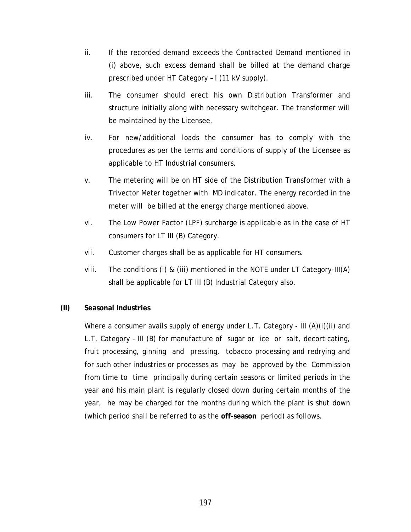- ii. If the recorded demand exceeds the Contracted Demand mentioned in (i) above, such excess demand shall be billed at the demand charge prescribed under HT Category – I (11 kV supply).
- iii. The consumer should erect his own Distribution Transformer and structure initially along with necessary switchgear. The transformer will be maintained by the Licensee.
- iv. For new/additional loads the consumer has to comply with the procedures as per the terms and conditions of supply of the Licensee as applicable to HT Industrial consumers.
- v. The metering will be on HT side of the Distribution Transformer with a Trivector Meter together with MD indicator. The energy recorded in the meter will be billed at the energy charge mentioned above.
- vi. The Low Power Factor (LPF) surcharge is applicable as in the case of HT consumers for LT III (B) Category.
- vii. Customer charges shall be as applicable for HT consumers.
- viii. The conditions (i) & (iii) mentioned in the NOTE under LT Category-III(A) shall be applicable for LT III (B) Industrial Category also.

#### **(II) Seasonal Industries**

Where a consumer avails supply of energy under L.T. Category - III (A)(i)(ii) and L.T. Category – III (B) for manufacture of sugar or ice or salt, decorticating, fruit processing, ginning and pressing, tobacco processing and redrying and for such other industries or processes as may be approved by the Commission from time to time principally during certain seasons or limited periods in the year and his main plant is regularly closed down during certain months of the year, he may be charged for the months during which the plant is shut down (which period shall be referred to as the **off-season** period) as follows.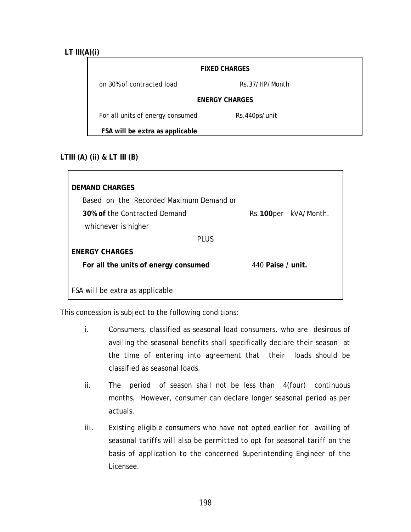#### **LT III(A)(i)**

|                                  | <b>FIXED CHARGES</b> |  |
|----------------------------------|----------------------|--|
| on 30% of contracted load        | Rs.37/HP/Month       |  |
| <b>ENERGY CHARGES</b>            |                      |  |
| For all units of energy consumed | Rs.440ps/unit        |  |
| FSA will be extra as applicable  |                      |  |

#### **LTIII (A) (ii) & LT III (B)**

| <b>DEMAND CHARGES</b>                   |                      |
|-----------------------------------------|----------------------|
| Based on the Recorded Maximum Demand or |                      |
| 30% of the Contracted Demand            | Rs.100per kVA/Month. |
| whichever is higher                     |                      |
| PI US                                   |                      |
| <b>ENERGY CHARGES</b>                   |                      |
| For all the units of energy consumed    | 440 Paise / unit.    |
|                                         |                      |
| FSA will be extra as applicable         |                      |

This concession is subject to the following conditions:

- i. Consumers, classified as seasonal load consumers, who are desirous of availing the seasonal benefits shall specifically declare their season at the time of entering into agreement that their loads should be classified as seasonal loads.
- ii. The period of season shall not be less than 4(four) continuous months. However, consumer can declare longer seasonal period as per actuals.
- *iii. Existing eligible consumers who have not opted earlier for availing of seasonal tariffs will also be permitted to opt for seasonal tariff on the basis of application to the concerned Superintending Engineer of the Licensee.*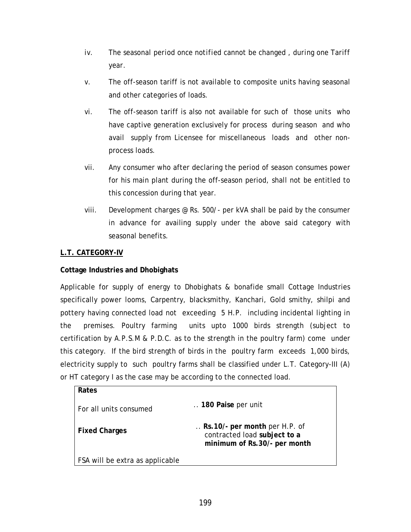- *iv. The seasonal period once notified cannot be changed , during one Tariff year.*
- v. The off-season tariff is not available to composite units having seasonal and other categories of loads.
- vi. The off-season tariff is also not available for such of those units who have captive generation exclusively for process during season and who avail supply from Licensee for miscellaneous loads and other nonprocess loads.
- vii. Any consumer who after declaring the period of season consumes power for his main plant during the off-season period, shall not be entitled to this concession during that year.
- viii. Development charges @ Rs. 500/- per kVA shall be paid by the consumer in advance for availing supply under the above said category with seasonal benefits.

#### **L.T. CATEGORY-IV**

**Rates** 

#### **Cottage Industries and Dhobighats**

Applicable for supply of energy to Dhobighats & bonafide small Cottage Industries specifically power looms, Carpentry, blacksmithy, Kanchari, Gold smithy, shilpi and pottery having connected load not exceeding 5 H.P. including incidental lighting in the premises. Poultry farming units upto 1000 birds strength (subject to certification by A.P.S.M & P.D.C. as to the strength in the poultry farm) come under this category. If the bird strength of birds in the poultry farm exceeds 1,000 birds, electricity supply to such poultry farms shall be classified under L.T. Category-III (A) or HT category I as the case may be according to the connected load.

| <b>Rales</b>                    |                                                                                                |
|---------------------------------|------------------------------------------------------------------------------------------------|
| For all units consumed          | 180 Paise per unit                                                                             |
| <b>Fixed Charges</b>            | Rs. 10/- per month per H.P. of<br>contracted load subject to a<br>minimum of Rs.30/- per month |
| FSA will be extra as applicable |                                                                                                |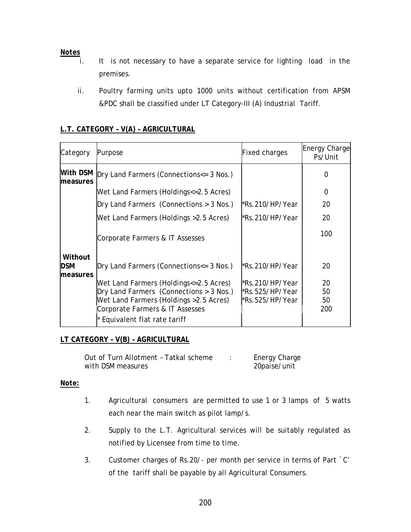# *Notes*

- It is not necessary to have a separate service for lighting load in the premises.
- ii. Poultry farming units upto 1000 units without certification from APSM &PDC shall be classified under LT Category-III (A) Industrial Tariff.

#### **L.T. CATEGORY – V(A) – AGRICULTURAL**

| Category                          | Purpose                                                                                                                                                                                          | <b>Fixed charges</b>                                   | <b>Energy Charge</b><br>Ps/Unit |
|-----------------------------------|--------------------------------------------------------------------------------------------------------------------------------------------------------------------------------------------------|--------------------------------------------------------|---------------------------------|
| With DSM<br>measures              | Dry Land Farmers (Connections <= 3 Nos.)                                                                                                                                                         |                                                        | 0                               |
|                                   | Wet Land Farmers (Holdings<=2.5 Acres)                                                                                                                                                           |                                                        | 0                               |
|                                   | Dry Land Farmers (Connections > 3 Nos.)                                                                                                                                                          | kRs.210/HP/Year*                                       | 20                              |
|                                   | Wet Land Farmers (Holdings > 2.5 Acres)                                                                                                                                                          | *Rs.210/HP/Year                                        | 20                              |
|                                   | Corporate Farmers & IT Assesses                                                                                                                                                                  |                                                        | 100                             |
| Without<br><b>DSM</b><br>measures | Dry Land Farmers (Connections <= 3 Nos.)                                                                                                                                                         | *Rs.210/HP/Year                                        | 20                              |
|                                   | Wet Land Farmers (Holdings<=2.5 Acres)<br>Dry Land Farmers (Connections > 3 Nos.)<br>Wet Land Farmers (Holdings > 2.5 Acres)<br>Corporate Farmers & IT Assesses<br>* Equivalent flat rate tariff | *Rs.210/HP/Year<br>l*Rs.525/HP/Year<br>*Rs.525/HP/Year | 20<br>50<br>50<br>200           |

#### **LT CATEGORY – V(B) – AGRICULTURAL**

| Out of Turn Allotment - Tatkal scheme | Energy Charge |
|---------------------------------------|---------------|
| with DSM measures                     | 20paise/unit  |

#### *Note:*

- 1. Agricultural consumers are permitted to use 1 or 3 lamps of 5 watts each near the main switch as pilot lamp/s.
- 2. Supply to the L.T. Agricultural services will be suitably regulated as notified by Licensee from time to time.
- 3. Customer charges of Rs.20/- per month per service in terms of Part `C' of the tariff shall be payable by all Agricultural Consumers.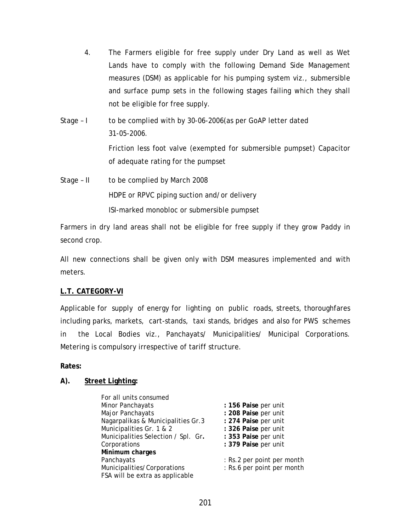- 4. The Farmers eligible for free supply under Dry Land as well as Wet Lands have to comply with the following Demand Side Management measures (DSM) as applicable for his pumping system viz., submersible and surface pump sets in the following stages failing which they shall not be eligible for free supply.
- Stage I to be complied with by 30-06-2006(as per GoAP letter dated 31-05-2006. Friction less foot valve (exempted for submersible pumpset) Capacitor of adequate rating for the pumpset Stage – II to be complied by March 2008
	- HDPE or RPVC piping suction and/or delivery ISI-marked monobloc or submersible pumpset

Farmers in dry land areas shall not be eligible for free supply if they grow Paddy in second crop.

All new connections shall be given only with DSM measures implemented and with meters.

#### **L.T. CATEGORY-VI**

Applicable for supply of energy for lighting on public roads, streets, thoroughfares including parks, markets, cart-stands, taxi stands, bridges and also for PWS schemes in the Local Bodies viz., Panchayats/ Municipalities/ Municipal Corporations. Metering is compulsory irrespective of tariff structure.

**Rates:** 

### **A). Street Lighting:**

| For all units consumed              |                            |
|-------------------------------------|----------------------------|
| Minor Panchayats                    | : 156 Paise per unit       |
| Major Panchayats                    | : 208 Paise per unit       |
| Nagarpalikas & Municipalities Gr.3  | : 274 Paise per unit       |
| Municipalities Gr. 1 & 2            | : 326 Paise per unit       |
| Municipalities Selection / Spl. Gr. | : 353 Paise per unit       |
| Corporations                        | : 379 Paise per unit       |
| Minimum charges                     |                            |
| Panchayats                          | : Rs.2 per point per month |
| Municipalities/Corporations         | : Rs.6 per point per month |
| FSA will be extra as applicable     |                            |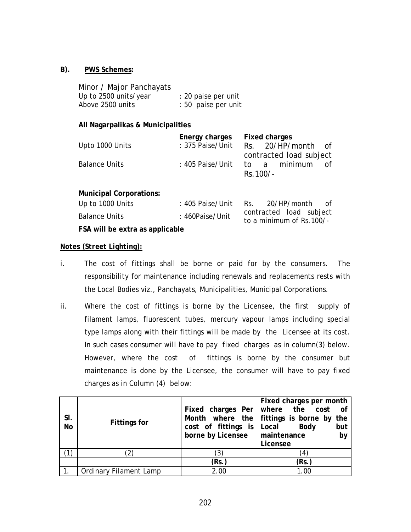#### **B). PWS Schemes:**

| Minor / Major Panchayats |                     |
|--------------------------|---------------------|
| Up to 2500 units/year    | : 20 paise per unit |
| Above 2500 units         | : 50 paise per unit |

#### **All Nagarpalikas & Municipalities**

|                      | Energy charges Fixed charges        |            |                         |    |
|----------------------|-------------------------------------|------------|-------------------------|----|
| Upto 1000 Units      | : 375 Paise/Unit Rs. 20/HP/month of |            |                         |    |
|                      |                                     |            | contracted load subject |    |
| <b>Balance Units</b> | : 405 Paise/Unit to a minimum       |            |                         | nf |
|                      |                                     | $Rs.100/-$ |                         |    |
|                      |                                     |            |                         |    |

#### **Municipal Corporations:**

| Up to 1000 Units                | : 405 Paise/Unit Rs. |                                                     | 20/HP/month | of |
|---------------------------------|----------------------|-----------------------------------------------------|-------------|----|
| <b>Balance Units</b>            | : 460Paise/Unit      | contracted load subject<br>to a minimum of Rs.100/- |             |    |
| FSA will be extra as applicable |                      |                                                     |             |    |

#### *Notes (Street Lighting):*

- i. The cost of fittings shall be borne or paid for by the consumers. The responsibility for maintenance including renewals and replacements rests with the Local Bodies viz., Panchayats, Municipalities, Municipal Corporations.
- ii. Where the cost of fittings is borne by the Licensee, the first supply of filament lamps, fluorescent tubes, mercury vapour lamps including special type lamps along with their fittings will be made by the Licensee at its cost. In such cases consumer will have to pay fixed charges as in column(3) below. However, where the cost of fittings is borne by the consumer but maintenance is done by the Licensee, the consumer will have to pay fixed charges as in Column (4) below:

|           |                        |                                        | Fixed charges per month                  |
|-----------|------------------------|----------------------------------------|------------------------------------------|
|           |                        |                                        | Fixed charges Per   where the cost of    |
| SI.       | <b>Fittings for</b>    |                                        | Month where the fittings is borne by the |
| <b>No</b> |                        | cost of fittings is $\vert$ Local Body | but                                      |
|           |                        | borne by Licensee   maintenance        | by                                       |
|           |                        |                                        | Licensee                                 |
|           |                        | 3)                                     | 4                                        |
|           |                        | (Rs.)                                  | (Rs.                                     |
|           | Ordinary Filament Lamp | 2.00                                   | 1.00                                     |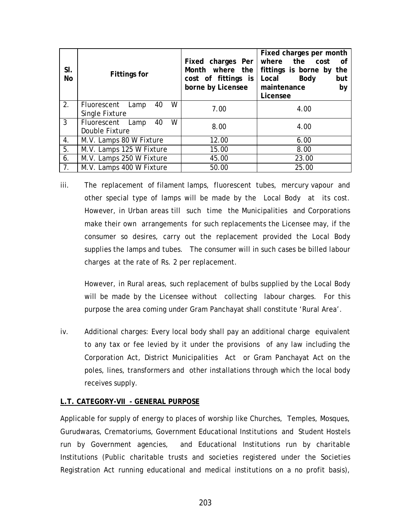| SI.<br>No      | <b>Fittings for</b>                           | Fixed charges Per<br>Month where the<br>cost of fittings is<br>borne by Licensee | Fixed charges per month<br>where the cost<br>0f<br>fittings is borne by the<br>Local<br><b>Body</b><br>but<br>maintenance<br>by<br>Licensee |
|----------------|-----------------------------------------------|----------------------------------------------------------------------------------|---------------------------------------------------------------------------------------------------------------------------------------------|
| 2.             | W<br>40<br>Fluorescent Lamp<br>Single Fixture | 7.00                                                                             | 4.00                                                                                                                                        |
| $\mathbf{3}$   | W<br>Fluorescent Lamp<br>40<br>Double Fixture | 8.00                                                                             | 4.00                                                                                                                                        |
| 4.             | M.V. Lamps 80 W Fixture                       | 12.00                                                                            | 6.00                                                                                                                                        |
| 5.             | M.V. Lamps 125 W Fixture                      | 15.00                                                                            | 8.00                                                                                                                                        |
| 6.             | M.V. Lamps 250 W Fixture                      | 45.00                                                                            | 23.00                                                                                                                                       |
| 7 <sub>1</sub> | M.V. Lamps 400 W Fixture                      | 50.00                                                                            | 25.00                                                                                                                                       |

iii. The replacement of filament lamps, fluorescent tubes, mercury vapour and other special type of lamps will be made by the Local Body at its cost. However, in Urban areas till such time the Municipalities and Corporations make their own arrangements for such replacements the Licensee may, if the consumer so desires, carry out the replacement provided the Local Body supplies the lamps and tubes. The consumer will in such cases be billed labour charges at the rate of Rs. 2 per replacement.

However, in Rural areas, such replacement of bulbs supplied by the Local Body will be made by the Licensee without collecting labour charges. For this purpose the area coming under Gram Panchayat shall constitute 'Rural Area'.

iv. Additional charges: Every local body shall pay an additional charge equivalent to any tax or fee levied by it under the provisions of any law including the Corporation Act, District Municipalities Act or Gram Panchayat Act on the poles, lines, transformers and other installations through which the local body receives supply.

#### **L.T. CATEGORY-VII - GENERAL PURPOSE**

Applicable for supply of energy to places of worship like Churches, Temples, Mosques, Gurudwaras, Crematoriums, Government Educational Institutions and Student Hostels run by Government agencies, and Educational Institutions run by charitable Institutions (Public charitable trusts and societies registered under the Societies Registration Act running educational and medical institutions on a no profit basis),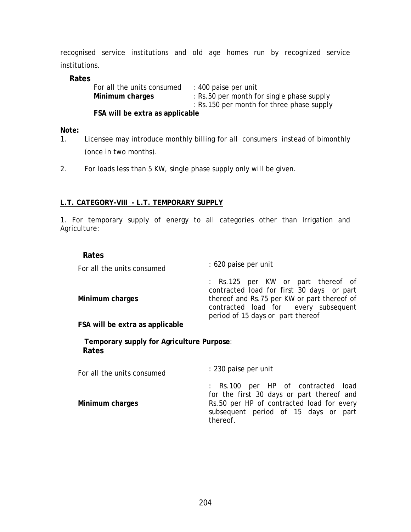recognised service institutions and old age homes run by recognized service institutions.

#### **Rates**

| For all the units consumed      | : 400 paise per unit                      |
|---------------------------------|-------------------------------------------|
| Minimum charges                 | : Rs.50 per month for single phase supply |
|                                 | : Rs.150 per month for three phase supply |
| FSA will be extra as applicable |                                           |

**Note:** 

- 1. Licensee may introduce monthly billing for all consumers instead of bimonthly (once in two months).
- 2. For loads less than 5 KW, single phase supply only will be given.

#### **L.T. CATEGORY-VIII - L.T. TEMPORARY SUPPLY**

1. For temporary supply of energy to all categories other than Irrigation and Agriculture:

#### **Rates**

| : 620 paise per unit                                                                                                                                                                                        |
|-------------------------------------------------------------------------------------------------------------------------------------------------------------------------------------------------------------|
| : Rs.125 per KW or part thereof of<br>contracted load for first 30 days or part<br>thereof and Rs.75 per KW or part thereof of<br>contracted load for every subsequent<br>period of 15 days or part thereof |
|                                                                                                                                                                                                             |
|                                                                                                                                                                                                             |

 **Temporary supply for Agriculture Purpose**: **Rates** 

 For all the units consumed : 230 paise per unit  **Minimum charges**  : Rs.100 per HP of contracted load for the first 30 days or part thereof and Rs.50 per HP of contracted load for every subsequent period of 15 days or part thereof.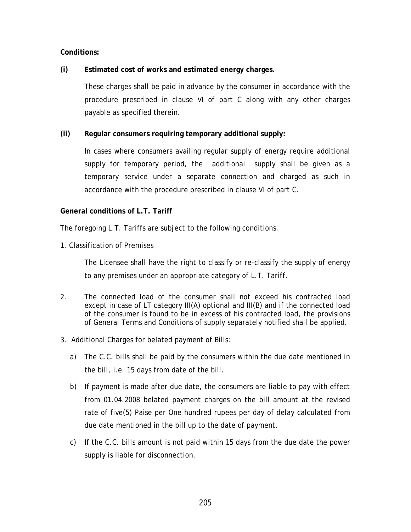#### **Conditions:**

#### **(i) Estimated cost of works and estimated energy charges.**

These charges shall be paid in advance by the consumer in accordance with the procedure prescribed in clause VI of part C along with any other charges payable as specified therein.

#### **(ii) Regular consumers requiring temporary additional supply:**

In cases where consumers availing regular supply of energy require additional supply for temporary period, the additional supply shall be given as a temporary service under a separate connection and charged as such in accordance with the procedure prescribed in clause VI of part C.

#### **General conditions of L.T. Tariff**

The foregoing L.T. Tariffs are subject to the following conditions.

1. Classification of Premises

The Licensee shall have the right to classify or re-classify the supply of energy to any premises under an appropriate category of L.T. Tariff.

- 2. The connected load of the consumer shall not exceed his contracted load except in case of LT category III(A) optional and III(B) and if the connected load of the consumer is found to be in excess of his contracted load, the provisions of General Terms and Conditions of supply separately notified shall be applied.
- 3. Additional Charges for belated payment of Bills:
	- a) The C.C. bills shall be paid by the consumers within the due date mentioned in the bill, i.e. 15 days from date of the bill.
	- b) If payment is made after due date, the consumers are liable to pay with effect from 01.04.2008 belated payment charges on the bill amount at the revised rate of five(5) Paise per One hundred rupees per day of delay calculated from due date mentioned in the bill up to the date of payment.
	- c) If the C.C. bills amount is not paid within 15 days from the due date the power supply is liable for disconnection.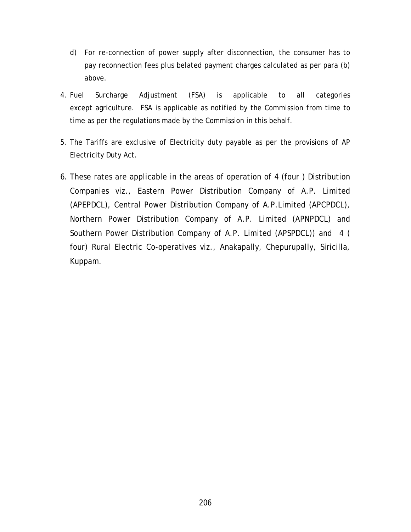- d) For re-connection of power supply after disconnection, the consumer has to pay reconnection fees plus belated payment charges calculated as per para (b) above.
- 4. Fuel Surcharge Adjustment (FSA) is applicable to all categories except agriculture. FSA is applicable as notified by the Commission from time to time as per the regulations made by the Commission in this behalf.
- 5. The Tariffs are exclusive of Electricity duty payable as per the provisions of AP Electricity Duty Act.
- 6. These rates are applicable in the areas of operation of 4 (four ) Distribution Companies viz., Eastern Power Distribution Company of A.P. Limited (APEPDCL), Central Power Distribution Company of A.P.Limited (APCPDCL), Northern Power Distribution Company of A.P. Limited (APNPDCL) and Southern Power Distribution Company of A.P. Limited (APSPDCL)) and 4 ( four) Rural Electric Co-operatives viz., Anakapally, Chepurupally, Siricilla, Kuppam.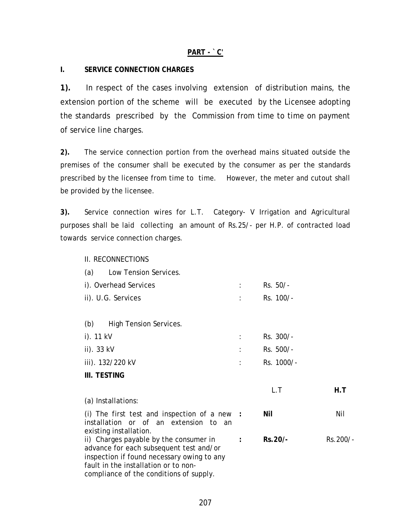#### **PART - `C'**

#### **I. SERVICE CONNECTION CHARGES**

**1).** In respect of the cases involving extension of distribution mains, the extension portion of the scheme will be executed by the Licensee adopting the standards prescribed by the Commission from time to time on payment of service line charges.

**2).** The service connection portion from the overhead mains situated outside the premises of the consumer shall be executed by the consumer as per the standards prescribed by the licensee from time to time. However, the meter and cutout shall be provided by the licensee.

**3).** Service connection wires for L.T. Category- V Irrigation and Agricultural purposes shall be laid collecting an amount of Rs.25/- per H.P. of contracted load towards service connection charges.

II. RECONNECTIONS

| Low Tension Services.<br>(a)                                                                                                                                                                                       |                      |            |          |
|--------------------------------------------------------------------------------------------------------------------------------------------------------------------------------------------------------------------|----------------------|------------|----------|
| i). Overhead Services                                                                                                                                                                                              |                      | Rs. 50/-   |          |
| ii). U.G. Services                                                                                                                                                                                                 | t.                   | Rs. 100/-  |          |
|                                                                                                                                                                                                                    |                      |            |          |
| <b>High Tension Services.</b><br>(b)                                                                                                                                                                               |                      |            |          |
| i). 11 kV                                                                                                                                                                                                          | ÷                    | Rs. 300/-  |          |
| ii). 33 kV                                                                                                                                                                                                         |                      | Rs. 500/-  |          |
| iii). 132/220 kV                                                                                                                                                                                                   |                      | Rs. 1000/- |          |
| III. TESTING                                                                                                                                                                                                       |                      |            |          |
|                                                                                                                                                                                                                    |                      | L.T        | H.T      |
| (a) Installations:                                                                                                                                                                                                 |                      |            |          |
| (i) The first test and inspection of a new $\cdot$<br>installation or of an extension to an<br>existing installation.                                                                                              |                      | Nil        | Nil      |
| ii) Charges payable by the consumer in<br>advance for each subsequent test and/or<br>inspection if found necessary owing to any<br>fault in the installation or to non-<br>compliance of the conditions of supply. | $\ddot{\phantom{a}}$ | Rs.20/-    | Rs.200/- |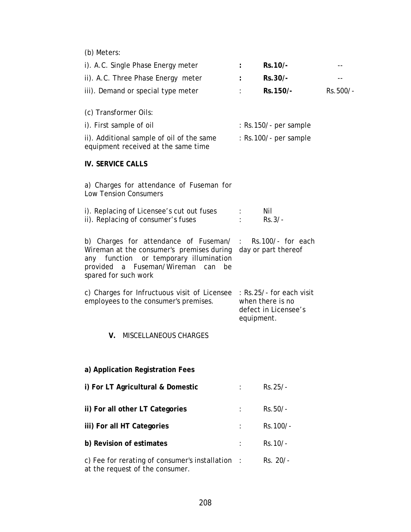(b) Meters:

| i). A.C. Single Phase Energy meter                                                                                                                                                                                          | $\ddot{\phantom{a}}$                                   | Rs.10/-                 |          |
|-----------------------------------------------------------------------------------------------------------------------------------------------------------------------------------------------------------------------------|--------------------------------------------------------|-------------------------|----------|
| ii). A.C. Three Phase Energy meter                                                                                                                                                                                          |                                                        | Rs.30/-                 |          |
| iii). Demand or special type meter                                                                                                                                                                                          |                                                        | Rs.150/-                | Rs.500/- |
|                                                                                                                                                                                                                             |                                                        |                         |          |
| (c) Transformer Oils:                                                                                                                                                                                                       |                                                        |                         |          |
| i). First sample of oil                                                                                                                                                                                                     |                                                        | $:$ Rs.150/- per sample |          |
| ii). Additional sample of oil of the same<br>equipment received at the same time                                                                                                                                            |                                                        | $:$ Rs.100/- per sample |          |
|                                                                                                                                                                                                                             |                                                        |                         |          |
| <b>IV. SERVICE CALLS</b>                                                                                                                                                                                                    |                                                        |                         |          |
| a) Charges for attendance of Fuseman for<br><b>Low Tension Consumers</b>                                                                                                                                                    |                                                        |                         |          |
| i). Replacing of Licensee's cut out fuses                                                                                                                                                                                   | ÷                                                      | Nil                     |          |
| ii). Replacing of consumer's fuses                                                                                                                                                                                          |                                                        | $Rs.3/-$                |          |
| b) Charges for attendance of Fuseman/ :<br>Wireman at the consumer's premises during day or part thereof<br>function or temporary illumination<br>any<br>a Fuseman/Wireman<br>provided<br>can<br>be<br>spared for such work |                                                        | Rs.100/- for each       |          |
| c) Charges for Infructuous visit of Licensee : Rs.25/- for each visit<br>employees to the consumer's premises.                                                                                                              | when there is no<br>defect in Licensee's<br>equipment. |                         |          |
| <b>MISCELLANEOUS CHARGES</b><br>V.                                                                                                                                                                                          |                                                        |                         |          |
|                                                                                                                                                                                                                             |                                                        |                         |          |
| a) Application Registration Fees                                                                                                                                                                                            |                                                        |                         |          |
| i) For LT Agricultural & Domestic                                                                                                                                                                                           |                                                        | Rs.25/-                 |          |
| ii) For all other LT Categories                                                                                                                                                                                             |                                                        | Rs.50/-                 |          |
| iii) For all HT Categories                                                                                                                                                                                                  |                                                        | Rs.100/-                |          |
| b) Revision of estimates                                                                                                                                                                                                    |                                                        | Rs. 10/-                |          |
| c) Fee for rerating of consumer's installation<br>at the request of the consumer.                                                                                                                                           | $\sim$ 1                                               | Rs. 20/-                |          |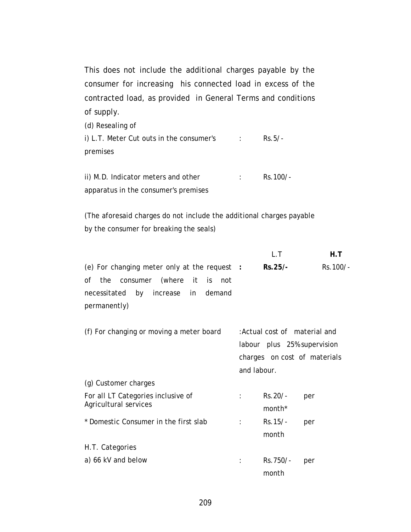This does not include the additional charges payable by the consumer for increasing his connected load in excess of the contracted load, as provided in General Terms and conditions of supply.

(d) Resealing of i) L.T. Meter Cut outs in the consumer's premises : Rs.5/-

ii) M.D. Indicator meters and other apparatus in the consumer's premises : Rs.100/-

(The aforesaid charges do not include the additional charges payable by the consumer for breaking the seals)

|                                                                                                                                                                   | L.T                                                                                                         | H.T       |
|-------------------------------------------------------------------------------------------------------------------------------------------------------------------|-------------------------------------------------------------------------------------------------------------|-----------|
| (e) For changing meter only at the request :<br>the consumer (where<br>it it<br>οf<br>is is<br>not<br>increase in<br>necessitated<br>by<br>demand<br>permanently) | Rs.25/-                                                                                                     | Rs. 100/- |
| (f) For changing or moving a meter board                                                                                                                          | : Actual cost of material and<br>labour plus 25% supervision<br>charges on cost of materials<br>and labour. |           |
| (g) Customer charges                                                                                                                                              |                                                                                                             |           |
| For all LT Categories inclusive of<br>Agricultural services                                                                                                       | Rs. 20/-<br>month <sup>*</sup>                                                                              | per       |
| * Domestic Consumer in the first slab                                                                                                                             | Rs.15/-<br>month                                                                                            | per       |
| H.T. Categories                                                                                                                                                   |                                                                                                             |           |
| a) 66 kV and below                                                                                                                                                | Rs.750/-<br>month                                                                                           | per       |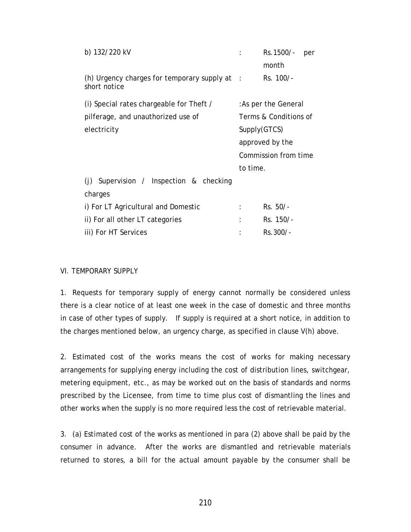| b) 132/220 kV                                                     |          | Rs. 1500/-<br>per     |  |  |
|-------------------------------------------------------------------|----------|-----------------------|--|--|
|                                                                   |          | month                 |  |  |
| (h) Urgency charges for temporary supply at $\pm$<br>short notice |          | Rs. 100/-             |  |  |
| (i) Special rates chargeable for Theft /                          |          | : As per the General  |  |  |
| pilferage, and unauthorized use of                                |          | Terms & Conditions of |  |  |
| electricity                                                       |          | Supply(GTCS)          |  |  |
|                                                                   |          | approved by the       |  |  |
|                                                                   |          | Commission from time  |  |  |
|                                                                   | to time. |                       |  |  |
| (j) Supervision / Inspection & checking                           |          |                       |  |  |
| charges                                                           |          |                       |  |  |
| i) For LT Agricultural and Domestic                               |          | $Rs. 50/-$            |  |  |
| ii) For all other LT categories                                   |          | Rs. 150/-             |  |  |
| iii) For HT Services                                              |          | Rs.300/-              |  |  |

#### VI. TEMPORARY SUPPLY

1. Requests for temporary supply of energy cannot normally be considered unless there is a clear notice of at least one week in the case of domestic and three months in case of other types of supply. If supply is required at a short notice, in addition to the charges mentioned below, an urgency charge, as specified in clause V(h) above.

2. Estimated cost of the works means the cost of works for making necessary arrangements for supplying energy including the cost of distribution lines, switchgear, metering equipment, etc., as may be worked out on the basis of standards and norms prescribed by the Licensee, from time to time plus cost of dismantling the lines and other works when the supply is no more required less the cost of retrievable material.

3. (a) Estimated cost of the works as mentioned in para (2) above shall be paid by the consumer in advance. After the works are dismantled and retrievable materials returned to stores, a bill for the actual amount payable by the consumer shall be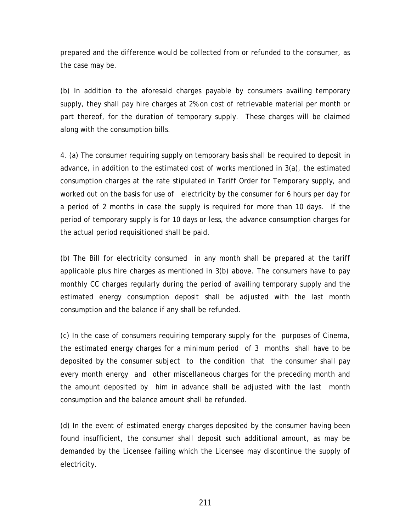prepared and the difference would be collected from or refunded to the consumer, as the case may be.

(b) In addition to the aforesaid charges payable by consumers availing temporary supply, they shall pay hire charges at 2% on cost of retrievable material per month or part thereof, for the duration of temporary supply. These charges will be claimed along with the consumption bills.

4. (a) The consumer requiring supply on temporary basis shall be required to deposit in advance, in addition to the estimated cost of works mentioned in 3(a), the estimated consumption charges at the rate stipulated in Tariff Order for Temporary supply, and worked out on the basis for use of electricity by the consumer for 6 hours per day for a period of 2 months in case the supply is required for more than 10 days. If the period of temporary supply is for 10 days or less, the advance consumption charges for the actual period requisitioned shall be paid.

(b) The Bill for electricity consumed in any month shall be prepared at the tariff applicable plus hire charges as mentioned in 3(b) above. The consumers have to pay monthly CC charges regularly during the period of availing temporary supply and the estimated energy consumption deposit shall be adjusted with the last month consumption and the balance if any shall be refunded.

(c) In the case of consumers requiring temporary supply for the purposes of Cinema, the estimated energy charges for a minimum period of 3 months shall have to be deposited by the consumer subject to the condition that the consumer shall pay every month energy and other miscellaneous charges for the preceding month and the amount deposited by him in advance shall be adjusted with the last month consumption and the balance amount shall be refunded.

(d) In the event of estimated energy charges deposited by the consumer having been found insufficient, the consumer shall deposit such additional amount, as may be demanded by the Licensee failing which the Licensee may discontinue the supply of electricity.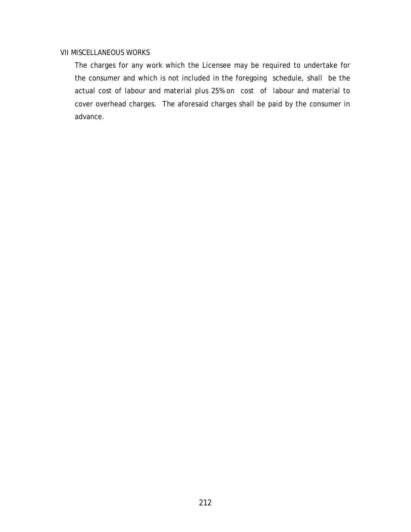#### VII MISCELLANEOUS WORKS

 The charges for any work which the Licensee may be required to undertake for the consumer and which is not included in the foregoing schedule, shall be the actual cost of labour and material plus 25% on cost of labour and material to cover overhead charges. The aforesaid charges shall be paid by the consumer in advance.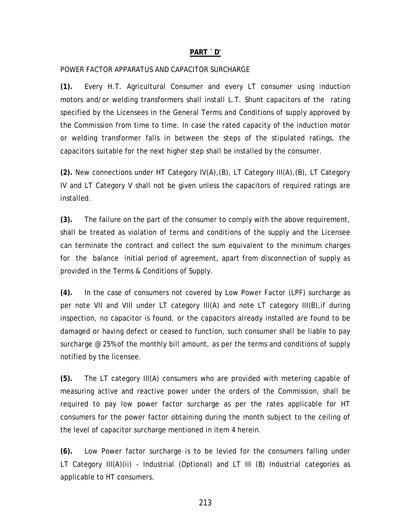#### **PART `D'**

#### POWER FACTOR APPARATUS AND CAPACITOR SURCHARGE

**(1).** Every H.T. Agricultural Consumer and every LT consumer using induction motors and/or welding transformers shall install L.T. Shunt capacitors of the rating specified by the Licensees in the General Terms and Conditions of supply approved by the Commission from time to time. In case the rated capacity of the induction motor or welding transformer falls in between the steps of the stipulated ratings, the capacitors suitable for the next higher step shall be installed by the consumer.

**(2).** New connections under HT Category IV(A),(B), LT Category III(A),(B), LT Category IV and LT Category V shall not be given unless the capacitors of required ratings are installed.

**(3).** The failure on the part of the consumer to comply with the above requirement, shall be treated as violation of terms and conditions of the supply and the Licensee can terminate the contract and collect the sum equivalent to the minimum charges for the balance initial period of agreement, apart from disconnection of supply as provided in the Terms & Conditions of Supply.

**(4).** In the case of consumers not covered by Low Power Factor (LPF) surcharge as per note VII and VIII under LT category III(A) and note LT category III(B),if during inspection, no capacitor is found, or the capacitors already installed are found to be damaged or having defect or ceased to function, such consumer shall be liable to pay surcharge @ 25% of the monthly bill amount, as per the terms and conditions of supply notified by the licensee.

**(5).** The LT category III(A) consumers who are provided with metering capable of measuring active and reactive power under the orders of the Commission, shall be required to pay low power factor surcharge as per the rates applicable for HT consumers for the power factor obtaining during the month subject to the ceiling of the level of capacitor surcharge mentioned in item 4 herein.

**(6).** Low Power factor surcharge is to be levied for the consumers falling under LT Category III(A)(ii) - Industrial (Optional) and LT III (B) Industrial categories as applicable to HT consumers.

213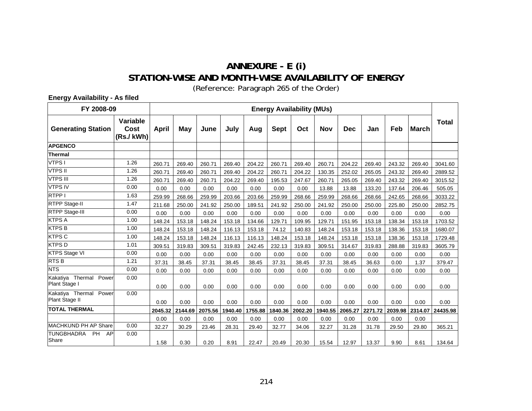## **ANNEXURE - E (i) STATION-WISE AND MONTH-WISE AVAILABILITY OF ENERGY**

(Reference: Paragraph [265](#page-107-0) of the Order)

**Energy Availability - As filed** 

| FY 2008-09                                    |                               | <b>Energy Availability (MUs)</b> |         |         |         |         |             |         |         |            |         |         |              |              |
|-----------------------------------------------|-------------------------------|----------------------------------|---------|---------|---------|---------|-------------|---------|---------|------------|---------|---------|--------------|--------------|
| <b>Generating Station</b>                     | Variable<br>Cost<br>(Rs./kWh) | April                            | May     | June    | July    | Aug     | <b>Sept</b> | Oct     | Nov     | <b>Dec</b> | Jan     | Feb     | <b>March</b> | <b>Total</b> |
| <b>APGENCO</b>                                |                               |                                  |         |         |         |         |             |         |         |            |         |         |              |              |
| <b>Thermal</b>                                |                               |                                  |         |         |         |         |             |         |         |            |         |         |              |              |
| VTPS I                                        | 1.26                          | 260.71                           | 269.40  | 260.71  | 269.40  | 204.22  | 260.71      | 269.40  | 260.71  | 204.22     | 269.40  | 243.32  | 269.40       | 3041.60      |
| <b>VTPS II</b>                                | 1.26                          | 260.71                           | 269.40  | 260.71  | 269.40  | 204.22  | 260.71      | 204.22  | 130.35  | 252.02     | 265.05  | 243.32  | 269.40       | 2889.52      |
| <b>VTPS III</b>                               | 1.26                          | 260.71                           | 269.40  | 260.71  | 204.22  | 269.40  | 195.53      | 247.67  | 260.71  | 265.05     | 269.40  | 243.32  | 269.40       | 3015.52      |
| <b>VTPS IV</b>                                | 0.00                          | 0.00                             | 0.00    | 0.00    | 0.00    | 0.00    | 0.00        | 0.00    | 13.88   | 13.88      | 133.20  | 137.64  | 206.46       | 505.05       |
| <b>RTPPI</b>                                  | 1.63                          | 259.99                           | 268.66  | 259.99  | 203.66  | 203.66  | 259.99      | 268.66  | 259.99  | 268.66     | 268.66  | 242.65  | 268.66       | 3033.22      |
| <b>RTPP Stage-II</b>                          | 1.47                          | 211.68                           | 250.00  | 241.92  | 250.00  | 189.51  | 241.92      | 250.00  | 241.92  | 250.00     | 250.00  | 225.80  | 250.00       | 2852.75      |
| RTPP Stage-III                                | 0.00                          | 0.00                             | 0.00    | 0.00    | 0.00    | 0.00    | 0.00        | 0.00    | 0.00    | 0.00       | 0.00    | 0.00    | 0.00         | 0.00         |
| <b>KTPS A</b>                                 | 1.00                          | 148.24                           | 153.18  | 148.24  | 153.18  | 134.66  | 129.71      | 109.95  | 129.71  | 151.95     | 153.18  | 138.34  | 153.18       | 1703.52      |
| <b>KTPS B</b>                                 | 1.00                          | 148.24                           | 153.18  | 148.24  | 116.13  | 153.18  | 74.12       | 140.83  | 148.24  | 153.18     | 153.18  | 138.36  | 153.18       | 1680.07      |
| <b>KTPS C</b>                                 | 1.00                          | 148.24                           | 153.18  | 148.24  | 116.13  | 116.13  | 148.24      | 153.18  | 148.24  | 153.18     | 153.18  | 138.36  | 153.18       | 1729.48      |
| <b>KTPSD</b>                                  | 1.01                          | 309.51                           | 319.83  | 309.51  | 319.83  | 242.45  | 232.13      | 319.83  | 309.51  | 314.67     | 319.83  | 288.88  | 319.83       | 3605.79      |
| <b>KTPS Stage VI</b>                          | 0.00                          | 0.00                             | 0.00    | 0.00    | 0.00    | 0.00    | 0.00        | 0.00    | 0.00    | 0.00       | 0.00    | 0.00    | 0.00         | 0.00         |
| <b>RTSB</b>                                   | 1.21                          | 37.31                            | 38.45   | 37.31   | 38.45   | 38.45   | 37.31       | 38.45   | 37.31   | 38.45      | 36.63   | 0.00    | 1.37         | 379.47       |
| <b>NTS</b>                                    | 0.00                          | 0.00                             | 0.00    | 0.00    | 0.00    | 0.00    | 0.00        | 0.00    | 0.00    | 0.00       | 0.00    | 0.00    | 0.00         | 0.00         |
| Kakatiya Thermal<br>Power<br>Plant Stage I    | 0.00                          | 0.00                             | 0.00    | 0.00    | 0.00    | 0.00    | 0.00        | 0.00    | 0.00    | 0.00       | 0.00    | 0.00    | 0.00         | 0.00         |
| Kakatiya Thermal<br>Power<br>Plant Stage II   | 0.00                          | 0.00                             | 0.00    | 0.00    | 0.00    | 0.00    | 0.00        | 0.00    | 0.00    | 0.00       | 0.00    | 0.00    | 0.00         | 0.00         |
| <b>TOTAL THERMAL</b>                          |                               | 2045.32                          | 2144.69 | 2075.56 | 1940.40 | 1755.88 | 1840.36     | 2002.20 | 1940.55 | 2065.27    | 2271.72 | 2039.98 | 2314.07      | 24435.98     |
|                                               |                               | 0.00                             | 0.00    | 0.00    | 0.00    | 0.00    | 0.00        | 0.00    | 0.00    | 0.00       | 0.00    | 0.00    | 0.00         |              |
| <b>MACHKUND PH AP Share</b>                   | 0.00                          | 32.27                            | 30.29   | 23.46   | 28.31   | 29.40   | 32.77       | 34.06   | 32.27   | 31.28      | 31.78   | 29.50   | 29.80        | 365.21       |
| <b>TUNGBHADRA</b><br><b>PH</b><br>AP<br>Share | 0.00                          | 1.58                             | 0.30    | 0.20    | 8.91    | 22.47   | 20.49       | 20.30   | 15.54   | 12.97      | 13.37   | 9.90    | 8.61         | 134.64       |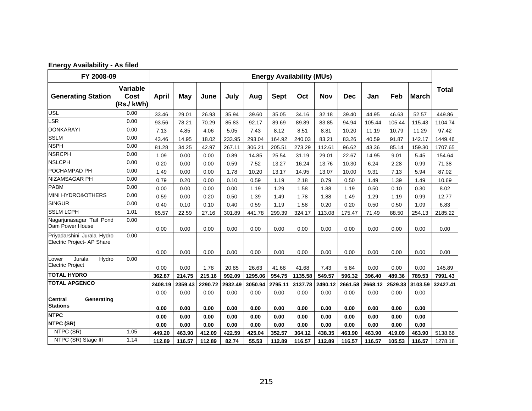| <b>Energy Availability - As filed</b> |  |  |  |  |
|---------------------------------------|--|--|--|--|
|---------------------------------------|--|--|--|--|

| FY 2008-09                                               |                                      |         |         |         |         |         |             | <b>Energy Availability (MUs)</b> |            |            |         |         |              |              |
|----------------------------------------------------------|--------------------------------------|---------|---------|---------|---------|---------|-------------|----------------------------------|------------|------------|---------|---------|--------------|--------------|
| <b>Generating Station</b>                                | <b>Variable</b><br>Cost<br>(Rs./kWh) | April   | May     | June    | July    | Aug     | <b>Sept</b> | Oct                              | <b>Nov</b> | <b>Dec</b> | Jan     | Feb     | <b>March</b> | <b>Total</b> |
| <b>USL</b>                                               | 0.00                                 | 33.46   | 29.01   | 26.93   | 35.94   | 39.60   | 35.05       | 34.16                            | 32.18      | 39.40      | 44.95   | 46.63   | 52.57        | 449.86       |
| LSR                                                      | 0.00                                 | 93.56   | 78.21   | 70.29   | 85.83   | 92.17   | 89.69       | 89.89                            | 83.85      | 94.94      | 105.44  | 105.44  | 115.43       | 1104.74      |
| <b>DONKARAYI</b>                                         | 0.00                                 | 7.13    | 4.85    | 4.06    | 5.05    | 7.43    | 8.12        | 8.51                             | 8.81       | 10.20      | 11.19   | 10.79   | 11.29        | 97.42        |
| <b>SSLM</b>                                              | 0.00                                 | 43.46   | 14.95   | 18.02   | 233.95  | 293.04  | 164.92      | 240.03                           | 83.21      | 83.26      | 40.59   | 91.87   | 142.17       | 1449.46      |
| <b>NSPH</b>                                              | 0.00                                 | 81.28   | 34.25   | 42.97   | 267.11  | 306.21  | 205.51      | 273.29                           | 112.61     | 96.62      | 43.36   | 85.14   | 159.30       | 1707.65      |
| <b>NSRCPH</b>                                            | 0.00                                 | 1.09    | 0.00    | 0.00    | 0.89    | 14.85   | 25.54       | 31.19                            | 29.01      | 22.67      | 14.95   | 9.01    | 5.45         | 154.64       |
| <b>NSLCPH</b>                                            | 0.00                                 | 0.20    | 0.00    | 0.00    | 0.59    | 7.52    | 13.27       | 16.24                            | 13.76      | 10.30      | 6.24    | 2.28    | 0.99         | 71.38        |
| POCHAMPAD PH                                             | 0.00                                 | 1.49    | 0.00    | 0.00    | 1.78    | 10.20   | 13.17       | 14.95                            | 13.07      | 10.00      | 9.31    | 7.13    | 5.94         | 87.02        |
| NIZAMSAGAR PH                                            | 0.00                                 | 0.79    | 0.20    | 0.00    | 0.10    | 0.59    | 1.19        | 2.18                             | 0.79       | 0.50       | 1.49    | 1.39    | 1.49         | 10.69        |
| <b>PABM</b>                                              | 0.00                                 | 0.00    | 0.00    | 0.00    | 0.00    | 1.19    | 1.29        | 1.58                             | 1.88       | 1.19       | 0.50    | 0.10    | 0.30         | 8.02         |
| <b>MINI HYDRO&amp;OTHERS</b>                             | 0.00                                 | 0.59    | 0.00    | 0.20    | 0.50    | 1.39    | 1.49        | 1.78                             | 1.88       | 1.49       | 1.29    | 1.19    | 0.99         | 12.77        |
| <b>SINGUR</b>                                            | 0.00                                 | 0.40    | 0.10    | 0.10    | 0.40    | 0.59    | 1.19        | 1.58                             | 0.20       | 0.20       | 0.50    | 0.50    | 1.09         | 6.83         |
| <b>SSLM LCPH</b>                                         | 1.01                                 | 65.57   | 22.59   | 27.16   | 301.89  | 441.78  | 299.39      | 324.17                           | 113.08     | 175.47     | 71.49   | 88.50   | 254.13       | 2185.22      |
| Nagarjunasagar Tail Pond<br>Dam Power House              | 0.00                                 | 0.00    | 0.00    | 0.00    | 0.00    | 0.00    | 0.00        | 0.00                             | 0.00       | 0.00       | 0.00    | 0.00    | 0.00         | 0.00         |
| Priyadarshini Jurala Hydro<br>Electric Project- AP Share | 0.00                                 | 0.00    | 0.00    | 0.00    | 0.00    | 0.00    | 0.00        | 0.00                             | 0.00       | 0.00       | 0.00    | 0.00    | 0.00         | 0.00         |
| Jurala<br>Hydro<br>Lower                                 | 0.00                                 |         |         |         |         |         |             |                                  |            |            |         |         |              |              |
| <b>Electric Project</b>                                  |                                      | 0.00    | 0.00    | 1.78    | 20.85   | 26.63   | 41.68       | 41.68                            | 7.43       | 5.84       | 0.00    | 0.00    | 0.00         | 145.89       |
| <b>TOTAL HYDRO</b>                                       |                                      | 362.87  | 214.75  | 215.16  | 992.09  | 1295.06 | 954.75      | 1135.58                          | 549.57     | 596.32     | 396.40  | 489.36  | 789.53       | 7991.43      |
| <b>TOTAL APGENCO</b>                                     |                                      | 2408.19 | 2359.43 | 2290.72 | 2932.49 | 3050.94 | 2795.11     | 3137.78                          | 2490.12    | 2661.58    | 2668.12 | 2529.33 | 3103.59      | 32427.41     |
|                                                          |                                      | 0.00    | 0.00    | 0.00    | 0.00    | 0.00    | 0.00        | 0.00                             | 0.00       | 0.00       | 0.00    | 0.00    | 0.00         |              |
| <b>Central</b><br>Generating<br><b>Stations</b>          |                                      | 0.00    | 0.00    | 0.00    | 0.00    | 0.00    | 0.00        | 0.00                             | 0.00       | 0.00       | 0.00    | 0.00    | 0.00         |              |
| <b>NTPC</b>                                              |                                      | 0.00    | 0.00    | 0.00    | 0.00    | 0.00    | 0.00        | 0.00                             | 0.00       | 0.00       | 0.00    | 0.00    | 0.00         |              |
| NTPC (SR)                                                |                                      | 0.00    | 0.00    | 0.00    | 0.00    | 0.00    | 0.00        | 0.00                             | 0.00       | 0.00       | 0.00    | 0.00    | 0.00         |              |
| NTPC (SR)                                                | 1.05                                 | 449.20  | 463.90  | 412.09  | 422.59  | 425.04  | 352.57      | 364.12                           | 438.35     | 463.90     | 463.90  | 419.09  | 463.90       | 5138.66      |
| NTPC (SR) Stage III                                      | 1.14                                 | 112.89  | 116.57  | 112.89  | 82.74   | 55.53   | 112.89      | 116.57                           | 112.89     | 116.57     | 116.57  | 105.53  | 116.57       | 1278.18      |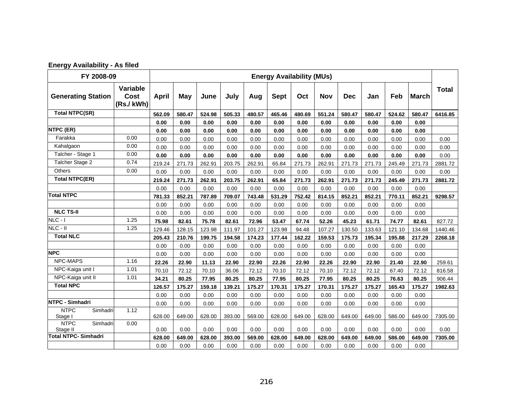| <b>Energy Availability - As filed</b> |  |  |  |  |
|---------------------------------------|--|--|--|--|
|---------------------------------------|--|--|--|--|

| FY 2008-09                          |                               |              |        |        |        |        |             | <b>Energy Availability (MUs)</b> |        |            |        |        |              |              |
|-------------------------------------|-------------------------------|--------------|--------|--------|--------|--------|-------------|----------------------------------|--------|------------|--------|--------|--------------|--------------|
| <b>Generating Station</b>           | Variable<br>Cost<br>(Rs./kWh) | <b>April</b> | May    | June   | July   | Aug    | <b>Sept</b> | Oct                              | Nov    | <b>Dec</b> | Jan    | Feb    | <b>March</b> | <b>Total</b> |
| <b>Total NTPC(SR)</b>               |                               | 562.09       | 580.47 | 524.98 | 505.33 | 480.57 | 465.46      | 480.69                           | 551.24 | 580.47     | 580.47 | 524.62 | 580.47       | 6416.85      |
|                                     |                               | 0.00         | 0.00   | 0.00   | 0.00   | 0.00   | 0.00        | 0.00                             | 0.00   | 0.00       | 0.00   | 0.00   | 0.00         |              |
| <b>NTPC (ER)</b>                    |                               | 0.00         | 0.00   | 0.00   | 0.00   | 0.00   | 0.00        | 0.00                             | 0.00   | 0.00       | 0.00   | 0.00   | 0.00         |              |
| Farakka                             | 0.00                          | 0.00         | 0.00   | 0.00   | 0.00   | 0.00   | 0.00        | 0.00                             | 0.00   | 0.00       | 0.00   | 0.00   | 0.00         | 0.00         |
| Kahalgaon                           | 0.00                          | 0.00         | 0.00   | 0.00   | 0.00   | 0.00   | 0.00        | 0.00                             | 0.00   | 0.00       | 0.00   | 0.00   | 0.00         | 0.00         |
| Talcher - Stage 1                   | 0.00                          | 0.00         | 0.00   | 0.00   | 0.00   | 0.00   | 0.00        | 0.00                             | 0.00   | 0.00       | 0.00   | 0.00   | 0.00         | 0.00         |
| Talcher Stage 2                     | 0.74                          | 219.24       | 271.73 | 262.91 | 203.75 | 262.91 | 65.84       | 271.73                           | 262.91 | 271.73     | 271.73 | 245.49 | 271.73       | 2881.72      |
| <b>Others</b>                       | 0.00                          | 0.00         | 0.00   | 0.00   | 0.00   | 0.00   | 0.00        | 0.00                             | 0.00   | 0.00       | 0.00   | 0.00   | 0.00         | 0.00         |
| <b>Total NTPC(ER)</b>               |                               | 219.24       | 271.73 | 262.91 | 203.75 | 262.91 | 65.84       | 271.73                           | 262.91 | 271.73     | 271.73 | 245.49 | 271.73       | 2881.72      |
|                                     |                               | 0.00         | 0.00   | 0.00   | 0.00   | 0.00   | 0.00        | 0.00                             | 0.00   | 0.00       | 0.00   | 0.00   | 0.00         |              |
| <b>Total NTPC</b>                   |                               | 781.33       | 852.21 | 787.89 | 709.07 | 743.48 | 531.29      | 752.42                           | 814.15 | 852.21     | 852.21 | 770.11 | 852.21       | 9298.57      |
|                                     |                               | 0.00         | 0.00   | 0.00   | 0.00   | 0.00   | 0.00        | 0.00                             | 0.00   | 0.00       | 0.00   | 0.00   | 0.00         |              |
| <b>NLC TS-II</b>                    |                               | 0.00         | 0.00   | 0.00   | 0.00   | 0.00   | 0.00        | 0.00                             | 0.00   | 0.00       | 0.00   | 0.00   | 0.00         |              |
| $NLC - I$                           | 1.25                          | 75.98        | 82.61  | 75.78  | 82.61  | 72.96  | 53.47       | 67.74                            | 52.26  | 45.23      | 61.71  | 74.77  | 82.61        | 827.72       |
| $NLC - II$                          | 1.25                          | 129.46       | 128.15 | 123.98 | 111.97 | 101.27 | 123.98      | 94.48                            | 107.27 | 130.50     | 133.63 | 121.10 | 134.68       | 1440.46      |
| <b>Total NLC</b>                    |                               | 205.43       | 210.76 | 199.75 | 194.58 | 174.23 | 177.44      | 162.22                           | 159.53 | 175.73     | 195.34 | 195.88 | 217.29       | 2268.18      |
|                                     |                               | 0.00         | 0.00   | 0.00   | 0.00   | 0.00   | 0.00        | 0.00                             | 0.00   | 0.00       | 0.00   | 0.00   | 0.00         |              |
| <b>NPC</b>                          |                               | 0.00         | 0.00   | 0.00   | 0.00   | 0.00   | 0.00        | 0.00                             | 0.00   | 0.00       | 0.00   | 0.00   | 0.00         |              |
| NPC-MAPS                            | 1.16                          | 22.26        | 22.90  | 11.13  | 22.90  | 22.90  | 22.26       | 22.90                            | 22.26  | 22.90      | 22.90  | 21.40  | 22.90        | 259.61       |
| NPC-Kaiga unit I                    | 1.01                          | 70.10        | 72.12  | 70.10  | 36.06  | 72.12  | 70.10       | 72.12                            | 70.10  | 72.12      | 72.12  | 67.40  | 72.12        | 816.58       |
| NPC-Kaiga unit II                   | 1.01                          | 34.21        | 80.25  | 77.95  | 80.25  | 80.25  | 77.95       | 80.25                            | 77.95  | 80.25      | 80.25  | 76.63  | 80.25        | 906.44       |
| <b>Total NPC</b>                    |                               | 126.57       | 175.27 | 159.18 | 139.21 | 175.27 | 170.31      | 175.27                           | 170.31 | 175.27     | 175.27 | 165.43 | 175.27       | 1982.63      |
|                                     |                               | 0.00         | 0.00   | 0.00   | 0.00   | 0.00   | 0.00        | 0.00                             | 0.00   | 0.00       | 0.00   | 0.00   | 0.00         |              |
| NTPC - Simhadri                     |                               | 0.00         | 0.00   | 0.00   | 0.00   | 0.00   | 0.00        | 0.00                             | 0.00   | 0.00       | 0.00   | 0.00   | 0.00         |              |
| <b>NTPC</b><br>Simhadri<br>Stage I  | 1.12                          | 628.00       | 649.00 | 628.00 | 393.00 | 569.00 | 628.00      | 649.00                           | 628.00 | 649.00     | 649.00 | 586.00 | 649.00       | 7305.00      |
| Simhadri<br><b>NTPC</b><br>Stage II | 0.00                          | 0.00         | 0.00   | 0.00   | 0.00   | 0.00   | 0.00        | 0.00                             | 0.00   | 0.00       | 0.00   | 0.00   | 0.00         | 0.00         |
| <b>Total NTPC- Simhadri</b>         |                               | 628.00       | 649.00 | 628.00 | 393.00 | 569.00 | 628.00      | 649.00                           | 628.00 | 649.00     | 649.00 | 586.00 | 649.00       | 7305.00      |
|                                     |                               | 0.00         | 0.00   | 0.00   | 0.00   | 0.00   | 0.00        | 0.00                             | 0.00   | 0.00       | 0.00   | 0.00   | 0.00         |              |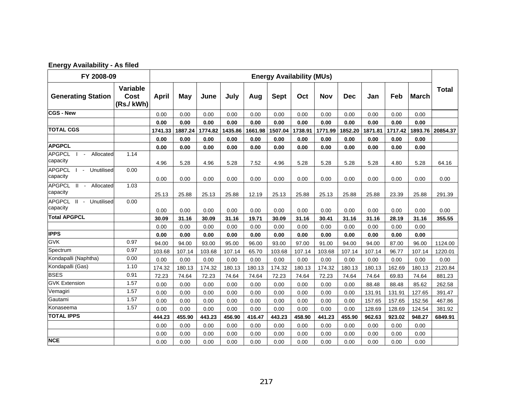| <b>Energy Availability - As filed</b> |  |
|---------------------------------------|--|
|                                       |  |

| FY 2008-09<br><b>Energy Availability (MUs)</b>           |                               |         |         |         |         |         |             |         |            |            |         |         |              |              |
|----------------------------------------------------------|-------------------------------|---------|---------|---------|---------|---------|-------------|---------|------------|------------|---------|---------|--------------|--------------|
| <b>Generating Station</b>                                | Variable<br>Cost<br>(Rs./kWh) | April   | May     | June    | July    | Aug     | <b>Sept</b> | Oct     | <b>Nov</b> | <b>Dec</b> | Jan     | Feb     | <b>March</b> | <b>Total</b> |
| <b>CGS - New</b>                                         |                               | 0.00    | 0.00    | 0.00    | 0.00    | 0.00    | 0.00        | 0.00    | 0.00       | 0.00       | 0.00    | 0.00    | 0.00         |              |
|                                                          |                               | 0.00    | 0.00    | 0.00    | 0.00    | 0.00    | 0.00        | 0.00    | 0.00       | 0.00       | 0.00    | 0.00    | 0.00         |              |
| <b>TOTAL CGS</b>                                         |                               | 1741.33 | 1887.24 | 1774.82 | 1435.86 | 1661.98 | 1507.04     | 1738.91 | 1771.99    | 1852.20    | 1871.81 | 1717.42 | 1893.76      | 20854.37     |
|                                                          |                               | 0.00    | 0.00    | 0.00    | 0.00    | 0.00    | 0.00        | 0.00    | 0.00       | 0.00       | 0.00    | 0.00    | 0.00         |              |
| <b>APGPCL</b>                                            |                               | 0.00    | 0.00    | 0.00    | 0.00    | 0.00    | 0.00        | 0.00    | 0.00       | 0.00       | 0.00    | 0.00    | 0.00         |              |
| <b>APGPCL</b><br>Allocated<br>$\sim$<br>capacity         | 1.14                          | 4.96    | 5.28    | 4.96    | 5.28    | 7.52    | 4.96        | 5.28    | 5.28       | 5.28       | 5.28    | 4.80    | 5.28         | 64.16        |
| <b>APGPCL</b><br>$\overline{I}$ - Unutilised<br>capacity | 0.00                          | 0.00    | 0.00    | 0.00    | 0.00    | 0.00    | 0.00        | 0.00    | 0.00       | 0.00       | 0.00    | 0.00    | 0.00         | 0.00         |
| APGPCL II - Allocated<br>capacity                        | 1.03                          | 25.13   | 25.88   | 25.13   | 25.88   | 12.19   | 25.13       | 25.88   | 25.13      | 25.88      | 25.88   | 23.39   | 25.88        | 291.39       |
| <b>APGPCL</b><br>II - Unutilised<br>capacity             | 0.00                          | 0.00    | 0.00    | 0.00    | 0.00    | 0.00    | 0.00        | 0.00    | 0.00       | 0.00       | 0.00    | 0.00    | 0.00         | 0.00         |
| <b>Total APGPCL</b>                                      |                               | 30.09   | 31.16   | 30.09   | 31.16   | 19.71   | 30.09       | 31.16   | 30.41      | 31.16      | 31.16   | 28.19   | 31.16        | 355.55       |
|                                                          |                               | 0.00    | 0.00    | 0.00    | 0.00    | 0.00    | 0.00        | 0.00    | 0.00       | 0.00       | 0.00    | 0.00    | 0.00         |              |
| <b>IPPS</b>                                              |                               | 0.00    | 0.00    | 0.00    | 0.00    | 0.00    | 0.00        | 0.00    | 0.00       | 0.00       | 0.00    | 0.00    | 0.00         |              |
| <b>GVK</b>                                               | 0.97                          | 94.00   | 94.00   | 93.00   | 95.00   | 96.00   | 93.00       | 97.00   | 91.00      | 94.00      | 94.00   | 87.00   | 96.00        | 1124.00      |
| Spectrum                                                 | 0.97                          | 103.68  | 107.14  | 103.68  | 107.14  | 65.70   | 103.68      | 107.14  | 103.68     | 107.14     | 107.14  | 96.77   | 107.14       | 1220.01      |
| Kondapalli (Naphtha)                                     | 0.00                          | 0.00    | 0.00    | 0.00    | 0.00    | 0.00    | 0.00        | 0.00    | 0.00       | 0.00       | 0.00    | 0.00    | 0.00         | 0.00         |
| Kondapalli (Gas)                                         | 1.10                          | 174.32  | 180.13  | 174.32  | 180.13  | 180.13  | 174.32      | 180.13  | 174.32     | 180.13     | 180.13  | 162.69  | 180.13       | 2120.84      |
| <b>BSES</b>                                              | 0.91                          | 72.23   | 74.64   | 72.23   | 74.64   | 74.64   | 72.23       | 74.64   | 72.23      | 74.64      | 74.64   | 69.83   | 74.64        | 881.23       |
| <b>GVK Extension</b>                                     | 1.57                          | 0.00    | 0.00    | 0.00    | 0.00    | 0.00    | 0.00        | 0.00    | 0.00       | 0.00       | 88.48   | 88.48   | 85.62        | 262.58       |
| Vemagiri                                                 | 1.57                          | 0.00    | 0.00    | 0.00    | 0.00    | 0.00    | 0.00        | 0.00    | 0.00       | 0.00       | 131.91  | 131.91  | 127.65       | 391.47       |
| Gautami                                                  | 1.57                          | 0.00    | 0.00    | 0.00    | 0.00    | 0.00    | 0.00        | 0.00    | 0.00       | 0.00       | 157.65  | 157.65  | 152.56       | 467.86       |
| Konaseema                                                | 1.57                          | 0.00    | 0.00    | 0.00    | 0.00    | 0.00    | 0.00        | 0.00    | 0.00       | 0.00       | 128.69  | 128.69  | 124.54       | 381.92       |
| <b>TOTAL IPPS</b>                                        |                               | 444.23  | 455.90  | 443.23  | 456.90  | 416.47  | 443.23      | 458.90  | 441.23     | 455.90     | 962.63  | 923.02  | 948.27       | 6849.91      |
|                                                          |                               | 0.00    | 0.00    | 0.00    | 0.00    | 0.00    | 0.00        | 0.00    | 0.00       | 0.00       | 0.00    | 0.00    | 0.00         |              |
|                                                          |                               | 0.00    | 0.00    | 0.00    | 0.00    | 0.00    | 0.00        | 0.00    | 0.00       | 0.00       | 0.00    | 0.00    | 0.00         |              |
| <b>NCE</b>                                               |                               | 0.00    | 0.00    | 0.00    | 0.00    | 0.00    | 0.00        | 0.00    | 0.00       | 0.00       | 0.00    | 0.00    | 0.00         |              |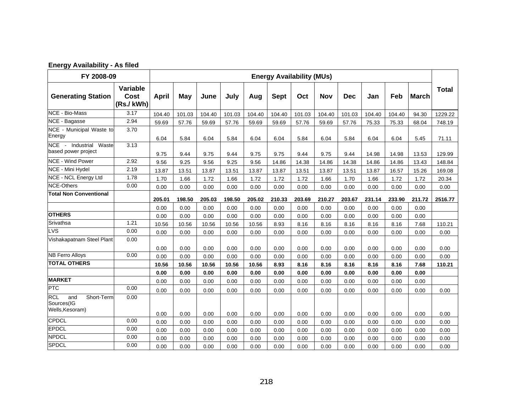| <b>Energy Availability - As filed</b> |  |
|---------------------------------------|--|
|                                       |  |

|                                                                  | FY 2008-09<br><b>Energy Availability (MUs)</b> |        |        |        |        |        |             |        |            |            |        |        |              |              |
|------------------------------------------------------------------|------------------------------------------------|--------|--------|--------|--------|--------|-------------|--------|------------|------------|--------|--------|--------------|--------------|
| <b>Generating Station</b>                                        | Variable<br>Cost<br>(Rs./kWh)                  | April  | May    | June   | July   | Aug    | <b>Sept</b> | Oct    | <b>Nov</b> | <b>Dec</b> | Jan    | Feb    | <b>March</b> | <b>Total</b> |
| <b>NCE - Bio-Mass</b>                                            | 3.17                                           | 104.40 | 101.03 | 104.40 | 101.03 | 104.40 | 104.40      | 101.03 | 104.40     | 101.03     | 104.40 | 104.40 | 94.30        | 1229.22      |
| NCE - Bagasse                                                    | 2.94                                           | 59.69  | 57.76  | 59.69  | 57.76  | 59.69  | 59.69       | 57.76  | 59.69      | 57.76      | 75.33  | 75.33  | 68.04        | 748.19       |
| NCE - Municipal Waste to<br>Energy                               | 3.70                                           | 6.04   | 5.84   | 6.04   | 5.84   | 6.04   | 6.04        | 5.84   | 6.04       | 5.84       | 6.04   | 6.04   | 5.45         | 71.11        |
| NCE - Industrial<br>Waste<br>based power project                 | 3.13                                           | 9.75   | 9.44   | 9.75   | 9.44   | 9.75   | 9.75        | 9.44   | 9.75       | 9.44       | 14.98  | 14.98  | 13.53        | 129.99       |
| <b>NCE - Wind Power</b>                                          | 2.92                                           | 9.56   | 9.25   | 9.56   | 9.25   | 9.56   | 14.86       | 14.38  | 14.86      | 14.38      | 14.86  | 14.86  | 13.43        | 148.84       |
| NCE - Mini Hydel                                                 | 2.19                                           | 13.87  | 13.51  | 13.87  | 13.51  | 13.87  | 13.87       | 13.51  | 13.87      | 13.51      | 13.87  | 16.57  | 15.26        | 169.08       |
| NCE - NCL Energy Ltd                                             | 1.78                                           | 1.70   | 1.66   | 1.72   | 1.66   | 1.72   | 1.72        | 1.72   | 1.66       | 1.70       | 1.66   | 1.72   | 1.72         | 20.34        |
| <b>NCE-Others</b>                                                | 0.00                                           | 0.00   | 0.00   | 0.00   | 0.00   | 0.00   | 0.00        | 0.00   | 0.00       | 0.00       | 0.00   | 0.00   | 0.00         | 0.00         |
| <b>Total Non Conventional</b>                                    |                                                | 205.01 | 198.50 | 205.03 | 198.50 | 205.02 | 210.33      | 203.69 | 210.27     | 203.67     | 231.14 | 233.90 | 211.72       | 2516.77      |
|                                                                  |                                                | 0.00   | 0.00   | 0.00   | 0.00   | 0.00   | 0.00        | 0.00   | 0.00       | 0.00       | 0.00   | 0.00   | 0.00         |              |
| <b>OTHERS</b>                                                    |                                                | 0.00   | 0.00   | 0.00   | 0.00   | 0.00   | 0.00        | 0.00   | 0.00       | 0.00       | 0.00   | 0.00   | 0.00         |              |
| Srivathsa                                                        | 1.21                                           | 10.56  | 10.56  | 10.56  | 10.56  | 10.56  | 8.93        | 8.16   | 8.16       | 8.16       | 8.16   | 8.16   | 7.68         | 110.21       |
| <b>LVS</b>                                                       | 0.00                                           | 0.00   | 0.00   | 0.00   | 0.00   | 0.00   | 0.00        | 0.00   | 0.00       | 0.00       | 0.00   | 0.00   | 0.00         | 0.00         |
| Vishakapatnam Steel Plant                                        | 0.00                                           | 0.00   | 0.00   | 0.00   | 0.00   | 0.00   | 0.00        | 0.00   | 0.00       | 0.00       | 0.00   | 0.00   | 0.00         | 0.00         |
| <b>NB Ferro Alloys</b>                                           | 0.00                                           | 0.00   | 0.00   | 0.00   | 0.00   | 0.00   | 0.00        | 0.00   | 0.00       | 0.00       | 0.00   | 0.00   | 0.00         | 0.00         |
| <b>TOTAL OTHERS</b>                                              |                                                | 10.56  | 10.56  | 10.56  | 10.56  | 10.56  | 8.93        | 8.16   | 8.16       | 8.16       | 8.16   | 8.16   | 7.68         | 110.21       |
|                                                                  |                                                | 0.00   | 0.00   | 0.00   | 0.00   | 0.00   | 0.00        | 0.00   | 0.00       | 0.00       | 0.00   | 0.00   | 0.00         |              |
| <b>MARKET</b>                                                    |                                                | 0.00   | 0.00   | 0.00   | 0.00   | 0.00   | 0.00        | 0.00   | 0.00       | 0.00       | 0.00   | 0.00   | 0.00         |              |
| <b>PTC</b>                                                       | 0.00                                           | 0.00   | 0.00   | 0.00   | 0.00   | 0.00   | 0.00        | 0.00   | 0.00       | 0.00       | 0.00   | 0.00   | 0.00         | 0.00         |
| <b>RCL</b><br>and<br>Short-Term<br>Sources(IG<br>Wells, Kesoram) | 0.00                                           |        |        |        |        |        |             |        |            |            |        |        |              |              |
|                                                                  |                                                | 0.00   | 0.00   | 0.00   | 0.00   | 0.00   | 0.00        | 0.00   | 0.00       | 0.00       | 0.00   | 0.00   | 0.00         | 0.00         |
| <b>CPDCL</b>                                                     | 0.00                                           | 0.00   | 0.00   | 0.00   | 0.00   | 0.00   | 0.00        | 0.00   | 0.00       | 0.00       | 0.00   | 0.00   | 0.00         | 0.00         |
| <b>EPDCL</b>                                                     | 0.00                                           | 0.00   | 0.00   | 0.00   | 0.00   | 0.00   | 0.00        | 0.00   | 0.00       | 0.00       | 0.00   | 0.00   | 0.00         | 0.00         |
| <b>NPDCL</b>                                                     | 0.00                                           | 0.00   | 0.00   | 0.00   | 0.00   | 0.00   | 0.00        | 0.00   | 0.00       | 0.00       | 0.00   | 0.00   | 0.00         | 0.00         |
| <b>SPDCL</b>                                                     | 0.00                                           | 0.00   | 0.00   | 0.00   | 0.00   | 0.00   | 0.00        | 0.00   | 0.00       | 0.00       | 0.00   | 0.00   | 0.00         | 0.00         |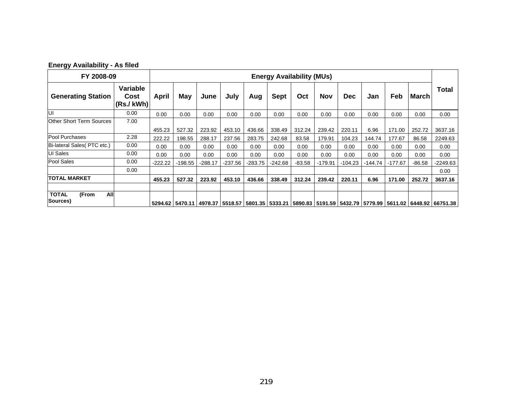| FY 2008-09                               |                              | <b>Energy Availability (MUs)</b> |           |           |           |           |             |          |            |            |         |           |          |                                                                                                          |
|------------------------------------------|------------------------------|----------------------------------|-----------|-----------|-----------|-----------|-------------|----------|------------|------------|---------|-----------|----------|----------------------------------------------------------------------------------------------------------|
| <b>Generating Station</b>                | Variable<br>Cost<br>(Rs/KWh) | April                            | May       | June      | July      | Aug       | <b>Sept</b> | Oct      | <b>Nov</b> | <b>Dec</b> | Jan     | Feb       | March    | <b>Total</b>                                                                                             |
| lui                                      | 0.00                         | 0.00                             | 0.00      | 0.00      | 0.00      | 0.00      | 0.00        | 0.00     | 0.00       | 0.00       | 0.00    | 0.00      | 0.00     | 0.00                                                                                                     |
| <b>Other Short Term Sources</b>          | 7.00                         |                                  |           |           |           |           |             |          |            |            |         |           |          |                                                                                                          |
|                                          |                              | 455.23                           | 527.32    | 223.92    | 453.10    | 436.66    | 338.49      | 312.24   | 239.42     | 220.11     | 6.96    | 171.00    | 252.72   | 3637.16                                                                                                  |
| Pool Purchases                           | 2.28                         | 222.22                           | 198.55    | 288.17    | 237.56    | 283.75    | 242.68      | 83.58    | 179.91     | 104.23     | 144.74  | 177.67    | 86.58    | 2249.63                                                                                                  |
| Bi-lateral Sales (PTC etc.)              | 0.00                         | 0.00                             | 0.00      | 0.00      | 0.00      | 0.00      | 0.00        | 0.00     | 0.00       | 0.00       | 0.00    | 0.00      | 0.00     | 0.00                                                                                                     |
| <b>UI Sales</b>                          | 0.00                         | 0.00                             | 0.00      | 0.00      | 0.00      | 0.00      | 0.00        | 0.00     | 0.00       | 0.00       | 0.00    | 0.00      | 0.00     | 0.00                                                                                                     |
| Pool Sales                               | 0.00                         | -222.22                          | $-198.55$ | $-288.17$ | $-237.56$ | $-283.75$ | $-242.68$   | $-83.58$ | $-179.91$  | -104.23    | -144.74 | $-177.67$ | $-86.58$ | -2249.63                                                                                                 |
|                                          | 0.00                         |                                  |           |           |           |           |             |          |            |            |         |           |          | 0.00                                                                                                     |
| <b>TOTAL MARKET</b>                      |                              | 455.23                           | 527.32    | 223.92    | 453.10    | 436.66    | 338.49      | 312.24   | 239.42     | 220.11     | 6.96    | 171.00    | 252.72   | 3637.16                                                                                                  |
| All<br><b>TOTAL</b><br>(From<br>Sources) |                              |                                  |           |           |           |           |             |          |            |            |         |           |          | 5294.62 5470.11 4978.37 5518.57 5801.35 5333.21 5890.83 5191.59 5432.79 5779.99 5611.02 6448.92 66751.38 |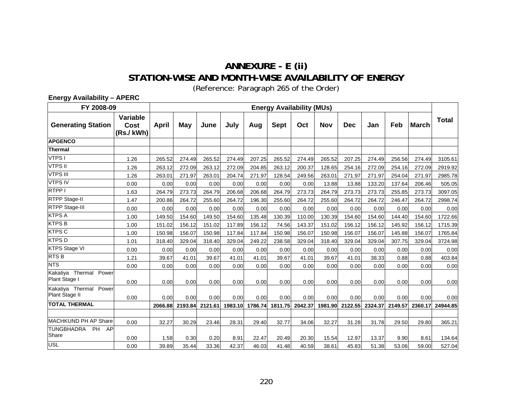## **ANNEXURE - E (ii) STATION-WISE AND MONTH-WISE AVAILABILITY OF ENERGY**

(Reference: Paragraph [265](#page-107-0) of the Order)

**Energy Availability – APERC** 

| FY 2008-09                                 |                               |         |         |         |         |         |             | <b>Energy Availability (MUs)</b> |        |                 |         |         |              |          |  |  |
|--------------------------------------------|-------------------------------|---------|---------|---------|---------|---------|-------------|----------------------------------|--------|-----------------|---------|---------|--------------|----------|--|--|
| <b>Generating Station</b>                  | Variable<br>Cost<br>(Rs./kWh) | April   | May     | June    | July    | Aug     | <b>Sept</b> | Oct                              | Nov    | <b>Dec</b>      | Jan     | Feb     | <b>March</b> | Total    |  |  |
| <b>APGENCO</b>                             |                               |         |         |         |         |         |             |                                  |        |                 |         |         |              |          |  |  |
| <b>Thermal</b>                             |                               |         |         |         |         |         |             |                                  |        |                 |         |         |              |          |  |  |
| VTPS I                                     | 1.26                          | 265.52  | 274.49  | 265.52  | 274.49  | 207.25  | 265.52      | 274.49                           | 265.52 | 207.25          | 274.49  | 256.56  | 274.49       | 3105.61  |  |  |
| <b>VTPS II</b>                             | 1.26                          | 263.12  | 272.09  | 263.12  | 272.09  | 204.85  | 263.12      | 200.37                           | 128.65 | 254.16          | 272.09  | 254.16  | 272.09       | 2919.92  |  |  |
| <b>VTPS III</b>                            | 1.26                          | 263.01  | 271.97  | 263.01  | 204.74  | 271.97  | 128.54      | 249.56                           | 263.01 | 271.97          | 271.97  | 254.04  | 271.97       | 2985.78  |  |  |
| <b>VTPS IV</b>                             | 0.00                          | 0.00    | 0.00    | 0.00    | 0.00    | 0.00    | 0.00        | 0.00                             | 13.88  | 13.88           | 133.20  | 137.64  | 206.46       | 505.05   |  |  |
| RTPP I                                     | 1.63                          | 264.79  | 273.73  | 264.79  | 206.68  | 206.68  | 264.79      | 273.73                           | 264.79 | 273.73          | 273.73  | 255.85  | 273.73       | 3097.05  |  |  |
| <b>RTPP Stage-II</b>                       | 1.47                          | 200.86  | 264.72  | 255.60  | 264.72  | 196.30  | 255.60      | 264.72                           | 255.60 | 264.72          | 264.72  | 246.47  | 264.72       | 2998.74  |  |  |
| <b>RTPP Stage-III</b>                      | 0.00                          | 0.00    | 0.00    | 0.00    | 0.00    | 0.00    | 0.00        | 0.00                             | 0.00   | 0.00            | 0.00    | 0.00    | 0.00         | 0.00     |  |  |
| <b>KTPS A</b>                              | 1.00                          | 149.50  | 154.60  | 149.50  | 154.60  | 135.48  | 130.39      | 110.00                           | 130.39 | 154.60          | 154.60  | 144.40  | 154.60       | 1722.66  |  |  |
| <b>KTPS B</b>                              | 1.00                          | 151.02  | 156.12  | 151.02  | 117.89  | 156.12  | 74.56       | 143.37                           | 151.02 | 156.12          | 156.12  | 145.92  | 156.12       | 1715.39  |  |  |
| <b>KTPS C</b>                              | 1.00                          | 150.98  | 156.07  | 150.98  | 117.84  | 117.84  | 150.98      | 156.07                           | 150.98 | 156.07          | 156.07  | 145.88  | 156.07       | 1765.84  |  |  |
| <b>KTPSD</b>                               | 1.01                          | 318.40  | 329.04  | 318.40  | 329.04  | 249.22  | 238.58      | 329.04                           | 318.40 | 329.04          | 329.04  | 307.75  | 329.04       | 3724.98  |  |  |
| <b>KTPS Stage VI</b>                       | 0.00                          | 0.00    | 0.00    | 0.00    | 0.00    | 0.00    | 0.00        | 0.00                             | 0.00   | 0.00            | 0.00    | 0.00    | 0.00         | 0.00     |  |  |
| RTS <sub>B</sub>                           | 1.21                          | 39.67   | 41.01   | 39.67   | 41.01   | 41.01   | 39.67       | 41.01                            | 39.67  | 41.01           | 38.33   | 0.88    | 0.88         | 403.84   |  |  |
| <b>NTS</b>                                 | 0.00                          | 0.00    | 0.00    | 0.00    | 0.00    | 0.00    | 0.00        | 0.00                             | 0.00   | 0.00            | 0.00    | 0.00    | 0.00         | 0.00     |  |  |
| Kakatiya Thermal<br>Power<br>Plant Stage I | 0.00                          | 0.00    | 0.00    | 0.00    | 0.00    | 0.00    | 0.00        | 0.00                             | 0.00   | 0.00            | 0.00    | 0.00    | 0.00         | 0.00     |  |  |
| Kakatiya Thermal Power<br>Plant Stage II   | 0.00                          | 0.00    | 0.00    | 0.00    | 0.00    | 0.00    | 0.00        | 0.00                             | 0.00   | 0.00            | 0.00    | 0.00    | 0.00         | 0.00     |  |  |
| <b>TOTAL THERMAL</b>                       |                               | 2066.88 | 2193.84 | 2121.61 | 1983.10 | 1786.74 | 1811.75     | 2042.37                          |        | 1981.90 2122.55 | 2324.37 | 2149.57 | 2360.17      | 24944.85 |  |  |
|                                            |                               |         |         |         |         |         |             |                                  |        |                 |         |         |              |          |  |  |
| <b>MACHKUND PH AP Share</b>                | 0.00                          | 32.27   | 30.29   | 23.46   | 28.31   | 29.40   | 32.77       | 34.06                            | 32.27  | 31.28           | 31.78   | 29.50   | 29.80        | 365.21   |  |  |
| TUNGBHADRA<br><b>PH</b><br>AP<br>Share     | 0.00                          | 1.58    | 0.30    | 0.20    | 8.91    | 22.47   | 20.49       | 20.30                            | 15.54  | 12.97           | 13.37   | 9.90    | 8.61         | 134.64   |  |  |
| <b>USL</b>                                 | 0.00                          | 39.89   | 35.44   | 33.36   | 42.37   | 46.03   | 41.48       | 40.59                            | 38.61  | 45.83           | 51.38   | 53.06   | 59.00        | 527.04   |  |  |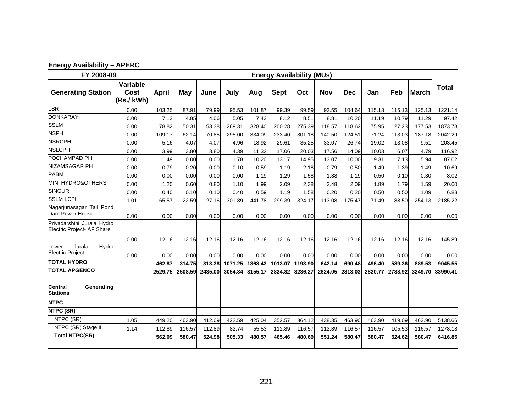| <b>Energy Availability - APERC</b> |
|------------------------------------|
|                                    |

| FY 2008-09                                               |                                      | <b>Energy Availability (MUs)</b> |         |         |         |         |             |         |            |            |         |         |              |              |
|----------------------------------------------------------|--------------------------------------|----------------------------------|---------|---------|---------|---------|-------------|---------|------------|------------|---------|---------|--------------|--------------|
| <b>Generating Station</b>                                | Variable<br><b>Cost</b><br>(Rs./kWh) | April                            | May     | June    | July    | Aug     | <b>Sept</b> | Oct     | <b>Nov</b> | <b>Dec</b> | Jan     | Feb     | <b>March</b> | <b>Total</b> |
| LSR                                                      | 0.00                                 | 103.25                           | 87.91   | 79.99   | 95.53   | 101.87  | 99.39       | 99.59   | 93.55      | 104.64     | 115.13  | 115.13  | 125.13       | 1221.14      |
| <b>DONKARAYI</b>                                         | 0.00                                 | 7.13                             | 4.85    | 4.06    | 5.05    | 7.43    | 8.12        | 8.51    | 8.81       | 10.20      | 11.19   | 10.79   | 11.29        | 97.42        |
| <b>SSLM</b>                                              | 0.00                                 | 78.82                            | 50.31   | 53.38   | 269.31  | 328.40  | 200.28      | 275.39  | 118.57     | 118.62     | 75.95   | 127.23  | 177.53       | 1873.78      |
| <b>NSPH</b>                                              | 0.00                                 | 109.17                           | 62.14   | 70.85   | 295.00  | 334.09  | 233.40      | 301.18  | 140.50     | 124.51     | 71.24   | 113.03  | 187.18       | 2042.29      |
| <b>NSRCPH</b>                                            | 0.00                                 | 5.16                             | 4.07    | 4.07    | 4.96    | 18.92   | 29.61       | 35.25   | 33.07      | 26.74      | 19.02   | 13.08   | 9.51         | 203.45       |
| <b>NSLCPH</b>                                            | 0.00                                 | 3.99                             | 3.80    | 3.80    | 4.39    | 11.32   | 17.06       | 20.03   | 17.56      | 14.09      | 10.03   | 6.07    | 4.79         | 116.92       |
| POCHAMPAD PH                                             | 0.00                                 | 1.49                             | 0.00    | 0.00    | 1.78    | 10.20   | 13.17       | 14.95   | 13.07      | 10.00      | 9.31    | 7.13    | 5.94         | 87.02        |
| NIZAMSAGAR PH                                            | 0.00                                 | 0.79                             | 0.20    | 0.00    | 0.10    | 0.59    | 1.19        | 2.18    | 0.79       | 0.50       | 1.49    | 1.39    | 1.49         | 10.69        |
| <b>PABM</b>                                              | 0.00                                 | 0.00                             | 0.00    | 0.00    | 0.00    | 1.19    | 1.29        | 1.58    | 1.88       | 1.19       | 0.50    | 0.10    | 0.30         | 8.02         |
| <b>MINI HYDRO&amp;OTHERS</b>                             | 0.00                                 | 1.20                             | 0.60    | 0.80    | 1.10    | 1.99    | 2.09        | 2.38    | 2.48       | 2.09       | 1.89    | 1.79    | 1.59         | 20.00        |
| <b>SINGUR</b>                                            | 0.00                                 | 0.40                             | 0.10    | 0.10    | 0.40    | 0.59    | 1.19        | 1.58    | 0.20       | 0.20       | 0.50    | 0.50    | 1.09         | 6.83         |
| <b>SSLM LCPH</b>                                         | 1.01                                 | 65.57                            | 22.59   | 27.16   | 301.89  | 441.78  | 299.39      | 324.17  | 113.08     | 175.47     | 71.49   | 88.50   | 254.13       | 2185.22      |
| Nagarjunasagar Tail Pond<br>Dam Power House              | 0.00                                 | 0.00                             | 0.00    | 0.00    | 0.00    | 0.00    | 0.00        | 0.00    | 0.00       | 0.00       | 0.00    | 0.00    | 0.00         | 0.00         |
| Priyadarshini Jurala Hydro<br>Electric Project- AP Share |                                      |                                  |         |         |         |         |             |         |            |            |         |         |              |              |
|                                                          | 0.00                                 | 12.16                            | 12.16   | 12.16   | 12.16   | 12.16   | 12.16       | 12.16   | 12.16      | 12.16      | 12.16   | 12.16   | 12.16        | 145.89       |
| Jurala<br>Hydro<br>Lower<br><b>Electric Project</b>      | 0.00                                 | 0.00                             | 0.00    | 0.00    | 0.00    | 0.00    | 0.00        | 0.00    | 0.00       | 0.00       | 0.00    | 0.00    | 0.00         | 0.00         |
| <b>TOTAL HYDRO</b>                                       |                                      | 462.87                           | 314.75  | 313.38  | 1071.25 | 1368.43 | 1013.07     | 1193.90 | 642.14     | 690.48     | 496.40  | 589.36  | 889.53       | 9045.55      |
| <b>TOTAL APGENCO</b>                                     |                                      | 2529.75                          | 2508.59 | 2435.00 | 3054.34 | 3155.17 | 2824.82     | 3236.27 | 2624.05    | 2813.03    | 2820.77 | 2738.92 | 3249.70      | 33990.41     |
| <b>Central</b><br>Generating<br><b>Stations</b>          |                                      |                                  |         |         |         |         |             |         |            |            |         |         |              |              |
| <b>NTPC</b>                                              |                                      |                                  |         |         |         |         |             |         |            |            |         |         |              |              |
| NTPC (SR)                                                |                                      |                                  |         |         |         |         |             |         |            |            |         |         |              |              |
| NTPC (SR)                                                | 1.05                                 | 449.20                           | 463.90  | 412.09  | 422.59  | 425.04  | 352.57      | 364.12  | 438.35     | 463.90     | 463.90  | 419.09  | 463.90       | 5138.66      |
| NTPC (SR) Stage III                                      | 1.14                                 | 112.89                           | 116.57  | 112.89  | 82.74   | 55.53   | 112.89      | 116.57  | 112.89     | 116.57     | 116.57  | 105.53  | 116.57       | 1278.18      |
| <b>Total NTPC(SR)</b>                                    |                                      | 562.09                           | 580.47  | 524.98  | 505.33  | 480.57  | 465.46      | 480.69  | 551.24     | 580.47     | 580.47  | 524.62  | 580.47       | 6416.85      |
|                                                          |                                      |                                  |         |         |         |         |             |         |            |            |         |         |              |              |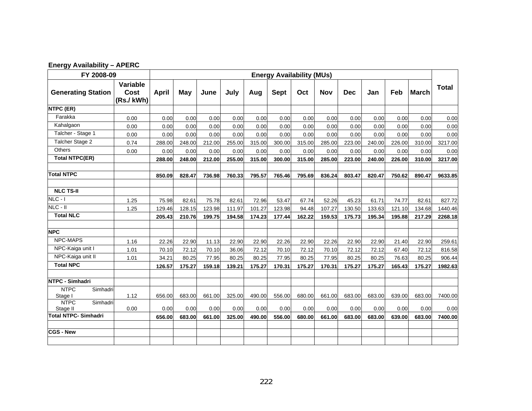| <b>Energy Availability - APERC</b> |  |
|------------------------------------|--|
|                                    |  |

| FY 2008-09                          |                               | <b>Energy Availability (MUs)</b> |        |        |        |        |             |        |            |            |        |        |              |              |
|-------------------------------------|-------------------------------|----------------------------------|--------|--------|--------|--------|-------------|--------|------------|------------|--------|--------|--------------|--------------|
| <b>Generating Station</b>           | Variable<br>Cost<br>(Rs./kWh) | April                            | May    | June   | July   | Aug    | <b>Sept</b> | Oct    | <b>Nov</b> | <b>Dec</b> | Jan    | Feb    | <b>March</b> | <b>Total</b> |
| NTPC (ER)                           |                               |                                  |        |        |        |        |             |        |            |            |        |        |              |              |
| Farakka                             | 0.00                          | 0.00                             | 0.00   | 0.00   | 0.00   | 0.00   | 0.00        | 0.00   | 0.00       | 0.00       | 0.00   | 0.00   | 0.00         | 0.00         |
| Kahalgaon                           | 0.00                          | 0.00                             | 0.00   | 0.00   | 0.00   | 0.00   | 0.00        | 0.00   | 0.00       | 0.00       | 0.00   | 0.00   | 0.00         | 0.00         |
| Talcher - Stage 1                   | 0.00                          | 0.00                             | 0.00   | 0.00   | 0.00   | 0.00   | 0.00        | 0.00   | 0.00       | 0.00       | 0.00   | 0.00   | 0.00         | 0.00         |
| Talcher Stage 2                     | 0.74                          | 288.00                           | 248.00 | 212.00 | 255.00 | 315.00 | 300.00      | 315.00 | 285.00     | 223.00     | 240.00 | 226.00 | 310.00       | 3217.00      |
| <b>Others</b>                       | 0.00                          | 0.00                             | 0.00   | 0.00   | 0.00   | 0.00   | 0.00        | 0.00   | 0.00       | 0.00       | 0.00   | 0.00   | 0.00         | 0.00         |
| <b>Total NTPC(ER)</b>               |                               | 288.00                           | 248.00 | 212.00 | 255.00 | 315.00 | 300.00      | 315.00 | 285.00     | 223.00     | 240.00 | 226.00 | 310.00       | 3217.00      |
| <b>Total NTPC</b>                   |                               | 850.09                           | 828.47 | 736.98 | 760.33 | 795.57 | 765.46      | 795.69 | 836.24     | 803.47     | 820.47 | 750.62 | 890.47       | 9633.85      |
| <b>NLC TS-II</b>                    |                               |                                  |        |        |        |        |             |        |            |            |        |        |              |              |
| $NLC - I$                           | 1.25                          | 75.98                            | 82.61  | 75.78  | 82.61  | 72.96  | 53.47       | 67.74  | 52.26      | 45.23      | 61.71  | 74.77  | 82.61        | 827.72       |
| $NLC - II$                          | 1.25                          | 129.46                           | 128.15 | 123.98 | 111.97 | 101.27 | 123.98      | 94.48  | 107.27     | 130.50     | 133.63 | 121.10 | 134.68       | 1440.46      |
| <b>Total NLC</b>                    |                               | 205.43                           | 210.76 | 199.75 | 194.58 | 174.23 | 177.44      | 162.22 | 159.53     | 175.73     | 195.34 | 195.88 | 217.29       | 2268.18      |
| <b>NPC</b>                          |                               |                                  |        |        |        |        |             |        |            |            |        |        |              |              |
| <b>NPC-MAPS</b>                     | 1.16                          | 22.26                            | 22.90  | 11.13  | 22.90  | 22.90  | 22.26       | 22.90  | 22.26      | 22.90      | 22.90  | 21.40  | 22.90        | 259.61       |
| NPC-Kaiga unit I                    | 1.01                          | 70.10                            | 72.12  | 70.10  | 36.06  | 72.12  | 70.10       | 72.12  | 70.10      | 72.12      | 72.12  | 67.40  | 72.12        | 816.58       |
| NPC-Kaiga unit II                   | 1.01                          | 34.21                            | 80.25  | 77.95  | 80.25  | 80.25  | 77.95       | 80.25  | 77.95      | 80.25      | 80.25  | 76.63  | 80.25        | 906.44       |
| <b>Total NPC</b>                    |                               | 126.57                           | 175.27 | 159.18 | 139.21 | 175.27 | 170.31      | 175.27 | 170.31     | 175.27     | 175.27 | 165.43 | 175.27       | 1982.63      |
| NTPC - Simhadri                     |                               |                                  |        |        |        |        |             |        |            |            |        |        |              |              |
| <b>NTPC</b><br>Simhadri<br>Stage I  | 1.12                          | 656.00                           | 683.00 | 661.00 | 325.00 | 490.00 | 556.00      | 680.00 | 661.00     | 683.00     | 683.00 | 639.00 | 683.00       | 7400.00      |
| <b>NTPC</b><br>Simhadri<br>Stage II | 0.00                          | 0.00                             | 0.00   | 0.00   | 0.00   | 0.00   | 0.00        | 0.00   | 0.00       | 0.00       | 0.00   | 0.00   | 0.00         | 0.00         |
| <b>Total NTPC- Simhadri</b>         |                               | 656.00                           | 683.00 | 661.00 | 325.00 | 490.00 | 556.00      | 680.00 | 661.00     | 683.00     | 683.00 | 639.00 | 683.00       | 7400.00      |
| <b>CGS - New</b>                    |                               |                                  |        |        |        |        |             |        |            |            |        |        |              |              |
|                                     |                               |                                  |        |        |        |        |             |        |            |            |        |        |              |              |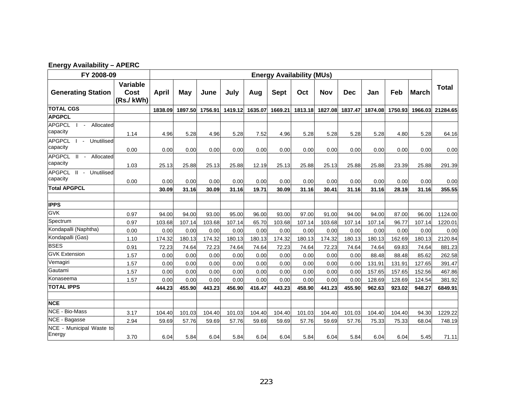| <b>Energy Availability - APERC</b> |  |
|------------------------------------|--|
|                                    |  |

| FY 2008-09                                                           |                               | <b>Energy Availability (MUs)</b> |         |         |         |         |             |         |         |            |         |         |              |                  |
|----------------------------------------------------------------------|-------------------------------|----------------------------------|---------|---------|---------|---------|-------------|---------|---------|------------|---------|---------|--------------|------------------|
| <b>Generating Station</b>                                            | Variable<br>Cost<br>(Rs./kWh) | April                            | May     | June    | July    | Aug     | <b>Sept</b> | Oct     | Nov     | <b>Dec</b> | Jan     | Feb     | <b>March</b> | Total            |
| <b>TOTAL CGS</b>                                                     |                               | 1838.09                          | 1897.50 | 1756.91 | 1419.12 | 1635.07 | 1669.21     | 1813.18 | 1827.08 | 1837.47    | 1874.08 | 1750.93 |              | 1966.03 21284.65 |
| <b>APGPCL</b>                                                        |                               |                                  |         |         |         |         |             |         |         |            |         |         |              |                  |
| <b>APGPCL</b><br>Allocated<br>$\blacksquare$<br>capacity             | 1.14                          | 4.96                             | 5.28    | 4.96    | 5.28    | 7.52    | 4.96        | 5.28    | 5.28    | 5.28       | 5.28    | 4.80    | 5.28         | 64.16            |
| <b>APGPCL</b><br>Unutilised<br>$\sim$<br>capacity                    | 0.00                          | 0.00                             | 0.00    | 0.00    | 0.00    | 0.00    | 0.00        | 0.00    | 0.00    | 0.00       | 0.00    | 0.00    | 0.00         | 0.00             |
| <b>APGPCL</b><br>$\mathbf{H}$<br>Allocated<br>$\sim 100$<br>capacity | 1.03                          | 25.13                            | 25.88   | 25.13   | 25.88   | 12.19   | 25.13       | 25.88   | 25.13   | 25.88      | 25.88   | 23.39   | 25.88        | 291.39           |
| APGPCL II - Unutilised<br>capacity                                   | 0.00                          | 0.00                             | 0.00    | 0.00    | 0.00    | 0.00    | 0.00        | 0.00    | 0.00    | 0.00       | 0.00    | 0.00    | 0.00         | 0.00             |
| <b>Total APGPCL</b>                                                  |                               | 30.09                            | 31.16   | 30.09   | 31.16   | 19.71   | 30.09       | 31.16   | 30.41   | 31.16      | 31.16   | 28.19   | 31.16        | 355.55           |
| <b>IPPS</b>                                                          |                               |                                  |         |         |         |         |             |         |         |            |         |         |              |                  |
| <b>GVK</b>                                                           | 0.97                          | 94.00                            | 94.00   | 93.00   | 95.00   | 96.00   | 93.00       | 97.00   | 91.00   | 94.00      | 94.00   | 87.00   | 96.00        | 1124.00          |
| Spectrum                                                             | 0.97                          | 103.68                           | 107.14  | 103.68  | 107.14  | 65.70   | 103.68      | 107.14  | 103.68  | 107.14     | 107.14  | 96.77   | 107.14       | 1220.01          |
| Kondapalli (Naphtha)                                                 | 0.00                          | 0.00                             | 0.00    | 0.00    | 0.00    | 0.00    | 0.00        | 0.00    | 0.00    | 0.00       | 0.00    | 0.00    | 0.00         | 0.00             |
| Kondapalli (Gas)                                                     | 1.10                          | 174.32                           | 180.13  | 174.32  | 180.13  | 180.13  | 174.32      | 180.13  | 174.32  | 180.13     | 180.13  | 162.69  | 180.13       | 2120.84          |
| <b>BSES</b>                                                          | 0.91                          | 72.23                            | 74.64   | 72.23   | 74.64   | 74.64   | 72.23       | 74.64   | 72.23   | 74.64      | 74.64   | 69.83   | 74.64        | 881.23           |
| <b>GVK Extension</b>                                                 | 1.57                          | 0.00                             | 0.00    | 0.00    | 0.00    | 0.00    | 0.00        | 0.00    | 0.00    | 0.00       | 88.48   | 88.48   | 85.62        | 262.58           |
| Vemagiri                                                             | 1.57                          | 0.00                             | 0.00    | 0.00    | 0.00    | 0.00    | 0.00        | 0.00    | 0.00    | 0.00       | 131.91  | 131.91  | 127.65       | 391.47           |
| Gautami                                                              | 1.57                          | 0.00                             | 0.00    | 0.00    | 0.00    | 0.00    | 0.00        | 0.00    | 0.00    | 0.00       | 157.65  | 157.65  | 152.56       | 467.86           |
| Konaseema                                                            | 1.57                          | 0.00                             | 0.00    | 0.00    | 0.00    | 0.00    | 0.00        | 0.00    | 0.00    | 0.00       | 128.69  | 128.69  | 124.54       | 381.92           |
| <b>TOTAL IPPS</b>                                                    |                               | 444.23                           | 455.90  | 443.23  | 456.90  | 416.47  | 443.23      | 458.90  | 441.23  | 455.90     | 962.63  | 923.02  | 948.27       | 6849.91          |
| <b>NCE</b>                                                           |                               |                                  |         |         |         |         |             |         |         |            |         |         |              |                  |
| <b>NCE - Bio-Mass</b>                                                | 3.17                          | 104.40                           | 101.03  | 104.40  | 101.03  | 104.40  | 104.40      | 101.03  | 104.40  | 101.03     | 104.40  | 104.40  | 94.30        | 1229.22          |
| NCE - Bagasse                                                        | 2.94                          | 59.69                            | 57.76   | 59.69   | 57.76   | 59.69   | 59.69       | 57.76   | 59.69   | 57.76      | 75.33   | 75.33   | 68.04        | 748.19           |
| NCE - Municipal Waste to<br>Energy                                   | 3.70                          | 6.04                             | 5.84    | 6.04    | 5.84    | 6.04    | 6.04        | 5.84    | 6.04    | 5.84       | 6.04    | 6.04    | 5.45         | 71.11            |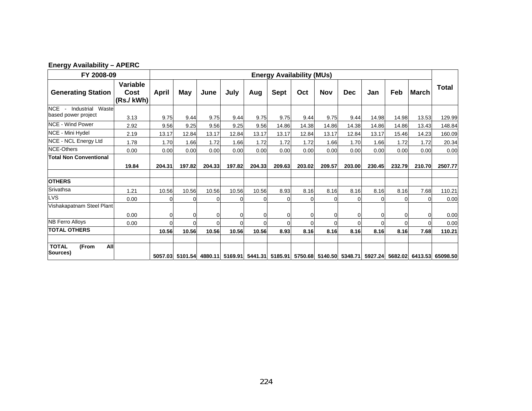| FY 2008-09                                          |                               | <b>Energy Availability (MUs)</b> |          |          |          |        |             |                |                |            |        |        |              |                                                                                                          |
|-----------------------------------------------------|-------------------------------|----------------------------------|----------|----------|----------|--------|-------------|----------------|----------------|------------|--------|--------|--------------|----------------------------------------------------------------------------------------------------------|
| <b>Generating Station</b>                           | Variable<br>Cost<br>(Rs./kWh) | April                            | May      | June     | July     | Aug    | <b>Sept</b> | Oct            | Nov            | <b>Dec</b> | Jan    | Feb    | <b>March</b> | <b>Total</b>                                                                                             |
| NCE -<br>Industrial<br>Waste<br>based power project | 3.13                          | 9.75                             | 9.44     | 9.75     | 9.44     | 9.75   | 9.75        | 9.44           | 9.75           | 9.44       | 14.98  | 14.98  | 13.53        | 129.99                                                                                                   |
| <b>NCE - Wind Power</b>                             | 2.92                          | 9.56                             | 9.25     | 9.56     | 9.25     | 9.56   | 14.86       | 14.38          | 14.86          | 14.38      | 14.86  | 14.86  | 13.43        | 148.84                                                                                                   |
| NCE - Mini Hydel                                    | 2.19                          | 13.17                            | 12.84    | 13.17    | 12.84    | 13.17  | 13.17       | 12.84          | 13.17          | 12.84      | 13.17  | 15.46  | 14.23        | 160.09                                                                                                   |
| <b>NCE - NCL Energy Ltd</b>                         | 1.78                          | 1.70                             | 1.66     | 1.72     | 1.66     | 1.72   | 1.72        | 1.72           | 1.66           | 1.70       | 1.66   | 1.72   | 1.72         | 20.34                                                                                                    |
| <b>NCE-Others</b>                                   | 0.00                          | 0.00                             | 0.00     | 0.00     | 0.00     | 0.00   | 0.00        | 0.00           | 0.00           | 0.00       | 0.00   | 0.00   | 0.00         | 0.00                                                                                                     |
| <b>Total Non Conventional</b>                       | 19.84                         | 204.31                           | 197.82   | 204.33   | 197.82   | 204.33 | 209.63      | 203.02         | 209.57         | 203.00     | 230.45 | 232.79 | 210.70       | 2507.77                                                                                                  |
| <b>OTHERS</b>                                       |                               |                                  |          |          |          |        |             |                |                |            |        |        |              |                                                                                                          |
| Srivathsa                                           | 1.21                          | 10.56                            | 10.56    | 10.56    | 10.56    | 10.56  | 8.93        | 8.16           | 8.16           | 8.16       | 8.16   | 8.16   | 7.68         | 110.21                                                                                                   |
| <b>LVS</b>                                          | 0.00                          | 0                                | $\Omega$ | 0        | $\Omega$ | ი      | $\Omega$    | $\overline{0}$ | 0              | $\Omega$   |        |        |              | 0.00                                                                                                     |
| Vishakapatnam Steel Plant                           | 0.00                          | $\mathbf 0$                      | $\Omega$ | 0        |          |        |             | 0              | 0              | 0          |        |        |              | 0.00                                                                                                     |
| <b>NB Ferro Alloys</b>                              | 0.00                          | $\Omega$                         | $\Omega$ | $\Omega$ | U        |        | $\Omega$    | $\Omega$       | $\overline{0}$ | $\Omega$   |        |        |              | 0.00                                                                                                     |
| <b>TOTAL OTHERS</b>                                 |                               | 10.56                            | 10.56    | 10.56    | 10.56    | 10.56  | 8.93        | 8.16           | 8.16           | 8.16       | 8.16   | 8.16   | 7.68         | 110.21                                                                                                   |
| <b>TOTAL</b><br>All<br>(From<br>Sources)            |                               |                                  |          |          |          |        |             |                |                |            |        |        |              | 5057.03 5101.54 4880.11 5169.91 5441.31 5185.91 5750.68 5140.50 5348.71 5927.24 5682.02 6413.53 65098.50 |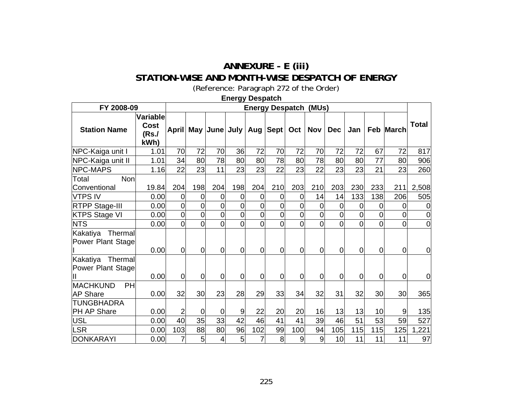## **ANNEXURE - E (iii) STATION-WISE AND MONTH-WISE DESPATCH OF ENERGY**

(Reference: Paragraph [272](#page-110-0) of the Order)

|                                          |                                   |                |                |                                  | Energy Despatch |                |                              |                |                |                |                |                |                  |                |
|------------------------------------------|-----------------------------------|----------------|----------------|----------------------------------|-----------------|----------------|------------------------------|----------------|----------------|----------------|----------------|----------------|------------------|----------------|
| FY 2008-09                               |                                   |                |                |                                  |                 |                | <b>Energy Despatch (MUs)</b> |                |                |                |                |                |                  |                |
| <b>Station Name</b>                      | Variable<br>Cost<br>(Rs./<br>kWh) |                |                | April May June July   Aug   Sept |                 |                |                              |                | $Oct$   Nov    | <b>Dec</b>     | Jan            |                | <b>Feb March</b> | Total          |
| NPC-Kaiga unit I                         | 1.01                              | 70             | 72             | 70                               | 36              | 72             | 70                           | 72             | 70             | 72             | 72             | 67             | 72               | 817            |
| NPC-Kaiga unit II                        | 1.01                              | 34             | 80             | 78                               | 80              | 80             | 78                           | 80             | 78             | 80             | 80             | 77             | 80               | 906            |
| NPC-MAPS                                 | 1.16                              | 22             | 23             | 11                               | 23              | 23             | 22                           | 23             | 22             | 23             | 23             | 21             | 23               | 260            |
| Non<br>Total<br>Conventional             | 19.84                             | 204            | 198            | 204                              | 198             | 204            | 210                          | 203            | 210            | 203            | 230            | 233            | 211              | 2,508          |
| <b>VTPS IV</b>                           | 0.00                              | $\overline{0}$ | $\overline{0}$ | $\Omega$                         | 0               | 0              | 0                            | $\Omega$       | 14             | 14             | 133            | 138            | 206              | 505            |
| <b>RTPP Stage-III</b>                    | 0.00                              | 0              | $\overline{0}$ | $\overline{0}$                   | 0               | 0              | 0                            | 0              | $\overline{0}$ | 0              | $\Omega$       | <sup>O</sup>   |                  |                |
| <b>KTPS Stage VI</b>                     | 0.00                              | $\overline{0}$ | $\overline{0}$ | $\overline{0}$                   | $\overline{0}$  | 0              | 0                            | $\overline{0}$ | $\overline{0}$ | $\overline{0}$ | $\overline{0}$ | $\overline{0}$ | 0                | $\overline{0}$ |
| <b>NTS</b>                               | 0.00                              | $\overline{0}$ | $\overline{0}$ | $\overline{0}$                   | $\overline{0}$  | 0              | $\overline{0}$               | $\overline{0}$ | $\overline{0}$ | $\overline{0}$ | $\overline{0}$ | $\overline{0}$ | $\overline{0}$   | $\overline{0}$ |
| Kakatiya Thermal<br>Power Plant Stage    | 0.00                              | $\overline{0}$ | $\overline{0}$ | $\overline{0}$                   | $\overline{0}$  | $\overline{0}$ | $\overline{0}$               | $\Omega$       | $\overline{0}$ | $\overline{0}$ | $\overline{0}$ | $\overline{0}$ | $\overline{0}$   | $\overline{0}$ |
| Kakatiya Thermal<br>Power Plant Stage    | 0.00                              | $\overline{0}$ | $\overline{0}$ | $\overline{0}$                   | $\overline{0}$  | $\overline{0}$ | $\overline{0}$               | $\Omega$       | $\overline{0}$ | $\overline{0}$ | $\overline{0}$ | $\overline{0}$ | $\overline{0}$   | $\overline{0}$ |
| <b>MACHKUND</b><br>PH<br><b>AP Share</b> | 0.00                              | 32             | 30             | 23                               | 28              | 29             | 33                           | 34             | 32             | 31             | 32             | 30             | 30               | 365            |
| <b>TUNGBHADRA</b><br><b>PH AP Share</b>  | 0.00                              | 2              | $\overline{0}$ | 0                                | 9               | 22             | 20                           | 20             | 16             | 13             | 13             | 10             | 9                | 135            |
| <b>USL</b>                               | 0.00                              | 40             | 35             | 33                               | 42              | 46             | 41                           | 41             | 39             | 46             | 51             | 53             | 59               | 527            |
| <b>LSR</b>                               | 0.00                              | 103            | 88             | 80                               | 96              | 102            | 99                           | 100            | 94             | 105            | 115            | 115            | 125              | 1,221          |
| <b>DONKARAYI</b>                         | 0.00                              | 7              | 5 <sup>1</sup> | $\overline{4}$                   | 5               | $\overline{7}$ | 8                            | $\overline{9}$ | $\overline{9}$ | 10             | 11             | 11             | 11               | 97             |

**Energy Despatch**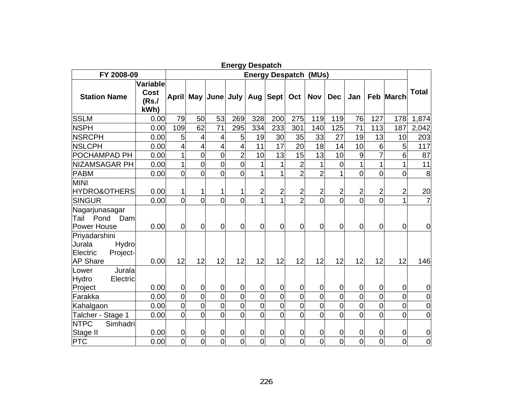|                                                                             |                                          |                |                |                     | <b>Energy Despatch</b> |                         |                        |                |                |                |                |                |                  |                |
|-----------------------------------------------------------------------------|------------------------------------------|----------------|----------------|---------------------|------------------------|-------------------------|------------------------|----------------|----------------|----------------|----------------|----------------|------------------|----------------|
| FY 2008-09                                                                  |                                          |                |                |                     |                        |                         | <b>Energy Despatch</b> |                | (MUs)          |                |                |                |                  |                |
| <b>Station Name</b>                                                         | Variable<br><b>Cost</b><br>(Rs./<br>kWh) |                |                | April May June July |                        | Aug                     | <b>Sept</b>            | Oct            | <b>Nov</b>     | <b>Dec</b>     | Jan            |                | <b>Feb March</b> | <b>Total</b>   |
| <b>SSLM</b>                                                                 | 0.00                                     | 79             | 50             | 53                  | 269                    | 328                     | 200                    | 275            | 119            | 119            | 76             | 127            | 178              | 1,874          |
| <b>NSPH</b>                                                                 | 0.00                                     | 109            | 62             | 71                  | 295                    | 334                     | 233                    | 301            | 140            | 125            | 71             | 113            | 187              | 2,042          |
| <b>NSRCPH</b>                                                               | 0.00                                     | 5              | 4              | 4                   | 5                      | 19                      | 30                     | 35             | 33             | 27             | 19             | 13             | 10               | 203            |
| <b>NSLCPH</b>                                                               | 0.00                                     | $\overline{4}$ | $\overline{4}$ | $\overline{4}$      | 4                      | 11                      | 17                     | 20             | 18             | 14             | 10             | 6              | 5                | 117            |
| POCHAMPAD PH                                                                | 0.00                                     | 1              | 0              | $\overline{0}$      | $\overline{2}$         | 10                      | 13                     | 15             | 13             | 10             | 9              | $\overline{7}$ | 6                | 87             |
| NIZAMSAGAR PH                                                               | 0.00                                     | 1              | 0              | $\overline{0}$      | $\overline{0}$         | $\overline{1}$          | 1                      | $\overline{2}$ | 1              | $\mathbf 0$    | $\overline{1}$ | $\overline{1}$ |                  | 11             |
| <b>PABM</b>                                                                 | 0.00                                     | $\overline{0}$ | $\overline{0}$ | $\overline{0}$      | $\overline{0}$         |                         | 1                      | $\overline{2}$ | $\overline{2}$ |                | 0              | o              | 0                | 8              |
| <b>MINI</b><br><b>HYDRO&amp;OTHERS</b>                                      | 0.00                                     | 1              | 1              |                     | 1                      | $\overline{\mathbf{c}}$ | $\overline{c}$         | $\overline{2}$ | $\overline{2}$ | $\overline{2}$ | $\overline{c}$ | $\overline{2}$ | 2                | 20             |
| <b>SINGUR</b>                                                               | 0.00                                     | $\overline{0}$ | $\overline{0}$ | $\overline{0}$      | $\overline{0}$         | 1                       | 1                      | $\overline{2}$ | $\Omega$       | $\overline{0}$ | $\overline{0}$ | $\overline{0}$ |                  | 7              |
| Nagarjunasagar<br>Tail<br>Pond<br>Dam<br>Power House                        | 0.00                                     | $\overline{0}$ | 0              | $\overline{0}$      | $\overline{0}$         | $\overline{0}$          | $\overline{0}$         | 0              | $\overline{0}$ | $\overline{0}$ | 0              | 0              | 0                | $\mathbf 0$    |
| Priyadarshini<br>Jurala<br>Hydro<br>Electric<br>Project-<br><b>AP Share</b> | 0.00                                     | 12             | 12             | 12                  | 12                     | 12                      | 12                     | 12             | 12             | 12             | 12             | 12             | 12               | 146            |
| Jurala<br>Lower<br>Hydro<br>Electric<br>Project                             | 0.00                                     | $\overline{0}$ | $\overline{0}$ | $\overline{0}$      | $\mathbf 0$            | $\mathbf 0$             | $\overline{0}$         | 0              | $\overline{0}$ | $\mathbf 0$    | 0              | 0              | $\overline{0}$   | $\mathbf 0$    |
| Farakka                                                                     | 0.00                                     | $\overline{0}$ | 0              | $\overline{0}$      | $\overline{0}$         | $\overline{0}$          | $\overline{0}$         | $\overline{0}$ | $\overline{0}$ | $\overline{0}$ | $\overline{0}$ | $\overline{0}$ | 0                | $\mathbf 0$    |
| Kahalgaon                                                                   | 0.00                                     | $\overline{0}$ | 0              | $\overline{0}$      | $\overline{0}$         | $\overline{0}$          | $\mathbf 0$            | $\overline{0}$ | $\overline{0}$ | $\overline{0}$ | 0              | $\overline{0}$ | $\overline{0}$   | $\mathbf 0$    |
| Talcher - Stage 1                                                           | 0.00                                     | $\overline{0}$ | $\overline{0}$ | $\overline{0}$      | $\overline{0}$         | $\overline{0}$          | $\overline{0}$         | $\overline{0}$ | $\overline{0}$ | $\overline{0}$ | $\overline{0}$ | $\overline{0}$ | O                | $\overline{0}$ |
| <b>NTPC</b><br>Simhadri<br>Stage II                                         | 0.00                                     | $\overline{0}$ | 0              | $\mathbf 0$         | $\mathbf 0$            | $\mathbf 0$             | $\overline{0}$         | $\mathbf 0$    | $\mathbf 0$    | $\mathbf 0$    | 0              | 0              | 0                | $\mathbf 0$    |
| <b>PTC</b>                                                                  | 0.00                                     | $\overline{0}$ | $\overline{0}$ | $\Omega$            | $\overline{0}$         | $\overline{0}$          | $\overline{0}$         | $\overline{0}$ | $\overline{0}$ | $\overline{0}$ | $\overline{0}$ | $\overline{0}$ | $\Omega$         | $\overline{0}$ |

**Energy Despatch**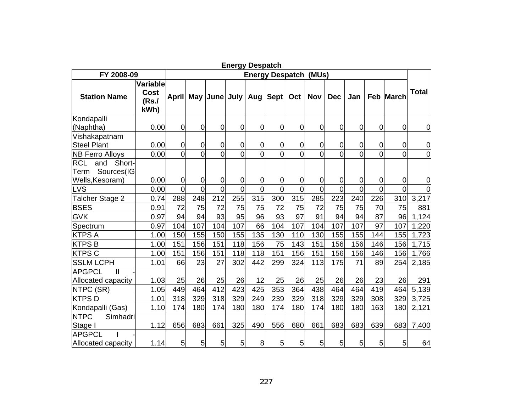|                                                   |                                  |                |                |                     | Energy Despatch |                                 |                |                |                |                |                |                |                  |                |
|---------------------------------------------------|----------------------------------|----------------|----------------|---------------------|-----------------|---------------------------------|----------------|----------------|----------------|----------------|----------------|----------------|------------------|----------------|
| FY 2008-09                                        |                                  |                |                |                     |                 | <b>Energy Despatch</b><br>(MUs) |                |                |                |                |                |                |                  |                |
| <b>Station Name</b>                               | Variable<br>Cost<br>(Rs.<br>kWh) |                |                | April May June July |                 | Aug                             | <b>Sept</b>    | Oct            | <b>Nov</b>     | <b>Dec</b>     | Jan            |                | <b>Feb March</b> | <b>Total</b>   |
| Kondapalli                                        |                                  |                |                |                     |                 |                                 |                |                |                |                |                |                |                  |                |
| (Naphtha)                                         | 0.00                             | $\overline{0}$ | $\overline{0}$ | $\overline{0}$      | $\overline{0}$  | 0                               | $\overline{0}$ | $\mathbf 0$    | $\overline{0}$ | 0              | $\overline{0}$ | 0              | 0                | $\mathbf 0$    |
| Vishakapatnam<br><b>Steel Plant</b>               | 0.00                             | $\overline{0}$ | $\mathbf 0$    | $\overline{0}$      | $\overline{0}$  | 0                               | 0              | 0              | 0              | 0              | 0              | 0              | 0                | $\mathbf 0$    |
| <b>NB Ferro Alloys</b>                            | 0.00                             | $\overline{0}$ | $\Omega$       | $\Omega$            |                 | $\overline{0}$                  | $\Omega$       | $\overline{0}$ | $\overline{0}$ | $\overline{0}$ | $\overline{0}$ | $\overline{0}$ | $\Omega$         | $\overline{0}$ |
| <b>RCL</b><br>and<br>Short-<br>Sources(IG<br>Term |                                  |                |                |                     |                 |                                 |                |                |                |                |                |                |                  |                |
| Wells, Kesoram)                                   | 0.00                             | $\overline{0}$ | $\overline{0}$ | $\overline{0}$      | $\mathbf 0$     | $\mathbf 0$                     | $\overline{0}$ | 0              | $\mathbf 0$    | 0              | 0              | $\mathbf 0$    | $\overline{0}$   | 0              |
| LVS                                               | 0.00                             | $\overline{0}$ | $\overline{0}$ | $\overline{0}$      | $\overline{0}$  | $\overline{0}$                  | $\overline{0}$ | $\overline{0}$ | $\overline{0}$ | $\overline{0}$ | $\overline{0}$ | $\overline{0}$ |                  | $\overline{0}$ |
| Talcher Stage 2                                   | 0.74                             | 288            | 248            | 212                 | 255             | 315                             | 300            | 315            | 285            | 223            | 240            | 226            | 310              | 3,217          |
| <b>BSES</b>                                       | 0.91                             | 72             | 75             | 72                  | 75              | 75                              | 72             | 75             | 72             | 75             | 75             | 70             | 75               | 881            |
| <b>GVK</b>                                        | 0.97                             | 94             | 94             | 93                  | 95              | 96                              | 93             | 97             | 91             | 94             | 94             | 87             | 96               | 1,124          |
| Spectrum                                          | 0.97                             | 104            | 107            | 104                 | 107             | 66                              | 104            | 107            | 104            | 107            | 107            | 97             | 107              | 1,220          |
| <b>KTPS A</b>                                     | 1.00                             | 150            | 155            | 150                 | 155             | 135                             | 130            | 110            | 130            | 155            | 155            | 144            | 155              | 1,723          |
| <b>KTPSB</b>                                      | 1.00                             | 151            | 156            | 151                 | 118             | 156                             | 75             | 143            | 151            | 156            | 156            | 146            | 156              | 1,715          |
| <b>KTPS C</b>                                     | 1.00                             | 151            | 156            | 151                 | 118             | 118                             | 151            | 156            | 151            | 156            | 156            | 146            | 156              | 1,766          |
| <b>SSLM LCPH</b>                                  | 1.01                             | 66             | 23             | 27                  | 302             | 442                             | 299            | 324            | 113            | 175            | 71             | 89             | 254              | 2,185          |
| <b>APGPCL</b><br>$\mathbf{I}$                     |                                  |                |                |                     |                 |                                 |                |                |                |                |                |                |                  |                |
| Allocated capacity                                | 1.03                             | 25             | 26             | 25                  | 26              | 12                              | 25             | 26             | 25             | 26             | 26             | 23             | 26               | 291            |
| NTPC (SR)                                         | 1.05                             | 449            | 464            | 412                 | 423             | 425                             | 353            | 364            | 438            | 464            | 464            | 419            | 464              | 5,139          |
| <b>KTPSD</b>                                      | 1.01                             | 318            | 329            | 318                 | 329             | 249                             | 239            | 329            | 318            | 329            | 329            | 308            | 329              | 3,725          |
| Kondapalli (Gas)                                  | 1.10                             | 174            | 180            | 174                 | 180             | 180                             | 174            | 180            | 174            | 180            | 180            | 163            | 180              | 2,121          |
| <b>NTPC</b><br>Simhadri                           |                                  |                |                |                     |                 |                                 |                |                |                |                |                |                |                  |                |
| Stage I                                           | 1.12                             | 656            | 683            | 661                 | 325             | 490                             | 556            | 680            | 661            | 683            | 683            | 639            | 683              | 7,400          |
| <b>APGPCL</b>                                     |                                  |                |                |                     |                 |                                 |                |                |                |                |                |                |                  |                |
| Allocated capacity                                | 1.14                             | 5 <sub>l</sub> | 5 <sub>l</sub> | $5\overline{)}$     | 5               | 8                               | 5              | 5              | 5              | 5              | 5              | 5              | 5 <sub>l</sub>   | 64             |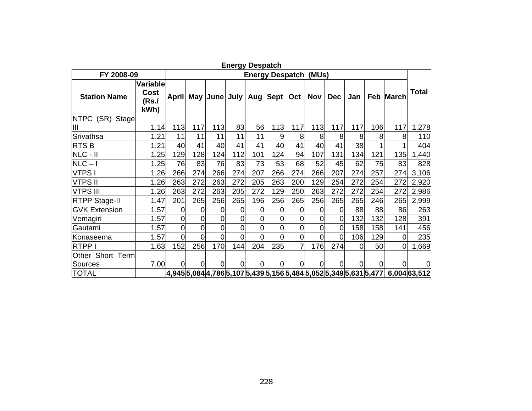| <b>Energy Despatch</b> |                                  |     |                |                                                                                                                                                                                                                                                                                                                    |                |                |                        |                  |            |                |                |                |           |              |
|------------------------|----------------------------------|-----|----------------|--------------------------------------------------------------------------------------------------------------------------------------------------------------------------------------------------------------------------------------------------------------------------------------------------------------------|----------------|----------------|------------------------|------------------|------------|----------------|----------------|----------------|-----------|--------------|
| FY 2008-09             |                                  |     |                |                                                                                                                                                                                                                                                                                                                    |                |                | <b>Energy Despatch</b> |                  | (MUs)      |                |                |                |           |              |
| <b>Station Name</b>    | Variable<br>Cost<br>(Rs.<br>kWh) |     |                | April May June July Aug                                                                                                                                                                                                                                                                                            |                |                | Sept                   | Oct <sub>1</sub> | <b>Nov</b> | <b>Dec</b>     | Jan            |                | Feb March | <b>Total</b> |
| NTPC (SR) Stage        |                                  |     |                |                                                                                                                                                                                                                                                                                                                    |                |                |                        |                  |            |                |                |                |           |              |
| Ш                      | 1.14                             | 113 | 117            | 113                                                                                                                                                                                                                                                                                                                | 83             | 56             | 113                    | 117              | 113        | 117            | 117            | 106            | 117       | 1,278        |
| Srivathsa              | 1.21                             | 11  | 11             | 11                                                                                                                                                                                                                                                                                                                 | 11             | 11             | 9                      | 8                | 8          | 8              | 8              | 8              | 8         | 110          |
| RTS <sub>B</sub>       | 1.21                             | 40  | 41             | 40                                                                                                                                                                                                                                                                                                                 | 41             | 41             | 40                     | 41               | 40         | 41             | 38             |                |           | 404          |
| NLC - II               | 1.25                             | 129 | 128            | 124                                                                                                                                                                                                                                                                                                                | 112            | 101            | 124                    | 94               | 107        | 131            | 134            | 121            | 135       | 1,440        |
| $NLC - I$              | 1.25                             | 76  | 83             | 76                                                                                                                                                                                                                                                                                                                 | 83             | 73             | 53                     | 68               | 52         | 45             | 62             | 75             | 83        | 828          |
| <b>VTPSI</b>           | 1.26                             | 266 | 274            | 266                                                                                                                                                                                                                                                                                                                | 274            | 207            | 266                    | 274              | 266        | 207            | 274            | 257            | 274       | 3,106        |
| <b>VTPS II</b>         | 1.26                             | 263 | 272            | 263                                                                                                                                                                                                                                                                                                                | 272            | 205            | 263                    | 200              | 129        | 254            | 272            | 254            | 272       | 2,920        |
| <b>VTPS III</b>        | 1.26                             | 263 | 272            | 263                                                                                                                                                                                                                                                                                                                | 205            | 272            | 129                    | 250              | 263        | 272            | 272            | 254            | 272       | 2,986        |
| <b>RTPP Stage-II</b>   | 1.47                             | 201 | 265            | 256                                                                                                                                                                                                                                                                                                                | 265            | 196            | 256                    | 265              | 256        | 265            | 265            | 246            | 265       | 2,999        |
| <b>GVK Extension</b>   | 1.57                             | 0   | 0              | 0                                                                                                                                                                                                                                                                                                                  | 0              | 0              | $\Omega$               | $\Omega$         | 0          | $\Omega$       | 88             | 88             | 86        | 263          |
| Vemagiri               | 1.57                             | 0   | $\overline{0}$ | $\overline{0}$                                                                                                                                                                                                                                                                                                     | 0              | $\overline{0}$ | $\overline{0}$         | 0                | 0          | $\overline{0}$ | 132            | 132            | 128       | 391          |
| Gautami                | 1.57                             | 0   | $\overline{0}$ | $\overline{0}$                                                                                                                                                                                                                                                                                                     | 0              | 0              | 0                      | 0                | $\Omega$   | $\overline{0}$ | 158            | 158            | 141       | 456          |
| Konaseema              | 1.57                             | 0   | $\Omega$       | $\overline{0}$                                                                                                                                                                                                                                                                                                     | 0              | 0              | 0                      | 0                | $\Omega$   | $\Omega$       | 106            | 129            | 0         | 235          |
| <b>RTPP I</b>          | 1.63                             | 152 | 256            | 170                                                                                                                                                                                                                                                                                                                | 144            | 204            | 235                    | 7                | 176        | 274            | 0              | 50             | $\Omega$  | 1,669        |
| Other Short Term       |                                  |     |                |                                                                                                                                                                                                                                                                                                                    |                |                |                        |                  |            |                |                |                |           |              |
| Sources                | 7.00                             | O.  | 0              | $\overline{0}$                                                                                                                                                                                                                                                                                                     | $\overline{0}$ | $\overline{0}$ | $\Omega$               | $\Omega$         | $\Omega$   | 0              | $\overline{0}$ | $\overline{0}$ |           | $\Omega$     |
| <b>TOTAL</b>           |                                  |     |                | $\vert 4,945\vert 5,084\vert 4,786\vert 5,107\vert 5,439\vert 5,156\vert 5,484\vert 5,052\vert 5,349\vert 5,631\vert 5,477\vert 5,163\vert 5,184\vert 5,185\vert 5,186\vert 5,187\vert 5,188\vert 5,188\vert 5,188\vert 5,188\vert 5,188\vert 5,188\vert 5,188\vert 5,188\vert 5,188\vert 5,188\vert 5,188\vert 5$ |                |                |                        |                  |            |                |                |                |           | 6,004 63,512 |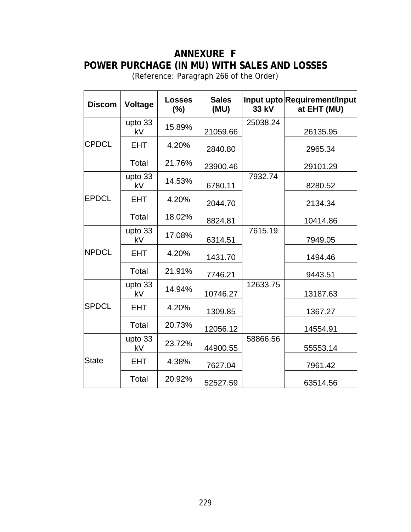## **ANNEXURE F POWER PURCHAGE (IN MU) WITH SALES AND LOSSES**

(Reference: Paragraph [266](#page-108-0) of the Order)

| <b>Discom</b> | <b>Voltage</b> | <b>Losses</b><br>(%) | <b>Sales</b><br>(MU) | 33 kV    | Input upto Requirement/Input<br>at EHT (MU) |
|---------------|----------------|----------------------|----------------------|----------|---------------------------------------------|
|               | upto 33<br>kV  | 15.89%               | 21059.66             | 25038.24 | 26135.95                                    |
| <b>CPDCL</b>  | <b>EHT</b>     | 4.20%                | 2840.80              |          | 2965.34                                     |
|               | Total          | 21.76%               | 23900.46             |          | 29101.29                                    |
|               | upto 33<br>kV  | 14.53%               | 6780.11              | 7932.74  | 8280.52                                     |
| <b>EPDCL</b>  | <b>EHT</b>     | 4.20%                | 2044.70              |          | 2134.34                                     |
|               | Total          | 18.02%               | 8824.81              |          | 10414.86                                    |
|               | upto 33<br>kV  | 17.08%               | 6314.51              | 7615.19  | 7949.05                                     |
| <b>NPDCL</b>  | <b>EHT</b>     | 4.20%                | 1431.70              |          | 1494.46                                     |
|               | Total          | 21.91%               | 7746.21              |          | 9443.51                                     |
|               | upto 33<br>kV  | 14.94%               | 10746.27             | 12633.75 | 13187.63                                    |
| <b>SPDCL</b>  | <b>EHT</b>     | 4.20%                | 1309.85              |          | 1367.27                                     |
|               | Total          | 20.73%               | 12056.12             |          | 14554.91                                    |
|               | upto 33<br>kV  | 23.72%               | 44900.55             | 58866.56 | 55553.14                                    |
| <b>State</b>  | <b>EHT</b>     | 4.38%                | 7627.04              |          | 7961.42                                     |
|               | Total          | 20.92%               | 52527.59             |          | 63514.56                                    |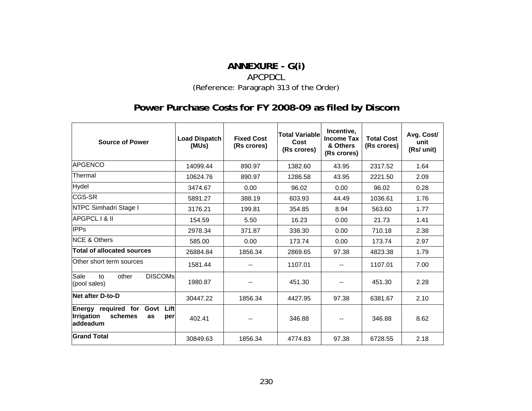## **ANNEXURE - G(i)**  APCPDCL(Reference: Paragraph [313](#page-130-0) of the Order)

# **Power Purchase Costs for FY 2008-09 as filed by Discom**

| <b>Source of Power</b>                                                                       | <b>Load Dispatch</b><br>(MUs) | <b>Fixed Cost</b><br>(Rs crores) | <b>Total Variable</b><br>Cost<br>(Rs crores) | Incentive,<br><b>Income Tax</b><br>& Others<br>(Rs crores) | <b>Total Cost</b><br>(Rs crores) | Avg. Cost/<br>unit<br>(Rs/ unit) |
|----------------------------------------------------------------------------------------------|-------------------------------|----------------------------------|----------------------------------------------|------------------------------------------------------------|----------------------------------|----------------------------------|
| <b>APGENCO</b>                                                                               | 14099.44                      | 890.97                           | 1382.60                                      | 43.95                                                      | 2317.52                          | 1.64                             |
| Thermal                                                                                      | 10624.76                      | 890.97                           | 1286.58                                      | 43.95                                                      | 2221.50                          | 2.09                             |
| Hydel                                                                                        | 3474.67                       | 96.02<br>0.00<br>0.00            |                                              | 96.02                                                      | 0.28                             |                                  |
| <b>CGS-SR</b>                                                                                | 5891.27                       | 388.19                           | 603.93                                       | 44.49                                                      | 1036.61                          | 1.76                             |
| NTPC Simhadri Stage I                                                                        | 3176.21                       | 199.81                           | 354.85                                       | 8.94                                                       | 563.60                           | 1.77                             |
| APGPCL I & II                                                                                | 154.59                        | 5.50                             | 16.23                                        | 0.00                                                       | 21.73                            | 1.41                             |
| <b>IPPs</b>                                                                                  | 2978.34                       | 371.87                           | 338.30                                       | 0.00                                                       | 710.18                           | 2.38                             |
| <b>NCE &amp; Others</b>                                                                      | 585.00                        | 0.00<br>173.74                   |                                              | 0.00                                                       | 173.74                           | 2.97                             |
| <b>Total of allocated sources</b>                                                            | 26884.84                      | 1856.34                          | 2869.65                                      | 97.38                                                      | 4823.38                          | 1.79                             |
| Other short term sources                                                                     | 1581.44                       |                                  | 1107.01                                      |                                                            | 1107.01                          | 7.00                             |
| Sale<br><b>DISCOMS</b><br>other<br>to<br>(pool sales)                                        | 1980.87                       |                                  | 451.30                                       |                                                            | 451.30                           | 2.28                             |
| Net after D-to-D                                                                             | 30447.22                      | 1856.34                          | 4427.95                                      | 97.38                                                      | 6381.67                          | 2.10                             |
| Energy required for<br>Lift<br>Govt<br><b>Irrigation</b><br>schemes<br>as<br>per<br>addeadum | 402.41                        |                                  | 346.88                                       |                                                            | 346.88                           | 8.62                             |
| <b>Grand Total</b>                                                                           | 30849.63                      | 1856.34                          | 4774.83                                      | 97.38                                                      | 6728.55                          | 2.18                             |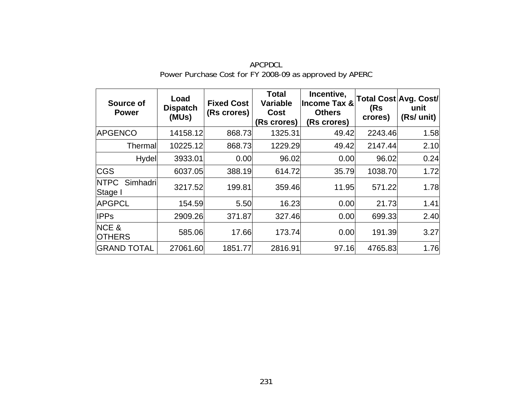| Source of<br><b>Power</b>          | Load<br><b>Dispatch</b><br>(MUs) | <b>Fixed Cost</b><br>(Rs crores) | <b>Total</b><br><b>Variable</b><br><b>Cost</b><br>(Rs crores) | Incentive,<br><b>Income Tax &amp;</b><br><b>Others</b><br>(Rs crores) | (Rs<br>crores) | Total Cost Avg. Cost/<br>unit<br>(Rs/ unit) |
|------------------------------------|----------------------------------|----------------------------------|---------------------------------------------------------------|-----------------------------------------------------------------------|----------------|---------------------------------------------|
| <b>APGENCO</b>                     | 14158.12                         | 868.73                           | 1325.31                                                       | 49.42                                                                 | 2243.46        | 1.58                                        |
| Thermall                           | 10225.12                         | 868.73                           | 1229.29                                                       | 49.42                                                                 | 2147.44        | 2.10                                        |
| <b>Hydel</b>                       | 3933.01                          | 0.00                             | 96.02                                                         | 0.00                                                                  | 96.02          | 0.24                                        |
| <b>CGS</b>                         | 6037.05                          | 388.19                           | 614.72                                                        | 35.79                                                                 | 1038.70        | 1.72                                        |
| <b>NTPC</b><br>Simhadri<br>Stage I | 3217.52                          | 199.81                           | 359.46                                                        | 11.95                                                                 | 571.22         | 1.78                                        |
| <b>APGPCL</b>                      | 154.59                           | 5.50                             | 16.23                                                         | 0.00                                                                  | 21.73          | 1.41                                        |
| <b>IPPs</b>                        | 2909.26                          | 371.87                           | 327.46                                                        | 0.00                                                                  | 699.33         | 2.40                                        |
| <b>NCE &amp;</b><br><b>OTHERS</b>  | 585.06                           | 17.66                            | 173.74                                                        | 0.00                                                                  | 191.39         | 3.27                                        |
| <b>GRAND TOTAL</b>                 | 27061.60                         | 1851.77                          | 2816.91                                                       | 97.16                                                                 | 4765.83        | 1.76                                        |

APCPDCL Power Purchase Cost for FY 2008-09 as approved by APERC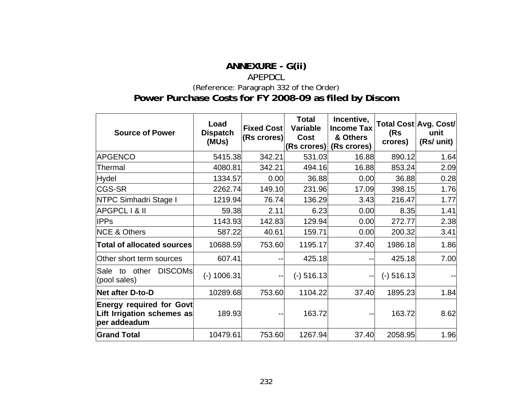## **ANNEXURE - G(ii)**  APEPDCL (Reference: Paragraph [332](#page-141-0) of the Order) **Power Purchase Costs for FY 2008-09 as filed by Discom**

| <b>Source of Power</b>                                                        | Load<br><b>Dispatch</b><br>(MUs) | <b>Fixed Cost</b><br><b>(Rs crores)</b> | <b>Total</b><br>Variable<br>Cost<br>(Rs crores) | Incentive,<br><b>Income Tax</b><br>& Others<br>(Rs crores) | (Rs<br>crores) | Total Cost Avg. Cost/<br>unit<br>(Rs/ unit) |
|-------------------------------------------------------------------------------|----------------------------------|-----------------------------------------|-------------------------------------------------|------------------------------------------------------------|----------------|---------------------------------------------|
| <b>APGENCO</b>                                                                | 5415.38                          | 342.21                                  | 531.03                                          | 16.88                                                      | 890.12         | 1.64                                        |
| Thermal                                                                       | 4080.81                          | 342.21                                  | 494.16                                          | 16.88                                                      | 853.24         | 2.09                                        |
| Hydel                                                                         | 1334.57                          | 0.00                                    | 36.88                                           | 0.00                                                       | 36.88          | 0.28                                        |
| <b>CGS-SR</b>                                                                 | 2262.74                          | 149.10                                  | 231.96                                          | 17.09                                                      | 398.15         | 1.76                                        |
| <b>NTPC Simhadri Stage I</b>                                                  | 1219.94                          | 76.74                                   | 136.29                                          | 3.43                                                       | 216.47         | 1.77                                        |
| <b>APGPCL I &amp; II</b>                                                      | 59.38                            | 2.11<br>6.23<br>0.00                    |                                                 | 8.35                                                       | 1.41           |                                             |
| <b>IPPs</b>                                                                   | 1143.93                          | 142.83                                  | 129.94                                          | 0.00                                                       | 272.77         | 2.38                                        |
| <b>NCE &amp; Others</b>                                                       | 587.22                           | 40.61                                   | 159.71                                          | 0.00                                                       | 200.32         | 3.41                                        |
| <b>Total of allocated sources</b>                                             | 10688.59                         | 753.60                                  | 1195.17                                         | 37.40                                                      | 1986.18        | 1.86                                        |
| Other short term sources                                                      | 607.41                           | ۰.                                      | 425.18                                          |                                                            | 425.18         | 7.00                                        |
| <b>DISCOMS</b><br>Sale<br>other<br>to<br>(pool sales)                         | $(-)$ 1006.31                    | $\overline{\phantom{a}}$                | $(-)$ 516.13                                    | $--1$                                                      | $(-)$ 516.13   |                                             |
| Net after D-to-D                                                              | 10289.68                         | 753.60                                  | 1104.22                                         | 37.40                                                      | 1895.23        | 1.84                                        |
| <b>Energy required for Govt</b><br>Lift Irrigation schemes as<br>per addeadum | 189.93                           | --                                      | 163.72                                          |                                                            | 163.72         | 8.62                                        |
| <b>Grand Total</b>                                                            | 10479.61                         | 753.60                                  | 1267.94                                         | 37.40                                                      | 2058.95        | 1.96                                        |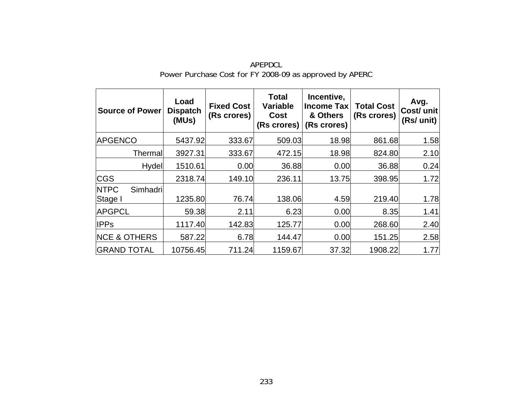| Source of Power                    | Load<br><b>Dispatch</b><br>(MUs) | <b>Fixed Cost</b><br>(Rs crores) | <b>Total</b><br><b>Variable</b><br>Cost<br>(Rs crores) | Incentive,<br><b>Income Tax</b><br>& Others<br>(Rs crores) | <b>Total Cost</b><br>(Rs crores) | Avg.<br>Cost/ unit<br>(Rs/ unit) |
|------------------------------------|----------------------------------|----------------------------------|--------------------------------------------------------|------------------------------------------------------------|----------------------------------|----------------------------------|
| <b>APGENCO</b>                     | 5437.92                          | 333.67                           | 509.03                                                 | 18.98                                                      | 861.68                           | 1.58                             |
| Thermall                           | 3927.31                          | 333.67                           | 472.15                                                 | 18.98                                                      | 824.80                           | 2.10                             |
| Hydel                              | 1510.61                          | 0.00                             | 36.88                                                  | 0.00                                                       | 36.88                            | 0.24                             |
| <b>CGS</b>                         | 2318.74                          | 149.10                           | 236.11                                                 | 13.75                                                      | 398.95                           | 1.72                             |
| <b>NTPC</b><br>Simhadri<br>Stage I | 1235.80                          | 76.74                            | 138.06                                                 | 4.59                                                       | 219.40                           | 1.78                             |
| <b>APGPCL</b>                      | 59.38                            | 2.11                             | 6.23                                                   | 0.00                                                       | 8.35                             | 1.41                             |
| <b>IPPs</b>                        | 1117.40                          | 142.83                           | 125.77                                                 | 0.00                                                       | 268.60                           | 2.40                             |
| <b>NCE &amp; OTHERS</b>            | 587.22                           | 6.78                             | 144.47                                                 | 0.00                                                       | 151.25                           | 2.58                             |
| <b>GRAND TOTAL</b>                 | 10756.45                         | 711.24                           | 1159.67                                                | 37.32                                                      | 1908.22                          | 1.77                             |

APEPDCL Power Purchase Cost for FY 2008-09 as approved by APERC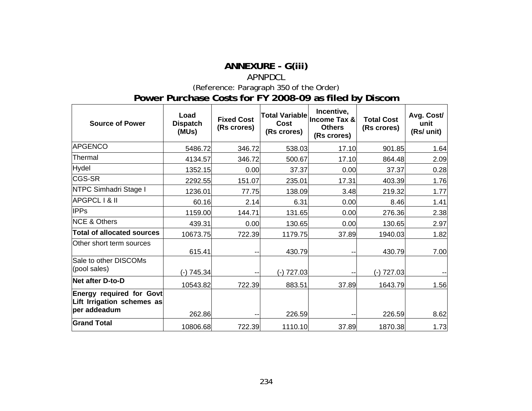## **ANNEXURE - G(iii)**

## APNPDCL

(Reference: Paragraph [350](#page-150-0) of the Order)

### **Power Purchase Costs for FY 2008-09 as filed by Discom**

| <b>Source of Power</b>                                                        | Load<br><b>Dispatch</b><br>(MUs) | <b>Fixed Cost</b><br>(Rs crores) | <b>Total Variablel</b><br>Cost<br>(Rs crores) | Incentive,<br>Income Tax &<br><b>Others</b><br>(Rs crores) | <b>Total Cost</b><br>(Rs crores) | Avg. Cost/<br>unit<br>(Rs/ unit) |
|-------------------------------------------------------------------------------|----------------------------------|----------------------------------|-----------------------------------------------|------------------------------------------------------------|----------------------------------|----------------------------------|
| <b>APGENCO</b>                                                                | 5486.72                          | 346.72                           | 538.03                                        | 17.10                                                      | 901.85                           | 1.64                             |
| Thermal                                                                       | 4134.57                          | 346.72                           | 500.67                                        | 17.10                                                      | 864.48                           | 2.09                             |
| <b>Hydel</b>                                                                  | 1352.15                          | 0.00                             | 37.37                                         | 0.00                                                       | 37.37                            | 0.28                             |
| CGS-SR                                                                        | 2292.55                          | 151.07                           | 235.01                                        | 17.31                                                      | 403.39                           | 1.76                             |
| NTPC Simhadri Stage I                                                         | 1236.01                          | 77.75                            | 138.09                                        | 3.48                                                       | 219.32                           | 1.77                             |
| <b>APGPCL I &amp; II</b>                                                      | 60.16                            | 2.14                             | 6.31                                          | 0.00                                                       | 8.46                             | 1.41                             |
| <b>IPPs</b>                                                                   | 1159.00                          | 144.71                           | 131.65                                        | 0.00                                                       | 276.36                           | 2.38                             |
| <b>NCE &amp; Others</b>                                                       | 439.31                           | 0.00                             | 130.65                                        | 0.00                                                       | 130.65                           | 2.97                             |
| <b>Total of allocated sources</b>                                             | 10673.75                         | 722.39                           | 1179.75                                       | 37.89                                                      | 1940.03                          | 1.82                             |
| Other short term sources                                                      | 615.41                           | ۰.                               | 430.79                                        |                                                            | 430.79                           | 7.00                             |
| Sale to other DISCOMs<br>(pool sales)                                         | (-) 745.34                       |                                  | $(-) 727.03$                                  |                                                            | $(-) 727.03$                     |                                  |
| Net after D-to-D                                                              | 10543.82                         | 722.39                           | 883.51                                        | 37.89                                                      | 1643.79                          | 1.56                             |
| <b>Energy required for Govt</b><br>Lift Irrigation schemes as<br>per addeadum | 262.86                           | ٠.                               | 226.59                                        |                                                            | 226.59                           | 8.62                             |
| <b>Grand Total</b>                                                            | 10806.68                         | 722.39                           | 1110.10                                       | 37.89                                                      | 1870.38                          | 1.73                             |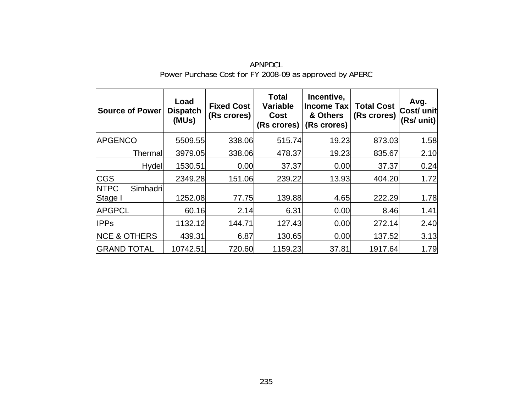| Source of Power                    | Load<br><b>Dispatch</b><br>(MUs) | <b>Fixed Cost</b><br>(Rs crores) | <b>Total</b><br><b>Variable</b><br>Cost<br>(Rs crores) | Incentive,<br><b>Income Tax</b><br>& Others<br>(Rs crores) | <b>Total Cost</b><br>(Rs crores) | Avg.<br>Cost/ unit<br>(Rs/ unit) |
|------------------------------------|----------------------------------|----------------------------------|--------------------------------------------------------|------------------------------------------------------------|----------------------------------|----------------------------------|
| <b>APGENCO</b>                     | 5509.55                          | 338.06                           | 515.74                                                 | 19.23                                                      | 873.03                           | 1.58                             |
| Thermall                           | 3979.05                          | 338.06                           | 478.37                                                 | 19.23                                                      | 835.67                           | 2.10                             |
| Hydel                              | 1530.51                          | 0.00                             | 37.37                                                  | 0.00                                                       | 37.37                            | 0.24                             |
| <b>CGS</b>                         | 2349.28                          | 151.06                           | 239.22                                                 | 13.93                                                      | 404.20                           | 1.72                             |
| <b>NTPC</b><br>Simhadri<br>Stage I | 1252.08                          | 77.75                            | 139.88                                                 | 4.65                                                       | 222.29                           | 1.78                             |
| <b>APGPCL</b>                      | 60.16                            | 2.14                             | 6.31                                                   | 0.00                                                       | 8.46                             | 1.41                             |
| <b>IPPs</b>                        | 1132.12                          | 144.71                           | 127.43                                                 | 0.00                                                       | 272.14                           | 2.40                             |
| <b>NCE &amp; OTHERS</b>            | 439.31                           | 6.87                             | 130.65                                                 | 0.00                                                       | 137.52                           | 3.13                             |
| <b>GRAND TOTAL</b>                 | 10742.51                         | 720.60                           | 1159.23                                                | 37.81                                                      | 1917.64                          | 1.79                             |

APNPDCL Power Purchase Cost for FY 2008-09 as approved by APERC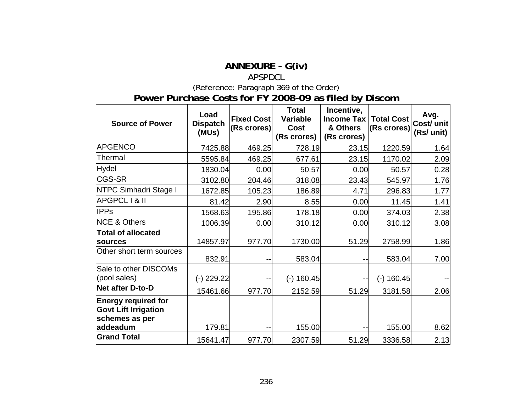## **ANNEXURE - G(iv)**

#### APSPDCL

(Reference: Paragraph [369](#page-160-0) of the Order)

# **Power Purchase Costs for FY 2008-09 as filed by Discom**

| <b>Source of Power</b>                                                      | Load<br><b>Dispatch</b><br>(MUs) | <b>Fixed Cost</b><br>(Rs crores) | <b>Total</b><br>Variable<br><b>Cost</b><br>(Rs crores) | Incentive,<br>Income Tax<br>& Others<br>(Rs crores) | <b>Total Cost</b><br>(Rs crores) | Avg.<br>Cost/ unit<br>(Rs/ unit) |
|-----------------------------------------------------------------------------|----------------------------------|----------------------------------|--------------------------------------------------------|-----------------------------------------------------|----------------------------------|----------------------------------|
| <b>APGENCO</b>                                                              | 7425.88                          | 469.25                           | 728.19                                                 | 23.15                                               | 1220.59                          | 1.64                             |
| Thermal                                                                     | 5595.84                          | 469.25                           | 677.61                                                 | 23.15                                               | 1170.02                          | 2.09                             |
| Hydel                                                                       | 1830.04                          | 0.00                             | 50.57                                                  | 0.00                                                | 50.57                            | 0.28                             |
| <b>CGS-SR</b>                                                               | 3102.80                          | 204.46                           | 318.08                                                 | 23.43                                               | 545.97                           | 1.76                             |
| NTPC Simhadri Stage I                                                       | 1672.85                          | 105.23                           | 186.89                                                 | 4.71                                                | 296.83                           | 1.77                             |
| APGPCL I & II                                                               | 81.42                            | 2.90                             | 8.55                                                   | 0.00                                                | 11.45                            | 1.41                             |
| <b>IPPs</b>                                                                 | 1568.63                          | 195.86                           | 178.18                                                 | 0.00                                                | 374.03                           | 2.38                             |
| <b>NCE &amp; Others</b>                                                     | 1006.39                          | 0.00                             | 310.12                                                 | 0.00                                                | 310.12                           | 3.08                             |
| <b>Total of allocated</b><br>sources                                        | 14857.97                         | 977.70                           | 1730.00                                                | 51.29                                               | 2758.99                          | 1.86                             |
| Other short term sources                                                    | 832.91                           | --                               | 583.04                                                 | --                                                  | 583.04                           | 7.00                             |
| Sale to other DISCOMs<br>(pool sales)                                       | (-) 229.22                       |                                  | $(-)$ 160.45                                           | --                                                  | (-) 160.45                       |                                  |
| <b>Net after D-to-D</b>                                                     | 15461.66                         | 977.70                           | 2152.59                                                | 51.29                                               | 3181.58                          | 2.06                             |
| <b>Energy required for</b><br><b>Govt Lift Irrigation</b><br>schemes as per |                                  |                                  |                                                        |                                                     |                                  |                                  |
| addeadum                                                                    | 179.81                           | --                               | 155.00                                                 | --                                                  | 155.00                           | 8.62                             |
| <b>Grand Total</b>                                                          | 15641.47                         | 977.70                           | 2307.59                                                | 51.29                                               | 3336.58                          | 2.13                             |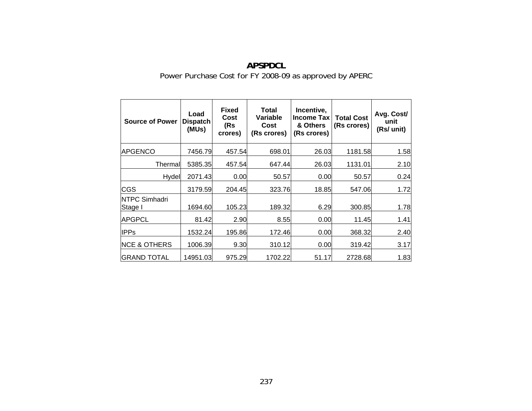| <b>Source of Power</b>          | Load<br><b>Dispatch</b><br>(MUs) | <b>Fixed</b><br>Cost<br>(Rs<br>crores) | Total<br><b>Variable</b><br>Cost<br>(Rs crores) | Incentive,<br><b>Income Tax</b><br>& Others<br>(Rs crores) | <b>Total Cost</b><br>(Rs crores) | Avg. Cost/<br>unit<br>(Rs/ unit) |
|---------------------------------|----------------------------------|----------------------------------------|-------------------------------------------------|------------------------------------------------------------|----------------------------------|----------------------------------|
| <b>APGENCO</b>                  | 7456.79                          | 457.54                                 | 698.01                                          | 26.03                                                      | 1181.58                          | 1.58                             |
| Thermall                        | 5385.35                          | 457.54                                 | 647.44                                          | 26.03                                                      | 1131.01                          | 2.10                             |
| Hydel                           | 2071.43                          | 0.00                                   | 50.57                                           | 0.00                                                       | 50.57                            | 0.24                             |
| <b>CGS</b>                      | 3179.59                          | 204.45                                 | 323.76                                          | 18.85                                                      | 547.06                           | 1.72                             |
| <b>NTPC Simhadri</b><br>Stage I | 1694.60                          | 105.23                                 | 189.32                                          | 6.29                                                       | 300.85                           | 1.78                             |
| <b>APGPCL</b>                   | 81.42                            | 2.90                                   | 8.55                                            | 0.00                                                       | 11.45                            | 1.41                             |
| <b>IPPs</b>                     | 1532.24                          | 195.86                                 | 172.46                                          | 0.00                                                       | 368.32                           | 2.40                             |
| <b>NCE &amp; OTHERS</b>         | 1006.39                          | 9.30                                   | 310.12                                          | 0.00                                                       | 319.42                           | 3.17                             |
| <b>IGRAND TOTAL</b>             | 14951.03                         | 975.29                                 | 1702.22                                         | 51.17                                                      | 2728.68                          | 1.83                             |

# **APSPDCL** Power Purchase Cost for FY 2008-09 as approved by APERC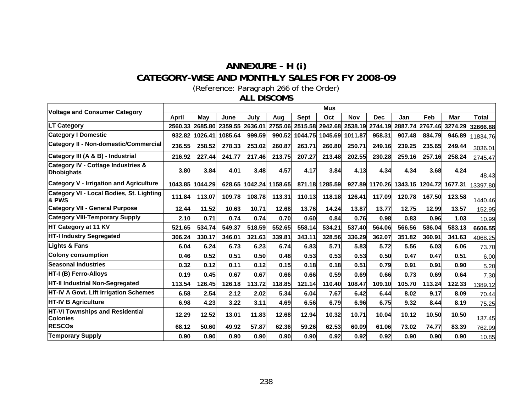## **ANNEXURE - H (i) CATEGORY-WISE AND MONTHLY SALES FOR FY 2008-09**  (Reference: Paragraph [266](#page-108-1) of the Order)

#### **ALL DISCOMS**

| <b>Voltage and Consumer Category</b>                               |              |         |         |         |                 |             | <b>Mus</b> |                 |                |         |                 |         |              |
|--------------------------------------------------------------------|--------------|---------|---------|---------|-----------------|-------------|------------|-----------------|----------------|---------|-----------------|---------|--------------|
|                                                                    | <b>April</b> | May     | June    | July    | Aug             | <b>Sept</b> | Oct        | <b>Nov</b>      | <b>Dec</b>     | Jan     | Feb             | Mar     | <b>Total</b> |
| <b>LT Category</b>                                                 | 2560.33      | 2685.80 | 2359.55 | 2636.01 | 2755.06         | 2515.58     |            | 2942.68 2538.19 | 2744.19        | 2887.74 | 2767.46         | 3274.29 | 32666.88     |
| <b>Category I Domestic</b>                                         | 932.82       | 1026.41 | 1085.64 | 999.59  | 990.52          | 1044.75     | 1045.69    | 1011.87         | 958.31         | 907.48  | 884.79          | 946.89  | 11834.76     |
| <b>Category II - Non-domestic/Commercial</b>                       | 236.55       | 258.52  | 278.33  | 253.02  | 260.87          | 263.71      | 260.80     | 250.71          | 249.16         | 239.25  | 235.65          | 249.44  | 3036.01      |
| Category III (A & B) - Industrial                                  | 216.92       | 227.44  | 241.77  | 217.46  | 213.75          | 207.27      | 213.48     | 202.55          | 230.28         | 259.16  | 257.16          | 258.24  | 2745.47      |
| <b>Category IV - Cottage Industries &amp;</b><br><b>Dhobighats</b> | 3.80         | 3.84    | 4.01    | 3.48    | 4.57            | 4.17        | 3.84       | 4.13            | 4.34           | 4.34    | 3.68            | 4.24    | 48.43        |
| <b>Category V - Irrigation and Agriculture</b>                     | 1043.85      | 1044.29 | 628.65  |         | 1042.24 1158.65 | 871.18      | 1285.59    |                 | 927.89 1170.26 |         | 1343.15 1204.72 | 1677.31 | 13397.80     |
| Category VI - Local Bodies, St. Lighting<br>& PWS                  | 111.84       | 113.07  | 109.78  | 108.78  | 113.31          | 110.13      | 118.18     | 126.41          | 117.09         | 120.78  | 167.50          | 123.58  | 1440.46      |
| <b>Category VII - General Purpose</b>                              | 12.44        | 11.52   | 10.63   | 10.71   | 12.68           | 13.76       | 14.24      | 13.87           | 13.77          | 12.75   | 12.99           | 13.57   | 152.95       |
| <b>Category VIII-Temporary Supply</b>                              | 2.10         | 0.71    | 0.74    | 0.74    | 0.70            | 0.60        | 0.84       | 0.76            | 0.98           | 0.83    | 0.96            | 1.03    | 10.99        |
| HT Category at 11 KV                                               | 521.65       | 534.74  | 549.37  | 518.59  | 552.65          | 558.14      | 534.21     | 537.40          | 564.06         | 566.56  | 586.04          | 583.13  | 6606.55      |
| <b>HT-I Industry Segregated</b>                                    | 306.24       | 330.17  | 346.01  | 321.63  | 339.81          | 343.11      | 328.56     | 336.29          | 362.07         | 351.82  | 360.91          | 341.63  | 4068.25      |
| <b>Lights &amp; Fans</b>                                           | 6.04         | 6.24    | 6.73    | 6.23    | 6.74            | 6.83        | 5.71       | 5.83            | 5.72           | 5.56    | 6.03            | 6.06    | 73.70        |
| <b>Colony consumption</b>                                          | 0.46         | 0.52    | 0.51    | 0.50    | 0.48            | 0.53        | 0.53       | 0.53            | 0.50           | 0.47    | 0.47            | 0.51    | 6.00         |
| <b>Seasonal Industries</b>                                         | 0.32         | 0.12    | 0.11    | 0.12    | 0.15            | 0.18        | 0.18       | 0.51            | 0.79           | 0.91    | 0.91            | 0.90    | 5.20         |
| <b>HT-I (B) Ferro-Alloys</b>                                       | 0.19         | 0.45    | 0.67    | 0.67    | 0.66            | 0.66        | 0.59       | 0.69            | 0.66           | 0.73    | 0.69            | 0.64    | 7.30         |
| <b>HT-II Industrial Non-Segregated</b>                             | 113.54       | 126.45  | 126.18  | 113.72  | 118.85          | 121.14      | 110.40     | 108.47          | 109.10         | 105.70  | 113.24          | 122.33  | 1389.12      |
| <b>HT-IV A Govt. Lift Irrigation Schemes</b>                       | 6.58         | 2.54    | 2.12    | 2.02    | 5.34            | 6.04        | 7.67       | 6.42            | 6.44           | 8.02    | 9.17            | 8.09    | 70.44        |
| HT-IV B Agriculture                                                | 6.98         | 4.23    | 3.22    | 3.11    | 4.69            | 6.56        | 6.79       | 6.96            | 6.75           | 9.32    | 8.44            | 8.19    | 75.25        |
| <b>HT-VI Townships and Residential</b><br><b>Colonies</b>          | 12.29        | 12.52   | 13.01   | 11.83   | 12.68           | 12.94       | 10.32      | 10.71           | 10.04          | 10.12   | 10.50           | 10.50   | 137.45       |
| <b>RESCOS</b>                                                      | 68.12        | 50.60   | 49.92   | 57.87   | 62.36           | 59.26       | 62.53      | 60.09           | 61.06          | 73.02   | 74.77           | 83.39   | 762.99       |
| <b>Temporary Supply</b>                                            | 0.90         | 0.90    | 0.90    | 0.90    | 0.90            | 0.90        | 0.92       | 0.92            | 0.92           | 0.90    | 0.90            | 0.90    | 10.85        |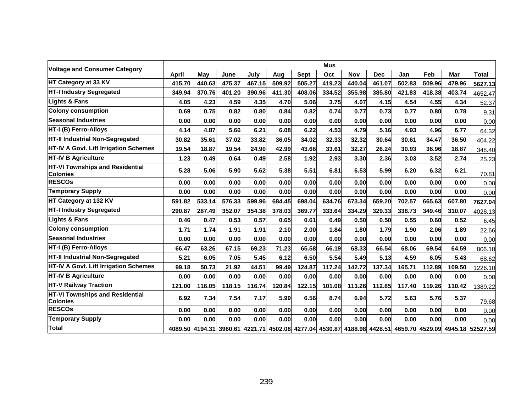| <b>Voltage and Consumer Category</b>                      |              |        |        |        |        |             | <b>Mus</b>                                                              |            |            |        |        |        |                                  |
|-----------------------------------------------------------|--------------|--------|--------|--------|--------|-------------|-------------------------------------------------------------------------|------------|------------|--------|--------|--------|----------------------------------|
|                                                           | <b>April</b> | May    | June   | July   | Aug    | <b>Sept</b> | Oct                                                                     | <b>Nov</b> | <b>Dec</b> | Jan    | Feb    | Mar    | <b>Total</b>                     |
| HT Category at 33 KV                                      | 415.70       | 440.63 | 475.37 | 467.15 | 509.92 | 505.27      | 419.23                                                                  | 440.04     | 461.07     | 502.83 | 509.96 | 479.96 | 5627.13                          |
| <b>HT-I Industry Segregated</b>                           | 349.94       | 370.76 | 401.20 | 390.96 | 411.30 | 408.06      | 334.52                                                                  | 355.98     | 385.80     | 421.83 | 418.38 | 403.74 | 4652.47                          |
| <b>Lights &amp; Fans</b>                                  | 4.05         | 4.23   | 4.59   | 4.35   | 4.70   | 5.06        | 3.75                                                                    | 4.07       | 4.15       | 4.54   | 4.55   | 4.34   | 52.37                            |
| <b>Colony consumption</b>                                 | 0.69         | 0.75   | 0.82   | 0.80   | 0.84   | 0.82        | 0.74                                                                    | 0.77       | 0.73       | 0.77   | 0.80   | 0.78   | 9.31                             |
| <b>Seasonal Industries</b>                                | 0.00         | 0.00   | 0.00   | 0.00   | 0.00   | 0.00        | 0.00                                                                    | 0.00       | 0.00       | 0.00   | 0.00   | 0.00   | 0.00                             |
| HT-I (B) Ferro-Alloys                                     | 4.14         | 4.87   | 5.66   | 6.21   | 6.08   | 6.22        | 4.53                                                                    | 4.79       | 5.16       | 4.93   | 4.96   | 6.77   | 64.32                            |
| HT-II Industrial Non-Segregated                           | 30.82        | 35.61  | 37.02  | 33.82  | 36.05  | 34.02       | 32.33                                                                   | 32.32      | 30.64      | 30.61  | 34.47  | 36.50  | 404.22                           |
| HT-IV A Govt. Lift Irrigation Schemes                     | 19.54        | 18.87  | 19.54  | 24.90  | 42.99  | 43.66       | 33.61                                                                   | 32.27      | 26.24      | 30.93  | 36.96  | 18.87  | 348.40                           |
| <b>HT-IV B Agriculture</b>                                | 1.23         | 0.49   | 0.64   | 0.49   | 2.58   | 1.92        | 2.93                                                                    | 3.30       | 2.36       | 3.03   | 3.52   | 2.74   | 25.23                            |
| <b>HT-VI Townships and Residential</b><br><b>Colonies</b> | 5.28         | 5.06   | 5.90   | 5.62   | 5.38   | 5.51        | 6.81                                                                    | 6.53       | 5.99       | 6.20   | 6.32   | 6.21   | 70.81                            |
| <b>RESCOS</b>                                             | 0.00         | 0.00   | 0.00   | 0.00   | 0.00   | 0.00        | 0.00                                                                    | 0.00       | 0.00       | 0.00   | 0.00   | 0.00   | 0.00                             |
| <b>Temporary Supply</b>                                   | 0.00         | 0.00   | 0.00   | 0.00   | 0.00   | 0.00        | 0.00                                                                    | 0.00       | 0.00       | 0.00   | 0.00   | 0.00   | 0.00                             |
| HT Category at 132 KV                                     | 591.82       | 533.14 | 576.33 | 599.96 | 684.45 | 698.04      | 634.76                                                                  | 673.34     | 659.20     | 702.57 | 665.63 | 607.80 | 7627.04                          |
| <b>HT-I Industry Segregated</b>                           | 290.87       | 287.49 | 352.07 | 354.38 | 378.03 | 369.77      | 333.64                                                                  | 334.29     | 329.33     | 338.73 | 349.46 | 310.07 | 4028.13                          |
| <b>Lights &amp; Fans</b>                                  | 0.46         | 0.47   | 0.53   | 0.57   | 0.65   | 0.61        | 0.49                                                                    | 0.50       | 0.50       | 0.55   | 0.60   | 0.52   | 6.45                             |
| <b>Colony consumption</b>                                 | 1.71         | 1.74   | 1.91   | 1.91   | 2.10   | 2.00        | 1.84                                                                    | 1.80       | 1.79       | 1.90   | 2.06   | 1.89   | 22.66                            |
| <b>Seasonal Industries</b>                                | 0.00         | 0.00   | 0.00   | 0.00   | 0.00   | 0.00        | 0.00                                                                    | 0.00       | 0.00       | 0.00   | 0.00   | 0.00   | 0.00                             |
| HT-I (B) Ferro-Alloys                                     | 66.47        | 63.26  | 67.15  | 69.23  | 71.23  | 65.58       | 66.19                                                                   | 68.33      | 66.54      | 68.06  | 69.54  | 64.59  | 806.18                           |
| HT-II Industrial Non-Segregated                           | 5.21         | 6.05   | 7.05   | 5.45   | 6.12   | 6.50        | 5.54                                                                    | 5.49       | 5.13       | 4.59   | 6.05   | 5.43   | 68.62                            |
| HT-IV A Govt. Lift Irrigation Schemes                     | 99.18        | 50.73  | 21.92  | 44.51  | 99.49  | 124.87      | 117.24                                                                  | 142.72     | 137.34     | 165.71 | 112.89 | 109.50 | 1226.10                          |
| <b>HT-IV B Agriculture</b>                                | 0.00         | 0.00   | 0.00   | 0.00   | 0.00   | 0.00        | 0.00                                                                    | 0.00       | 0.00       | 0.00   | 0.00   | 0.00   | 0.00                             |
| <b>HT-V Railway Traction</b>                              | 121.00       | 116.05 | 118.15 | 116.74 | 120.84 | 122.15      | 101.08                                                                  | 113.26     | 112.85     | 117.40 | 119.26 | 110.42 | 1389.22                          |
| HT-VI Townships and Residential<br><b>Colonies</b>        | 6.92         | 7.34   | 7.54   | 7.17   | 5.99   | 6.56        | 8.74                                                                    | 6.94       | 5.72       | 5.63   | 5.76   | 5.37   | 79.68                            |
| <b>RESCOs</b>                                             | 0.00         | 0.00   | 0.00   | 0.00   | 0.00   | 0.00        | 0.00                                                                    | 0.00       | 0.00       | 0.00   | 0.00   | 0.00   | 0.00                             |
| <b>Temporary Supply</b>                                   | 0.00         | 0.00   | 0.00   | 0.00   | 0.00   | 0.00        | 0.00                                                                    | 0.00       | 0.00       | 0.00   | 0.00   | 0.00   | 0.00                             |
| Total                                                     |              |        |        |        |        |             | 4089.50 4194.31 3960.61 4221.71 4502.08 4277.04 4530.87 4188.98 4428.51 |            |            |        |        |        | 4659.70 4529.09 4945.18 52527.59 |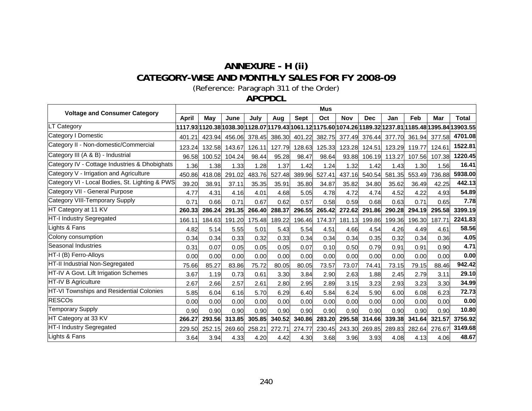# **ANNEXURE - H (ii) CATEGORY-WISE AND MONTHLY SALES FOR FY 2008-09**

(Reference: Paragraph [311](#page-129-0) of the Order)

**APCPDCL**

| <b>Voltage and Consumer Category</b>           |        |        |        |        |        |                      | <b>Mus</b>    |                      |            |                      |        |               |                                                                                                          |
|------------------------------------------------|--------|--------|--------|--------|--------|----------------------|---------------|----------------------|------------|----------------------|--------|---------------|----------------------------------------------------------------------------------------------------------|
|                                                | April  | Mav    | June   | July   | Aug    | Sept                 | Oct           | <b>Nov</b>           | <b>Dec</b> | Jan                  | Feb    | Mar           | <b>Total</b>                                                                                             |
| LT Category                                    |        |        |        |        |        |                      |               |                      |            |                      |        |               | 1117.93 1120.38 1038.30 1128.07 1179.43 1061.12 1175.60 1074.26 1189.32 1237.81 1185.48 1395.84 13903.55 |
| Category I Domestic                            | 401.21 | 423.94 | 456.06 | 378.45 |        | 386.30 401.22 382.75 |               | 377.49               |            | 376.44 377.70        |        | 361.94 377.58 | 4701.08                                                                                                  |
| Category II - Non-domestic/Commercial          | 123.24 | 132.58 | 143.67 | 126.11 | 127.79 |                      |               | 128.63 125.33 123.28 |            | 124.51 123.29 119.77 |        | 124.61        | 1522.81                                                                                                  |
| Category III (A & B) - Industrial              | 96.58  | 100.52 | 104.24 | 98.44  | 95.28  | 98.47                | 98.64         | 93.88                |            | 106.19 113.27        | 107.56 | 107.38        | 1220.45                                                                                                  |
| Category IV - Cottage Industries & Dhobighats  | 1.36   | 1.38   | 1.33   | 1.28   | 1.37   | 1.42                 | 1.24          | 1.32                 | 1.42       | 1.43                 | 1.30   | 1.56          | 16.41                                                                                                    |
| Category V - Irrigation and Agriculture        | 450.86 | 418.08 | 291.02 | 483.76 | 527.48 | 389.96               | 527.41        | 437.16               | 540.54     | 581.35               | 553.49 | 736.88        | 5938.00                                                                                                  |
| Category VI - Local Bodies, St. Lighting & PWS | 39.20  | 38.91  | 37.11  | 35.35  | 35.91  | 35.80                | 34.87         | 35.82                | 34.80      | 35.62                | 36.49  | 42.25         | 442.13                                                                                                   |
| Category VII - General Purpose                 | 4.77   | 4.31   | 4.16   | 4.01   | 4.68   | 5.05                 | 4.78          | 4.72                 | 4.74       | 4.52                 | 4.22   | 4.93          | 54.89                                                                                                    |
| Category VIII-Temporary Supply                 | 0.71   | 0.66   | 0.71   | 0.67   | 0.62   | 0.57                 | 0.58          | 0.59                 | 0.68       | 0.63                 | 0.71   | 0.65          | 7.78                                                                                                     |
| HT Category at 11 KV                           | 260.33 | 286.24 | 291.35 | 266.40 | 288.37 | 296.55               | 265.42        | 272.62               | 291.86     | 290.28               | 294.19 | 295.58        | 3399.19                                                                                                  |
| HT-I Industry Segregated                       | 166.11 | 184.63 | 191.20 | 175.48 | 189.22 |                      | 196.46 174.37 | 181.13               | 199.86     | 199.36               | 196.30 | 187.71        | 2241.83                                                                                                  |
| Lights & Fans                                  | 4.82   | 5.14   | 5.55   | 5.01   | 5.43   | 5.54                 | 4.51          | 4.66                 | 4.54       | 4.26                 | 4.49   | 4.61          | 58.56                                                                                                    |
| Colony consumption                             | 0.34   | 0.34   | 0.33   | 0.32   | 0.33   | 0.34                 | 0.34          | 0.34                 | 0.35       | 0.32                 | 0.34   | 0.36          | 4.05                                                                                                     |
| Seasonal Industries                            | 0.31   | 0.07   | 0.05   | 0.05   | 0.05   | 0.07                 | 0.10          | 0.50                 | 0.79       | 0.91                 | 0.91   | 0.90          | 4.71                                                                                                     |
| HT-I (B) Ferro-Alloys                          | 0.00   | 0.00   | 0.00   | 0.00   | 0.00   | 0.00                 | 0.00          | 0.00                 | 0.00       | 0.00                 | 0.00   | 0.00          | 0.00                                                                                                     |
| HT-II Industrial Non-Segregated                | 75.66  | 85.27  | 83.86  | 75.72  | 80.05  | 80.05                | 73.57         | 73.07                | 74.41      | 73.15                | 79.15  | 88.46         | 942.42                                                                                                   |
| HT-IV A Govt. Lift Irrigation Schemes          | 3.67   | 1.19   | 0.73   | 0.61   | 3.30   | 3.84                 | 2.90          | 2.63                 | 1.88       | 2.45                 | 2.79   | 3.11          | 29.10                                                                                                    |
| HT-IV B Agriculture                            | 2.67   | 2.66   | 2.57   | 2.61   | 2.80   | 2.95                 | 2.89          | 3.15                 | 3.23       | 2.93                 | 3.23   | 3.30          | 34.99                                                                                                    |
| HT-VI Townships and Residential Colonies       | 5.85   | 6.04   | 6.16   | 5.70   | 6.29   | 6.40                 | 5.84          | 6.24                 | 5.90       | 6.00                 | 6.08   | 6.23          | 72.73                                                                                                    |
| <b>RESCOs</b>                                  | 0.00   | 0.00   | 0.00   | 0.00   | 0.00   | 0.00                 | 0.00          | 0.00                 | 0.00       | 0.00                 | 0.00   | 0.00          | 0.00                                                                                                     |
| Temporary Supply                               | 0.90   | 0.90   | 0.90   | 0.90   | 0.90   | 0.90                 | 0.90          | 0.90                 | 0.90       | 0.90                 | 0.90   | 0.90          | 10.80                                                                                                    |
| HT Category at 33 KV                           | 266.27 | 293.56 | 313.85 | 305.85 | 340.52 | 340.86               | 283.20        | 295.58               | 314.66     | 339.38               | 341.64 | 321.57        | 3756.92                                                                                                  |
| HT-I Industry Segregated                       | 229.50 | 252.15 | 269.60 | 258.21 | 272.71 | 274.77               | 230.45        | 243.30               | 269.85     | 289.83               | 282.64 | 276.67        | 3149.68                                                                                                  |
| Lights & Fans                                  | 3.64   | 3.94   | 4.33   | 4.20   | 4.42   | 4.30                 | 3.68          | 3.96                 | 3.93       | 4.08                 | 4.13   | 4.06          | 48.67                                                                                                    |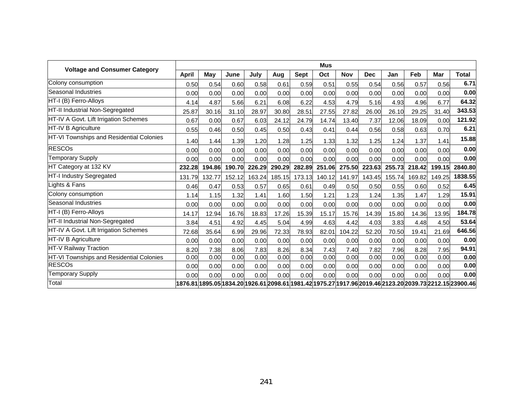| <b>Voltage and Consumer Category</b>     | <b>Mus</b>   |        |        |        |        |        |        |            |            |        |        |            |                                                                                                          |
|------------------------------------------|--------------|--------|--------|--------|--------|--------|--------|------------|------------|--------|--------|------------|----------------------------------------------------------------------------------------------------------|
|                                          | <b>April</b> | May    | June   | July   | Aug    | Sept   | Oct    | <b>Nov</b> | <b>Dec</b> | Jan    | Feb    | <b>Mar</b> | <b>Total</b>                                                                                             |
| Colony consumption                       | 0.50         | 0.54   | 0.60   | 0.58   | 0.61   | 0.59   | 0.51   | 0.55       | 0.54       | 0.56   | 0.57   | 0.56       | 6.71                                                                                                     |
| Seasonal Industries                      | 0.00         | 0.00   | 0.00   | 0.00   | 0.00   | 0.00   | 0.00   | 0.00       | 0.00       | 0.00   | 0.00   | 0.00       | 0.00                                                                                                     |
| HT-I (B) Ferro-Alloys                    | 4.14         | 4.87   | 5.66   | 6.21   | 6.08   | 6.22   | 4.53   | 4.79       | 5.16       | 4.93   | 4.96   | 6.77       | 64.32                                                                                                    |
| HT-II Industrial Non-Segregated          | 25.87        | 30.16  | 31.10  | 28.97  | 30.80  | 28.51  | 27.55  | 27.82      | 26.00      | 26.10  | 29.25  | 31.40      | 343.53                                                                                                   |
| HT-IV A Govt. Lift Irrigation Schemes    | 0.67         | 0.00   | 0.67   | 6.03   | 24.12  | 24.79  | 14.74  | 13.40      | 7.37       | 12.06  | 18.09  | 0.00       | 121.92                                                                                                   |
| HT-IV B Agriculture                      | 0.55         | 0.46   | 0.50   | 0.45   | 0.50   | 0.43   | 0.41   | 0.44       | 0.56       | 0.58   | 0.63   | 0.70       | 6.21                                                                                                     |
| HT-VI Townships and Residential Colonies | 1.40         | 1.44   | 1.39   | 1.20   | 1.28   | 1.25   | 1.33   | 1.32       | 1.25       | 1.24   | 1.37   | 1.41       | 15.88                                                                                                    |
| <b>RESCOs</b>                            | 0.00         | 0.00   | 0.00   | 0.00   | 0.00   | 0.00   | 0.00   | 0.00       | 0.00       | 0.00   | 0.00   | 0.00       | 0.00                                                                                                     |
| <b>Temporary Supply</b>                  | 0.00         | 0.00   | 0.00   | 0.00   | 0.00   | 0.00   | 0.00   | 0.00       | 0.00       | 0.00   | 0.00   | 0.00       | 0.00                                                                                                     |
| HT Category at 132 KV                    | 232.28       | 194.86 | 190.70 | 226.29 | 290.29 | 282.89 | 251.06 | 275.50     | 223.63     | 255.73 | 218.42 | 199.15     | 2840.80                                                                                                  |
| HT-I Industry Segregated                 | 131.79       | 132.77 | 152.12 | 163.24 | 185.15 | 173.13 | 140.12 | 141.97     | 143.45     | 155.74 | 169.82 | 149.25     | 1838.55                                                                                                  |
| Lights & Fans                            | 0.46         | 0.47   | 0.53   | 0.57   | 0.65   | 0.61   | 0.49   | 0.50       | 0.50       | 0.55   | 0.60   | 0.52       | 6.45                                                                                                     |
| Colony consumption                       | 1.14         | 1.15   | 1.32   | 1.41   | 1.60   | 1.50   | 1.21   | 1.23       | 1.24       | 1.35   | 1.47   | 1.29       | 15.91                                                                                                    |
| Seasonal Industries                      | 0.00         | 0.00   | 0.00   | 0.00   | 0.00   | 0.00   | 0.00   | 0.00       | 0.00       | 0.00   | 0.00   | 0.00       | 0.00                                                                                                     |
| HT-I (B) Ferro-Alloys                    | 14.17        | 12.94  | 16.76  | 18.83  | 17.26  | 15.39  | 15.17  | 15.76      | 14.39      | 15.80  | 14.36  | 13.95      | 184.78                                                                                                   |
| HT-II Industrial Non-Segregated          | 3.84         | 4.51   | 4.92   | 4.45   | 5.04   | 4.99   | 4.63   | 4.42       | 4.03       | 3.83   | 4.48   | 4.50       | 53.64                                                                                                    |
| HT-IV A Govt. Lift Irrigation Schemes    | 72.68        | 35.64  | 6.99   | 29.96  | 72.33  | 78.93  | 82.01  | 104.22     | 52.20      | 70.50  | 19.41  | 21.69      | 646.56                                                                                                   |
| HT-IV B Agriculture                      | 0.00         | 0.00   | 0.00   | 0.00   | 0.00   | 0.00   | 0.00   | 0.00       | 0.00       | 0.00   | 0.00   | 0.00       | 0.00                                                                                                     |
| HT-V Railway Traction                    | 8.20         | 7.38   | 8.06   | 7.83   | 8.26   | 8.34   | 7.43   | 7.40       | 7.82       | 7.96   | 8.28   | 7.95       | 94.91                                                                                                    |
| HT-VI Townships and Residential Colonies | 0.00         | 0.00   | 0.00   | 0.00   | 0.00   | 0.00   | 0.00   | 0.00       | 0.00       | 0.00   | 0.00   | 0.00       | 0.00                                                                                                     |
| <b>RESCOs</b>                            | 0.00         | 0.00   | 0.00   | 0.00   | 0.00   | 0.00   | 0.00   | 0.00       | 0.00       | 0.00   | 0.00   | 0.00       | 0.00                                                                                                     |
| <b>Temporary Supply</b>                  | 0.00         | 0.00   | 0.00   | 0.00   | 0.00   | 0.00   | 0.00   | 0.00       | 0.00       | 0.00   | 0.00   | 0.00       | 0.00                                                                                                     |
| Total                                    |              |        |        |        |        |        |        |            |            |        |        |            | 1876.81 1895.05 1834.20 1926.61 2098.61 1981.42 1975.27 1917.96 2019.46 2123.20 2039.73 2212.15 23900.46 |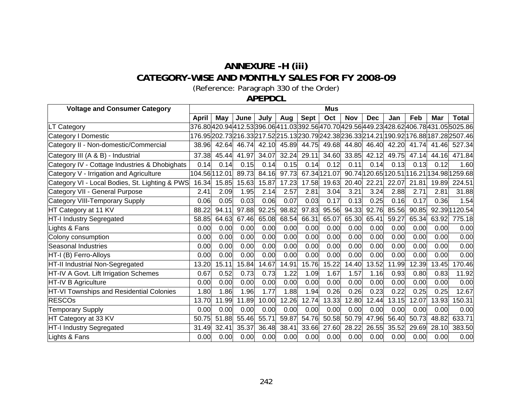## **ANNEXURE -H (iii) CATEGORY-WISE AND MONTHLY SALES FOR FY 2008-09**

(Reference: Paragraph [330](#page-140-0) of the Order)

**APEPDCL** 

| <b>Voltage and Consumer Category</b>           | <b>Mus</b> |               |       |       |             |             |              |             |            |             |       |       |                                                                                             |
|------------------------------------------------|------------|---------------|-------|-------|-------------|-------------|--------------|-------------|------------|-------------|-------|-------|---------------------------------------------------------------------------------------------|
|                                                | April      | May           | June  | July  | Aug         | <b>Sept</b> | Oct          | <b>Nov</b>  | <b>Dec</b> | Jan         | Feb   | Mar   | <b>Total</b>                                                                                |
| LT Category                                    |            |               |       |       |             |             |              |             |            |             |       |       | 376.80 420.94 412.53 396.06 411.03 392.56 470.70 429.56 449.23 428.62 406.78 431.05 5025.86 |
| Category I Domestic                            |            |               |       |       |             |             |              |             |            |             |       |       | 176.95 202.73 216.33 217.52 215.13 230.79 242.38 236.33 214.21 190.92 176.88 187.28 2507.46 |
| Category II - Non-domestic/Commercial          | 38.96      | 42.64         | 46.74 | 42.10 | 45.89       |             | 44.75 49.68  | 44.80       |            | 46.40 42.20 | 41.74 |       | 41.46 527.34                                                                                |
| Category III (A & B) - Industrial              | 37.38      | 45.44         | 41.97 |       | 34.07 32.24 | 29.11       |              | 34.60 33.85 | 42.12      | 49.75       | 47.14 |       | 44.16 471.84                                                                                |
| Category IV - Cottage Industries & Dhobighats  | 0.14       | 0.14          | 0.15  | 0.14  | 0.15        | 0.14        | 0.12         | 0.11        | 0.14       | 0.13        | 0.13  | 0.12  | 1.60                                                                                        |
| Category V - Irrigation and Agriculture        |            | 104.56 112.01 | 89.73 | 84.16 | 97.73       |             | 67.34 121.07 |             |            |             |       |       | 90.74 120.65 120.51 16.21 134.98 1259.68                                                    |
| Category VI - Local Bodies, St. Lighting & PWS | 16.34      | 15.85         | 15.63 | 15.87 | 17.23       | 17.58       | 19.63        | 20.40       | 22.21      | 22.07       | 21.81 |       | 19.89 224.51                                                                                |
| Category VII - General Purpose                 | 2.41       | 2.09          | 1.95  | 2.14  | 2.57        | 2.81        | 3.04         | 3.21        | 3.24       | 2.88        | 2.71  | 2.81  | 31.88                                                                                       |
| <b>Category VIII-Temporary Supply</b>          | 0.06       | 0.05          | 0.03  | 0.06  | 0.07        | 0.03        | 0.17         | 0.13        | 0.25       | 0.16        | 0.17  | 0.36  | 1.54                                                                                        |
| HT Category at 11 KV                           | 88.22      | 94.11         | 97.88 | 92.25 | 98.82       | 97.83       | 95.56        | 94.33       | 92.76      | 85.56       | 90.85 |       | 92.39 1120.54                                                                               |
| HT-I Industry Segregated                       | 58.85      | 64.63         | 67.46 | 65.08 | 68.54       | 66.31       | 65.07        | 65.30       | 65.41      | 59.27       | 65.34 |       | 63.92 775.18                                                                                |
| ights & Fans                                   | 0.00       | 0.00          | 0.00  | 0.00  | 0.00        | 0.00        | 0.00         | 0.00        | 0.00       | 0.00        | 0.00  | 0.00  | 0.00                                                                                        |
| Colony consumption                             | 0.00       | 0.00          | 0.00  | 0.00  | 0.00        | 0.00        | 0.00         | 0.00        | 0.00       | 0.00        | 0.00  | 0.00  | 0.00                                                                                        |
| Seasonal Industries                            | 0.00       | 0.00          | 0.00  | 0.00  | 0.00        | 0.00        | 0.00         | 0.00        | 0.00       | 0.00        | 0.00  | 0.00  | 0.00                                                                                        |
| HT-I (B) Ferro-Alloys                          | 0.00       | 0.00          | 0.00  | 0.00  | 0.00        | 0.00        | 0.00         | 0.00        | 0.00       | 0.00        | 0.00  | 0.00  | 0.00                                                                                        |
| HT-II Industrial Non-Segregated                | 13.20      | 15.11         | 15.84 | 14.67 | 14.91       | 15.76       | 15.22        | 14.40       | 13.52      | 11.99       | 12.39 | 13.45 | 170.46                                                                                      |
| HT-IV A Govt. Lift Irrigation Schemes          | 0.67       | 0.52          | 0.73  | 0.73  | 1.22        | 1.09        | 1.67         | 1.57        | 1.16       | 0.93        | 0.80  | 0.83  | 11.92                                                                                       |
| HT-IV B Agriculture                            | 0.00       | 0.00          | 0.00  | 0.00  | 0.00        | 0.00        | 0.00         | 0.00        | 0.00       | 0.00        | 0.00  | 0.00  | 0.00                                                                                        |
| HT-VI Townships and Residential Colonies       | 1.80       | 1.86          | 1.96  | 1.77  | 1.88        | 1.94        | 0.26         | 0.26        | 0.23       | 0.22        | 0.25  | 0.25  | 12.67                                                                                       |
| <b>RESCOs</b>                                  | 13.70      | 11.99         | 11.89 | 10.00 | 12.26       | 12.74       | 13.33        | 12.80       | 12.44      | 13.15       | 12.07 | 13.93 | 150.31                                                                                      |
| <b>Temporary Supply</b>                        | 0.00       | 0.00          | 0.00  | 0.00  | 0.00        | 0.00        | 0.00         | 0.00        | 0.00       | 0.00        | 0.00  | 0.00  | 0.00                                                                                        |
| HT Category at 33 KV                           | 50.75      | 51.88         | 55.46 | 55.71 | 59.87       | 54.76       | 50.58        | 50.79       | 47.96      | 56.40       | 50.73 | 48.82 | 633.71                                                                                      |
| HT-I Industry Segregated                       | 31.49      | 32.41         | 35.37 | 36.48 | 38.41       | 33.66       | 27.60        | 28.22       | 26.55      | 35.52       | 29.69 | 28.10 | 383.50                                                                                      |
| Lights & Fans                                  | 0.00       | 0.00          | 0.00  | 0.00  | 0.00        | 0.00        | 0.00         | 0.00        | 0.00       | 0.00        | 0.00  | 0.00  | 0.00                                                                                        |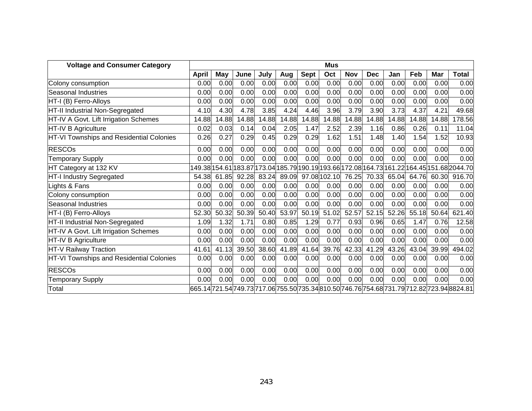| <b>Voltage and Consumer Category</b>     | <b>Mus</b> |       |       |       |       |             |              |            |            |       |       |       |                                                                                             |
|------------------------------------------|------------|-------|-------|-------|-------|-------------|--------------|------------|------------|-------|-------|-------|---------------------------------------------------------------------------------------------|
|                                          | April      | May   | June  | July  | Aug   | <b>Sept</b> | Oct          | <b>Nov</b> | <b>Dec</b> | Jan   | Feb   | Mar   | <b>Total</b>                                                                                |
| Colony consumption                       | 0.00       | 0.00  | 0.00  | 0.00  | 0.00  | 0.00        | 0.00         | 0.00       | 0.00       | 0.00  | 0.00  | 0.00  | 0.00                                                                                        |
| <b>Seasonal Industries</b>               | 0.00       | 0.00  | 0.00  | 0.00  | 0.00  | 0.00        | 0.00         | 0.00       | 0.00       | 0.00  | 0.00  | 0.00  | 0.00                                                                                        |
| HT-I (B) Ferro-Alloys                    | 0.00       | 0.00  | 0.00  | 0.00  | 0.00  | 0.00        | 0.00         | 0.00       | 0.00       | 0.00  | 0.00  | 0.00  | 0.00                                                                                        |
| HT-II Industrial Non-Segregated          | 4.10       | 4.30  | 4.78  | 3.85  | 4.24  | 4.46        | 3.96         | 3.79       | 3.90       | 3.73  | 4.37  | 4.21  | 49.68                                                                                       |
| HT-IV A Govt. Lift Irrigation Schemes    | 14.88      | 14.88 | 14.88 | 14.88 | 14.88 | 14.88       | 14.88        | 14.88      | 14.88      | 14.88 | 14.88 | 14.88 | 178.56                                                                                      |
| HT-IV B Agriculture                      | 0.02       | 0.03  | 0.14  | 0.04  | 2.05  | 1.47        | 2.52         | 2.39       | 1.16       | 0.86  | 0.26  | 0.11  | 11.04                                                                                       |
| HT-VI Townships and Residential Colonies | 0.26       | 0.27  | 0.29  | 0.45  | 0.29  | 0.29        | 1.62         | 1.51       | 1.48       | 1.40  | 1.54  | 1.52  | 10.93                                                                                       |
| <b>RESCOs</b>                            | 0.00       | 0.00  | 0.00  | 0.00  | 0.00  | 0.00        | 0.00         | 0.00       | 0.00       | 0.00  | 0.00  | 0.00  | 0.00                                                                                        |
| <b>Temporary Supply</b>                  | 0.00       | 0.00  | 0.00  | 0.00  | 0.00  | 0.00        | 0.00         | 0.00       | 0.00       | 0.00  | 0.00  | 0.00  | 0.00                                                                                        |
| HT Category at 132 KV                    |            |       |       |       |       |             |              |            |            |       |       |       | l49.38 154.61 183.87 173.04 185.79 190.19 193.66 172.08 164.73 161.22 164.45 151.68 2044.70 |
| HT-I Industry Segregated                 | 54.38      | 61.85 | 92.28 | 83.24 | 89.09 |             | 97.08 102.10 | 76.25      | 70.33      | 65.04 | 64.76 | 60.30 | 916.70                                                                                      |
| Lights & Fans                            | 0.00       | 0.00  | 0.00  | 0.00  | 0.00  | 0.00        | 0.00         | 0.00       | 0.00       | 0.00  | 0.00  | 0.00  | 0.00                                                                                        |
| Colony consumption                       | 0.00       | 0.00  | 0.00  | 0.00  | 0.00  | 0.00        | 0.00         | 0.00       | 0.00       | 0.00  | 0.00  | 0.00  | 0.00                                                                                        |
| <b>Seasonal Industries</b>               | 0.00       | 0.00  | 0.00  | 0.00  | 0.00  | 0.00        | 0.00         | 0.00       | 0.00       | 0.00  | 0.00  | 0.00  | 0.00                                                                                        |
| HT-I (B) Ferro-Alloys                    | 52.30      | 50.32 | 50.39 | 50.40 | 53.97 | 50.19       | 51.02        | 52.57      | 52.15      | 52.26 | 55.18 | 50.64 | 621.40                                                                                      |
| HT-II Industrial Non-Segregated          | 1.09       | 1.32  | 1.71  | 0.80  | 0.85  | 1.29        | 0.77         | 0.93       | 0.96       | 0.65  | 1.47  | 0.76  | 12.58                                                                                       |
| HT-IV A Govt. Lift Irrigation Schemes    | 0.00       | 0.00  | 0.00  | 0.00  | 0.00  | 0.00        | 0.00         | 0.00       | 0.00       | 0.00  | 0.00  | 0.00  | 0.00                                                                                        |
| HT-IV B Agriculture                      | 0.00       | 0.00  | 0.00  | 0.00  | 0.00  | 0.00        | 0.00         | 0.00       | 0.00       | 0.00  | 0.00  | 0.00  | 0.00                                                                                        |
| HT-V Railway Traction                    | 41.61      | 41.13 | 39.50 | 38.60 | 41.89 | 41.64       | 39.76        | 42.33      | 41.29      | 43.26 | 43.04 | 39.99 | 494.02                                                                                      |
| HT-VI Townships and Residential Colonies | 0.00       | 0.00  | 0.00  | 0.00  | 0.00  | 0.00        | 0.00         | 0.00       | 0.00       | 0.00  | 0.00  | 0.00  | 0.00                                                                                        |
| <b>RESCOs</b>                            | 0.00       | 0.00  | 0.00  | 0.00  | 0.00  | 0.00        | 0.00         | 0.00       | 0.00       | 0.00  | 0.00  | 0.00  | 0.00                                                                                        |
| <b>Temporary Supply</b>                  | 0.00       | 0.00  | 0.00  | 0.00  | 0.00  | 0.00        | 0.00         | 0.00       | 0.00       | 0.00  | 0.00  | 0.00  | 0.00                                                                                        |
| Total                                    |            |       |       |       |       |             |              |            |            |       |       |       | 665.14721.54749.73717.06 755.50 735.34 810.50 746.76 754.68 731.79 712.82 723.94 8824.81    |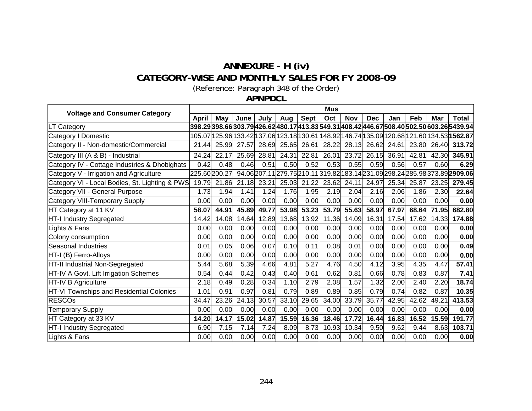# **ANNEXURE - H (iv) CATEGORY-WISE AND MONTHLY SALES FOR FY 2008-09**

(Reference: Paragraph [348](#page-149-0) of the Order)

**APNPDCL** 

| <b>Voltage and Consumer Category</b>           |              |              |       |       |       |       | Mus   |            |            |       |       |       |                                                                                                     |
|------------------------------------------------|--------------|--------------|-------|-------|-------|-------|-------|------------|------------|-------|-------|-------|-----------------------------------------------------------------------------------------------------|
|                                                | <b>April</b> | Mav          | June  | July  | Aug   | Sept  | Oct   | <b>Nov</b> | <b>Dec</b> | Jan   | Feb   | Mar   | Total                                                                                               |
| LT Category                                    |              |              |       |       |       |       |       |            |            |       |       |       | 398.29 398.66 303.79 426.62 480.17 413.83 549.31 408.42 446.67 508.40 502.50 603.26 5439.94         |
| Category I Domestic                            |              |              |       |       |       |       |       |            |            |       |       |       | 105.07 125.96 133.42 137.06 123.18 130.61 148.92 146.74 135.09 120.68 121.60 134.53  <b>1562.87</b> |
| Category II - Non-domestic/Commercial          | 21.44        | 25.99        | 27.57 | 28.69 | 25.65 | 26.61 | 28.22 | 28.13      | 26.62      | 24.61 | 23.80 | 26.40 | 313.72                                                                                              |
| Category III (A & B) - Industrial              | 24.24        | 22.17        | 25.69 | 28.81 | 24.31 | 22.81 | 26.01 | 23.72      | 26.15      | 36.91 | 42.81 | 42.30 | 345.91                                                                                              |
| Category IV - Cottage Industries & Dhobighats  | 0.42         | 0.48         | 0.46  | 0.51  | 0.50  | 0.52  | 0.53  | 0.55       | 0.59       | 0.56  | 0.57  | 0.60  | 6.29                                                                                                |
| Category V - Irrigation and Agriculture        |              | 225.60200.27 |       |       |       |       |       |            |            |       |       |       | 94.06207.11279.75210.11319.82183.14231.09298.24285.98373.892909.06                                  |
| Category VI - Local Bodies, St. Lighting & PWS | 19.79        | 21.86        | 21.18 | 23.21 | 25.03 | 21.22 | 23.62 | 24.11      | 24.97      | 25.34 | 25.87 | 23.25 | 279.45                                                                                              |
| Category VII - General Purpose                 | 1.73         | 1.94         | 1.41  | 1.24  | 1.76  | 1.95  | 2.19  | 2.04       | 2.16       | 2.06  | 1.86  | 2.30  | 22.64                                                                                               |
| Category VIII-Temporary Supply                 | 0.00         | 0.00         | 0.00  | 0.00  | 0.00  | 0.00  | 0.00  | 0.00       | 0.00       | 0.00  | 0.00  | 0.00  | 0.00                                                                                                |
| HT Category at 11 KV                           | 58.07        | 44.91        | 45.89 | 49.77 | 53.98 | 53.23 | 53.79 | 55.63      | 58.97      | 67.97 | 68.64 | 71.95 | 682.80                                                                                              |
| HT-I Industry Segregated                       | 14.42        | 14.08        | 14.64 | 12.89 | 13.68 | 13.92 | 11.36 | 14.09      | 16.31      | 17.54 | 17.62 | 14.33 | 174.88                                                                                              |
| Lights & Fans                                  | 0.00         | 0.00         | 0.00  | 0.00  | 0.00  | 0.00  | 0.00  | 0.00       | 0.00       | 0.00  | 0.00  | 0.00  | 0.00                                                                                                |
| Colony consumption                             | 0.00         | 0.00         | 0.00  | 0.00  | 0.00  | 0.00  | 0.00  | 0.00       | 0.00       | 0.00  | 0.00  | 0.00  | 0.00                                                                                                |
| Seasonal Industries                            | 0.01         | 0.05         | 0.06  | 0.07  | 0.10  | 0.11  | 0.08  | 0.01       | 0.00       | 0.00  | 0.00  | 0.00  | 0.49                                                                                                |
| HT-I (B) Ferro-Alloys                          | 0.00         | 0.00         | 0.00  | 0.00  | 0.00  | 0.00  | 0.00  | 0.00       | 0.00       | 0.00  | 0.00  | 0.00  | 0.00                                                                                                |
| HT-II Industrial Non-Segregated                | 5.44         | 5.68         | 5.39  | 4.66  | 4.81  | 5.27  | 4.76  | 4.50       | 4.12       | 3.95  | 4.35  | 4.47  | 57.41                                                                                               |
| HT-IV A Govt. Lift Irrigation Schemes          | 0.54         | 0.44         | 0.42  | 0.43  | 0.40  | 0.61  | 0.62  | 0.81       | 0.66       | 0.78  | 0.83  | 0.87  | 7.41                                                                                                |
| HT-IV B Agriculture                            | 2.18         | 0.49         | 0.28  | 0.34  | 1.10  | 2.79  | 2.08  | 1.57       | 1.32       | 2.00  | 2.40  | 2.20  | 18.74                                                                                               |
| HT-VI Townships and Residential Colonies       | 1.01         | 0.91         | 0.97  | 0.81  | 0.79  | 0.89  | 0.89  | 0.85       | 0.79       | 0.74  | 0.82  | 0.87  | 10.35                                                                                               |
| <b>RESCOs</b>                                  | 34.47        | 23.26        | 24.13 | 30.57 | 33.10 | 29.65 | 34.00 | 33.79      | 35.77      | 42.95 | 42.62 | 49.21 | 413.53                                                                                              |
| <b>Temporary Supply</b>                        | 0.00         | 0.00         | 0.00  | 0.00  | 0.00  | 0.00  | 0.00  | 0.00       | 0.00       | 0.00  | 0.00  | 0.00  | 0.00                                                                                                |
| HT Category at 33 KV                           | 14.20        | 14.17        | 15.02 | 14.87 | 15.59 | 16.36 | 18.46 | 17.72      | 16.44      | 16.83 | 16.52 | 15.59 | 191.77                                                                                              |
| HT-I Industry Segregated                       | 6.90         | 7.15         | 7.14  | 7.24  | 8.09  | 8.73  | 10.93 | 10.34      | 9.50       | 9.62  | 9.44  | 8.63  | 103.71                                                                                              |
| Lights & Fans                                  | 0.00         | 0.00         | 0.00  | 0.00  | 0.00  | 0.00  | 0.00  | 0.00       | 0.00       | 0.00  | 0.00  | 0.00  | 0.00                                                                                                |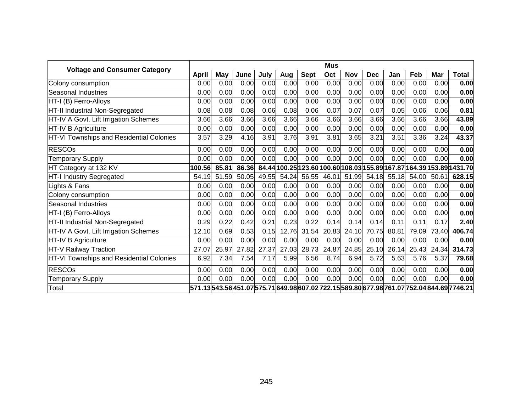|                                          | <b>Mus</b> |       |       |       |       |             |       |            |            |       |       |       |                                                                                             |
|------------------------------------------|------------|-------|-------|-------|-------|-------------|-------|------------|------------|-------|-------|-------|---------------------------------------------------------------------------------------------|
| <b>Voltage and Consumer Category</b>     | April      | May   | June  | July  | Aug   | <b>Sept</b> | Oct   | <b>Nov</b> | <b>Dec</b> | Jan   | Feb   | Mar   | <b>Total</b>                                                                                |
| Colony consumption                       | 0.00       | 0.00  | 0.00  | 0.00  | 0.00  | 0.00        | 0.00  | 0.00       | 0.00       | 0.00  | 0.00  | 0.00  | 0.00                                                                                        |
| Seasonal Industries                      | 0.00       | 0.00  | 0.00  | 0.00  | 0.00  | 0.00        | 0.00  | 0.00       | 0.00       | 0.00  | 0.00  | 0.00  | 0.00                                                                                        |
| HT-I (B) Ferro-Alloys                    | 0.00       | 0.00  | 0.00  | 0.00  | 0.00  | 0.00        | 0.00  | 0.00       | 0.00       | 0.00  | 0.00  | 0.00  | 0.00                                                                                        |
| HT-II Industrial Non-Segregated          | 0.08       | 0.08  | 0.08  | 0.06  | 0.08  | 0.06        | 0.07  | 0.07       | 0.07       | 0.05  | 0.06  | 0.06  | 0.81                                                                                        |
| HT-IV A Govt. Lift Irrigation Schemes    | 3.66       | 3.66  | 3.66  | 3.66  | 3.66  | 3.66        | 3.66  | 3.66       | 3.66       | 3.66  | 3.66  | 3.66  | 43.89                                                                                       |
| HT-IV B Agriculture                      | 0.00       | 0.00  | 0.00  | 0.00  | 0.00  | 0.00        | 0.00  | 0.00       | 0.00       | 0.00  | 0.00  | 0.00  | 0.00                                                                                        |
| HT-VI Townships and Residential Colonies | 3.57       | 3.29  | 4.16  | 3.91  | 3.76  | 3.91        | 3.81  | 3.65       | 3.21       | 3.51  | 3.36  | 3.24  | 43.37                                                                                       |
| <b>RESCOs</b>                            | 0.00       | 0.00  | 0.00  | 0.00  | 0.00  | 0.00        | 0.00  | 0.00       | 0.00       | 0.00  | 0.00  | 0.00  | 0.00                                                                                        |
| <b>Temporary Supply</b>                  | 0.00       | 0.00  | 0.00  | 0.00  | 0.00  | 0.00        | 0.00  | 0.00       | 0.00       | 0.00  | 0.00  | 0.00  | 0.00                                                                                        |
| HT Category at 132 KV                    | 100.56     | 85.81 | 86.36 |       |       |             |       |            |            |       |       |       | 84.44 100.25 123.60 100.60 108.03 155.89 167.87 164.39 153.89 1431.70                       |
| HT-I Industry Segregated                 | 54.19      | 51.59 | 50.05 | 49.55 | 54.24 | 56.55       | 46.01 | 51.99      | 54.18      | 55.18 | 54.00 | 50.61 | 628.15                                                                                      |
| Lights & Fans                            | 0.00       | 0.00  | 0.00  | 0.00  | 0.00  | 0.00        | 0.00  | 0.00       | 0.00       | 0.00  | 0.00  | 0.00  | 0.00                                                                                        |
| Colony consumption                       | 0.00       | 0.00  | 0.00  | 0.00  | 0.00  | 0.00        | 0.00  | 0.00       | 0.00       | 0.00  | 0.00  | 0.00  | 0.00                                                                                        |
| Seasonal Industries                      | 0.00       | 0.00  | 0.00  | 0.00  | 0.00  | 0.00        | 0.00  | 0.00       | 0.00       | 0.00  | 0.00  | 0.00  | 0.00                                                                                        |
| HT-I (B) Ferro-Alloys                    | 0.00       | 0.00  | 0.00  | 0.00  | 0.00  | 0.00        | 0.00  | 0.00       | 0.00       | 0.00  | 0.00  | 0.00  | 0.00                                                                                        |
| HT-II Industrial Non-Segregated          | 0.29       | 0.22  | 0.42  | 0.21  | 0.23  | 0.22        | 0.14  | 0.14       | 0.14       | 0.11  | 0.11  | 0.17  | 2.40                                                                                        |
| HT-IV A Govt. Lift Irrigation Schemes    | 12.10      | 0.69  | 0.53  | 0.15  | 12.76 | 31.54       | 20.83 | 24.10      | 70.75      | 80.81 | 79.09 | 73.40 | 406.74                                                                                      |
| HT-IV B Agriculture                      | 0.00       | 0.00  | 0.00  | 0.00  | 0.00  | 0.00        | 0.00  | 0.00       | 0.00       | 0.00  | 0.00  | 0.00  | 0.00                                                                                        |
| HT-V Railway Traction                    | 27.07      | 25.97 | 27.82 | 27.37 | 27.03 | 28.73       | 24.87 | 24.85      | 25.10      | 26.14 | 25.43 | 24.34 | 314.73                                                                                      |
| HT-VI Townships and Residential Colonies | 6.92       | 7.34  | 7.54  | 7.17  | 5.99  | 6.56        | 8.74  | 6.94       | 5.72       | 5.63  | 5.76  | 5.37  | 79.68                                                                                       |
| <b>RESCOs</b>                            | 0.00       | 0.00  | 0.00  | 0.00  | 0.00  | 0.00        | 0.00  | 0.00       | 0.00       | 0.00  | 0.00  | 0.00  | 0.00                                                                                        |
| <b>Temporary Supply</b>                  | 0.00       | 0.00  | 0.00  | 0.00  | 0.00  | 0.00        | 0.00  | 0.00       | 0.00       | 0.00  | 0.00  | 0.00  | 0.00                                                                                        |
| Total                                    |            |       |       |       |       |             |       |            |            |       |       |       | 571.13 543.56 451.07 575.71 649.98 607.02 722.15 589.80 677.98 761.07 752.04 844.69 7746.21 |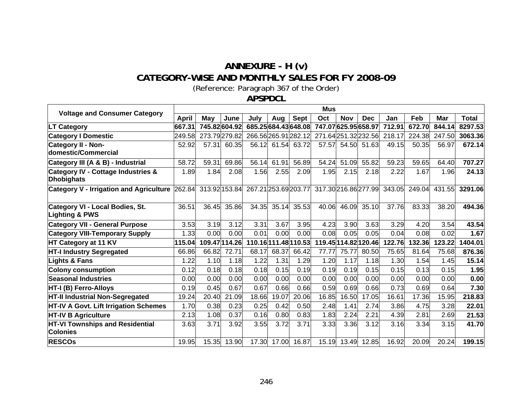## **ANNEXURE - H (v) CATEGORY-WISE AND MONTHLY SALES FOR FY 2008-09**

(Reference: Paragraph [367](#page-159-0) of the Order)

**APSPDCL** 

| <b>Voltage and Consumer Category</b>                      |              |               |               |                                           |             |             | <b>Mus</b>         |            |                      |                             |        |        |              |
|-----------------------------------------------------------|--------------|---------------|---------------|-------------------------------------------|-------------|-------------|--------------------|------------|----------------------|-----------------------------|--------|--------|--------------|
|                                                           | <b>April</b> | May           | June          | July                                      | Aug         | <b>Sept</b> | Oct                | <b>Nov</b> | <b>Dec</b>           | Jan                         | Feb    | Mar    | <b>Total</b> |
| <b>LT Category</b>                                        | 667.31       | 745.82 604.92 |               | 685.25684.43648.08                        |             |             | 747.07625.95658.97 |            |                      | 712.91                      | 672.70 | 844.14 | 8297.53      |
| <b>Category I Domestic</b>                                | 249.58       | 273.79279.82  |               | 266.56 265.91 282.12                      |             |             | 271.64251.32232.56 |            |                      | 218.17                      | 224.38 | 247.50 | 3063.36      |
| Category II - Non-<br>domestic/Commercial                 | 52.92        | 57.31         | 60.35         |                                           | 56.12 61.54 | 63.72       | 57.57              |            | 54.50 51.63          | 49.15                       | 50.35  | 56.97  | 672.14       |
| Category III (A & B) - Industrial                         | 58.72        | 59.31         | 69.86         | 56.14                                     | 61.91       | 56.89       | 54.24              | 51.09      | 55.82                | 59.23                       | 59.65  | 64.40  | 707.27       |
| Category IV - Cottage Industries &<br>Dhobighats          | 1.89         | 1.84          | 2.08          | 1.56                                      | 2.55        | 2.09        | 1.95               | 2.15       | 2.18                 | 2.22                        | 1.67   | 1.96   | 24.13        |
| <b>Category V - Irrigation and Agriculture</b>            |              |               |               | 262.84 313.92 153.84 267.21 253.69 203.77 |             |             |                    |            |                      | 317.30 216.86 277.99 343.05 | 249.04 | 431.55 | 3291.06      |
| Category VI - Local Bodies, St.<br>Lighting & PWS         | 36.51        | 36.45         | 35.86         | 34.35                                     | 35.14       | 35.53       | 40.06              | 46.09      | 35.10                | 37.76                       | 83.33  | 38.20  | 494.36       |
| <b>Category VII - General Purpose</b>                     | 3.53         | 3.19          | 3.12          | 3.31                                      | 3.67        | 3.95        | 4.23               | 3.90       | 3.63                 | 3.29                        | 4.20   | 3.54   | 43.54        |
| <b>Category VIII-Temporary Supply</b>                     | 1.33         | 0.00          | 0.00          | 0.01                                      | 0.00        | 0.00        | 0.08               | 0.05       | 0.05                 | 0.04                        | 0.08   | 0.02   | 1.67         |
| HT Category at 11 KV                                      | 115.04       |               | 109.47 114.26 | 110.16 111.48 110.53                      |             |             |                    |            | 119.45 114.82 120.46 | 122.76                      | 132.36 | 123.22 | 1404.01      |
| <b>HT-I Industry Segregated</b>                           | 66.86        | 66.82         | 72.71         | 68.17                                     | 68.37       | 66.42       | 77.77              | 75.77      | 80.50                | 75.65                       | 81.64  | 75.68  | 876.36       |
| <b>Lights &amp; Fans</b>                                  | 1.22         | 1.10          | 1.18          | 1.22                                      | 1.31        | 1.29        | 1.20               | 1.17       | 1.18                 | 1.30                        | 1.54   | 1.45   | 15.14        |
| <b>Colony consumption</b>                                 | 0.12         | 0.18          | 0.18          | 0.18                                      | 0.15        | 0.19        | 0.19               | 0.19       | 0.15                 | 0.15                        | 0.13   | 0.15   | 1.95         |
| <b>Seasonal Industries</b>                                | 0.00         | 0.00          | 0.00          | 0.00                                      | 0.00        | 0.00        | 0.00               | 0.00       | 0.00                 | 0.00                        | 0.00   | 0.00   | 0.00         |
| <b>HT-I (B) Ferro-Alloys</b>                              | 0.19         | 0.45          | 0.67          | 0.67                                      | 0.66        | 0.66        | 0.59               | 0.69       | 0.66                 | 0.73                        | 0.69   | 0.64   | 7.30         |
| <b>HT-II Industrial Non-Segregated</b>                    | 19.24        | 20.40         | 21.09         | 18.66                                     | 19.07       | 20.06       | 16.85              | 16.50      | 17.05                | 16.61                       | 17.36  | 15.95  | 218.83       |
| <b>HT-IV A Govt. Lift Irrigation Schemes</b>              | 1.70         | 0.38          | 0.23          | 0.25                                      | 0.42        | 0.50        | 2.48               | 1.41       | 2.74                 | 3.86                        | 4.75   | 3.28   | 22.01        |
| <b>HT-IV B Agriculture</b>                                | 2.13         | 1.08          | 0.37          | 0.16                                      | 0.80        | 0.83        | 1.83               | 2.24       | 2.21                 | 4.39                        | 2.81   | 2.69   | 21.53        |
| <b>HT-VI Townships and Residential</b><br><b>Colonies</b> | 3.63         | 3.71          | 3.92          | 3.55                                      | 3.72        | 3.71        | 3.33               | 3.36       | 3.12                 | 3.16                        | 3.34   | 3.15   | 41.70        |
| <b>RESCOs</b>                                             | 19.95        | 15.35         | 13.90         | 17.30                                     | 17.00       | 16.87       | 15.19              | 13.49      | 12.85                | 16.92                       | 20.09  | 20.24  | 199.15       |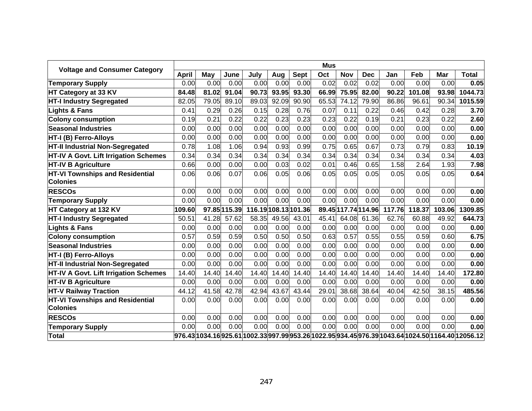| <b>Voltage and Consumer Category</b>         |              |       |              |                      |       |             | <b>Mus</b> |                   |            |        |        |        |                                                                                                    |
|----------------------------------------------|--------------|-------|--------------|----------------------|-------|-------------|------------|-------------------|------------|--------|--------|--------|----------------------------------------------------------------------------------------------------|
|                                              | <b>April</b> | May   | June         | July                 | Aug   | <b>Sept</b> | Oct        | Nov               | <b>Dec</b> | Jan    | Feb    | Mar    | <b>Total</b>                                                                                       |
| <b>Temporary Supply</b>                      | 0.00         | 0.00  | 0.00         | 0.00                 | 0.00  | 0.00        | 0.02       | 0.02              | 0.02       | 0.00   | 0.00   | 0.00   | 0.05                                                                                               |
| HT Category at 33 KV                         | 84.48        | 81.02 | 91.04        | 90.73                | 93.95 | 93.30       | 66.99      | 75.95             | 82.00      | 90.22  | 101.08 | 93.98  | 1044.73                                                                                            |
| <b>HT-I Industry Segregated</b>              | 82.05        | 79.05 | 89.10        | 89.03                | 92.09 | 90.90       | 65.53      | 74.12             | 79.90      | 86.86  | 96.61  | 90.34  | 1015.59                                                                                            |
| <b>Lights &amp; Fans</b>                     | 0.41         | 0.29  | 0.26         | 0.15                 | 0.28  | 0.76        | 0.07       | 0.11              | 0.22       | 0.46   | 0.42   | 0.28   | 3.70                                                                                               |
| <b>Colony consumption</b>                    | 0.19         | 0.21  | 0.22         | 0.22                 | 0.23  | 0.23        | 0.23       | 0.22              | 0.19       | 0.21   | 0.23   | 0.22   | 2.60                                                                                               |
| <b>Seasonal Industries</b>                   | 0.00         | 0.00  | 0.00         | 0.00                 | 0.00  | 0.00        | 0.00       | 0.00              | 0.00       | 0.00   | 0.00   | 0.00   | 0.00                                                                                               |
| <b>HT-I (B) Ferro-Alloys</b>                 | 0.00         | 0.00  | 0.00         | 0.00                 | 0.00  | 0.00        | 0.00       | 0.00              | 0.00       | 0.00   | 0.00   | 0.00   | 0.00                                                                                               |
| <b>HT-II Industrial Non-Segregated</b>       | 0.78         | 1.08  | 1.06         | 0.94                 | 0.93  | 0.99        | 0.75       | 0.65              | 0.67       | 0.73   | 0.79   | 0.83   | 10.19                                                                                              |
| HT-IV A Govt. Lift Irrigation Schemes        | 0.34         | 0.34  | 0.34         | 0.34                 | 0.34  | 0.34        | 0.34       | 0.34              | 0.34       | 0.34   | 0.34   | 0.34   | 4.03                                                                                               |
| <b>HT-IV B Agriculture</b>                   | 0.66         | 0.00  | 0.00         | 0.00                 | 0.03  | 0.02        | 0.01       | 0.46              | 0.65       | 1.58   | 2.64   | 1.93   | 7.98                                                                                               |
| HT-VI Townships and Residential              | 0.06         | 0.06  | 0.07         | 0.06                 | 0.05  | 0.06        | 0.05       | 0.05              | 0.05       | 0.05   | 0.05   | 0.05   | 0.64                                                                                               |
| <b>Colonies</b>                              |              |       |              |                      |       |             |            |                   |            |        |        |        |                                                                                                    |
| <b>RESCOs</b>                                | 0.00         | 0.00  | 0.00         | 0.00                 | 0.00  | 0.00        | 0.00       | 0.00              | 0.00       | 0.00   | 0.00   | 0.00   | 0.00                                                                                               |
| <b>Temporary Supply</b>                      | 0.00         | 0.00  | 0.00         | 0.00                 | 0.00  | 0.00        | 0.00       | 0.00              | 0.00       | 0.00   | 0.00   | 0.00   | 0.00                                                                                               |
| HT Category at 132 KV                        | 109.60       |       | 97.85 115.39 | 116.19 108.13 101.36 |       |             |            | 89.45 17.74 14.96 |            | 117.76 | 118.37 | 103.06 | 1309.85                                                                                            |
| <b>HT-I Industry Segregated</b>              | 50.51        | 41.28 | 57.62        | 58.35                | 49.56 | 43.01       | 45.41      | 64.08             | 61.36      | 62.76  | 60.88  | 49.92  | 644.73                                                                                             |
| <b>Lights &amp; Fans</b>                     | 0.00         | 0.00  | 0.00         | 0.00                 | 0.00  | 0.00        | 0.00       | 0.00              | 0.00       | 0.00   | 0.00   | 0.00   | 0.00                                                                                               |
| <b>Colony consumption</b>                    | 0.57         | 0.59  | 0.59         | 0.50                 | 0.50  | 0.50        | 0.63       | 0.57              | 0.55       | 0.55   | 0.59   | 0.60   | 6.75                                                                                               |
| <b>Seasonal Industries</b>                   | 0.00         | 0.00  | 0.00         | 0.00                 | 0.00  | 0.00        | 0.00       | 0.00              | 0.00       | 0.00   | 0.00   | 0.00   | 0.00                                                                                               |
| <b>HT-I (B) Ferro-Alloys</b>                 | 0.00         | 0.00  | 0.00         | 0.00                 | 0.00  | 0.00        | 0.00       | 0.00              | 0.00       | 0.00   | 0.00   | 0.00   | 0.00                                                                                               |
| HT-II Industrial Non-Segregated              | 0.00         | 0.00  | 0.00         | 0.00                 | 0.00  | 0.00        | 0.00       | 0.00              | 0.00       | 0.00   | 0.00   | 0.00   | 0.00                                                                                               |
| <b>HT-IV A Govt. Lift Irrigation Schemes</b> | 14.40        | 14.40 | 14.40        | 14.40                | 14.40 | 14.40       | 14.40      | 14.40             | 14.40      | 14.40  | 14.40  | 14.40  | 172.80                                                                                             |
| <b>HT-IV B Agriculture</b>                   | 0.00         | 0.00  | 0.00         | 0.00                 | 0.00  | 0.00        | 0.00       | 0.00              | 0.00       | 0.00   | 0.00   | 0.00   | 0.00                                                                                               |
| <b>HT-V Railway Traction</b>                 | 44.12        | 41.58 | 42.78        | 42.94                | 43.67 | 43.44       | 29.01      | 38.68             | 38.64      | 40.04  | 42.50  | 38.15  | 485.56                                                                                             |
| HT-VI Townships and Residential              | 0.00         | 0.00  | 0.00         | 0.00                 | 0.00  | 0.00        | 0.00       | 0.00              | 0.00       | 0.00   | 0.00   | 0.00   | 0.00                                                                                               |
| <b>Colonies</b>                              |              |       |              |                      |       |             |            |                   |            |        |        |        |                                                                                                    |
| <b>RESCOs</b>                                | 0.00         | 0.00  | 0.00         | 0.00                 | 0.00  | 0.00        | 0.00       | 0.00              | 0.00       | 0.00   | 0.00   | 0.00   | 0.00                                                                                               |
| <b>Temporary Supply</b>                      | 0.00         | 0.00  | 0.00         | 0.00                 | 0.00  | 0.00        | 0.00       | 0.00              | 0.00       | 0.00   | 0.00   | 0.00   | 0.00                                                                                               |
| Total                                        |              |       |              |                      |       |             |            |                   |            |        |        |        | 976.43 1034.16 925.61 1002.33 997.99 953.26 1022.95 934.45 976.39 1043.64 1024.50 1164.40 12056.12 |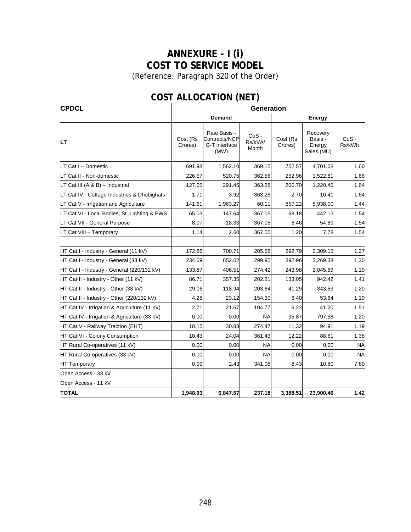# **ANNEXURE - I (i) COST TO SERVICE MODEL**

(Reference: Paragraph [320](#page-133-0) of the Order)

| <b>CPDCL</b>                                 | <b>Generation</b>   |                                                        |                             |                     |                                             |                   |  |  |  |  |
|----------------------------------------------|---------------------|--------------------------------------------------------|-----------------------------|---------------------|---------------------------------------------|-------------------|--|--|--|--|
|                                              |                     | Demand                                                 |                             | Energy              |                                             |                   |  |  |  |  |
| LТ                                           | Cost (Rs<br>Crores) | Rate Basis -<br>Contracts/NCP<br>G-T interface<br>(MW) | $CoS -$<br>Rs/kVA/<br>Month | Cost (Rs<br>Crores) | Recovery<br>Basis -<br>Energy<br>Sales (MU) | $CoS -$<br>Rs/kWh |  |  |  |  |
| LT Cat I - Domestic                          | 691.98              | 1,562.10                                               | 369.15                      | 752.57              | 4,701.08                                    | 1.60              |  |  |  |  |
| LT Cat II - Non-domestic                     | 226.57              | 520.75                                                 | 362.56                      | 252.96              | 1,522.81                                    | 1.66              |  |  |  |  |
| LT Cat III (A & B) - Industrial              | 127.05              | 291.45                                                 | 363.28                      | 200.70              | 1,220.45                                    | 1.64              |  |  |  |  |
| LT Cat IV - Cottage Industries & Dhobighats  | 1.71                | 3.92                                                   | 363.28                      | 2.70                | 16.41                                       | 1.64              |  |  |  |  |
| LT Cat V - Irrigation and Agriculture        | 141.61              | 1,963.27                                               | 60.11                       | 857.22              | 5,938.00                                    | 1.44              |  |  |  |  |
| LT Cat VI - Local Bodies, St. Lighting & PWS | 65.03               | 147.64                                                 | 367.05                      | 68.18               | 442.13                                      | 1.54              |  |  |  |  |
| LT Cat VII - General Purpose                 | 8.07                | 18.33                                                  | 367.05                      | 8.46                | 54.89                                       | 1.54              |  |  |  |  |
| LT Cat VIII - Temporary                      | 1.14                | 2.60                                                   | 367.05                      | 1.20                | 7.78                                        | 1.54              |  |  |  |  |
| HT Cat I - Industry - General (11 kV)        | 172.86              | 700.71                                                 | 205.58                      | 292.79              | 2,309.15                                    | 1.27              |  |  |  |  |
| HT Cat I - Industry - General (33 kV)        | 234.69              | 652.02                                                 | 299.95                      | 392.96              | 3,269.38                                    | 1.20              |  |  |  |  |
| HT Cat I - Industry - General (220/132 kV)   | 133.87              | 406.51                                                 | 274.42                      | 243.98              | 2,045.69                                    | 1.19              |  |  |  |  |
| HT Cat II - Industry - Other (11 kV)         | 86.71               | 357.35                                                 | 202.21                      | 133.05              | 942.42                                      | 1.41              |  |  |  |  |
| HT Cat II - Industry - Other (33 kV)         | 29.06               | 118.94                                                 | 203.64                      | 41.29               | 343.53                                      | 1.20              |  |  |  |  |
| HT Cat II - Industry - Other (220/132 kV)    | 4.28                | 23.12                                                  | 154.30                      | 6.40                | 53.64                                       | 1.19              |  |  |  |  |
| HT Cat IV - Irrigation & Agriculture (11 kV) | 2.71                | 21.57                                                  | 104.77                      | 6.23                | 41.20                                       | 1.51              |  |  |  |  |
| HT Cat IV - Irrigation & Agriculture (33 kV) | 0.00                | 0.00                                                   | <b>NA</b>                   | 95.87               | 797.58                                      | 1.20              |  |  |  |  |
| HT Cat V - Railway Traction (EHT)            | 10.15               | 30.83                                                  | 274.47                      | 11.32               | 94.91                                       | 1.19              |  |  |  |  |
| HT Cat VI - Colony Consumption               | 10.43               | 24.04                                                  | 361.43                      | 12.22               | 88.61                                       | 1.38              |  |  |  |  |
| HT Rural Co-operatives (11 kV)               | 0.00                | 0.00                                                   | <b>NA</b>                   | 0.00                | 0.00                                        | <b>NA</b>         |  |  |  |  |
| HT Rural Co-operatives (33 kV)               | 0.00                | 0.00                                                   | <b>NA</b>                   | 0.00                | 0.00                                        | <b>NA</b>         |  |  |  |  |
| <b>HT Temporary</b>                          | 0.99                | 2.43                                                   | 341.08                      | 8.43                | 10.80                                       | 7.80              |  |  |  |  |
| Open Access - 33 kV                          |                     |                                                        |                             |                     |                                             |                   |  |  |  |  |
| Open Access - 11 kV                          |                     |                                                        |                             |                     |                                             |                   |  |  |  |  |
| <b>TOTAL</b>                                 | 1,948.93            | 6,847.57                                               | 237.18                      | 3,388.51            | 23,900.46                                   | 1.42              |  |  |  |  |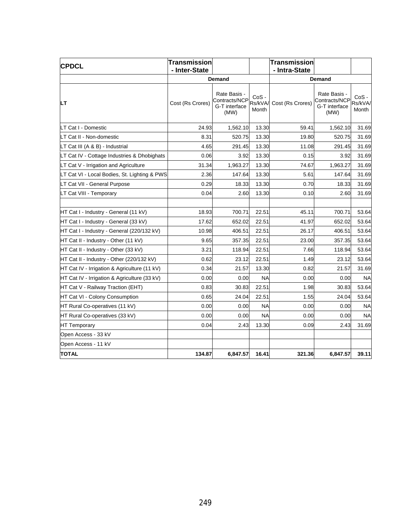| <b>CPDCL</b>                                 | <b>Transmission</b> |                                                        |                            | <b>Transmission</b> |                                                        |                             |
|----------------------------------------------|---------------------|--------------------------------------------------------|----------------------------|---------------------|--------------------------------------------------------|-----------------------------|
|                                              | - Inter-State       |                                                        |                            | - Intra-State       |                                                        |                             |
|                                              |                     | Demand                                                 |                            |                     | <b>Demand</b>                                          |                             |
| LТ                                           | Cost (Rs Crores)    | Rate Basis -<br>Contracts/NCP<br>G-T interface<br>(MW) | $CoS -$<br>Rs/kVA<br>Month | Cost (Rs Crores)    | Rate Basis -<br>Contracts/NCP<br>G-T interface<br>(MW) | $CoS -$<br>Rs/kVA/<br>Month |
| LT Cat I - Domestic                          | 24.93               | 1,562.10                                               | 13.30                      | 59.41               | 1,562.10                                               | 31.69                       |
| LT Cat II - Non-domestic                     | 8.31                | 520.75                                                 | 13.30                      | 19.80               | 520.75                                                 | 31.69                       |
| LT Cat III (A & B) - Industrial              | 4.65                | 291.45                                                 | 13.30                      | 11.08               | 291.45                                                 | 31.69                       |
| LT Cat IV - Cottage Industries & Dhobighats  | 0.06                | 3.92                                                   | 13.30                      | 0.15                | 3.92                                                   | 31.69                       |
| LT Cat V - Irrigation and Agriculture        | 31.34               | 1,963.27                                               | 13.30                      | 74.67               | 1,963.27                                               | 31.69                       |
| LT Cat VI - Local Bodies, St. Lighting & PWS | 2.36                | 147.64                                                 | 13.30                      | 5.61                | 147.64                                                 | 31.69                       |
| LT Cat VII - General Purpose                 | 0.29                | 18.33                                                  | 13.30                      | 0.70                | 18.33                                                  | 31.69                       |
| LT Cat VIII - Temporary                      | 0.04                | 2.60                                                   | 13.30                      | 0.10                | 2.60                                                   | 31.69                       |
|                                              |                     |                                                        |                            |                     |                                                        |                             |
| HT Cat I - Industry - General (11 kV)        | 18.93               | 700.71                                                 | 22.51                      | 45.11               | 700.71                                                 | 53.64                       |
| HT Cat I - Industry - General (33 kV)        | 17.62               | 652.02                                                 | 22.51                      | 41.97               | 652.02                                                 | 53.64                       |
| HT Cat I - Industry - General (220/132 kV)   | 10.98               | 406.51                                                 | 22.51                      | 26.17               | 406.51                                                 | 53.64                       |
| HT Cat II - Industry - Other (11 kV)         | 9.65                | 357.35                                                 | 22.51                      | 23.00               | 357.35                                                 | 53.64                       |
| HT Cat II - Industry - Other (33 kV)         | 3.21                | 118.94                                                 | 22.51                      | 7.66                | 118.94                                                 | 53.64                       |
| HT Cat II - Industry - Other (220/132 kV)    | 0.62                | 23.12                                                  | 22.51                      | 1.49                | 23.12                                                  | 53.64                       |
| HT Cat IV - Irrigation & Agriculture (11 kV) | 0.34                | 21.57                                                  | 13.30                      | 0.82                | 21.57                                                  | 31.69                       |
| HT Cat IV - Irrigation & Agriculture (33 kV) | 0.00                | 0.00                                                   | <b>NA</b>                  | 0.00                | 0.00                                                   | <b>NA</b>                   |
| HT Cat V - Railway Traction (EHT)            | 0.83                | 30.83                                                  | 22.51                      | 1.98                | 30.83                                                  | 53.64                       |
| HT Cat VI - Colony Consumption               | 0.65                | 24.04                                                  | 22.51                      | 1.55                | 24.04                                                  | 53.64                       |
| HT Rural Co-operatives (11 kV)               | 0.00                | 0.00                                                   | <b>NA</b>                  | 0.00                | 0.00                                                   | <b>NA</b>                   |
| HT Rural Co-operatives (33 kV)               | 0.00                | 0.00                                                   | <b>NA</b>                  | 0.00                | 0.00                                                   | <b>NA</b>                   |
| <b>HT Temporary</b>                          | 0.04                | 2.43                                                   | 13.30                      | 0.09                | 2.43                                                   | 31.69                       |
| Open Access - 33 kV                          |                     |                                                        |                            |                     |                                                        |                             |
| Open Access - 11 kV                          |                     |                                                        |                            |                     |                                                        |                             |
| <b>TOTAL</b>                                 | 134.87              | 6,847.57                                               | 16.41                      | 321.36              | 6,847.57                                               | 39.11                       |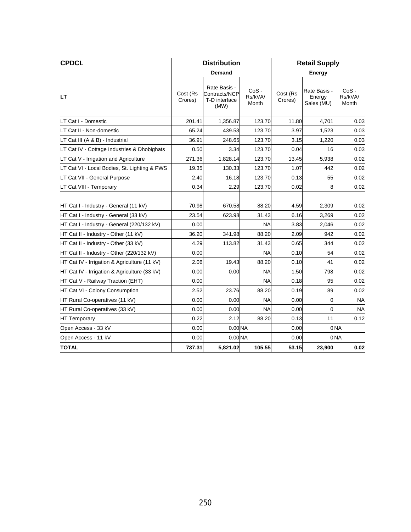| <b>CPDCL</b>                                 |                     | <b>Distribution</b>                                    |                             |                     | <b>Retail Supply</b>                 |                             |
|----------------------------------------------|---------------------|--------------------------------------------------------|-----------------------------|---------------------|--------------------------------------|-----------------------------|
|                                              |                     | <b>Demand</b>                                          |                             |                     | <b>Energy</b>                        |                             |
| LТ                                           | Cost (Rs<br>Crores) | Rate Basis -<br>Contracts/NCP<br>T-D interface<br>(MW) | $CoS -$<br>Rs/kVA/<br>Month | Cost (Rs<br>Crores) | Rate Basis -<br>Energy<br>Sales (MU) | $CoS -$<br>Rs/kVA/<br>Month |
| LT Cat I - Domestic                          | 201.41              | 1,356.87                                               | 123.70                      | 11.80               | 4,701                                | 0.03                        |
| LT Cat II - Non-domestic                     | 65.24               | 439.53                                                 | 123.70                      | 3.97                | 1,523                                | 0.03                        |
| LT Cat III (A & B) - Industrial              | 36.91               | 248.65                                                 | 123.70                      | 3.15                | 1,220                                | 0.03                        |
| LT Cat IV - Cottage Industries & Dhobighats  | 0.50                | 3.34                                                   | 123.70                      | 0.04                | 16                                   | 0.03                        |
| LT Cat V - Irrigation and Agriculture        | 271.36              | 1,828.14                                               | 123.70                      | 13.45               | 5,938                                | 0.02                        |
| LT Cat VI - Local Bodies, St. Lighting & PWS | 19.35               | 130.33                                                 | 123.70                      | 1.07                | 442                                  | 0.02                        |
| LT Cat VII - General Purpose                 | 2.40                | 16.18                                                  | 123.70                      | 0.13                | 55                                   | 0.02                        |
| LT Cat VIII - Temporary                      | 0.34                | 2.29                                                   | 123.70                      | 0.02                | 8                                    | 0.02                        |
|                                              |                     |                                                        |                             |                     |                                      |                             |
| HT Cat I - Industry - General (11 kV)        | 70.98               | 670.58                                                 | 88.20                       | 4.59                | 2,309                                | 0.02                        |
| HT Cat I - Industry - General (33 kV)        | 23.54               | 623.98                                                 | 31.43                       | 6.16                | 3,269                                | 0.02                        |
| HT Cat I - Industry - General (220/132 kV)   | 0.00                |                                                        | <b>NA</b>                   | 3.83                | 2,046                                | 0.02                        |
| HT Cat II - Industry - Other (11 kV)         | 36.20               | 341.98                                                 | 88.20                       | 2.09                | 942                                  | 0.02                        |
| HT Cat II - Industry - Other (33 kV)         | 4.29                | 113.82                                                 | 31.43                       | 0.65                | 344                                  | 0.02                        |
| HT Cat II - Industry - Other (220/132 kV)    | 0.00                |                                                        | <b>NA</b>                   | 0.10                | 54                                   | 0.02                        |
| HT Cat IV - Irrigation & Agriculture (11 kV) | 2.06                | 19.43                                                  | 88.20                       | 0.10                | 41                                   | 0.02                        |
| HT Cat IV - Irrigation & Agriculture (33 kV) | 0.00                | 0.00                                                   | <b>NA</b>                   | 1.50                | 798                                  | 0.02                        |
| HT Cat V - Railway Traction (EHT)            | 0.00                |                                                        | <b>NA</b>                   | 0.18                | 95                                   | 0.02                        |
| HT Cat VI - Colony Consumption               | 2.52                | 23.76                                                  | 88.20                       | 0.19                | 89                                   | 0.02                        |
| HT Rural Co-operatives (11 kV)               | 0.00                | 0.00                                                   | <b>NA</b>                   | 0.00                | 0                                    | <b>NA</b>                   |
| HT Rural Co-operatives (33 kV)               | 0.00                | 0.00                                                   | <b>NA</b>                   | 0.00                | $\mathbf 0$                          | <b>NA</b>                   |
| <b>HT Temporary</b>                          | 0.22                | 2.12                                                   | 88.20                       | 0.13                | 11                                   | 0.12                        |
| Open Access - 33 kV                          | 0.00                | 0.00 <sub>NA</sub>                                     |                             | 0.00                |                                      | 0 <sub>NA</sub>             |
| Open Access - 11 kV                          | 0.00                | 0.00 NA                                                |                             | 0.00                |                                      | 0 <sub>NA</sub>             |
| <b>TOTAL</b>                                 | 737.31              | 5,821.02                                               | 105.55                      | 53.15               | 23,900                               | 0.02                        |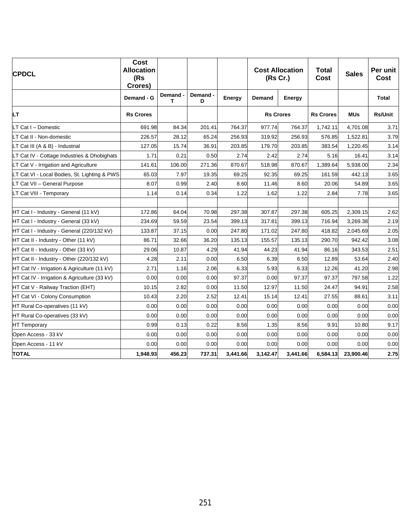| <b>CPDCL</b>                                 | Cost<br><b>Allocation</b><br>(Rs<br>Crores) |             |               |          | <b>Cost Allocation</b><br>(Rs Cr.) |          |                  |            |                |  | <b>Total</b><br><b>Cost</b> | <b>Sales</b> | Per unit<br>Cost |
|----------------------------------------------|---------------------------------------------|-------------|---------------|----------|------------------------------------|----------|------------------|------------|----------------|--|-----------------------------|--------------|------------------|
|                                              | Demand - G                                  | Demand<br>т | Demand -<br>D | Energy   | Demand                             | Energy   |                  |            | <b>Total</b>   |  |                             |              |                  |
| LТ                                           | <b>Rs Crores</b>                            |             |               |          | <b>Rs Crores</b>                   |          | <b>Rs Crores</b> | <b>MUs</b> | <b>Rs/Unit</b> |  |                             |              |                  |
| LT Cat I - Domestic                          | 691.98                                      | 84.34       | 201.41        | 764.37   | 977.74                             | 764.37   | 1,742.11         | 4,701.08   | 3.71           |  |                             |              |                  |
| LT Cat II - Non-domestic                     | 226.57                                      | 28.12       | 65.24         | 256.93   | 319.92                             | 256.93   | 576.85           | 1,522.81   | 3.79           |  |                             |              |                  |
| LT Cat III (A & B) - Industrial              | 127.05                                      | 15.74       | 36.91         | 203.85   | 179.70                             | 203.85   | 383.54           | 1,220.45   | 3.14           |  |                             |              |                  |
| LT Cat IV - Cottage Industries & Dhobighats  | 1.71                                        | 0.21        | 0.50          | 2.74     | 2.42                               | 2.74     | 5.16             | 16.41      | 3.14           |  |                             |              |                  |
| LT Cat V - Irrigation and Agriculture        | 141.61                                      | 106.00      | 271.36        | 870.67   | 518.98                             | 870.67   | 1,389.64         | 5,938.00   | 2.34           |  |                             |              |                  |
| LT Cat VI - Local Bodies, St. Lighting & PWS | 65.03                                       | 7.97        | 19.35         | 69.25    | 92.35                              | 69.25    | 161.59           | 442.13     | 3.65           |  |                             |              |                  |
| LT Cat VII - General Purpose                 | 8.07                                        | 0.99        | 2.40          | 8.60     | 11.46                              | 8.60     | 20.06            | 54.89      | 3.65           |  |                             |              |                  |
| LT Cat VIII - Temporary                      | 1.14                                        | 0.14        | 0.34          | 1.22     | 1.62                               | 1.22     | 2.84             | 7.78       | 3.65           |  |                             |              |                  |
|                                              |                                             |             |               |          |                                    |          |                  |            |                |  |                             |              |                  |
| HT Cat I - Industry - General (11 kV)        | 172.86                                      | 64.04       | 70.98         | 297.38   | 307.87                             | 297.38   | 605.25           | 2,309.15   | 2.62           |  |                             |              |                  |
| HT Cat I - Industry - General (33 kV)        | 234.69                                      | 59.59       | 23.54         | 399.13   | 317.81                             | 399.13   | 716.94           | 3,269.38   | 2.19           |  |                             |              |                  |
| HT Cat I - Industry - General (220/132 kV)   | 133.87                                      | 37.15       | 0.00          | 247.80   | 171.02                             | 247.80   | 418.82           | 2,045.69   | 2.05           |  |                             |              |                  |
| HT Cat II - Industry - Other (11 kV)         | 86.71                                       | 32.66       | 36.20         | 135.13   | 155.57                             | 135.13   | 290.70           | 942.42     | 3.08           |  |                             |              |                  |
| HT Cat II - Industry - Other (33 kV)         | 29.06                                       | 10.87       | 4.29          | 41.94    | 44.23                              | 41.94    | 86.16            | 343.53     | 2.51           |  |                             |              |                  |
| HT Cat II - Industry - Other (220/132 kV)    | 4.28                                        | 2.11        | 0.00          | 6.50     | 6.39                               | 6.50     | 12.89            | 53.64      | 2.40           |  |                             |              |                  |
| HT Cat IV - Irrigation & Agriculture (11 kV) | 2.71                                        | 1.16        | 2.06          | 6.33     | 5.93                               | 6.33     | 12.26            | 41.20      | 2.98           |  |                             |              |                  |
| HT Cat IV - Irrigation & Agriculture (33 kV) | 0.00                                        | 0.00        | 0.00          | 97.37    | 0.00                               | 97.37    | 97.37            | 797.58     | 1.22           |  |                             |              |                  |
| HT Cat V - Railway Traction (EHT)            | 10.15                                       | 2.82        | 0.00          | 11.50    | 12.97                              | 11.50    | 24.47            | 94.91      | 2.58           |  |                             |              |                  |
| HT Cat VI - Colony Consumption               | 10.43                                       | 2.20        | 2.52          | 12.41    | 15.14                              | 12.41    | 27.55            | 88.61      | 3.11           |  |                             |              |                  |
| HT Rural Co-operatives (11 kV)               | 0.00                                        | 0.00        | 0.00          | 0.00     | 0.00                               | 0.00     | 0.00             | 0.00       | 0.00           |  |                             |              |                  |
| HT Rural Co-operatives (33 kV)               | 0.00                                        | 0.00        | 0.00          | 0.00     | 0.00                               | 0.00     | 0.00             | 0.00       | 0.00           |  |                             |              |                  |
| <b>HT Temporary</b>                          | 0.99                                        | 0.13        | 0.22          | 8.56     | 1.35                               | 8.56     | 9.91             | 10.80      | 9.17           |  |                             |              |                  |
| Open Access - 33 kV                          | 0.00                                        | 0.00        | 0.00          | 0.00     | 0.00                               | 0.00     | 0.00             | 0.00       | 0.00           |  |                             |              |                  |
| Open Access - 11 kV                          | 0.00                                        | 0.00        | 0.00          | 0.00     | 0.00                               | 0.00     | 0.00             | 0.00       | 0.00           |  |                             |              |                  |
| <b>TOTAL</b>                                 | 1,948.93                                    | 456.23      | 737.31        | 3,441.66 | 3,142.47                           | 3,441.66 | 6,584.13         | 23,900.46  | 2.75           |  |                             |              |                  |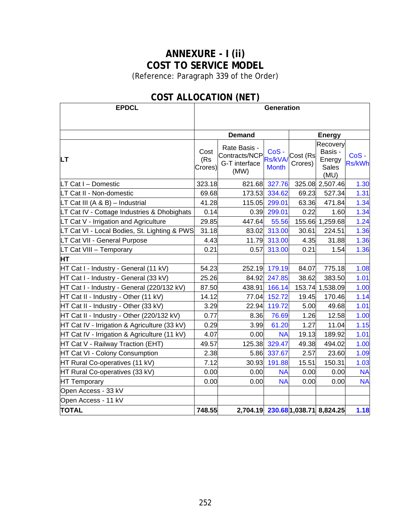## **ANNEXURE - I (ii) COST TO SERVICE MODEL**

(Reference: Paragraph [339](#page-144-0) of the Order)

| <b>EPDCL</b>                                 | <b>Generation</b>      |                                                        |                                 |                     |                                                       |                       |  |  |  |  |
|----------------------------------------------|------------------------|--------------------------------------------------------|---------------------------------|---------------------|-------------------------------------------------------|-----------------------|--|--|--|--|
|                                              |                        |                                                        |                                 |                     |                                                       |                       |  |  |  |  |
|                                              |                        | <b>Demand</b>                                          |                                 |                     | <b>Energy</b>                                         |                       |  |  |  |  |
| <b>LT</b>                                    | Cost<br>(Rs<br>Crores) | Rate Basis -<br>Contracts/NCP<br>G-T interface<br>(MW) | CoS-<br>Rs/kVA/<br><b>Month</b> | Cost (Rs<br>Crores) | Recovery<br>Basis -<br>Energy<br><b>Sales</b><br>(MU) | CoS-<br><b>Rs/kWh</b> |  |  |  |  |
| LT Cat I - Domestic                          | 323.18                 | 821.68                                                 | 327.76                          |                     | 325.08 2,507.46                                       | 1.30                  |  |  |  |  |
| LT Cat II - Non-domestic                     | 69.68                  | 173.53                                                 | 334.62                          | 69.23               | 527.34                                                | 1.31                  |  |  |  |  |
| LT Cat III (A & B) - Industrial              | 41.28                  | 115.05                                                 | 299.01                          | 63.36               | 471.84                                                | 1.34                  |  |  |  |  |
| LT Cat IV - Cottage Industries & Dhobighats  | 0.14                   | 0.39                                                   | 299.01                          | 0.22                | 1.60                                                  | 1.34                  |  |  |  |  |
| LT Cat V - Irrigation and Agriculture        | 29.85                  | 447.64                                                 | 55.56                           | 155.66              | 1,259.68                                              | 1.24                  |  |  |  |  |
| LT Cat VI - Local Bodies, St. Lighting & PWS | 31.18                  | 83.02                                                  | 313.00                          | 30.61               | 224.51                                                | 1.36                  |  |  |  |  |
| LT Cat VII - General Purpose                 | 4.43                   | 11.79                                                  | 313.00                          | 4.35                | 31.88                                                 | 1.36                  |  |  |  |  |
| LT Cat VIII - Temporary                      | 0.21                   | 0.57                                                   | 313.00                          | 0.21                | 1.54                                                  | 1.36                  |  |  |  |  |
| HТ                                           |                        |                                                        |                                 |                     |                                                       |                       |  |  |  |  |
| HT Cat I - Industry - General (11 kV)        | 54.23                  | 252.19                                                 | 179.19                          | 84.07               | 775.18                                                | 1.08                  |  |  |  |  |
| HT Cat I - Industry - General (33 kV)        | 25.26                  | 84.92                                                  | 247.85                          | 38.62               | 383.50                                                | 1.01                  |  |  |  |  |
| HT Cat I - Industry - General (220/132 kV)   | 87.50                  | 438.91                                                 | 166.14                          |                     | 153.74 1,538.09                                       | 1.00                  |  |  |  |  |
| HT Cat II - Industry - Other (11 kV)         | 14.12                  | 77.04                                                  | 152.72                          | 19.45               | 170.46                                                | 1.14                  |  |  |  |  |
| HT Cat II - Industry - Other (33 kV)         | 3.29                   | 22.94                                                  | 119.72                          | 5.00                | 49.68                                                 | 1.01                  |  |  |  |  |
| HT Cat II - Industry - Other (220/132 kV)    | 0.77                   | 8.36                                                   | 76.69                           | 1.26                | 12.58                                                 | 1.00                  |  |  |  |  |
| HT Cat IV - Irrigation & Agriculture (33 kV) | 0.29                   | 3.99                                                   | 61.20                           | 1.27                | 11.04                                                 | 1.15                  |  |  |  |  |
| HT Cat IV - Irrigation & Agriculture (11 kV) | 4.07                   | 0.00                                                   | <b>NA</b>                       | 19.13               | 189.92                                                | 1.01                  |  |  |  |  |
| HT Cat V - Railway Traction (EHT)            | 49.57                  | 125.38                                                 | 329.47                          | 49.38               | 494.02                                                | 1.00                  |  |  |  |  |
| HT Cat VI - Colony Consumption               | 2.38                   | 5.86                                                   | 337.67                          | 2.57                | 23.60                                                 | 1.09                  |  |  |  |  |
| HT Rural Co-operatives (11 kV)               | 7.12                   | 30.93                                                  | 191.88                          | 15.51               | 150.31                                                | 1.03                  |  |  |  |  |
| HT Rural Co-operatives (33 kV)               | 0.00                   | 0.00                                                   | <b>NA</b>                       | 0.00                | 0.00                                                  | <b>NA</b>             |  |  |  |  |
| <b>HT Temporary</b>                          | 0.00                   | 0.00                                                   | <b>NA</b>                       | 0.00                | 0.00                                                  | <b>NA</b>             |  |  |  |  |
| Open Access - 33 kV                          |                        |                                                        |                                 |                     |                                                       |                       |  |  |  |  |
| Open Access - 11 kV                          |                        |                                                        |                                 |                     |                                                       |                       |  |  |  |  |
| <b>TOTAL</b>                                 | 748.55                 |                                                        |                                 |                     | 2,704.19 230.68 1,038.71 8,824.25                     | 1.18                  |  |  |  |  |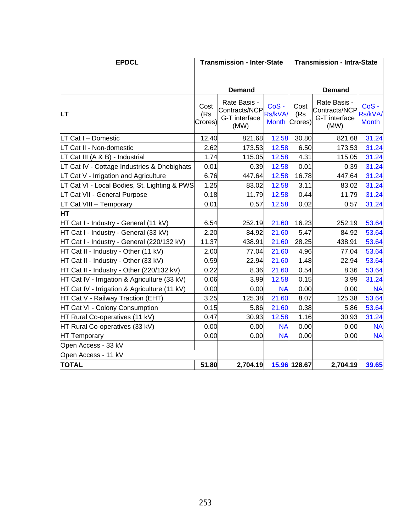| <b>EPDCL</b>                                 |                        | <b>Transmission - Inter-State</b>                      |                                 | <b>Transmission - Intra-State</b> |                                                        |                                           |  |  |
|----------------------------------------------|------------------------|--------------------------------------------------------|---------------------------------|-----------------------------------|--------------------------------------------------------|-------------------------------------------|--|--|
|                                              |                        |                                                        |                                 |                                   |                                                        |                                           |  |  |
|                                              |                        | <b>Demand</b>                                          |                                 |                                   | <b>Demand</b>                                          |                                           |  |  |
| <b>LT</b>                                    | Cost<br>(Rs<br>Crores) | Rate Basis -<br>Contracts/NCP<br>G-T interface<br>(MW) | CoS-<br>Rs/kVA/<br><b>Month</b> | Cost<br>(Rs)<br>Crores)           | Rate Basis -<br>Contracts/NCP<br>G-T interface<br>(MW) | $CoS -$<br><b>Rs/kVA/</b><br><b>Month</b> |  |  |
| LT Cat I - Domestic                          | 12.40                  | 821.68                                                 | 12.58                           | 30.80                             | 821.68                                                 | 31.24                                     |  |  |
| LT Cat II - Non-domestic                     | 2.62                   | 173.53                                                 | 12.58                           | 6.50                              | 173.53                                                 | 31.24                                     |  |  |
| LT Cat III (A & B) - Industrial              | 1.74                   | 115.05                                                 | 12.58                           | 4.31                              | 115.05                                                 | 31.24                                     |  |  |
| LT Cat IV - Cottage Industries & Dhobighats  | 0.01                   | 0.39                                                   | 12.58                           | 0.01                              | 0.39                                                   | 31.24                                     |  |  |
| LT Cat V - Irrigation and Agriculture        | 6.76                   | 447.64                                                 | 12.58                           | 16.78                             | 447.64                                                 | 31.24                                     |  |  |
| LT Cat VI - Local Bodies, St. Lighting & PWS | 1.25                   | 83.02                                                  | 12.58                           | 3.11                              | 83.02                                                  | 31.24                                     |  |  |
| LT Cat VII - General Purpose                 | 0.18                   | 11.79                                                  | 12.58                           | 0.44                              | 11.79                                                  | 31.24                                     |  |  |
| LT Cat VIII - Temporary                      | 0.01                   | 0.57                                                   | 12.58                           | 0.02                              | 0.57                                                   | 31.24                                     |  |  |
| <b>HT</b>                                    |                        |                                                        |                                 |                                   |                                                        |                                           |  |  |
| HT Cat I - Industry - General (11 kV)        | 6.54                   | 252.19                                                 | 21.60                           | 16.23                             | 252.19                                                 | 53.64                                     |  |  |
| HT Cat I - Industry - General (33 kV)        | 2.20                   | 84.92                                                  | 21.60                           | 5.47                              | 84.92                                                  | 53.64                                     |  |  |
| HT Cat I - Industry - General (220/132 kV)   | 11.37                  | 438.91                                                 | 21.60                           | 28.25                             | 438.91                                                 | 53.64                                     |  |  |
| HT Cat II - Industry - Other (11 kV)         | 2.00                   | 77.04                                                  | 21.60                           | 4.96                              | 77.04                                                  | 53.64                                     |  |  |
| HT Cat II - Industry - Other (33 kV)         | 0.59                   | 22.94                                                  | 21.60                           | 1.48                              | 22.94                                                  | 53.64                                     |  |  |
| HT Cat II - Industry - Other (220/132 kV)    | 0.22                   | 8.36                                                   | 21.60                           | 0.54                              | 8.36                                                   | 53.64                                     |  |  |
| HT Cat IV - Irrigation & Agriculture (33 kV) | 0.06                   | 3.99                                                   | 12.58                           | 0.15                              | 3.99                                                   | 31.24                                     |  |  |
| HT Cat IV - Irrigation & Agriculture (11 kV) | 0.00                   | 0.00                                                   | <b>NA</b>                       | 0.00                              | 0.00                                                   | <b>NA</b>                                 |  |  |
| HT Cat V - Railway Traction (EHT)            | 3.25                   | 125.38                                                 | 21.60                           | 8.07                              | 125.38                                                 | 53.64                                     |  |  |
| HT Cat VI - Colony Consumption               | 0.15                   | 5.86                                                   | 21.60                           | 0.38                              | 5.86                                                   | 53.64                                     |  |  |
| HT Rural Co-operatives (11 kV)               | 0.47                   | 30.93                                                  | 12.58                           | 1.16                              | 30.93                                                  | 31.24                                     |  |  |
| HT Rural Co-operatives (33 kV)               | 0.00                   | 0.00                                                   | <b>NA</b>                       | 0.00                              | 0.00                                                   | <b>NA</b>                                 |  |  |
| <b>HT Temporary</b>                          | 0.00                   | 0.00                                                   | <b>NA</b>                       | 0.00                              | 0.00                                                   | <b>NA</b>                                 |  |  |
| Open Access - 33 kV                          |                        |                                                        |                                 |                                   |                                                        |                                           |  |  |
| Open Access - 11 kV                          |                        |                                                        |                                 |                                   |                                                        |                                           |  |  |
| <b>TOTAL</b>                                 | 51.80                  | 2,704.19                                               |                                 | 15.96 128.67                      | 2,704.19                                               | 39.65                                     |  |  |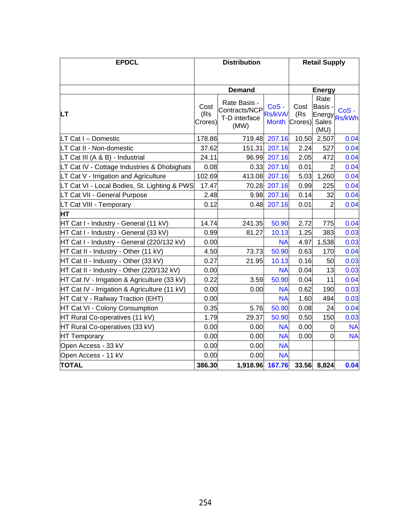| <b>EPDCL</b>                                 |                        | <b>Distribution</b>                                    |                                 | <b>Retail Supply</b>   |                                                        |                          |  |
|----------------------------------------------|------------------------|--------------------------------------------------------|---------------------------------|------------------------|--------------------------------------------------------|--------------------------|--|
|                                              |                        |                                                        |                                 |                        |                                                        |                          |  |
|                                              |                        | <b>Demand</b>                                          |                                 |                        | <b>Energy</b>                                          |                          |  |
| <b>LT</b>                                    | Cost<br>(Rs<br>Crores) | Rate Basis -<br>Contracts/NCP<br>T-D interface<br>(MW) | CoS-<br>Rs/kVA/<br><b>Month</b> | Cost<br>(Rs<br>Crores) | Rate<br><b>Basis</b><br>Energy<br><b>Sales</b><br>(MU) | $CoS -$<br><b>Rs/kWh</b> |  |
| LT Cat I - Domestic                          | 178.86                 | 719.48                                                 | 207.16                          | 10.50                  | 2,507                                                  | 0.04                     |  |
| LT Cat II - Non-domestic                     | 37.62                  | 151.31                                                 | 207.16                          | 2.24                   | 527                                                    | 0.04                     |  |
| LT Cat III (A & B) - Industrial              | 24.11                  | 96.99                                                  | 207.16                          | 2.05                   | 472                                                    | 0.04                     |  |
| LT Cat IV - Cottage Industries & Dhobighats  | 0.08                   | 0.33                                                   | 207.16                          | 0.01                   | 2                                                      | 0.04                     |  |
| LT Cat V - Irrigation and Agriculture        | 102.69                 | 413.08                                                 | 207.16                          | 5.03                   | 1,260                                                  | 0.04                     |  |
| LT Cat VI - Local Bodies, St. Lighting & PWS | 17.47                  | 70.28                                                  | 207.16                          | 0.99                   | 225                                                    | 0.04                     |  |
| LT Cat VII - General Purpose                 | 2.48                   | 9.98                                                   | 207.16                          | 0.14                   | 32                                                     | 0.04                     |  |
| LT Cat VIII - Temporary                      | 0.12                   | 0.48                                                   | 207.16                          | 0.01                   | 2                                                      | 0.04                     |  |
| HТ                                           |                        |                                                        |                                 |                        |                                                        |                          |  |
| HT Cat I - Industry - General (11 kV)        | 14.74                  | 241.35                                                 | 50.90                           | 2.72                   | 775                                                    | 0.04                     |  |
| HT Cat I - Industry - General (33 kV)        | 0.99                   | 81.27                                                  | 10.13                           | 1.25                   | 383                                                    | 0.03                     |  |
| HT Cat I - Industry - General (220/132 kV)   | 0.00                   |                                                        | <b>NA</b>                       | 4.97                   | 1,538                                                  | 0.03                     |  |
| HT Cat II - Industry - Other (11 kV)         | 4.50                   | 73.73                                                  | 50.90                           | 0.63                   | 170                                                    | 0.04                     |  |
| HT Cat II - Industry - Other (33 kV)         | 0.27                   | 21.95                                                  | 10.13                           | 0.16                   | 50                                                     | 0.03                     |  |
| HT Cat II - Industry - Other (220/132 kV)    | 0.00                   |                                                        | <b>NA</b>                       | 0.04                   | 13                                                     | 0.03                     |  |
| HT Cat IV - Irrigation & Agriculture (33 kV) | 0.22                   | 3.59                                                   | 50.90                           | 0.04                   | 11                                                     | 0.04                     |  |
| HT Cat IV - Irrigation & Agriculture (11 kV) | 0.00                   | 0.00                                                   | <b>NA</b>                       | 0.62                   | 190                                                    | 0.03                     |  |
| HT Cat V - Railway Traction (EHT)            | 0.00                   |                                                        | <b>NA</b>                       | 1.60                   | 494                                                    | 0.03                     |  |
| HT Cat VI - Colony Consumption               | 0.35                   | 5.76                                                   | 50.90                           | 0.08                   | 24                                                     | 0.04                     |  |
| HT Rural Co-operatives (11 kV)               | 1.79                   | 29.37                                                  | 50.90                           | 0.50                   | 150                                                    | 0.03                     |  |
| HT Rural Co-operatives (33 kV)               | 0.00                   | 0.00                                                   | <b>NA</b>                       | 0.00                   | 0                                                      | <b>NA</b>                |  |
| <b>HT Temporary</b>                          | 0.00                   | 0.00                                                   | <b>NA</b>                       | 0.00                   | $\overline{0}$                                         | <b>NA</b>                |  |
| Open Access - 33 kV                          | 0.00                   | 0.00                                                   | <b>NA</b>                       |                        |                                                        |                          |  |
| Open Access - 11 kV                          | 0.00                   | 0.00                                                   | <b>NA</b>                       |                        |                                                        |                          |  |
| <b>TOTAL</b>                                 | 386.30                 | 1,918.96 167.76                                        |                                 |                        | 33.56 8,824                                            | 0.04                     |  |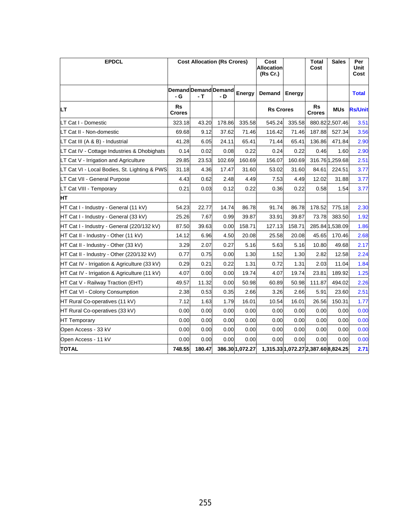| <b>EPDCL</b>                                 |                            | <b>Cost Allocation (Rs Crores)</b> |        |                 | Cost<br><b>Allocation</b><br>(Rs Cr.) |                                     | <b>Total</b><br>Cost | <b>Sales</b>    | Per<br>Unit<br>Cost |
|----------------------------------------------|----------------------------|------------------------------------|--------|-----------------|---------------------------------------|-------------------------------------|----------------------|-----------------|---------------------|
|                                              | - G                        | Demand Demand Demand<br>- т        | - D    | Energy          | Demand                                | <b>Energy</b>                       |                      |                 | <b>Total</b>        |
| LТ                                           | <b>Rs</b><br><b>Crores</b> |                                    |        |                 | <b>Rs Crores</b>                      |                                     | Rs<br>Crores         | <b>MUs</b>      | <b>Rs/Unit</b>      |
| LT Cat I - Domestic                          | 323.18                     | 43.20                              | 178.86 | 335.58          | 545.24                                | 335.58                              |                      | 880.82 2,507.46 | 3.51                |
| LT Cat II - Non-domestic                     | 69.68                      | 9.12                               | 37.62  | 71.46           | 116.42                                | 71.46                               | 187.88               | 527.34          | 3.56                |
| LT Cat III (A & B) - Industrial              | 41.28                      | 6.05                               | 24.11  | 65.41           | 71.44                                 | 65.41                               | 136.86               | 471.84          | 2.90                |
| LT Cat IV - Cottage Industries & Dhobighats  | 0.14                       | 0.02                               | 0.08   | 0.22            | 0.24                                  | 0.22                                | 0.46                 | 1.60            | 2.90                |
| LT Cat V - Irrigation and Agriculture        | 29.85                      | 23.53                              | 102.69 | 160.69          | 156.07                                | 160.69                              |                      | 316.76 1,259.68 | 2.51                |
| LT Cat VI - Local Bodies, St. Lighting & PWS | 31.18                      | 4.36                               | 17.47  | 31.60           | 53.02                                 | 31.60                               | 84.61                | 224.51          | 3.77                |
| LT Cat VII - General Purpose                 | 4.43                       | 0.62                               | 2.48   | 4.49            | 7.53                                  | 4.49                                | 12.02                | 31.88           | 3.77                |
| LT Cat VIII - Temporary                      | 0.21                       | 0.03                               | 0.12   | 0.22            | 0.36                                  | 0.22                                | 0.58                 | 1.54            | 3.77                |
| IНT                                          |                            |                                    |        |                 |                                       |                                     |                      |                 |                     |
| HT Cat I - Industry - General (11 kV)        | 54.23                      | 22.77                              | 14.74  | 86.78           | 91.74                                 | 86.78                               | 178.52               | 775.18          | 2.30                |
| HT Cat I - Industry - General (33 kV)        | 25.26                      | 7.67                               | 0.99   | 39.87           | 33.91                                 | 39.87                               | 73.78                | 383.50          | 1.92                |
| HT Cat I - Industry - General (220/132 kV)   | 87.50                      | 39.63                              | 0.00   | 158.71          | 127.13                                | 158.71                              |                      | 285.84 1,538.09 | 1.86                |
| HT Cat II - Industry - Other (11 kV)         | 14.12                      | 6.96                               | 4.50   | 20.08           | 25.58                                 | 20.08                               | 45.65                | 170.46          | 2.68                |
| HT Cat II - Industry - Other (33 kV)         | 3.29                       | 2.07                               | 0.27   | 5.16            | 5.63                                  | 5.16                                | 10.80                | 49.68           | 2.17                |
| HT Cat II - Industry - Other (220/132 kV)    | 0.77                       | 0.75                               | 0.00   | 1.30            | 1.52                                  | 1.30                                | 2.82                 | 12.58           | 2.24                |
| HT Cat IV - Irrigation & Agriculture (33 kV) | 0.29                       | 0.21                               | 0.22   | 1.31            | 0.72                                  | 1.31                                | 2.03                 | 11.04           | 1.84                |
| HT Cat IV - Irrigation & Agriculture (11 kV) | 4.07                       | 0.00                               | 0.00   | 19.74           | 4.07                                  | 19.74                               | 23.81                | 189.92          | 1.25                |
| HT Cat V - Railway Traction (EHT)            | 49.57                      | 11.32                              | 0.00   | 50.98           | 60.89                                 | 50.98                               | 111.87               | 494.02          | 2.26                |
| HT Cat VI - Colony Consumption               | 2.38                       | 0.53                               | 0.35   | 2.66            | 3.26                                  | 2.66                                | 5.91                 | 23.60           | 2.51                |
| HT Rural Co-operatives (11 kV)               | 7.12                       | 1.63                               | 1.79   | 16.01           | 10.54                                 | 16.01                               | 26.56                | 150.31          | 1.77                |
| HT Rural Co-operatives (33 kV)               | 0.00                       | 0.00                               | 0.00   | 0.00            | 0.00                                  | 0.00                                | 0.00                 | 0.00            | 0.00                |
| <b>HT Temporary</b>                          | 0.00                       | 0.00                               | 0.00   | 0.00            | 0.00                                  | 0.00                                | 0.00                 | 0.00            | 0.00                |
| Open Access - 33 kV                          | 0.00                       | 0.00                               | 0.00   | 0.00            | 0.00                                  | 0.00                                | 0.00                 | 0.00            | 0.00                |
| Open Access - 11 kV                          | 0.00                       | 0.00                               | 0.00   | 0.00            | 0.00                                  | 0.00                                | 0.00                 | 0.00            | 0.00                |
| <b>TOTAL</b>                                 | 748.55                     | 180.47                             |        | 386.30 1,072.27 |                                       | 1,315.33 1,072.27 2,387.60 8,824.25 |                      |                 | 2.71                |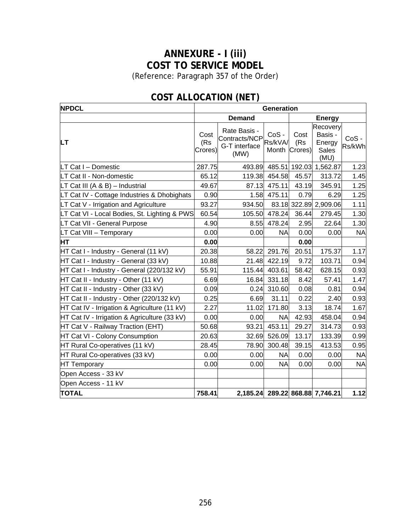# **ANNEXURE - I (iii) COST TO SERVICE MODEL**

(Reference: Paragraph [357](#page-153-0) of the Order)

| <b>NPDCL</b>                                 |                        |                                                        | <b>Generation</b>        |                        |                                                |                   |
|----------------------------------------------|------------------------|--------------------------------------------------------|--------------------------|------------------------|------------------------------------------------|-------------------|
|                                              |                        | <b>Demand</b>                                          |                          |                        | <b>Energy</b>                                  |                   |
| LТ                                           | Cost<br>(Rs<br>Crores) | Rate Basis -<br>Contracts/NCP<br>G-T interface<br>(MW) | CoS-<br>Rs/kVA/<br>Month | Cost<br>(Rs<br>Crores) | Recovery<br>Basis -<br>Energy<br>Sales<br>(MU) | $CoS -$<br>Rs/kWh |
| LT Cat I - Domestic                          | 287.75                 | 493.89                                                 | 485.51                   |                        | 192.03 1,562.87                                | 1.23              |
| LT Cat II - Non-domestic                     | 65.12                  | 119.38                                                 | 454.58                   | 45.57                  | 313.72                                         | 1.45              |
| LT Cat III (A & B) - Industrial              | 49.67                  | 87.13                                                  | 475.11                   | 43.19                  | 345.91                                         | 1.25              |
| LT Cat IV - Cottage Industries & Dhobighats  | 0.90                   | 1.58                                                   | 475.11                   | 0.79                   | 6.29                                           | 1.25              |
| LT Cat V - Irrigation and Agriculture        | 93.27                  | 934.50                                                 |                          |                        | 83.18 322.89 2,909.06                          | 1.11              |
| LT Cat VI - Local Bodies, St. Lighting & PWS | 60.54                  | 105.50                                                 | 478.24                   | 36.44                  | 279.45                                         | 1.30              |
| LT Cat VII - General Purpose                 | 4.90                   | 8.55                                                   | 478.24                   | 2.95                   | 22.64                                          | 1.30              |
| LT Cat VIII - Temporary                      | 0.00                   | 0.00                                                   | NA                       | 0.00                   | 0.00                                           | <b>NA</b>         |
| <b>HT</b>                                    | 0.00                   |                                                        |                          | 0.00                   |                                                |                   |
| HT Cat I - Industry - General (11 kV)        | 20.38                  | 58.22                                                  | 291.76                   | 20.51                  | 175.37                                         | 1.17              |
| HT Cat I - Industry - General (33 kV)        | 10.88                  | 21.48                                                  | 422.19                   | 9.72                   | 103.71                                         | 0.94              |
| HT Cat I - Industry - General (220/132 kV)   | 55.91                  | 115.44                                                 | 403.61                   | 58.42                  | 628.15                                         | 0.93              |
| HT Cat II - Industry - Other (11 kV)         | 6.69                   | 16.84                                                  | 331.18                   | 8.42                   | 57.41                                          | 1.47              |
| HT Cat II - Industry - Other (33 kV)         | 0.09                   | 0.24                                                   | 310.60                   | 0.08                   | 0.81                                           | 0.94              |
| HT Cat II - Industry - Other (220/132 kV)    | 0.25                   | 6.69                                                   | 31.11                    | 0.22                   | 2.40                                           | 0.93              |
| HT Cat IV - Irrigation & Agriculture (11 kV) | 2.27                   | 11.02                                                  | 171.80                   | 3.13                   | 18.74                                          | 1.67              |
| HT Cat IV - Irrigation & Agriculture (33 kV) | 0.00                   | 0.00                                                   | <b>NA</b>                | 42.93                  | 458.04                                         | 0.94              |
| HT Cat V - Railway Traction (EHT)            | 50.68                  | 93.21                                                  | 453.11                   | 29.27                  | 314.73                                         | 0.93              |
| HT Cat VI - Colony Consumption               | 20.63                  | 32.69                                                  | 526.09                   | 13.17                  | 133.39                                         | 0.99              |
| HT Rural Co-operatives (11 kV)               | 28.45                  | 78.90                                                  | 300.48                   | 39.15                  | 413.53                                         | 0.95              |
| HT Rural Co-operatives (33 kV)               | 0.00                   | 0.00                                                   | <b>NA</b>                | 0.00                   | 0.00                                           | <b>NA</b>         |
| HT Temporary                                 | 0.00                   | 0.00                                                   | <b>NA</b>                | 0.00                   | 0.00                                           | <b>NA</b>         |
| Open Access - 33 kV                          |                        |                                                        |                          |                        |                                                |                   |
| Open Access - 11 kV                          |                        |                                                        |                          |                        |                                                |                   |
| <b>TOTAL</b>                                 | 758.41                 |                                                        |                          |                        | 2,185.24 289.22 868.88 7,746.21                | 1.12              |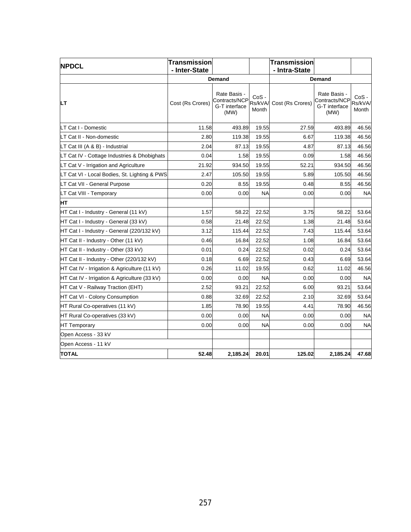| <b>NPDCL</b>                                 | Transmission<br>- Inter-State |                                                        |                            | <b>Transmission</b><br>- Intra-State |                                                        |                           |
|----------------------------------------------|-------------------------------|--------------------------------------------------------|----------------------------|--------------------------------------|--------------------------------------------------------|---------------------------|
|                                              |                               | Demand                                                 |                            |                                      | Demand                                                 |                           |
| LT                                           | Cost (Rs Crores)              | Rate Basis -<br>Contracts/NCP<br>G-T interface<br>(MW) | $CoS -$<br>Rs/kVA<br>Month | Cost (Rs Crores)                     | Rate Basis -<br>Contracts/NCP<br>G-T interface<br>(MW) | CoS -<br>Rs/kVA/<br>Month |
| LT Cat I - Domestic                          | 11.58                         | 493.89                                                 | 19.55                      | 27.59                                | 493.89                                                 | 46.56                     |
| LT Cat II - Non-domestic                     | 2.80                          | 119.38                                                 | 19.55                      | 6.67                                 | 119.38                                                 | 46.56                     |
| LT Cat III (A & B) - Industrial              | 2.04                          | 87.13                                                  | 19.55                      | 4.87                                 | 87.13                                                  | 46.56                     |
| LT Cat IV - Cottage Industries & Dhobighats  | 0.04                          | 1.58                                                   | 19.55                      | 0.09                                 | 1.58                                                   | 46.56                     |
| LT Cat V - Irrigation and Agriculture        | 21.92                         | 934.50                                                 | 19.55                      | 52.21                                | 934.50                                                 | 46.56                     |
| LT Cat VI - Local Bodies, St. Lighting & PWS | 2.47                          | 105.50                                                 | 19.55                      | 5.89                                 | 105.50                                                 | 46.56                     |
| LT Cat VII - General Purpose                 | 0.20                          | 8.55                                                   | 19.55                      | 0.48                                 | 8.55                                                   | 46.56                     |
| LT Cat VIII - Temporary                      | 0.00                          | 0.00                                                   | <b>NA</b>                  | 0.00                                 | 0.00                                                   | <b>NA</b>                 |
| HТ                                           |                               |                                                        |                            |                                      |                                                        |                           |
| HT Cat I - Industry - General (11 kV)        | 1.57                          | 58.22                                                  | 22.52                      | 3.75                                 | 58.22                                                  | 53.64                     |
| HT Cat I - Industry - General (33 kV)        | 0.58                          | 21.48                                                  | 22.52                      | 1.38                                 | 21.48                                                  | 53.64                     |
| HT Cat I - Industry - General (220/132 kV)   | 3.12                          | 115.44                                                 | 22.52                      | 7.43                                 | 115.44                                                 | 53.64                     |
| HT Cat II - Industry - Other (11 kV)         | 0.46                          | 16.84                                                  | 22.52                      | 1.08                                 | 16.84                                                  | 53.64                     |
| HT Cat II - Industry - Other (33 kV)         | 0.01                          | 0.24                                                   | 22.52                      | 0.02                                 | 0.24                                                   | 53.64                     |
| HT Cat II - Industry - Other (220/132 kV)    | 0.18                          | 6.69                                                   | 22.52                      | 0.43                                 | 6.69                                                   | 53.64                     |
| HT Cat IV - Irrigation & Agriculture (11 kV) | 0.26                          | 11.02                                                  | 19.55                      | 0.62                                 | 11.02                                                  | 46.56                     |
| HT Cat IV - Irrigation & Agriculture (33 kV) | 0.00                          | 0.00                                                   | <b>NA</b>                  | 0.00                                 | 0.00                                                   | <b>NA</b>                 |
| HT Cat V - Railway Traction (EHT)            | 2.52                          | 93.21                                                  | 22.52                      | 6.00                                 | 93.21                                                  | 53.64                     |
| HT Cat VI - Colony Consumption               | 0.88                          | 32.69                                                  | 22.52                      | 2.10                                 | 32.69                                                  | 53.64                     |
| HT Rural Co-operatives (11 kV)               | 1.85                          | 78.90                                                  | 19.55                      | 4.41                                 | 78.90                                                  | 46.56                     |
| HT Rural Co-operatives (33 kV)               | 0.00                          | 0.00                                                   | <b>NA</b>                  | 0.00                                 | 0.00                                                   | <b>NA</b>                 |
| <b>HT Temporary</b>                          | 0.00                          | 0.00                                                   | <b>NA</b>                  | 0.00                                 | 0.00                                                   | <b>NA</b>                 |
| Open Access - 33 kV                          |                               |                                                        |                            |                                      |                                                        |                           |
| Open Access - 11 kV                          |                               |                                                        |                            |                                      |                                                        |                           |
| <b>TOTAL</b>                                 | 52.48                         | 2,185.24                                               | 20.01                      | 125.02                               | 2,185.24                                               | 47.68                     |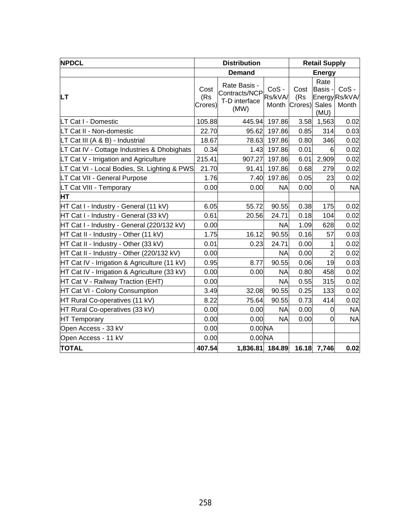| <b>NPDCL</b>                                 |                        | <b>Distribution</b>                                    |                             | <b>Retail Supply</b>   |                                  |                                    |
|----------------------------------------------|------------------------|--------------------------------------------------------|-----------------------------|------------------------|----------------------------------|------------------------------------|
|                                              |                        | <b>Demand</b>                                          |                             |                        | <b>Energy</b>                    |                                    |
| LТ                                           | Cost<br>(Rs<br>Crores) | Rate Basis -<br>Contracts/NCP<br>T-D interface<br>(MW) | $CoS -$<br>Rs/kVA/<br>Month | Cost<br>(Rs<br>Crores) | Rate<br>Basis ·<br>Sales<br>(MU) | $CoS -$<br>Energy Rs/kVA/<br>Month |
| LT Cat I - Domestic                          | 105.88                 | 445.94                                                 | 197.86                      | 3.58                   | 1,563                            | 0.02                               |
| LT Cat II - Non-domestic                     | 22.70                  | 95.62                                                  | 197.86                      | 0.85                   | 314                              | 0.03                               |
| LT Cat III (A & B) - Industrial              | 18.67                  | 78.63                                                  | 197.86                      | 0.80                   | 346                              | 0.02                               |
| LT Cat IV - Cottage Industries & Dhobighats  | 0.34                   | 1.43                                                   | 197.86                      | 0.01                   | 6                                | 0.02                               |
| LT Cat V - Irrigation and Agriculture        | 215.41                 | 907.27                                                 | 197.86                      | 6.01                   | 2,909                            | 0.02                               |
| LT Cat VI - Local Bodies, St. Lighting & PWS | 21.70                  | 91.41                                                  | 197.86                      | 0.68                   | 279                              | 0.02                               |
| LT Cat VII - General Purpose                 | 1.76                   | 7.40                                                   | 197.86                      | 0.05                   | 23                               | 0.02                               |
| LT Cat VIII - Temporary                      | 0.00                   | 0.00                                                   | <b>NA</b>                   | 0.00                   | $\overline{0}$                   | <b>NA</b>                          |
| HT                                           |                        |                                                        |                             |                        |                                  |                                    |
| HT Cat I - Industry - General (11 kV)        | 6.05                   | 55.72                                                  | 90.55                       | 0.38                   | 175                              | 0.02                               |
| HT Cat I - Industry - General (33 kV)        | 0.61                   | 20.56                                                  | 24.71                       | 0.18                   | 104                              | 0.02                               |
| HT Cat I - Industry - General (220/132 kV)   | 0.00                   |                                                        | <b>NA</b>                   | 1.09                   | 628                              | 0.02                               |
| HT Cat II - Industry - Other (11 kV)         | 1.75                   | 16.12                                                  | 90.55                       | 0.16                   | 57                               | 0.03                               |
| HT Cat II - Industry - Other (33 kV)         | 0.01                   | 0.23                                                   | 24.71                       | 0.00                   | 1                                | 0.02                               |
| HT Cat II - Industry - Other (220/132 kV)    | 0.00                   |                                                        | <b>NA</b>                   | 0.00                   | $\overline{2}$                   | 0.02                               |
| HT Cat IV - Irrigation & Agriculture (11 kV) | 0.95                   | 8.77                                                   | 90.55                       | 0.06                   | 19                               | 0.03                               |
| HT Cat IV - Irrigation & Agriculture (33 kV) | 0.00                   | 0.00                                                   | <b>NA</b>                   | 0.80                   | 458                              | 0.02                               |
| HT Cat V - Railway Traction (EHT)            | 0.00                   |                                                        | <b>NA</b>                   | 0.55                   | 315                              | 0.02                               |
| HT Cat VI - Colony Consumption               | 3.49                   | 32.08                                                  | 90.55                       | 0.25                   | 133                              | 0.02                               |
| HT Rural Co-operatives (11 kV)               | 8.22                   | 75.64                                                  | 90.55                       | 0.73                   | 414                              | 0.02                               |
| HT Rural Co-operatives (33 kV)               | 0.00                   | 0.00                                                   | <b>NA</b>                   | 0.00                   | 0                                | <b>NA</b>                          |
| <b>HT Temporary</b>                          | 0.00                   | 0.00                                                   | <b>NA</b>                   | 0.00                   | 0                                | <b>NA</b>                          |
| Open Access - 33 kV                          | 0.00                   | $0.00$ <sub>NA</sub>                                   |                             |                        |                                  |                                    |
| Open Access - 11 kV                          | 0.00                   | 0.00 <sub>N</sub> A                                    |                             |                        |                                  |                                    |
| <b>TOTAL</b>                                 | 407.54                 | 1,836.81 184.89                                        |                             |                        | 16.18 7,746                      | 0.02                               |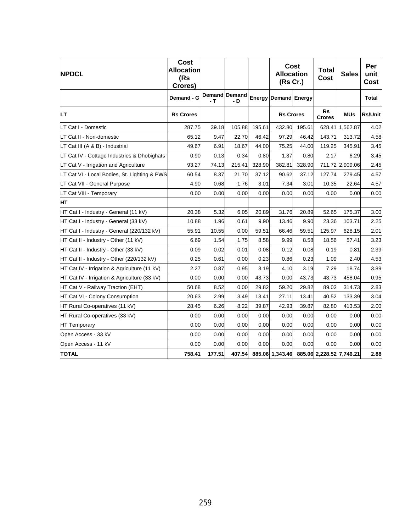| <b>NPDCL</b>                                 | <b>Cost</b><br><b>Allocation</b><br>(Rs<br>Crores) |        |                             |        | Cost<br><b>Allocation</b><br>(Rs Cr.)    |        | <b>Total</b><br><b>Cost</b> | <b>Sales</b>    | Per<br>unit<br>Cost |
|----------------------------------------------|----------------------------------------------------|--------|-----------------------------|--------|------------------------------------------|--------|-----------------------------|-----------------|---------------------|
|                                              | Demand - G                                         | - T    | <b>Demand Demand</b><br>- D | Energy | Demand Energy                            |        |                             |                 | <b>Total</b>        |
| LТ                                           | <b>Rs Crores</b>                                   |        |                             |        | <b>Rs Crores</b>                         |        | <b>Rs</b><br><b>Crores</b>  | <b>MUs</b>      | <b>Rs/Unit</b>      |
| LT Cat I - Domestic                          | 287.75                                             | 39.18  | 105.88                      | 195.61 | 432.80                                   | 195.61 |                             | 628.41 1,562.87 | 4.02                |
| LT Cat II - Non-domestic                     | 65.12                                              | 9.47   | 22.70                       | 46.42  | 97.29                                    | 46.42  | 143.71                      | 313.72          | 4.58                |
| LT Cat III (A & B) - Industrial              | 49.67                                              | 6.91   | 18.67                       | 44.00  | 75.25                                    | 44.00  | 119.25                      | 345.91          | 3.45                |
| LT Cat IV - Cottage Industries & Dhobighats  | 0.90                                               | 0.13   | 0.34                        | 0.80   | 1.37                                     | 0.80   | 2.17                        | 6.29            | 3.45                |
| LT Cat V - Irrigation and Agriculture        | 93.27                                              | 74.13  | 215.41                      | 328.90 | 382.81                                   | 328.90 |                             | 711.72 2,909.06 | 2.45                |
| LT Cat VI - Local Bodies, St. Lighting & PWS | 60.54                                              | 8.37   | 21.70                       | 37.12  | 90.62                                    | 37.12  | 127.74                      | 279.45          | 4.57                |
| LT Cat VII - General Purpose                 | 4.90                                               | 0.68   | 1.76                        | 3.01   | 7.34                                     | 3.01   | 10.35                       | 22.64           | 4.57                |
| LT Cat VIII - Temporary                      | 0.00                                               | 0.00   | 0.00                        | 0.00   | 0.00                                     | 0.00   | 0.00                        | 0.00            | 0.00                |
| HT                                           |                                                    |        |                             |        |                                          |        |                             |                 |                     |
| HT Cat I - Industry - General (11 kV)        | 20.38                                              | 5.32   | 6.05                        | 20.89  | 31.76                                    | 20.89  | 52.65                       | 175.37          | 3.00                |
| HT Cat I - Industry - General (33 kV)        | 10.88                                              | 1.96   | 0.61                        | 9.90   | 13.46                                    | 9.90   | 23.36                       | 103.71          | 2.25                |
| HT Cat I - Industry - General (220/132 kV)   | 55.91                                              | 10.55  | 0.00                        | 59.51  | 66.46                                    | 59.51  | 125.97                      | 628.15          | 2.01                |
| HT Cat II - Industry - Other (11 kV)         | 6.69                                               | 1.54   | 1.75                        | 8.58   | 9.99                                     | 8.58   | 18.56                       | 57.41           | 3.23                |
| HT Cat II - Industry - Other (33 kV)         | 0.09                                               | 0.02   | 0.01                        | 0.08   | 0.12                                     | 0.08   | 0.19                        | 0.81            | 2.39                |
| HT Cat II - Industry - Other (220/132 kV)    | 0.25                                               | 0.61   | 0.00                        | 0.23   | 0.86                                     | 0.23   | 1.09                        | 2.40            | 4.53                |
| HT Cat IV - Irrigation & Agriculture (11 kV) | 2.27                                               | 0.87   | 0.95                        | 3.19   | 4.10                                     | 3.19   | 7.29                        | 18.74           | 3.89                |
| HT Cat IV - Irrigation & Agriculture (33 kV) | 0.00                                               | 0.00   | 0.00                        | 43.73  | 0.00                                     | 43.73  | 43.73                       | 458.04          | 0.95                |
| HT Cat V - Railway Traction (EHT)            | 50.68                                              | 8.52   | 0.00                        | 29.82  | 59.20                                    | 29.82  | 89.02                       | 314.73          | 2.83                |
| HT Cat VI - Colony Consumption               | 20.63                                              | 2.99   | 3.49                        | 13.41  | 27.11                                    | 13.41  | 40.52                       | 133.39          | 3.04                |
| HT Rural Co-operatives (11 kV)               | 28.45                                              | 6.26   | 8.22                        | 39.87  | 42.93                                    | 39.87  | 82.80                       | 413.53          | 2.00                |
| HT Rural Co-operatives (33 kV)               | 0.00                                               | 0.00   | 0.00                        | 0.00   | 0.00                                     | 0.00   | 0.00                        | 0.00            | 0.00                |
| <b>HT Temporary</b>                          | 0.00                                               | 0.00   | 0.00                        | 0.00   | 0.00                                     | 0.00   | 0.00                        | 0.00            | 0.00                |
| Open Access - 33 kV                          | 0.00                                               | 0.00   | 0.00                        | 0.00   | 0.00                                     | 0.00   | 0.00                        | 0.00            | 0.00                |
| Open Access - 11 kV                          | 0.00                                               | 0.00   | 0.00                        | 0.00   | 0.00                                     | 0.00   | 0.00                        | 0.00            | 0.00                |
| <b>TOTAL</b>                                 | 758.41                                             | 177.51 | 407.54                      |        | 885.06 1,343.46 885.06 2,228.52 7,746.21 |        |                             |                 | 2.88                |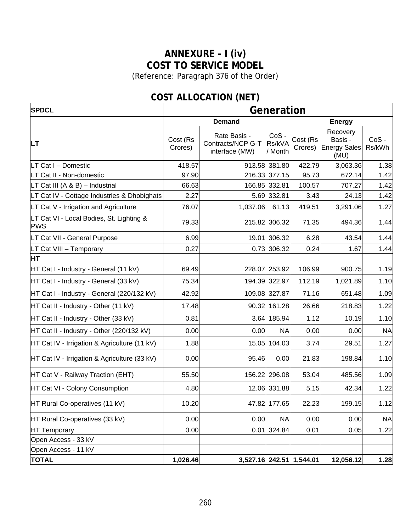# **ANNEXURE - I (iv) COST TO SERVICE MODEL**

(Reference: Paragraph [376](#page-163-0) of the Order)

| <b>SPDCL</b>                                           | Generation          |                                                     |                              |                          |                                                    |                   |  |
|--------------------------------------------------------|---------------------|-----------------------------------------------------|------------------------------|--------------------------|----------------------------------------------------|-------------------|--|
|                                                        |                     | <b>Demand</b>                                       |                              | <b>Energy</b>            |                                                    |                   |  |
| <b>LT</b>                                              | Cost (Rs<br>Crores) | Rate Basis -<br>Contracts/NCP G-T<br>interface (MW) | $CoS -$<br>Rs/kVA<br>/ Month | Cost (Rs<br>Crores)      | Recovery<br>Basis -<br><b>Energy Sales</b><br>(MU) | $CoS -$<br>Rs/kWh |  |
| LT Cat I - Domestic                                    | 418.57              |                                                     | 913.58 381.80                | 422.79                   | 3,063.36                                           | 1.38              |  |
| LT Cat II - Non-domestic                               | 97.90               |                                                     | 216.33 377.15                | 95.73                    | 672.14                                             | 1.42              |  |
| LT Cat III (A & B) - Industrial                        | 66.63               |                                                     | 166.85 332.81                | 100.57                   | 707.27                                             | 1.42              |  |
| LT Cat IV - Cottage Industries & Dhobighats            | 2.27                |                                                     | 5.69 332.81                  | 3.43                     | 24.13                                              | 1.42              |  |
| LT Cat V - Irrigation and Agriculture                  | 76.07               | 1,037.06                                            | 61.13                        | 419.51                   | 3,291.06                                           | 1.27              |  |
| LT Cat VI - Local Bodies, St. Lighting &<br><b>PWS</b> | 79.33               | 215.82                                              | 306.32                       | 71.35                    | 494.36                                             | 1.44              |  |
| LT Cat VII - General Purpose                           | 6.99                | 19.01                                               | 306.32                       | 6.28                     | 43.54                                              | 1.44              |  |
| LT Cat VIII - Temporary                                | 0.27                | 0.73                                                | 306.32                       | 0.24                     | 1.67                                               | 1.44              |  |
| <b>HT</b>                                              |                     |                                                     |                              |                          |                                                    |                   |  |
| HT Cat I - Industry - General (11 kV)                  | 69.49               | 228.07                                              | 253.92                       | 106.99                   | 900.75                                             | 1.19              |  |
| HT Cat I - Industry - General (33 kV)                  | 75.34               |                                                     | 194.39 322.97                | 112.19                   | 1,021.89                                           | 1.10              |  |
| HT Cat I - Industry - General (220/132 kV)             | 42.92               |                                                     | 109.08 327.87                | 71.16                    | 651.48                                             | 1.09              |  |
| HT Cat II - Industry - Other (11 kV)                   | 17.48               |                                                     | 90.32 161.28                 | 26.66                    | 218.83                                             | 1.22              |  |
| HT Cat II - Industry - Other (33 kV)                   | 0.81                |                                                     | 3.64 185.94                  | 1.12                     | 10.19                                              | 1.10              |  |
| HT Cat II - Industry - Other (220/132 kV)              | 0.00                | 0.00                                                | <b>NA</b>                    | 0.00                     | 0.00                                               | <b>NA</b>         |  |
| HT Cat IV - Irrigation & Agriculture (11 kV)           | 1.88                | 15.05                                               | 104.03                       | 3.74                     | 29.51                                              | 1.27              |  |
| HT Cat IV - Irrigation & Agriculture (33 kV)           | 0.00                | 95.46                                               | 0.00                         | 21.83                    | 198.84                                             | 1.10              |  |
| HT Cat V - Railway Traction (EHT)                      | 55.50               |                                                     | 156.22 296.08                | 53.04                    | 485.56                                             | 1.09              |  |
| HT Cat VI - Colony Consumption                         | 4.80                |                                                     | 12.06 331.88                 | 5.15                     | 42.34                                              | 1.22              |  |
| HT Rural Co-operatives (11 kV)                         | 10.20               |                                                     | 47.82 177.65                 | 22.23                    | 199.15                                             | 1.12              |  |
| HT Rural Co-operatives (33 kV)                         | 0.00                | 0.00                                                | <b>NA</b>                    | 0.00                     | 0.00                                               | <b>NA</b>         |  |
| HT Temporary                                           | 0.00                | 0.01                                                | 324.84                       | 0.01                     | 0.05                                               | 1.22              |  |
| Open Access - 33 kV                                    |                     |                                                     |                              |                          |                                                    |                   |  |
| Open Access - 11 kV                                    |                     |                                                     |                              |                          |                                                    |                   |  |
| <b>TOTAL</b>                                           | 1,026.46            |                                                     |                              | 3,527.16 242.51 1,544.01 | 12,056.12                                          | 1.28              |  |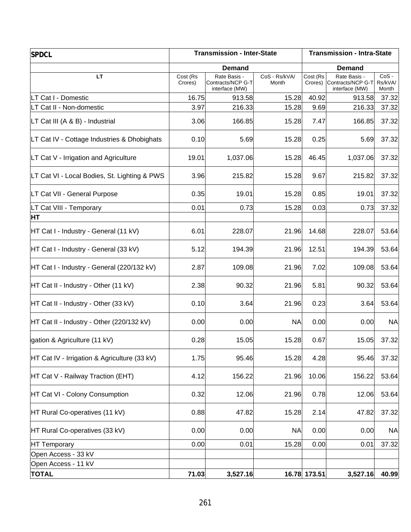| <b>SPDCL</b>                                 | <b>Transmission - Inter-State</b> |                                                     |                        | <b>Transmission - Intra-State</b> |                                                             |                             |  |
|----------------------------------------------|-----------------------------------|-----------------------------------------------------|------------------------|-----------------------------------|-------------------------------------------------------------|-----------------------------|--|
|                                              |                                   | <b>Demand</b>                                       |                        | <b>Demand</b>                     |                                                             |                             |  |
| <b>LT</b>                                    | Cost (Rs<br>Crores)               | Rate Basis -<br>Contracts/NCP G-T<br>interface (MW) | CoS - Rs/kVA/<br>Month | Cost (Rs                          | Rate Basis -<br>Crores) Contracts/NCP G-T<br>interface (MW) | $CoS -$<br>Rs/kVA/<br>Month |  |
| LT Cat I - Domestic                          | 16.75                             | 913.58                                              | 15.28                  | 40.92                             | 913.58                                                      | 37.32                       |  |
| LT Cat II - Non-domestic                     | 3.97                              | 216.33                                              | 15.28                  | 9.69                              | 216.33                                                      | 37.32                       |  |
| LT Cat III (A & B) - Industrial              | 3.06                              | 166.85                                              | 15.28                  | 7.47                              | 166.85                                                      | 37.32                       |  |
| LT Cat IV - Cottage Industries & Dhobighats  | 0.10                              | 5.69                                                | 15.28                  | 0.25                              | 5.69                                                        | 37.32                       |  |
| LT Cat V - Irrigation and Agriculture        | 19.01                             | 1,037.06                                            | 15.28                  | 46.45                             | 1,037.06                                                    | 37.32                       |  |
| LT Cat VI - Local Bodies, St. Lighting & PWS | 3.96                              | 215.82                                              | 15.28                  | 9.67                              | 215.82                                                      | 37.32                       |  |
| LT Cat VII - General Purpose                 | 0.35                              | 19.01                                               | 15.28                  | 0.85                              | 19.01                                                       | 37.32                       |  |
| LT Cat VIII - Temporary                      | 0.01                              | 0.73                                                | 15.28                  | 0.03                              | 0.73                                                        | 37.32                       |  |
| <b>HT</b>                                    |                                   |                                                     |                        |                                   |                                                             |                             |  |
| HT Cat I - Industry - General (11 kV)        | 6.01                              | 228.07                                              | 21.96                  | 14.68                             | 228.07                                                      | 53.64                       |  |
| HT Cat I - Industry - General (33 kV)        | 5.12                              | 194.39                                              | 21.96                  | 12.51                             | 194.39                                                      | 53.64                       |  |
| HT Cat I - Industry - General (220/132 kV)   | 2.87                              | 109.08                                              | 21.96                  | 7.02                              | 109.08                                                      | 53.64                       |  |
| HT Cat II - Industry - Other (11 kV)         | 2.38                              | 90.32                                               | 21.96                  | 5.81                              | 90.32                                                       | 53.64                       |  |
| HT Cat II - Industry - Other (33 kV)         | 0.10                              | 3.64                                                | 21.96                  | 0.23                              | 3.64                                                        | 53.64                       |  |
| HT Cat II - Industry - Other (220/132 kV)    | 0.00                              | 0.00                                                | <b>NA</b>              | 0.00                              | 0.00                                                        | <b>NA</b>                   |  |
| gation & Agriculture (11 kV)                 | 0.28                              | 15.05                                               | 15.28                  | 0.67                              | 15.05                                                       | 37.32                       |  |
| HT Cat IV - Irrigation & Agriculture (33 kV) | 1.75                              | 95.46                                               | 15.28                  | 4.28                              | 95.46                                                       | 37.32                       |  |
| HT Cat V - Railway Traction (EHT)            | 4.12                              | 156.22                                              | 21.96                  | 10.06                             | 156.22                                                      | 53.64                       |  |
| HT Cat VI - Colony Consumption               | 0.32                              | 12.06                                               | 21.96                  | 0.78                              | 12.06                                                       | 53.64                       |  |
| HT Rural Co-operatives (11 kV)               | 0.88                              | 47.82                                               | 15.28                  | 2.14                              | 47.82                                                       | 37.32                       |  |
| HT Rural Co-operatives (33 kV)               | 0.00                              | 0.00                                                | <b>NA</b>              | 0.00                              | 0.00                                                        | <b>NA</b>                   |  |
| HT Temporary                                 | 0.00                              | 0.01                                                | 15.28                  | 0.00                              | 0.01                                                        | 37.32                       |  |
| Open Access - 33 kV                          |                                   |                                                     |                        |                                   |                                                             |                             |  |
| Open Access - 11 kV                          |                                   |                                                     |                        |                                   |                                                             |                             |  |
| <b>TOTAL</b>                                 | 71.03                             | 3,527.16                                            |                        | 16.78 173.51                      | 3,527.16                                                    | 40.99                       |  |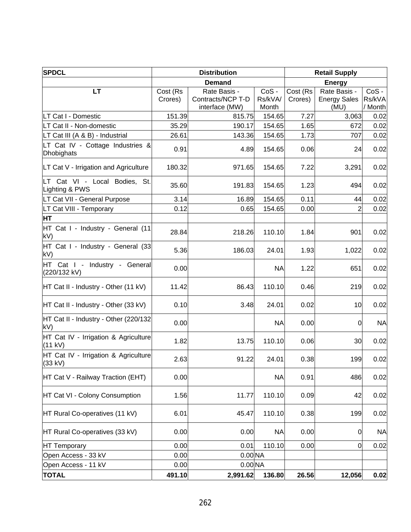| <b>SPDCL</b>                                    | <b>Distribution</b> |                                                     |                          | <b>Retail Supply</b> |                                             |                              |  |
|-------------------------------------------------|---------------------|-----------------------------------------------------|--------------------------|----------------------|---------------------------------------------|------------------------------|--|
|                                                 |                     | <b>Demand</b>                                       | <b>Energy</b>            |                      |                                             |                              |  |
| <b>LT</b>                                       | Cost (Rs<br>Crores) | Rate Basis -<br>Contracts/NCP T-D<br>interface (MW) | CoS-<br>Rs/kVA/<br>Month | Cost (Rs<br>Crores)  | Rate Basis -<br><b>Energy Sales</b><br>(MU) | $CoS -$<br>Rs/kVA<br>/ Month |  |
| LT Cat I - Domestic                             | 151.39              | 815.75                                              | 154.65                   | 7.27                 | 3,063                                       | 0.02                         |  |
| LT Cat II - Non-domestic                        | 35.29               | 190.17                                              | 154.65                   | 1.65                 | 672                                         | 0.02                         |  |
| LT Cat III (A & B) - Industrial                 | 26.61               | 143.36                                              | 154.65                   | 1.73                 | 707                                         | 0.02                         |  |
| LT Cat IV - Cottage Industries &<br>Dhobighats  | 0.91                | 4.89                                                | 154.65                   | 0.06                 | 24                                          | 0.02                         |  |
| LT Cat V - Irrigation and Agriculture           | 180.32              | 971.65                                              | 154.65                   | 7.22                 | 3,291                                       | 0.02                         |  |
| LT Cat VI - Local Bodies, St.<br>Lighting & PWS | 35.60               | 191.83                                              | 154.65                   | 1.23                 | 494                                         | 0.02                         |  |
| LT Cat VII - General Purpose                    | 3.14                | 16.89                                               | 154.65                   | 0.11                 | 44                                          | 0.02                         |  |
| LT Cat VIII - Temporary                         | 0.12                | 0.65                                                | 154.65                   | 0.00                 | 2                                           | 0.02                         |  |
| <b>HT</b>                                       |                     |                                                     |                          |                      |                                             |                              |  |
| HT Cat I - Industry - General (11<br>kV)        | 28.84               | 218.26                                              | 110.10                   | 1.84                 | 901                                         | 0.02                         |  |
| HT Cat I - Industry - General (33<br>kV)        | 5.36                | 186.03                                              | 24.01                    | 1.93                 | 1,022                                       | 0.02                         |  |
| HT Cat I - Industry - General<br>(220/132 kV)   | 0.00                |                                                     | <b>NA</b>                | 1.22                 | 651                                         | 0.02                         |  |
| HT Cat II - Industry - Other (11 kV)            | 11.42               | 86.43                                               | 110.10                   | 0.46                 | 219                                         | 0.02                         |  |
| HT Cat II - Industry - Other (33 kV)            | 0.10                | 3.48                                                | 24.01                    | 0.02                 | 10                                          | 0.02                         |  |
| HT Cat II - Industry - Other (220/132)<br>kV)   | 0.00                |                                                     | <b>NA</b>                | 0.00                 | 0                                           | <b>NA</b>                    |  |
| HT Cat IV - Irrigation & Agriculture<br>(11 kV) | 1.82                | 13.75                                               | 110.10                   | 0.06                 | 30                                          | 0.02                         |  |
| HT Cat IV - Irrigation & Agriculture<br>(33 kV) | 2.63                | 91.22                                               | 24.01                    | 0.38                 | 199                                         | 0.02                         |  |
| HT Cat V - Railway Traction (EHT)               | 0.00                |                                                     | <b>NA</b>                | 0.91                 | 486                                         | 0.02                         |  |
| HT Cat VI - Colony Consumption                  | 1.56                | 11.77                                               | 110.10                   | 0.09                 | 42                                          | 0.02                         |  |
| HT Rural Co-operatives (11 kV)                  | 6.01                | 45.47                                               | 110.10                   | 0.38                 | 199                                         | 0.02                         |  |
| HT Rural Co-operatives (33 kV)                  | 0.00                | 0.00                                                | <b>NA</b>                | 0.00                 | $\mathbf 0$                                 | <b>NA</b>                    |  |
| HT Temporary                                    | 0.00                | 0.01                                                | 110.10                   | 0.00                 | $\overline{0}$                              | 0.02                         |  |
| Open Access - 33 kV                             | 0.00                | 0.00 <sub>NA</sub>                                  |                          |                      |                                             |                              |  |
| Open Access - 11 kV                             | 0.00                | $0.00$ <sub>NA</sub>                                |                          |                      |                                             |                              |  |
| <b>TOTAL</b>                                    | 491.10              | 2,991.62                                            | 136.80                   | 26.56                | 12,056                                      | 0.02                         |  |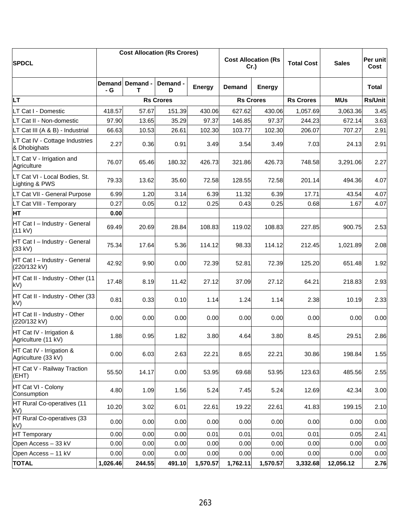| <b>SPDCL</b>                                    |               |               | <b>Cost Allocation (Rs Crores)</b> |               | <b>Cost Allocation (Rs</b><br>Cr.) |               |                  |            | <b>Total Cost</b> | <b>Sales</b> | Per unit<br>Cost |
|-------------------------------------------------|---------------|---------------|------------------------------------|---------------|------------------------------------|---------------|------------------|------------|-------------------|--------------|------------------|
|                                                 | Demand<br>- G | Demand -<br>т | Demand -<br>D                      | <b>Energy</b> | <b>Demand</b>                      | <b>Energy</b> |                  |            | <b>Total</b>      |              |                  |
| <b>LT</b>                                       |               |               | <b>Rs Crores</b>                   |               | <b>Rs Crores</b>                   |               | <b>Rs Crores</b> | <b>MUs</b> | <b>Rs/Unit</b>    |              |                  |
| LT Cat I - Domestic                             | 418.57        | 57.67         | 151.39                             | 430.06        | 627.62                             | 430.06        | 1,057.69         | 3,063.36   | 3.45              |              |                  |
| LT Cat II - Non-domestic                        | 97.90         | 13.65         | 35.29                              | 97.37         | 146.85                             | 97.37         | 244.23           | 672.14     | 3.63              |              |                  |
| LT Cat III (A & B) - Industrial                 | 66.63         | 10.53         | 26.61                              | 102.30        | 103.77                             | 102.30        | 206.07           | 707.27     | 2.91              |              |                  |
| LT Cat IV - Cottage Industries<br>& Dhobighats  | 2.27          | 0.36          | 0.91                               | 3.49          | 3.54                               | 3.49          | 7.03             | 24.13      | 2.91              |              |                  |
| LT Cat V - Irrigation and<br>Agriculture        | 76.07         | 65.46         | 180.32                             | 426.73        | 321.86                             | 426.73        | 748.58           | 3,291.06   | 2.27              |              |                  |
| LT Cat VI - Local Bodies, St.<br>Lighting & PWS | 79.33         | 13.62         | 35.60                              | 72.58         | 128.55                             | 72.58         | 201.14           | 494.36     | 4.07              |              |                  |
| LT Cat VII - General Purpose                    | 6.99          | 1.20          | 3.14                               | 6.39          | 11.32                              | 6.39          | 17.71            | 43.54      | 4.07              |              |                  |
| LT Cat VIII - Temporary                         | 0.27          | 0.05          | 0.12                               | 0.25          | 0.43                               | 0.25          | 0.68             | 1.67       | 4.07              |              |                  |
| HT                                              | 0.00          |               |                                    |               |                                    |               |                  |            |                   |              |                  |
| HT Cat I - Industry - General<br>(11 kV)        | 69.49         | 20.69         | 28.84                              | 108.83        | 119.02                             | 108.83        | 227.85           | 900.75     | 2.53              |              |                  |
| HT Cat I - Industry - General<br>(33 kV)        | 75.34         | 17.64         | 5.36                               | 114.12        | 98.33                              | 114.12        | 212.45           | 1,021.89   | 2.08              |              |                  |
| HT Cat I - Industry - General<br>(220/132 kV)   | 42.92         | 9.90          | 0.00                               | 72.39         | 52.81                              | 72.39         | 125.20           | 651.48     | 1.92              |              |                  |
| HT Cat II - Industry - Other (11<br>kV)         | 17.48         | 8.19          | 11.42                              | 27.12         | 37.09                              | 27.12         | 64.21            | 218.83     | 2.93              |              |                  |
| HT Cat II - Industry - Other (33<br>kV)         | 0.81          | 0.33          | 0.10                               | 1.14          | 1.24                               | 1.14          | 2.38             | 10.19      | 2.33              |              |                  |
| HT Cat II - Industry - Other<br>(220/132 kV)    | 0.00          | 0.00          | 0.00                               | 0.00          | 0.00                               | 0.00          | 0.00             | 0.00       | 0.00              |              |                  |
| HT Cat IV - Irrigation &<br>Agriculture (11 kV) | 1.88          | 0.95          | 1.82                               | 3.80          | 4.64                               | 3.80          | 8.45             | 29.51      | 2.86              |              |                  |
| HT Cat IV - Irrigation &<br>Agriculture (33 kV) | 0.00          | 6.03          | 2.63                               | 22.21         | 8.65                               | 22.21         | 30.86            | 198.84     | 1.55              |              |                  |
| HT Cat V - Railway Traction<br>(EHT)            | 55.50         | 14.17         | 0.00                               | 53.95         | 69.68                              | 53.95         | 123.63           | 485.56     | 2.55              |              |                  |
| HT Cat VI - Colony<br>Consumption               | 4.80          | 1.09          | 1.56                               | 5.24          | 7.45                               | 5.24          | 12.69            | 42.34      | 3.00              |              |                  |
| HT Rural Co-operatives (11<br>kV)               | 10.20         | 3.02          | 6.01                               | 22.61         | 19.22                              | 22.61         | 41.83            | 199.15     | 2.10              |              |                  |
| HT Rural Co-operatives (33<br>kV)               | 0.00          | 0.00          | 0.00                               | 0.00          | 0.00                               | 0.00          | 0.00             | 0.00       | 0.00              |              |                  |
| <b>HT Temporary</b>                             | 0.00          | 0.00          | 0.00                               | 0.01          | 0.01                               | 0.01          | 0.01             | 0.05       | 2.41              |              |                  |
| Open Access - 33 kV                             | 0.00          | 0.00          | 0.00                               | 0.00          | 0.00                               | 0.00          | 0.00             | 0.00       | 0.00              |              |                  |
| Open Access - 11 kV                             | 0.00          | 0.00          | 0.00                               | 0.00          | 0.00                               | 0.00          | 0.00             | 0.00       | 0.00              |              |                  |
| <b>TOTAL</b>                                    | 1,026.46      | 244.55        | 491.10                             | 1,570.57      | 1,762.11                           | 1,570.57      | 3,332.68         | 12,056.12  | 2.76              |              |                  |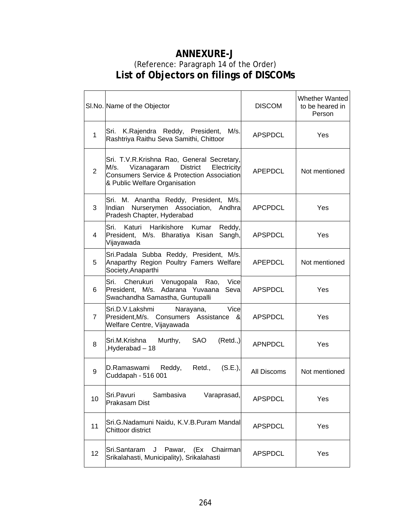## **ANNEXURE-J**  (Reference: Paragraph 14 of the Order) **List of Objectors on filings of DISCOMs**

|                | SI.No. Name of the Objector                                                                                                                                                        | <b>DISCOM</b>  | <b>Whether Wanted</b><br>to be heared in<br>Person |
|----------------|------------------------------------------------------------------------------------------------------------------------------------------------------------------------------------|----------------|----------------------------------------------------|
| 1              | Sri. K.Rajendra Reddy, President,<br>M/s.<br>Rashtriya Raithu Seva Samithi, Chittoor                                                                                               | <b>APSPDCL</b> | Yes                                                |
| $\overline{2}$ | Sri. T.V.R.Krishna Rao, General Secretary,<br><b>District</b><br>M/s.<br>Vizanagaram<br>Electricity<br>Consumers Service & Protection Association<br>& Public Welfare Organisation | APEPDCL        | Not mentioned                                      |
| 3              | Sri. M. Anantha Reddy, President, M/s.<br>Indian Nurserymen Association, Andhra<br>Pradesh Chapter, Hyderabad                                                                      | <b>APCPDCL</b> | Yes                                                |
| 4              | Sri. -<br>Katuri Harikishore<br>Kumar<br>Reddy,<br>President, M/s. Bharatiya Kisan<br>Sangh,<br>Vijayawada                                                                         | <b>APSPDCL</b> | Yes                                                |
| 5              | Sri. Padala Subba Reddy, President, M/s.<br>Anaparthy Region Poultry Famers Welfare<br>Society, Anaparthi                                                                          | <b>APEPDCL</b> | Not mentioned                                      |
| 6.             | Cherukuri Venugopala Rao,<br>Vice<br>Sri.<br>President, M/s. Adarana Yuvaana<br>Seval<br>Swachandha Samastha, Guntupalli                                                           | <b>APSPDCL</b> | Yes                                                |
| $\overline{7}$ | Vice<br>Sri.D.V.Lakshmi<br>Narayana,<br>President, M/s. Consumers Assistance &<br>Welfare Centre, Vijayawada                                                                       | <b>APSPDCL</b> | Yes                                                |
| 8              | Sri.M.Krishna<br>Murthy,<br><b>SAO</b><br>(Retd.,)<br>Hyderabad - 18                                                                                                               | <b>APNPDCL</b> | Yes                                                |
| 9              | Reddy,<br>Retd.,<br>(S.E.),<br>D.Ramaswami<br>Cuddapah - 516 001                                                                                                                   | All Discoms    | Not mentioned                                      |
| 10             | Sri.Pavuri<br>Sambasiva<br>Varaprasad,<br><b>Prakasam Dist</b>                                                                                                                     | <b>APSPDCL</b> | Yes                                                |
| 11             | Sri.G.Nadamuni Naidu, K.V.B.Puram Mandal<br>Chittoor district                                                                                                                      | <b>APSPDCL</b> | Yes                                                |
| 12             | Pawar, (Ex<br>Sri.Santaram<br>Chairman<br>J<br>Srikalahasti, Municipality), Srikalahasti                                                                                           | <b>APSPDCL</b> | Yes                                                |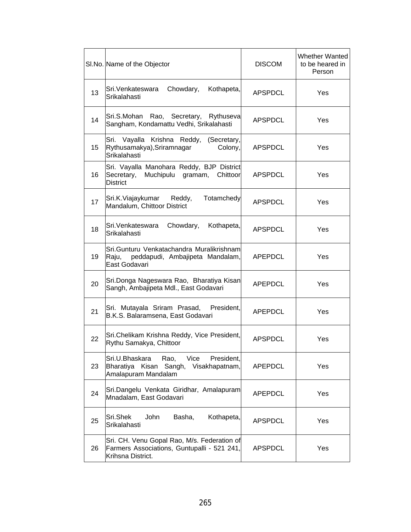|    | SI.No. Name of the Objector                                                                                     | <b>DISCOM</b>  | <b>Whether Wanted</b><br>to be heared in<br>Person |
|----|-----------------------------------------------------------------------------------------------------------------|----------------|----------------------------------------------------|
| 13 | Chowdary,<br>Sri.Venkateswara<br>Kothapeta,<br>Srikalahasti                                                     | <b>APSPDCL</b> | Yes                                                |
| 14 | Sri.S.Mohan Rao, Secretary, Rythuseva<br>Sangham, Kondamattu Vedhi, Srikalahasti                                | APSPDCL        | Yes                                                |
| 15 | Sri.<br>Vayalla Krishna Reddy,<br>(Secretary,<br>Rythusamakya), Sriramnagar<br>Colony,<br>Srikalahasti          | <b>APSPDCL</b> | Yes                                                |
| 16 | Sri. Vayalla Manohara Reddy, BJP District<br>Secretary, Muchipulu<br>gramam,<br>Chittoor<br><b>District</b>     | <b>APSPDCL</b> | Yes                                                |
| 17 | Sri.K.Viajaykumar<br>Totamchedy<br>Reddy,<br>Mandalum, Chittoor District                                        | <b>APSPDCL</b> | Yes                                                |
| 18 | Chowdary,<br>Sri.Venkateswara<br>Kothapeta,<br>Srikalahasti                                                     | <b>APSPDCL</b> | Yes                                                |
| 19 | Sri Gunturu Venkatachandra Muralikrishnaml<br>Raju,<br>peddapudi, Ambajipeta Mandalam,<br>East Godavari         | <b>APEPDCL</b> | Yes                                                |
| 20 | Sri.Donga Nageswara Rao, Bharatiya Kisan<br>Sangh, Ambajipeta Mdl., East Godavari                               | APEPDCL        | Yes                                                |
| 21 | Sri. Mutayala Sriram Prasad, President,<br>B.K.S. Balaramsena, East Godavari                                    | APEPDCL        | Yes                                                |
| 22 | Sri.Chelikam Krishna Reddy, Vice President,<br>Rythu Samakya, Chittoor                                          | <b>APSPDCL</b> | Yes                                                |
| 23 | Vice<br>President,<br>Sri.U.Bhaskara<br>Rao,<br>Bharatiya Kisan Sangh,<br>Visakhapatnam,<br>Amalapuram Mandalam | <b>APEPDCL</b> | Yes                                                |
| 24 | Sri.Dangelu Venkata Giridhar, Amalapuram<br>Mnadalam, East Godavari                                             | <b>APEPDCL</b> | Yes                                                |
| 25 | Sri.Shek<br>Basha,<br>Kothapeta,<br>John<br>Srikalahasti                                                        | <b>APSPDCL</b> | Yes                                                |
| 26 | Sri. CH. Venu Gopal Rao, M/s. Federation of<br>Farmers Associations, Guntupalli - 521 241,<br>Krihsna District. | <b>APSPDCL</b> | Yes                                                |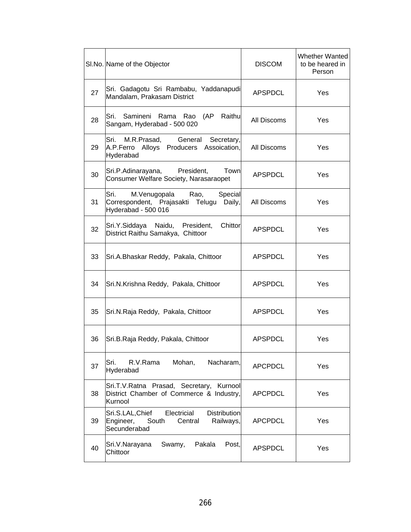|    | SI.No. Name of the Objector                                                                                          | <b>DISCOM</b>  | <b>Whether Wanted</b><br>to be heared in<br>Person |
|----|----------------------------------------------------------------------------------------------------------------------|----------------|----------------------------------------------------|
| 27 | Sri. Gadagotu Sri Rambabu, Yaddanapudi<br>Mandalam, Prakasam District                                                | <b>APSPDCL</b> | Yes                                                |
| 28 | Sri.<br>Samineni<br>Rama<br>Rao<br>(AP<br>Raithu<br>Sangam, Hyderabad - 500 020                                      | All Discoms    | Yes                                                |
| 29 | Sri.<br>M.R.Prasad,<br>General<br>Secretary,<br>A.P.Ferro Alloys Producers Assoication,<br>Hyderabad                 | All Discoms    | Yes                                                |
| 30 | President,<br>Town<br>Sri.P.Adinarayana,<br>Consumer Welfare Society, Narasaraopet                                   | APSPDCL        | Yes                                                |
| 31 | Sri.<br>M.Venugopala<br>Special<br>Rao,<br>Correspondent, Prajasakti Telugu<br>Daily,<br>Hyderabad - 500 016         | All Discoms    | Yes                                                |
| 32 | Naidu,<br>President,<br>Chittor<br>Sri.Y.Siddaya<br>District Raithu Samakya, Chittoor                                | APSPDCL        | Yes                                                |
| 33 | Sri.A.Bhaskar Reddy, Pakala, Chittoor                                                                                | <b>APSPDCL</b> | Yes                                                |
| 34 | Sri.N.Krishna Reddy, Pakala, Chittoor                                                                                | <b>APSPDCL</b> | Yes                                                |
| 35 | Sri.N.Raja Reddy, Pakala, Chittoor                                                                                   | <b>APSPDCL</b> | Yes                                                |
| 36 | Sri.B.Raja Reddy, Pakala, Chittoor                                                                                   | <b>APSPDCL</b> | Yes                                                |
| 37 | Sri.<br>R.V.Rama<br>Mohan,<br>Nacharam,<br>Hyderabad                                                                 | <b>APCPDCL</b> | Yes                                                |
| 38 | Sri.T.V.Ratna Prasad, Secretary, Kurnool<br>District Chamber of Commerce & Industry,<br>Kurnool                      | <b>APCPDCL</b> | Yes                                                |
| 39 | Electricial<br><b>Distribution</b><br>Sri.S.LAL, Chief<br>Engineer,<br>South<br>Central<br>Railways,<br>Secunderabad | <b>APCPDCL</b> | Yes                                                |
| 40 | Swamy,<br>Pakala<br>Sri.V.Narayana<br>Post,<br>Chittoor                                                              | <b>APSPDCL</b> | Yes                                                |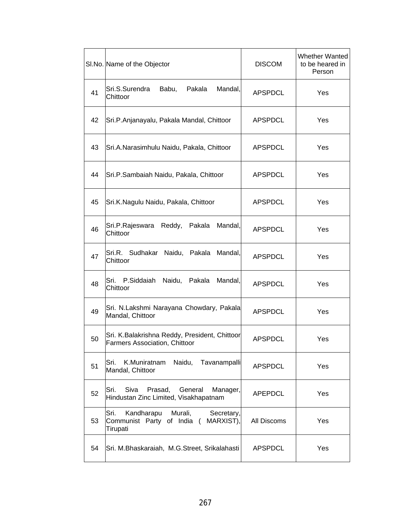|    | SI.No. Name of the Objector                                                                        | <b>DISCOM</b>  | <b>Whether Wanted</b><br>to be heared in<br>Person |
|----|----------------------------------------------------------------------------------------------------|----------------|----------------------------------------------------|
| 41 | Sri.S.Surendra<br>Babu,<br>Pakala<br>Mandal,<br>Chittoor                                           | <b>APSPDCL</b> | Yes                                                |
| 42 | Sri.P.Anjanayalu, Pakala Mandal, Chittoor                                                          | <b>APSPDCL</b> | Yes                                                |
| 43 | Sri.A.Narasimhulu Naidu, Pakala, Chittoor                                                          | <b>APSPDCL</b> | Yes                                                |
| 44 | Sri.P.Sambaiah Naidu, Pakala, Chittoor                                                             | <b>APSPDCL</b> | Yes                                                |
| 45 | Sri.K.Nagulu Naidu, Pakala, Chittoor                                                               | <b>APSPDCL</b> | Yes                                                |
| 46 | Sri.P.Rajeswara<br>Mandal,<br>Reddy,<br>Pakala<br>Chittoor                                         | <b>APSPDCL</b> | Yes                                                |
| 47 | Sri.R. Sudhakar Naidu, Pakala<br>Mandal,<br>Chittoor                                               | <b>APSPDCL</b> | Yes                                                |
| 48 | Sri.<br>P.Siddaiah<br>Mandal,<br>Naidu,<br>Pakala<br>Chittoor                                      | <b>APSPDCL</b> | Yes                                                |
| 49 | Sri. N.Lakshmi Narayana Chowdary, Pakala<br>Mandal, Chittoor                                       | <b>APSPDCL</b> | Yes                                                |
| 50 | Sri. K.Balakrishna Reddy, President, Chittoor<br><b>Farmers Association, Chittoor</b>              | <b>APSPDCL</b> | Yes                                                |
| 51 | Sri.<br>K.Muniratnam<br>Naidu, Tavanampalli<br>Mandal, Chittoor                                    | <b>APSPDCL</b> | Yes                                                |
| 52 | Sri.<br>Siva<br>Prasad,<br>General<br>Manager,<br>Hindustan Zinc Limited, Visakhapatnam            | <b>APEPDCL</b> | Yes                                                |
| 53 | Sri.<br>Kandharapu<br>Murali,<br>Secretary,<br>MARXIST),<br>Communist Party of India (<br>Tirupati | All Discoms    | Yes                                                |
| 54 | Sri. M.Bhaskaraiah, M.G.Street, Srikalahasti                                                       | <b>APSPDCL</b> | Yes                                                |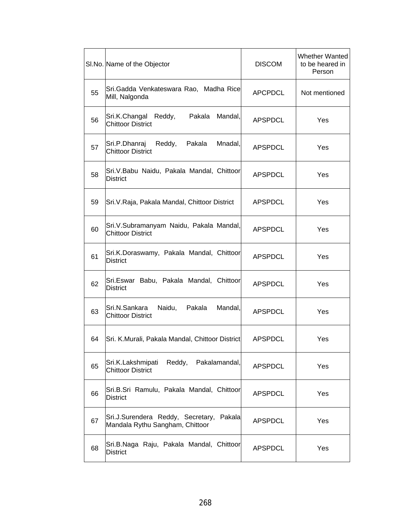|    | SI.No. Name of the Objector                                                    | <b>DISCOM</b>  | <b>Whether Wanted</b><br>to be heared in<br>Person |
|----|--------------------------------------------------------------------------------|----------------|----------------------------------------------------|
| 55 | Sri. Gadda Venkateswara Rao, Madha Rice<br>Mill, Nalgonda                      | <b>APCPDCL</b> | Not mentioned                                      |
| 56 | Mandal,<br>Sri.K.Changal<br>Reddy,<br>Pakala<br><b>Chittoor District</b>       | <b>APSPDCL</b> | Yes                                                |
| 57 | Pakala<br>Mnadal,<br>Sri.P.Dhanraj<br>Reddy,<br><b>Chittoor District</b>       | <b>APSPDCL</b> | Yes                                                |
| 58 | Sri.V.Babu Naidu, Pakala Mandal, Chittoor<br><b>District</b>                   | <b>APSPDCL</b> | Yes                                                |
| 59 | Sri. V. Raja, Pakala Mandal, Chittoor District                                 | <b>APSPDCL</b> | Yes                                                |
| 60 | Sri. V. Subramanyam Naidu, Pakala Mandal,<br><b>Chittoor District</b>          | <b>APSPDCL</b> | Yes                                                |
| 61 | Sri.K.Doraswamy, Pakala Mandal, Chittoor<br><b>District</b>                    | <b>APSPDCL</b> | Yes                                                |
| 62 | Sri.Eswar Babu, Pakala Mandal, Chittoor<br><b>District</b>                     | <b>APSPDCL</b> | Yes                                                |
| 63 | Sri.N.Sankara<br>Naidu,<br>Pakala<br>Mandal,<br><b>Chittoor District</b>       | <b>APSPDCL</b> | Yes                                                |
| 64 | Sri. K.Murali, Pakala Mandal, Chittoor District                                | <b>APSPDCL</b> | Yes                                                |
| 65 | Sri.K.Lakshmipati<br>Reddy, Pakalamandal,<br><b>Chittoor District</b>          | <b>APSPDCL</b> | Yes                                                |
| 66 | Sri.B.Sri Ramulu, Pakala Mandal, Chittoor<br><b>District</b>                   | <b>APSPDCL</b> | Yes                                                |
| 67 | Sri.J.Surendera Reddy, Secretary,<br>Pakala<br>Mandala Rythu Sangham, Chittoor | <b>APSPDCL</b> | Yes                                                |
| 68 | Sri.B.Naga Raju, Pakala Mandal, Chittoor<br><b>District</b>                    | <b>APSPDCL</b> | Yes                                                |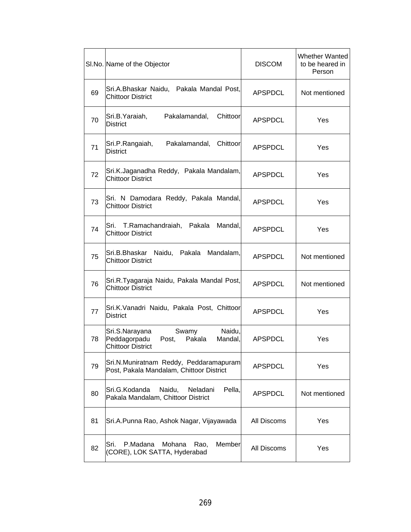|    | SI.No. Name of the Objector                                                                                 | <b>DISCOM</b>  | <b>Whether Wanted</b><br>to be heared in<br>Person |
|----|-------------------------------------------------------------------------------------------------------------|----------------|----------------------------------------------------|
| 69 | Sri.A.Bhaskar Naidu, Pakala Mandal Post,<br><b>Chittoor District</b>                                        | <b>APSPDCL</b> | Not mentioned                                      |
| 70 | Sri.B. Yaraiah,<br>Pakalamandal,<br>Chittoor<br><b>District</b>                                             | <b>APSPDCL</b> | Yes                                                |
| 71 | Sri.P.Rangaiah,<br>Pakalamandal,<br>Chittoor<br><b>District</b>                                             | <b>APSPDCL</b> | Yes                                                |
| 72 | Sri.K.Jaganadha Reddy, Pakala Mandalam,<br><b>Chittoor District</b>                                         | <b>APSPDCL</b> | Yes                                                |
| 73 | Sri. N Damodara Reddy, Pakala Mandal,<br><b>Chittoor District</b>                                           | <b>APSPDCL</b> | Yes                                                |
| 74 | T.Ramachandraiah,<br>Sri.<br>Pakala<br>Mandal,<br><b>Chittoor District</b>                                  | <b>APSPDCL</b> | Yes                                                |
| 75 | Sri.B.Bhaskar Naidu, Pakala Mandalam,<br><b>Chittoor District</b>                                           | <b>APSPDCL</b> | Not mentioned                                      |
| 76 | Sri.R.Tyagaraja Naidu, Pakala Mandal Post,<br><b>Chittoor District</b>                                      | <b>APSPDCL</b> | Not mentioned                                      |
| 77 | Sri.K.Vanadri Naidu, Pakala Post, Chittoor<br><b>District</b>                                               | <b>APSPDCL</b> | Yes                                                |
| 78 | Naidu,<br>Sri.S.Narayana<br>Swamy<br>Peddagorpadu<br>Pakala<br>Mandal,<br>Post,<br><b>Chittoor District</b> | <b>APSPDCL</b> | Yes                                                |
| 79 | Sri.N.Muniratnam Reddy, Peddaramapuram<br>Post, Pakala Mandalam, Chittoor District                          | <b>APSPDCL</b> | Yes                                                |
| 80 | Sri.G.Kodanda<br>Naidu,<br>Pella,<br>Neladani<br>Pakala Mandalam, Chittoor District                         | <b>APSPDCL</b> | Not mentioned                                      |
| 81 | Sri.A.Punna Rao, Ashok Nagar, Vijayawada                                                                    | All Discoms    | Yes                                                |
| 82 | P.Madana<br>Member<br>Sri.<br>Mohana<br>Rao,<br>(CORE), LOK SATTA, Hyderabad                                | All Discoms    | Yes                                                |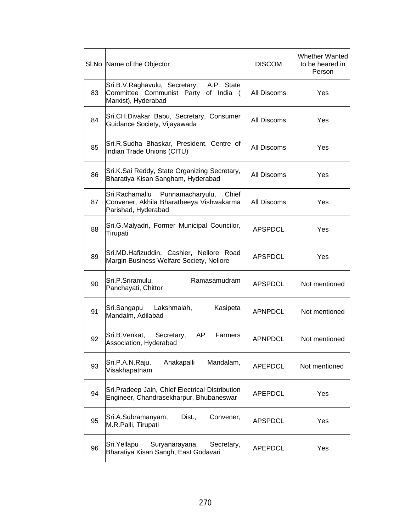|    | SI.No. Name of the Objector                                                                                    | <b>DISCOM</b>  | <b>Whether Wanted</b><br>to be heared in<br>Person |
|----|----------------------------------------------------------------------------------------------------------------|----------------|----------------------------------------------------|
| 83 | A.P. State<br>Sri.B.V.Raghavulu, Secretary,<br>Committee Communist Party of India<br>Marxist), Hyderabad       | All Discoms    | Yes                                                |
| 84 | Sri.CH.Divakar Babu, Secretary, Consumer<br>Guidance Society, Vijayawada                                       | All Discoms    | Yes                                                |
| 85 | Sri.R.Sudha Bhaskar, President, Centre of<br>Indian Trade Unions (CITU)                                        | All Discoms    | Yes                                                |
| 86 | Sri.K.Sai Reddy, State Organizing Secretary,<br>Bharatiya Kisan Sangham, Hyderabad                             | All Discoms    | Yes                                                |
| 87 | Sri.Rachamallu<br>Punnamacharyulu,<br>Chief<br>Convener, Akhila Bharatheeya Vishwakarma<br>Parishad, Hyderabad | All Discoms    | Yes                                                |
| 88 | Sri.G.Malyadri, Former Municipal Councilor,<br>Tirupati                                                        | APSPDCL        | Yes                                                |
| 89 | Sri.MD.Hafizuddin, Cashier, Nellore Road<br>Margin Business Welfare Society, Nellore                           | <b>APSPDCL</b> | Yes                                                |
| 90 | Sri.P.Sriramulu,<br>Ramasamudram<br>Panchayati, Chittor                                                        | <b>APSPDCL</b> | Not mentioned                                      |
| 91 | Lakshmaiah,<br>Sri.Sangapu<br>Kasipeta<br>Mandalm, Adilabad                                                    | <b>APNPDCL</b> | Not mentioned                                      |
| 92 | Sri.B.Venkat,<br>AP.<br>Farmers<br>Secretary,<br>Association, Hyderabad                                        | <b>APNPDCL</b> | Not mentioned                                      |
| 93 | Sri.P.A.N.Raju,<br>Anakapalli<br>Mandalam,<br>Visakhapatnam                                                    | <b>APEPDCL</b> | Not mentioned                                      |
| 94 | Sri.Pradeep Jain, Chief Electrical Distribution<br>Engineer, Chandrasekharpur, Bhubaneswar                     | <b>APEPDCL</b> | Yes                                                |
| 95 | Sri.A.Subramanyam,<br>Dist.,<br>Convener,<br>M.R.Palli, Tirupati                                               | <b>APSPDCL</b> | Yes                                                |
| 96 | Sri.Yellapu<br>Suryanarayana,<br>Secretary,<br>Bharatiya Kisan Sangh, East Godavari                            | <b>APEPDCL</b> | Yes                                                |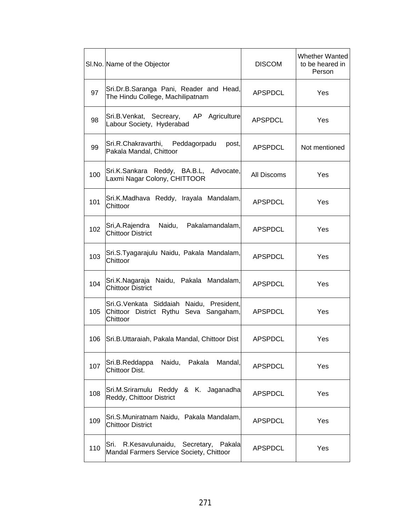|     | SI.No. Name of the Objector                                                                     | <b>DISCOM</b>  | <b>Whether Wanted</b><br>to be heared in<br>Person |
|-----|-------------------------------------------------------------------------------------------------|----------------|----------------------------------------------------|
| 97  | Sri.Dr.B.Saranga Pani, Reader and Head,<br>The Hindu College, Machilipatnam                     | <b>APSPDCL</b> | Yes                                                |
| 98  | Agriculture<br>Sri.B.Venkat, Secreary,<br>AP.<br>Labour Society, Hyderabad                      | <b>APSPDCL</b> | Yes                                                |
| 99  | Sri.R.Chakravarthi, Peddagorpadu<br>post,<br>Pakala Mandal, Chittoor                            | APSPDCL        | Not mentioned                                      |
| 100 | Sri.K.Sankara Reddy, BA.B.L, Advocate,<br>Laxmi Nagar Colony, CHITTOOR                          | All Discoms    | Yes                                                |
| 101 | Sri.K.Madhava Reddy, Irayala Mandalam,<br>Chittoor                                              | APSPDCL        | Yes                                                |
| 102 | Pakalamandalam,<br>Sri, A. Rajendra<br>Naidu,<br><b>Chittoor District</b>                       | <b>APSPDCL</b> | Yes                                                |
| 103 | Sri.S.Tyagarajulu Naidu, Pakala Mandalam,<br>Chittoor                                           | <b>APSPDCL</b> | Yes                                                |
| 104 | Sri.K.Nagaraja Naidu, Pakala Mandalam,<br><b>Chittoor District</b>                              | <b>APSPDCL</b> | Yes                                                |
| 105 | Sri.G. Venkata Siddaiah Naidu, President,<br>Chittoor District Rythu Seva Sangaham,<br>Chittoor | APSPDCL        | Yes                                                |
| 106 | Sri.B.Uttaraiah, Pakala Mandal, Chittoor Dist                                                   | APSPDCL        | Yes                                                |
| 107 | Naidu, Pakala<br>Mandal,<br>Sri.B.Reddappa<br>Chittoor Dist.                                    | <b>APSPDCL</b> | Yes                                                |
| 108 | Sri.M.Sriramulu Reddy & K. Jaganadha<br>Reddy, Chittoor District                                | <b>APSPDCL</b> | Yes                                                |
| 109 | Sri.S.Muniratnam Naidu, Pakala Mandalam,<br><b>Chittoor District</b>                            | <b>APSPDCL</b> | Yes                                                |
| 110 | R.Kesavulunaidu, Secretary,<br>lSri.<br>Pakala<br>Mandal Farmers Service Society, Chittoor      | <b>APSPDCL</b> | Yes                                                |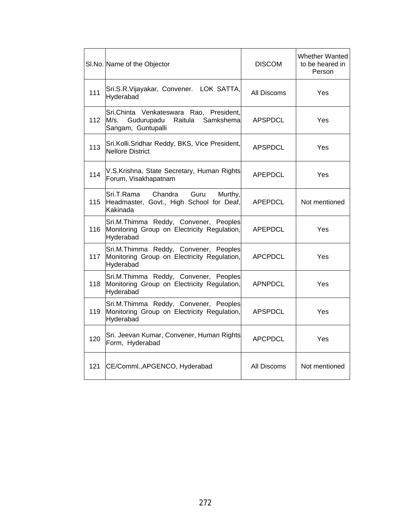|     | SI.No. Name of the Objector                                                                                  | <b>DISCOM</b>  | <b>Whether Wanted</b><br>to be heared in<br>Person |
|-----|--------------------------------------------------------------------------------------------------------------|----------------|----------------------------------------------------|
| 111 | Sri.S.R.Vijayakar, Convener. LOK SATTA,<br>Hyderabad                                                         | All Discoms    | Yes                                                |
| 112 | Sri.Chinta Venkateswara Rao, President,<br>Gudurupadu<br>Samkshemal<br>M/s.<br>Raitula<br>Sangam, Guntupalli | <b>APSPDCL</b> | Yes                                                |
| 113 | Sri.Kolli.Sridhar Reddy, BKS, Vice President,<br><b>Nellore District</b>                                     | <b>APSPDCL</b> | Yes                                                |
| 114 | V.S.Krishna, State Secretary, Human Rights<br>Forum, Visakhapatnam                                           | <b>APEPDCL</b> | Yes                                                |
| 115 | Chandra<br>Sri.T.Rama<br>Guru<br>Murthy,<br>Headmaster, Govt., High School for Deaf,<br>Kakinada             | APEPDCL        | Not mentioned                                      |
| 116 | Sri.M.Thimma Reddy, Convener, Peoples<br>Monitoring Group on Electricity Regulation,<br>Hyderabad            | APEPDCL        | Yes                                                |
| 117 | Sri.M.Thimma Reddy, Convener, Peoples<br>Monitoring Group on Electricity Regulation,<br>Hyderabad            | APCPDCL        | Yes                                                |
| 118 | Sri.M.Thimma Reddy, Convener, Peoples<br>Monitoring Group on Electricity Regulation,<br>Hyderabad            | <b>APNPDCL</b> | Yes                                                |
| 119 | Sri.M.Thimma Reddy, Convener, Peoples<br>Monitoring Group on Electricity Regulation,<br>Hyderabad            | <b>APSPDCL</b> | Yes                                                |
| 120 | Sri. Jeevan Kumar, Convener, Human Rights<br>Form, Hyderabad                                                 | <b>APCPDCL</b> | Yes                                                |
| 121 | CE/Comml., APGENCO, Hyderabad                                                                                | All Discoms    | Not mentioned                                      |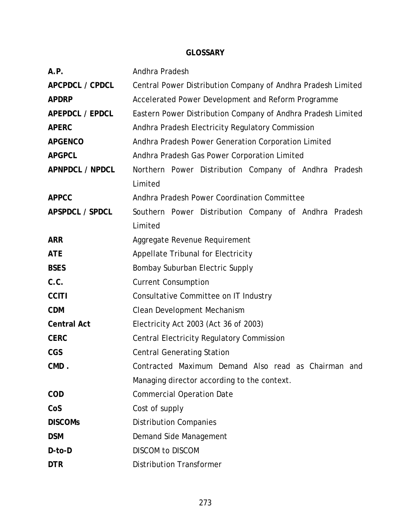#### **GLOSSARY**

| A.P.                   | Andhra Pradesh                                               |  |  |
|------------------------|--------------------------------------------------------------|--|--|
| APCPDCL / CPDCL        | Central Power Distribution Company of Andhra Pradesh Limited |  |  |
| <b>APDRP</b>           | Accelerated Power Development and Reform Programme           |  |  |
| <b>APEPDCL / EPDCL</b> | Eastern Power Distribution Company of Andhra Pradesh Limited |  |  |
| <b>APERC</b>           | Andhra Pradesh Electricity Regulatory Commission             |  |  |
| <b>APGENCO</b>         | Andhra Pradesh Power Generation Corporation Limited          |  |  |
| <b>APGPCL</b>          | Andhra Pradesh Gas Power Corporation Limited                 |  |  |
| <b>APNPDCL / NPDCL</b> | Northern Power Distribution Company of Andhra Pradesh        |  |  |
|                        | Limited                                                      |  |  |
| <b>APPCC</b>           | Andhra Pradesh Power Coordination Committee                  |  |  |
| APSPDCL / SPDCL        | Southern Power Distribution Company of Andhra Pradesh        |  |  |
|                        | Limited                                                      |  |  |
| <b>ARR</b>             | Aggregate Revenue Requirement                                |  |  |
| <b>ATE</b>             | Appellate Tribunal for Electricity                           |  |  |
| <b>BSES</b>            | Bombay Suburban Electric Supply                              |  |  |
| C.C.                   | <b>Current Consumption</b>                                   |  |  |
| <b>CCITI</b>           | Consultative Committee on IT Industry                        |  |  |
| <b>CDM</b>             | Clean Development Mechanism                                  |  |  |
| <b>Central Act</b>     | Electricity Act 2003 (Act 36 of 2003)                        |  |  |
| <b>CERC</b>            | <b>Central Electricity Regulatory Commission</b>             |  |  |
| <b>CGS</b>             | <b>Central Generating Station</b>                            |  |  |
| CMD.                   | Contracted Maximum Demand Also read as Chairman and          |  |  |
|                        | Managing director according to the context.                  |  |  |
| <b>COD</b>             | <b>Commercial Operation Date</b>                             |  |  |
| CoS                    | Cost of supply                                               |  |  |
| <b>DISCOMS</b>         | <b>Distribution Companies</b>                                |  |  |
| <b>DSM</b>             | Demand Side Management                                       |  |  |
| D-to-D                 | <b>DISCOM to DISCOM</b>                                      |  |  |
| <b>DTR</b>             | <b>Distribution Transformer</b>                              |  |  |
|                        |                                                              |  |  |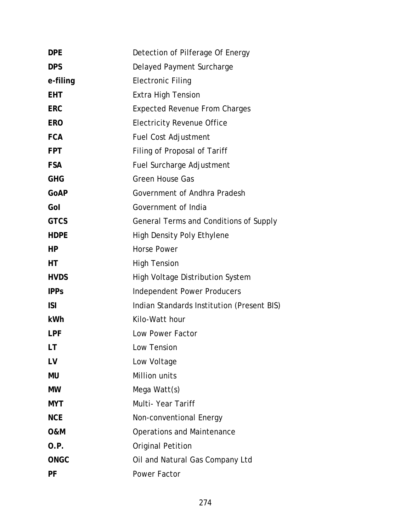| Detection of Pilferage Of Energy           |
|--------------------------------------------|
| Delayed Payment Surcharge                  |
| <b>Electronic Filing</b>                   |
| <b>Extra High Tension</b>                  |
| <b>Expected Revenue From Charges</b>       |
| <b>Electricity Revenue Office</b>          |
| <b>Fuel Cost Adjustment</b>                |
| Filing of Proposal of Tariff               |
| Fuel Surcharge Adjustment                  |
| <b>Green House Gas</b>                     |
| Government of Andhra Pradesh               |
| Government of India                        |
| General Terms and Conditions of Supply     |
| <b>High Density Poly Ethylene</b>          |
| <b>Horse Power</b>                         |
| <b>High Tension</b>                        |
| High Voltage Distribution System           |
| <b>Independent Power Producers</b>         |
| Indian Standards Institution (Present BIS) |
| Kilo-Watt hour                             |
| Low Power Factor                           |
| Low Tension                                |
| Low Voltage                                |
| Million units                              |
| Mega Watt(s)                               |
| Multi-Year Tariff                          |
| Non-conventional Energy                    |
| <b>Operations and Maintenance</b>          |
| <b>Original Petition</b>                   |
| Oil and Natural Gas Company Ltd            |
| Power Factor                               |
|                                            |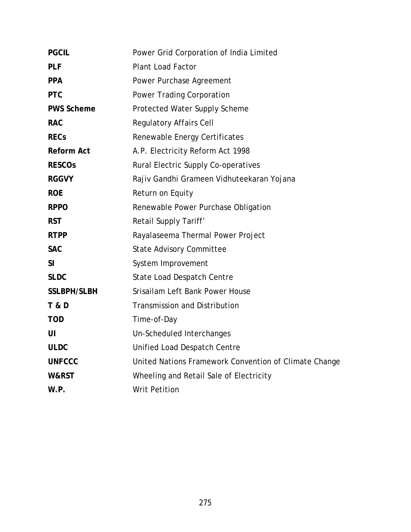| <b>PGCIL</b>       | Power Grid Corporation of India Limited               |
|--------------------|-------------------------------------------------------|
| <b>PLF</b>         | <b>Plant Load Factor</b>                              |
| <b>PPA</b>         | Power Purchase Agreement                              |
| <b>PTC</b>         | Power Trading Corporation                             |
| <b>PWS Scheme</b>  | Protected Water Supply Scheme                         |
| <b>RAC</b>         | <b>Regulatory Affairs Cell</b>                        |
| <b>RECs</b>        | Renewable Energy Certificates                         |
| <b>Reform Act</b>  | A.P. Electricity Reform Act 1998                      |
| <b>RESCOS</b>      | Rural Electric Supply Co-operatives                   |
| <b>RGGVY</b>       | Rajiv Gandhi Grameen Vidhuteekaran Yojana             |
| <b>ROE</b>         | Return on Equity                                      |
| <b>RPPO</b>        | Renewable Power Purchase Obligation                   |
| <b>RST</b>         | Retail Supply Tariff'                                 |
| <b>RTPP</b>        | Rayalaseema Thermal Power Project                     |
| <b>SAC</b>         | <b>State Advisory Committee</b>                       |
| SI                 | System Improvement                                    |
| <b>SLDC</b>        | State Load Despatch Centre                            |
| <b>SSLBPH/SLBH</b> | Srisailam Left Bank Power House                       |
| <b>T &amp; D</b>   | <b>Transmission and Distribution</b>                  |
| <b>TOD</b>         | Time-of-Day                                           |
| UI                 | Un-Scheduled Interchanges                             |
| <b>ULDC</b>        | Unified Load Despatch Centre                          |
| <b>UNFCCC</b>      | United Nations Framework Convention of Climate Change |
| W&RST              | Wheeling and Retail Sale of Electricity               |
| W.P.               | <b>Writ Petition</b>                                  |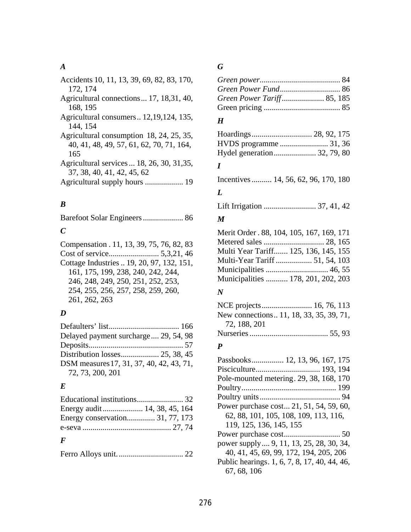#### *A*

### *B*

Barefoot Solar Engineers .................... 86

### *C*

Compensation . 11, 13, 39, 75, 76, 82, 83 Cost of service......................... 5,3,21, 46 Cottage Industries .. 19, 20, 97, 132, 151, 161, 175, 199, 238, 240, 242, 244, 246, 248, 249, 250, 251, 252, 253, 254, 255, 256, 257, 258, 259, 260, 261, 262, 263

### *D*

| Delayed payment surcharge 29, 54, 98     |  |
|------------------------------------------|--|
|                                          |  |
|                                          |  |
| DSM measures 17, 31, 37, 40, 42, 43, 71, |  |
| 72, 73, 200, 201                         |  |

### *E*

| Energy conservation 31, 77, 173 |  |
|---------------------------------|--|
|                                 |  |
|                                 |  |

### *F*

|--|--|

### *G*

#### *H*

| Hydel generation 32, 79, 80 |  |
|-----------------------------|--|

#### *I*

Incentives .......... 14, 56, 62, 96, 170, 180

### *L*

Lift Irrigation .......................... 37, 41, 42

#### *M*

Merit Order . 88, 104, 105, 167, 169, 171 Metered sales .............................. 28, 165 Multi Year Tariff....... 125, 136, 145, 155 Multi-Year Tariff .................. 51, 54, 103 Municipalities ............................... 46, 55 Municipalities ........... 178, 201, 202, 203

#### *N*

| New connections11, 18, 33, 35, 39, 71, |  |
|----------------------------------------|--|
| 72, 188, 201                           |  |
|                                        |  |

#### *P*

| Passbooks 12, 13, 96, 167, 175               |
|----------------------------------------------|
|                                              |
| Pole-mounted metering. 29, 38, 168, 170      |
|                                              |
|                                              |
| Power purchase cost 21, 51, 54, 59, 60,      |
| 62, 88, 101, 105, 108, 109, 113, 116,        |
| 119, 125, 136, 145, 155                      |
|                                              |
| power supply  9, 11, 13, 25, 28, 30, 34,     |
| 40, 41, 45, 69, 99, 172, 194, 205, 206       |
| Public hearings. 1, 6, 7, 8, 17, 40, 44, 46, |
| 67, 68, 106                                  |
|                                              |